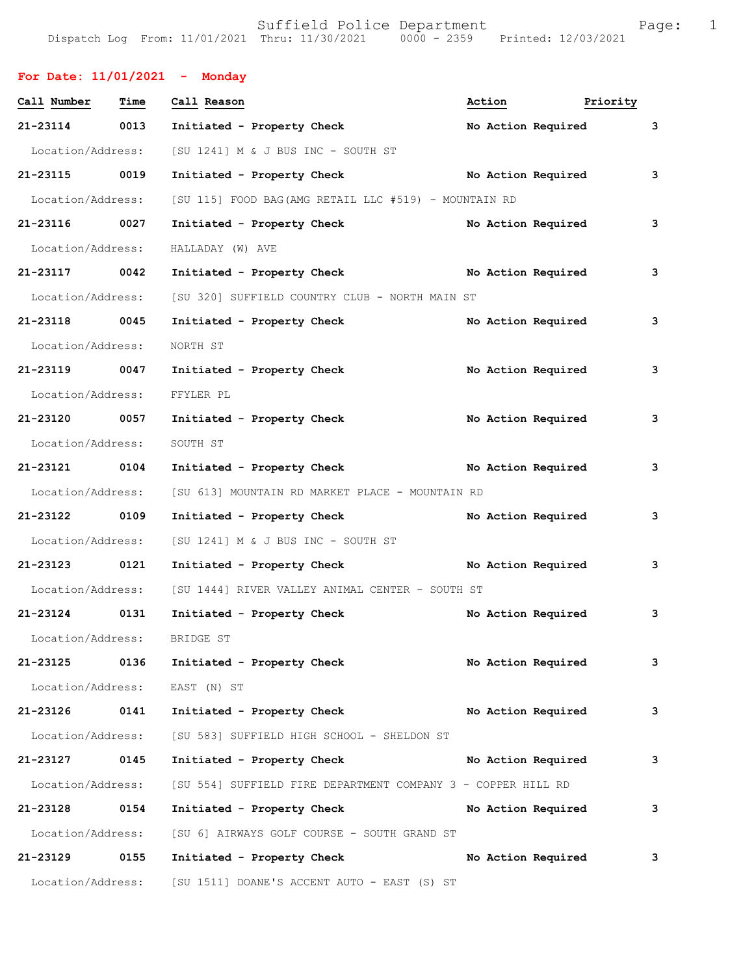Suffield Police Department<br>Dispatch Log From: 11/01/2021 Thru: 11/30/2021 0000 - 2359 Printed: 12/03/2021

|  |                                                |                                 | $-29$ |
|--|------------------------------------------------|---------------------------------|-------|
|  | Dispatch Log From: 11/01/2021 Thru: 11/30/2021 | 0000 - 2359 Printed: 12/03/2021 |       |
|  |                                                |                                 |       |
|  |                                                |                                 |       |

| For Date: $11/01/2021$ - Monday |      |                                                                   |                    |                    |   |
|---------------------------------|------|-------------------------------------------------------------------|--------------------|--------------------|---|
| Call Number                     | Time | Call Reason                                                       | Action             | Priority           |   |
| 21-23114 0013                   |      | Initiated - Property Check                                        |                    | No Action Required | 3 |
|                                 |      | Location/Address: [SU 1241] M & J BUS INC - SOUTH ST              |                    |                    |   |
| 21-23115 0019                   |      | Initiated - Property Check                                        | No Action Required |                    | 3 |
| Location/Address:               |      | [SU 115] FOOD BAG (AMG RETAIL LLC #519) - MOUNTAIN RD             |                    |                    |   |
| 21-23116 0027                   |      | Initiated - Property Check                                        |                    | No Action Required | 3 |
| Location/Address:               |      | HALLADAY (W) AVE                                                  |                    |                    |   |
| 21-23117 0042                   |      | Initiated - Property Check No Action Required                     |                    |                    | 3 |
| Location/Address:               |      | [SU 320] SUFFIELD COUNTRY CLUB - NORTH MAIN ST                    |                    |                    |   |
| 21-23118 0045                   |      | Initiated - Property Check                                        |                    | No Action Required | 3 |
| Location/Address:               |      | NORTH ST                                                          |                    |                    |   |
| 21-23119 0047                   |      | Initiated - Property Check                                        |                    | No Action Required | 3 |
| Location/Address:               |      | FFYLER PL                                                         |                    |                    |   |
| 21-23120 0057                   |      | Initiated - Property Check                                        |                    | No Action Required | 3 |
| Location/Address:               |      | SOUTH ST                                                          |                    |                    |   |
| 21-23121 0104                   |      | Initiated - Property Check                                        |                    | No Action Required | 3 |
| Location/Address:               |      | [SU 613] MOUNTAIN RD MARKET PLACE - MOUNTAIN RD                   |                    |                    |   |
| 21-23122 0109                   |      | Initiated - Property Check                                        |                    | No Action Required | 3 |
| Location/Address:               |      | [SU 1241] M & J BUS INC - SOUTH ST                                |                    |                    |   |
| 21-23123 0121                   |      | Initiated - Property Check No Action Required                     |                    |                    | 3 |
|                                 |      | Location/Address: [SU 1444] RIVER VALLEY ANIMAL CENTER - SOUTH ST |                    |                    |   |
| 21-23124                        | 0131 | Initiated - Property Check                                        |                    | No Action Required | 3 |
| Location/Address: BRIDGE ST     |      |                                                                   |                    |                    |   |
| 21-23125                        | 0136 | Initiated - Property Check                                        |                    | No Action Required | 3 |
| Location/Address:               |      | EAST (N) ST                                                       |                    |                    |   |
| 21-23126                        | 0141 | Initiated - Property Check                                        |                    | No Action Required | 3 |
| Location/Address:               |      | [SU 583] SUFFIELD HIGH SCHOOL - SHELDON ST                        |                    |                    |   |
| 21-23127 0145                   |      | Initiated - Property Check                                        |                    | No Action Required | 3 |
| Location/Address:               |      | [SU 554] SUFFIELD FIRE DEPARTMENT COMPANY 3 - COPPER HILL RD      |                    |                    |   |
| 21-23128 0154                   |      | Initiated - Property Check                                        |                    | No Action Required | 3 |
| Location/Address:               |      | [SU 6] AIRWAYS GOLF COURSE - SOUTH GRAND ST                       |                    |                    |   |
| 21-23129                        | 0155 | Initiated - Property Check                                        |                    | No Action Required | 3 |
| Location/Address:               |      | [SU 1511] DOANE'S ACCENT AUTO - EAST (S) ST                       |                    |                    |   |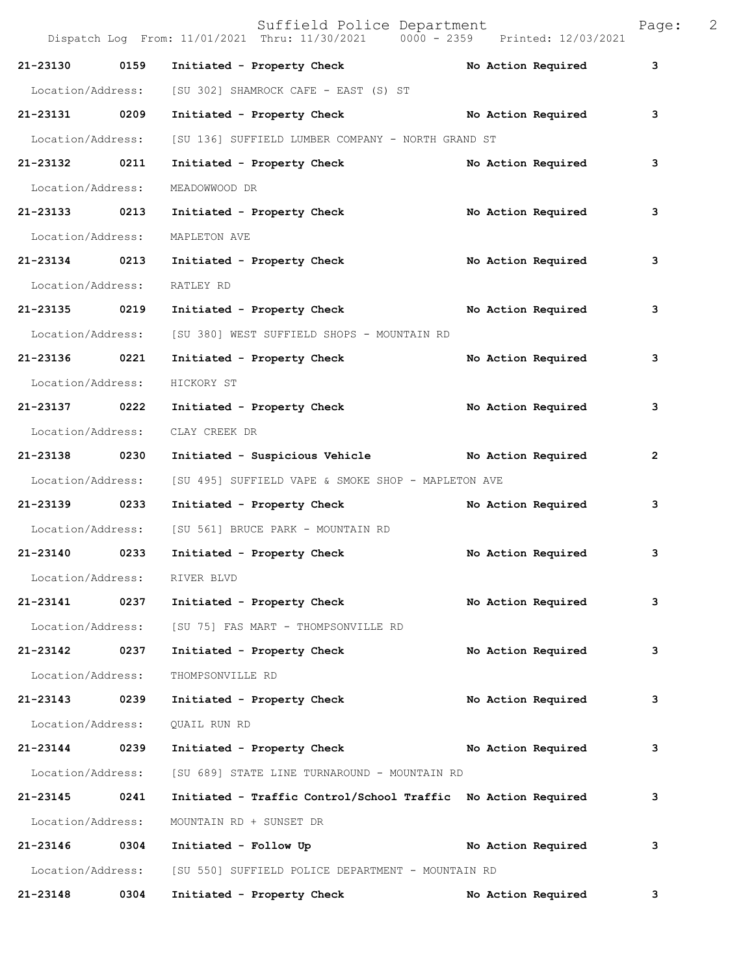|                   |      | Suffield Police Department<br>Dispatch Log From: 11/01/2021 Thru: 11/30/2021 0000 - 2359 Printed: 12/03/2021 |                    | Page:          | 2 |
|-------------------|------|--------------------------------------------------------------------------------------------------------------|--------------------|----------------|---|
| 21-23130          | 0159 | Initiated - Property Check                                                                                   | No Action Required | 3              |   |
| Location/Address: |      | [SU 302] SHAMROCK CAFE - EAST (S) ST                                                                         |                    |                |   |
| 21-23131 0209     |      | Initiated - Property Check No Action Required                                                                |                    | 3              |   |
| Location/Address: |      | [SU 136] SUFFIELD LUMBER COMPANY - NORTH GRAND ST                                                            |                    |                |   |
| 21-23132 0211     |      | Initiated - Property Check                                                                                   | No Action Required | 3              |   |
| Location/Address: |      | MEADOWWOOD DR                                                                                                |                    |                |   |
| 21-23133 0213     |      | Initiated - Property Check                                                                                   | No Action Required | 3              |   |
| Location/Address: |      | MAPLETON AVE                                                                                                 |                    |                |   |
| 21-23134 0213     |      | Initiated - Property Check                                                                                   | No Action Required | 3              |   |
| Location/Address: |      | RATLEY RD                                                                                                    |                    |                |   |
| 21-23135 0219     |      | Initiated - Property Check                                                                                   | No Action Required | 3              |   |
| Location/Address: |      | [SU 380] WEST SUFFIELD SHOPS - MOUNTAIN RD                                                                   |                    |                |   |
| 21-23136 0221     |      | Initiated - Property Check                                                                                   | No Action Required | 3              |   |
| Location/Address: |      | HICKORY ST                                                                                                   |                    |                |   |
| 21-23137 0222     |      | Initiated - Property Check                                                                                   | No Action Required | 3              |   |
| Location/Address: |      | CLAY CREEK DR                                                                                                |                    |                |   |
| 21-23138 0230     |      | Initiated - Suspicious Vehicle Mo Action Required                                                            |                    | $\overline{2}$ |   |
| Location/Address: |      | [SU 495] SUFFIELD VAPE & SMOKE SHOP - MAPLETON AVE                                                           |                    |                |   |
| 21-23139 0233     |      | Initiated - Property Check                                                                                   | No Action Required | 3              |   |
| Location/Address: |      | [SU 561] BRUCE PARK - MOUNTAIN RD                                                                            |                    |                |   |
| 21-23140 0233     |      | Initiated - Property Check                                                                                   | No Action Required | 3              |   |
| Location/Address: |      | RIVER BLVD                                                                                                   |                    |                |   |
| 21-23141          | 0237 | Initiated - Property Check                                                                                   | No Action Required | 3              |   |
| Location/Address: |      | [SU 75] FAS MART - THOMPSONVILLE RD                                                                          |                    |                |   |
| 21-23142          | 0237 | Initiated - Property Check                                                                                   | No Action Required | 3              |   |
| Location/Address: |      | THOMPSONVILLE RD                                                                                             |                    |                |   |
| 21-23143 0239     |      | Initiated - Property Check                                                                                   | No Action Required | 3              |   |
| Location/Address: |      | QUAIL RUN RD                                                                                                 |                    |                |   |
| 21-23144          | 0239 | Initiated - Property Check                                                                                   | No Action Required | 3              |   |
| Location/Address: |      | [SU 689] STATE LINE TURNAROUND - MOUNTAIN RD                                                                 |                    |                |   |
| 21-23145          | 0241 | Initiated - Traffic Control/School Traffic No Action Required                                                |                    | 3              |   |
| Location/Address: |      | MOUNTAIN RD + SUNSET DR                                                                                      |                    |                |   |
| 21-23146 0304     |      | Initiated - Follow Up                                                                                        | No Action Required | 3              |   |
| Location/Address: |      | [SU 550] SUFFIELD POLICE DEPARTMENT - MOUNTAIN RD                                                            |                    |                |   |
| 21-23148          | 0304 | Initiated - Property Check                                                                                   | No Action Required | 3              |   |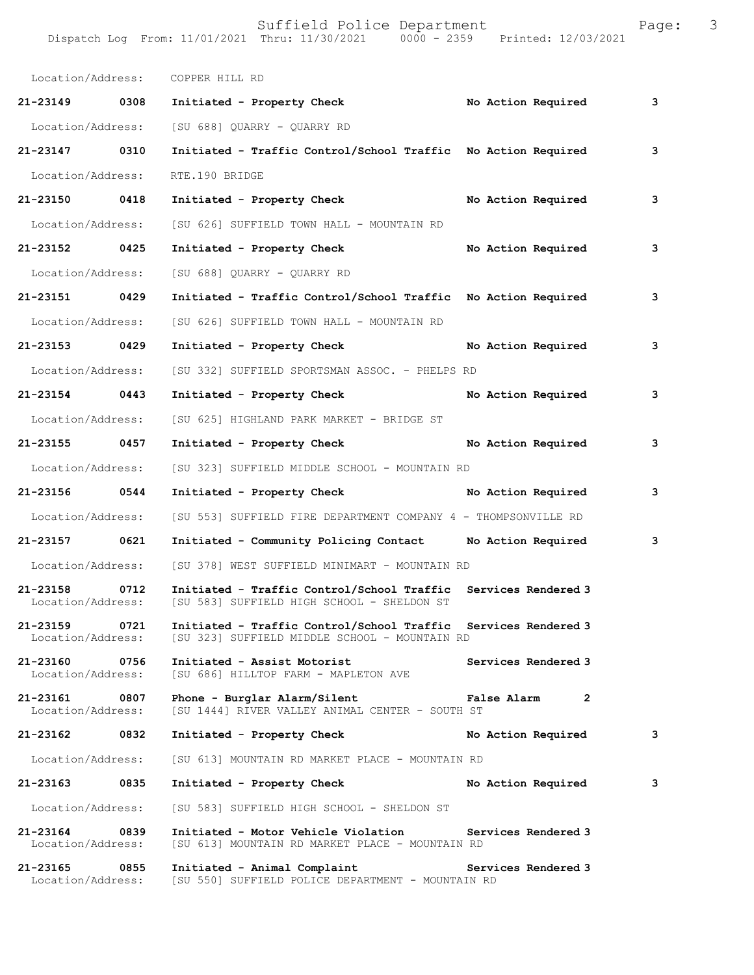|                                    |      | Location/Address: COPPER HILL RD                                                                                |             |                     |   |
|------------------------------------|------|-----------------------------------------------------------------------------------------------------------------|-------------|---------------------|---|
| 21-23149 0308                      |      | No Action Required<br>Initiated - Property Check                                                                |             |                     | 3 |
| Location/Address:                  |      | [SU 688] OUARRY - OUARRY RD                                                                                     |             |                     |   |
| 21-23147 0310                      |      | Initiated - Traffic Control/School Traffic No Action Required                                                   |             |                     | 3 |
| Location/Address:                  |      | RTE.190 BRIDGE                                                                                                  |             |                     |   |
| 21-23150 0418                      |      | Initiated - Property Check                                                                                      |             | No Action Required  | 3 |
| Location/Address:                  |      | [SU 626] SUFFIELD TOWN HALL - MOUNTAIN RD                                                                       |             |                     |   |
| 21-23152 0425                      |      | Initiated - Property Check                                                                                      |             | No Action Required  | 3 |
| Location/Address:                  |      | [SU 688] QUARRY - QUARRY RD                                                                                     |             |                     |   |
| 21-23151 0429                      |      | Initiated - Traffic Control/School Traffic No Action Required                                                   |             |                     | 3 |
| Location/Address:                  |      | [SU 626] SUFFIELD TOWN HALL - MOUNTAIN RD                                                                       |             |                     |   |
| 21-23153 0429                      |      | Initiated - Property Check                                                                                      |             | No Action Required  | 3 |
| Location/Address:                  |      | [SU 332] SUFFIELD SPORTSMAN ASSOC. - PHELPS RD                                                                  |             |                     |   |
| 21-23154 0443                      |      | Initiated - Property Check                                                                                      |             | No Action Required  | 3 |
| Location/Address:                  |      | [SU 625] HIGHLAND PARK MARKET - BRIDGE ST                                                                       |             |                     |   |
| 21-23155 0457                      |      | Initiated - Property Check                                                                                      |             | No Action Required  | 3 |
| Location/Address:                  |      | [SU 323] SUFFIELD MIDDLE SCHOOL - MOUNTAIN RD                                                                   |             |                     |   |
| 21-23156 0544                      |      | Initiated - Property Check No Action Required                                                                   |             |                     | 3 |
| Location/Address:                  |      | [SU 553] SUFFIELD FIRE DEPARTMENT COMPANY 4 - THOMPSONVILLE RD                                                  |             |                     |   |
| 21-23157 0621                      |      | Initiated - Community Policing Contact Mo Action Required                                                       |             |                     | 3 |
|                                    |      | Location/Address: [SU 378] WEST SUFFIELD MINIMART - MOUNTAIN RD                                                 |             |                     |   |
| 21-23158                           | 0712 | Initiated - Traffic Control/School Traffic<br>Location/Address: [SU 583] SUFFIELD HIGH SCHOOL - SHELDON ST      |             | Services Rendered 3 |   |
| 21-23159<br>Location/Address:      | 0721 | Initiated - Traffic Control/School Traffic Services Rendered 3<br>[SU 323] SUFFIELD MIDDLE SCHOOL - MOUNTAIN RD |             |                     |   |
| 21-23160 0756<br>Location/Address: |      | Initiated - Assist Motorist<br>[SU 686] HILLTOP FARM - MAPLETON AVE                                             |             | Services Rendered 3 |   |
| 21-23161 0807<br>Location/Address: |      | Phone - Burglar Alarm/Silent<br>[SU 1444] RIVER VALLEY ANIMAL CENTER - SOUTH ST                                 | False Alarm | 2                   |   |
| 21-23162                           | 0832 | Initiated - Property Check                                                                                      |             | No Action Required  | 3 |
| Location/Address:                  |      | [SU 613] MOUNTAIN RD MARKET PLACE - MOUNTAIN RD                                                                 |             |                     |   |
| 21-23163                           | 0835 | Initiated - Property Check                                                                                      |             | No Action Required  | 3 |
| Location/Address:                  |      | [SU 583] SUFFIELD HIGH SCHOOL - SHELDON ST                                                                      |             |                     |   |
| 21-23164 0839<br>Location/Address: |      | Initiated - Motor Vehicle Violation<br>[SU 613] MOUNTAIN RD MARKET PLACE - MOUNTAIN RD                          |             | Services Rendered 3 |   |
| 21-23165<br>Location/Address:      | 0855 | Initiated - Animal Complaint<br>[SU 550] SUFFIELD POLICE DEPARTMENT - MOUNTAIN RD                               |             | Services Rendered 3 |   |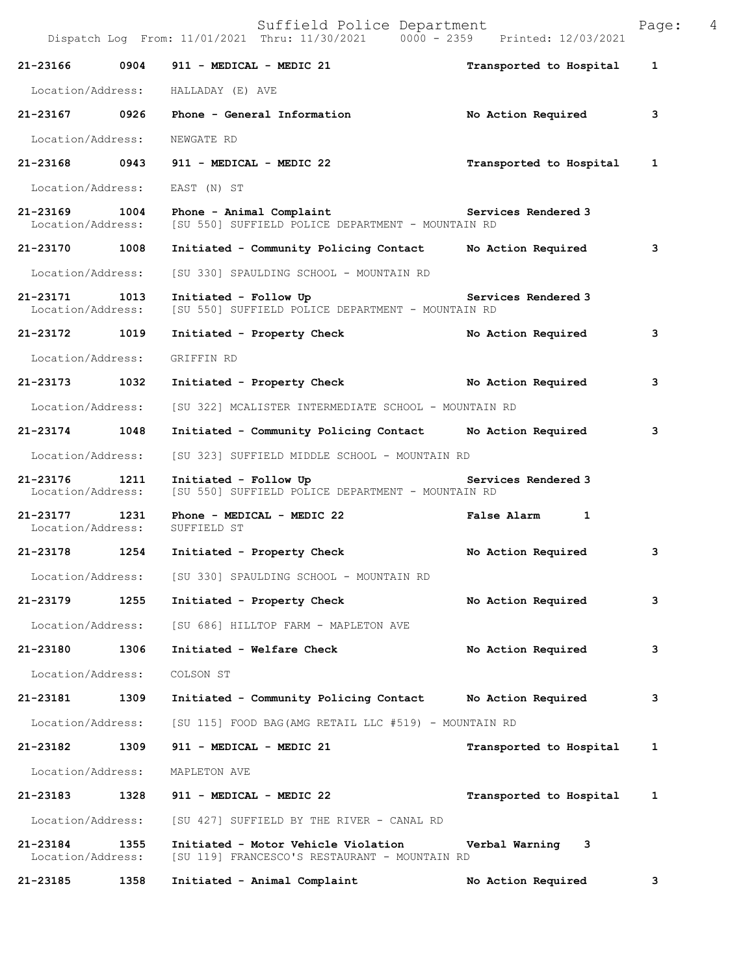|                                    |      | Suffield Police Department<br>Dispatch Log From: 11/01/2021 Thru: 11/30/2021 0000 - 2359 Printed: 12/03/2021 |                         | Page: | 4 |
|------------------------------------|------|--------------------------------------------------------------------------------------------------------------|-------------------------|-------|---|
| 21-23166                           | 0904 | 911 - MEDICAL - MEDIC 21                                                                                     | Transported to Hospital | 1     |   |
| Location/Address:                  |      | HALLADAY (E) AVE                                                                                             |                         |       |   |
| 21-23167 0926                      |      | Phone - General Information                                                                                  | No Action Required      | 3     |   |
| Location/Address:                  |      | NEWGATE RD                                                                                                   |                         |       |   |
| 21-23168 0943                      |      | 911 - MEDICAL - MEDIC 22                                                                                     | Transported to Hospital | 1     |   |
| Location/Address:                  |      | EAST (N) ST                                                                                                  |                         |       |   |
| 21-23169<br>Location/Address:      | 1004 | Phone - Animal Complaint The Services Rendered 3<br>[SU 550] SUFFIELD POLICE DEPARTMENT - MOUNTAIN RD        |                         |       |   |
| 21-23170 1008                      |      | Initiated - Community Policing Contact                                                                       | No Action Required      | 3     |   |
| Location/Address:                  |      | [SU 330] SPAULDING SCHOOL - MOUNTAIN RD                                                                      |                         |       |   |
| 21-23171 1013<br>Location/Address: |      | Initiated - Follow Up<br>[SU 550] SUFFIELD POLICE DEPARTMENT - MOUNTAIN RD                                   | Services Rendered 3     |       |   |
| 21-23172 1019                      |      | Initiated - Property Check                                                                                   | No Action Required      | 3     |   |
| Location/Address:                  |      | GRIFFIN RD                                                                                                   |                         |       |   |
| 21-23173                           | 1032 | Initiated - Property Check No Action Required                                                                |                         | 3     |   |
| Location/Address:                  |      | [SU 322] MCALISTER INTERMEDIATE SCHOOL - MOUNTAIN RD                                                         |                         |       |   |
| 21-23174                           | 1048 | Initiated - Community Policing Contact No Action Required                                                    |                         | 3     |   |
| Location/Address:                  |      | [SU 323] SUFFIELD MIDDLE SCHOOL - MOUNTAIN RD                                                                |                         |       |   |
| 21-23176<br>Location/Address:      | 1211 | Initiated - Follow Up<br>[SU 550] SUFFIELD POLICE DEPARTMENT - MOUNTAIN RD                                   | Services Rendered 3     |       |   |
| 21-23177<br>Location/Address:      | 1231 | Phone - MEDICAL - MEDIC 22<br>SUFFIELD ST                                                                    | <b>False Alarm</b><br>1 |       |   |
| 21-23178                           | 1254 | Initiated - Property Check                                                                                   | No Action Required      | 3     |   |
| Location/Address:                  |      | [SU 330] SPAULDING SCHOOL - MOUNTAIN RD                                                                      |                         |       |   |
| 21-23179                           | 1255 | Initiated - Property Check                                                                                   | No Action Required      | 3     |   |
| Location/Address:                  |      | [SU 686] HILLTOP FARM - MAPLETON AVE                                                                         |                         |       |   |
| 21-23180                           | 1306 | Initiated - Welfare Check                                                                                    | No Action Required      | 3     |   |
| Location/Address:                  |      | COLSON ST                                                                                                    |                         |       |   |
| 21-23181                           | 1309 | Initiated - Community Policing Contact                                                                       | No Action Required      | 3     |   |
| Location/Address:                  |      | [SU 115] FOOD BAG (AMG RETAIL LLC #519) - MOUNTAIN RD                                                        |                         |       |   |
| 21-23182                           | 1309 | 911 - MEDICAL - MEDIC 21                                                                                     | Transported to Hospital | 1     |   |
| Location/Address:                  |      | MAPLETON AVE                                                                                                 |                         |       |   |
| 21-23183                           | 1328 | 911 - MEDICAL - MEDIC 22                                                                                     | Transported to Hospital | 1     |   |
| Location/Address:                  |      | [SU 427] SUFFIELD BY THE RIVER - CANAL RD                                                                    |                         |       |   |
| 21-23184<br>Location/Address:      | 1355 | Initiated - Motor Vehicle Violation<br>[SU 119] FRANCESCO'S RESTAURANT - MOUNTAIN RD                         | Verbal Warning<br>3     |       |   |
| 21-23185                           | 1358 | Initiated - Animal Complaint                                                                                 | No Action Required      | 3     |   |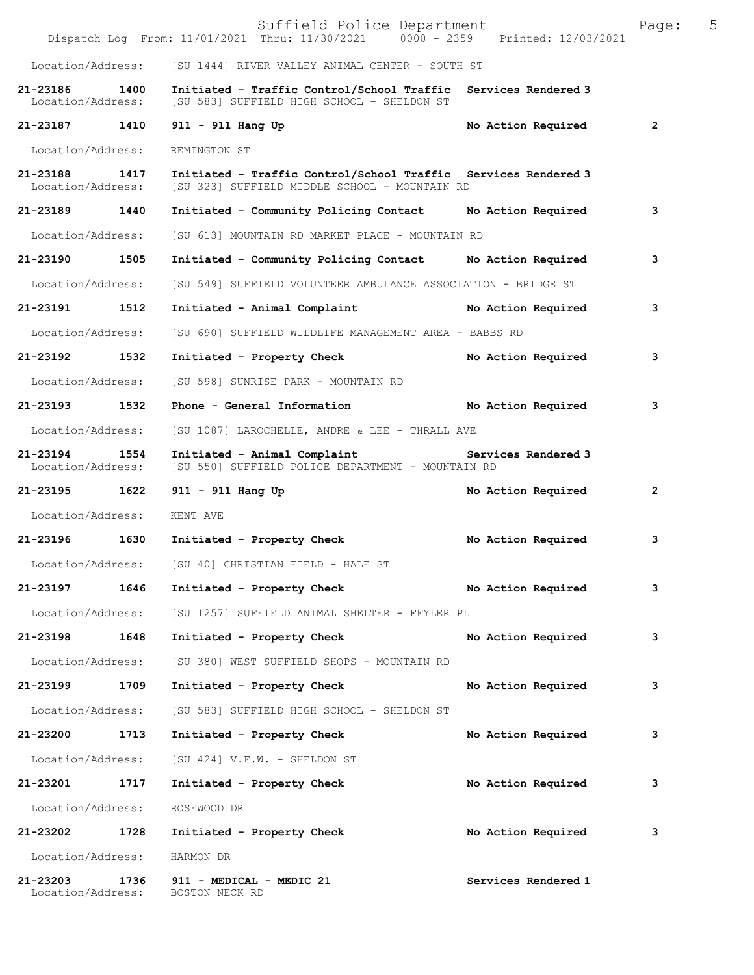|                               |      | Suffield Police Department<br>Dispatch Log From: 11/01/2021 Thru: 11/30/2021 0000 - 2359 Printed: 12/03/2021    |                     | Page:        | 5 |
|-------------------------------|------|-----------------------------------------------------------------------------------------------------------------|---------------------|--------------|---|
| Location/Address:             |      | [SU 1444] RIVER VALLEY ANIMAL CENTER - SOUTH ST                                                                 |                     |              |   |
| 21-23186<br>Location/Address: | 1400 | Initiated - Traffic Control/School Traffic<br>[SU 583] SUFFIELD HIGH SCHOOL - SHELDON ST                        | Services Rendered 3 |              |   |
| 21-23187                      | 1410 | $911 - 911$ Hang Up                                                                                             | No Action Required  | 2            |   |
| Location/Address:             |      | REMINGTON ST                                                                                                    |                     |              |   |
| 21-23188<br>Location/Address: | 1417 | Initiated - Traffic Control/School Traffic Services Rendered 3<br>[SU 323] SUFFIELD MIDDLE SCHOOL - MOUNTAIN RD |                     |              |   |
| 21-23189                      | 1440 | Initiated - Community Policing Contact                                                                          | No Action Required  | 3            |   |
| Location/Address:             |      | [SU 613] MOUNTAIN RD MARKET PLACE - MOUNTAIN RD                                                                 |                     |              |   |
| 21-23190                      | 1505 | Initiated - Community Policing Contact Mo Action Required                                                       |                     | 3            |   |
| Location/Address:             |      | [SU 549] SUFFIELD VOLUNTEER AMBULANCE ASSOCIATION - BRIDGE ST                                                   |                     |              |   |
| 21-23191 1512                 |      | Initiated - Animal Complaint                                                                                    | No Action Required  | 3            |   |
| Location/Address:             |      | [SU 690] SUFFIELD WILDLIFE MANAGEMENT AREA - BABBS RD                                                           |                     |              |   |
| 21-23192                      | 1532 | Initiated - Property Check                                                                                      | No Action Required  | 3            |   |
| Location/Address:             |      | [SU 598] SUNRISE PARK - MOUNTAIN RD                                                                             |                     |              |   |
| 21-23193                      | 1532 | Phone - General Information                                                                                     | No Action Required  | 3            |   |
| Location/Address:             |      | [SU 1087] LAROCHELLE, ANDRE & LEE - THRALL AVE                                                                  |                     |              |   |
| 21-23194<br>Location/Address: | 1554 | Initiated - Animal Complaint<br>[SU 550] SUFFIELD POLICE DEPARTMENT - MOUNTAIN RD                               | Services Rendered 3 |              |   |
| 21-23195                      | 1622 | $911 - 911$ Hang Up                                                                                             | No Action Required  | $\mathbf{2}$ |   |
| Location/Address:             |      | KENT AVE                                                                                                        |                     |              |   |
| 21-23196                      | 1630 | Initiated - Property Check                                                                                      | No Action Required  | 3            |   |
| Location/Address:             |      | [SU 40] CHRISTIAN FIELD - HALE ST                                                                               |                     |              |   |
| 21-23197                      | 1646 | Initiated - Property Check                                                                                      | No Action Required  | з            |   |
| Location/Address:             |      | [SU 1257] SUFFIELD ANIMAL SHELTER - FFYLER PL                                                                   |                     |              |   |
| 21-23198                      | 1648 | Initiated - Property Check                                                                                      | No Action Required  | з            |   |
| Location/Address:             |      | [SU 380] WEST SUFFIELD SHOPS - MOUNTAIN RD                                                                      |                     |              |   |
| 21-23199                      | 1709 | Initiated - Property Check                                                                                      | No Action Required  | з            |   |
| Location/Address:             |      | [SU 583] SUFFIELD HIGH SCHOOL - SHELDON ST                                                                      |                     |              |   |
| 21-23200                      | 1713 | Initiated - Property Check                                                                                      | No Action Required  | 3            |   |
| Location/Address:             |      | $[SU 424] V.F.W. - SHELDOM ST$                                                                                  |                     |              |   |
| 21-23201                      | 1717 | Initiated - Property Check                                                                                      | No Action Required  | з            |   |
| Location/Address:             |      | ROSEWOOD DR                                                                                                     |                     |              |   |
| 21-23202                      | 1728 | Initiated - Property Check                                                                                      | No Action Required  | з            |   |
| Location/Address:             |      | HARMON DR                                                                                                       |                     |              |   |
| 21-23203<br>Location/Address: | 1736 | 911 - MEDICAL - MEDIC 21<br>BOSTON NECK RD                                                                      | Services Rendered 1 |              |   |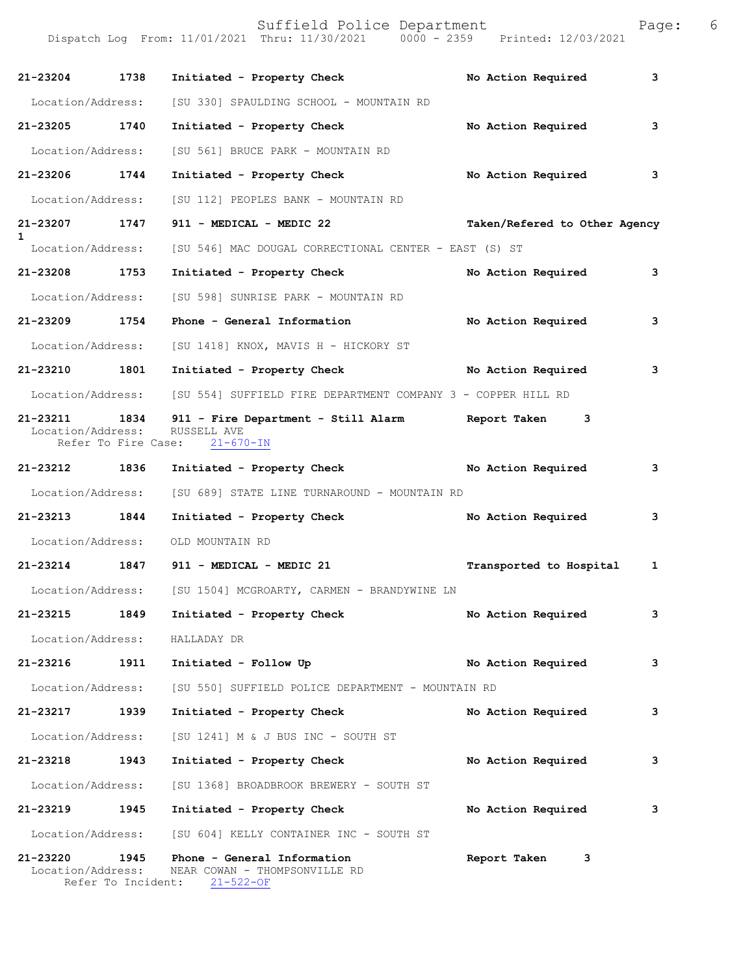Suffield Police Department Fage: 6 Dispatch Log From: 11/01/2021 Thru: 11/30/2021 0000 - 2359 Printed: 12/03/2021 **21-23204 1738 Initiated - Property Check No Action Required 3** Location/Address: [SU 330] SPAULDING SCHOOL - MOUNTAIN RD **21-23205 1740 Initiated - Property Check No Action Required 3** Location/Address: [SU 561] BRUCE PARK - MOUNTAIN RD **21-23206 1744 Initiated - Property Check No Action Required 3** Location/Address: [SU 112] PEOPLES BANK - MOUNTAIN RD **21-23207 1747 911 - MEDICAL - MEDIC 22 Taken/Refered to Other Agency 1**  Location/Address: [SU 546] MAC DOUGAL CORRECTIONAL CENTER - EAST (S) ST **21-23208 1753 Initiated - Property Check No Action Required 3** Location/Address: [SU 598] SUNRISE PARK - MOUNTAIN RD **21-23209 1754 Phone - General Information No Action Required 3** Location/Address: [SU 1418] KNOX, MAVIS H - HICKORY ST **21-23210 1801 Initiated - Property Check No Action Required 3** Location/Address: [SU 554] SUFFIELD FIRE DEPARTMENT COMPANY 3 - COPPER HILL RD **21-23211 1834 911 - Fire Department - Still Alarm Report Taken 3**  Location/Address: RUSSELL AVE Refer To Fire Case: 21-670-IN **21-23212 1836 Initiated - Property Check No Action Required 3** Location/Address: [SU 689] STATE LINE TURNAROUND - MOUNTAIN RD **21-23213 1844 Initiated - Property Check No Action Required 3** Location/Address: OLD MOUNTAIN RD **21-23214 1847 911 - MEDICAL - MEDIC 21 Transported to Hospital 1** Location/Address: [SU 1504] MCGROARTY, CARMEN - BRANDYWINE LN **21-23215 1849 Initiated - Property Check No Action Required 3** Location/Address: HALLADAY DR **21-23216 1911 Initiated - Follow Up No Action Required 3** Location/Address: [SU 550] SUFFIELD POLICE DEPARTMENT - MOUNTAIN RD **21-23217 1939 Initiated - Property Check No Action Required 3** Location/Address: [SU 1241] M & J BUS INC - SOUTH ST **21-23218 1943 Initiated - Property Check No Action Required 3** Location/Address: [SU 1368] BROADBROOK BREWERY - SOUTH ST **21-23219 1945 Initiated - Property Check No Action Required 3** Location/Address: [SU 604] KELLY CONTAINER INC - SOUTH ST **21-23220 1945 Phone - General Information Report Taken 3**  Location/Address: NEAR COWAN - THOMPSONVILLE RD<br>Refer To Incident: 21-522-OF

Refer To Incident: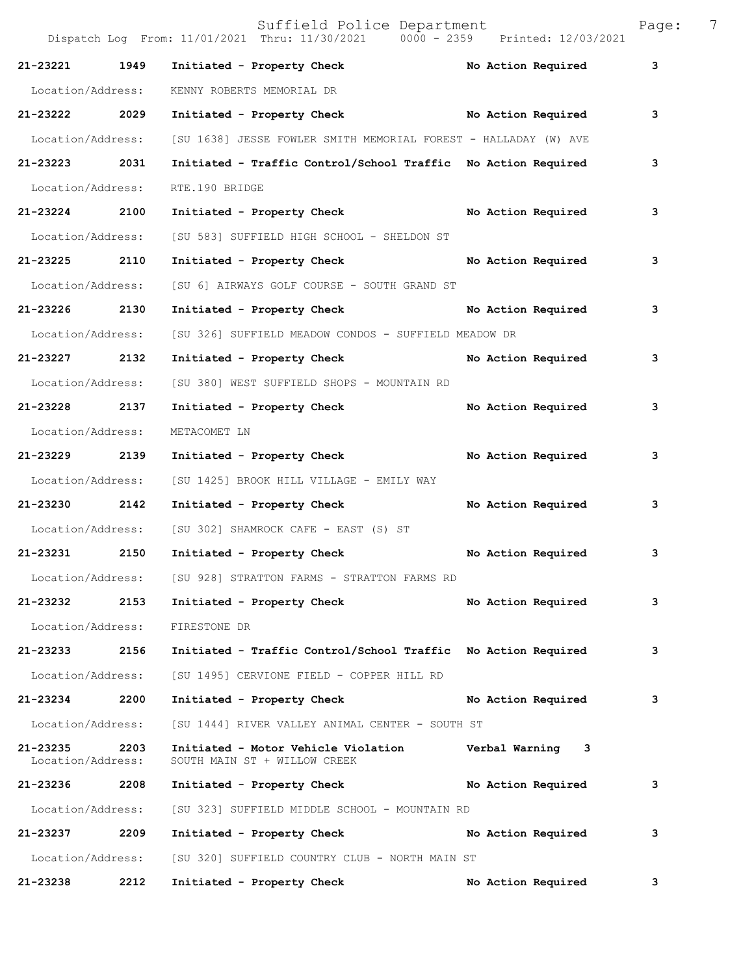|                               |      | Suffield Police Department<br>Dispatch Log From: 11/01/2021 Thru: 11/30/2021 0000 - 2359 Printed: 12/03/2021 |                    | Page: | 7 |
|-------------------------------|------|--------------------------------------------------------------------------------------------------------------|--------------------|-------|---|
| 21-23221                      | 1949 | Initiated - Property Check                                                                                   | No Action Required | 3     |   |
| Location/Address:             |      | KENNY ROBERTS MEMORIAL DR                                                                                    |                    |       |   |
| 21-23222 2029                 |      | Initiated - Property Check No Action Required                                                                |                    | 3     |   |
| Location/Address:             |      | [SU 1638] JESSE FOWLER SMITH MEMORIAL FOREST - HALLADAY (W) AVE                                              |                    |       |   |
| 21-23223                      | 2031 | Initiated - Traffic Control/School Traffic No Action Required                                                |                    | 3     |   |
| Location/Address:             |      | RTE.190 BRIDGE                                                                                               |                    |       |   |
| 21-23224                      | 2100 | Initiated - Property Check                                                                                   | No Action Required | 3     |   |
| Location/Address:             |      | [SU 583] SUFFIELD HIGH SCHOOL - SHELDON ST                                                                   |                    |       |   |
| 21-23225                      | 2110 | Initiated - Property Check                                                                                   | No Action Required | 3     |   |
| Location/Address:             |      | [SU 6] AIRWAYS GOLF COURSE - SOUTH GRAND ST                                                                  |                    |       |   |
| 21-23226                      | 2130 | Initiated - Property Check                                                                                   | No Action Required | 3     |   |
| Location/Address:             |      | [SU 326] SUFFIELD MEADOW CONDOS - SUFFIELD MEADOW DR                                                         |                    |       |   |
| 21-23227                      | 2132 | Initiated - Property Check                                                                                   | No Action Required | 3     |   |
| Location/Address:             |      | [SU 380] WEST SUFFIELD SHOPS - MOUNTAIN RD                                                                   |                    |       |   |
| 21-23228 2137                 |      | Initiated - Property Check                                                                                   | No Action Required | 3     |   |
| Location/Address:             |      | METACOMET LN                                                                                                 |                    |       |   |
| 21-23229                      | 2139 | Initiated - Property Check                                                                                   | No Action Required | 3     |   |
| Location/Address:             |      | [SU 1425] BROOK HILL VILLAGE - EMILY WAY                                                                     |                    |       |   |
| 21-23230                      | 2142 | Initiated - Property Check                                                                                   | No Action Required | 3     |   |
| Location/Address:             |      | [SU 302] SHAMROCK CAFE - EAST (S) ST                                                                         |                    |       |   |
| 21-23231                      | 2150 | Initiated - Property Check                                                                                   | No Action Required | 3     |   |
| Location/Address:             |      | [SU 928] STRATTON FARMS - STRATTON FARMS RD                                                                  |                    |       |   |
| 21-23232                      | 2153 | Initiated - Property Check                                                                                   | No Action Required | 3     |   |
| Location/Address:             |      | FIRESTONE DR                                                                                                 |                    |       |   |
| 21-23233                      | 2156 | Initiated - Traffic Control/School Traffic No Action Required                                                |                    | 3     |   |
| Location/Address:             |      | [SU 1495] CERVIONE FIELD - COPPER HILL RD                                                                    |                    |       |   |
| 21-23234                      | 2200 | Initiated - Property Check                                                                                   | No Action Required | 3     |   |
| Location/Address:             |      | [SU 1444] RIVER VALLEY ANIMAL CENTER - SOUTH ST                                                              |                    |       |   |
| 21-23235<br>Location/Address: | 2203 | Initiated - Motor Vehicle Violation<br>SOUTH MAIN ST + WILLOW CREEK                                          | Verbal Warning 3   |       |   |
| 21-23236                      | 2208 | Initiated - Property Check                                                                                   | No Action Required | 3     |   |
| Location/Address:             |      | [SU 323] SUFFIELD MIDDLE SCHOOL - MOUNTAIN RD                                                                |                    |       |   |
| 21-23237                      | 2209 | Initiated - Property Check                                                                                   | No Action Required | 3     |   |
| Location/Address:             |      | [SU 320] SUFFIELD COUNTRY CLUB - NORTH MAIN ST                                                               |                    |       |   |
| 21-23238                      | 2212 | Initiated - Property Check                                                                                   | No Action Required | 3     |   |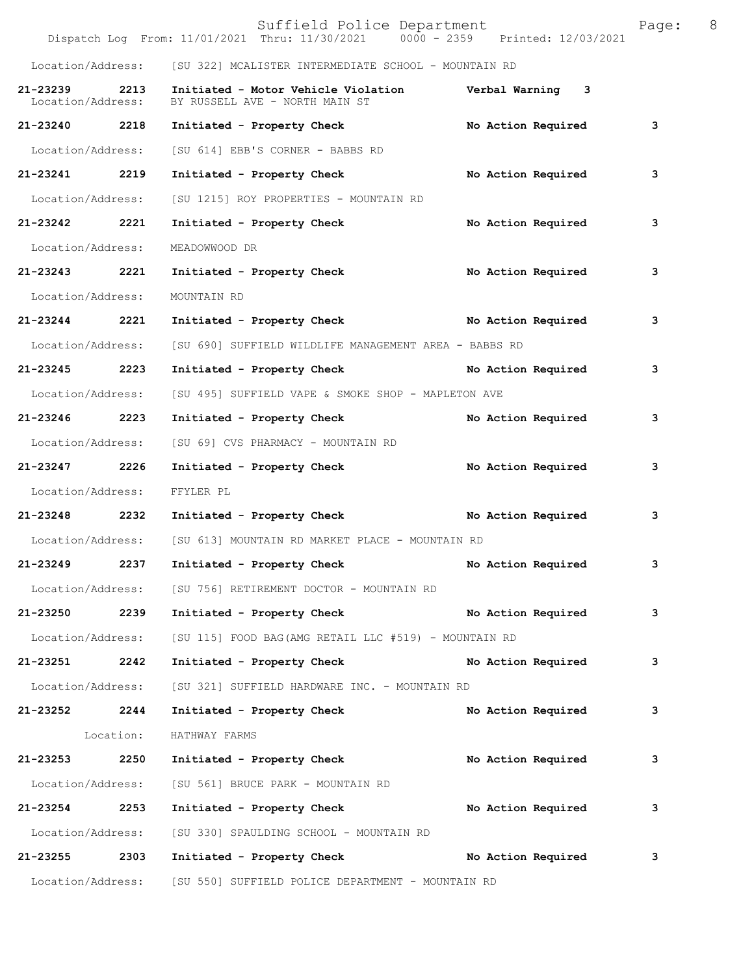|                               |           | Suffield Police Department<br>Dispatch Log From: 11/01/2021 Thru: 11/30/2021 0000 - 2359 Printed: 12/03/2021 |                           | Page: 8 |  |
|-------------------------------|-----------|--------------------------------------------------------------------------------------------------------------|---------------------------|---------|--|
|                               |           | Location/Address: [SU 322] MCALISTER INTERMEDIATE SCHOOL - MOUNTAIN RD                                       |                           |         |  |
| 21-23239<br>Location/Address: | 2213      | Initiated - Motor Vehicle Violation Verbal Warning 3<br>BY RUSSELL AVE - NORTH MAIN ST                       |                           |         |  |
| 21-23240 2218                 |           | Initiated - Property Check                                                                                   | No Action Required        | 3       |  |
| Location/Address:             |           | [SU 614] EBB'S CORNER - BABBS RD                                                                             |                           |         |  |
| 21-23241 2219                 |           | Initiated - Property Check                                                                                   | No Action Required        | 3       |  |
| Location/Address:             |           | [SU 1215] ROY PROPERTIES - MOUNTAIN RD                                                                       |                           |         |  |
| 21-23242 2221                 |           | Initiated - Property Check                                                                                   | <b>No Action Required</b> | 3       |  |
| Location/Address:             |           | MEADOWWOOD DR                                                                                                |                           |         |  |
| 21-23243 2221                 |           | Initiated - Property Check No Action Required                                                                |                           | 3       |  |
| Location/Address:             |           | MOUNTAIN RD                                                                                                  |                           |         |  |
| 21-23244                      | 2221      | Initiated - Property Check No Action Required                                                                |                           | 3       |  |
| Location/Address:             |           | [SU 690] SUFFIELD WILDLIFE MANAGEMENT AREA - BABBS RD                                                        |                           |         |  |
| 21-23245 2223                 |           | Initiated - Property Check No Action Required                                                                |                           | 3       |  |
| Location/Address:             |           | [SU 495] SUFFIELD VAPE & SMOKE SHOP - MAPLETON AVE                                                           |                           |         |  |
| 21-23246 2223                 |           | Initiated - Property Check                                                                                   | No Action Required        | 3       |  |
| Location/Address:             |           | [SU 69] CVS PHARMACY - MOUNTAIN RD                                                                           |                           |         |  |
| 21-23247 2226                 |           | Initiated - Property Check                                                                                   | No Action Required        | 3       |  |
| Location/Address:             |           | FFYLER PL                                                                                                    |                           |         |  |
|                               |           | 21-23248 2232 Initiated - Property Check No Action Required                                                  |                           | 3       |  |
|                               |           | Location/Address: [SU 613] MOUNTAIN RD MARKET PLACE - MOUNTAIN RD                                            |                           |         |  |
|                               |           | 21-23249 2237 Initiated - Property Check No Action Required                                                  |                           | 3       |  |
|                               |           | Location/Address: [SU 756] RETIREMENT DOCTOR - MOUNTAIN RD                                                   |                           |         |  |
| 21-23250 2239                 |           | Initiated - Property Check No Action Required                                                                |                           | 3       |  |
|                               |           | Location/Address: [SU 115] FOOD BAG(AMG RETAIL LLC #519) - MOUNTAIN RD                                       |                           |         |  |
| 21-23251 2242                 |           | Initiated - Property Check No Action Required                                                                |                           | 3       |  |
| Location/Address:             |           | [SU 321] SUFFIELD HARDWARE INC. - MOUNTAIN RD                                                                |                           |         |  |
| 21-23252 2244                 |           | Initiated - Property Check                                                                                   | No Action Required        | 3       |  |
|                               | Location: | HATHWAY FARMS                                                                                                |                           |         |  |
| 21-23253 2250                 |           | Initiated - Property Check No Action Required                                                                |                           | 3       |  |
|                               |           | Location/Address: [SU 561] BRUCE PARK - MOUNTAIN RD                                                          |                           |         |  |
| 21-23254 2253                 |           | Initiated - Property Check No Action Required                                                                |                           | 3       |  |
|                               |           | Location/Address: [SU 330] SPAULDING SCHOOL - MOUNTAIN RD                                                    |                           |         |  |
| 21-23255 2303                 |           | Initiated - Property Check No Action Required                                                                |                           | 3       |  |
|                               |           | Location/Address: [SU 550] SUFFIELD POLICE DEPARTMENT - MOUNTAIN RD                                          |                           |         |  |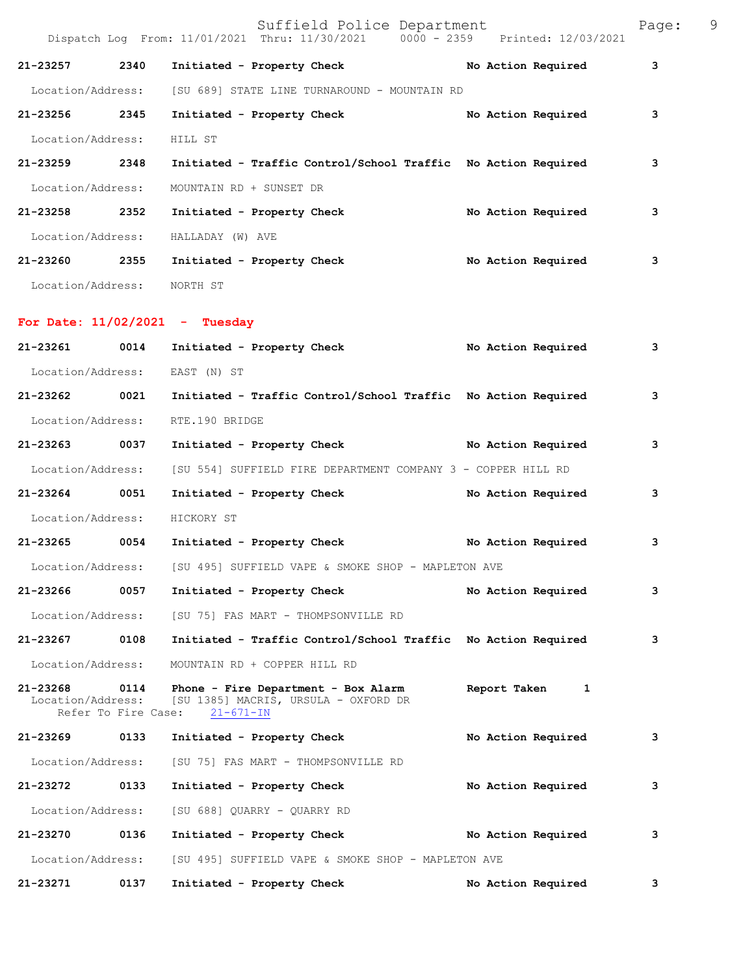|                               |                             | Suffield Police Department<br>Dispatch Log From: 11/01/2021 Thru: 11/30/2021 0000 - 2359 Printed: 12/03/2021 |                    | Page: | 9 |
|-------------------------------|-----------------------------|--------------------------------------------------------------------------------------------------------------|--------------------|-------|---|
| 21-23257                      | 2340                        | Initiated - Property Check                                                                                   | No Action Required | 3     |   |
| Location/Address:             |                             | [SU 689] STATE LINE TURNAROUND - MOUNTAIN RD                                                                 |                    |       |   |
| 21-23256 2345                 |                             | Initiated - Property Check                                                                                   | No Action Required | 3     |   |
| Location/Address:             |                             | HILL ST                                                                                                      |                    |       |   |
| 21-23259 2348                 |                             | Initiated - Traffic Control/School Traffic No Action Required                                                |                    | 3     |   |
| Location/Address:             |                             | MOUNTAIN RD + SUNSET DR                                                                                      |                    |       |   |
| 21-23258                      | 2352                        | Initiated - Property Check                                                                                   | No Action Required | 3     |   |
| Location/Address:             |                             | HALLADAY (W) AVE                                                                                             |                    |       |   |
| 21-23260 2355                 |                             | Initiated - Property Check                                                                                   | No Action Required | 3     |   |
| Location/Address: NORTH ST    |                             |                                                                                                              |                    |       |   |
|                               |                             | For Date: $11/02/2021$ - Tuesday                                                                             |                    |       |   |
| 21-23261                      | 0014                        | Initiated - Property Check                                                                                   | No Action Required | 3     |   |
|                               |                             | Location/Address: EAST (N) ST                                                                                |                    |       |   |
| 21-23262 0021                 |                             | Initiated - Traffic Control/School Traffic No Action Required                                                |                    | 3     |   |
| Location/Address:             |                             | RTE.190 BRIDGE                                                                                               |                    |       |   |
| 21-23263 0037                 |                             | Initiated - Property Check No Action Required                                                                |                    | 3     |   |
| Location/Address:             |                             | [SU 554] SUFFIELD FIRE DEPARTMENT COMPANY 3 - COPPER HILL RD                                                 |                    |       |   |
| 21-23264                      | 0051                        | Initiated - Property Check                                                                                   | No Action Required | 3     |   |
| Location/Address:             |                             | HICKORY ST                                                                                                   |                    |       |   |
| 21-23265 0054                 |                             | Initiated - Property Check No Action Required                                                                |                    | 3     |   |
| Location/Address:             |                             | [SU 495] SUFFIELD VAPE & SMOKE SHOP - MAPLETON AVE                                                           |                    |       |   |
| 21-23266                      | 0057                        | Initiated - Property Check                                                                                   | No Action Required | 3     |   |
| Location/Address:             |                             | [SU 75] FAS MART - THOMPSONVILLE RD                                                                          |                    |       |   |
| 21-23267                      | 0108                        | Initiated - Traffic Control/School Traffic No Action Required                                                |                    | з     |   |
| Location/Address:             |                             | MOUNTAIN RD + COPPER HILL RD                                                                                 |                    |       |   |
| 21-23268<br>Location/Address: | 0114<br>Refer To Fire Case: | Phone - Fire Department - Box Alarm<br>[SU 1385] MACRIS, URSULA - OXFORD DR<br>$21 - 671 - IN$               | Report Taken<br>1  |       |   |
| 21-23269                      | 0133                        | Initiated - Property Check                                                                                   | No Action Required | 3     |   |
| Location/Address:             |                             | [SU 75] FAS MART - THOMPSONVILLE RD                                                                          |                    |       |   |
| 21-23272                      | 0133                        | Initiated - Property Check                                                                                   | No Action Required | з     |   |
| Location/Address:             |                             | [SU 688] QUARRY - QUARRY RD                                                                                  |                    |       |   |
| 21-23270                      | 0136                        | Initiated - Property Check                                                                                   | No Action Required | з     |   |
| Location/Address:             |                             | [SU 495] SUFFIELD VAPE & SMOKE SHOP - MAPLETON AVE                                                           |                    |       |   |
| 21-23271                      | 0137                        | Initiated - Property Check                                                                                   | No Action Required | 3     |   |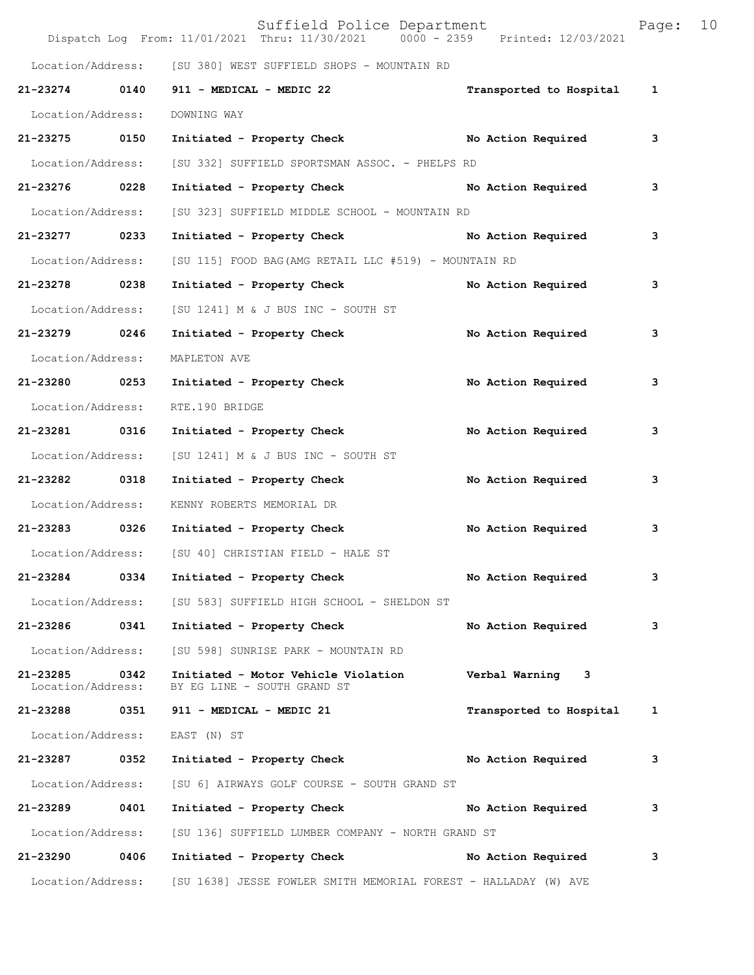|                                    |      | Suffield Police Department<br>Dispatch Log From: 11/01/2021 Thru: 11/30/2021 0000 - 2359 Printed: 12/03/2021 |                         | Page:        | 10 |
|------------------------------------|------|--------------------------------------------------------------------------------------------------------------|-------------------------|--------------|----|
|                                    |      | Location/Address: [SU 380] WEST SUFFIELD SHOPS - MOUNTAIN RD                                                 |                         |              |    |
| 21-23274 0140                      |      | 911 - MEDICAL - MEDIC 22                                                                                     | Transported to Hospital | $\mathbf{1}$ |    |
| Location/Address:                  |      | DOWNING WAY                                                                                                  |                         |              |    |
| 21-23275 0150                      |      | Initiated - Property Check                                                                                   | No Action Required      | 3            |    |
| Location/Address:                  |      | [SU 332] SUFFIELD SPORTSMAN ASSOC. - PHELPS RD                                                               |                         |              |    |
| 21-23276 0228                      |      | Initiated - Property Check No Action Required                                                                |                         | 3            |    |
| Location/Address:                  |      | [SU 323] SUFFIELD MIDDLE SCHOOL - MOUNTAIN RD                                                                |                         |              |    |
| 21-23277 0233                      |      | Initiated - Property Check No Action Required                                                                |                         | 3            |    |
| Location/Address:                  |      | [SU 115] FOOD BAG (AMG RETAIL LLC #519) - MOUNTAIN RD                                                        |                         |              |    |
| 21-23278 0238                      |      | Initiated - Property Check                                                                                   | No Action Required      | 3            |    |
| Location/Address:                  |      | [SU 1241] M & J BUS INC - SOUTH ST                                                                           |                         |              |    |
| 21-23279 0246                      |      | Initiated - Property Check                                                                                   | No Action Required      | 3            |    |
| Location/Address:                  |      | MAPLETON AVE                                                                                                 |                         |              |    |
| 21-23280 0253                      |      | Initiated - Property Check                                                                                   | No Action Required      | 3            |    |
| Location/Address:                  |      | RTE.190 BRIDGE                                                                                               |                         |              |    |
| 21-23281 0316                      |      | Initiated - Property Check                                                                                   | No Action Required      | 3            |    |
| Location/Address:                  |      | [SU 1241] M & J BUS INC - SOUTH ST                                                                           |                         |              |    |
| 21-23282 0318                      |      | Initiated - Property Check                                                                                   | No Action Required      | 3            |    |
| Location/Address:                  |      | KENNY ROBERTS MEMORIAL DR                                                                                    |                         |              |    |
| 21-23283 0326                      |      | Initiated - Property Check                                                                                   | No Action Required      | 3            |    |
|                                    |      | Location/Address: [SU 40] CHRISTIAN FIELD - HALE ST                                                          |                         |              |    |
| 21-23284                           | 0334 | Initiated - Property Check                                                                                   | No Action Required      | 3            |    |
|                                    |      | Location/Address: [SU 583] SUFFIELD HIGH SCHOOL - SHELDON ST                                                 |                         |              |    |
| 21-23286 0341                      |      | Initiated - Property Check                                                                                   | No Action Required      | 3            |    |
| Location/Address:                  |      | [SU 598] SUNRISE PARK - MOUNTAIN RD                                                                          |                         |              |    |
| 21-23285 0342<br>Location/Address: |      | Initiated - Motor Vehicle Violation<br>BY EG LINE - SOUTH GRAND ST                                           | Verbal Warning 3        |              |    |
|                                    |      | 21-23288 0351 911 - MEDICAL - MEDIC 21                                                                       | Transported to Hospital | 1            |    |
|                                    |      | Location/Address: EAST (N) ST                                                                                |                         |              |    |
| 21-23287 0352                      |      | Initiated - Property Check No Action Required                                                                |                         | 3            |    |
| Location/Address:                  |      | [SU 6] AIRWAYS GOLF COURSE - SOUTH GRAND ST                                                                  |                         |              |    |
| 21-23289                           | 0401 | Initiated - Property Check No Action Required                                                                |                         | 3            |    |
| Location/Address:                  |      | [SU 136] SUFFIELD LUMBER COMPANY - NORTH GRAND ST                                                            |                         |              |    |
| 21-23290 0406                      |      | Initiated - Property Check                                                                                   | No Action Required      | 3            |    |
|                                    |      | Location/Address: [SU 1638] JESSE FOWLER SMITH MEMORIAL FOREST - HALLADAY (W) AVE                            |                         |              |    |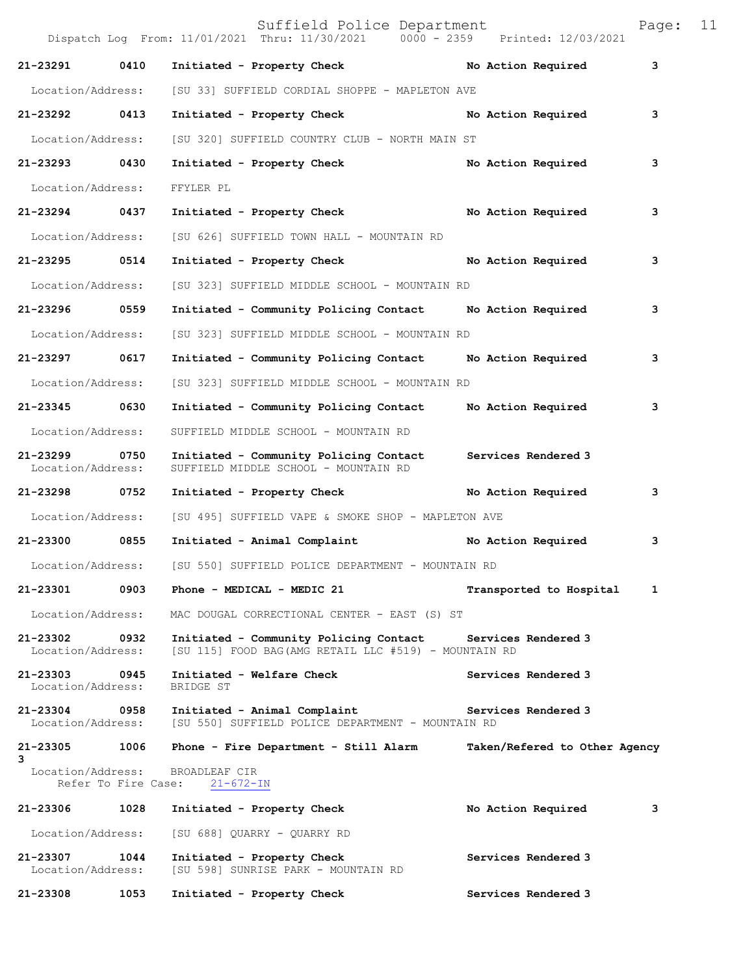|                               |                     | Suffield Police Department<br>Dispatch Log From: 11/01/2021 Thru: 11/30/2021 0000 - 2359 Printed: 12/03/2021       |                               | Page: | 11 |
|-------------------------------|---------------------|--------------------------------------------------------------------------------------------------------------------|-------------------------------|-------|----|
| 21-23291                      | 0410                | Initiated - Property Check                                                                                         | No Action Required            | 3     |    |
| Location/Address:             |                     | [SU 33] SUFFIELD CORDIAL SHOPPE - MAPLETON AVE                                                                     |                               |       |    |
| 21-23292 0413                 |                     | Initiated - Property Check                                                                                         | No Action Required            | 3     |    |
| Location/Address:             |                     | [SU 320] SUFFIELD COUNTRY CLUB - NORTH MAIN ST                                                                     |                               |       |    |
| 21-23293                      | 0430                | Initiated - Property Check                                                                                         | No Action Required            | 3     |    |
| Location/Address:             |                     | FFYLER PL                                                                                                          |                               |       |    |
| 21-23294                      | 0437                | Initiated - Property Check                                                                                         | No Action Required            | 3     |    |
| Location/Address:             |                     | [SU 626] SUFFIELD TOWN HALL - MOUNTAIN RD                                                                          |                               |       |    |
| 21-23295 0514                 |                     | Initiated - Property Check                                                                                         | No Action Required            | 3     |    |
| Location/Address:             |                     | [SU 323] SUFFIELD MIDDLE SCHOOL - MOUNTAIN RD                                                                      |                               |       |    |
| 21-23296                      | 0559                | Initiated - Community Policing Contact Mo Action Required                                                          |                               | 3     |    |
| Location/Address:             |                     | [SU 323] SUFFIELD MIDDLE SCHOOL - MOUNTAIN RD                                                                      |                               |       |    |
| $21 - 23297$                  | 0617                | Initiated - Community Policing Contact                                                                             | No Action Required            | 3     |    |
| Location/Address:             |                     | [SU 323] SUFFIELD MIDDLE SCHOOL - MOUNTAIN RD                                                                      |                               |       |    |
| 21-23345 0630                 |                     | Initiated - Community Policing Contact                                                                             | No Action Required            | 3     |    |
| Location/Address:             |                     | SUFFIELD MIDDLE SCHOOL - MOUNTAIN RD                                                                               |                               |       |    |
| 21-23299<br>Location/Address: | 0750                | Initiated - Community Policing Contact<br>SUFFIELD MIDDLE SCHOOL - MOUNTAIN RD                                     | Services Rendered 3           |       |    |
| 21-23298                      | 0752                | Initiated - Property Check                                                                                         | No Action Required            | 3     |    |
| Location/Address:             |                     | [SU 495] SUFFIELD VAPE & SMOKE SHOP - MAPLETON AVE                                                                 |                               |       |    |
| 21-23300 0855                 |                     | Initiated - Animal Complaint                                                                                       | No Action Required            | 3     |    |
| Location/Address:             |                     | [SU 550] SUFFIELD POLICE DEPARTMENT - MOUNTAIN RD                                                                  |                               |       |    |
| 21-23301                      | 0903                | Phone - MEDICAL - MEDIC 21                                                                                         | Transported to Hospital       | 1     |    |
| Location/Address:             |                     | MAC DOUGAL CORRECTIONAL CENTER - EAST (S) ST                                                                       |                               |       |    |
| 21-23302<br>Location/Address: | 0932                | Initiated - Community Policing Contact Services Rendered 3<br>[SU 115] FOOD BAG(AMG RETAIL LLC #519) - MOUNTAIN RD |                               |       |    |
| 21-23303<br>Location/Address: | 0945                | Initiated - Welfare Check<br>BRIDGE ST                                                                             | Services Rendered 3           |       |    |
| 21-23304<br>Location/Address: | 0958                | Initiated - Animal Complaint<br>[SU 550] SUFFIELD POLICE DEPARTMENT - MOUNTAIN RD                                  | Services Rendered 3           |       |    |
| 21-23305<br>3                 | 1006                | Phone - Fire Department - Still Alarm                                                                              | Taken/Refered to Other Agency |       |    |
| Location/Address:             | Refer To Fire Case: | BROADLEAF CIR<br>$21 - 672 - IN$                                                                                   |                               |       |    |
| 21-23306                      | 1028                | Initiated - Property Check                                                                                         | No Action Required            | 3     |    |
| Location/Address:             |                     | [SU 688] QUARRY - QUARRY RD                                                                                        |                               |       |    |
| 21-23307<br>Location/Address: | 1044                | Initiated - Property Check<br>[SU 598] SUNRISE PARK - MOUNTAIN RD                                                  | Services Rendered 3           |       |    |
| 21-23308                      | 1053                | Initiated - Property Check                                                                                         | Services Rendered 3           |       |    |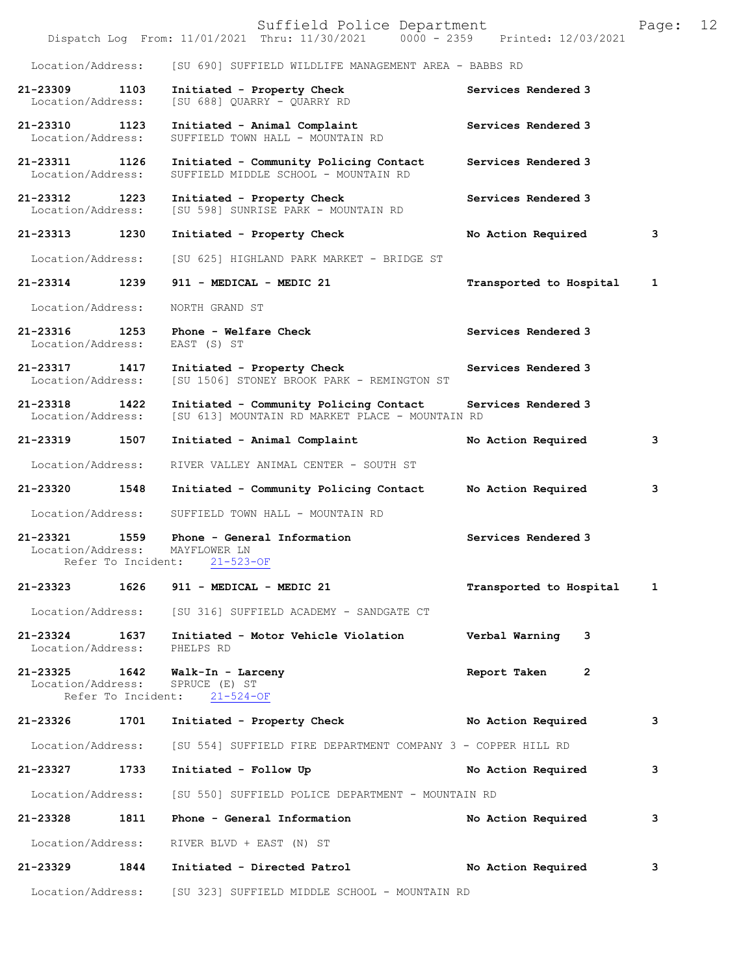|                                    |                    | Suffield Police Department<br>Dispatch Log From: 11/01/2021 Thru: 11/30/2021 0000 - 2359 Printed: 12/03/2021 |                         | Page: | 12 |
|------------------------------------|--------------------|--------------------------------------------------------------------------------------------------------------|-------------------------|-------|----|
| Location/Address:                  |                    | [SU 690] SUFFIELD WILDLIFE MANAGEMENT AREA - BABBS RD                                                        |                         |       |    |
| 21-23309 1103<br>Location/Address: |                    | Initiated - Property Check<br>[SU 688] QUARRY - QUARRY RD                                                    | Services Rendered 3     |       |    |
| 21-23310 1123<br>Location/Address: |                    | Initiated - Animal Complaint<br>SUFFIELD TOWN HALL - MOUNTAIN RD                                             | Services Rendered 3     |       |    |
| 21-23311 1126<br>Location/Address: |                    | Initiated - Community Policing Contact<br>SUFFIELD MIDDLE SCHOOL - MOUNTAIN RD                               | Services Rendered 3     |       |    |
| 21-23312 1223<br>Location/Address: |                    | Initiated - Property Check<br>[SU 598] SUNRISE PARK - MOUNTAIN RD                                            | Services Rendered 3     |       |    |
| 21-23313 1230                      |                    | Initiated - Property Check                                                                                   | No Action Required      | 3     |    |
| Location/Address:                  |                    | [SU 625] HIGHLAND PARK MARKET - BRIDGE ST                                                                    |                         |       |    |
| 21-23314                           | 1239               | 911 - MEDICAL - MEDIC 21                                                                                     | Transported to Hospital | 1     |    |
| Location/Address:                  |                    | NORTH GRAND ST                                                                                               |                         |       |    |
| 21-23316 1253<br>Location/Address: |                    | Phone - Welfare Check<br>EAST (S) ST                                                                         | Services Rendered 3     |       |    |
| 21-23317 1417<br>Location/Address: |                    | Initiated - Property Check<br>[SU 1506] STONEY BROOK PARK - REMINGTON ST                                     | Services Rendered 3     |       |    |
| 21-23318<br>Location/Address:      | 1422               | Initiated - Community Policing Contact<br>[SU 613] MOUNTAIN RD MARKET PLACE - MOUNTAIN RD                    | Services Rendered 3     |       |    |
| 21-23319 1507                      |                    | Initiated - Animal Complaint                                                                                 | No Action Required      | 3     |    |
| Location/Address:                  |                    | RIVER VALLEY ANIMAL CENTER - SOUTH ST                                                                        |                         |       |    |
| 21-23320                           | 1548               | Initiated - Community Policing Contact                                                                       | No Action Required      | 3     |    |
| Location/Address:                  |                    | SUFFIELD TOWN HALL - MOUNTAIN RD                                                                             |                         |       |    |
| Location/Address:                  | Refer To Incident: | 21-23321 1559 Phone - General Information<br>MAYFLOWER LN<br>$21 - 523 - OF$                                 | Services Rendered 3     |       |    |
| 21-23323                           | 1626               | 911 - MEDICAL - MEDIC 21                                                                                     | Transported to Hospital | 1     |    |
|                                    |                    | Location/Address: [SU 316] SUFFIELD ACADEMY - SANDGATE CT                                                    |                         |       |    |
| $21 - 23324$<br>Location/Address:  | 1637               | Initiated - Motor Vehicle Violation<br>PHELPS RD                                                             | Verbal Warning<br>3     |       |    |
| 21-23325 1642<br>Location/Address: | Refer To Incident: | Walk-In - Larceny<br>SPRUCE (E) ST<br>$21 - 524 - OF$                                                        | Report Taken<br>2       |       |    |
| 21-23326                           | 1701               | Initiated - Property Check                                                                                   | No Action Required      | 3     |    |
| Location/Address:                  |                    | [SU 554] SUFFIELD FIRE DEPARTMENT COMPANY 3 - COPPER HILL RD                                                 |                         |       |    |
| 21-23327                           | 1733               | Initiated - Follow Up                                                                                        | No Action Required      | 3     |    |
| Location/Address:                  |                    | [SU 550] SUFFIELD POLICE DEPARTMENT - MOUNTAIN RD                                                            |                         |       |    |
| 21-23328                           | 1811               | Phone - General Information                                                                                  | No Action Required      | 3     |    |
| Location/Address:                  |                    | RIVER BLVD + EAST (N) ST                                                                                     |                         |       |    |
| 21-23329                           | 1844               | Initiated - Directed Patrol                                                                                  | No Action Required      | 3     |    |
| Location/Address:                  |                    | [SU 323] SUFFIELD MIDDLE SCHOOL - MOUNTAIN RD                                                                |                         |       |    |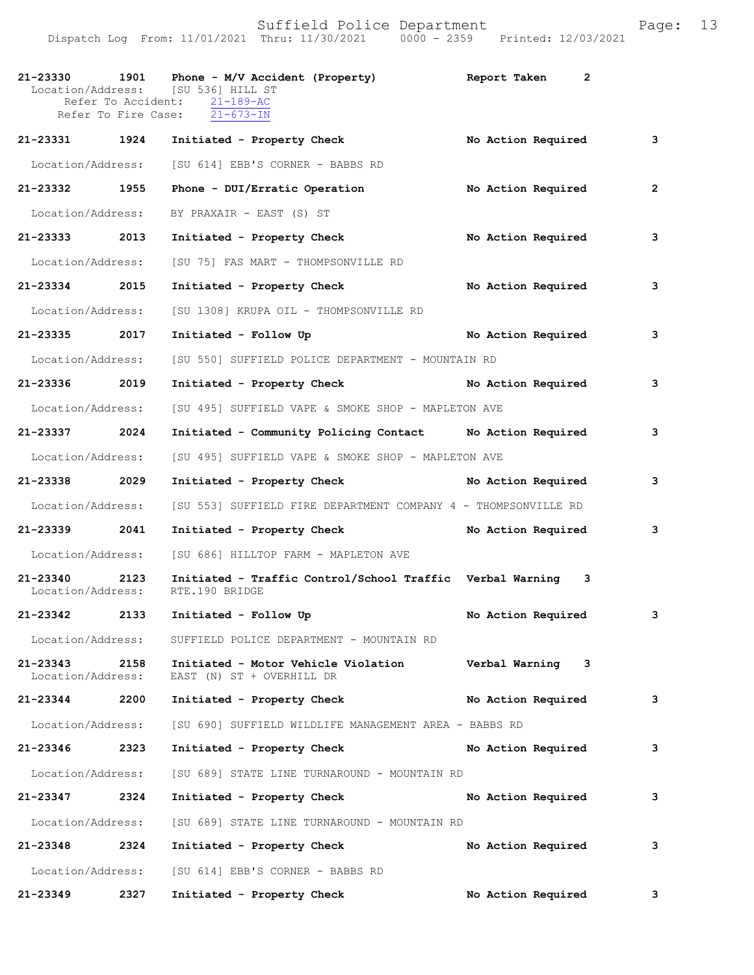|                                    |      | 21-23330 1901 Phone - M/V Accident (Property) Report Taken<br>Location/Address: [SU 536] HILL ST<br>Refer To Accident: 21-189-AC<br>Refer To Fire Case: 21-673-IN | $\overline{2}$       |                |
|------------------------------------|------|-------------------------------------------------------------------------------------------------------------------------------------------------------------------|----------------------|----------------|
| 21-23331 1924                      |      | Initiated - Property Check                                                                                                                                        | No Action Required   | 3              |
| Location/Address:                  |      | [SU 614] EBB'S CORNER - BABBS RD                                                                                                                                  |                      |                |
| 21-23332 1955                      |      | Phone - DUI/Erratic Operation No Action Required                                                                                                                  |                      | $\overline{2}$ |
| Location/Address:                  |      | BY PRAXAIR - EAST (S) ST                                                                                                                                          |                      |                |
| 21-23333 2013                      |      | Initiated - Property Check                                                                                                                                        | No Action Required   | 3              |
| Location/Address:                  |      | [SU 75] FAS MART - THOMPSONVILLE RD                                                                                                                               |                      |                |
| 21-23334 2015                      |      | Initiated - Property Check No Action Required                                                                                                                     |                      | 3              |
| Location/Address:                  |      | [SU 1308] KRUPA OIL - THOMPSONVILLE RD                                                                                                                            |                      |                |
| 21-23335 2017                      |      | Initiated - Follow Up                                                                                                                                             | No Action Required   | 3              |
| Location/Address:                  |      | [SU 550] SUFFIELD POLICE DEPARTMENT - MOUNTAIN RD                                                                                                                 |                      |                |
| 21-23336 2019                      |      | Initiated - Property Check No Action Required                                                                                                                     |                      | 3              |
| Location/Address:                  |      | [SU 495] SUFFIELD VAPE & SMOKE SHOP - MAPLETON AVE                                                                                                                |                      |                |
| 21-23337 2024                      |      | Initiated - Community Policing Contact Mo Action Required                                                                                                         |                      | 3              |
| Location/Address:                  |      | [SU 495] SUFFIELD VAPE & SMOKE SHOP - MAPLETON AVE                                                                                                                |                      |                |
| 21-23338 2029                      |      | Initiated - Property Check No Action Required                                                                                                                     |                      | 3              |
| Location/Address:                  |      | [SU 553] SUFFIELD FIRE DEPARTMENT COMPANY 4 - THOMPSONVILLE RD                                                                                                    |                      |                |
| 21-23339 2041                      |      | Initiated - Property Check No Action Required                                                                                                                     |                      | 3              |
| Location/Address:                  |      | [SU 686] HILLTOP FARM - MAPLETON AVE                                                                                                                              |                      |                |
| 21-23340 2123<br>Location/Address: |      | Initiated - Traffic Control/School Traffic Verbal Warning 3<br>RTE.190 BRIDGE                                                                                     |                      |                |
|                                    |      | 21-23342 2133 Initiated - Follow Up                                                                                                                               | No Action Required   | 3              |
|                                    |      | Location/Address: SUFFIELD POLICE DEPARTMENT - MOUNTAIN RD                                                                                                        |                      |                |
| 21-23343 2158<br>Location/Address: |      | Initiated - Motor Vehicle Violation Verbal Warning 3<br>EAST (N) ST + OVERHILL DR                                                                                 |                      |                |
| 21-23344 2200                      |      | Initiated - Property Check No Action Required 3                                                                                                                   |                      |                |
| Location/Address:                  |      | [SU 690] SUFFIELD WILDLIFE MANAGEMENT AREA - BABBS RD                                                                                                             |                      |                |
| 21-23346 2323                      |      | Initiated - Property Check No Action Required                                                                                                                     |                      | 3              |
| Location/Address:                  |      | [SU 689] STATE LINE TURNAROUND - MOUNTAIN RD                                                                                                                      |                      |                |
| 21-23347 2324                      |      | Initiated - Property Check                                                                                                                                        | No Action Required   | 3              |
| Location/Address:                  |      | [SU 689] STATE LINE TURNAROUND - MOUNTAIN RD                                                                                                                      |                      |                |
| 21-23348 2324                      |      | Initiated - Property Check                                                                                                                                        | No Action Required 3 |                |
|                                    |      | Location/Address: [SU 614] EBB'S CORNER - BABBS RD                                                                                                                |                      |                |
| 21-23349                           | 2327 | Initiated - Property Check                                                                                                                                        | No Action Required   | 3              |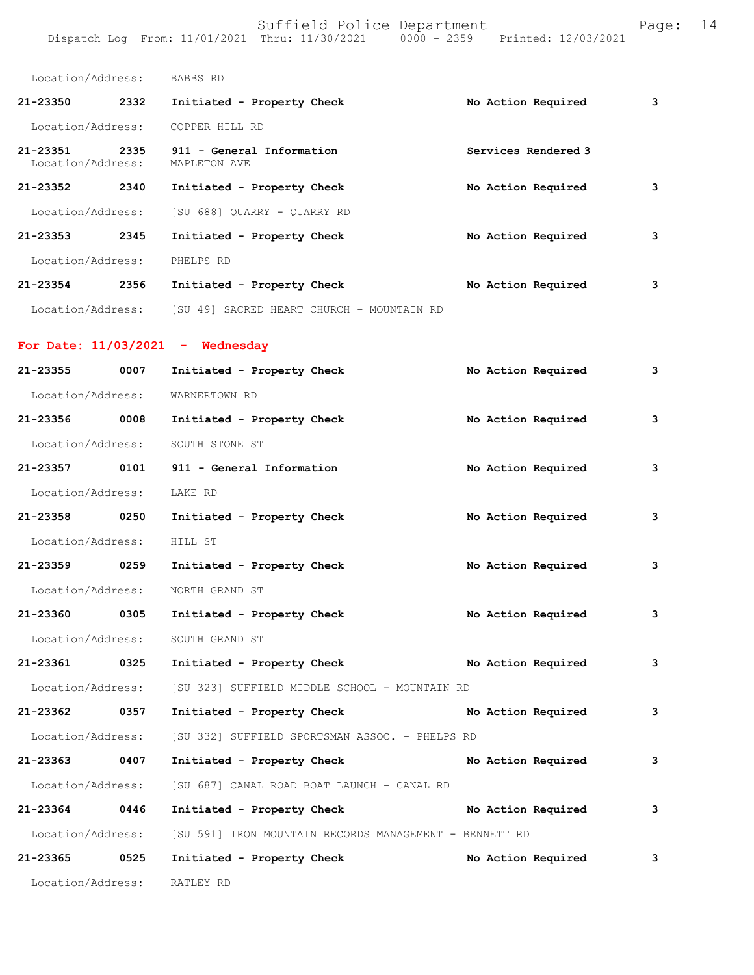|       |  | 14 |
|-------|--|----|
| ide : |  |    |
|       |  |    |

| Location/Address:             |      | BABBS RD                                                         |                     |   |
|-------------------------------|------|------------------------------------------------------------------|---------------------|---|
| 21-23350                      | 2332 | Initiated - Property Check                                       | No Action Required  | 3 |
| Location/Address:             |      | COPPER HILL RD                                                   |                     |   |
| 21-23351<br>Location/Address: | 2335 | 911 - General Information<br>MAPLETON AVE                        | Services Rendered 3 |   |
| 21-23352                      | 2340 | Initiated - Property Check                                       | No Action Required  | 3 |
|                               |      | Location/Address: [SU 688] OUARRY - OUARRY RD                    |                     |   |
| 21-23353                      | 2345 | Initiated - Property Check                                       | No Action Required  | 3 |
| Location/Address:             |      | PHELPS RD                                                        |                     |   |
| 21-23354 2356                 |      | Initiated - Property Check                                       | No Action Required  | 3 |
|                               |      | Location/Address: [SU 49] SACRED HEART CHURCH - MOUNTAIN RD      |                     |   |
|                               |      | For Date: $11/03/2021$ - Wednesday                               |                     |   |
| 21-23355                      | 0007 | Initiated - Property Check                                       | No Action Required  | 3 |
| Location/Address:             |      | WARNERTOWN RD                                                    |                     |   |
| 21-23356 0008                 |      | Initiated - Property Check                                       | No Action Required  | 3 |
| Location/Address:             |      | SOUTH STONE ST                                                   |                     |   |
| 21-23357                      | 0101 | 911 - General Information                                        | No Action Required  | 3 |
| Location/Address:             |      | LAKE RD                                                          |                     |   |
| 21-23358                      | 0250 | Initiated - Property Check                                       | No Action Required  | 3 |
| Location/Address:             |      | HILL ST                                                          |                     |   |
| 21-23359 0259                 |      | Initiated - Property Check                                       | No Action Required  | 3 |
| Location/Address:             |      | NORTH GRAND ST                                                   |                     |   |
| 21-23360                      | 0305 | Initiated - Property Check                                       | No Action Required  | 3 |
| Location/Address:             |      | SOUTH GRAND ST                                                   |                     |   |
| 21-23361                      | 0325 | Initiated - Property Check No Action Required                    |                     | 3 |
| Location/Address:             |      | [SU 323] SUFFIELD MIDDLE SCHOOL - MOUNTAIN RD                    |                     |   |
| 21-23362                      | 0357 | Initiated - Property Check                                       | No Action Required  | 3 |
|                               |      | Location/Address: [SU 332] SUFFIELD SPORTSMAN ASSOC. - PHELPS RD |                     |   |
| 21-23363                      | 0407 | Initiated - Property Check                                       | No Action Required  | 3 |
| Location/Address:             |      | [SU 687] CANAL ROAD BOAT LAUNCH - CANAL RD                       |                     |   |
| 21-23364 0446                 |      | Initiated - Property Check                                       | No Action Required  | 3 |
| Location/Address:             |      | [SU 591] IRON MOUNTAIN RECORDS MANAGEMENT - BENNETT RD           |                     |   |
| 21-23365                      | 0525 | Initiated - Property Check                                       | No Action Required  | 3 |
| Location/Address:             |      | RATLEY RD                                                        |                     |   |
|                               |      |                                                                  |                     |   |
|                               |      |                                                                  |                     |   |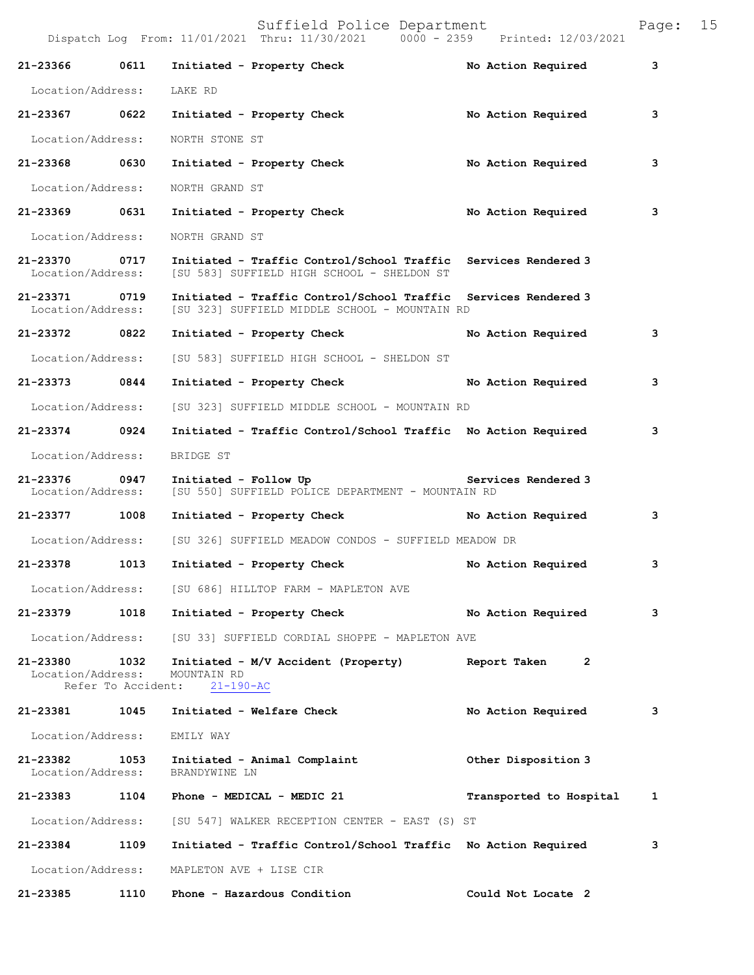|                                    |                            | Dispatch Log From: 11/01/2021 Thru: 11/30/2021 0000 - 2359                                                      | Printed: 12/03/2021            |   |
|------------------------------------|----------------------------|-----------------------------------------------------------------------------------------------------------------|--------------------------------|---|
| 21-23366 0611                      |                            | Initiated - Property Check                                                                                      | No Action Required             | 3 |
| Location/Address:                  |                            | LAKE RD                                                                                                         |                                |   |
| 21-23367 0622                      |                            | Initiated - Property Check No Action Required                                                                   |                                | 3 |
| Location/Address:                  |                            | NORTH STONE ST                                                                                                  |                                |   |
| 21-23368 0630                      |                            | Initiated - Property Check                                                                                      | No Action Required             | 3 |
| Location/Address:                  |                            | NORTH GRAND ST                                                                                                  |                                |   |
| 21-23369 0631                      |                            | Initiated - Property Check                                                                                      | No Action Required             | 3 |
| Location/Address:                  |                            | NORTH GRAND ST                                                                                                  |                                |   |
| 21-23370 0717<br>Location/Address: |                            | Initiated - Traffic Control/School Traffic Services Rendered 3<br>[SU 583] SUFFIELD HIGH SCHOOL - SHELDON ST    |                                |   |
| 21-23371<br>Location/Address:      | 0719                       | Initiated - Traffic Control/School Traffic Services Rendered 3<br>[SU 323] SUFFIELD MIDDLE SCHOOL - MOUNTAIN RD |                                |   |
| 21-23372 0822                      |                            | Initiated - Property Check                                                                                      | No Action Required             | 3 |
| Location/Address:                  |                            | [SU 583] SUFFIELD HIGH SCHOOL - SHELDON ST                                                                      |                                |   |
| 21-23373 0844                      |                            | Initiated - Property Check                                                                                      | No Action Required             | 3 |
| Location/Address:                  |                            | [SU 323] SUFFIELD MIDDLE SCHOOL - MOUNTAIN RD                                                                   |                                |   |
| 21-23374 0924                      |                            | Initiated - Traffic Control/School Traffic No Action Required                                                   |                                | 3 |
| Location/Address:                  |                            | BRIDGE ST                                                                                                       |                                |   |
| 21-23376 0947<br>Location/Address: |                            | Initiated - Follow Up <b>Example 2</b> Services Rendered 3<br>[SU 550] SUFFIELD POLICE DEPARTMENT - MOUNTAIN RD |                                |   |
| 21-23377 1008                      |                            | Initiated - Property Check No Action Required                                                                   |                                | 3 |
| Location/Address:                  |                            | [SU 326] SUFFIELD MEADOW CONDOS - SUFFIELD MEADOW DR                                                            |                                |   |
| 21-23378 1013                      |                            | Initiated - Property Check                                                                                      | No Action Required             | 3 |
| Location/Address:                  |                            | [SU 686] HILLTOP FARM - MAPLETON AVE                                                                            |                                |   |
| 21-23379                           | 1018                       | Initiated - Property Check                                                                                      | No Action Required             | 3 |
|                                    |                            | Location/Address: [SU 33] SUFFIELD CORDIAL SHOPPE - MAPLETON AVE                                                |                                |   |
| 21-23380<br>Location/Address:      | 1032<br>Refer To Accident: | Initiated - M/V Accident (Property)<br>MOUNTAIN RD<br>$21 - 190 - AC$                                           | Report Taken<br>$\overline{2}$ |   |
| 21-23381 1045                      |                            | Initiated - Welfare Check                                                                                       | No Action Required             | 3 |
| Location/Address:                  |                            | EMILY WAY                                                                                                       |                                |   |
| 21-23382<br>Location/Address:      | 1053                       | Initiated - Animal Complaint<br>BRANDYWINE LN                                                                   | Other Disposition 3            |   |
| 21-23383                           | 1104                       | Phone - MEDICAL - MEDIC 21                                                                                      | Transported to Hospital        | 1 |
| Location/Address:                  |                            | [SU 547] WALKER RECEPTION CENTER - EAST (S) ST                                                                  |                                |   |
| 21-23384 1109                      |                            | Initiated - Traffic Control/School Traffic No Action Required                                                   |                                | 3 |
| Location/Address:                  |                            | MAPLETON AVE + LISE CIR                                                                                         |                                |   |
| 21-23385                           | 1110                       | Phone - Hazardous Condition                                                                                     | Could Not Locate 2             |   |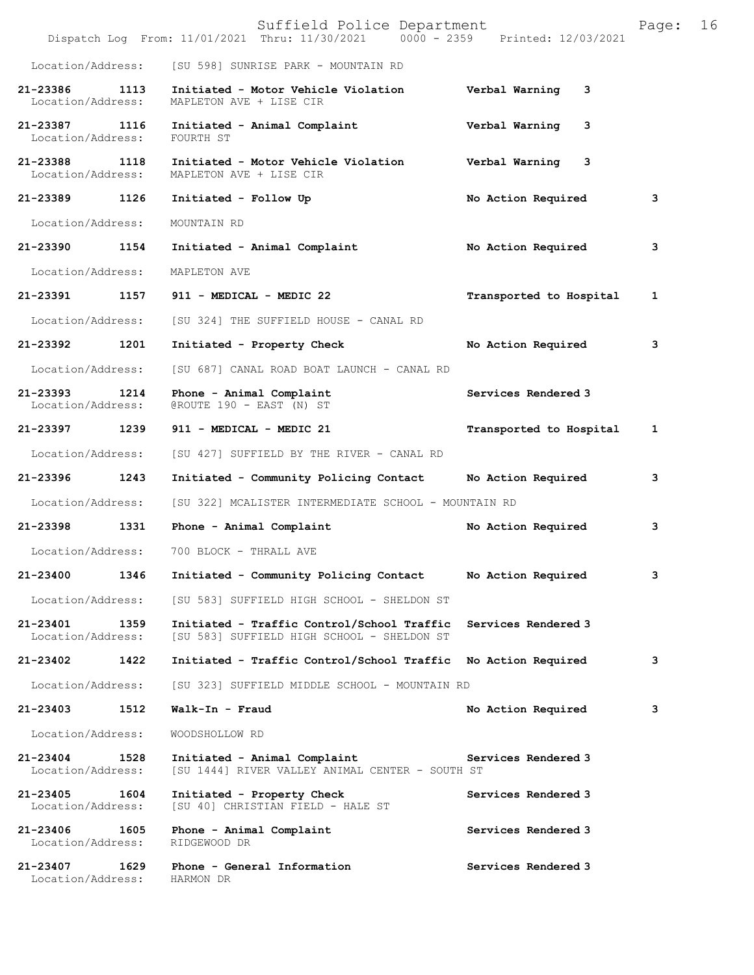|                                    |      | Suffield Police Department<br>Dispatch Log From: 11/01/2021 Thru: 11/30/2021 0000 - 2359 Printed: 12/03/2021 |                         | Page: | 16 |
|------------------------------------|------|--------------------------------------------------------------------------------------------------------------|-------------------------|-------|----|
| Location/Address:                  |      | [SU 598] SUNRISE PARK - MOUNTAIN RD                                                                          |                         |       |    |
| 21-23386<br>Location/Address:      | 1113 | Initiated - Motor Vehicle Violation<br>MAPLETON AVE + LISE CIR                                               | Verbal Warning<br>3     |       |    |
| 21-23387 1116<br>Location/Address: |      | Initiated - Animal Complaint<br>FOURTH ST                                                                    | Verbal Warning<br>3     |       |    |
| 21-23388 1118<br>Location/Address: |      | Initiated - Motor Vehicle Violation<br>MAPLETON AVE + LISE CIR                                               | Verbal Warning<br>3     |       |    |
| 21-23389                           | 1126 | Initiated - Follow Up                                                                                        | No Action Required      | 3     |    |
| Location/Address:                  |      | MOUNTAIN RD                                                                                                  |                         |       |    |
| 21-23390 1154                      |      | Initiated - Animal Complaint                                                                                 | No Action Required      | 3     |    |
| Location/Address:                  |      | MAPLETON AVE                                                                                                 |                         |       |    |
| 21-23391 1157                      |      | 911 - MEDICAL - MEDIC 22                                                                                     | Transported to Hospital | 1     |    |
| Location/Address:                  |      | [SU 324] THE SUFFIELD HOUSE - CANAL RD                                                                       |                         |       |    |
| 21-23392                           | 1201 | Initiated - Property Check                                                                                   | No Action Required      | 3     |    |
| Location/Address:                  |      | [SU 687] CANAL ROAD BOAT LAUNCH - CANAL RD                                                                   |                         |       |    |
| 21-23393<br>Location/Address:      | 1214 | Phone - Animal Complaint<br>@ROUTE 190 - EAST (N) ST                                                         | Services Rendered 3     |       |    |
| 21-23397 1239                      |      | 911 - MEDICAL - MEDIC 21                                                                                     | Transported to Hospital | 1     |    |
| Location/Address:                  |      | [SU 427] SUFFIELD BY THE RIVER - CANAL RD                                                                    |                         |       |    |
| 21-23396                           | 1243 | Initiated - Community Policing Contact                                                                       | No Action Required      | 3     |    |
| Location/Address:                  |      | [SU 322] MCALISTER INTERMEDIATE SCHOOL - MOUNTAIN RD                                                         |                         |       |    |
| 21-23398 1331                      |      | Phone - Animal Complaint                                                                                     | No Action Required      | 3     |    |
| Location/Address:                  |      | 700 BLOCK - THRALL AVE                                                                                       |                         |       |    |
| 21-23400                           | 1346 | Initiated - Community Policing Contact                                                                       | No Action Required      | з     |    |
| Location/Address:                  |      | [SU 583] SUFFIELD HIGH SCHOOL - SHELDON ST                                                                   |                         |       |    |
| 21-23401<br>Location/Address:      | 1359 | Initiated - Traffic Control/School Traffic<br>[SU 583] SUFFIELD HIGH SCHOOL - SHELDON ST                     | Services Rendered 3     |       |    |
| 21-23402                           | 1422 | Initiated - Traffic Control/School Traffic No Action Required                                                |                         | 3     |    |
| Location/Address:                  |      | [SU 323] SUFFIELD MIDDLE SCHOOL - MOUNTAIN RD                                                                |                         |       |    |
| 21-23403                           | 1512 | Walk-In - Fraud                                                                                              | No Action Required      | з     |    |
| Location/Address:                  |      | WOODSHOLLOW RD                                                                                               |                         |       |    |
| 21-23404<br>Location/Address:      | 1528 | Initiated - Animal Complaint<br>[SU 1444] RIVER VALLEY ANIMAL CENTER - SOUTH ST                              | Services Rendered 3     |       |    |
| 21-23405<br>Location/Address:      | 1604 | Initiated - Property Check<br>[SU 40] CHRISTIAN FIELD - HALE ST                                              | Services Rendered 3     |       |    |
| 21-23406<br>Location/Address:      | 1605 | Phone - Animal Complaint<br>RIDGEWOOD DR                                                                     | Services Rendered 3     |       |    |
| 21-23407<br>Location/Address:      | 1629 | Phone - General Information<br>HARMON DR                                                                     | Services Rendered 3     |       |    |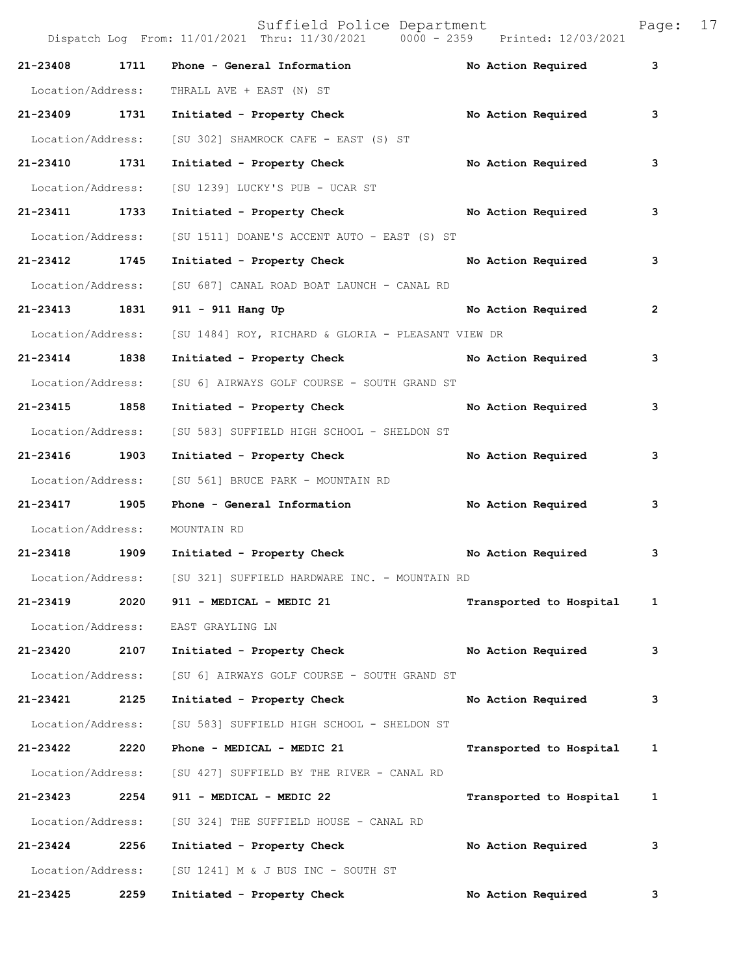Dispatch Log From: 11/01/2021 Thru: 11/30/2021 0000 - 2359 Printed: 12/03/2021 **21-23408 1711 Phone - General Information No Action Required 3** Location/Address: THRALL AVE + EAST (N) ST **21-23409 1731 Initiated - Property Check No Action Required 3** Location/Address: [SU 302] SHAMROCK CAFE - EAST (S) ST **21-23410 1731 Initiated - Property Check No Action Required 3** Location/Address: [SU 1239] LUCKY'S PUB - UCAR ST **21-23411 1733 Initiated - Property Check No Action Required 3** Location/Address: [SU 1511] DOANE'S ACCENT AUTO - EAST (S) ST **21-23412 1745 Initiated - Property Check No Action Required 3** Location/Address: [SU 687] CANAL ROAD BOAT LAUNCH - CANAL RD **21-23413 1831 911 - 911 Hang Up No Action Required 2** Location/Address: [SU 1484] ROY, RICHARD & GLORIA - PLEASANT VIEW DR **21-23414 1838 Initiated - Property Check No Action Required 3** Location/Address: [SU 6] AIRWAYS GOLF COURSE - SOUTH GRAND ST **21-23415 1858 Initiated - Property Check No Action Required 3** Location/Address: [SU 583] SUFFIELD HIGH SCHOOL - SHELDON ST **21-23416 1903 Initiated - Property Check No Action Required 3** Location/Address: [SU 561] BRUCE PARK - MOUNTAIN RD **21-23417 1905 Phone - General Information No Action Required 3** Location/Address: MOUNTAIN RD **21-23418 1909 Initiated - Property Check No Action Required 3** Location/Address: [SU 321] SUFFIELD HARDWARE INC. - MOUNTAIN RD **21-23419 2020 911 - MEDICAL - MEDIC 21 Transported to Hospital 1** Location/Address: EAST GRAYLING LN **21-23420 2107 Initiated - Property Check No Action Required 3** Location/Address: [SU 6] AIRWAYS GOLF COURSE - SOUTH GRAND ST **21-23421 2125 Initiated - Property Check No Action Required 3** Location/Address: [SU 583] SUFFIELD HIGH SCHOOL - SHELDON ST **21-23422 2220 Phone - MEDICAL - MEDIC 21 Transported to Hospital 1** Location/Address: [SU 427] SUFFIELD BY THE RIVER - CANAL RD **21-23423 2254 911 - MEDICAL - MEDIC 22 Transported to Hospital 1** Location/Address: [SU 324] THE SUFFIELD HOUSE - CANAL RD **21-23424 2256 Initiated - Property Check No Action Required 3** Location/Address: [SU 1241] M & J BUS INC - SOUTH ST **21-23425 2259 Initiated - Property Check No Action Required 3**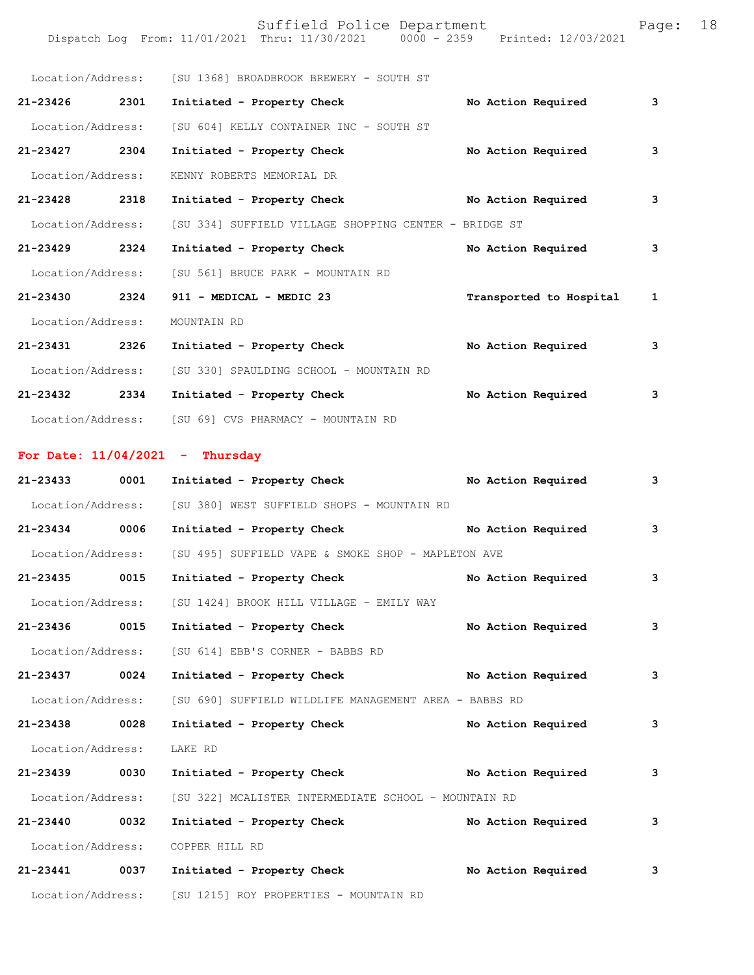Suffield Police Department Fage: 18 Dispatch Log From: 11/01/2021 Thru: 11/30/2021 0000 - 2359 Printed: 12/03/2021 Location/Address: [SU 1368] BROADBROOK BREWERY - SOUTH ST **21-23426 2301 Initiated - Property Check No Action Required 3** Location/Address: [SU 604] KELLY CONTAINER INC - SOUTH ST **21-23427 2304 Initiated - Property Check No Action Required 3** Location/Address: KENNY ROBERTS MEMORIAL DR **21-23428 2318 Initiated - Property Check No Action Required 3** Location/Address: [SU 334] SUFFIELD VILLAGE SHOPPING CENTER - BRIDGE ST **21-23429 2324 Initiated - Property Check No Action Required 3** Location/Address: [SU 561] BRUCE PARK - MOUNTAIN RD **21-23430 2324 911 - MEDICAL - MEDIC 23 Transported to Hospital 1** Location/Address: MOUNTAIN RD **21-23431 2326 Initiated - Property Check No Action Required 3** Location/Address: [SU 330] SPAULDING SCHOOL - MOUNTAIN RD **21-23432 2334 Initiated - Property Check No Action Required 3** Location/Address: [SU 69] CVS PHARMACY - MOUNTAIN RD

## **For Date: 11/04/2021 - Thursday**

| $21 - 23433$      | 0001 | Initiated - Property Check                            | No Action Required | 3 |
|-------------------|------|-------------------------------------------------------|--------------------|---|
| Location/Address: |      | [SU 380] WEST SUFFIELD SHOPS - MOUNTAIN RD            |                    |   |
| 21-23434 0006     |      | Initiated - Property Check                            | No Action Required | 3 |
| Location/Address: |      | [SU 495] SUFFIELD VAPE & SMOKE SHOP - MAPLETON AVE    |                    |   |
| 21-23435 0015     |      | Initiated - Property Check                            | No Action Required | 3 |
| Location/Address: |      | [SU 1424] BROOK HILL VILLAGE - EMILY WAY              |                    |   |
| 21-23436 0015     |      | Initiated - Property Check                            | No Action Required | 3 |
| Location/Address: |      | [SU 614] EBB'S CORNER - BABBS RD                      |                    |   |
| 21-23437 0024     |      | Initiated - Property Check No Action Required         |                    | 3 |
| Location/Address: |      | [SU 690] SUFFIELD WILDLIFE MANAGEMENT AREA - BABBS RD |                    |   |
| 21-23438          | 0028 | Initiated - Property Check                            | No Action Required | 3 |
| Location/Address: |      | LAKE RD                                               |                    |   |
| 21-23439 0030     |      | Initiated - Property Check No Action Required         |                    | 3 |
| Location/Address: |      | [SU 322] MCALISTER INTERMEDIATE SCHOOL - MOUNTAIN RD  |                    |   |
| 21-23440 0032     |      | Initiated - Property Check                            | No Action Required | 3 |
| Location/Address: |      | COPPER HILL RD                                        |                    |   |
| 21-23441 0037     |      | Initiated - Property Check                            | No Action Required | 3 |
| Location/Address: |      | [SU 1215] ROY PROPERTIES - MOUNTAIN RD                |                    |   |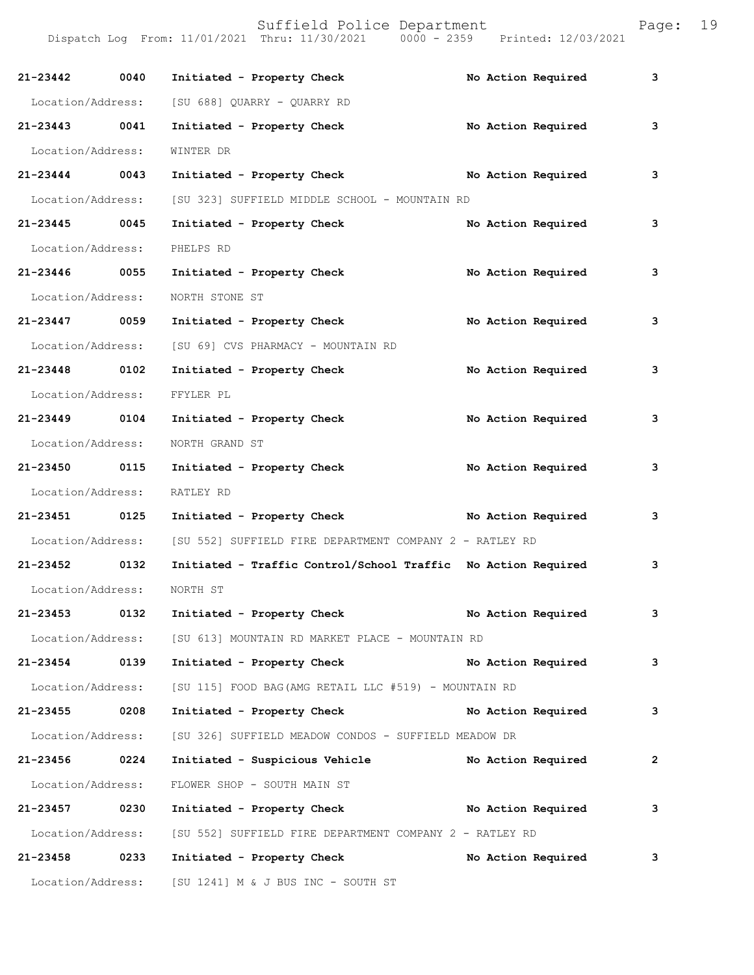| 21-23442 0040     |      | Initiated - Property Check                                                | No Action Required | 3              |
|-------------------|------|---------------------------------------------------------------------------|--------------------|----------------|
|                   |      | Location/Address: [SU 688] QUARRY - QUARRY RD                             |                    |                |
| 21-23443 0041     |      | Initiated - Property Check                                                | No Action Required | 3              |
| Location/Address: |      | WINTER DR                                                                 |                    |                |
| 21-23444 0043     |      | Initiated - Property Check                                                | No Action Required | 3              |
|                   |      | Location/Address: [SU 323] SUFFIELD MIDDLE SCHOOL - MOUNTAIN RD           |                    |                |
| 21-23445 0045     |      | Initiated - Property Check                                                | No Action Required | 3              |
| Location/Address: |      | PHELPS RD                                                                 |                    |                |
| 21-23446 0055     |      | Initiated - Property Check                                                | No Action Required | 3              |
| Location/Address: |      | NORTH STONE ST                                                            |                    |                |
| 21-23447 0059     |      | Initiated - Property Check                                                | No Action Required | 3              |
|                   |      | Location/Address: [SU 69] CVS PHARMACY - MOUNTAIN RD                      |                    |                |
| 21-23448 0102     |      | Initiated - Property Check                                                | No Action Required | 3              |
| Location/Address: |      | FFYLER PL                                                                 |                    |                |
| 21-23449 0104     |      | Initiated - Property Check                                                | No Action Required | 3              |
| Location/Address: |      | NORTH GRAND ST                                                            |                    |                |
| 21-23450 0115     |      | Initiated - Property Check                                                | No Action Required | 3              |
| Location/Address: |      | RATLEY RD                                                                 |                    |                |
| 21-23451 0125     |      | Initiated - Property Check                                                | No Action Required | 3              |
|                   |      | Location/Address: [SU 552] SUFFIELD FIRE DEPARTMENT COMPANY 2 - RATLEY RD |                    |                |
| 21-23452 0132     |      | Initiated - Traffic Control/School Traffic No Action Required             |                    | 3              |
| Location/Address: |      | NORTH ST                                                                  |                    |                |
| 21-23453          | 0132 | Initiated - Property Check                                                | No Action Required | 3              |
|                   |      | Location/Address: [SU 613] MOUNTAIN RD MARKET PLACE - MOUNTAIN RD         |                    |                |
| 21-23454          | 0139 | Initiated - Property Check No Action Required                             |                    | $\mathbf{3}$   |
|                   |      | Location/Address: [SU 115] FOOD BAG (AMG RETAIL LLC #519) - MOUNTAIN RD   |                    |                |
| 21-23455          | 0208 | Initiated - Property Check                                                | No Action Required | $\mathbf{3}$   |
| Location/Address: |      | [SU 326] SUFFIELD MEADOW CONDOS - SUFFIELD MEADOW DR                      |                    |                |
| 21-23456 0224     |      | Initiated - Suspicious Vehicle No Action Required                         |                    | $\overline{2}$ |
| Location/Address: |      | FLOWER SHOP - SOUTH MAIN ST                                               |                    |                |
| 21-23457          | 0230 | Initiated - Property Check No Action Required                             |                    | 3              |
|                   |      | Location/Address: [SU 552] SUFFIELD FIRE DEPARTMENT COMPANY 2 - RATLEY RD |                    |                |
| 21-23458          | 0233 | Initiated - Property Check                                                | No Action Required | 3              |
|                   |      | Location/Address: [SU 1241] M & J BUS INC - SOUTH ST                      |                    |                |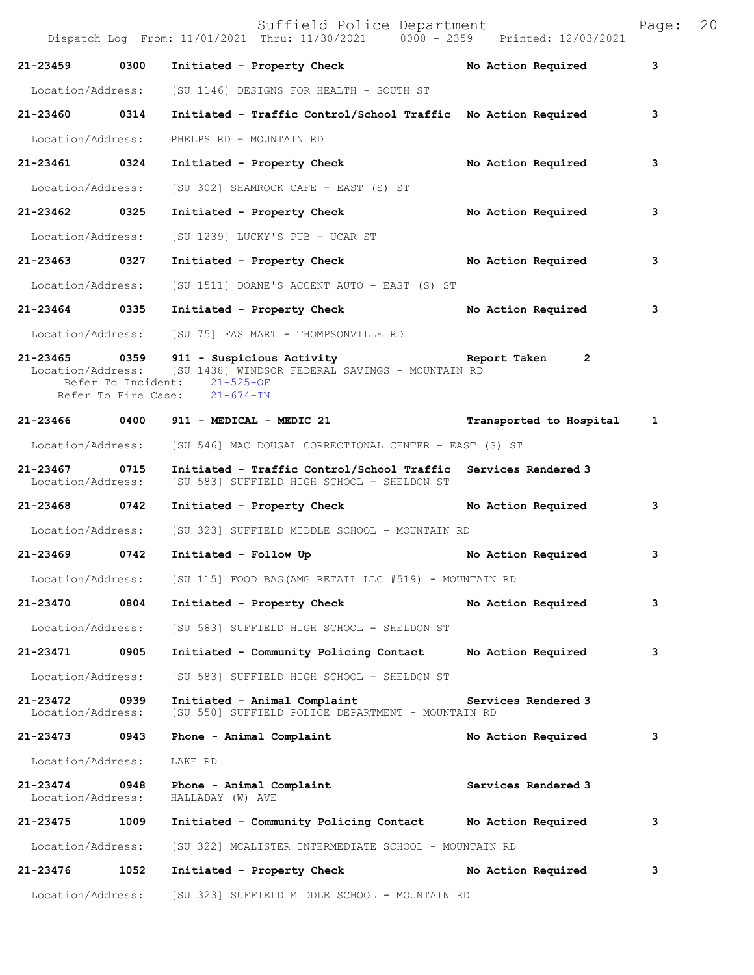Suffield Police Department<br>Thru: 11/30/2021 0000 - 2359 Printed: 12/03/2021 Dispatch Log From:  $11/01/2021$  Thru:  $11/30/2021$  0000 - 2359 **21-23459 0300 Initiated - Property Check No Action Required 3** Location/Address: [SU 1146] DESIGNS FOR HEALTH - SOUTH ST **21-23460 0314 Initiated - Traffic Control/School Traffic No Action Required 3** Location/Address: PHELPS RD + MOUNTAIN RD **21-23461 0324 Initiated - Property Check No Action Required 3** Location/Address: [SU 302] SHAMROCK CAFE - EAST (S) ST **21-23462 0325 Initiated - Property Check No Action Required 3** Location/Address: [SU 1239] LUCKY'S PUB - UCAR ST **21-23463 0327 Initiated - Property Check No Action Required 3** Location/Address: [SU 1511] DOANE'S ACCENT AUTO - EAST (S) ST **21-23464 0335 Initiated - Property Check No Action Required 3** Location/Address: [SU 75] FAS MART - THOMPSONVILLE RD 21-23465 0359 911 - Suspicious Activity **Report Taken 2**<br>Location/Address: [SU 1438] WINDSOR FEDERAL SAVINGS - MOUNTAIN RD [SU 1438] WINDSOR FEDERAL SAVINGS - MOUNTAIN RD<br>at: 21-525-OF Refer To Incident:  $\frac{21-525-OF}{21-674-IN}$ Refer To Fire Case: **21-23466 0400 911 - MEDICAL - MEDIC 21 Transported to Hospital 1** Location/Address: [SU 546] MAC DOUGAL CORRECTIONAL CENTER - EAST (S) ST **21-23467 0715 Initiated - Traffic Control/School Traffic Services Rendered 3**  [SU 583] SUFFIELD HIGH SCHOOL - SHELDON ST **21-23468 0742 Initiated - Property Check No Action Required 3** Location/Address: [SU 323] SUFFIELD MIDDLE SCHOOL - MOUNTAIN RD **21-23469 0742 Initiated - Follow Up No Action Required 3** Location/Address: [SU 115] FOOD BAG(AMG RETAIL LLC #519) - MOUNTAIN RD **21-23470 0804 Initiated - Property Check No Action Required 3** Location/Address: [SU 583] SUFFIELD HIGH SCHOOL - SHELDON ST **21-23471 0905 Initiated - Community Policing Contact No Action Required 3** Location/Address: [SU 583] SUFFIELD HIGH SCHOOL - SHELDON ST **21-23472 0939 Initiated - Animal Complaint Services Rendered 3**  Location/Address: [SU 550] SUFFIELD POLICE DEPARTMENT - MOUNTAIN RD **21-23473 0943 Phone - Animal Complaint No Action Required 3** Location/Address: LAKE RD **21-23474 0948 Phone - Animal Complaint Services Rendered 3**  Location/Address: HALLADAY (W) AVE **21-23475 1009 Initiated - Community Policing Contact No Action Required 3** Location/Address: [SU 322] MCALISTER INTERMEDIATE SCHOOL - MOUNTAIN RD **21-23476 1052 Initiated - Property Check No Action Required 3** Location/Address: [SU 323] SUFFIELD MIDDLE SCHOOL - MOUNTAIN RD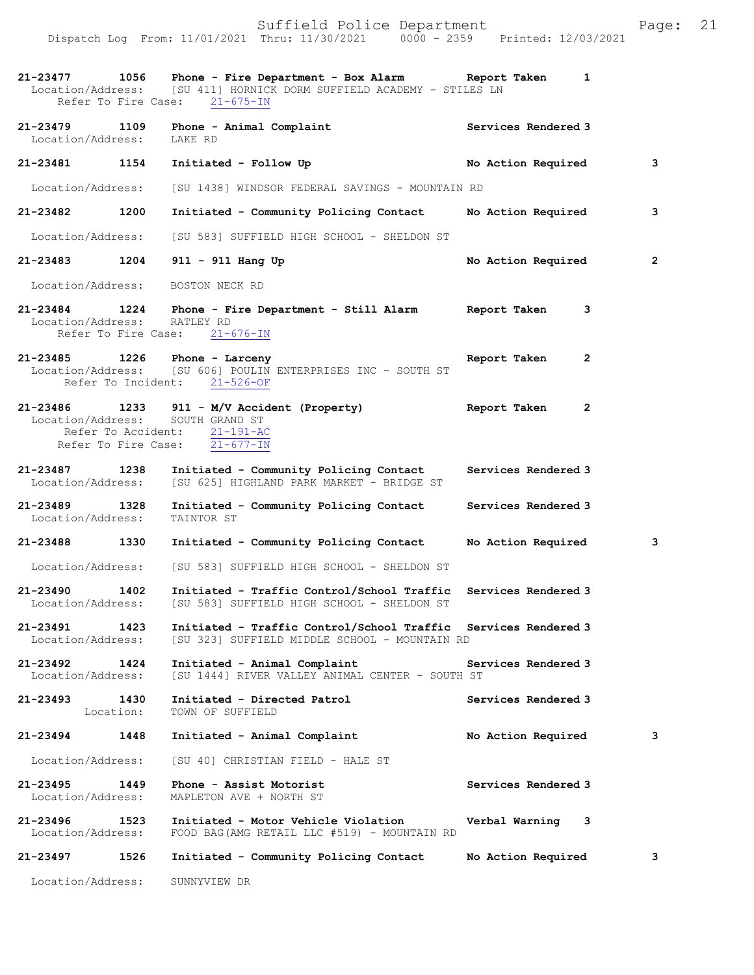Dispatch Log From: 11/01/2021 Thru: 11/30/2021 0000 - 2359 Printed: 12/03/2021

**21-23477 1056 Phone - Fire Department - Box Alarm Report Taken 1**  [SU 411] HORNICK DORM SUFFIELD ACADEMY - STILES LN<br>se: 21-675-IN Refer To Fire Case: **21-23479 1109 Phone - Animal Complaint 6 6 Services Rendered 3**<br>
Location/Address: LAKE RD Location/Address: **21-23481 1154 Initiated - Follow Up No Action Required 3** Location/Address: [SU 1438] WINDSOR FEDERAL SAVINGS - MOUNTAIN RD **21-23482 1200 Initiated - Community Policing Contact No Action Required 3** Location/Address: [SU 583] SUFFIELD HIGH SCHOOL - SHELDON ST **21-23483 1204 911 - 911 Hang Up No Action Required 2** Location/Address: BOSTON NECK RD **21-23484 1224 Phone - Fire Department - Still Alarm Report Taken 3**  Location/Address: RATLEY RD<br>Refer To Fire Case: 21-676-IN Refer To Fire Case: **21-23485 1226 Phone - Larceny Report Taken 2**  [SU 606] POULIN ENTERPRISES INC - SOUTH ST<br>ent: 21-526-OF Refer To Incident: **21-23486 1233 911 - M/V Accident (Property) Report Taken 2**  Location/Address: Refer To Accident: 21-191-AC Refer To Fire Case: 21-677-IN **21-23487 1238 Initiated - Community Policing Contact Services Rendered 3**  Location/Address: [SU 625] HIGHLAND PARK MARKET - BRIDGE ST **21-23489 1328 Initiated - Community Policing Contact Services Rendered 3**  Location/Address: **21-23488 1330 Initiated - Community Policing Contact No Action Required 3** Location/Address: [SU 583] SUFFIELD HIGH SCHOOL - SHELDON ST **21-23490 1402 Initiated - Traffic Control/School Traffic Services Rendered 3**  [SU 583] SUFFIELD HIGH SCHOOL - SHELDON ST **21-23491 1423 Initiated - Traffic Control/School Traffic Services Rendered 3**  Location/Address: [SU 323] SUFFIELD MIDDLE SCHOOL - MOUNTAIN RD **21-23492 1424 Initiated - Animal Complaint Services Rendered 3**  [SU 1444] RIVER VALLEY ANIMAL CENTER - SOUTH ST **21-23493 1430 Initiated - Directed Patrol Services Rendered 3**  Location: TOWN OF SUFFIELD **21-23494 1448 Initiated - Animal Complaint No Action Required 3** Location/Address: [SU 40] CHRISTIAN FIELD - HALE ST **21-23495 1449 Phone - Assist Motorist Services Rendered 3**  Location/Address: MAPLETON AVE + NORTH ST **21-23496 1523 Initiated - Motor Vehicle Violation Verbal Warning 3**  FOOD BAG(AMG RETAIL LLC #519) - MOUNTAIN RD **21-23497 1526 Initiated - Community Policing Contact No Action Required 3** Location/Address: SUNNYVIEW DR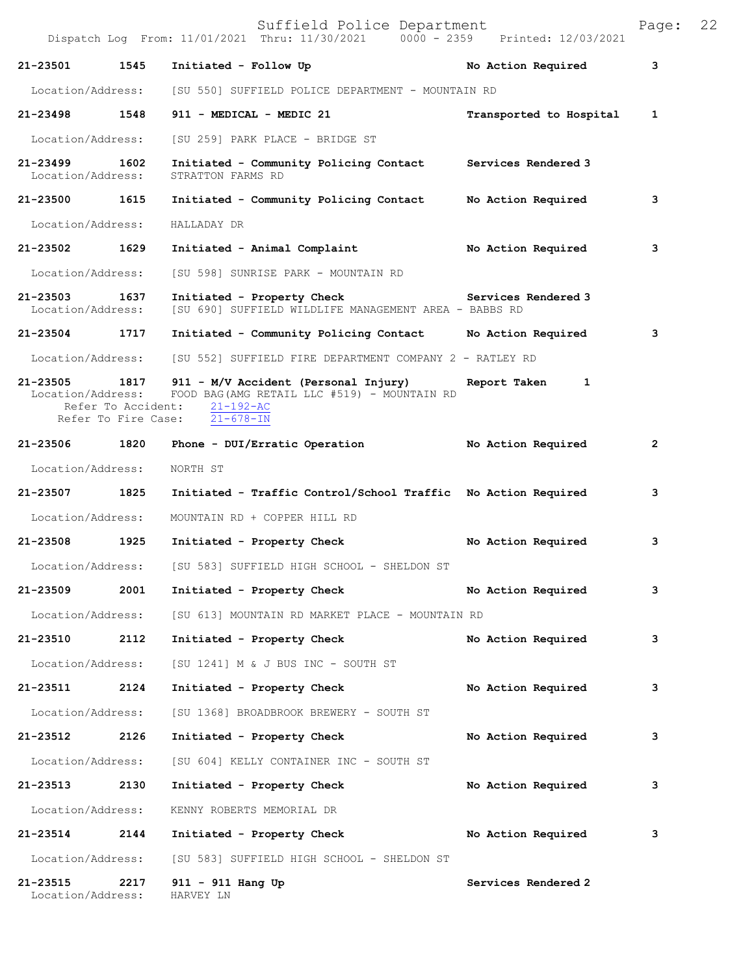|                               |      | Suffield Police Department<br>Dispatch Log From: 11/01/2021 Thru: 11/30/2021 0000 - 2359 Printed: 12/03/2021                                                                           |                         | Page: | 22 |
|-------------------------------|------|----------------------------------------------------------------------------------------------------------------------------------------------------------------------------------------|-------------------------|-------|----|
| 21-23501                      | 1545 | Initiated - Follow Up                                                                                                                                                                  | No Action Required      | 3     |    |
| Location/Address:             |      | [SU 550] SUFFIELD POLICE DEPARTMENT - MOUNTAIN RD                                                                                                                                      |                         |       |    |
| 21-23498 1548                 |      | 911 - MEDICAL - MEDIC 21                                                                                                                                                               | Transported to Hospital | 1     |    |
| Location/Address:             |      | [SU 259] PARK PLACE - BRIDGE ST                                                                                                                                                        |                         |       |    |
| 21-23499<br>Location/Address: | 1602 | Initiated - Community Policing Contact Services Rendered 3<br>STRATTON FARMS RD                                                                                                        |                         |       |    |
| 21-23500                      | 1615 | Initiated - Community Policing Contact                                                                                                                                                 | No Action Required      | 3     |    |
| Location/Address:             |      | HALLADAY DR                                                                                                                                                                            |                         |       |    |
| 21-23502 1629                 |      | Initiated - Animal Complaint                                                                                                                                                           | No Action Required      | 3     |    |
| Location/Address:             |      | [SU 598] SUNRISE PARK - MOUNTAIN RD                                                                                                                                                    |                         |       |    |
| 21-23503<br>Location/Address: | 1637 | Initiated - Property Check Services Rendered 3<br>[SU 690] SUFFIELD WILDLIFE MANAGEMENT AREA - BABBS RD                                                                                |                         |       |    |
| 21-23504 1717                 |      | Initiated - Community Policing Contact Mo Action Required                                                                                                                              |                         | 3     |    |
| Location/Address:             |      | [SU 552] SUFFIELD FIRE DEPARTMENT COMPANY 2 - RATLEY RD                                                                                                                                |                         |       |    |
|                               |      | $21-23505$ 1817 911 - M/V Accident (Personal Injury)<br>Location/Address: FOOD BAG(AMG RETAIL LLC #519) - MOUNTAIN RD<br>Refer To Accident: 21-192-AC<br>Refer To Fire Case: 21-678-IN | Report Taken<br>1       |       |    |
| 21-23506                      | 1820 | Phone - DUI/Erratic Operation                                                                                                                                                          | No Action Required      | 2     |    |
| Location/Address:             |      | NORTH ST                                                                                                                                                                               |                         |       |    |
| 21-23507                      | 1825 | Initiated - Traffic Control/School Traffic No Action Required                                                                                                                          |                         | 3     |    |
| Location/Address:             |      | MOUNTAIN RD + COPPER HILL RD                                                                                                                                                           |                         |       |    |
| 21-23508 1925                 |      | Initiated - Property Check                                                                                                                                                             | No Action Required      | з     |    |
| Location/Address:             |      | [SU 583] SUFFIELD HIGH SCHOOL - SHELDON ST                                                                                                                                             |                         |       |    |
| 21-23509                      | 2001 | Initiated - Property Check                                                                                                                                                             | No Action Required      | 3     |    |
| Location/Address:             |      | [SU 613] MOUNTAIN RD MARKET PLACE - MOUNTAIN RD                                                                                                                                        |                         |       |    |
| 21-23510                      | 2112 | Initiated - Property Check                                                                                                                                                             | No Action Required      | з     |    |
| Location/Address:             |      | [SU 1241] M & J BUS INC - SOUTH ST                                                                                                                                                     |                         |       |    |
| 21-23511                      | 2124 | Initiated - Property Check                                                                                                                                                             | No Action Required      | з     |    |
| Location/Address:             |      | [SU 1368] BROADBROOK BREWERY - SOUTH ST                                                                                                                                                |                         |       |    |
| 21-23512                      | 2126 | Initiated - Property Check                                                                                                                                                             | No Action Required      | 3     |    |
| Location/Address:             |      | [SU 604] KELLY CONTAINER INC - SOUTH ST                                                                                                                                                |                         |       |    |
| 21-23513 2130                 |      | Initiated - Property Check                                                                                                                                                             | No Action Required      | 3     |    |
| Location/Address:             |      | KENNY ROBERTS MEMORIAL DR                                                                                                                                                              |                         |       |    |
| 21-23514                      | 2144 | Initiated - Property Check                                                                                                                                                             | No Action Required      | з     |    |
| Location/Address:             |      | [SU 583] SUFFIELD HIGH SCHOOL - SHELDON ST                                                                                                                                             |                         |       |    |
| 21-23515<br>Location/Address: | 2217 | 911 - 911 Hang Up<br>HARVEY LN                                                                                                                                                         | Services Rendered 2     |       |    |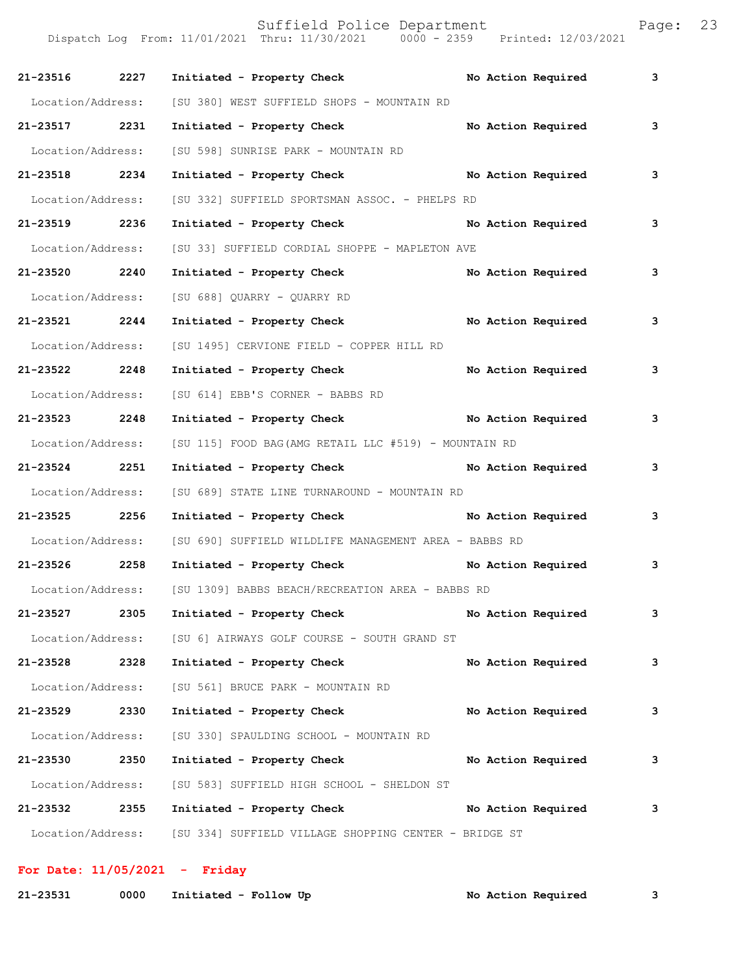| 21-23516 2227     |      | Initiated - Property Check                                              |  | No Action Required | 3 |
|-------------------|------|-------------------------------------------------------------------------|--|--------------------|---|
| Location/Address: |      | [SU 380] WEST SUFFIELD SHOPS - MOUNTAIN RD                              |  |                    |   |
| 21-23517 2231     |      | Initiated - Property Check                                              |  | No Action Required | 3 |
| Location/Address: |      | [SU 598] SUNRISE PARK - MOUNTAIN RD                                     |  |                    |   |
| 21-23518 2234     |      | Initiated - Property Check No Action Required                           |  |                    | 3 |
| Location/Address: |      | [SU 332] SUFFIELD SPORTSMAN ASSOC. - PHELPS RD                          |  |                    |   |
| 21-23519 2236     |      | Initiated - Property Check No Action Required                           |  |                    | 3 |
| Location/Address: |      | [SU 33] SUFFIELD CORDIAL SHOPPE - MAPLETON AVE                          |  |                    |   |
| 21-23520 2240     |      | Initiated - Property Check No Action Required                           |  |                    | 3 |
| Location/Address: |      | [SU 688] QUARRY - QUARRY RD                                             |  |                    |   |
| 21-23521 2244     |      | Initiated - Property Check No Action Required                           |  |                    | 3 |
| Location/Address: |      | [SU 1495] CERVIONE FIELD - COPPER HILL RD                               |  |                    |   |
| 21-23522 2248     |      | Initiated - Property Check                                              |  | No Action Required | 3 |
|                   |      | Location/Address: [SU 614] EBB'S CORNER - BABBS RD                      |  |                    |   |
| 21-23523 2248     |      | Initiated - Property Check No Action Required                           |  |                    | 3 |
| Location/Address: |      | [SU 115] FOOD BAG(AMG RETAIL LLC #519) - MOUNTAIN RD                    |  |                    |   |
| 21-23524 2251     |      | Initiated - Property Check No Action Required                           |  |                    | 3 |
| Location/Address: |      | [SU 689] STATE LINE TURNAROUND - MOUNTAIN RD                            |  |                    |   |
| 21-23525 2256     |      | Initiated - Property Check No Action Required                           |  |                    | 3 |
|                   |      | Location/Address: [SU 690] SUFFIELD WILDLIFE MANAGEMENT AREA - BABBS RD |  |                    |   |
| 21-23526 2258     |      | Initiated - Property Check No Action Required                           |  |                    | 3 |
|                   |      | Location/Address: [SU 1309] BABBS BEACH/RECREATION AREA - BABBS RD      |  |                    |   |
| 21-23527          | 2305 | Initiated - Property Check                                              |  | No Action Required | 3 |
| Location/Address: |      | [SU 6] AIRWAYS GOLF COURSE - SOUTH GRAND ST                             |  |                    |   |
| 21-23528          | 2328 | Initiated - Property Check                                              |  | No Action Required | 3 |
| Location/Address: |      | [SU 561] BRUCE PARK - MOUNTAIN RD                                       |  |                    |   |
| 21-23529          | 2330 | Initiated - Property Check                                              |  | No Action Required | 3 |
| Location/Address: |      | [SU 330] SPAULDING SCHOOL - MOUNTAIN RD                                 |  |                    |   |
| 21-23530          | 2350 | Initiated - Property Check                                              |  | No Action Required | 3 |
| Location/Address: |      | [SU 583] SUFFIELD HIGH SCHOOL - SHELDON ST                              |  |                    |   |
| 21-23532          | 2355 | Initiated - Property Check                                              |  | No Action Required | 3 |
| Location/Address: |      | [SU 334] SUFFIELD VILLAGE SHOPPING CENTER - BRIDGE ST                   |  |                    |   |

**For Date: 11/05/2021 - Friday**

| 21-23531 |  | 0000 Initiated - Follow Up |  | No Action Required |
|----------|--|----------------------------|--|--------------------|
|----------|--|----------------------------|--|--------------------|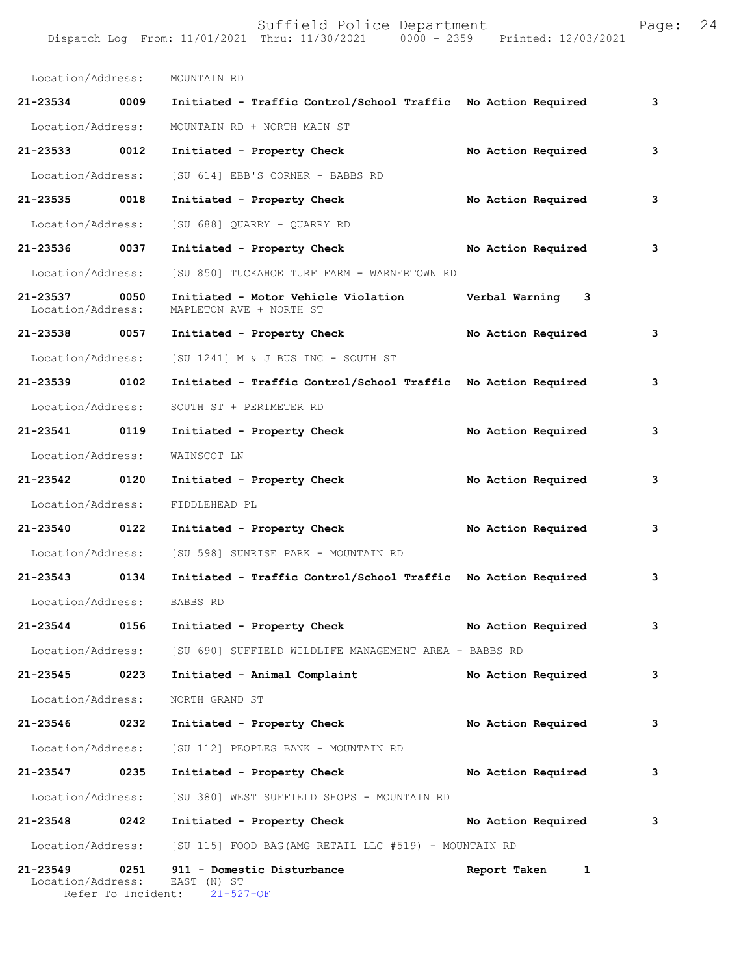| Location/Address:             |      | MOUNTAIN RD                                                               |                    |   |
|-------------------------------|------|---------------------------------------------------------------------------|--------------------|---|
| 21-23534 0009                 |      | Initiated - Traffic Control/School Traffic No Action Required             |                    | 3 |
| Location/Address:             |      | MOUNTAIN RD + NORTH MAIN ST                                               |                    |   |
| 21-23533                      | 0012 | Initiated - Property Check                                                | No Action Required | 3 |
| Location/Address:             |      | [SU 614] EBB'S CORNER - BABBS RD                                          |                    |   |
| 21-23535 0018                 |      | Initiated - Property Check                                                | No Action Required | 3 |
| Location/Address:             |      | [SU 688] QUARRY - QUARRY RD                                               |                    |   |
| 21-23536                      | 0037 | Initiated - Property Check                                                | No Action Required | 3 |
| Location/Address:             |      | [SU 850] TUCKAHOE TURF FARM - WARNERTOWN RD                               |                    |   |
| 21-23537<br>Location/Address: | 0050 | Initiated - Motor Vehicle Violation<br>MAPLETON AVE + NORTH ST            | Verbal Warning 3   |   |
| 21-23538 0057                 |      | Initiated - Property Check                                                | No Action Required | 3 |
| Location/Address:             |      | [SU 1241] M & J BUS INC - SOUTH ST                                        |                    |   |
| 21-23539 0102                 |      | Initiated - Traffic Control/School Traffic No Action Required             |                    | 3 |
| Location/Address:             |      | SOUTH ST + PERIMETER RD                                                   |                    |   |
| 21-23541 0119                 |      | Initiated - Property Check                                                | No Action Required | 3 |
| Location/Address:             |      | WAINSCOT LN                                                               |                    |   |
| 21-23542 0120                 |      | Initiated - Property Check                                                | No Action Required | 3 |
| Location/Address:             |      | FIDDLEHEAD PL                                                             |                    |   |
| 21-23540 0122                 |      | Initiated - Property Check                                                | No Action Required | 3 |
| Location/Address:             |      | [SU 598] SUNRISE PARK - MOUNTAIN RD                                       |                    |   |
| 21-23543                      | 0134 | Initiated - Traffic Control/School Traffic No Action Required             |                    | 3 |
| Location/Address:             |      | BABBS RD                                                                  |                    |   |
| $21 - 23544$                  | 0156 | Initiated - Property Check                                                | No Action Required | 3 |
|                               |      | Location/Address: [SU 690] SUFFIELD WILDLIFE MANAGEMENT AREA - BABBS RD   |                    |   |
| 21-23545                      | 0223 | Initiated - Animal Complaint                                              | No Action Required | 3 |
| Location/Address:             |      | NORTH GRAND ST                                                            |                    |   |
| 21-23546 0232                 |      | Initiated - Property Check                                                | No Action Required | 3 |
| Location/Address:             |      | [SU 112] PEOPLES BANK - MOUNTAIN RD                                       |                    |   |
| 21-23547                      | 0235 | Initiated - Property Check                                                | No Action Required | 3 |
| Location/Address:             |      | [SU 380] WEST SUFFIELD SHOPS - MOUNTAIN RD                                |                    |   |
| 21-23548                      | 0242 | Initiated - Property Check                                                | No Action Required | 3 |
|                               |      | Location/Address: [SU 115] FOOD BAG (AMG RETAIL LLC #519) - MOUNTAIN RD   |                    |   |
| 21-23549<br>Location/Address: | 0251 | 911 - Domestic Disturbance<br>EAST (N) ST<br>Refer To Incident: 21-527-OF | Report Taken<br>1  |   |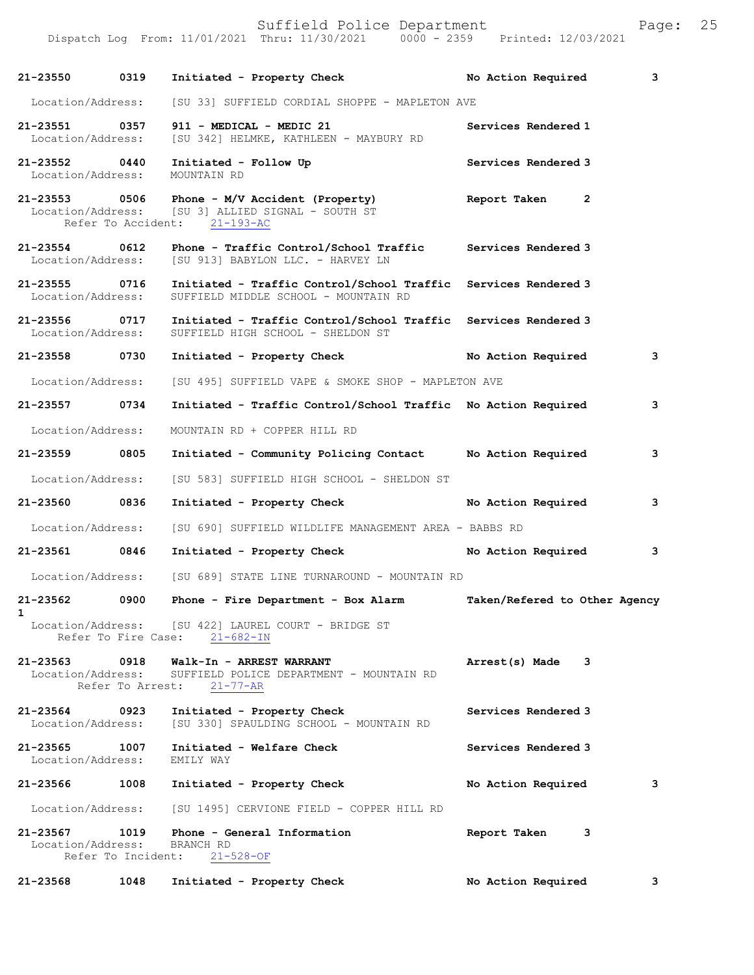|                                    |                          | Dispatch Log From: 11/01/2021 Thru: 11/30/2021 0000 - 2359 Printed: 12/03/2021                                                     |                                |
|------------------------------------|--------------------------|------------------------------------------------------------------------------------------------------------------------------------|--------------------------------|
| 21-23550 0319                      |                          | Initiated - Property Check No Action Required                                                                                      | 3                              |
| Location/Address:                  |                          | [SU 33] SUFFIELD CORDIAL SHOPPE - MAPLETON AVE                                                                                     |                                |
| 21-23551 0357<br>Location/Address: |                          | 911 - MEDICAL - MEDIC 21<br>[SU 342] HELMKE, KATHLEEN - MAYBURY RD                                                                 | Services Rendered 1            |
| 21-23552 0440<br>Location/Address: |                          | Initiated - Follow Up<br>MOUNTAIN RD                                                                                               | Services Rendered 3            |
|                                    |                          | 21-23553 0506 Phone - M/V Accident (Property)<br>Location/Address: [SU 3] ALLIED SIGNAL - SOUTH ST<br>Refer To Accident: 21-193-AC | Report Taken<br>$\overline{2}$ |
| 21-23554 0612<br>Location/Address: |                          | Phone - Traffic Control/School Traffic<br>[SU 913] BABYLON LLC. - HARVEY LN                                                        | Services Rendered 3            |
| 21-23555 0716<br>Location/Address: |                          | Initiated - Traffic Control/School Traffic Services Rendered 3<br>SUFFIELD MIDDLE SCHOOL - MOUNTAIN RD                             |                                |
| 21-23556 0717<br>Location/Address: |                          | Initiated - Traffic Control/School Traffic Services Rendered 3<br>SUFFIELD HIGH SCHOOL - SHELDON ST                                |                                |
| 21-23558 0730                      |                          | Initiated - Property Check No Action Required                                                                                      | 3                              |
| Location/Address:                  |                          | [SU 495] SUFFIELD VAPE & SMOKE SHOP - MAPLETON AVE                                                                                 |                                |
| 21-23557 0734                      |                          | Initiated - Traffic Control/School Traffic No Action Required                                                                      | 3                              |
| Location/Address:                  |                          | MOUNTAIN RD + COPPER HILL RD                                                                                                       |                                |
| 21-23559 0805                      |                          | Initiated - Community Policing Contact Mo Action Required                                                                          | 3                              |
| Location/Address:                  |                          | [SU 583] SUFFIELD HIGH SCHOOL - SHELDON ST                                                                                         |                                |
| 21-23560 0836                      |                          | Initiated - Property Check                                                                                                         | No Action Required<br>3        |
| Location/Address:                  |                          | [SU 690] SUFFIELD WILDLIFE MANAGEMENT AREA - BABBS RD                                                                              |                                |
| 21-23561 0846                      |                          | Initiated - Property Check No Action Required                                                                                      | 3                              |
| Location/Address:                  |                          | [SU 689] STATE LINE TURNAROUND - MOUNTAIN RD                                                                                       |                                |
| 21-23562                           |                          | 0900 Phone - Fire Department - Box Alarm                                                                                           | Taken/Refered to Other Agency  |
| 1                                  |                          | Location/Address: [SU 422] LAUREL COURT - BRIDGE ST<br>Refer To Fire Case: 21-682-IN                                               |                                |
| 21-23563<br>Location/Address:      | 0918<br>Refer To Arrest: | Walk-In - ARREST WARRANT<br>SUFFIELD POLICE DEPARTMENT - MOUNTAIN RD<br>$21 - 77 - AR$                                             | 3<br>Arrest(s) Made            |
| 21-23564 0923<br>Location/Address: |                          | Initiated - Property Check<br>[SU 330] SPAULDING SCHOOL - MOUNTAIN RD                                                              | Services Rendered 3            |
| 21-23565<br>Location/Address:      | 1007                     | Initiated - Welfare Check<br>EMILY WAY                                                                                             | Services Rendered 3            |
| 21-23566                           | 1008                     | Initiated - Property Check                                                                                                         | No Action Required<br>3        |
|                                    |                          | Location/Address: [SU 1495] CERVIONE FIELD - COPPER HILL RD                                                                        |                                |
| 21-23567 1019<br>Location/Address: |                          | Phone - General Information<br>BRANCH RD<br>Refer To Incident: 21-528-OF                                                           | Report Taken<br>3              |
| 21-23568                           | 1048                     | Initiated - Property Check                                                                                                         | No Action Required<br>3        |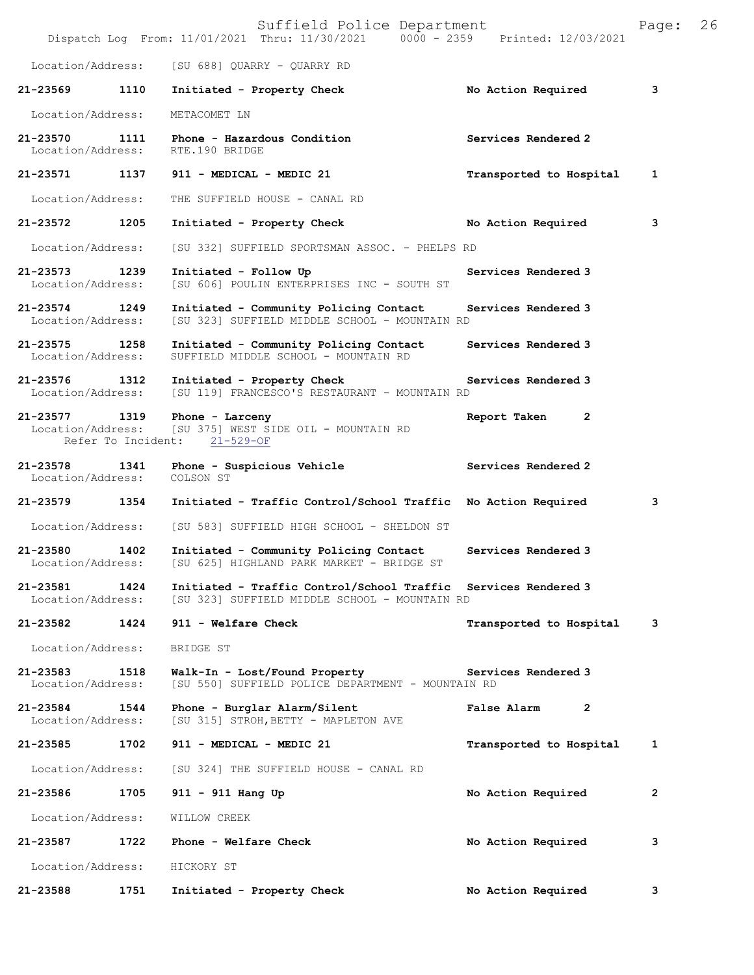|                                    |      | Suffield Police Department<br>Dispatch Log From: 11/01/2021 Thru: 11/30/2021 0000 - 2359 Printed: 12/03/2021    |                               | Page:          | 26 |
|------------------------------------|------|-----------------------------------------------------------------------------------------------------------------|-------------------------------|----------------|----|
| Location/Address:                  |      | [SU 688] QUARRY - QUARRY RD                                                                                     |                               |                |    |
| 21-23569                           | 1110 | Initiated - Property Check                                                                                      | No Action Required            | 3              |    |
| Location/Address:                  |      | METACOMET LN                                                                                                    |                               |                |    |
| 21-23570<br>Location/Address:      | 1111 | Phone - Hazardous Condition<br>RTE.190 BRIDGE                                                                   | Services Rendered 2           |                |    |
| 21-23571 1137                      |      | 911 - MEDICAL - MEDIC 21                                                                                        | Transported to Hospital       | 1              |    |
| Location/Address:                  |      | THE SUFFIELD HOUSE - CANAL RD                                                                                   |                               |                |    |
| 21-23572                           | 1205 | Initiated - Property Check                                                                                      | No Action Required            | 3              |    |
| Location/Address:                  |      | [SU 332] SUFFIELD SPORTSMAN ASSOC. - PHELPS RD                                                                  |                               |                |    |
| 21-23573 1239<br>Location/Address: |      | Initiated - Follow Up<br>[SU 606] POULIN ENTERPRISES INC - SOUTH ST                                             | Services Rendered 3           |                |    |
| 21-23574<br>Location/Address:      | 1249 | Initiated - Community Policing Contact<br>[SU 323] SUFFIELD MIDDLE SCHOOL - MOUNTAIN RD                         | Services Rendered 3           |                |    |
| 21-23575 1258<br>Location/Address: |      | Initiated - Community Policing Contact<br>SUFFIELD MIDDLE SCHOOL - MOUNTAIN RD                                  | Services Rendered 3           |                |    |
| 21-23576 1312<br>Location/Address: |      | Initiated - Property Check<br>[SU 119] FRANCESCO'S RESTAURANT - MOUNTAIN RD                                     | Services Rendered 3           |                |    |
| 21-23577 1319<br>Location/Address: |      | Phone - Larceny<br>[SU 375] WEST SIDE OIL - MOUNTAIN RD<br>Refer To Incident: 21-529-OF                         | Report Taken<br>2             |                |    |
| 21-23578<br>Location/Address:      | 1341 | Phone - Suspicious Vehicle<br>COLSON ST                                                                         | Services Rendered 2           |                |    |
| 21-23579 1354                      |      | Initiated - Traffic Control/School Traffic No Action Required                                                   |                               | 3              |    |
| Location/Address:                  |      | [SU 583] SUFFIELD HIGH SCHOOL - SHELDON ST                                                                      |                               |                |    |
| 21-23580<br>Location/Address:      | 1402 | Initiated - Community Policing Contact<br>[SU 625] HIGHLAND PARK MARKET - BRIDGE ST                             | Services Rendered 3           |                |    |
| 21-23581<br>Location/Address:      | 1424 | Initiated - Traffic Control/School Traffic Services Rendered 3<br>[SU 323] SUFFIELD MIDDLE SCHOOL - MOUNTAIN RD |                               |                |    |
| 21-23582                           | 1424 | 911 - Welfare Check                                                                                             | Transported to Hospital       | 3              |    |
| Location/Address:                  |      | BRIDGE ST                                                                                                       |                               |                |    |
| $21 - 23583$<br>Location/Address:  | 1518 | Walk-In - Lost/Found Property<br>[SU 550] SUFFIELD POLICE DEPARTMENT - MOUNTAIN RD                              | Services Rendered 3           |                |    |
| 21-23584<br>Location/Address:      | 1544 | Phone - Burglar Alarm/Silent<br>[SU 315] STROH, BETTY - MAPLETON AVE                                            | False Alarm<br>$\overline{2}$ |                |    |
| 21-23585                           | 1702 | 911 - MEDICAL - MEDIC 21                                                                                        | Transported to Hospital       | 1              |    |
| Location/Address:                  |      | [SU 324] THE SUFFIELD HOUSE - CANAL RD                                                                          |                               |                |    |
| 21-23586                           | 1705 | 911 - 911 Hang Up                                                                                               | No Action Required            | $\overline{2}$ |    |
| Location/Address:                  |      | WILLOW CREEK                                                                                                    |                               |                |    |
| 21-23587                           | 1722 | Phone - Welfare Check                                                                                           | No Action Required            | 3              |    |
| Location/Address:                  |      | HICKORY ST                                                                                                      |                               |                |    |
| 21-23588                           | 1751 | Initiated - Property Check                                                                                      | No Action Required            | 3              |    |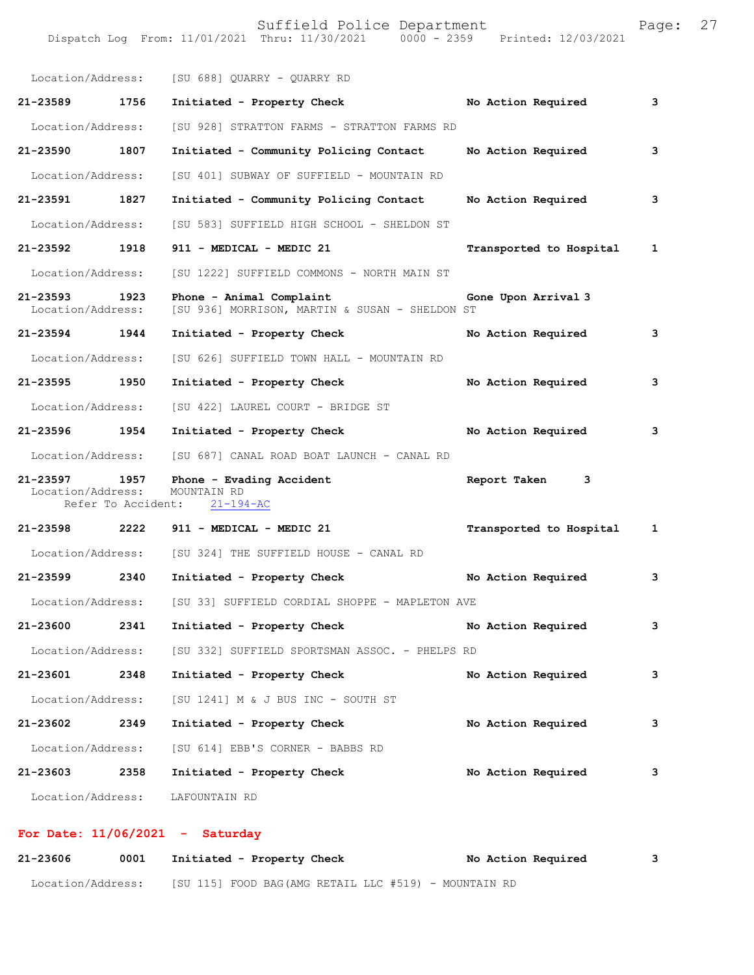|                                    |      | Location/Address: [SU 688] QUARRY - QUARRY RD                              |                         |   |
|------------------------------------|------|----------------------------------------------------------------------------|-------------------------|---|
| 21-23589 1756                      |      | Initiated - Property Check                                                 | No Action Required      | 3 |
| Location/Address:                  |      | [SU 928] STRATTON FARMS - STRATTON FARMS RD                                |                         |   |
| 21-23590 1807                      |      | Initiated - Community Policing Contact                                     | No Action Required      | 3 |
| Location/Address:                  |      | [SU 401] SUBWAY OF SUFFIELD - MOUNTAIN RD                                  |                         |   |
| 21-23591 1827                      |      | Initiated - Community Policing Contact                                     | No Action Required      | 3 |
| Location/Address:                  |      | [SU 583] SUFFIELD HIGH SCHOOL - SHELDON ST                                 |                         |   |
| 21-23592 1918                      |      | 911 - MEDICAL - MEDIC 21                                                   | Transported to Hospital | 1 |
| Location/Address:                  |      | [SU 1222] SUFFIELD COMMONS - NORTH MAIN ST                                 |                         |   |
| 21-23593 1923<br>Location/Address: |      | Phone - Animal Complaint<br>[SU 936] MORRISON, MARTIN & SUSAN - SHELDON ST | Gone Upon Arrival 3     |   |
| 21-23594 1944                      |      | Initiated - Property Check                                                 | No Action Required      | 3 |
| Location/Address:                  |      | [SU 626] SUFFIELD TOWN HALL - MOUNTAIN RD                                  |                         |   |
| 21-23595 1950                      |      | Initiated - Property Check                                                 | No Action Required      | 3 |
| Location/Address:                  |      | [SU 422] LAUREL COURT - BRIDGE ST                                          |                         |   |
| 21-23596 1954                      |      | Initiated - Property Check                                                 | No Action Required      | 3 |
|                                    |      | Location/Address: [SU 687] CANAL ROAD BOAT LAUNCH - CANAL RD               |                         |   |
| 21-23597 1957<br>Location/Address: |      | Phone - Evading Accident<br>MOUNTAIN RD<br>Refer To Accident: 21-194-AC    | Report Taken 3          |   |
|                                    |      | 21-23598 2222 911 - MEDICAL - MEDIC 21                                     | Transported to Hospital | 1 |
|                                    |      | Location/Address: [SU 324] THE SUFFIELD HOUSE - CANAL RD                   |                         |   |
| 21-23599 2340                      |      | Initiated - Property Check                                                 | No Action Required      | 3 |
| Location/Address:                  |      | [SU 33] SUFFIELD CORDIAL SHOPPE - MAPLETON AVE                             |                         |   |
| 21-23600                           | 2341 | Initiated - Property Check                                                 | No Action Required      | 3 |
| Location/Address:                  |      | [SU 332] SUFFIELD SPORTSMAN ASSOC. - PHELPS RD                             |                         |   |
| 21-23601                           | 2348 | Initiated - Property Check                                                 | No Action Required      | 3 |
| Location/Address:                  |      | [SU 1241] M & J BUS INC - SOUTH ST                                         |                         |   |
| 21-23602                           | 2349 | Initiated - Property Check                                                 | No Action Required      | 3 |
| Location/Address:                  |      | [SU 614] EBB'S CORNER - BABBS RD                                           |                         |   |
| 21-23603                           | 2358 | Initiated - Property Check                                                 | No Action Required      | 3 |
| Location/Address:                  |      | LAFOUNTAIN RD                                                              |                         |   |

## **For Date: 11/06/2021 - Saturday**

| 21-23606          | 0001 | Initiated - Property Check |                                                      | No Action Required |  |
|-------------------|------|----------------------------|------------------------------------------------------|--------------------|--|
| Location/Address: |      |                            | [SU 115] FOOD BAG(AMG RETAIL LLC #519) - MOUNTAIN RD |                    |  |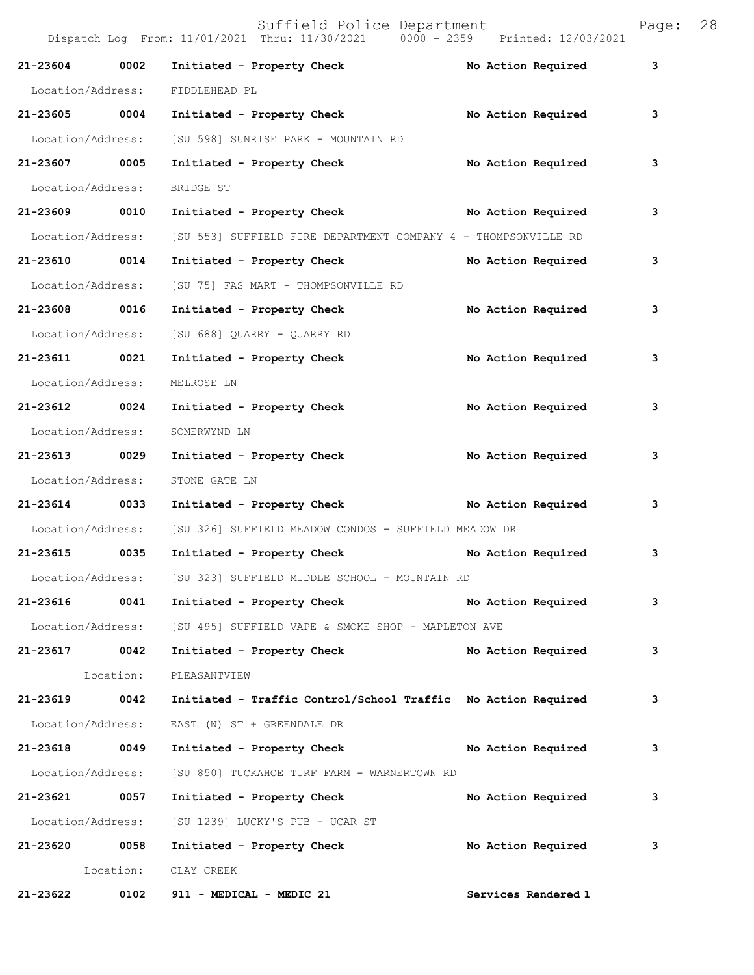Dispatch Log From: 11/01/2021 Thru: 11/30/2021 0000 - 2359 Printed: 12/03/2021 21-23604 0002 Initiated - Property Check **No Action Required** 3 Location/Address: FIDDLEHEAD PL **21-23605 0004 Initiated - Property Check No Action Required 3** Location/Address: [SU 598] SUNRISE PARK - MOUNTAIN RD **21-23607 0005 Initiated - Property Check No Action Required 3** Location/Address: BRIDGE ST **21-23609 0010 Initiated - Property Check No Action Required 3** Location/Address: [SU 553] SUFFIELD FIRE DEPARTMENT COMPANY 4 - THOMPSONVILLE RD **21-23610 0014 Initiated - Property Check No Action Required 3** Location/Address: [SU 75] FAS MART - THOMPSONVILLE RD **21-23608 0016 Initiated - Property Check No Action Required 3** Location/Address: [SU 688] QUARRY - QUARRY RD **21-23611 0021 Initiated - Property Check No Action Required 3** Location/Address: MELROSE LN 21-23612 0024 Initiated - Property Check **No Action Required** 3 Location/Address: SOMERWYND LN **21-23613 0029 Initiated - Property Check No Action Required 3** Location/Address: STONE GATE LN **21-23614 0033 Initiated - Property Check No Action Required 3** Location/Address: [SU 326] SUFFIELD MEADOW CONDOS - SUFFIELD MEADOW DR **21-23615 0035 Initiated - Property Check No Action Required 3** Location/Address: [SU 323] SUFFIELD MIDDLE SCHOOL - MOUNTAIN RD **21-23616 0041 Initiated - Property Check No Action Required 3** Location/Address: [SU 495] SUFFIELD VAPE & SMOKE SHOP - MAPLETON AVE 21-23617 0042 Initiated - Property Check No Action Required 3 Location: PLEASANTVIEW **21-23619 0042 Initiated - Traffic Control/School Traffic No Action Required 3** Location/Address: EAST (N) ST + GREENDALE DR **21-23618 0049 Initiated - Property Check No Action Required 3** Location/Address: [SU 850] TUCKAHOE TURF FARM - WARNERTOWN RD **21-23621 0057 Initiated - Property Check No Action Required 3** Location/Address: [SU 1239] LUCKY'S PUB - UCAR ST **21-23620 0058 Initiated - Property Check No Action Required 3** Location: CLAY CREEK

**21-23622 0102 911 - MEDICAL - MEDIC 21 Services Rendered 1**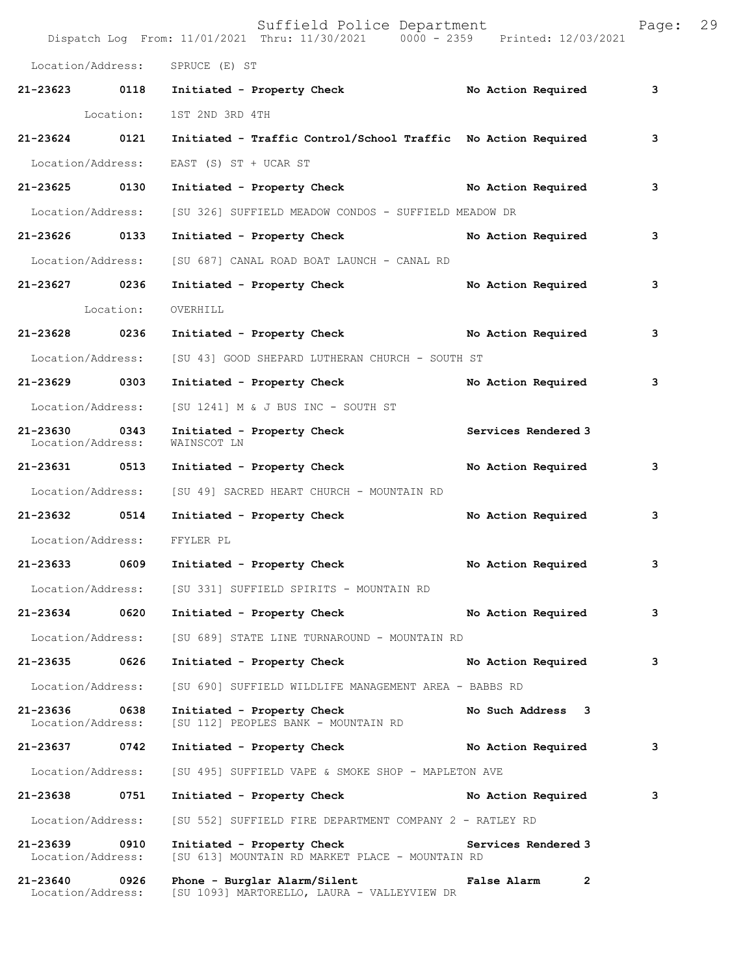|                                    |           | Suffield Police Department<br>Dispatch Log From: 11/01/2021 Thru: 11/30/2021 0000 - 2359 Printed: 12/03/2021 |                             | Page: | 29 |
|------------------------------------|-----------|--------------------------------------------------------------------------------------------------------------|-----------------------------|-------|----|
|                                    |           | Location/Address: SPRUCE (E) ST                                                                              |                             |       |    |
| 21-23623 0118                      |           | Initiated - Property Check                                                                                   | No Action Required          | 3     |    |
|                                    | Location: | 1ST 2ND 3RD 4TH                                                                                              |                             |       |    |
| $21 - 23624$                       | 0121      | Initiated - Traffic Control/School Traffic No Action Required                                                |                             | 3     |    |
| Location/Address:                  |           | EAST (S) ST + UCAR ST                                                                                        |                             |       |    |
| 21-23625 0130                      |           | Initiated - Property Check No Action Required                                                                |                             | 3     |    |
| Location/Address:                  |           | [SU 326] SUFFIELD MEADOW CONDOS - SUFFIELD MEADOW DR                                                         |                             |       |    |
| 21-23626 0133                      |           | Initiated - Property Check                                                                                   | No Action Required          | 3     |    |
| Location/Address:                  |           | [SU 687] CANAL ROAD BOAT LAUNCH - CANAL RD                                                                   |                             |       |    |
| 21-23627 0236                      |           | Initiated - Property Check                                                                                   | No Action Required          | 3     |    |
|                                    | Location: | OVERHILL                                                                                                     |                             |       |    |
| 21-23628 0236                      |           | Initiated - Property Check No Action Required                                                                |                             | 3     |    |
| Location/Address:                  |           | [SU 43] GOOD SHEPARD LUTHERAN CHURCH - SOUTH ST                                                              |                             |       |    |
| 21-23629 0303                      |           | Initiated - Property Check                                                                                   | No Action Required          | 3     |    |
| Location/Address:                  |           | [SU 1241] M & J BUS INC - SOUTH ST                                                                           |                             |       |    |
| 21-23630 0343<br>Location/Address: |           | Initiated - Property Check<br>WAINSCOT LN                                                                    | Services Rendered 3         |       |    |
| 21-23631 0513                      |           | Initiated - Property Check                                                                                   | No Action Required          | 3     |    |
| Location/Address:                  |           | [SU 49] SACRED HEART CHURCH - MOUNTAIN RD                                                                    |                             |       |    |
| 21-23632 0514                      |           | Initiated - Property Check                                                                                   | No Action Required          | 3     |    |
| Location/Address:                  |           | FFYLER PL                                                                                                    |                             |       |    |
| 21-23633                           | 0609      | Initiated - Property Check                                                                                   | No Action Required          | 3     |    |
|                                    |           | Location/Address: [SU 331] SUFFIELD SPIRITS - MOUNTAIN RD                                                    |                             |       |    |
| 21-23634                           | 0620      | Initiated - Property Check                                                                                   | No Action Required          | 3     |    |
| Location/Address:                  |           | [SU 689] STATE LINE TURNAROUND - MOUNTAIN RD                                                                 |                             |       |    |
| 21-23635                           | 0626      | Initiated - Property Check                                                                                   | No Action Required          | 3     |    |
| Location/Address:                  |           | [SU 690] SUFFIELD WILDLIFE MANAGEMENT AREA - BABBS RD                                                        |                             |       |    |
| 21-23636 0638<br>Location/Address: |           | Initiated - Property Check<br>[SU 112] PEOPLES BANK - MOUNTAIN RD                                            | No Such Address 3           |       |    |
| 21-23637                           | 0742      | Initiated - Property Check                                                                                   | No Action Required          | 3     |    |
| Location/Address:                  |           | [SU 495] SUFFIELD VAPE & SMOKE SHOP - MAPLETON AVE                                                           |                             |       |    |
| 21-23638                           | 0751      | Initiated - Property Check                                                                                   | No Action Required          | 3     |    |
| Location/Address:                  |           | [SU 552] SUFFIELD FIRE DEPARTMENT COMPANY 2 - RATLEY RD                                                      |                             |       |    |
| 21-23639 0910<br>Location/Address: |           | Initiated - Property Check<br>[SU 613] MOUNTAIN RD MARKET PLACE - MOUNTAIN RD                                | Services Rendered 3         |       |    |
| 21-23640 0926<br>Location/Address: |           | Phone - Burglar Alarm/Silent<br>[SU 1093] MARTORELLO, LAURA - VALLEYVIEW DR                                  | False Alarm<br>$\mathbf{2}$ |       |    |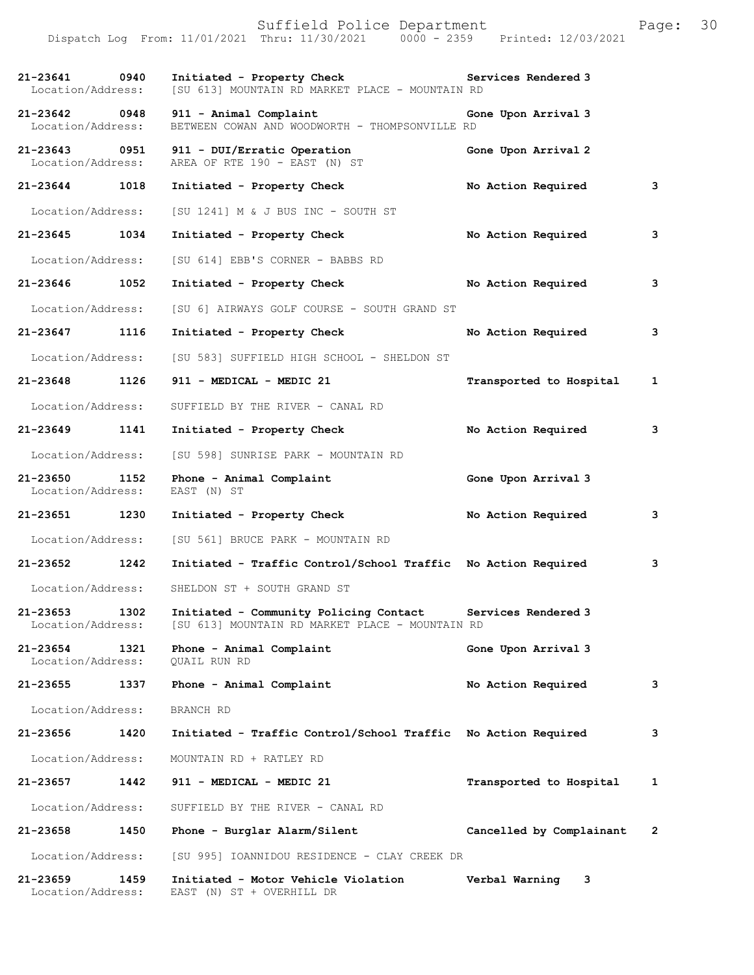|                                    |      | Suffield Police Department<br>Dispatch Log From: 11/01/2021 Thru: 11/30/2021 0000 - 2359 Printed: 12/03/2021 |                          | Page: | 30 |
|------------------------------------|------|--------------------------------------------------------------------------------------------------------------|--------------------------|-------|----|
| 21-23641 0940<br>Location/Address: |      | Initiated - Property Check<br>[SU 613] MOUNTAIN RD MARKET PLACE - MOUNTAIN RD                                | Services Rendered 3      |       |    |
| 21-23642 0948<br>Location/Address: |      | 911 - Animal Complaint<br>BETWEEN COWAN AND WOODWORTH - THOMPSONVILLE RD                                     | Gone Upon Arrival 3      |       |    |
| 21-23643 0951<br>Location/Address: |      | 911 - DUI/Erratic Operation<br>AREA OF RTE 190 - EAST (N) ST                                                 | Gone Upon Arrival 2      |       |    |
| 21-23644 1018                      |      | Initiated - Property Check                                                                                   | No Action Required       | 3     |    |
| Location/Address:                  |      | $[SU 1241]$ M & J BUS INC - SOUTH ST                                                                         |                          |       |    |
| 21-23645                           | 1034 | Initiated - Property Check                                                                                   | No Action Required       | 3     |    |
| Location/Address:                  |      | [SU 614] EBB'S CORNER - BABBS RD                                                                             |                          |       |    |
| 21-23646                           | 1052 | Initiated - Property Check                                                                                   | No Action Required       | 3     |    |
| Location/Address:                  |      | [SU 6] AIRWAYS GOLF COURSE - SOUTH GRAND ST                                                                  |                          |       |    |
| 21-23647 1116                      |      | Initiated - Property Check                                                                                   | No Action Required       | 3     |    |
| Location/Address:                  |      | [SU 583] SUFFIELD HIGH SCHOOL - SHELDON ST                                                                   |                          |       |    |
| 21-23648 1126                      |      | 911 - MEDICAL - MEDIC 21                                                                                     | Transported to Hospital  | 1     |    |
| Location/Address:                  |      | SUFFIELD BY THE RIVER - CANAL RD                                                                             |                          |       |    |
| 21-23649                           | 1141 | Initiated - Property Check                                                                                   | No Action Required       | 3     |    |
| Location/Address:                  |      | [SU 598] SUNRISE PARK - MOUNTAIN RD                                                                          |                          |       |    |
| 21-23650<br>Location/Address:      | 1152 | Phone - Animal Complaint<br>EAST (N) ST                                                                      | Gone Upon Arrival 3      |       |    |
| 21-23651 1230                      |      | Initiated - Property Check                                                                                   | No Action Required       | 3     |    |
| Location/Address:                  |      | [SU 561] BRUCE PARK - MOUNTAIN RD                                                                            |                          |       |    |
| 21-23652                           | 1242 | Initiated - Traffic Control/School Traffic No Action Required                                                |                          | 3     |    |
| Location/Address:                  |      | SHELDON ST + SOUTH GRAND ST                                                                                  |                          |       |    |
| 21-23653<br>Location/Address:      | 1302 | Initiated - Community Policing Contact<br>[SU 613] MOUNTAIN RD MARKET PLACE - MOUNTAIN RD                    | Services Rendered 3      |       |    |
| 21-23654<br>Location/Address:      | 1321 | Phone - Animal Complaint<br>QUAIL RUN RD                                                                     | Gone Upon Arrival 3      |       |    |
| 21-23655                           | 1337 | Phone - Animal Complaint                                                                                     | No Action Required       | 3     |    |
| Location/Address:                  |      | BRANCH RD                                                                                                    |                          |       |    |
| 21-23656                           | 1420 | Initiated - Traffic Control/School Traffic No Action Required                                                |                          | 3     |    |
| Location/Address:                  |      | MOUNTAIN RD + RATLEY RD                                                                                      |                          |       |    |
| 21-23657                           | 1442 | 911 - MEDICAL - MEDIC 21                                                                                     | Transported to Hospital  | 1     |    |
| Location/Address:                  |      | SUFFIELD BY THE RIVER - CANAL RD                                                                             |                          |       |    |
| 21-23658                           | 1450 | Phone - Burglar Alarm/Silent                                                                                 | Cancelled by Complainant | 2     |    |
| Location/Address:                  |      | [SU 995] IOANNIDOU RESIDENCE - CLAY CREEK DR                                                                 |                          |       |    |
| 21-23659<br>Location/Address:      | 1459 | Initiated - Motor Vehicle Violation<br>EAST (N) ST + OVERHILL DR                                             | Verbal Warning<br>3      |       |    |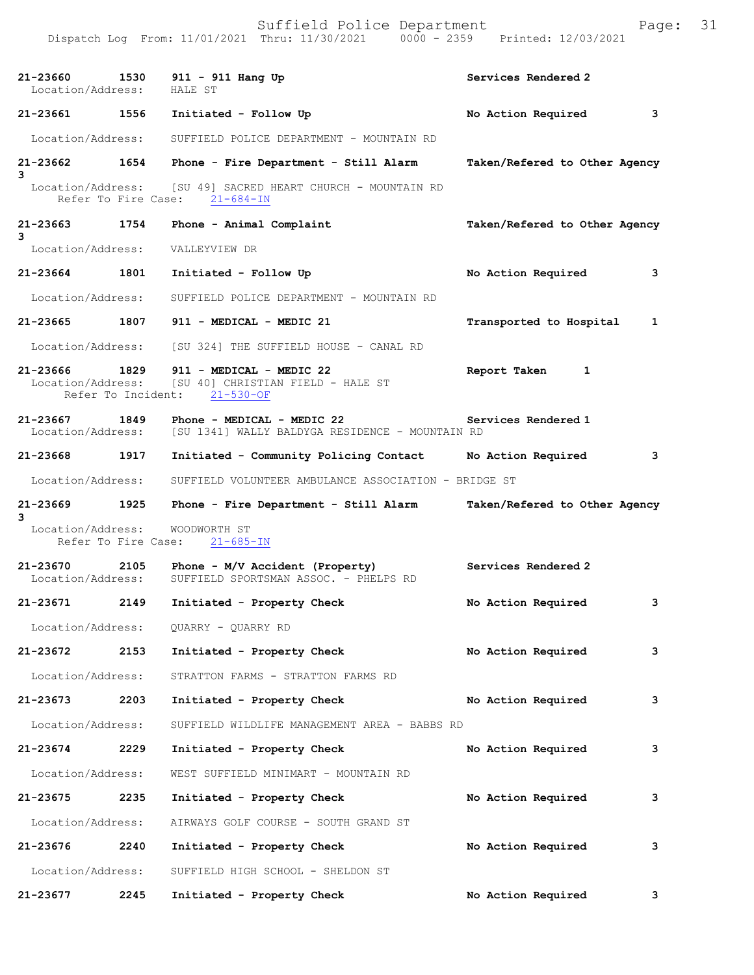|                                    |      | Dispatch Log From: 11/01/2021 Thru: 11/30/2021<br>$0000 - 2359$                               | Printed: 12/03/2021                              |
|------------------------------------|------|-----------------------------------------------------------------------------------------------|--------------------------------------------------|
| 21-23660 1530<br>Location/Address: |      | 911 - 911 Hang Up<br>HALE ST                                                                  | Services Rendered 2                              |
| 21-23661 1556                      |      | Initiated - Follow Up                                                                         | No Action Required<br>$\overline{\phantom{a}}$ 3 |
| Location/Address:                  |      | SUFFIELD POLICE DEPARTMENT - MOUNTAIN RD                                                      |                                                  |
|                                    |      | 21-23662 1654 Phone - Fire Department - Still Alarm                                           | Taken/Refered to Other Agency                    |
| 3                                  |      | Location/Address: [SU 49] SACRED HEART CHURCH - MOUNTAIN RD<br>Refer To Fire Case: 21-684-IN  |                                                  |
| 21-23663 1754                      |      | Phone - Animal Complaint                                                                      | Taken/Refered to Other Agency                    |
| 3<br>Location/Address:             |      | VALLEYVIEW DR                                                                                 |                                                  |
| 21-23664 1801                      |      | Initiated - Follow Up                                                                         | No Action Required<br>3                          |
| Location/Address:                  |      | SUFFIELD POLICE DEPARTMENT - MOUNTAIN RD                                                      |                                                  |
| 21-23665 1807                      |      | 911 - MEDICAL - MEDIC 21                                                                      | Transported to Hospital<br>1                     |
| Location/Address:                  |      | [SU 324] THE SUFFIELD HOUSE - CANAL RD                                                        |                                                  |
| 21-23666<br>Location/Address:      | 1829 | 911 - MEDICAL - MEDIC 22<br>[SU 40] CHRISTIAN FIELD - HALE ST<br>Refer To Incident: 21-530-OF | Report Taken<br>1                                |
| 21-23667 1849<br>Location/Address: |      | Phone - MEDICAL - MEDIC 22<br>[SU 1341] WALLY BALDYGA RESIDENCE - MOUNTAIN RD                 | Services Rendered 1                              |
| 21-23668 1917                      |      | Initiated - Community Policing Contact No Action Required                                     | $\sim$ 3                                         |
| Location/Address:                  |      | SUFFIELD VOLUNTEER AMBULANCE ASSOCIATION - BRIDGE ST                                          |                                                  |
| 21-23669                           | 1925 | Phone - Fire Department - Still Alarm Taken/Refered to Other Agency                           |                                                  |
| 3<br>Location/Address:             |      | WOODWORTH ST<br>Refer To Fire Case: 21-685-IN                                                 |                                                  |
| 21-23670<br>Location/Address:      |      | 2105 Phone - M/V Accident (Property)<br>SUFFIELD SPORTSMAN ASSOC. - PHELPS RD                 | Services Rendered 2                              |
| 21-23671                           | 2149 | Initiated - Property Check                                                                    | No Action Required<br>3                          |
| Location/Address:                  |      | QUARRY - QUARRY RD                                                                            |                                                  |
| 21-23672                           | 2153 | Initiated - Property Check                                                                    | 3<br>No Action Required                          |
| Location/Address:                  |      | STRATTON FARMS - STRATTON FARMS RD                                                            |                                                  |
| 21-23673                           | 2203 | Initiated - Property Check                                                                    | 3<br>No Action Required                          |
| Location/Address:                  |      | SUFFIELD WILDLIFE MANAGEMENT AREA - BABBS RD                                                  |                                                  |
| 21-23674                           | 2229 | Initiated - Property Check                                                                    | 3<br>No Action Required                          |
| Location/Address:                  |      | WEST SUFFIELD MINIMART - MOUNTAIN RD                                                          |                                                  |
| 21-23675                           | 2235 | Initiated - Property Check                                                                    | No Action Required<br>3                          |
| Location/Address:                  |      | AIRWAYS GOLF COURSE - SOUTH GRAND ST                                                          |                                                  |
| 21-23676                           | 2240 | Initiated - Property Check                                                                    | 3<br>No Action Required                          |
| Location/Address:                  |      | SUFFIELD HIGH SCHOOL - SHELDON ST                                                             |                                                  |
| 21-23677                           | 2245 | Initiated - Property Check                                                                    | No Action Required<br>3                          |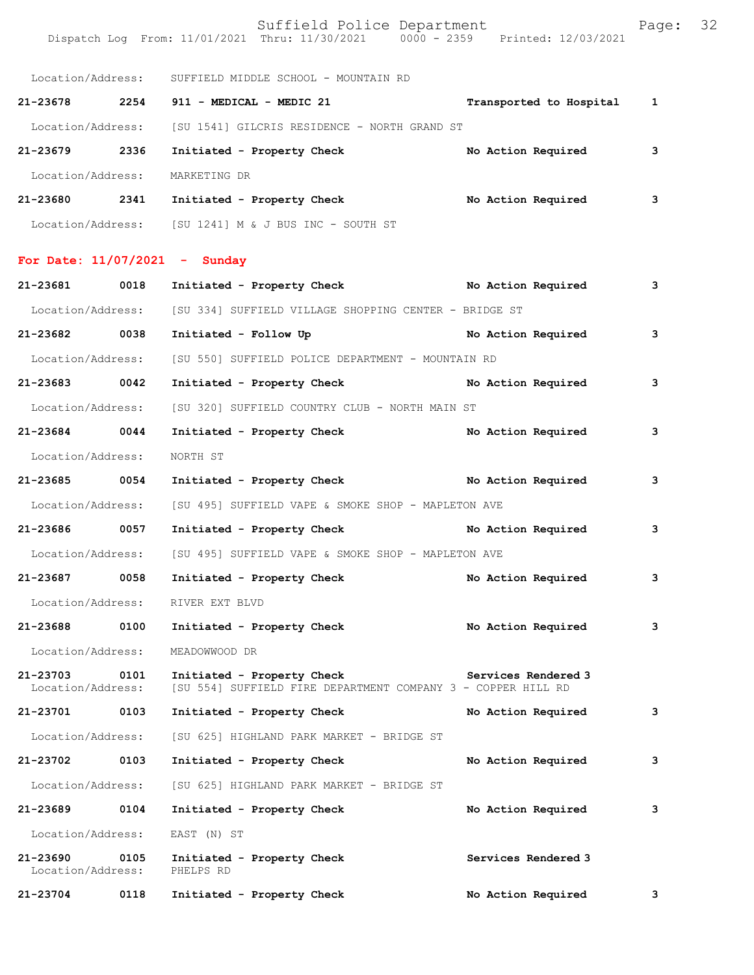|                                 |      | Suffield Police Department<br>Dispatch Log From: 11/01/2021 Thru: 11/30/2021 0000 - 2359 Printed: 12/03/2021 |                           | Page: | 32 |
|---------------------------------|------|--------------------------------------------------------------------------------------------------------------|---------------------------|-------|----|
|                                 |      | Location/Address: SUFFIELD MIDDLE SCHOOL - MOUNTAIN RD                                                       |                           |       |    |
|                                 |      | 21-23678 2254 911 - MEDICAL - MEDIC 21                                                                       | Transported to Hospital 1 |       |    |
|                                 |      | Location/Address: [SU 1541] GILCRIS RESIDENCE - NORTH GRAND ST                                               |                           |       |    |
| 21-23679 2336                   |      | Initiated - Property Check                                                                                   | No Action Required        | 3     |    |
| Location/Address:               |      | MARKETING DR                                                                                                 |                           |       |    |
|                                 |      | 21-23680 2341 Initiated - Property Check No Action Required                                                  |                           | 3     |    |
|                                 |      | Location/Address: [SU 1241] M & J BUS INC - SOUTH ST                                                         |                           |       |    |
| For Date: $11/07/2021$ - Sunday |      |                                                                                                              |                           |       |    |
| 21-23681 0018                   |      | Initiated - Property Check No Action Required                                                                |                           | 3     |    |
|                                 |      | Location/Address: [SU 334] SUFFIELD VILLAGE SHOPPING CENTER - BRIDGE ST                                      |                           |       |    |
| 21-23682 0038                   |      | Initiated - Follow Up                                                                                        | No Action Required        | 3     |    |
| Location/Address:               |      | [SU 550] SUFFIELD POLICE DEPARTMENT - MOUNTAIN RD                                                            |                           |       |    |
| 21-23683 0042                   |      | Initiated - Property Check No Action Required                                                                |                           | 3     |    |
| Location/Address:               |      | [SU 320] SUFFIELD COUNTRY CLUB - NORTH MAIN ST                                                               |                           |       |    |
| 21-23684 0044                   |      | Initiated - Property Check                                                                                   | No Action Required        | з     |    |
| Location/Address:               |      | NORTH ST                                                                                                     |                           |       |    |
| 21-23685 0054                   |      | Initiated - Property Check No Action Required                                                                |                           | 3     |    |
| Location/Address:               |      | [SU 495] SUFFIELD VAPE & SMOKE SHOP - MAPLETON AVE                                                           |                           |       |    |
| 21-23686 0057                   |      | Initiated - Property Check No Action Required                                                                |                           | 3     |    |
|                                 |      | Location/Address: [SU 495] SUFFIELD VAPE & SMOKE SHOP - MAPLETON AVE                                         |                           |       |    |
| 21-23687                        | 0058 | Initiated - Property Check                                                                                   | No Action Required        | 3     |    |
| Location/Address:               |      | RIVER EXT BLVD                                                                                               |                           |       |    |
| 21-23688                        | 0100 | Initiated - Property Check                                                                                   | No Action Required        | 3     |    |
| Location/Address:               |      | MEADOWWOOD DR                                                                                                |                           |       |    |
| 21-23703<br>Location/Address:   | 0101 | Initiated - Property Check<br>[SU 554] SUFFIELD FIRE DEPARTMENT COMPANY 3 - COPPER HILL RD                   | Services Rendered 3       |       |    |
| 21-23701                        | 0103 | Initiated - Property Check                                                                                   | No Action Required        | 3     |    |
| Location/Address:               |      | [SU 625] HIGHLAND PARK MARKET - BRIDGE ST                                                                    |                           |       |    |
| 21-23702                        | 0103 | Initiated - Property Check                                                                                   | No Action Required        | 3     |    |
| Location/Address:               |      | [SU 625] HIGHLAND PARK MARKET - BRIDGE ST                                                                    |                           |       |    |
| 21-23689                        | 0104 | Initiated - Property Check                                                                                   | No Action Required        | 3     |    |
| Location/Address:               |      | EAST (N) ST                                                                                                  |                           |       |    |
| 21-23690<br>Location/Address:   | 0105 | Initiated - Property Check<br>PHELPS RD                                                                      | Services Rendered 3       |       |    |
| 21-23704                        | 0118 | Initiated - Property Check                                                                                   | No Action Required        | 3     |    |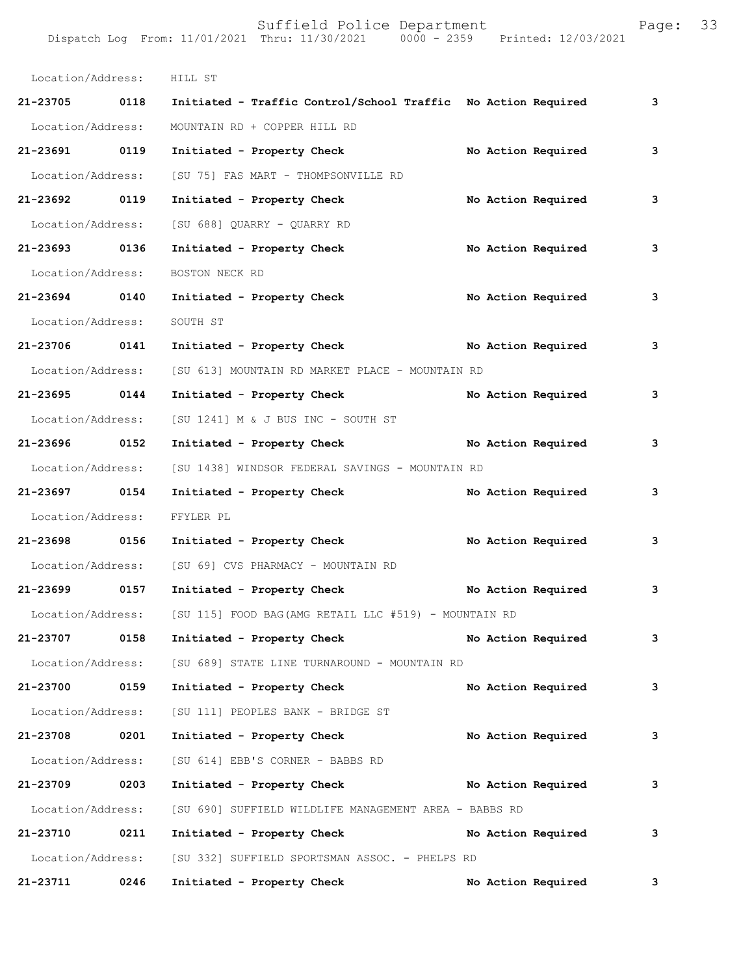| Location/Address: HILL ST |      |                                                                         |                    |   |
|---------------------------|------|-------------------------------------------------------------------------|--------------------|---|
| 21-23705 0118             |      | Initiated - Traffic Control/School Traffic No Action Required           |                    | 3 |
| Location/Address:         |      | MOUNTAIN RD + COPPER HILL RD                                            |                    |   |
| 21-23691 0119             |      | Initiated - Property Check                                              | No Action Required | 3 |
| Location/Address:         |      | [SU 75] FAS MART - THOMPSONVILLE RD                                     |                    |   |
| 21-23692 0119             |      | Initiated - Property Check                                              | No Action Required | 3 |
|                           |      | Location/Address: [SU 688] QUARRY - QUARRY RD                           |                    |   |
| 21-23693 0136             |      | Initiated - Property Check                                              | No Action Required | 3 |
| Location/Address:         |      | BOSTON NECK RD                                                          |                    |   |
| 21-23694 0140             |      | Initiated - Property Check                                              | No Action Required | 3 |
| Location/Address:         |      | SOUTH ST                                                                |                    |   |
| 21-23706 0141             |      | Initiated - Property Check No Action Required                           |                    | 3 |
| Location/Address:         |      | [SU 613] MOUNTAIN RD MARKET PLACE - MOUNTAIN RD                         |                    |   |
| 21-23695 0144             |      | Initiated - Property Check                                              | No Action Required | 3 |
| Location/Address:         |      | $[SU 1241]$ M & J BUS INC - SOUTH ST                                    |                    |   |
| 21-23696 0152             |      | Initiated - Property Check                                              | No Action Required | 3 |
| Location/Address:         |      | [SU 1438] WINDSOR FEDERAL SAVINGS - MOUNTAIN RD                         |                    |   |
| 21-23697 0154             |      | Initiated - Property Check                                              | No Action Required | 3 |
| Location/Address:         |      | FFYLER PL                                                               |                    |   |
| 21-23698 0156             |      | Initiated - Property Check                                              | No Action Required | 3 |
| Location/Address:         |      | [SU 69] CVS PHARMACY - MOUNTAIN RD                                      |                    |   |
| 21-23699                  | 0157 | Initiated - Property Check                                              | No Action Required | 3 |
|                           |      | Location/Address: [SU 115] FOOD BAG (AMG RETAIL LLC #519) - MOUNTAIN RD |                    |   |
| $21 - 23707$              | 0158 | Initiated - Property Check                                              | No Action Required | 3 |
|                           |      | Location/Address: [SU 689] STATE LINE TURNAROUND - MOUNTAIN RD          |                    |   |
| 21-23700 0159             |      | Initiated - Property Check                                              | No Action Required | 3 |
|                           |      | Location/Address: [SU 111] PEOPLES BANK - BRIDGE ST                     |                    |   |
| 21-23708 0201             |      | Initiated - Property Check                                              | No Action Required | 3 |
| Location/Address:         |      | [SU 614] EBB'S CORNER - BABBS RD                                        |                    |   |
| 21-23709                  | 0203 | Initiated - Property Check                                              | No Action Required | 3 |
|                           |      | Location/Address: [SU 690] SUFFIELD WILDLIFE MANAGEMENT AREA - BABBS RD |                    |   |
| 21-23710                  | 0211 | Initiated - Property Check                                              | No Action Required | 3 |
| Location/Address:         |      | [SU 332] SUFFIELD SPORTSMAN ASSOC. - PHELPS RD                          |                    |   |
| 21-23711                  | 0246 | Initiated - Property Check                                              | No Action Required | 3 |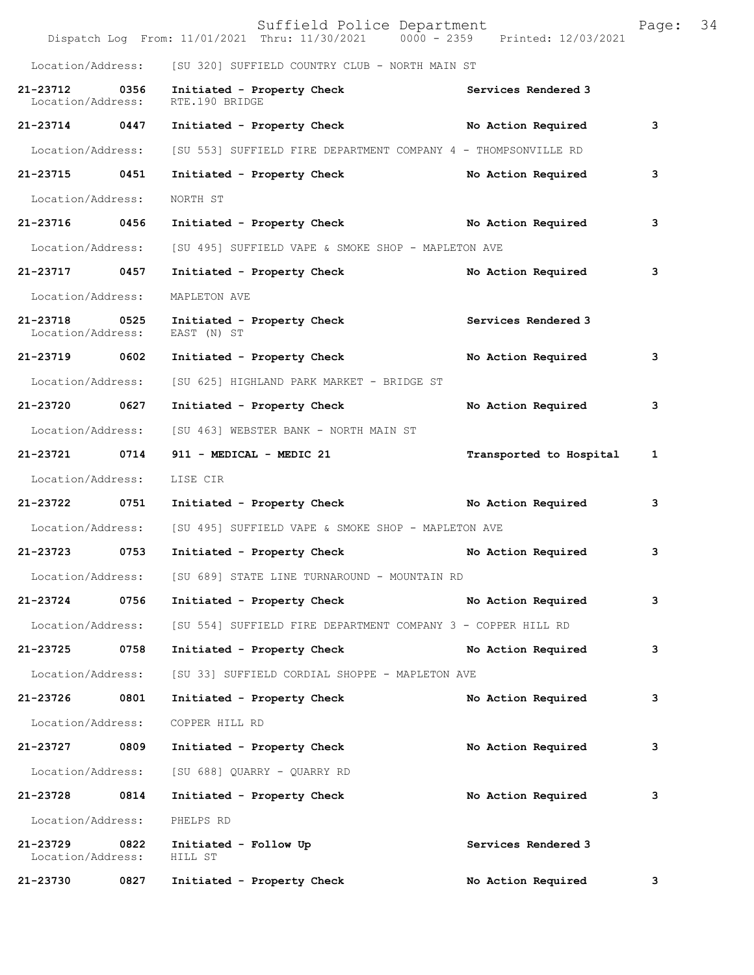|                                    |      | Suffield Police Department<br>Dispatch Log From: 11/01/2021 Thru: 11/30/2021 0000 - 2359 Printed: 12/03/2021 |                         | Page: | 34 |
|------------------------------------|------|--------------------------------------------------------------------------------------------------------------|-------------------------|-------|----|
|                                    |      | Location/Address: [SU 320] SUFFIELD COUNTRY CLUB - NORTH MAIN ST                                             |                         |       |    |
| 21-23712<br>Location/Address:      | 0356 | Initiated - Property Check<br>RTE.190 BRIDGE                                                                 | Services Rendered 3     |       |    |
| 21-23714 0447                      |      | Initiated - Property Check                                                                                   | No Action Required      | з     |    |
| Location/Address:                  |      | [SU 553] SUFFIELD FIRE DEPARTMENT COMPANY 4 - THOMPSONVILLE RD                                               |                         |       |    |
| 21-23715 0451                      |      | Initiated - Property Check                                                                                   | No Action Required      | 3     |    |
| Location/Address:                  |      | NORTH ST                                                                                                     |                         |       |    |
| 21-23716 0456                      |      | Initiated - Property Check No Action Required                                                                |                         | з     |    |
| Location/Address:                  |      | [SU 495] SUFFIELD VAPE & SMOKE SHOP - MAPLETON AVE                                                           |                         |       |    |
| 21-23717 0457                      |      | Initiated - Property Check                                                                                   | No Action Required      | з     |    |
| Location/Address:                  |      | MAPLETON AVE                                                                                                 |                         |       |    |
| 21-23718 0525<br>Location/Address: |      | Initiated - Property Check Services Rendered 3<br>EAST (N) ST                                                |                         |       |    |
| 21-23719                           | 0602 | Initiated - Property Check                                                                                   | No Action Required      | 3     |    |
| Location/Address:                  |      | [SU 625] HIGHLAND PARK MARKET - BRIDGE ST                                                                    |                         |       |    |
| 21-23720 0627                      |      | Initiated - Property Check                                                                                   | No Action Required      | 3     |    |
| Location/Address:                  |      | [SU 463] WEBSTER BANK - NORTH MAIN ST                                                                        |                         |       |    |
| 21-23721 0714                      |      | 911 - MEDICAL - MEDIC 21                                                                                     | Transported to Hospital | 1     |    |
| Location/Address:                  |      | LISE CIR                                                                                                     |                         |       |    |
| 21-23722 0751                      |      | Initiated - Property Check No Action Required                                                                |                         | 3     |    |
| Location/Address:                  |      | [SU 495] SUFFIELD VAPE & SMOKE SHOP - MAPLETON AVE                                                           |                         |       |    |
| 21-23723                           | 0753 | Initiated - Property Check                                                                                   | No Action Required      | 3     |    |
| Location/Address:                  |      | [SU 689] STATE LINE TURNAROUND - MOUNTAIN RD                                                                 |                         |       |    |
| 21-23724                           | 0756 | Initiated - Property Check                                                                                   | No Action Required      | 3     |    |
| Location/Address:                  |      | [SU 554] SUFFIELD FIRE DEPARTMENT COMPANY 3 - COPPER HILL RD                                                 |                         |       |    |
| 21-23725                           | 0758 | Initiated - Property Check                                                                                   | No Action Required      | 3     |    |
| Location/Address:                  |      | [SU 33] SUFFIELD CORDIAL SHOPPE - MAPLETON AVE                                                               |                         |       |    |
| 21-23726                           | 0801 | Initiated - Property Check                                                                                   | No Action Required      | з     |    |
| Location/Address:                  |      | COPPER HILL RD                                                                                               |                         |       |    |
| 21-23727                           | 0809 | Initiated - Property Check                                                                                   | No Action Required      | з     |    |
| Location/Address:                  |      | [SU 688] QUARRY - QUARRY RD                                                                                  |                         |       |    |
| 21-23728                           | 0814 | Initiated - Property Check                                                                                   | No Action Required      | з     |    |
| Location/Address:                  |      | PHELPS RD                                                                                                    |                         |       |    |
| 21-23729<br>Location/Address:      | 0822 | Initiated - Follow Up<br>HILL ST                                                                             | Services Rendered 3     |       |    |
| 21-23730                           | 0827 | Initiated - Property Check                                                                                   | No Action Required      | 3     |    |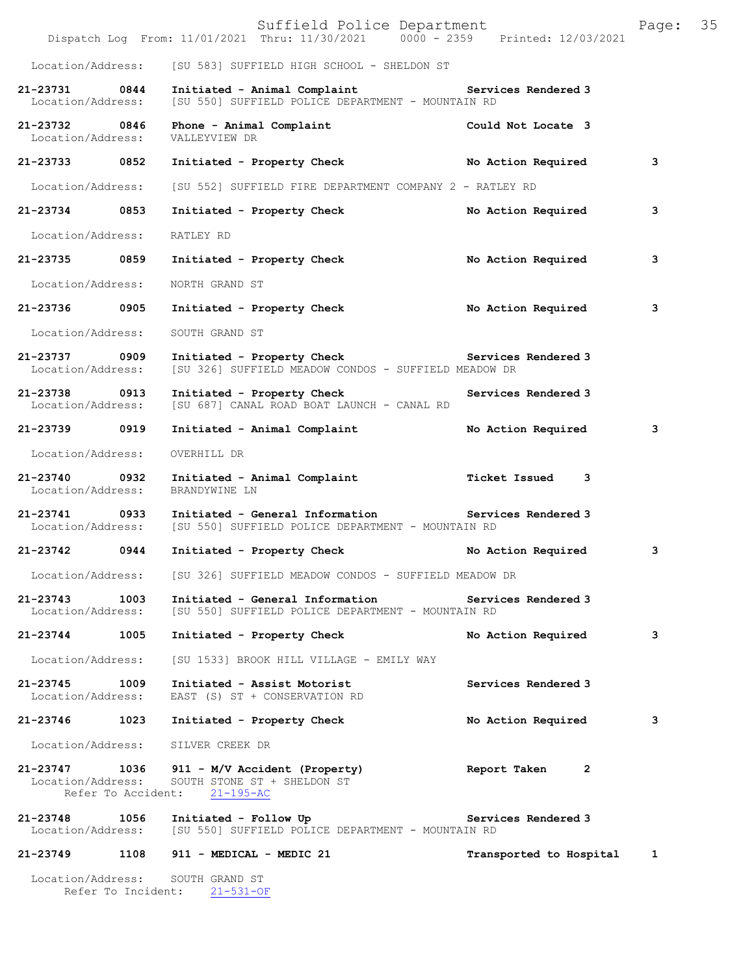|                                    |      | Suffield Police Department<br>Dispatch Log From: 11/01/2021 Thru: 11/30/2021 0000 - 2359 Printed: 12/03/2021 |                           | Page: | 35 |
|------------------------------------|------|--------------------------------------------------------------------------------------------------------------|---------------------------|-------|----|
|                                    |      | Location/Address: [SU 583] SUFFIELD HIGH SCHOOL - SHELDON ST                                                 |                           |       |    |
| 21-23731 0844<br>Location/Address: |      | Initiated - Animal Complaint<br>[SU 550] SUFFIELD POLICE DEPARTMENT - MOUNTAIN RD                            | Services Rendered 3       |       |    |
| 21-23732 0846<br>Location/Address: |      | Phone - Animal Complaint<br>VALLEYVIEW DR                                                                    | Could Not Locate 3        |       |    |
| 21-23733 0852                      |      | Initiated - Property Check No Action Required                                                                |                           | 3     |    |
| Location/Address:                  |      | [SU 552] SUFFIELD FIRE DEPARTMENT COMPANY 2 - RATLEY RD                                                      |                           |       |    |
| 21-23734 0853                      |      | Initiated - Property Check                                                                                   | No Action Required        | 3     |    |
| Location/Address:                  |      | RATLEY RD                                                                                                    |                           |       |    |
| 21-23735 0859                      |      | Initiated - Property Check                                                                                   | No Action Required        | 3     |    |
| Location/Address:                  |      | NORTH GRAND ST                                                                                               |                           |       |    |
| 21-23736 0905                      |      | Initiated - Property Check                                                                                   | No Action Required        | 3     |    |
| Location/Address:                  |      | SOUTH GRAND ST                                                                                               |                           |       |    |
| 21-23737 0909<br>Location/Address: |      | Initiated - Property Check Services Rendered 3<br>[SU 326] SUFFIELD MEADOW CONDOS - SUFFIELD MEADOW DR       |                           |       |    |
| 21-23738 0913<br>Location/Address: |      | Initiated - Property Check<br>[SU 687] CANAL ROAD BOAT LAUNCH - CANAL RD                                     | Services Rendered 3       |       |    |
| 21-23739 0919                      |      | Initiated - Animal Complaint                                                                                 | No Action Required        | 3     |    |
| Location/Address:                  |      | OVERHILL DR                                                                                                  |                           |       |    |
| 21-23740 0932<br>Location/Address: |      | Initiated - Animal Complaint<br>BRANDYWINE LN                                                                | <b>Ticket Issued</b><br>3 |       |    |
| 21-23741 0933<br>Location/Address: |      | Initiated - General Information Services Rendered 3<br>[SU 550] SUFFIELD POLICE DEPARTMENT - MOUNTAIN RD     |                           |       |    |
| $21 - 23742$                       | 0944 | Initiated - Property Check                                                                                   | No Action Required        | 3     |    |
| Location/Address:                  |      | [SU 326] SUFFIELD MEADOW CONDOS - SUFFIELD MEADOW DR                                                         |                           |       |    |
| 21-23743<br>Location/Address:      | 1003 | Initiated - General Information<br>[SU 550] SUFFIELD POLICE DEPARTMENT - MOUNTAIN RD                         | Services Rendered 3       |       |    |
| 21-23744 1005                      |      | Initiated - Property Check                                                                                   | No Action Required        | 3     |    |
| Location/Address:                  |      | [SU 1533] BROOK HILL VILLAGE - EMILY WAY                                                                     |                           |       |    |
| 21-23745<br>Location/Address:      | 1009 | Initiated - Assist Motorist<br>EAST (S) ST + CONSERVATION RD                                                 | Services Rendered 3       |       |    |
| 21-23746                           | 1023 | Initiated - Property Check                                                                                   | No Action Required        | 3     |    |
| Location/Address:                  |      | SILVER CREEK DR                                                                                              |                           |       |    |
| Location/Address:                  |      | 21-23747 1036 911 - M/V Accident (Property)<br>SOUTH STONE ST + SHELDON ST<br>Refer To Accident: 21-195-AC   | Report Taken<br>2         |       |    |
| 21-23748                           | 1056 | Initiated - Follow Up<br>Location/Address: [SU 550] SUFFIELD POLICE DEPARTMENT - MOUNTAIN RD                 | Services Rendered 3       |       |    |
| 21-23749                           |      | 1108 911 - MEDICAL - MEDIC 21                                                                                | Transported to Hospital   | 1     |    |
|                                    |      | Location/Address: SOUTH GRAND ST<br>Refer To Incident: 21-531-OF                                             |                           |       |    |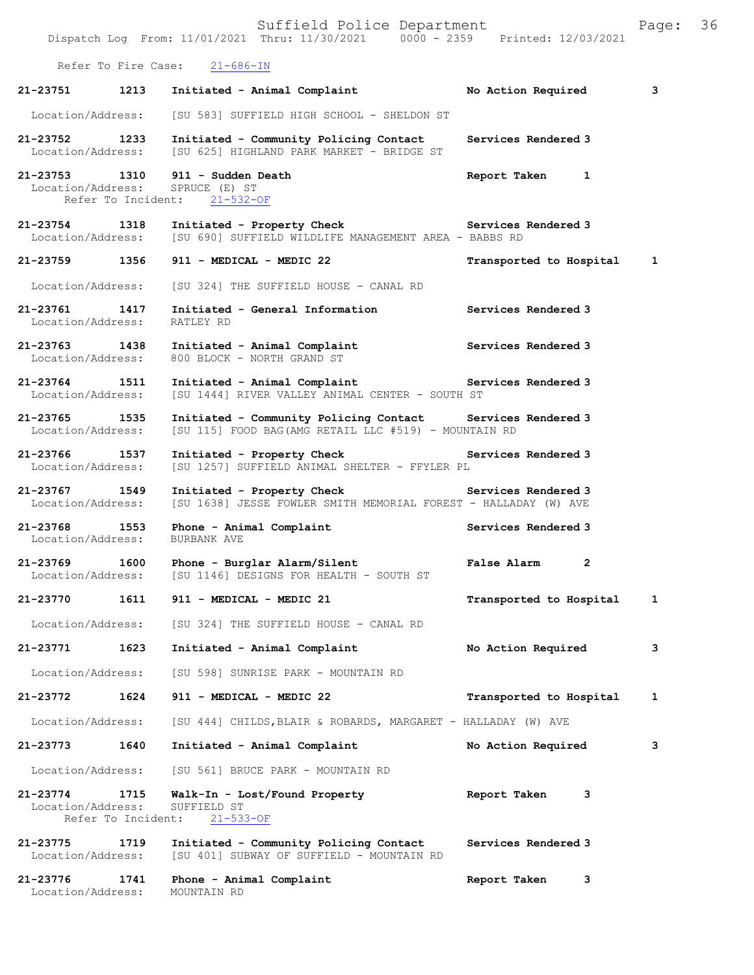|                                    |                            | Suffield Police Department<br>Dispatch Log From: 11/01/2021 Thru: 11/30/2021 0000 - 2359 Printed: 12/03/2021        |                               | Page: | 36 |
|------------------------------------|----------------------------|---------------------------------------------------------------------------------------------------------------------|-------------------------------|-------|----|
|                                    |                            | Refer To Fire Case: 21-686-IN                                                                                       |                               |       |    |
| 21-23751                           | 1213                       | Initiated - Animal Complaint                                                                                        | No Action Required            | 3     |    |
| Location/Address:                  |                            | [SU 583] SUFFIELD HIGH SCHOOL - SHELDON ST                                                                          |                               |       |    |
| 21-23752<br>Location/Address:      | 1233                       | Initiated - Community Policing Contact<br>[SU 625] HIGHLAND PARK MARKET - BRIDGE ST                                 | Services Rendered 3           |       |    |
| 21-23753 1310<br>Location/Address: |                            | 911 - Sudden Death<br>SPRUCE (E) ST<br>Refer To Incident: 21-532-OF                                                 | Report Taken<br>1             |       |    |
| 21-23754 1318<br>Location/Address: |                            | Initiated - Property Check Services Rendered 3<br>[SU 690] SUFFIELD WILDLIFE MANAGEMENT AREA - BABBS RD             |                               |       |    |
| 21-23759 1356                      |                            | 911 - MEDICAL - MEDIC 22                                                                                            | Transported to Hospital       | 1     |    |
| Location/Address:                  |                            | [SU 324] THE SUFFIELD HOUSE - CANAL RD                                                                              |                               |       |    |
| 21-23761 1417<br>Location/Address: |                            | Initiated - General Information<br>RATLEY RD                                                                        | Services Rendered 3           |       |    |
| 21-23763 1438<br>Location/Address: |                            | Initiated - Animal Complaint<br>800 BLOCK - NORTH GRAND ST                                                          | Services Rendered 3           |       |    |
| 21-23764 1511<br>Location/Address: |                            | Initiated - Animal Complaint Services Rendered 3<br>[SU 1444] RIVER VALLEY ANIMAL CENTER - SOUTH ST                 |                               |       |    |
| 21-23765 1535<br>Location/Address: |                            | Initiated - Community Policing Contact Services Rendered 3<br>[SU 115] FOOD BAG (AMG RETAIL LLC #519) - MOUNTAIN RD |                               |       |    |
| 21-23766 1537<br>Location/Address: |                            | Initiated - Property Check<br>[SU 1257] SUFFIELD ANIMAL SHELTER - FFYLER PL                                         | Services Rendered 3           |       |    |
| 21-23767 1549<br>Location/Address: |                            | Initiated - Property Check Services Rendered 3<br>[SU 1638] JESSE FOWLER SMITH MEMORIAL FOREST - HALLADAY (W) AVE   |                               |       |    |
| 21-23768<br>Location/Address:      | 1553                       | Phone - Animal Complaint<br>BURBANK AVE                                                                             | Services Rendered 3           |       |    |
| 21-23769<br>Location/Address:      | 1600                       | Phone - Burglar Alarm/Silent<br>[SU 1146] DESIGNS FOR HEALTH - SOUTH ST                                             | $\overline{2}$<br>False Alarm |       |    |
| 21-23770                           | 1611                       | 911 - MEDICAL - MEDIC 21                                                                                            | Transported to Hospital       | 1     |    |
| Location/Address:                  |                            | [SU 324] THE SUFFIELD HOUSE - CANAL RD                                                                              |                               |       |    |
| 21-23771                           | 1623                       | Initiated - Animal Complaint                                                                                        | No Action Required            | 3     |    |
| Location/Address:                  |                            | [SU 598] SUNRISE PARK - MOUNTAIN RD                                                                                 |                               |       |    |
| 21-23772                           | 1624                       | 911 - MEDICAL - MEDIC 22                                                                                            | Transported to Hospital       | 1     |    |
| Location/Address:                  |                            | [SU 444] CHILDS, BLAIR & ROBARDS, MARGARET - HALLADAY (W) AVE                                                       |                               |       |    |
| 21-23773                           | 1640                       | Initiated - Animal Complaint                                                                                        | No Action Required            | 3     |    |
| Location/Address:                  |                            | [SU 561] BRUCE PARK - MOUNTAIN RD                                                                                   |                               |       |    |
| 21-23774<br>Location/Address:      | 1715<br>Refer To Incident: | Walk-In - Lost/Found Property<br>SUFFIELD ST<br>$21 - 533 - OF$                                                     | Report Taken<br>3             |       |    |
| 21-23775<br>Location/Address:      | 1719                       | Initiated - Community Policing Contact<br>[SU 401] SUBWAY OF SUFFIELD - MOUNTAIN RD                                 | Services Rendered 3           |       |    |
| 21-23776                           | 1741                       | Phone - Animal Complaint                                                                                            | Report Taken<br>3             |       |    |

Location/Address: MOUNTAIN RD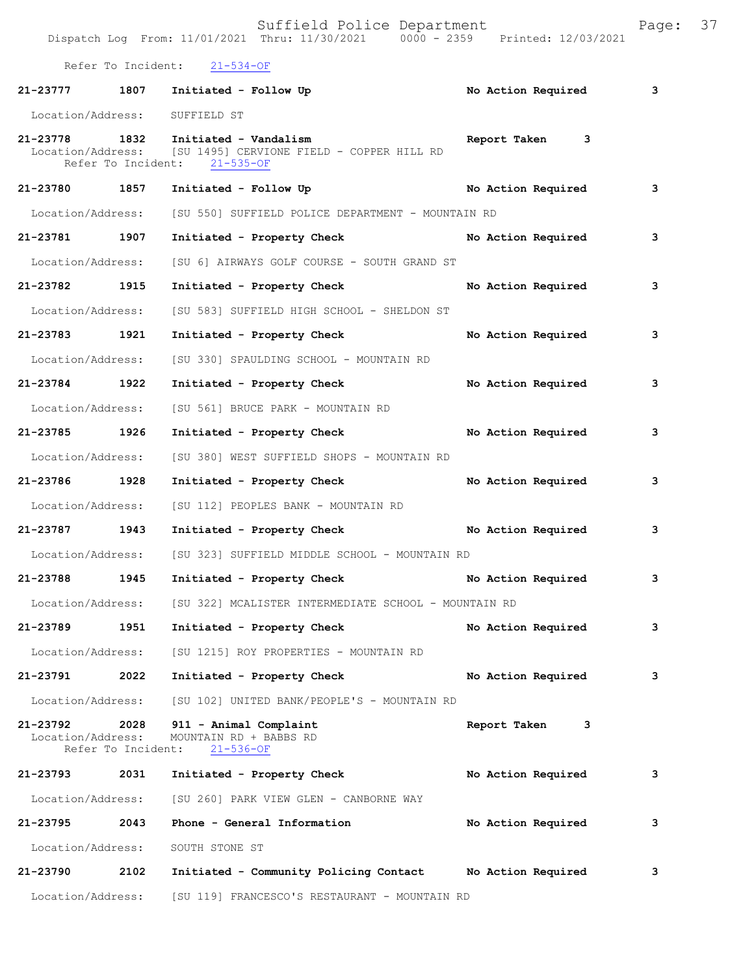|                               |                            | Refer To Incident: 21-534-OF                                                                                                       |                      |                         |
|-------------------------------|----------------------------|------------------------------------------------------------------------------------------------------------------------------------|----------------------|-------------------------|
|                               |                            | 21-23777 1807 Initiated - Follow Up                                                                                                | No Action Required 3 |                         |
| Location/Address: SUFFIELD ST |                            |                                                                                                                                    |                      |                         |
|                               |                            | 21-23778 1832 Initiated - Vandalism<br>Location/Address: [SU 1495] CERVIONE FIELD - COPPER HILL RD<br>Refer To Incident: 21-535-OF | Report Taken 3       |                         |
|                               |                            | 21-23780 1857 Initiated - Follow Up                                                                                                | No Action Required   | $\overline{\mathbf{3}}$ |
|                               |                            | Location/Address: [SU 550] SUFFIELD POLICE DEPARTMENT - MOUNTAIN RD                                                                |                      |                         |
| 21-23781 1907                 |                            | Initiated - Property Check No Action Required                                                                                      |                      | 3                       |
|                               |                            | Location/Address: [SU 6] AIRWAYS GOLF COURSE - SOUTH GRAND ST                                                                      |                      |                         |
| 21-23782 1915                 |                            | Initiated - Property Check                                                                                                         | No Action Required   | 3                       |
| Location/Address:             |                            | [SU 583] SUFFIELD HIGH SCHOOL - SHELDON ST                                                                                         |                      |                         |
| 21-23783 1921                 |                            | Initiated - Property Check                                                                                                         | No Action Required   | 3                       |
| Location/Address:             |                            | [SU 330] SPAULDING SCHOOL - MOUNTAIN RD                                                                                            |                      |                         |
| 21-23784 1922                 |                            | Initiated - Property Check                                                                                                         | No Action Required   | 3                       |
|                               |                            | Location/Address: [SU 561] BRUCE PARK - MOUNTAIN RD                                                                                |                      |                         |
| 21-23785 1926                 |                            | Initiated - Property Check                                                                                                         | No Action Required   | 3                       |
| Location/Address:             |                            | [SU 380] WEST SUFFIELD SHOPS - MOUNTAIN RD                                                                                         |                      |                         |
| 21-23786 1928                 |                            | Initiated - Property Check                                                                                                         | No Action Required   | 3                       |
|                               |                            | Location/Address: [SU 112] PEOPLES BANK - MOUNTAIN RD                                                                              |                      |                         |
| 21-23787 1943                 |                            | Initiated - Property Check No Action Required                                                                                      |                      | 3                       |
|                               |                            | Location/Address: [SU 323] SUFFIELD MIDDLE SCHOOL - MOUNTAIN RD                                                                    |                      |                         |
| 21-23788 1945                 |                            | Initiated - Property Check                                                                                                         | No Action Required   | 3                       |
|                               |                            | Location/Address: [SU 322] MCALISTER INTERMEDIATE SCHOOL - MOUNTAIN RD                                                             |                      |                         |
| 21-23789                      | 1951                       | Initiated - Property Check                                                                                                         | No Action Required   | 3                       |
|                               |                            | Location/Address: [SU 1215] ROY PROPERTIES - MOUNTAIN RD                                                                           |                      |                         |
| 21-23791                      | 2022                       | Initiated - Property Check                                                                                                         | No Action Required   | 3                       |
| Location/Address:             |                            | [SU 102] UNITED BANK/PEOPLE'S - MOUNTAIN RD                                                                                        |                      |                         |
| 21-23792<br>Location/Address: | 2028<br>Refer To Incident: | 911 - Animal Complaint<br>MOUNTAIN RD + BABBS RD<br>$21 - 536 - OF$                                                                | Report Taken<br>3    |                         |
| 21-23793 2031                 |                            | Initiated - Property Check                                                                                                         | No Action Required   | 3                       |
|                               |                            | Location/Address: [SU 260] PARK VIEW GLEN - CANBORNE WAY                                                                           |                      |                         |
| 21-23795                      | 2043                       | Phone - General Information                                                                                                        | No Action Required   | 3                       |
|                               |                            | Location/Address: SOUTH STONE ST                                                                                                   |                      |                         |
| 21-23790                      | 2102                       | Initiated - Community Policing Contact                                                                                             | No Action Required   | 3                       |
|                               |                            |                                                                                                                                    |                      |                         |

Location/Address: [SU 119] FRANCESCO'S RESTAURANT - MOUNTAIN RD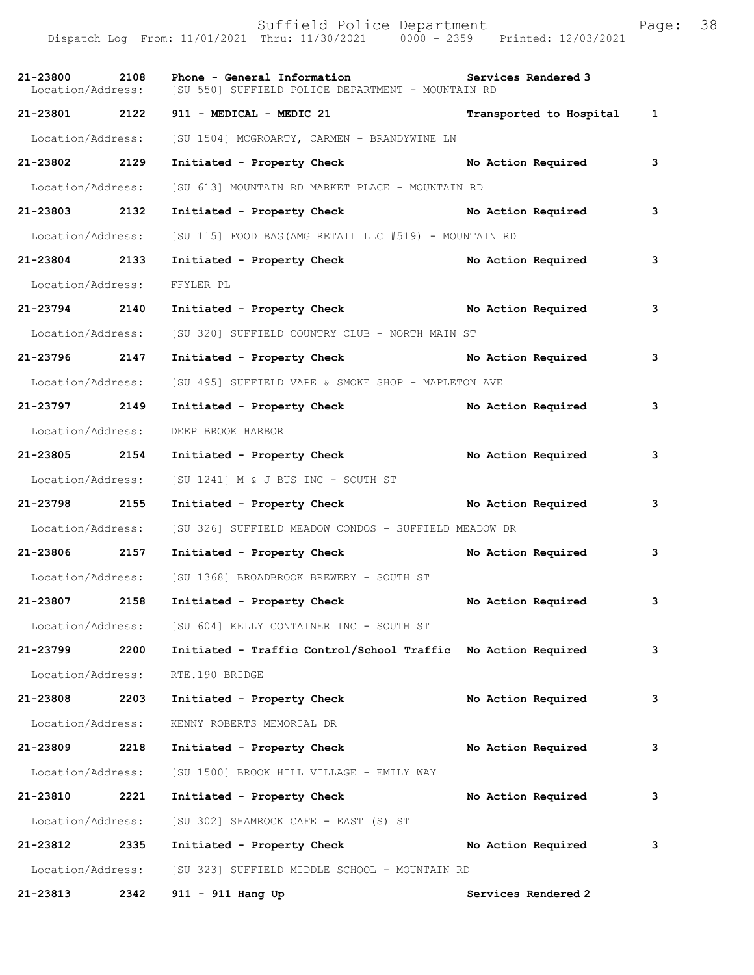Suffield Police Department Page: 38 Dispatch Log From: 11/01/2021 Thru: 11/30/2021 0000 - 2359 Printed: 12/03/2021 21-23800 2108 Phone - General Information **Services Rendered 3** Location/Address: [SU 550] SUFFIELD POLICE DEPARTMENT - MOUNTAIN RD [SU 550] SUFFIELD POLICE DEPARTMENT - MOUNTAIN RD **21-23801 2122 911 - MEDICAL - MEDIC 21 Transported to Hospital 1** Location/Address: [SU 1504] MCGROARTY, CARMEN - BRANDYWINE LN **21-23802 2129 Initiated - Property Check No Action Required 3**

Location/Address: [SU 613] MOUNTAIN RD MARKET PLACE - MOUNTAIN RD

**21-23803 2132 Initiated - Property Check No Action Required 3** Location/Address: [SU 115] FOOD BAG(AMG RETAIL LLC #519) - MOUNTAIN RD **21-23804 2133 Initiated - Property Check No Action Required 3** Location/Address: FFYLER PL **21-23794 2140 Initiated - Property Check No Action Required 3** Location/Address: [SU 320] SUFFIELD COUNTRY CLUB - NORTH MAIN ST **21-23796 2147 Initiated - Property Check No Action Required 3** Location/Address: [SU 495] SUFFIELD VAPE & SMOKE SHOP - MAPLETON AVE **21-23797 2149 Initiated - Property Check No Action Required 3** Location/Address: DEEP BROOK HARBOR **21-23805 2154 Initiated - Property Check No Action Required 3** Location/Address: [SU 1241] M & J BUS INC - SOUTH ST **21-23798 2155 Initiated - Property Check No Action Required 3** Location/Address: [SU 326] SUFFIELD MEADOW CONDOS - SUFFIELD MEADOW DR **21-23806 2157 Initiated - Property Check No Action Required 3** Location/Address: [SU 1368] BROADBROOK BREWERY - SOUTH ST **21-23807 2158 Initiated - Property Check No Action Required 3**

 Location/Address: [SU 604] KELLY CONTAINER INC - SOUTH ST **21-23799 2200 Initiated - Traffic Control/School Traffic No Action Required 3** Location/Address: RTE.190 BRIDGE **21-23808 2203 Initiated - Property Check No Action Required 3** Location/Address: KENNY ROBERTS MEMORIAL DR **21-23809 2218 Initiated - Property Check No Action Required 3** Location/Address: [SU 1500] BROOK HILL VILLAGE - EMILY WAY **21-23810 2221 Initiated - Property Check No Action Required 3**

 Location/Address: [SU 302] SHAMROCK CAFE - EAST (S) ST **21-23812 2335 Initiated - Property Check No Action Required 3** Location/Address: [SU 323] SUFFIELD MIDDLE SCHOOL - MOUNTAIN RD **21-23813 2342 911 - 911 Hang Up Services Rendered 2**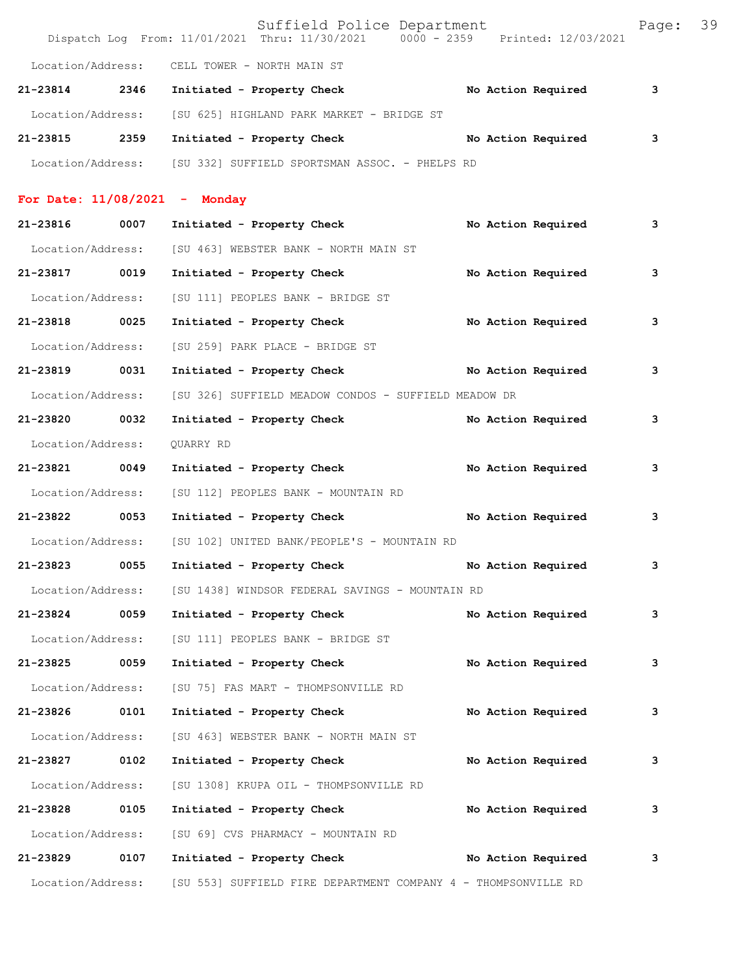|                                    |      | Suffield Police Department<br>Dispatch Log From: 11/01/2021 Thru: 11/30/2021 0000 - 2359 Printed: 12/03/2021 |  |                    | Page: 39 |  |
|------------------------------------|------|--------------------------------------------------------------------------------------------------------------|--|--------------------|----------|--|
|                                    |      | Location/Address: CELL TOWER - NORTH MAIN ST                                                                 |  |                    |          |  |
| 21-23814 2346                      |      | Initiated - Property Check No Action Required                                                                |  |                    | 3        |  |
| Location/Address:                  |      | [SU 625] HIGHLAND PARK MARKET - BRIDGE ST                                                                    |  |                    |          |  |
| 21-23815 2359                      |      | Initiated - Property Check                                                                                   |  | No Action Required | 3        |  |
|                                    |      | Location/Address: [SU 332] SUFFIELD SPORTSMAN ASSOC. - PHELPS RD                                             |  |                    |          |  |
|                                    |      | For Date: $11/08/2021$ - Monday                                                                              |  |                    |          |  |
| 21-23816 0007                      |      | Initiated - Property Check                                                                                   |  | No Action Required | 3        |  |
|                                    |      | Location/Address: [SU 463] WEBSTER BANK - NORTH MAIN ST                                                      |  |                    |          |  |
| 21-23817 0019                      |      | Initiated - Property Check                                                                                   |  | No Action Required | 3        |  |
| Location/Address:                  |      |                                                                                                              |  |                    |          |  |
| 21-23818 0025                      |      | [SU 111] PEOPLES BANK - BRIDGE ST<br>Initiated - Property Check                                              |  |                    | 3        |  |
|                                    |      | [SU 259] PARK PLACE - BRIDGE ST                                                                              |  | No Action Required |          |  |
| Location/Address:<br>21-23819 0031 |      |                                                                                                              |  |                    |          |  |
|                                    |      | Initiated - Property Check No Action Required                                                                |  |                    | 3        |  |
| Location/Address:                  |      | [SU 326] SUFFIELD MEADOW CONDOS - SUFFIELD MEADOW DR                                                         |  |                    |          |  |
| 21-23820 0032                      |      | Initiated - Property Check                                                                                   |  | No Action Required | 3        |  |
| Location/Address:                  |      | QUARRY RD                                                                                                    |  |                    |          |  |
| 21-23821 0049                      |      | Initiated - Property Check                                                                                   |  | No Action Required | 3        |  |
| Location/Address:                  |      | [SU 112] PEOPLES BANK - MOUNTAIN RD                                                                          |  |                    |          |  |
| 21-23822 0053                      |      | Initiated - Property Check No Action Required                                                                |  |                    | 3        |  |
| Location/Address:                  |      | [SU 102] UNITED BANK/PEOPLE'S - MOUNTAIN RD                                                                  |  |                    |          |  |
| 21-23823                           | 0055 | Initiated - Property Check                                                                                   |  | No Action Required | 3        |  |
| Location/Address:                  |      | [SU 1438] WINDSOR FEDERAL SAVINGS - MOUNTAIN RD                                                              |  |                    |          |  |
| 21-23824 0059                      |      | Initiated - Property Check                                                                                   |  | No Action Required | 3        |  |
| Location/Address:                  |      | [SU 111] PEOPLES BANK - BRIDGE ST                                                                            |  |                    |          |  |
| 21-23825                           | 0059 | Initiated - Property Check                                                                                   |  | No Action Required | 3        |  |
| Location/Address:                  |      | [SU 75] FAS MART - THOMPSONVILLE RD                                                                          |  |                    |          |  |
| 21-23826                           | 0101 | Initiated - Property Check                                                                                   |  | No Action Required | 3        |  |
| Location/Address:                  |      | [SU 463] WEBSTER BANK - NORTH MAIN ST                                                                        |  |                    |          |  |
| 21-23827 0102                      |      | Initiated - Property Check                                                                                   |  | No Action Required | 3        |  |
| Location/Address:                  |      | [SU 1308] KRUPA OIL - THOMPSONVILLE RD                                                                       |  |                    |          |  |
| 21-23828                           | 0105 | Initiated - Property Check                                                                                   |  | No Action Required | 3        |  |
| Location/Address:                  |      | [SU 69] CVS PHARMACY - MOUNTAIN RD                                                                           |  |                    |          |  |
| 21-23829                           | 0107 | Initiated - Property Check                                                                                   |  | No Action Required | 3        |  |
| Location/Address:                  |      | [SU 553] SUFFIELD FIRE DEPARTMENT COMPANY 4 - THOMPSONVILLE RD                                               |  |                    |          |  |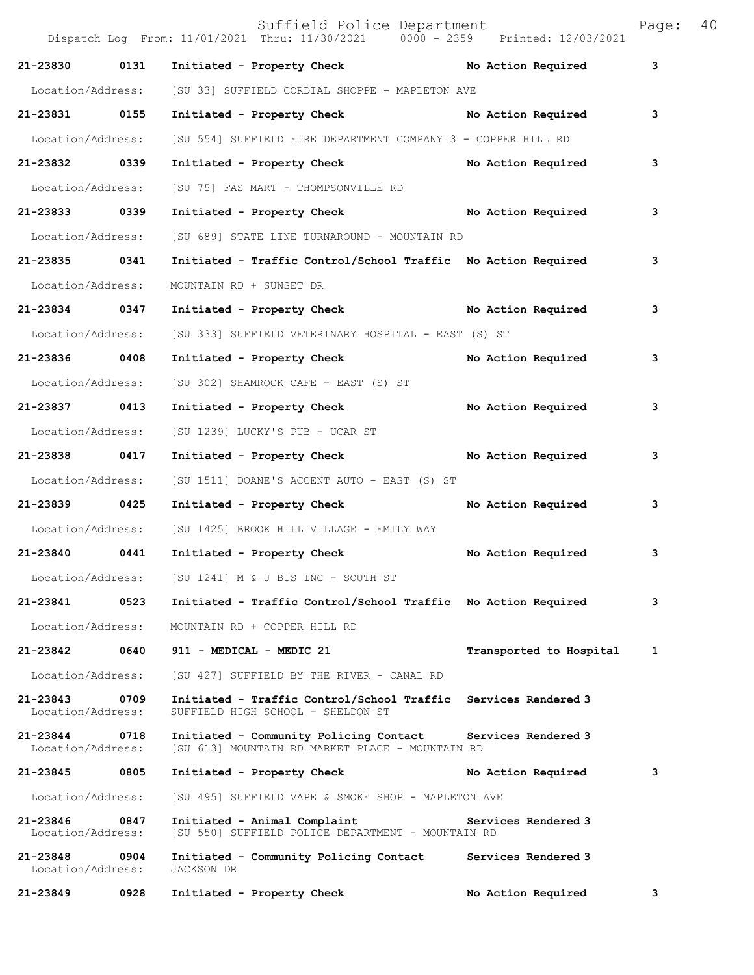|                               |      | Suffield Police Department<br>Dispatch Log From: 11/01/2021 Thru: 11/30/2021 0000 - 2359 Printed: 12/03/2021 |                         | Page: | 40 |
|-------------------------------|------|--------------------------------------------------------------------------------------------------------------|-------------------------|-------|----|
| 21-23830                      | 0131 | Initiated - Property Check No Action Required                                                                |                         | 3     |    |
| Location/Address:             |      | [SU 33] SUFFIELD CORDIAL SHOPPE - MAPLETON AVE                                                               |                         |       |    |
| 21-23831 0155                 |      | Initiated - Property Check No Action Required                                                                |                         | 3     |    |
| Location/Address:             |      | [SU 554] SUFFIELD FIRE DEPARTMENT COMPANY 3 - COPPER HILL RD                                                 |                         |       |    |
| 21-23832 0339                 |      | Initiated - Property Check No Action Required                                                                |                         | 3     |    |
| Location/Address:             |      | [SU 75] FAS MART - THOMPSONVILLE RD                                                                          |                         |       |    |
| 21-23833 0339                 |      | Initiated - Property Check No Action Required                                                                |                         | 3     |    |
| Location/Address:             |      | [SU 689] STATE LINE TURNAROUND - MOUNTAIN RD                                                                 |                         |       |    |
| 21-23835 0341                 |      | Initiated - Traffic Control/School Traffic No Action Required                                                |                         | 3     |    |
| Location/Address:             |      | MOUNTAIN RD + SUNSET DR                                                                                      |                         |       |    |
| 21-23834 0347                 |      | Initiated - Property Check No Action Required                                                                |                         | 3     |    |
| Location/Address:             |      | [SU 333] SUFFIELD VETERINARY HOSPITAL - EAST (S) ST                                                          |                         |       |    |
| 21-23836 0408                 |      | Initiated - Property Check No Action Required                                                                |                         | 3     |    |
| Location/Address:             |      | [SU 302] SHAMROCK CAFE - EAST (S) ST                                                                         |                         |       |    |
| 21-23837 0413                 |      | Initiated - Property Check                                                                                   | No Action Required      | 3     |    |
| Location/Address:             |      | [SU 1239] LUCKY'S PUB - UCAR ST                                                                              |                         |       |    |
| 21-23838 0417                 |      | Initiated - Property Check No Action Required                                                                |                         | 3     |    |
| Location/Address:             |      | [SU 1511] DOANE'S ACCENT AUTO - EAST (S) ST                                                                  |                         |       |    |
| $21 - 23839$                  | 0425 | Initiated - Property Check                                                                                   | No Action Required      | 3     |    |
| Location/Address:             |      | [SU 1425] BROOK HILL VILLAGE - EMILY WAY                                                                     |                         |       |    |
| 21-23840 0441                 |      | Initiated - Property Check                                                                                   | No Action Required      | 3     |    |
| Location/Address:             |      | [SU 1241] M & J BUS INC - SOUTH ST                                                                           |                         |       |    |
| 21-23841                      | 0523 | Initiated - Traffic Control/School Traffic No Action Required                                                |                         | 3     |    |
| Location/Address:             |      | MOUNTAIN RD + COPPER HILL RD                                                                                 |                         |       |    |
| 21-23842                      | 0640 | 911 - MEDICAL - MEDIC 21                                                                                     | Transported to Hospital | 1     |    |
| Location/Address:             |      | [SU 427] SUFFIELD BY THE RIVER - CANAL RD                                                                    |                         |       |    |
| 21-23843<br>Location/Address: | 0709 | Initiated - Traffic Control/School Traffic Services Rendered 3<br>SUFFIELD HIGH SCHOOL - SHELDON ST          |                         |       |    |
| 21-23844<br>Location/Address: | 0718 | Initiated - Community Policing Contact<br>[SU 613] MOUNTAIN RD MARKET PLACE - MOUNTAIN RD                    | Services Rendered 3     |       |    |
| 21-23845                      | 0805 | Initiated - Property Check                                                                                   | No Action Required      | 3     |    |
| Location/Address:             |      | [SU 495] SUFFIELD VAPE & SMOKE SHOP - MAPLETON AVE                                                           |                         |       |    |
| 21-23846<br>Location/Address: | 0847 | Initiated - Animal Complaint<br>[SU 550] SUFFIELD POLICE DEPARTMENT - MOUNTAIN RD                            | Services Rendered 3     |       |    |
| 21-23848<br>Location/Address: | 0904 | Initiated - Community Policing Contact<br>JACKSON DR                                                         | Services Rendered 3     |       |    |
| 21-23849                      | 0928 | Initiated - Property Check                                                                                   | No Action Required      | 3     |    |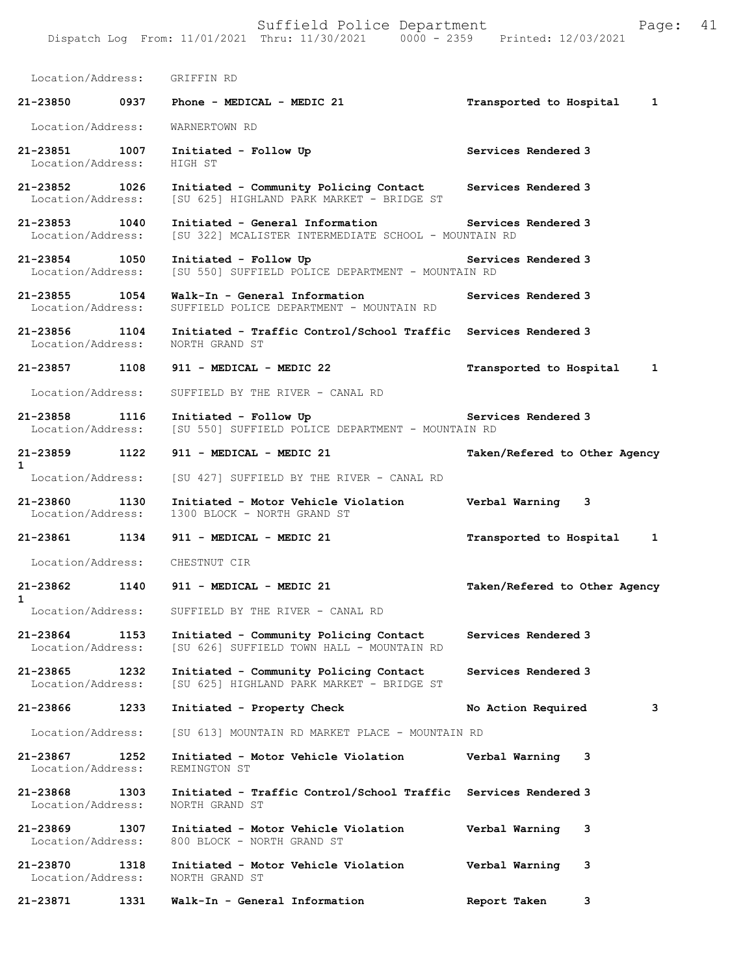| Location/Address:                  |      | GRIFFIN RD                                                                                                                    |                               |
|------------------------------------|------|-------------------------------------------------------------------------------------------------------------------------------|-------------------------------|
|                                    |      | 21-23850 0937 Phone - MEDICAL - MEDIC 21                                                                                      | Transported to Hospital<br>1  |
| Location/Address:                  |      | WARNERTOWN RD                                                                                                                 |                               |
| 21-23851 1007<br>Location/Address: |      | Initiated - Follow Up<br>HIGH ST                                                                                              | Services Rendered 3           |
| 21-23852 1026<br>Location/Address: |      | Initiated - Community Policing Contact<br>[SU 625] HIGHLAND PARK MARKET - BRIDGE ST                                           | Services Rendered 3           |
| 21-23853 1040                      |      | Initiated - General Information Services Rendered 3<br>Location/Address: [SU 322] MCALISTER INTERMEDIATE SCHOOL - MOUNTAIN RD |                               |
| 21-23854 1050                      |      | Initiated - Follow Up<br>Location/Address: [SU 550] SUFFIELD POLICE DEPARTMENT - MOUNTAIN RD                                  | Services Rendered 3           |
| 21-23855 1054<br>Location/Address: |      | Walk-In - General Information<br>SUFFIELD POLICE DEPARTMENT - MOUNTAIN RD                                                     | Services Rendered 3           |
| 21-23856 1104<br>Location/Address: |      | Initiated - Traffic Control/School Traffic Services Rendered 3<br>NORTH GRAND ST                                              |                               |
| 21-23857 1108                      |      | 911 - MEDICAL - MEDIC 22                                                                                                      | Transported to Hospital<br>1  |
| Location/Address:                  |      | SUFFIELD BY THE RIVER - CANAL RD                                                                                              |                               |
| 21-23858 1116                      |      | Initiated - Follow Up<br>Location/Address: [SU 550] SUFFIELD POLICE DEPARTMENT - MOUNTAIN RD                                  | Services Rendered 3           |
| 21-23859 1122<br>$\mathbf{1}$      |      | 911 - MEDICAL - MEDIC 21                                                                                                      | Taken/Refered to Other Agency |
|                                    |      | Location/Address: [SU 427] SUFFIELD BY THE RIVER - CANAL RD                                                                   |                               |
| 21-23860 1130<br>Location/Address: |      | Initiated - Motor Vehicle Violation<br>1300 BLOCK - NORTH GRAND ST                                                            | Verbal Warning 3              |
| 21-23861 1134                      |      | 911 - MEDICAL - MEDIC 21                                                                                                      | Transported to Hospital<br>1  |
|                                    |      | Location/Address: CHESTNUT CIR                                                                                                |                               |
| 21-23862 1140<br>$\mathbf{1}$      |      | 911 - MEDICAL - MEDIC 21                                                                                                      | Taken/Refered to Other Agency |
|                                    |      | Location/Address: SUFFIELD BY THE RIVER - CANAL RD                                                                            |                               |
| 21-23864<br>Location/Address:      | 1153 | Initiated - Community Policing Contact<br>[SU 626] SUFFIELD TOWN HALL - MOUNTAIN RD                                           | Services Rendered 3           |
| 21-23865<br>Location/Address:      | 1232 | Initiated - Community Policing Contact<br>[SU 625] HIGHLAND PARK MARKET - BRIDGE ST                                           | Services Rendered 3           |
| 21-23866                           | 1233 | Initiated - Property Check                                                                                                    | No Action Required<br>3       |
| Location/Address:                  |      | [SU 613] MOUNTAIN RD MARKET PLACE - MOUNTAIN RD                                                                               |                               |
| 21-23867<br>Location/Address:      | 1252 | Initiated - Motor Vehicle Violation<br>REMINGTON ST                                                                           | Verbal Warning<br>3           |
| 21-23868<br>Location/Address:      | 1303 | Initiated - Traffic Control/School Traffic<br>NORTH GRAND ST                                                                  | Services Rendered 3           |
| 21-23869<br>Location/Address:      | 1307 | Initiated - Motor Vehicle Violation<br>800 BLOCK - NORTH GRAND ST                                                             | Verbal Warning<br>3           |
| 21-23870<br>Location/Address:      | 1318 | Initiated - Motor Vehicle Violation<br>NORTH GRAND ST                                                                         | 3<br>Verbal Warning           |
| 21-23871                           | 1331 | Walk-In - General Information                                                                                                 | Report Taken<br>3             |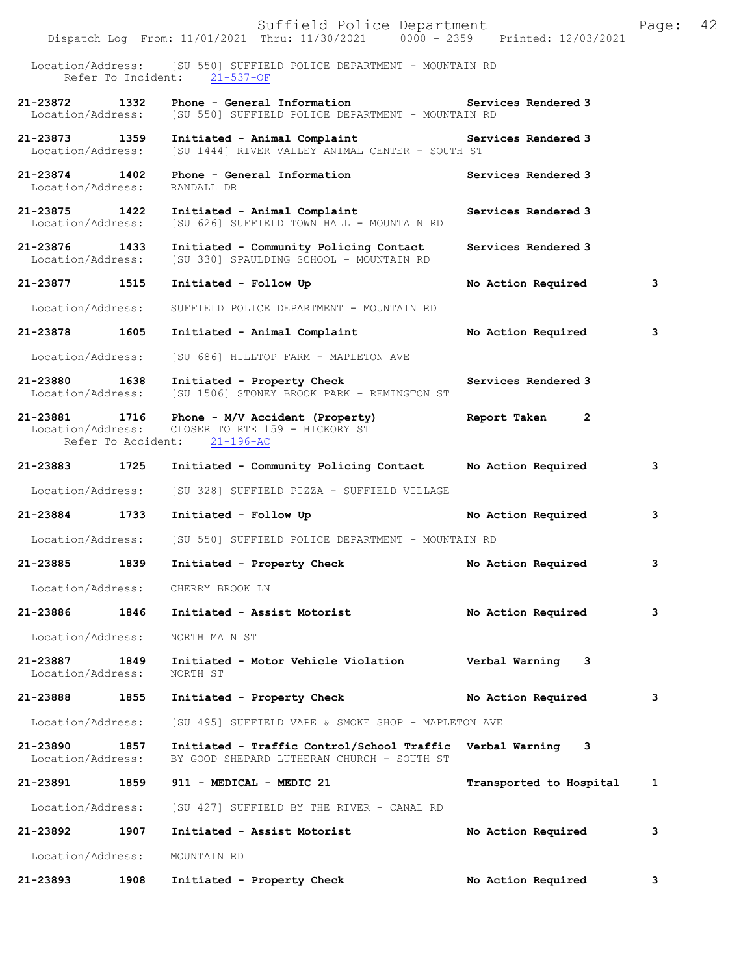|                                    |                    | Suffield Police Department<br>Dispatch Log From: 11/01/2021 Thru: 11/30/2021 0000 - 2359 Printed: 12/03/2021 |                              | 42<br>Page: |
|------------------------------------|--------------------|--------------------------------------------------------------------------------------------------------------|------------------------------|-------------|
|                                    |                    | Location/Address: [SU 550] SUFFIELD POLICE DEPARTMENT - MOUNTAIN RD                                          |                              |             |
|                                    | Refer To Incident: | $21 - 537 - OF$                                                                                              |                              |             |
| 21-23872<br>Location/Address:      | 1332               | Phone - General Information<br>[SU 550] SUFFIELD POLICE DEPARTMENT - MOUNTAIN RD                             | Services Rendered 3          |             |
| 21-23873 1359<br>Location/Address: |                    | Initiated - Animal Complaint<br>[SU 1444] RIVER VALLEY ANIMAL CENTER - SOUTH ST                              | Services Rendered 3          |             |
| 21-23874 1402<br>Location/Address: |                    | Phone - General Information<br>RANDALL DR                                                                    | Services Rendered 3          |             |
| 21-23875 1422<br>Location/Address: |                    | Initiated - Animal Complaint<br>[SU 626] SUFFIELD TOWN HALL - MOUNTAIN RD                                    | Services Rendered 3          |             |
| 21-23876<br>Location/Address:      | 1433               | Initiated - Community Policing Contact<br>[SU 330] SPAULDING SCHOOL - MOUNTAIN RD                            | Services Rendered 3          |             |
| 21-23877 1515                      |                    | Initiated - Follow Up                                                                                        | No Action Required           | 3           |
| Location/Address:                  |                    | SUFFIELD POLICE DEPARTMENT - MOUNTAIN RD                                                                     |                              |             |
| 21-23878                           | 1605               | Initiated - Animal Complaint                                                                                 | No Action Required           | 3           |
| Location/Address:                  |                    | [SU 686] HILLTOP FARM - MAPLETON AVE                                                                         |                              |             |
| 21-23880 1638<br>Location/Address: |                    | Initiated - Property Check<br>[SU 1506] STONEY BROOK PARK - REMINGTON ST                                     | Services Rendered 3          |             |
| 21-23881 1716<br>Location/Address: |                    | Phone - M/V Accident (Property)<br>CLOSER TO RTE 159 - HICKORY ST<br>Refer To Accident: 21-196-AC            | Report Taken<br>$\mathbf{2}$ |             |
|                                    |                    |                                                                                                              |                              |             |
| 21-23883 1725                      |                    | Initiated - Community Policing Contact                                                                       | No Action Required           | 3           |
| Location/Address:                  |                    | [SU 328] SUFFIELD PIZZA - SUFFIELD VILLAGE                                                                   |                              |             |
| 21-23884                           | 1733               | Initiated - Follow Up                                                                                        | No Action Required           | 3           |
| Location/Address:                  |                    | [SU 550] SUFFIELD POLICE DEPARTMENT - MOUNTAIN RD                                                            |                              |             |
| 21-23885 1839                      |                    | Initiated - Property Check                                                                                   | No Action Required           | 3.          |
|                                    |                    | Location/Address: CHERRY BROOK LN                                                                            |                              |             |
| 21-23886                           | 1846               | Initiated - Assist Motorist                                                                                  | No Action Required           | 3           |
| Location/Address:                  |                    | NORTH MAIN ST                                                                                                |                              |             |
| 21-23887<br>Location/Address:      | 1849               | Initiated - Motor Vehicle Violation<br>NORTH ST                                                              | Verbal Warning 3             |             |
| 21-23888                           | 1855               | Initiated - Property Check                                                                                   | No Action Required           | 3           |
| Location/Address:                  |                    | [SU 495] SUFFIELD VAPE & SMOKE SHOP - MAPLETON AVE                                                           |                              |             |
| 21-23890<br>Location/Address:      | 1857               | Initiated - Traffic Control/School Traffic Verbal Warning 3<br>BY GOOD SHEPARD LUTHERAN CHURCH - SOUTH ST    |                              |             |
|                                    |                    | 21-23891 1859 911 - MEDICAL - MEDIC 21                                                                       | Transported to Hospital      | 1           |
|                                    |                    | Location/Address: [SU 427] SUFFIELD BY THE RIVER - CANAL RD                                                  |                              |             |
| 21-23892                           | 1907               | Initiated - Assist Motorist                                                                                  | No Action Required           | 3           |
| Location/Address:                  |                    | MOUNTAIN RD                                                                                                  |                              |             |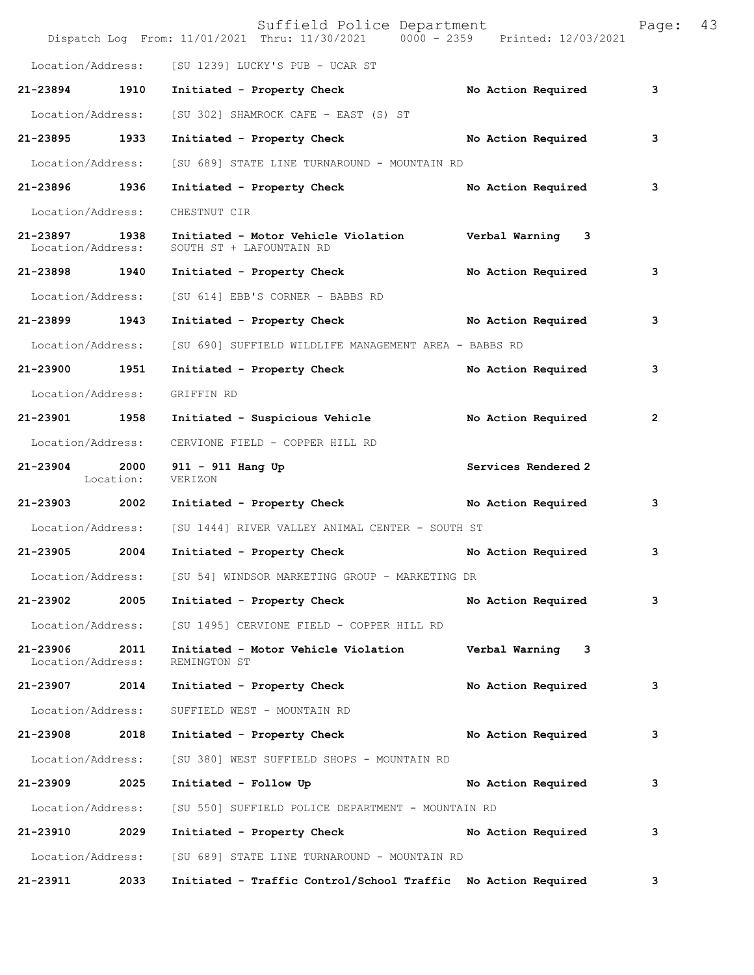|                                    |                   | Suffield Police Department<br>Dispatch Log From: 11/01/2021 Thru: 11/30/2021 0000 - 2359 Printed: 12/03/2021 |                     | Page:          | 43 |
|------------------------------------|-------------------|--------------------------------------------------------------------------------------------------------------|---------------------|----------------|----|
|                                    |                   | Location/Address: [SU 1239] LUCKY'S PUB - UCAR ST                                                            |                     |                |    |
| 21-23894                           | 1910              | Initiated - Property Check                                                                                   | No Action Required  | 3              |    |
| Location/Address:                  |                   | [SU 302] SHAMROCK CAFE - EAST (S) ST                                                                         |                     |                |    |
| 21-23895 1933                      |                   | Initiated - Property Check No Action Required                                                                |                     | 3              |    |
| Location/Address:                  |                   | [SU 689] STATE LINE TURNAROUND - MOUNTAIN RD                                                                 |                     |                |    |
| 21-23896 1936                      |                   | Initiated - Property Check                                                                                   | No Action Required  | 3              |    |
| Location/Address:                  |                   | CHESTNUT CIR                                                                                                 |                     |                |    |
| 21-23897 1938<br>Location/Address: |                   | Initiated - Motor Vehicle Violation Verbal Warning 3<br>SOUTH ST + LAFOUNTAIN RD                             |                     |                |    |
| 21-23898 1940                      |                   | Initiated - Property Check                                                                                   | No Action Required  | 3              |    |
| Location/Address:                  |                   | [SU 614] EBB'S CORNER - BABBS RD                                                                             |                     |                |    |
| 21-23899 1943                      |                   | Initiated - Property Check No Action Required                                                                |                     | 3              |    |
| Location/Address:                  |                   | [SU 690] SUFFIELD WILDLIFE MANAGEMENT AREA - BABBS RD                                                        |                     |                |    |
| 21-23900                           | 1951              | Initiated - Property Check                                                                                   | No Action Required  | 3              |    |
| Location/Address:                  |                   | GRIFFIN RD                                                                                                   |                     |                |    |
| 21-23901 1958                      |                   | Initiated - Suspicious Vehicle                                                                               | No Action Required  | $\overline{2}$ |    |
| Location/Address:                  |                   | CERVIONE FIELD - COPPER HILL RD                                                                              |                     |                |    |
| 21-23904                           | 2000<br>Location: | 911 - 911 Hang Up<br>VERIZON                                                                                 | Services Rendered 2 |                |    |
| 21-23903                           | 2002              | Initiated - Property Check                                                                                   | No Action Required  | 3              |    |
| Location/Address:                  |                   | [SU 1444] RIVER VALLEY ANIMAL CENTER - SOUTH ST                                                              |                     |                |    |
| 21-23905                           | 2004              | Initiated - Property Check                                                                                   | No Action Required  | 3              |    |
| Location/Address:                  |                   | [SU 54] WINDSOR MARKETING GROUP - MARKETING DR                                                               |                     |                |    |
| 21-23902                           | 2005              | Initiated - Property Check                                                                                   | No Action Required  | 3              |    |
| Location/Address:                  |                   | [SU 1495] CERVIONE FIELD - COPPER HILL RD                                                                    |                     |                |    |
| 21-23906<br>Location/Address:      | 2011              | Initiated - Motor Vehicle Violation<br>REMINGTON ST                                                          | Verbal Warning 3    |                |    |
| 21-23907                           | 2014              | Initiated - Property Check                                                                                   | No Action Required  | 3              |    |
| Location/Address:                  |                   | SUFFIELD WEST - MOUNTAIN RD                                                                                  |                     |                |    |
| 21-23908                           | 2018              | Initiated - Property Check                                                                                   | No Action Required  | 3              |    |
| Location/Address:                  |                   | [SU 380] WEST SUFFIELD SHOPS - MOUNTAIN RD                                                                   |                     |                |    |
| 21-23909                           | 2025              | Initiated - Follow Up                                                                                        | No Action Required  | 3              |    |
| Location/Address:                  |                   | [SU 550] SUFFIELD POLICE DEPARTMENT - MOUNTAIN RD                                                            |                     |                |    |
| 21-23910                           | 2029              | Initiated - Property Check                                                                                   | No Action Required  | 3              |    |
| Location/Address:                  |                   | [SU 689] STATE LINE TURNAROUND - MOUNTAIN RD                                                                 |                     |                |    |
| 21-23911                           | 2033              | Initiated - Traffic Control/School Traffic No Action Required                                                |                     | 3              |    |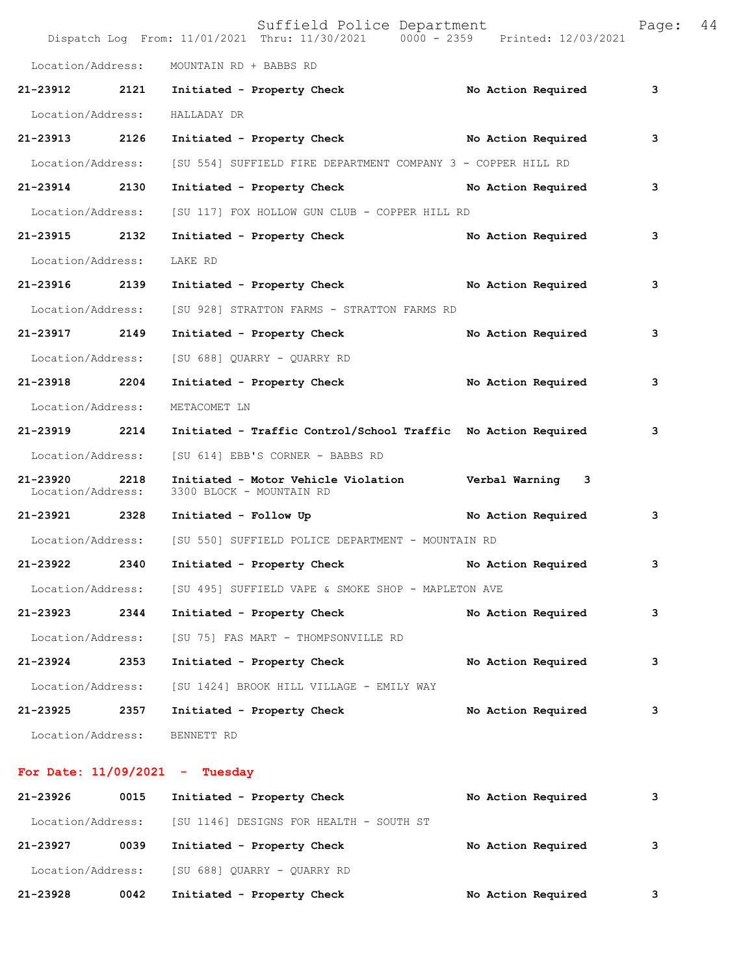|                               |      | Suffield Police Department<br>Dispatch Log From: 11/01/2021 Thru: 11/30/2021 0000 - 2359 Printed: 12/03/2021 |                    | Page: | 44 |
|-------------------------------|------|--------------------------------------------------------------------------------------------------------------|--------------------|-------|----|
| Location/Address:             |      | MOUNTAIN RD + BABBS RD                                                                                       |                    |       |    |
| 21-23912 2121                 |      | Initiated - Property Check                                                                                   | No Action Required | 3     |    |
| Location/Address:             |      | HALLADAY DR                                                                                                  |                    |       |    |
| 21-23913                      | 2126 | Initiated - Property Check No Action Required                                                                |                    | з     |    |
| Location/Address:             |      | [SU 554] SUFFIELD FIRE DEPARTMENT COMPANY 3 - COPPER HILL RD                                                 |                    |       |    |
| 21-23914 2130                 |      | Initiated - Property Check No Action Required                                                                |                    | 3     |    |
| Location/Address:             |      | [SU 117] FOX HOLLOW GUN CLUB - COPPER HILL RD                                                                |                    |       |    |
| 21-23915 2132                 |      | Initiated - Property Check No Action Required                                                                |                    | 3     |    |
| Location/Address:             |      | LAKE RD                                                                                                      |                    |       |    |
| 21-23916 2139                 |      | Initiated - Property Check No Action Required                                                                |                    | 3     |    |
| Location/Address:             |      | [SU 928] STRATTON FARMS - STRATTON FARMS RD                                                                  |                    |       |    |
| 21-23917 2149                 |      | Initiated - Property Check                                                                                   | No Action Required | з     |    |
| Location/Address:             |      | [SU 688] QUARRY - QUARRY RD                                                                                  |                    |       |    |
| 21-23918 2204                 |      | Initiated - Property Check                                                                                   | No Action Required | 3     |    |
| Location/Address:             |      | METACOMET LN                                                                                                 |                    |       |    |
| 21-23919 2214                 |      | Initiated - Traffic Control/School Traffic No Action Required                                                |                    | 3     |    |
| Location/Address:             |      | [SU 614] EBB'S CORNER - BABBS RD                                                                             |                    |       |    |
| 21-23920<br>Location/Address: | 2218 | Initiated - Motor Vehicle Violation Verbal Warning 3<br>3300 BLOCK - MOUNTAIN RD                             |                    |       |    |
| 21-23921 2328                 |      | Initiated - Follow Up                                                                                        | No Action Required | 3     |    |
| Location/Address:             |      | [SU 550] SUFFIELD POLICE DEPARTMENT - MOUNTAIN RD                                                            |                    |       |    |
| 21-23922                      | 2340 | Initiated - Property Check                                                                                   | No Action Required | 3     |    |
|                               |      | Location/Address: [SU 495] SUFFIELD VAPE & SMOKE SHOP - MAPLETON AVE                                         |                    |       |    |
| 21-23923                      | 2344 | Initiated - Property Check                                                                                   | No Action Required | 3     |    |
| Location/Address:             |      | [SU 75] FAS MART - THOMPSONVILLE RD                                                                          |                    |       |    |
| 21-23924                      | 2353 | Initiated - Property Check                                                                                   | No Action Required | з     |    |
| Location/Address:             |      | [SU 1424] BROOK HILL VILLAGE - EMILY WAY                                                                     |                    |       |    |
| 21-23925                      | 2357 | Initiated - Property Check                                                                                   | No Action Required | з     |    |
| Location/Address:             |      | BENNETT RD                                                                                                   |                    |       |    |
|                               |      | For Date: $11/09/2021$ - Tuesday                                                                             |                    |       |    |
| 21-23926                      | 0015 | Initiated - Property Check                                                                                   | No Action Required | 3     |    |

| 21-23928          | 0042 | Initiated - Property Check              | No Action Required | 3 |
|-------------------|------|-----------------------------------------|--------------------|---|
| Location/Address: |      | [SU 688] OUARRY - OUARRY RD             |                    |   |
| 21-23927          | 0039 | Initiated - Property Check              | No Action Required | 3 |
| Location/Address: |      | [SU 1146] DESIGNS FOR HEALTH - SOUTH ST |                    |   |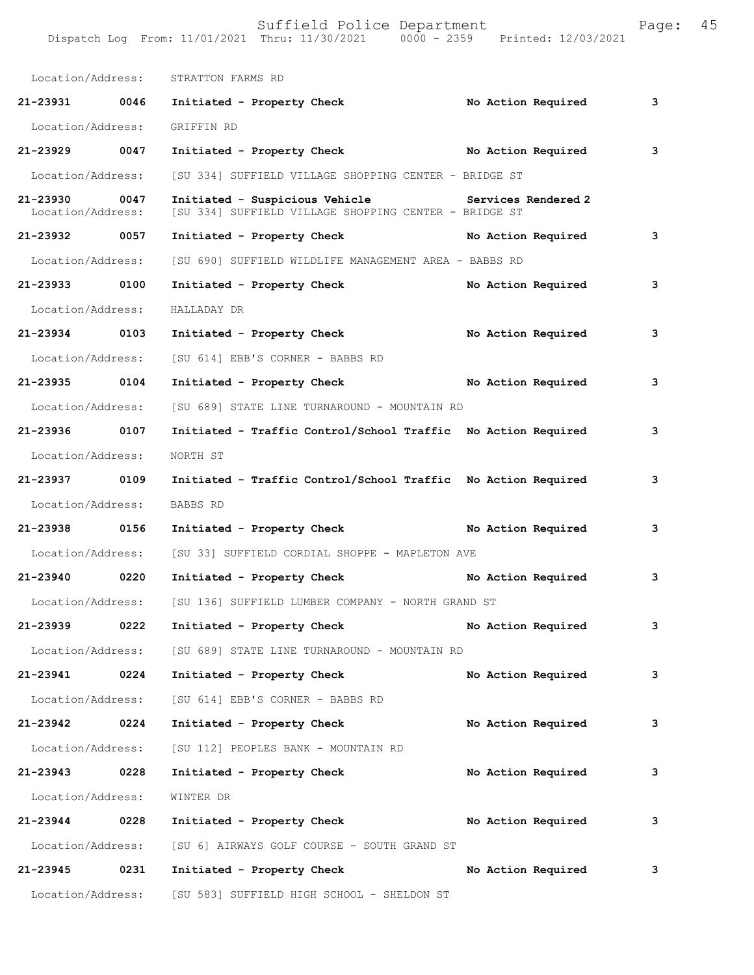| Location/Address:             |      | STRATTON FARMS RD                                                                       |                     |   |
|-------------------------------|------|-----------------------------------------------------------------------------------------|---------------------|---|
| 21-23931 0046                 |      | Initiated - Property Check                                                              | No Action Required  | 3 |
| Location/Address:             |      | GRIFFIN RD                                                                              |                     |   |
| 21-23929 0047                 |      | Initiated - Property Check No Action Required                                           |                     | 3 |
| Location/Address:             |      | [SU 334] SUFFIELD VILLAGE SHOPPING CENTER - BRIDGE ST                                   |                     |   |
| 21-23930<br>Location/Address: | 0047 | Initiated - Suspicious Vehicle<br>[SU 334] SUFFIELD VILLAGE SHOPPING CENTER - BRIDGE ST | Services Rendered 2 |   |
| 21-23932 0057                 |      | Initiated - Property Check No Action Required                                           |                     | 3 |
| Location/Address:             |      | [SU 690] SUFFIELD WILDLIFE MANAGEMENT AREA - BABBS RD                                   |                     |   |
| 21-23933 0100                 |      | Initiated - Property Check                                                              | No Action Required  | 3 |
| Location/Address:             |      | HALLADAY DR                                                                             |                     |   |
| 21-23934 0103                 |      | Initiated - Property Check                                                              | No Action Required  | 3 |
| Location/Address:             |      | [SU 614] EBB'S CORNER - BABBS RD                                                        |                     |   |
| 21-23935 0104                 |      | Initiated - Property Check                                                              | No Action Required  | 3 |
| Location/Address:             |      | [SU 689] STATE LINE TURNAROUND - MOUNTAIN RD                                            |                     |   |
| 21-23936 0107                 |      | Initiated - Traffic Control/School Traffic No Action Required                           |                     | 3 |
| Location/Address:             |      | NORTH ST                                                                                |                     |   |
| 21-23937 0109                 |      | Initiated - Traffic Control/School Traffic No Action Required                           |                     | 3 |
| Location/Address:             |      | BABBS RD                                                                                |                     |   |
| 21-23938 0156                 |      | Initiated - Property Check                                                              | No Action Required  | 3 |
| Location/Address:             |      | [SU 33] SUFFIELD CORDIAL SHOPPE - MAPLETON AVE                                          |                     |   |
| 21-23940 0220                 |      | Initiated - Property Check                                                              | No Action Required  | 3 |
| Location/Address:             |      | [SU 136] SUFFIELD LUMBER COMPANY - NORTH GRAND ST                                       |                     |   |
| 21-23939                      | 0222 | Initiated - Property Check                                                              | No Action Required  | 3 |
|                               |      | Location/Address: [SU 689] STATE LINE TURNAROUND - MOUNTAIN RD                          |                     |   |
| 21-23941                      | 0224 | Initiated - Property Check                                                              | No Action Required  | 3 |
| Location/Address:             |      | [SU 614] EBB'S CORNER - BABBS RD                                                        |                     |   |
| $21 - 23942$                  | 0224 | Initiated - Property Check                                                              | No Action Required  | 3 |
| Location/Address:             |      | [SU 112] PEOPLES BANK - MOUNTAIN RD                                                     |                     |   |
| 21-23943                      | 0228 | Initiated - Property Check                                                              | No Action Required  | 3 |
| Location/Address:             |      | WINTER DR                                                                               |                     |   |
| 21-23944 0228                 |      | Initiated - Property Check                                                              | No Action Required  | 3 |
| Location/Address:             |      | [SU 6] AIRWAYS GOLF COURSE - SOUTH GRAND ST                                             |                     |   |
| 21-23945                      | 0231 | Initiated - Property Check                                                              | No Action Required  | 3 |
| Location/Address:             |      | [SU 583] SUFFIELD HIGH SCHOOL - SHELDON ST                                              |                     |   |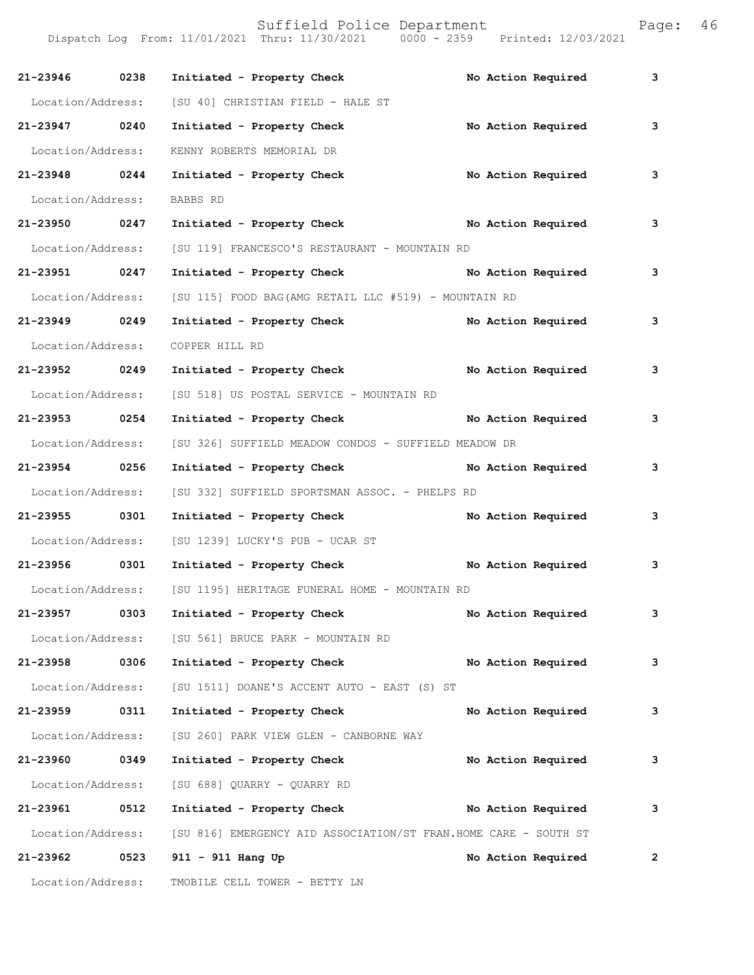| 21-23946 0238     |      | Initiated - Property Check                                       |  | No Action Required | 3              |
|-------------------|------|------------------------------------------------------------------|--|--------------------|----------------|
| Location/Address: |      | [SU 40] CHRISTIAN FIELD - HALE ST                                |  |                    |                |
| 21-23947 0240     |      | Initiated - Property Check                                       |  | No Action Required | 3              |
| Location/Address: |      | KENNY ROBERTS MEMORIAL DR                                        |  |                    |                |
| 21-23948 0244     |      | Initiated - Property Check                                       |  | No Action Required | 3              |
| Location/Address: |      | BABBS RD                                                         |  |                    |                |
| 21-23950 0247     |      | Initiated - Property Check No Action Required                    |  |                    | 3              |
| Location/Address: |      | [SU 119] FRANCESCO'S RESTAURANT - MOUNTAIN RD                    |  |                    |                |
| 21-23951 0247     |      | Initiated - Property Check No Action Required                    |  |                    | 3              |
| Location/Address: |      | [SU 115] FOOD BAG(AMG RETAIL LLC #519) - MOUNTAIN RD             |  |                    |                |
| 21-23949 0249     |      | Initiated - Property Check No Action Required                    |  |                    | 3              |
| Location/Address: |      | COPPER HILL RD                                                   |  |                    |                |
| 21-23952 0249     |      | Initiated - Property Check No Action Required                    |  |                    | 3              |
|                   |      | Location/Address: [SU 518] US POSTAL SERVICE - MOUNTAIN RD       |  |                    |                |
| 21-23953 0254     |      | Initiated - Property Check No Action Required                    |  |                    | 3              |
| Location/Address: |      | [SU 326] SUFFIELD MEADOW CONDOS - SUFFIELD MEADOW DR             |  |                    |                |
| 21-23954 0256     |      | Initiated - Property Check No Action Required                    |  |                    | 3              |
| Location/Address: |      | [SU 332] SUFFIELD SPORTSMAN ASSOC. - PHELPS RD                   |  |                    |                |
| 21-23955 0301     |      | Initiated - Property Check No Action Required                    |  |                    | 3              |
|                   |      | Location/Address: [SU 1239] LUCKY'S PUB - UCAR ST                |  |                    |                |
| 21-23956 0301     |      | Initiated - Property Check No Action Required                    |  |                    | 3              |
|                   |      | Location/Address: [SU 1195] HERITAGE FUNERAL HOME - MOUNTAIN RD  |  |                    |                |
| 21-23957          | 0303 | Initiated - Property Check                                       |  | No Action Required | 3              |
|                   |      | Location/Address: [SU 561] BRUCE PARK - MOUNTAIN RD              |  |                    |                |
| 21-23958          | 0306 | Initiated - Property Check                                       |  | No Action Required | 3              |
| Location/Address: |      | [SU 1511] DOANE'S ACCENT AUTO - EAST (S) ST                      |  |                    |                |
| 21-23959          | 0311 | Initiated - Property Check                                       |  | No Action Required | 3              |
| Location/Address: |      | [SU 260] PARK VIEW GLEN - CANBORNE WAY                           |  |                    |                |
| 21-23960 0349     |      | Initiated - Property Check                                       |  | No Action Required | 3              |
| Location/Address: |      | [SU 688] QUARRY - QUARRY RD                                      |  |                    |                |
| 21-23961 0512     |      | Initiated - Property Check No Action Required                    |  |                    | 3              |
| Location/Address: |      | [SU 816] EMERGENCY AID ASSOCIATION/ST FRAN. HOME CARE - SOUTH ST |  |                    |                |
| 21-23962          | 0523 | 911 - 911 Hang Up                                                |  | No Action Required | $\overline{2}$ |
| Location/Address: |      | TMOBILE CELL TOWER - BETTY LN                                    |  |                    |                |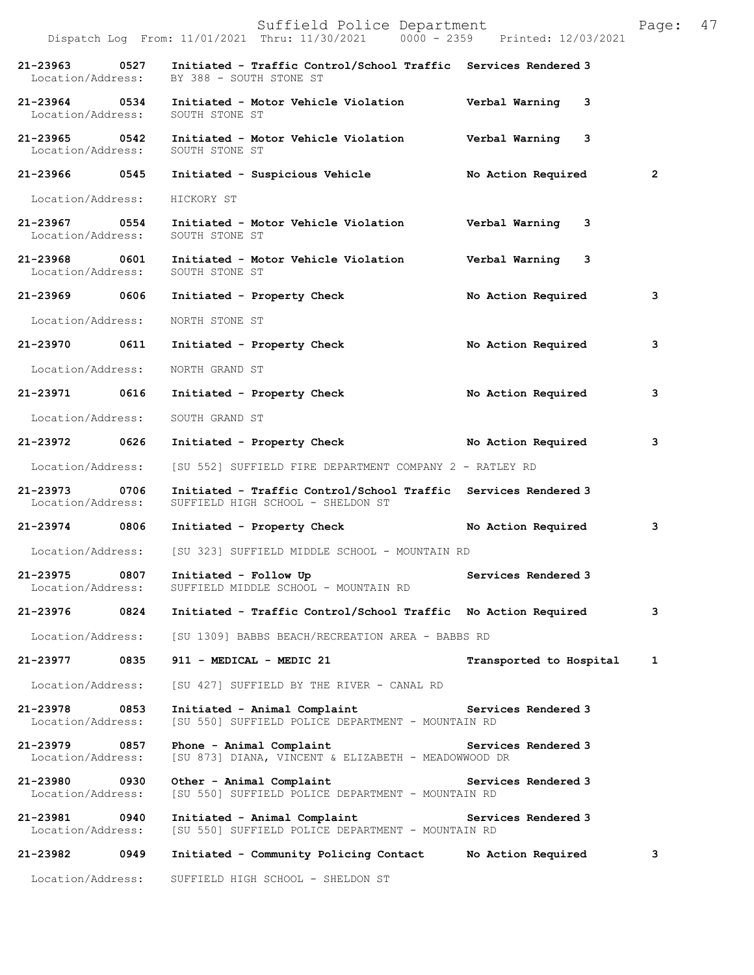|                                                   |      | Suffield Police Department<br>Dispatch Log From: 11/01/2021 Thru: 11/30/2021 0000 - 2359 Printed: 12/03/2021 |                         | 47<br>Page:  |
|---------------------------------------------------|------|--------------------------------------------------------------------------------------------------------------|-------------------------|--------------|
| 21-23963<br>Location/Address:                     | 0527 | Initiated - Traffic Control/School Traffic Services Rendered 3<br>BY 388 - SOUTH STONE ST                    |                         |              |
| 21-23964 0534<br>Location/Address:                |      | Initiated - Motor Vehicle Violation burbal Warning 3<br>SOUTH STONE ST                                       |                         |              |
| 21-23965 0542<br>Location/Address:                |      | Initiated - Motor Vehicle Violation<br>SOUTH STONE ST                                                        | Verbal Warning 3        |              |
| 21-23966 0545                                     |      | Initiated - Suspicious Vehicle                                                                               | No Action Required      | $\mathbf{2}$ |
| Location/Address:                                 |      | HICKORY ST                                                                                                   |                         |              |
| 21-23967 0554<br>Location/Address: SOUTH STONE ST |      | Initiated - Motor Vehicle Violation Verbal Warning 3                                                         |                         |              |
| 21-23968 0601<br>Location/Address:                |      | Initiated - Motor Vehicle Violation<br>SOUTH STONE ST                                                        | Verbal Warning 3        |              |
| 21-23969 0606                                     |      | Initiated - Property Check                                                                                   | No Action Required      | 3            |
| Location/Address:                                 |      | NORTH STONE ST                                                                                               |                         |              |
| 21-23970 0611                                     |      | Initiated - Property Check                                                                                   | No Action Required      | 3            |
| Location/Address:                                 |      | NORTH GRAND ST                                                                                               |                         |              |
| 21-23971 0616                                     |      | Initiated - Property Check                                                                                   | No Action Required      | 3            |
| Location/Address:                                 |      | SOUTH GRAND ST                                                                                               |                         |              |
| 21-23972 0626                                     |      | Initiated - Property Check                                                                                   | No Action Required      | 3            |
| Location/Address:                                 |      | [SU 552] SUFFIELD FIRE DEPARTMENT COMPANY 2 - RATLEY RD                                                      |                         |              |
| 21-23973 0706<br>Location/Address:                |      | Initiated - Traffic Control/School Traffic Services Rendered 3<br>SUFFIELD HIGH SCHOOL - SHELDON ST          |                         |              |
| 21-23974 0806                                     |      | Initiated - Property Check No Action Required                                                                |                         | 3            |
|                                                   |      | Location/Address: [SU 323] SUFFIELD MIDDLE SCHOOL - MOUNTAIN RD                                              |                         |              |
| 21-23975 0807<br>Location/Address:                |      | Initiated - Follow Up<br>SUFFIELD MIDDLE SCHOOL - MOUNTAIN RD                                                | Services Rendered 3     |              |
| 21-23976                                          | 0824 | Initiated - Traffic Control/School Traffic No Action Required                                                |                         | 3            |
| Location/Address:                                 |      | [SU 1309] BABBS BEACH/RECREATION AREA - BABBS RD                                                             |                         |              |
| 21-23977                                          | 0835 | 911 - MEDICAL - MEDIC 21                                                                                     | Transported to Hospital | 1            |
| Location/Address:                                 |      | [SU 427] SUFFIELD BY THE RIVER - CANAL RD                                                                    |                         |              |
| 21-23978 0853<br>Location/Address:                |      | Initiated - Animal Complaint The Services Rendered 3<br>[SU 550] SUFFIELD POLICE DEPARTMENT - MOUNTAIN RD    |                         |              |
| 21-23979 0857<br>Location/Address:                |      | Phone - Animal Complaint<br>[SU 873] DIANA, VINCENT & ELIZABETH - MEADOWWOOD DR                              | Services Rendered 3     |              |
| 21-23980 0930<br>Location/Address:                |      | Other - Animal Complaint<br>[SU 550] SUFFIELD POLICE DEPARTMENT - MOUNTAIN RD                                | Services Rendered 3     |              |
| 21-23981 0940<br>Location/Address:                |      | Initiated - Animal Complaint<br>[SU 550] SUFFIELD POLICE DEPARTMENT - MOUNTAIN RD                            | Services Rendered 3     |              |
| 21-23982                                          | 0949 | Initiated - Community Policing Contact                                                                       | No Action Required      | 3            |
| Location/Address:                                 |      | SUFFIELD HIGH SCHOOL - SHELDON ST                                                                            |                         |              |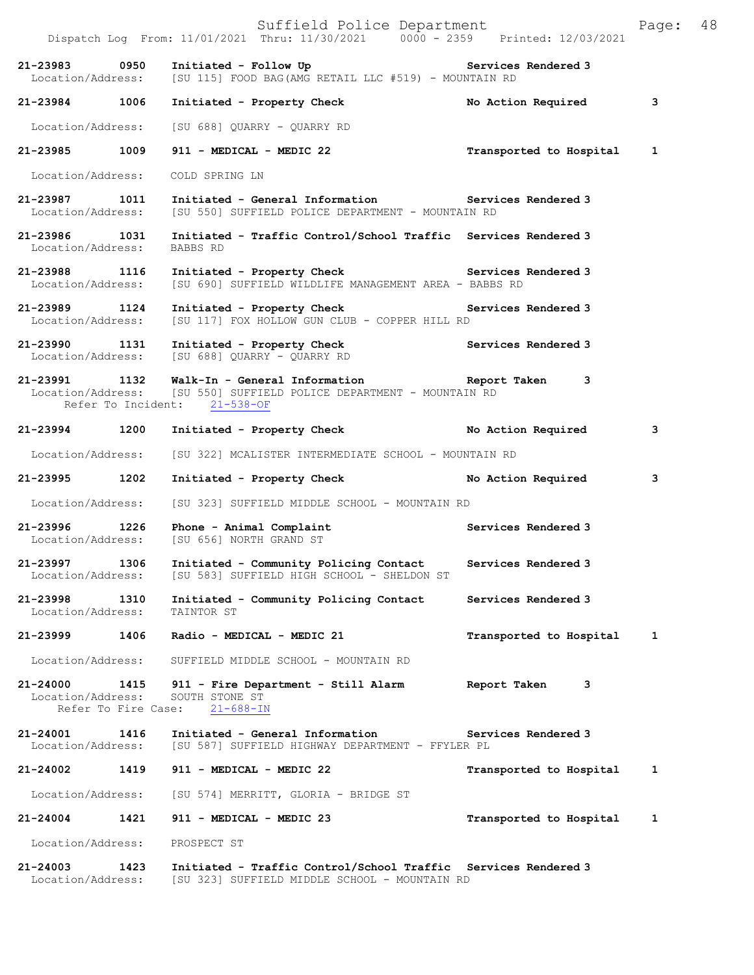|                                    |                             | Suffield Police Department<br>Dispatch Log From: 11/01/2021 Thru: 11/30/2021 0000 - 2359 Printed: 12/03/2021                                                      |                         | Page: | 48 |
|------------------------------------|-----------------------------|-------------------------------------------------------------------------------------------------------------------------------------------------------------------|-------------------------|-------|----|
| 21-23983 0950                      |                             | Initiated - Follow Up <b>Example 2</b> Services Rendered 3<br>Location/Address: [SU 115] FOOD BAG(AMG RETAIL LLC #519) - MOUNTAIN RD                              |                         |       |    |
| 21-23984 1006                      |                             | Initiated - Property Check                                                                                                                                        | No Action Required      | 3     |    |
|                                    |                             | Location/Address: [SU 688] QUARRY - QUARRY RD                                                                                                                     |                         |       |    |
|                                    |                             | 21-23985 1009 911 - MEDICAL - MEDIC 22                                                                                                                            | Transported to Hospital | 1     |    |
|                                    |                             | Location/Address: COLD SPRING LN                                                                                                                                  |                         |       |    |
| 21-23987 1011                      |                             | Initiated - General Information Services Rendered 3<br>Location/Address: [SU 550] SUFFIELD POLICE DEPARTMENT - MOUNTAIN RD                                        |                         |       |    |
| 21-23986 1031<br>Location/Address: |                             | Initiated - Traffic Control/School Traffic Services Rendered 3<br>BABBS RD                                                                                        |                         |       |    |
| 21-23988 1116                      |                             | Initiated - Property Check Services Rendered 3<br>Location/Address: [SU 690] SUFFIELD WILDLIFE MANAGEMENT AREA - BABBS RD                                         |                         |       |    |
| 21-23989 1124<br>Location/Address: |                             | Initiated - Property Check Services Rendered 3<br>[SU 117] FOX HOLLOW GUN CLUB - COPPER HILL RD                                                                   |                         |       |    |
| 21-23990 1131                      |                             | Initiated - Property Check<br>Services Rendered 3<br>Services Rendered 3<br>Location/Address: [SU 688] QUARRY - QUARRY RD                                         |                         |       |    |
|                                    |                             | 21-23991 1132 Walk-In - General Information Report Taken 3<br>Location/Address: [SU 550] SUFFIELD POLICE DEPARTMENT - MOUNTAIN RD<br>Refer To Incident: 21-538-OF |                         |       |    |
| 21-23994 1200                      |                             | Initiated - Property Check No Action Required                                                                                                                     |                         | 3     |    |
| Location/Address:                  |                             | [SU 322] MCALISTER INTERMEDIATE SCHOOL - MOUNTAIN RD                                                                                                              |                         |       |    |
| 21-23995 1202                      |                             | Initiated - Property Check                                                                                                                                        | No Action Required      | 3     |    |
|                                    |                             | Location/Address: [SU 323] SUFFIELD MIDDLE SCHOOL - MOUNTAIN RD                                                                                                   |                         |       |    |
| 21-23996 1226                      |                             | Phone - Animal Complaint <b>Example 2018</b> Services Rendered 3<br>Location/Address: [SU 656] NORTH GRAND ST                                                     |                         |       |    |
| 21-23997 1306<br>Location/Address: |                             | Initiated - Community Policing Contact Services Rendered 3<br>[SU 583] SUFFIELD HIGH SCHOOL - SHELDON ST                                                          |                         |       |    |
| 21-23998<br>Location/Address:      | 1310                        | Initiated - Community Policing Contact<br>TAINTOR ST                                                                                                              | Services Rendered 3     |       |    |
| 21-23999                           | 1406                        | Radio - MEDICAL - MEDIC 21                                                                                                                                        | Transported to Hospital | 1     |    |
| Location/Address:                  |                             | SUFFIELD MIDDLE SCHOOL - MOUNTAIN RD                                                                                                                              |                         |       |    |
| 21-24000<br>Location/Address:      | 1415<br>Refer To Fire Case: | 911 - Fire Department - Still Alarm<br>SOUTH STONE ST<br>$21 - 688 - IN$                                                                                          | Report Taken<br>3       |       |    |
| 21-24001<br>Location/Address:      | 1416                        | Initiated - General Information<br>[SU 587] SUFFIELD HIGHWAY DEPARTMENT - FFYLER PL                                                                               | Services Rendered 3     |       |    |
| 21-24002                           | 1419                        | 911 - MEDICAL - MEDIC 22                                                                                                                                          | Transported to Hospital | 1     |    |
| Location/Address:                  |                             | [SU 574] MERRITT, GLORIA - BRIDGE ST                                                                                                                              |                         |       |    |
| 21-24004                           | 1421                        | 911 - MEDICAL - MEDIC 23                                                                                                                                          | Transported to Hospital | 1     |    |
| Location/Address:                  |                             | PROSPECT ST                                                                                                                                                       |                         |       |    |
| 21-24003                           | 1423                        | Initiated - Traffic Control/School Traffic Services Rendered 3                                                                                                    |                         |       |    |

Location/Address: [SU 323] SUFFIELD MIDDLE SCHOOL - MOUNTAIN RD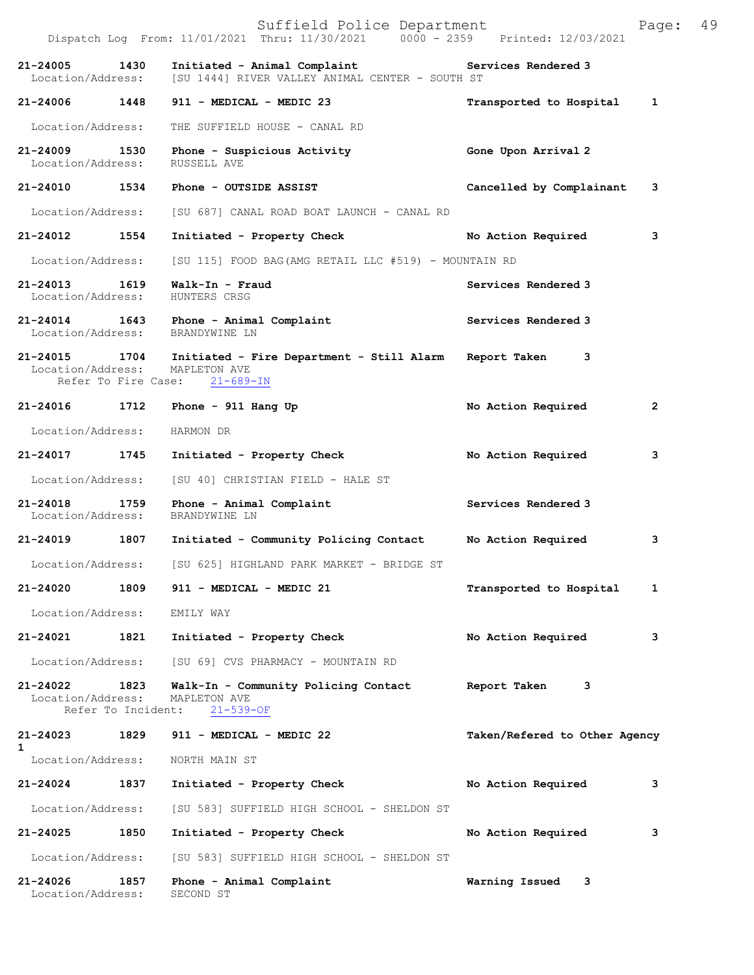|                                    |                            | Suffield Police Department<br>Dispatch Log From: 11/01/2021 Thru: 11/30/2021 0000 - 2359 Printed: 12/03/2021 |                               | Page: | 49 |
|------------------------------------|----------------------------|--------------------------------------------------------------------------------------------------------------|-------------------------------|-------|----|
| 21-24005<br>Location/Address:      | 1430                       | Initiated - Animal Complaint<br>[SU 1444] RIVER VALLEY ANIMAL CENTER - SOUTH ST                              | Services Rendered 3           |       |    |
| 21-24006 1448                      |                            | 911 - MEDICAL - MEDIC 23                                                                                     | Transported to Hospital       | 1     |    |
| Location/Address:                  |                            | THE SUFFIELD HOUSE - CANAL RD                                                                                |                               |       |    |
| 21-24009 1530<br>Location/Address: |                            | Phone - Suspicious Activity<br>RUSSELL AVE                                                                   | Gone Upon Arrival 2           |       |    |
| 21-24010 1534                      |                            | Phone - OUTSIDE ASSIST                                                                                       | Cancelled by Complainant      | з     |    |
| Location/Address:                  |                            | [SU 687] CANAL ROAD BOAT LAUNCH - CANAL RD                                                                   |                               |       |    |
| 21-24012 1554                      |                            | Initiated - Property Check                                                                                   | No Action Required            | 3     |    |
| Location/Address:                  |                            | [SU 115] FOOD BAG(AMG RETAIL LLC #519) - MOUNTAIN RD                                                         |                               |       |    |
| 21-24013 1619<br>Location/Address: |                            | Walk-In - Fraud<br>HUNTERS CRSG                                                                              | Services Rendered 3           |       |    |
| Location/Address:                  |                            | 21-24014 1643 Phone - Animal Complaint<br>BRANDYWINE LN                                                      | Services Rendered 3           |       |    |
| 21-24015 1704<br>Location/Address: | Refer To Fire Case:        | Initiated - Fire Department - Still Alarm Report Taken<br>MAPLETON AVE<br>$21 - 689 - IN$                    | 3                             |       |    |
| 21-24016                           | 1712                       | Phone - $911$ Hang Up                                                                                        | No Action Required            | 2     |    |
| Location/Address:                  |                            | HARMON DR                                                                                                    |                               |       |    |
| 21-24017 1745                      |                            | Initiated - Property Check                                                                                   | No Action Required            | 3     |    |
| Location/Address:                  |                            | [SU 40] CHRISTIAN FIELD - HALE ST                                                                            |                               |       |    |
| 21-24018<br>Location/Address:      | 1759                       | Phone - Animal Complaint<br>BRANDYWINE LN                                                                    | Services Rendered 3           |       |    |
| 21-24019                           | 1807                       | Initiated - Community Policing Contact                                                                       | No Action Required            | з     |    |
| Location/Address:                  |                            | [SU 625] HIGHLAND PARK MARKET - BRIDGE ST                                                                    |                               |       |    |
| 21-24020                           | 1809                       | 911 - MEDICAL - MEDIC 21                                                                                     | Transported to Hospital       | 1     |    |
| Location/Address:                  |                            | EMILY WAY                                                                                                    |                               |       |    |
| 21-24021                           | 1821                       | Initiated - Property Check                                                                                   | No Action Required            | з     |    |
| Location/Address:                  |                            | [SU 69] CVS PHARMACY - MOUNTAIN RD                                                                           |                               |       |    |
| 21-24022<br>Location/Address:      | 1823<br>Refer To Incident: | Walk-In - Community Policing Contact<br>MAPLETON AVE<br>$21 - 539 - OF$                                      | Report Taken<br>3             |       |    |
| 21-24023                           | 1829                       | 911 - MEDICAL - MEDIC 22                                                                                     | Taken/Refered to Other Agency |       |    |
| $\mathbf{1}$<br>Location/Address:  |                            | NORTH MAIN ST                                                                                                |                               |       |    |
| 21-24024                           | 1837                       | Initiated - Property Check                                                                                   | No Action Required            | 3     |    |
| Location/Address:                  |                            | [SU 583] SUFFIELD HIGH SCHOOL - SHELDON ST                                                                   |                               |       |    |
| 21-24025                           | 1850                       | Initiated - Property Check                                                                                   | No Action Required            | з     |    |
| Location/Address:                  |                            | [SU 583] SUFFIELD HIGH SCHOOL - SHELDON ST                                                                   |                               |       |    |
| 21-24026<br>Location/Address:      | 1857                       | Phone - Animal Complaint<br>SECOND ST                                                                        | Warning Issued 3              |       |    |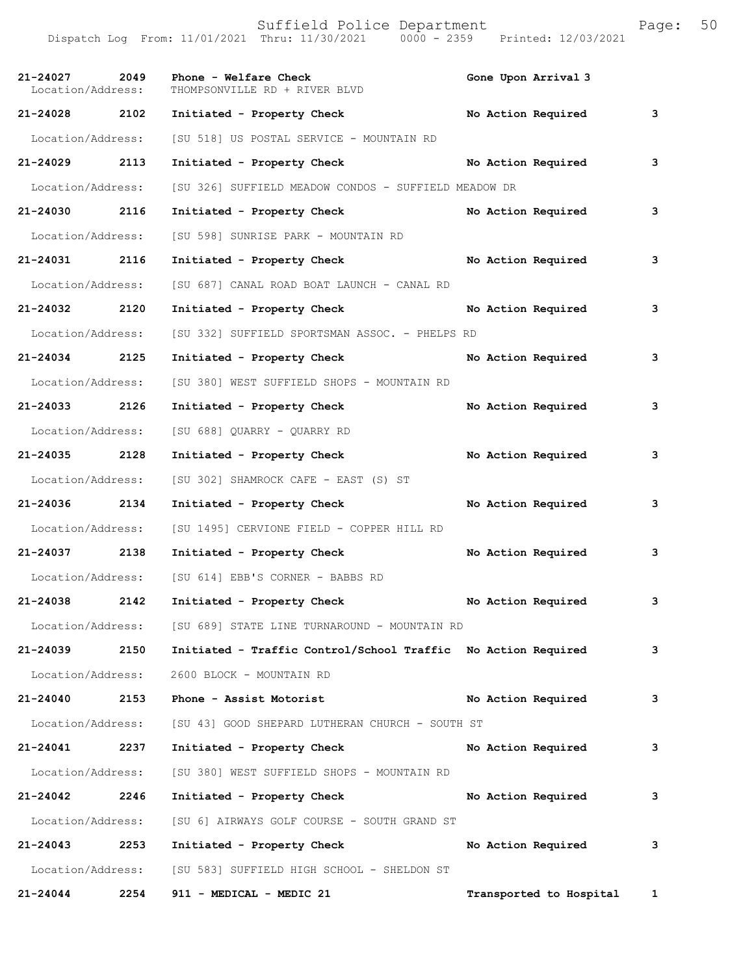|                                    |      | Dispatch Log From: 11/01/2021 Thru: 11/30/2021 0000 - 2359 Printed: 12/03/2021 |                         |              |
|------------------------------------|------|--------------------------------------------------------------------------------|-------------------------|--------------|
| 21-24027 2049<br>Location/Address: |      | Phone - Welfare Check<br>THOMPSONVILLE RD + RIVER BLVD                         | Gone Upon Arrival 3     |              |
| 21-24028 2102                      |      | Initiated - Property Check No Action Required                                  |                         | $\mathbf{3}$ |
| Location/Address:                  |      | [SU 518] US POSTAL SERVICE - MOUNTAIN RD                                       |                         |              |
| 21-24029 2113                      |      | Initiated - Property Check No Action Required                                  |                         | 3            |
| Location/Address:                  |      | [SU 326] SUFFIELD MEADOW CONDOS - SUFFIELD MEADOW DR                           |                         |              |
| 21-24030 2116                      |      | Initiated - Property Check                                                     | No Action Required      | 3            |
| Location/Address:                  |      | [SU 598] SUNRISE PARK - MOUNTAIN RD                                            |                         |              |
| 21-24031 2116                      |      | Initiated - Property Check No Action Required                                  |                         | 3            |
| Location/Address:                  |      | [SU 687] CANAL ROAD BOAT LAUNCH - CANAL RD                                     |                         |              |
| 21-24032 2120                      |      | Initiated - Property Check                                                     | No Action Required      | 3            |
| Location/Address:                  |      | [SU 332] SUFFIELD SPORTSMAN ASSOC. - PHELPS RD                                 |                         |              |
| 21-24034 2125                      |      | Initiated - Property Check                                                     | No Action Required      | 3            |
| Location/Address:                  |      | [SU 380] WEST SUFFIELD SHOPS - MOUNTAIN RD                                     |                         |              |
| 21-24033 2126                      |      | Initiated - Property Check                                                     | No Action Required      | 3            |
| Location/Address:                  |      | [SU 688] QUARRY - QUARRY RD                                                    |                         |              |
| 21-24035 2128                      |      | Initiated - Property Check                                                     | No Action Required      | 3            |
| Location/Address:                  |      | [SU 302] SHAMROCK CAFE - EAST (S) ST                                           |                         |              |
| 21-24036 2134                      |      | Initiated - Property Check                                                     | No Action Required      | 3            |
| Location/Address:                  |      | [SU 1495] CERVIONE FIELD - COPPER HILL RD                                      |                         |              |
| 21-24037 2138                      |      | Initiated - Property Check                                                     | No Action Required      | 3            |
| Location/Address:                  |      | [SU 614] EBB'S CORNER - BABBS RD                                               |                         |              |
| 21-24038                           | 2142 | Initiated - Property Check                                                     | No Action Required      | 3            |
|                                    |      | Location/Address: [SU 689] STATE LINE TURNAROUND - MOUNTAIN RD                 |                         |              |
| 21-24039                           | 2150 | Initiated - Traffic Control/School Traffic No Action Required                  |                         | 3            |
| Location/Address:                  |      | 2600 BLOCK - MOUNTAIN RD                                                       |                         |              |
| $21 - 24040$                       | 2153 | Phone - Assist Motorist                                                        | No Action Required      | 3            |
| Location/Address:                  |      | [SU 43] GOOD SHEPARD LUTHERAN CHURCH - SOUTH ST                                |                         |              |
| 21-24041                           | 2237 | Initiated - Property Check                                                     | No Action Required      | 3            |
| Location/Address:                  |      | [SU 380] WEST SUFFIELD SHOPS - MOUNTAIN RD                                     |                         |              |
| 21-24042                           | 2246 | Initiated - Property Check                                                     | No Action Required      | 3            |
| Location/Address:                  |      | [SU 6] AIRWAYS GOLF COURSE - SOUTH GRAND ST                                    |                         |              |
| 21-24043                           | 2253 | Initiated - Property Check                                                     | No Action Required      | 3            |
| Location/Address:                  |      | [SU 583] SUFFIELD HIGH SCHOOL - SHELDON ST                                     |                         |              |
| 21-24044                           | 2254 | 911 - MEDICAL - MEDIC 21                                                       | Transported to Hospital | $\mathbf{1}$ |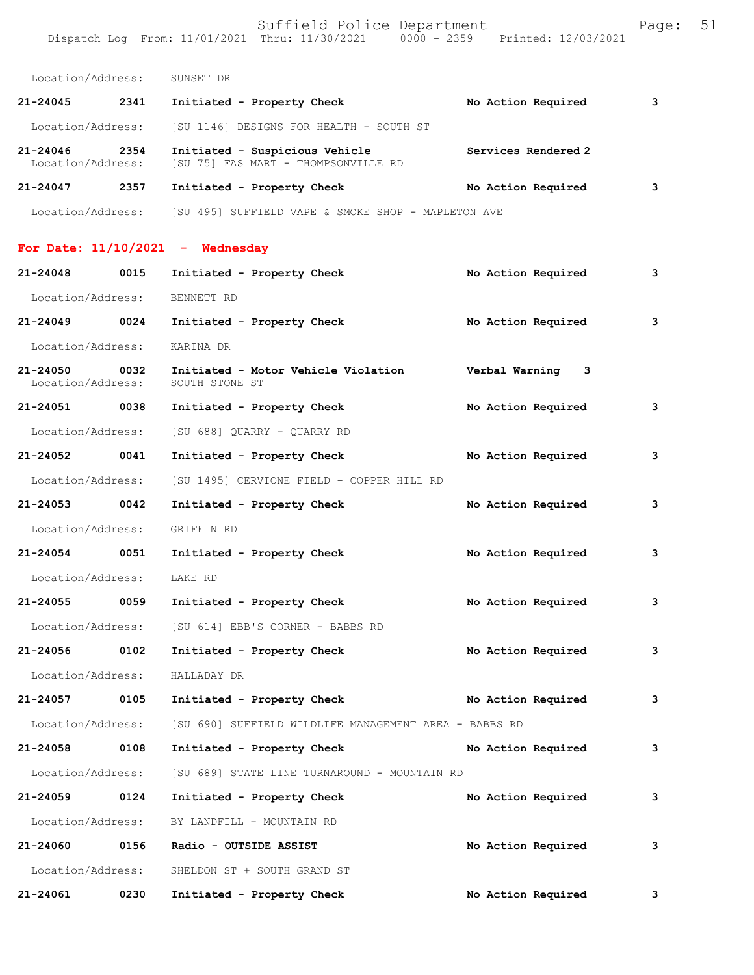Location/Address: SUNSET DR

| $21 - 24045$                      | 2341 | Initiated - Property Check                                            | No Action Required  | 3 |
|-----------------------------------|------|-----------------------------------------------------------------------|---------------------|---|
| Location/Address:                 |      | [SU 1146] DESIGNS FOR HEALTH - SOUTH ST                               |                     |   |
| $21 - 24046$<br>Location/Address: | 2354 | Initiated - Suspicious Vehicle<br>[SU 75] FAS MART - THOMPSONVILLE RD | Services Rendered 2 |   |
| $21 - 24047$                      | 2357 | Initiated - Property Check                                            | No Action Required  | 3 |

Location/Address: [SU 495] SUFFIELD VAPE & SMOKE SHOP - MAPLETON AVE

## **For Date: 11/10/2021 - Wednesday**

| 21-24048                      | 0015 | Initiated - Property Check                            |  | No Action Required | 3 |
|-------------------------------|------|-------------------------------------------------------|--|--------------------|---|
| Location/Address: BENNETT RD  |      |                                                       |  |                    |   |
| 21-24049 0024                 |      | Initiated - Property Check                            |  | No Action Required | 3 |
| Location/Address:             |      | KARINA DR                                             |  |                    |   |
| 21-24050<br>Location/Address: | 0032 | Initiated - Motor Vehicle Violation<br>SOUTH STONE ST |  | Verbal Warning 3   |   |
| 21-24051 0038                 |      | Initiated - Property Check                            |  | No Action Required | 3 |
| Location/Address:             |      | [SU 688] QUARRY - QUARRY RD                           |  |                    |   |
| 21-24052 0041                 |      | Initiated - Property Check                            |  | No Action Required | 3 |
| Location/Address:             |      | [SU 1495] CERVIONE FIELD - COPPER HILL RD             |  |                    |   |
| 21-24053 0042                 |      | Initiated - Property Check                            |  | No Action Required | 3 |
| Location/Address:             |      | GRIFFIN RD                                            |  |                    |   |
| 21-24054 0051                 |      | Initiated - Property Check                            |  | No Action Required | 3 |
| Location/Address:             |      | LAKE RD                                               |  |                    |   |
| 21-24055 0059                 |      | Initiated - Property Check                            |  | No Action Required | 3 |
|                               |      | Location/Address: [SU 614] EBB'S CORNER - BABBS RD    |  |                    |   |
| 21-24056 0102                 |      | Initiated - Property Check                            |  | No Action Required | 3 |
| Location/Address:             |      | HALLADAY DR                                           |  |                    |   |
| 21-24057 0105                 |      | Initiated - Property Check No Action Required         |  |                    | 3 |
| Location/Address:             |      | [SU 690] SUFFIELD WILDLIFE MANAGEMENT AREA - BABBS RD |  |                    |   |
| 21-24058 0108                 |      | Initiated - Property Check No Action Required         |  |                    | 3 |
| Location/Address:             |      | [SU 689] STATE LINE TURNAROUND - MOUNTAIN RD          |  |                    |   |
| 21-24059 0124                 |      | Initiated - Property Check                            |  | No Action Required | 3 |
| Location/Address:             |      | BY LANDFILL - MOUNTAIN RD                             |  |                    |   |
| 21-24060 0156                 |      | Radio - OUTSIDE ASSIST                                |  | No Action Required | 3 |
| Location/Address:             |      | SHELDON ST + SOUTH GRAND ST                           |  |                    |   |
| 21-24061                      | 0230 | Initiated - Property Check                            |  | No Action Required | 3 |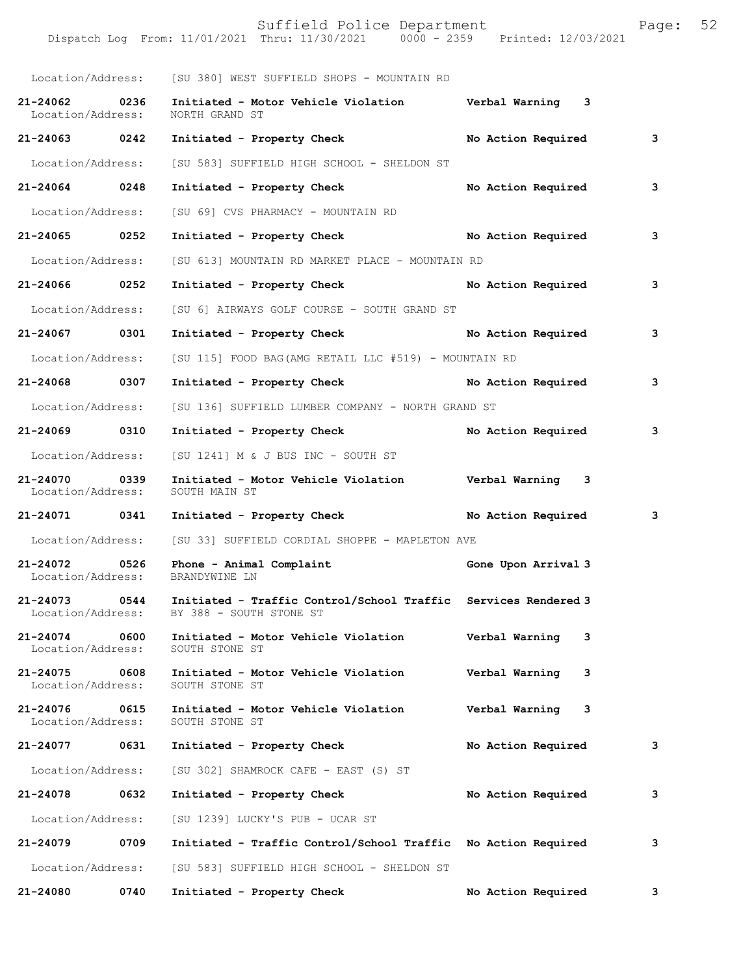|                                    |      | Location/Address: [SU 380] WEST SUFFIELD SHOPS - MOUNTAIN RD                              |                      |                         |
|------------------------------------|------|-------------------------------------------------------------------------------------------|----------------------|-------------------------|
| 21-24062 0236<br>Location/Address: |      | Initiated - Motor Vehicle Violation burbal Warning 3<br>NORTH GRAND ST                    |                      |                         |
| 21-24063 0242                      |      | Initiated - Property Check                                                                | No Action Required   | $\overline{\mathbf{3}}$ |
| Location/Address:                  |      | [SU 583] SUFFIELD HIGH SCHOOL - SHELDON ST                                                |                      |                         |
| 21-24064 0248                      |      | Initiated - Property Check                                                                | No Action Required   | 3                       |
| Location/Address:                  |      | [SU 69] CVS PHARMACY - MOUNTAIN RD                                                        |                      |                         |
| 21-24065 0252                      |      | Initiated - Property Check No Action Required                                             |                      | 3                       |
| Location/Address:                  |      | [SU 613] MOUNTAIN RD MARKET PLACE - MOUNTAIN RD                                           |                      |                         |
| 21-24066 0252                      |      | Initiated - Property Check No Action Required                                             |                      | 3                       |
| Location/Address:                  |      | [SU 6] AIRWAYS GOLF COURSE - SOUTH GRAND ST                                               |                      |                         |
| 21-24067 0301                      |      | Initiated - Property Check                                                                | No Action Required   | 3                       |
| Location/Address:                  |      | [SU 115] FOOD BAG(AMG RETAIL LLC #519) - MOUNTAIN RD                                      |                      |                         |
| 21-24068 0307                      |      | Initiated - Property Check No Action Required                                             |                      | 3                       |
| Location/Address:                  |      | [SU 136] SUFFIELD LUMBER COMPANY - NORTH GRAND ST                                         |                      |                         |
| 21-24069 0310                      |      | Initiated - Property Check                                                                | No Action Required 3 |                         |
|                                    |      | Location/Address: [SU 1241] M & J BUS INC - SOUTH ST                                      |                      |                         |
| 21-24070<br>Location/Address:      | 0339 | Initiated - Motor Vehicle Violation Verbal Warning 3<br>SOUTH MAIN ST                     |                      |                         |
| 21-24071 0341                      |      | Initiated - Property Check Mo Action Required 3                                           |                      |                         |
|                                    |      | Location/Address: [SU 33] SUFFIELD CORDIAL SHOPPE - MAPLETON AVE                          |                      |                         |
| 21-24072<br>Location/Address:      | 0526 | Phone - Animal Complaint<br>BRANDYWINE LN                                                 | Gone Upon Arrival 3  |                         |
| 21-24073 0544<br>Location/Address: |      | Initiated - Traffic Control/School Traffic Services Rendered 3<br>BY 388 - SOUTH STONE ST |                      |                         |
| $21 - 24074$<br>Location/Address:  | 0600 | Initiated - Motor Vehicle Violation<br>SOUTH STONE ST                                     | Verbal Warning<br>3  |                         |
| 21-24075<br>Location/Address:      | 0608 | Initiated - Motor Vehicle Violation<br>SOUTH STONE ST                                     | Verbal Warning<br>3  |                         |
| 21-24076<br>Location/Address:      | 0615 | Initiated - Motor Vehicle Violation<br>SOUTH STONE ST                                     | Verbal Warning<br>3  |                         |
| 21-24077                           | 0631 | Initiated - Property Check                                                                | No Action Required   | 3                       |
| Location/Address:                  |      | [SU 302] SHAMROCK CAFE - EAST (S) ST                                                      |                      |                         |
| 21-24078                           | 0632 | Initiated - Property Check                                                                | No Action Required   | 3                       |
| Location/Address:                  |      | [SU 1239] LUCKY'S PUB - UCAR ST                                                           |                      |                         |
| 21-24079                           | 0709 | Initiated - Traffic Control/School Traffic No Action Required                             |                      | 3                       |
| Location/Address:                  |      | [SU 583] SUFFIELD HIGH SCHOOL - SHELDON ST                                                |                      |                         |
| 21-24080                           | 0740 | Initiated - Property Check                                                                | No Action Required   | 3                       |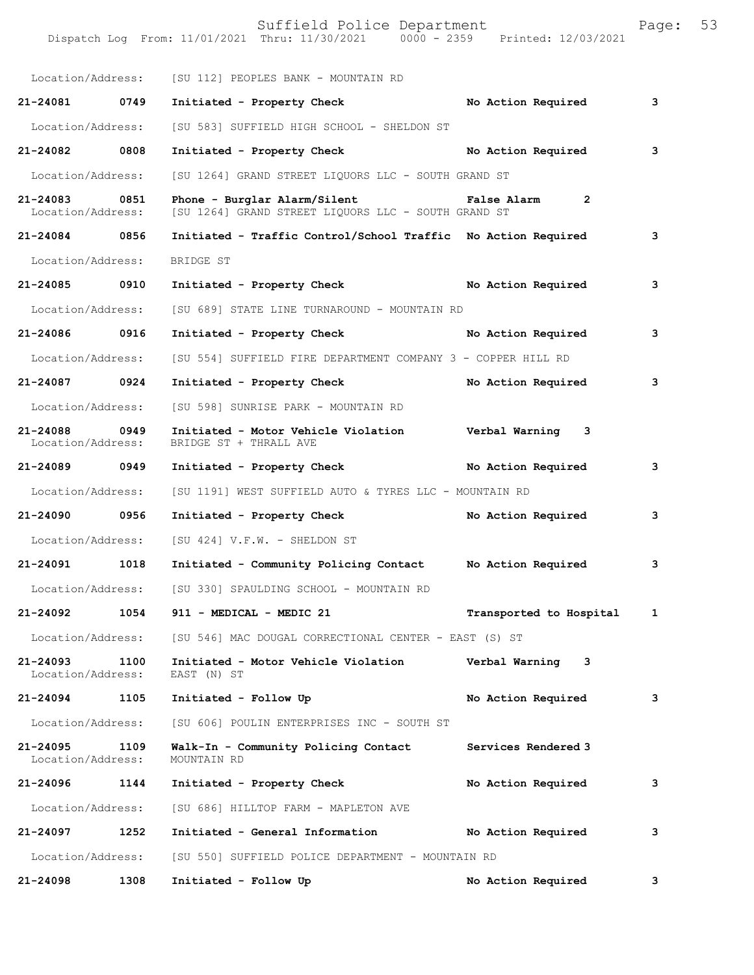|                                    |      | Suffield Police Department<br>Dispatch Log From: 11/01/2021 Thru: 11/30/2021 0000 - 2359 Printed: 12/03/2021 |                         | Page: | 53 |
|------------------------------------|------|--------------------------------------------------------------------------------------------------------------|-------------------------|-------|----|
|                                    |      | Location/Address: [SU 112] PEOPLES BANK - MOUNTAIN RD                                                        |                         |       |    |
| 21-24081 0749                      |      | Initiated - Property Check                                                                                   | No Action Required      | 3     |    |
| Location/Address:                  |      | [SU 583] SUFFIELD HIGH SCHOOL - SHELDON ST                                                                   |                         |       |    |
| 21-24082 0808                      |      | Initiated - Property Check                                                                                   | No Action Required      | 3     |    |
| Location/Address:                  |      | [SU 1264] GRAND STREET LIQUORS LLC - SOUTH GRAND ST                                                          |                         |       |    |
| 21-24083 0851<br>Location/Address: |      | Phone - Burglar Alarm/Silent Talse Alarm<br>[SU 1264] GRAND STREET LIQUORS LLC - SOUTH GRAND ST              | $\overline{2}$          |       |    |
| 21-24084 0856                      |      | Initiated - Traffic Control/School Traffic No Action Required                                                |                         | 3     |    |
| Location/Address:                  |      | BRIDGE ST                                                                                                    |                         |       |    |
| 21-24085 0910                      |      | Initiated - Property Check No Action Required                                                                |                         | 3     |    |
| Location/Address:                  |      | [SU 689] STATE LINE TURNAROUND - MOUNTAIN RD                                                                 |                         |       |    |
| 21-24086 0916                      |      | Initiated - Property Check                                                                                   | No Action Required      | 3     |    |
| Location/Address:                  |      | [SU 554] SUFFIELD FIRE DEPARTMENT COMPANY 3 - COPPER HILL RD                                                 |                         |       |    |
| 21-24087 0924                      |      | Initiated - Property Check                                                                                   | No Action Required      | 3     |    |
| Location/Address:                  |      | [SU 598] SUNRISE PARK - MOUNTAIN RD                                                                          |                         |       |    |
| 21-24088 0949<br>Location/Address: |      | Initiated - Motor Vehicle Violation Verbal Warning 3<br>BRIDGE ST + THRALL AVE                               |                         |       |    |
| 21-24089 0949                      |      | Initiated - Property Check                                                                                   | No Action Required      | 3     |    |
| Location/Address:                  |      | [SU 1191] WEST SUFFIELD AUTO & TYRES LLC - MOUNTAIN RD                                                       |                         |       |    |
| 21-24090 0956                      |      | Initiated - Property Check                                                                                   | No Action Required      | 3     |    |
| Location/Address:                  |      | [SU 424] V.F.W. - SHELDON ST                                                                                 |                         |       |    |
| 21-24091                           | 1018 | Initiated - Community Policing Contact Mo Action Required                                                    |                         | 3     |    |
|                                    |      | Location/Address: [SU 330] SPAULDING SCHOOL - MOUNTAIN RD                                                    |                         |       |    |
| 21-24092                           | 1054 | 911 - MEDICAL - MEDIC 21                                                                                     | Transported to Hospital | 1     |    |
| Location/Address:                  |      | [SU 546] MAC DOUGAL CORRECTIONAL CENTER - EAST (S) ST                                                        |                         |       |    |
| $21 - 24093$<br>Location/Address:  | 1100 | Initiated - Motor Vehicle Violation<br>EAST (N) ST                                                           | Verbal Warning 3        |       |    |
| $21 - 24094$                       | 1105 | Initiated - Follow Up                                                                                        | No Action Required      | з     |    |
| Location/Address:                  |      | [SU 606] POULIN ENTERPRISES INC - SOUTH ST                                                                   |                         |       |    |
| 21-24095<br>Location/Address:      | 1109 | Walk-In - Community Policing Contact<br>MOUNTAIN RD                                                          | Services Rendered 3     |       |    |
| 21-24096                           | 1144 | Initiated - Property Check                                                                                   | No Action Required      | 3     |    |
| Location/Address:                  |      | [SU 686] HILLTOP FARM - MAPLETON AVE                                                                         |                         |       |    |
| 21-24097                           | 1252 | Initiated - General Information                                                                              | No Action Required      | з     |    |
| Location/Address:                  |      | [SU 550] SUFFIELD POLICE DEPARTMENT - MOUNTAIN RD                                                            |                         |       |    |

21-24098 1308 Initiated - Follow Up **No Action Required** 3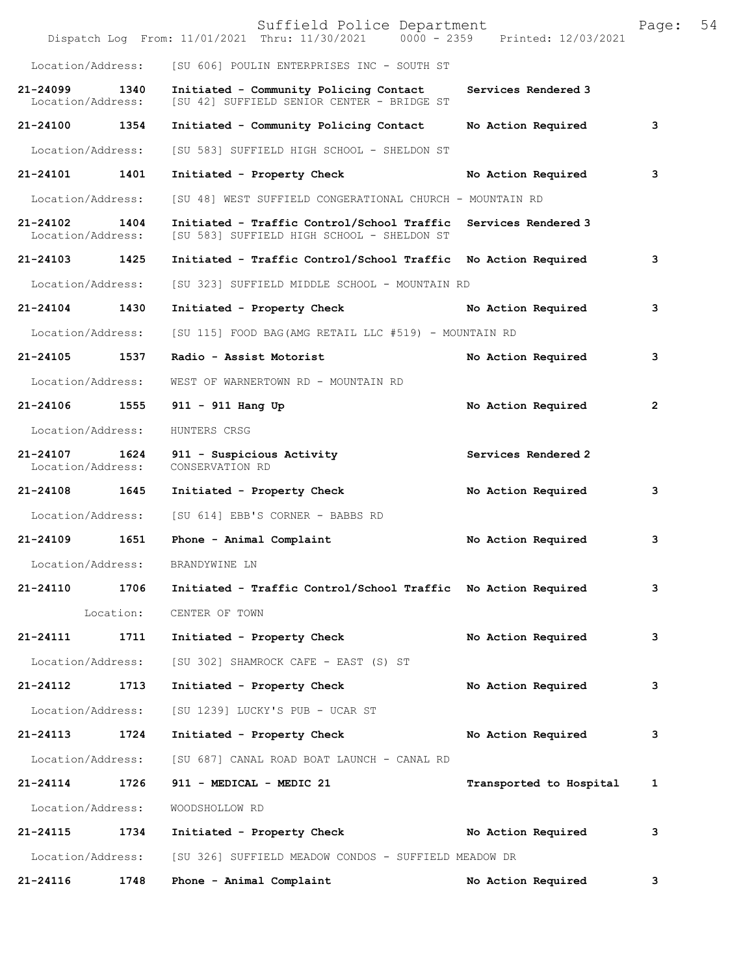|                                   |           | Suffield Police Department<br>Dispatch Log From: 11/01/2021 Thru: 11/30/2021 0000 - 2359 Printed: 12/03/2021 |                         | Page: | 54 |
|-----------------------------------|-----------|--------------------------------------------------------------------------------------------------------------|-------------------------|-------|----|
| Location/Address:                 |           | [SU 606] POULIN ENTERPRISES INC - SOUTH ST                                                                   |                         |       |    |
| $21 - 24099$<br>Location/Address: | 1340      | Initiated - Community Policing Contact<br>[SU 42] SUFFIELD SENIOR CENTER - BRIDGE ST                         | Services Rendered 3     |       |    |
| 21-24100                          | 1354      | Initiated - Community Policing Contact                                                                       | No Action Required      | з     |    |
| Location/Address:                 |           | [SU 583] SUFFIELD HIGH SCHOOL - SHELDON ST                                                                   |                         |       |    |
| $21 - 24101$                      | 1401      | Initiated - Property Check                                                                                   | No Action Required      | 3     |    |
| Location/Address:                 |           | [SU 48] WEST SUFFIELD CONGERATIONAL CHURCH - MOUNTAIN RD                                                     |                         |       |    |
| 21-24102<br>Location/Address:     | 1404      | Initiated - Traffic Control/School Traffic<br>[SU 583] SUFFIELD HIGH SCHOOL - SHELDON ST                     | Services Rendered 3     |       |    |
| 21-24103                          | 1425      | Initiated - Traffic Control/School Traffic                                                                   | No Action Required      | з     |    |
| Location/Address:                 |           | [SU 323] SUFFIELD MIDDLE SCHOOL - MOUNTAIN RD                                                                |                         |       |    |
| $21 - 24104$                      | 1430      | Initiated - Property Check                                                                                   | No Action Required      | з     |    |
| Location/Address:                 |           | [SU 115] FOOD BAG(AMG RETAIL LLC #519) - MOUNTAIN RD                                                         |                         |       |    |
| 21-24105                          | 1537      | Radio - Assist Motorist                                                                                      | No Action Required      | з     |    |
| Location/Address:                 |           | WEST OF WARNERTOWN RD - MOUNTAIN RD                                                                          |                         |       |    |
| 21-24106                          | 1555      | 911 - 911 Hang Up                                                                                            | No Action Required      | 2     |    |
| Location/Address:                 |           | HUNTERS CRSG                                                                                                 |                         |       |    |
| 21-24107<br>Location/Address:     | 1624      | 911 - Suspicious Activity<br>CONSERVATION RD                                                                 | Services Rendered 2     |       |    |
| 21-24108                          | 1645      | Initiated - Property Check                                                                                   | No Action Required      | 3     |    |
| Location/Address:                 |           | [SU 614] EBB'S CORNER - BABBS RD                                                                             |                         |       |    |
| 21-24109                          | 1651      | Phone - Animal Complaint                                                                                     | No Action Required      | з     |    |
| Location/Address:                 |           | BRANDYWINE LN                                                                                                |                         |       |    |
| 21-24110                          | 1706      | Initiated - Traffic Control/School Traffic No Action Required                                                |                         | з     |    |
|                                   | Location: | CENTER OF TOWN                                                                                               |                         |       |    |
| 21-24111                          | 1711      | Initiated - Property Check                                                                                   | No Action Required      | з     |    |
| Location/Address:                 |           | [SU 302] SHAMROCK CAFE - EAST (S) ST                                                                         |                         |       |    |
| 21-24112                          | 1713      | Initiated - Property Check                                                                                   | No Action Required      | 3     |    |
| Location/Address:                 |           | [SU 1239] LUCKY'S PUB - UCAR ST                                                                              |                         |       |    |
| 21-24113                          | 1724      | Initiated - Property Check                                                                                   | No Action Required      | 3     |    |
| Location/Address:                 |           | [SU 687] CANAL ROAD BOAT LAUNCH - CANAL RD                                                                   |                         |       |    |
| 21-24114                          | 1726      | 911 - MEDICAL - MEDIC 21                                                                                     | Transported to Hospital | 1     |    |
| Location/Address:                 |           | WOODSHOLLOW RD                                                                                               |                         |       |    |
| 21-24115                          | 1734      | Initiated - Property Check                                                                                   | No Action Required      | 3     |    |
| Location/Address:                 |           | [SU 326] SUFFIELD MEADOW CONDOS - SUFFIELD MEADOW DR                                                         |                         |       |    |
| 21-24116                          | 1748      | Phone - Animal Complaint                                                                                     | No Action Required      | 3     |    |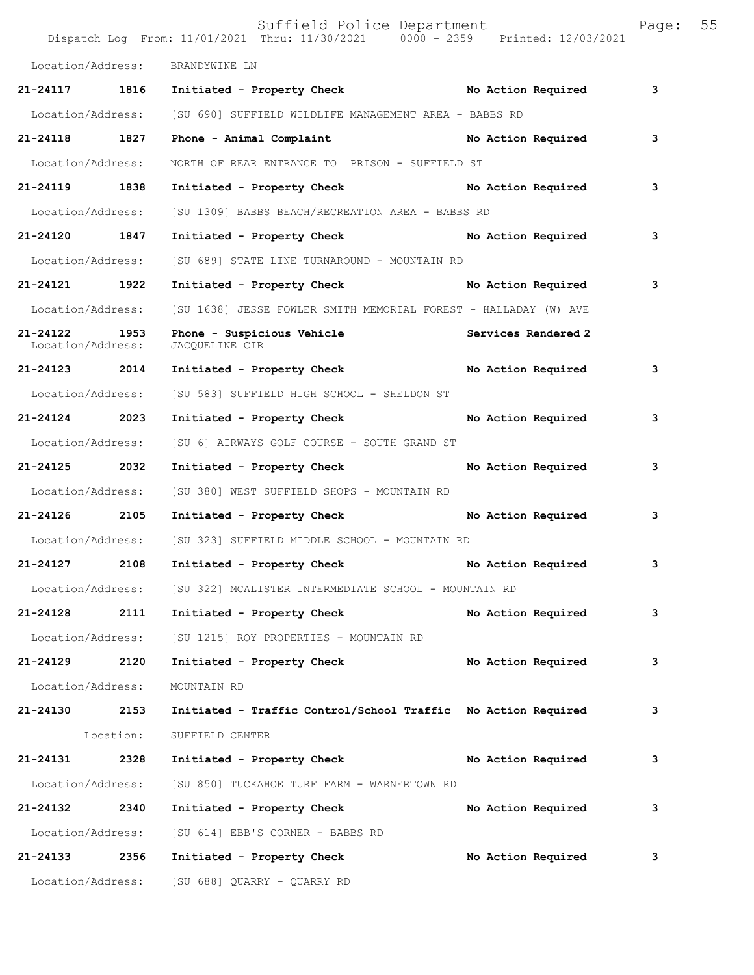|                                    |           | Suffield Police Department<br>Dispatch Log From: 11/01/2021 Thru: 11/30/2021 0000 - 2359 Printed: 12/03/2021 |                    | Page: | 55 |
|------------------------------------|-----------|--------------------------------------------------------------------------------------------------------------|--------------------|-------|----|
| Location/Address:                  |           | BRANDYWINE LN                                                                                                |                    |       |    |
|                                    |           | 21-24117 1816 Initiated - Property Check No Action Required                                                  |                    | 3     |    |
|                                    |           | Location/Address: [SU 690] SUFFIELD WILDLIFE MANAGEMENT AREA - BABBS RD                                      |                    |       |    |
| 21-24118 1827                      |           | Phone - Animal Complaint No Action Required                                                                  |                    | 3     |    |
| Location/Address:                  |           | NORTH OF REAR ENTRANCE TO PRISON - SUFFIELD ST                                                               |                    |       |    |
| 21-24119 1838                      |           | Initiated - Property Check No Action Required                                                                |                    | 3     |    |
| Location/Address:                  |           | [SU 1309] BABBS BEACH/RECREATION AREA - BABBS RD                                                             |                    |       |    |
| 21-24120 1847                      |           | Initiated - Property Check No Action Required                                                                |                    | 3     |    |
| Location/Address:                  |           | [SU 689] STATE LINE TURNAROUND - MOUNTAIN RD                                                                 |                    |       |    |
| 21-24121 1922                      |           | Initiated - Property Check No Action Required                                                                |                    | 3     |    |
| Location/Address:                  |           | [SU 1638] JESSE FOWLER SMITH MEMORIAL FOREST - HALLADAY (W) AVE                                              |                    |       |    |
| 21-24122 1953<br>Location/Address: |           | Phone - Suspicious Vehicle<br>Services Rendered 2<br>JACOUELINE CIR                                          |                    |       |    |
| 21-24123 2014                      |           | Initiated - Property Check No Action Required                                                                |                    | 3     |    |
| Location/Address:                  |           | [SU 583] SUFFIELD HIGH SCHOOL - SHELDON ST                                                                   |                    |       |    |
| 21-24124 2023                      |           | Initiated - Property Check                                                                                   | No Action Required | 3     |    |
| Location/Address:                  |           | [SU 6] AIRWAYS GOLF COURSE - SOUTH GRAND ST                                                                  |                    |       |    |
| 21-24125 2032                      |           | Initiated - Property Check                                                                                   | No Action Required | 3     |    |
| Location/Address:                  |           | [SU 380] WEST SUFFIELD SHOPS - MOUNTAIN RD                                                                   |                    |       |    |
| 21-24126 2105                      |           | Initiated - Property Check No Action Required                                                                |                    | 3     |    |
| Location/Address:                  |           | [SU 323] SUFFIELD MIDDLE SCHOOL - MOUNTAIN RD                                                                |                    |       |    |
| 21-24127 2108                      |           | Initiated - Property Check                                                                                   | No Action Required | 3     |    |
|                                    |           | Location/Address: [SU 322] MCALISTER INTERMEDIATE SCHOOL - MOUNTAIN RD                                       |                    |       |    |
| 21-24128                           | 2111      | Initiated - Property Check                                                                                   | No Action Required | 3     |    |
| Location/Address:                  |           | [SU 1215] ROY PROPERTIES - MOUNTAIN RD                                                                       |                    |       |    |
| 21-24129                           | 2120      | Initiated - Property Check                                                                                   | No Action Required | 3     |    |
| Location/Address:                  |           | MOUNTAIN RD                                                                                                  |                    |       |    |
| 21-24130 2153                      |           | Initiated - Traffic Control/School Traffic No Action Required                                                |                    | 3     |    |
|                                    | Location: | SUFFIELD CENTER                                                                                              |                    |       |    |
| 21-24131 2328                      |           | Initiated - Property Check                                                                                   | No Action Required | 3     |    |
| Location/Address:                  |           | [SU 850] TUCKAHOE TURF FARM - WARNERTOWN RD                                                                  |                    |       |    |
| 21-24132                           | 2340      | Initiated - Property Check                                                                                   | No Action Required | 3     |    |
| Location/Address:                  |           | [SU 614] EBB'S CORNER - BABBS RD                                                                             |                    |       |    |
| 21-24133 2356                      |           | Initiated - Property Check                                                                                   | No Action Required | 3     |    |
|                                    |           | Location/Address: [SU 688] QUARRY - QUARRY RD                                                                |                    |       |    |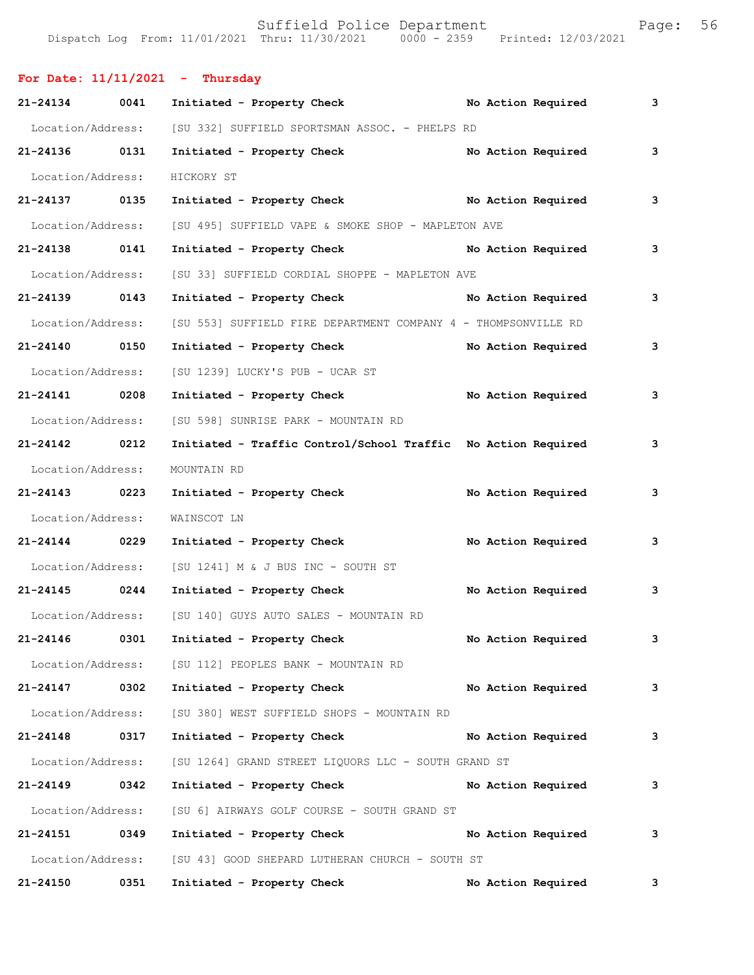|                   |      | For Date: $11/11/2021$ - Thursday                                                |                    |   |
|-------------------|------|----------------------------------------------------------------------------------|--------------------|---|
| 21-24134 0041     |      | Initiated - Property Check No Action Required                                    |                    | 3 |
|                   |      | Location/Address: [SU 332] SUFFIELD SPORTSMAN ASSOC. - PHELPS RD                 |                    |   |
| 21-24136 0131     |      | Initiated - Property Check                                                       | No Action Required | 3 |
|                   |      | Location/Address: HICKORY ST                                                     |                    |   |
| 21-24137 0135     |      | Initiated - Property Check No Action Required                                    |                    | 3 |
|                   |      | Location/Address: [SU 495] SUFFIELD VAPE & SMOKE SHOP - MAPLETON AVE             |                    |   |
| 21-24138 0141     |      | Initiated - Property Check No Action Required                                    |                    | 3 |
| Location/Address: |      | [SU 33] SUFFIELD CORDIAL SHOPPE - MAPLETON AVE                                   |                    |   |
| 21-24139 0143     |      | Initiated - Property Check No Action Required                                    |                    | 3 |
|                   |      | Location/Address: [SU 553] SUFFIELD FIRE DEPARTMENT COMPANY 4 - THOMPSONVILLE RD |                    |   |
| 21-24140 0150     |      | Initiated - Property Check                                                       | No Action Required | 3 |
|                   |      | Location/Address: [SU 1239] LUCKY'S PUB - UCAR ST                                |                    |   |
| 21-24141 0208     |      | Initiated - Property Check No Action Required                                    |                    | 3 |
| Location/Address: |      | [SU 598] SUNRISE PARK - MOUNTAIN RD                                              |                    |   |
| 21-24142 0212     |      | Initiated - Traffic Control/School Traffic No Action Required                    |                    | 3 |
| Location/Address: |      | MOUNTAIN RD                                                                      |                    |   |
| 21-24143 0223     |      | Initiated - Property Check                                                       | No Action Required | 3 |
| Location/Address: |      | WAINSCOT LN                                                                      |                    |   |
| 21-24144 0229     |      | Initiated - Property Check                                                       | No Action Required | 3 |
|                   |      | Location/Address: [SU 1241] M & J BUS INC - SOUTH ST                             |                    |   |
| 21-24145 0244     |      | Initiated - Property Check                                                       | No Action Required | 3 |
|                   |      | Location/Address: [SU 140] GUYS AUTO SALES - MOUNTAIN RD                         |                    |   |
| 21-24146          | 0301 | Initiated - Property Check                                                       | No Action Required | 3 |
|                   |      | Location/Address: [SU 112] PEOPLES BANK - MOUNTAIN RD                            |                    |   |
| 21-24147          | 0302 | Initiated - Property Check                                                       | No Action Required | 3 |
| Location/Address: |      | [SU 380] WEST SUFFIELD SHOPS - MOUNTAIN RD                                       |                    |   |
| 21-24148          | 0317 | Initiated - Property Check                                                       | No Action Required | 3 |
| Location/Address: |      | [SU 1264] GRAND STREET LIQUORS LLC - SOUTH GRAND ST                              |                    |   |
| 21-24149          | 0342 | Initiated - Property Check                                                       | No Action Required | 3 |
| Location/Address: |      | [SU 6] AIRWAYS GOLF COURSE - SOUTH GRAND ST                                      |                    |   |
| 21-24151          | 0349 | Initiated - Property Check                                                       | No Action Required | 3 |
| Location/Address: |      | [SU 43] GOOD SHEPARD LUTHERAN CHURCH - SOUTH ST                                  |                    |   |
| 21-24150          | 0351 | Initiated - Property Check                                                       | No Action Required | 3 |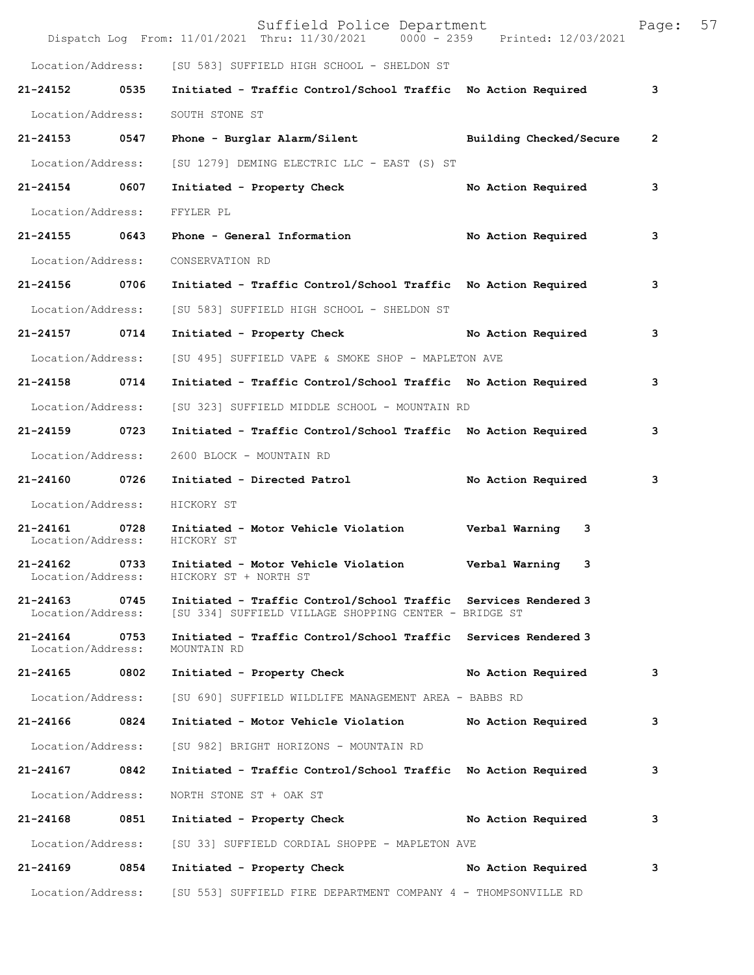|                                    |      | Suffield Police Department<br>Dispatch Log From: 11/01/2021 Thru: 11/30/2021 0000 - 2359 Printed: 12/03/2021            |                         | Page: | 57 |
|------------------------------------|------|-------------------------------------------------------------------------------------------------------------------------|-------------------------|-------|----|
| Location/Address:                  |      | [SU 583] SUFFIELD HIGH SCHOOL - SHELDON ST                                                                              |                         |       |    |
| 21-24152                           | 0535 | Initiated - Traffic Control/School Traffic No Action Required                                                           |                         | 3     |    |
| Location/Address:                  |      | SOUTH STONE ST                                                                                                          |                         |       |    |
| 21-24153                           | 0547 | Phone - Burglar Alarm/Silent                                                                                            | Building Checked/Secure | 2     |    |
| Location/Address:                  |      | [SU 1279] DEMING ELECTRIC LLC - EAST (S) ST                                                                             |                         |       |    |
| 21-24154                           | 0607 | Initiated - Property Check                                                                                              | No Action Required      | 3     |    |
| Location/Address:                  |      | FFYLER PL                                                                                                               |                         |       |    |
| 21-24155 0643                      |      | Phone - General Information                                                                                             | No Action Required      | 3     |    |
| Location/Address:                  |      | CONSERVATION RD                                                                                                         |                         |       |    |
| 21-24156                           | 0706 | Initiated - Traffic Control/School Traffic No Action Required                                                           |                         | 3     |    |
| Location/Address:                  |      | [SU 583] SUFFIELD HIGH SCHOOL - SHELDON ST                                                                              |                         |       |    |
| 21-24157                           | 0714 | Initiated - Property Check                                                                                              | No Action Required      | 3     |    |
| Location/Address:                  |      | [SU 495] SUFFIELD VAPE & SMOKE SHOP - MAPLETON AVE                                                                      |                         |       |    |
| 21-24158 0714                      |      | Initiated - Traffic Control/School Traffic No Action Required                                                           |                         | 3     |    |
| Location/Address:                  |      | [SU 323] SUFFIELD MIDDLE SCHOOL - MOUNTAIN RD                                                                           |                         |       |    |
| 21-24159                           | 0723 | Initiated - Traffic Control/School Traffic No Action Required                                                           |                         | 3     |    |
| Location/Address:                  |      | 2600 BLOCK - MOUNTAIN RD                                                                                                |                         |       |    |
| 21-24160                           | 0726 | Initiated - Directed Patrol                                                                                             | No Action Required      | 3     |    |
| Location/Address:                  |      | HICKORY ST                                                                                                              |                         |       |    |
| 21-24161<br>Location/Address:      | 0728 | Initiated - Motor Vehicle Violation<br>HICKORY ST                                                                       | Verbal Warning<br>3     |       |    |
| 21-24162<br>Location/Address:      | 0733 | Initiated - Motor Vehicle Violation<br>HICKORY ST + NORTH ST                                                            | Verbal Warning<br>3     |       |    |
| 21-24163<br>Location/Address:      | 0745 | Initiated - Traffic Control/School Traffic Services Rendered 3<br>[SU 334] SUFFIELD VILLAGE SHOPPING CENTER - BRIDGE ST |                         |       |    |
| 21-24164 0753<br>Location/Address: |      | Initiated - Traffic Control/School Traffic Services Rendered 3<br>MOUNTAIN RD                                           |                         |       |    |
| 21-24165 0802                      |      | Initiated - Property Check                                                                                              | No Action Required      | 3     |    |
| Location/Address:                  |      | [SU 690] SUFFIELD WILDLIFE MANAGEMENT AREA - BABBS RD                                                                   |                         |       |    |
| 21-24166                           | 0824 | Initiated - Motor Vehicle Violation No Action Required                                                                  |                         | 3     |    |
| Location/Address:                  |      | [SU 982] BRIGHT HORIZONS - MOUNTAIN RD                                                                                  |                         |       |    |
| 21-24167 0842                      |      | Initiated - Traffic Control/School Traffic No Action Required                                                           |                         | з     |    |
| Location/Address:                  |      | NORTH STONE ST + OAK ST                                                                                                 |                         |       |    |
| 21-24168 0851                      |      | Initiated - Property Check No Action Required                                                                           |                         | 3     |    |
| Location/Address:                  |      | [SU 33] SUFFIELD CORDIAL SHOPPE - MAPLETON AVE                                                                          |                         |       |    |
| 21-24169                           | 0854 | Initiated - Property Check                                                                                              | No Action Required      | 3     |    |
|                                    |      | Location/Address: [SU 553] SUFFIELD FIRE DEPARTMENT COMPANY 4 - THOMPSONVILLE RD                                        |                         |       |    |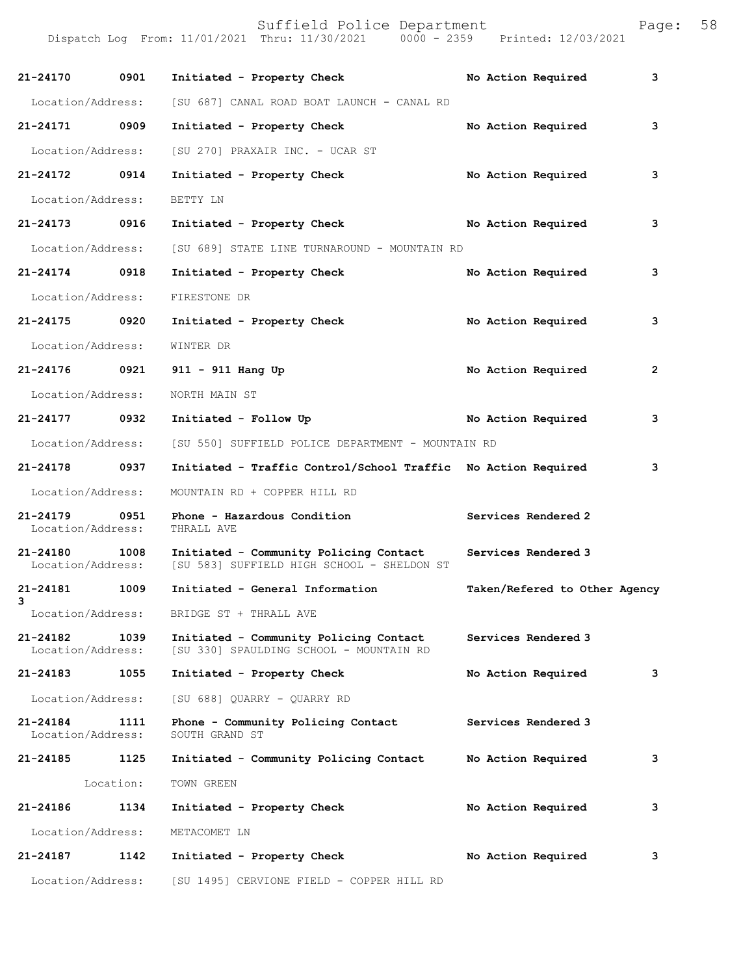Dispatch Log From: 11/01/2021 Thru: 11/30/2021 0000 - 2359 Printed: 12/03/2021 **21-24170 0901 Initiated - Property Check No Action Required 3** Location/Address: [SU 687] CANAL ROAD BOAT LAUNCH - CANAL RD **21-24171 0909 Initiated - Property Check No Action Required 3** Location/Address: [SU 270] PRAXAIR INC. - UCAR ST **21-24172 0914 Initiated - Property Check No Action Required 3** Location/Address: BETTY LN **21-24173 0916 Initiated - Property Check No Action Required 3** Location/Address: [SU 689] STATE LINE TURNAROUND - MOUNTAIN RD **21-24174 0918 Initiated - Property Check No Action Required 3** Location/Address: FIRESTONE DR **21-24175 0920 Initiated - Property Check No Action Required 3** Location/Address: WINTER DR **21-24176 0921 911 - 911 Hang Up No Action Required 2** Location/Address: NORTH MAIN ST **21-24177 0932 Initiated - Follow Up No Action Required 3** Location/Address: [SU 550] SUFFIELD POLICE DEPARTMENT - MOUNTAIN RD **21-24178 0937 Initiated - Traffic Control/School Traffic No Action Required 3** Location/Address: MOUNTAIN RD + COPPER HILL RD 21-24179 0951 Phone - Hazardous Condition **Services Rendered 2 Integral 2 Integral 2 Integral 2 Integral 2 Integral 2 Integral 2 Integral 2** Location/Address: **21-24180 1008 Initiated - Community Policing Contact Services Rendered 3**  [SU 583] SUFFIELD HIGH SCHOOL - SHELDON ST **21-24181 1009 Initiated - General Information Taken/Refered to Other Agency 3**  Location/Address: BRIDGE ST + THRALL AVE **21-24182 1039 Initiated - Community Policing Contact Services Rendered 3**  [SU 330] SPAULDING SCHOOL - MOUNTAIN RD **21-24183 1055 Initiated - Property Check No Action Required 3** Location/Address: [SU 688] QUARRY - QUARRY RD **21-24184 1111 Phone - Community Policing Contact Services Rendered 3**  Location/Address: SOUTH GRAND ST **21-24185 1125 Initiated - Community Policing Contact No Action Required 3** Location: TOWN GREEN **21-24186 1134 Initiated - Property Check No Action Required 3** Location/Address: METACOMET LN **21-24187 1142 Initiated - Property Check No Action Required 3**

Location/Address: [SU 1495] CERVIONE FIELD - COPPER HILL RD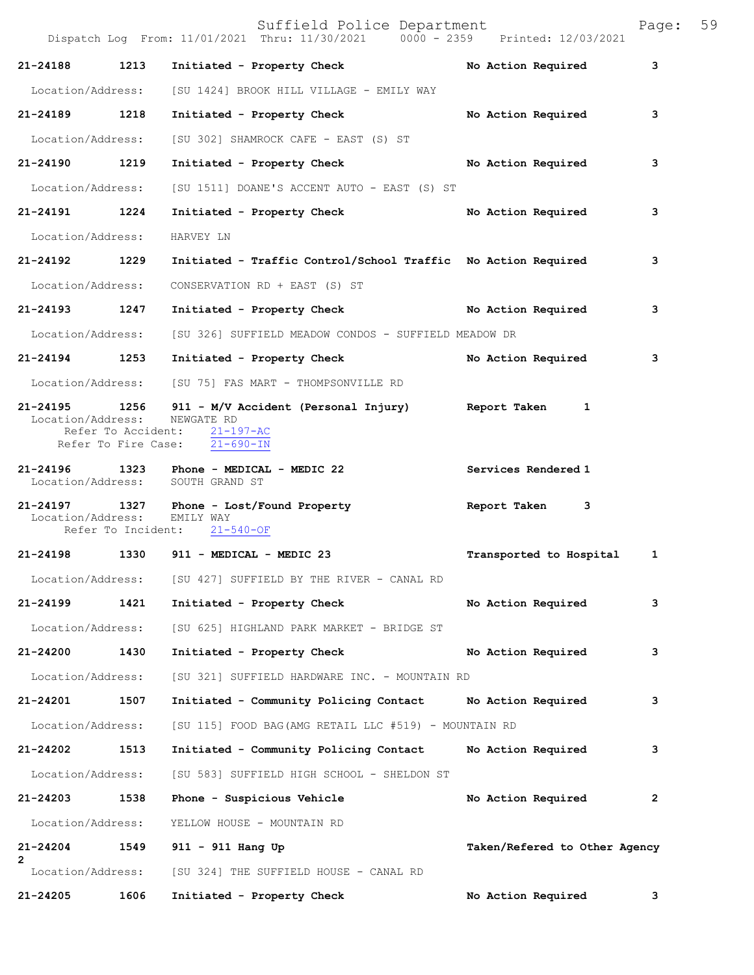|                              |      | Suffield Police Department<br>Dispatch Log From: 11/01/2021 Thru: 11/30/2021 0000 - 2359 Printed: 12/03/2021                                   |                               | Page: 59 |  |
|------------------------------|------|------------------------------------------------------------------------------------------------------------------------------------------------|-------------------------------|----------|--|
| 21-24188 1213                |      | Initiated - Property Check                                                                                                                     | No Action Required            | 3        |  |
|                              |      | Location/Address: [SU 1424] BROOK HILL VILLAGE - EMILY WAY                                                                                     |                               |          |  |
| 21-24189                     | 1218 | Initiated - Property Check No Action Required                                                                                                  |                               | 3        |  |
| Location/Address:            |      | [SU 302] SHAMROCK CAFE - EAST (S) ST                                                                                                           |                               |          |  |
| 21-24190 1219                |      | Initiated - Property Check No Action Required                                                                                                  |                               | 3        |  |
| Location/Address:            |      | [SU 1511] DOANE'S ACCENT AUTO - EAST (S) ST                                                                                                    |                               |          |  |
| 21-24191 1224                |      | Initiated - Property Check                                                                                                                     | No Action Required            | 3        |  |
| Location/Address:            |      | HARVEY LN                                                                                                                                      |                               |          |  |
| 21-24192 1229                |      | Initiated - Traffic Control/School Traffic No Action Required                                                                                  |                               | 3        |  |
| Location/Address:            |      | CONSERVATION RD + EAST (S) ST                                                                                                                  |                               |          |  |
| 21-24193 1247                |      | Initiated - Property Check No Action Required                                                                                                  |                               | 3        |  |
|                              |      | Location/Address: [SU 326] SUFFIELD MEADOW CONDOS - SUFFIELD MEADOW DR                                                                         |                               |          |  |
| 21-24194 1253                |      | Initiated - Property Check No Action Required                                                                                                  |                               | 3        |  |
|                              |      | Location/Address: [SU 75] FAS MART - THOMPSONVILLE RD                                                                                          |                               |          |  |
| Location/Address: NEWGATE RD |      | 21-24195 1256 911 - M/V Accident (Personal Injury) Report Taken 1<br>Refer To Accident: 21-197-AC<br>Refer To Fire Case: $\overline{21-690-1}$ |                               |          |  |
|                              |      |                                                                                                                                                |                               |          |  |
|                              |      | 21-24196 1323 Phone - MEDICAL - MEDIC 22<br>Location/Address: SOUTH GRAND ST                                                                   | Services Rendered 1           |          |  |
| Location/Address: EMILY WAY  |      | 21-24197 1327 Phone - Lost/Found Property<br>Refer To Incident: 21-540-OF                                                                      | Report Taken<br>3             |          |  |
|                              |      | 21-24198 1330 911 - MEDICAL - MEDIC 23                                                                                                         | Transported to Hospital       | 1        |  |
|                              |      | Location/Address: [SU 427] SUFFIELD BY THE RIVER - CANAL RD                                                                                    |                               |          |  |
| 21-24199                     | 1421 | Initiated - Property Check                                                                                                                     | No Action Required            | 3        |  |
| Location/Address:            |      | [SU 625] HIGHLAND PARK MARKET - BRIDGE ST                                                                                                      |                               |          |  |
| 21-24200                     | 1430 | Initiated - Property Check                                                                                                                     | No Action Required            | 3        |  |
| Location/Address:            |      | [SU 321] SUFFIELD HARDWARE INC. - MOUNTAIN RD                                                                                                  |                               |          |  |
| 21-24201                     | 1507 | Initiated - Community Policing Contact Mo Action Required                                                                                      |                               | 3        |  |
| Location/Address:            |      | [SU 115] FOOD BAG (AMG RETAIL LLC #519) - MOUNTAIN RD                                                                                          |                               |          |  |
| 21-24202                     | 1513 | Initiated - Community Policing Contact                                                                                                         | No Action Required            | 3        |  |
| Location/Address:            |      | [SU 583] SUFFIELD HIGH SCHOOL - SHELDON ST                                                                                                     |                               |          |  |
| 21-24203                     | 1538 | Phone - Suspicious Vehicle                                                                                                                     | No Action Required            | 2        |  |
| Location/Address:            |      | YELLOW HOUSE - MOUNTAIN RD                                                                                                                     |                               |          |  |
| 21-24204                     | 1549 | 911 - 911 Hang Up                                                                                                                              | Taken/Refered to Other Agency |          |  |
| Location/Address:            |      | [SU 324] THE SUFFIELD HOUSE - CANAL RD                                                                                                         |                               |          |  |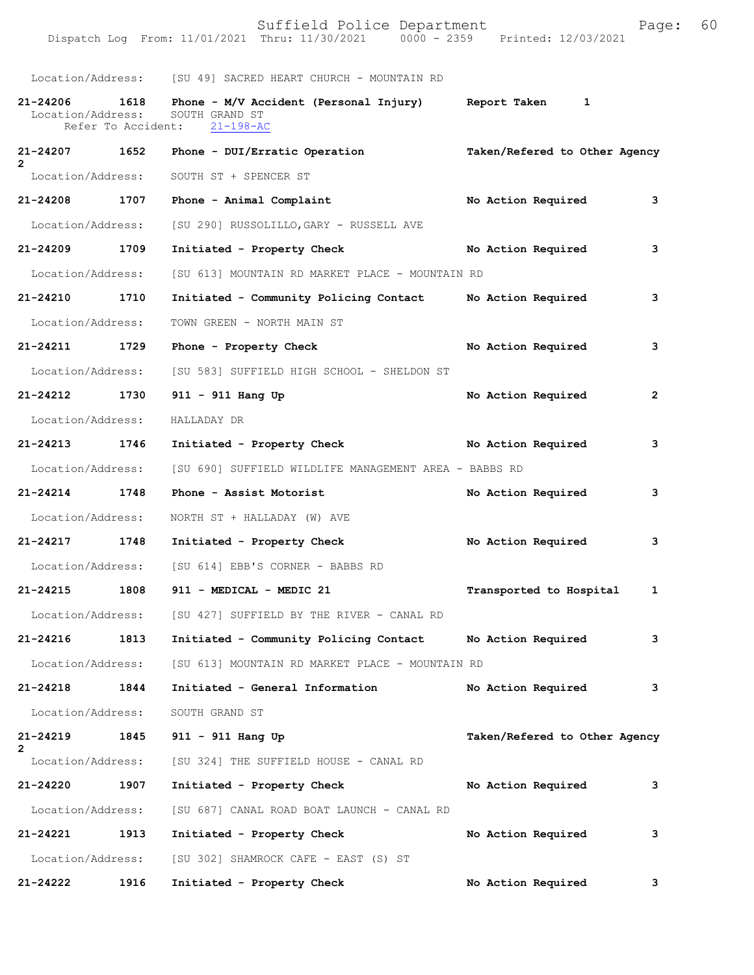|                                    |                    | Location/Address: [SU 49] SACRED HEART CHURCH - MOUNTAIN RD                              |                                         |
|------------------------------------|--------------------|------------------------------------------------------------------------------------------|-----------------------------------------|
| 21-24206 1618<br>Location/Address: | Refer To Accident: | Phone - M/V Accident (Personal Injury) Report Taken<br>SOUTH GRAND ST<br>$21 - 198 - AC$ | $\mathbf{1}$                            |
| 21-24207 1652<br>2                 |                    | Phone - DUI/Erratic Operation                                                            | Taken/Refered to Other Agency           |
| Location/Address:                  |                    | SOUTH ST + SPENCER ST                                                                    |                                         |
| 21-24208 1707                      |                    | Phone - Animal Complaint                                                                 | No Action Required<br>3                 |
| Location/Address:                  |                    | [SU 290] RUSSOLILLO, GARY - RUSSELL AVE                                                  |                                         |
| 21-24209 1709                      |                    | Initiated - Property Check                                                               | No Action Required<br>3                 |
| Location/Address:                  |                    | [SU 613] MOUNTAIN RD MARKET PLACE - MOUNTAIN RD                                          |                                         |
| 21-24210 1710                      |                    | Initiated - Community Policing Contact No Action Required                                | 3                                       |
| Location/Address:                  |                    | TOWN GREEN - NORTH MAIN ST                                                               |                                         |
| 21-24211 1729                      |                    | Phone - Property Check                                                                   | No Action Required<br>3                 |
| Location/Address:                  |                    | [SU 583] SUFFIELD HIGH SCHOOL - SHELDON ST                                               |                                         |
| 21-24212 1730                      |                    | 911 - 911 Hang Up                                                                        | No Action Required<br>$\overline{2}$    |
| Location/Address:                  |                    | HALLADAY DR                                                                              |                                         |
| 21-24213 1746                      |                    | Initiated - Property Check No Action Required                                            | 3                                       |
| Location/Address:                  |                    | [SU 690] SUFFIELD WILDLIFE MANAGEMENT AREA - BABBS RD                                    |                                         |
| 21-24214 1748                      |                    | Phone - Assist Motorist                                                                  | No Action Required<br>3                 |
| Location/Address:                  |                    | NORTH ST + HALLADAY (W) AVE                                                              |                                         |
| 21-24217 1748                      |                    | Initiated - Property Check                                                               | No Action Required<br>3                 |
| Location/Address:                  |                    | [SU 614] EBB'S CORNER - BABBS RD                                                         |                                         |
| 21-24215 1808                      |                    | 911 - MEDICAL - MEDIC 21                                                                 | Transported to Hospital<br>$\mathbf{1}$ |
| Location/Address:                  |                    | [SU 427] SUFFIELD BY THE RIVER - CANAL RD                                                |                                         |
| 21-24216                           | 1813               | Initiated - Community Policing Contact No Action Required                                | 3                                       |
| Location/Address:                  |                    | [SU 613] MOUNTAIN RD MARKET PLACE - MOUNTAIN RD                                          |                                         |
| 21-24218                           | 1844               | Initiated - General Information                                                          | No Action Required<br>3                 |
| Location/Address:                  |                    | SOUTH GRAND ST                                                                           |                                         |
| 21-24219<br>$\mathbf{2}^{\prime}$  | 1845               | 911 - 911 Hang Up                                                                        | Taken/Refered to Other Agency           |
| Location/Address:                  |                    | [SU 324] THE SUFFIELD HOUSE - CANAL RD                                                   |                                         |
| 21-24220                           | 1907               | Initiated - Property Check                                                               | No Action Required<br>3                 |
| Location/Address:                  |                    | [SU 687] CANAL ROAD BOAT LAUNCH - CANAL RD                                               |                                         |
| 21-24221                           | 1913               | Initiated - Property Check                                                               | No Action Required<br>3                 |
| Location/Address:                  |                    | [SU 302] SHAMROCK CAFE - EAST (S) ST                                                     |                                         |
| 21-24222                           | 1916               | Initiated - Property Check                                                               | No Action Required<br>3                 |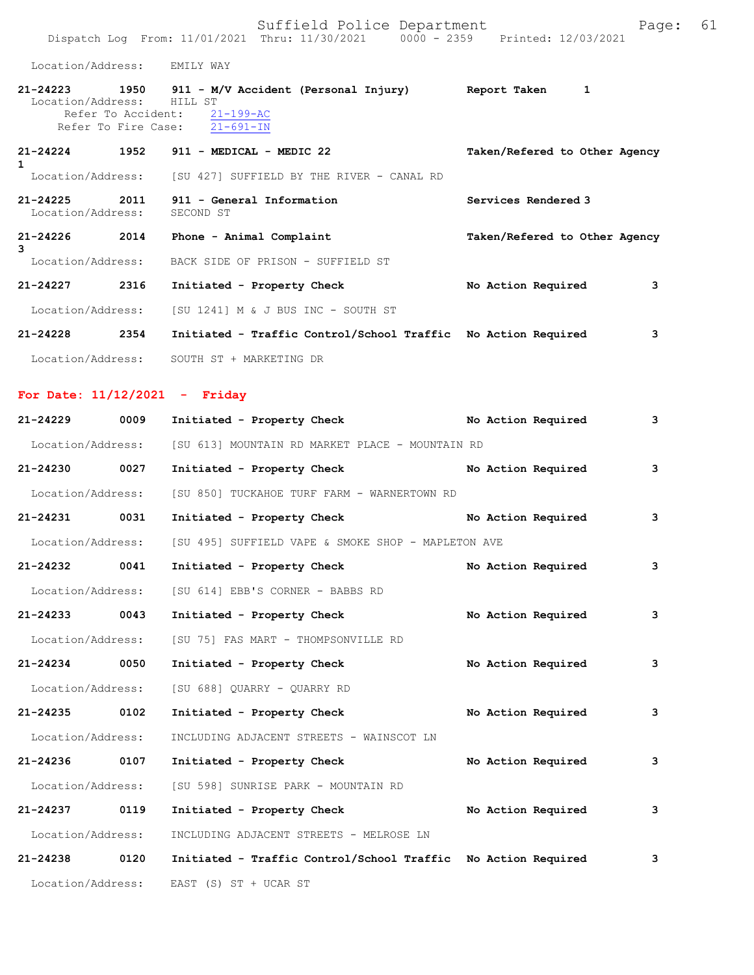Suffield Police Department Fage: 61 Dispatch Log From: 11/01/2021 Thru: 11/30/2021 0000 - 2359 Printed: 12/03/2021

Location/Address: EMILY WAY

| $21 - 24223$<br>Location/Address:      | 1950<br>Refer To Accident:<br>Refer To Fire Case: | 911 - M/V Accident (Personal Injury)<br>HILL ST<br>$21 - 199 - AC$<br>21-691-IN | Report Taken                  | 1 |
|----------------------------------------|---------------------------------------------------|---------------------------------------------------------------------------------|-------------------------------|---|
| $21 - 24224$<br>1<br>Location/Address: | 1952                                              | 911 - MEDICAL - MEDIC 22<br>[SU 427] SUFFIELD BY THE RIVER - CANAL RD           | Taken/Refered to Other Agency |   |
| $21 - 24225$<br>Location/Address:      | 2011                                              | 911 - General Information<br>SECOND ST                                          | Services Rendered 3           |   |
| 21-24226<br>3                          | 2014                                              | Phone - Animal Complaint                                                        | Taken/Refered to Other Agency |   |

|                   |      | Location/Address: BACK SIDE OF PRISON - SUFFIELD ST           |                    |   |
|-------------------|------|---------------------------------------------------------------|--------------------|---|
| 21-24227          | 2316 | Initiated - Property Check                                    | No Action Required | 3 |
| Location/Address: |      | [SU 1241] M & J BUS INC - SOUTH ST                            |                    |   |
| 21-24228          | 2354 | Initiated - Traffic Control/School Traffic No Action Required |                    | 3 |
| Location/Address: |      | SOUTH ST + MARKETING DR                                       |                    |   |

## **For Date: 11/12/2021 - Friday**

| $21 - 24229$      | 0009 | Initiated - Property Check                                    |  | No Action Required | 3 |
|-------------------|------|---------------------------------------------------------------|--|--------------------|---|
| Location/Address: |      | [SU 613] MOUNTAIN RD MARKET PLACE - MOUNTAIN RD               |  |                    |   |
| 21-24230          | 0027 | Initiated - Property Check                                    |  | No Action Required | 3 |
| Location/Address: |      | [SU 850] TUCKAHOE TURF FARM - WARNERTOWN RD                   |  |                    |   |
| 21-24231 0031     |      | Initiated - Property Check                                    |  | No Action Required | 3 |
| Location/Address: |      | [SU 495] SUFFIELD VAPE & SMOKE SHOP - MAPLETON AVE            |  |                    |   |
| $21 - 24232$      | 0041 | Initiated - Property Check                                    |  | No Action Required | 3 |
| Location/Address: |      | [SU 614] EBB'S CORNER - BABBS RD                              |  |                    |   |
| $21 - 24233$      | 0043 | Initiated - Property Check                                    |  | No Action Required | 3 |
| Location/Address: |      | [SU 75] FAS MART - THOMPSONVILLE RD                           |  |                    |   |
| 21-24234 0050     |      | Initiated - Property Check                                    |  | No Action Required | 3 |
| Location/Address: |      | [SU 688] QUARRY - QUARRY RD                                   |  |                    |   |
| 21-24235 0102     |      | Initiated - Property Check                                    |  | No Action Required | 3 |
| Location/Address: |      | INCLUDING ADJACENT STREETS - WAINSCOT LN                      |  |                    |   |
| 21-24236 0107     |      | Initiated - Property Check                                    |  | No Action Required | 3 |
| Location/Address: |      | [SU 598] SUNRISE PARK - MOUNTAIN RD                           |  |                    |   |
| $21 - 24237$      | 0119 | Initiated - Property Check                                    |  | No Action Required | 3 |
| Location/Address: |      | INCLUDING ADJACENT STREETS - MELROSE LN                       |  |                    |   |
| 21-24238          | 0120 | Initiated - Traffic Control/School Traffic No Action Required |  |                    | 3 |
| Location/Address: |      | EAST (S) ST + UCAR ST                                         |  |                    |   |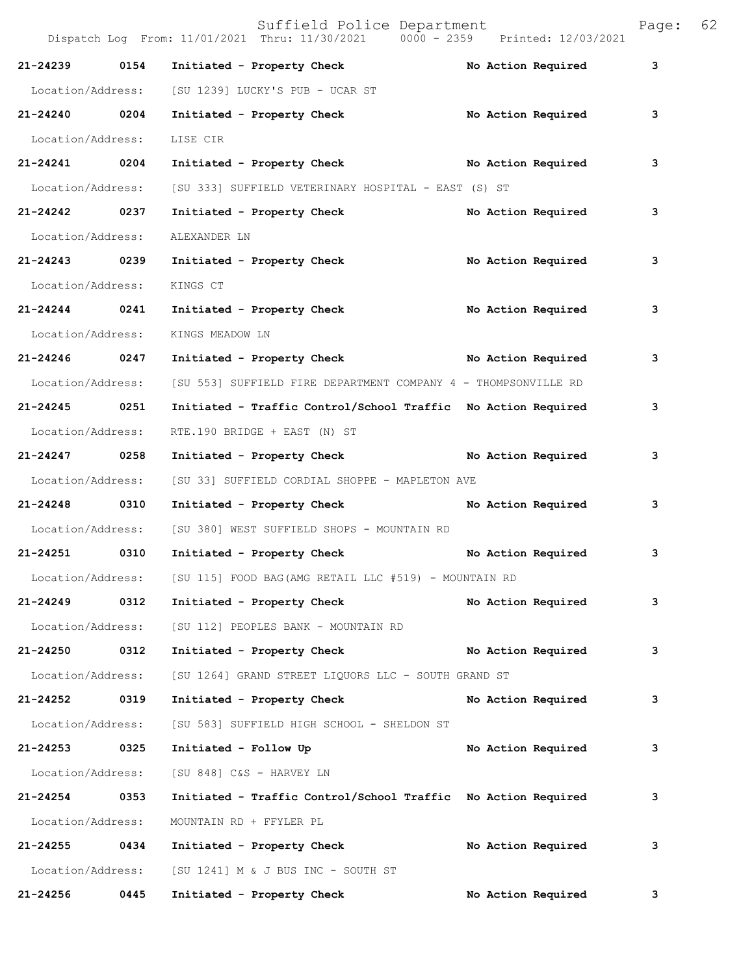|                   |      | Suffield Police Department<br>Dispatch Log From: 11/01/2021 Thru: 11/30/2021 0000 - 2359 Printed: 12/03/2021 |                    | Page: | 62 |
|-------------------|------|--------------------------------------------------------------------------------------------------------------|--------------------|-------|----|
| 21-24239          | 0154 | Initiated - Property Check                                                                                   | No Action Required | 3     |    |
| Location/Address: |      | [SU 1239] LUCKY'S PUB - UCAR ST                                                                              |                    |       |    |
| 21-24240 0204     |      | Initiated - Property Check                                                                                   | No Action Required | 3     |    |
| Location/Address: |      | LISE CIR                                                                                                     |                    |       |    |
| 21-24241          | 0204 | Initiated - Property Check No Action Required                                                                |                    | 3     |    |
| Location/Address: |      | [SU 333] SUFFIELD VETERINARY HOSPITAL - EAST (S) ST                                                          |                    |       |    |
| 21-24242 0237     |      | Initiated - Property Check                                                                                   | No Action Required | 3     |    |
| Location/Address: |      | ALEXANDER LN                                                                                                 |                    |       |    |
| 21-24243 0239     |      | Initiated - Property Check                                                                                   | No Action Required | 3     |    |
| Location/Address: |      | KINGS CT                                                                                                     |                    |       |    |
| $21 - 24244$ 0241 |      | Initiated - Property Check                                                                                   | No Action Required | 3     |    |
| Location/Address: |      | KINGS MEADOW LN                                                                                              |                    |       |    |
| 21-24246 0247     |      | Initiated - Property Check No Action Required                                                                |                    | 3     |    |
| Location/Address: |      | [SU 553] SUFFIELD FIRE DEPARTMENT COMPANY 4 - THOMPSONVILLE RD                                               |                    |       |    |
| 21-24245 0251     |      | Initiated - Traffic Control/School Traffic No Action Required                                                |                    | 3     |    |
| Location/Address: |      | RTE.190 BRIDGE + EAST (N) ST                                                                                 |                    |       |    |
| 21-24247 0258     |      | Initiated - Property Check No Action Required                                                                |                    | 3     |    |
| Location/Address: |      | [SU 33] SUFFIELD CORDIAL SHOPPE - MAPLETON AVE                                                               |                    |       |    |
| 21-24248          | 0310 | Initiated - Property Check                                                                                   | No Action Required | 3     |    |
| Location/Address: |      | [SU 380] WEST SUFFIELD SHOPS - MOUNTAIN RD                                                                   |                    |       |    |
| 21-24251          | 0310 | Initiated - Property Check                                                                                   | No Action Required | 3     |    |
| Location/Address: |      | [SU 115] FOOD BAG (AMG RETAIL LLC #519) - MOUNTAIN RD                                                        |                    |       |    |
| 21-24249          | 0312 | Initiated - Property Check                                                                                   | No Action Required | 3     |    |
| Location/Address: |      | [SU 112] PEOPLES BANK - MOUNTAIN RD                                                                          |                    |       |    |
| 21-24250 0312     |      | Initiated - Property Check                                                                                   | No Action Required | 3     |    |
| Location/Address: |      | [SU 1264] GRAND STREET LIQUORS LLC - SOUTH GRAND ST                                                          |                    |       |    |
| 21-24252          | 0319 | Initiated - Property Check                                                                                   | No Action Required | 3     |    |
| Location/Address: |      | [SU 583] SUFFIELD HIGH SCHOOL - SHELDON ST                                                                   |                    |       |    |
| 21-24253          | 0325 | Initiated - Follow Up                                                                                        | No Action Required | 3     |    |
| Location/Address: |      | [SU 848] C&S - HARVEY LN                                                                                     |                    |       |    |
| 21-24254 0353     |      | Initiated - Traffic Control/School Traffic No Action Required                                                |                    | 3     |    |
| Location/Address: |      | MOUNTAIN RD + FFYLER PL                                                                                      |                    |       |    |
| 21-24255 0434     |      | Initiated - Property Check                                                                                   | No Action Required | 3     |    |
| Location/Address: |      | [SU 1241] M & J BUS INC - SOUTH ST                                                                           |                    |       |    |
| 21-24256          | 0445 | Initiated - Property Check                                                                                   | No Action Required | 3     |    |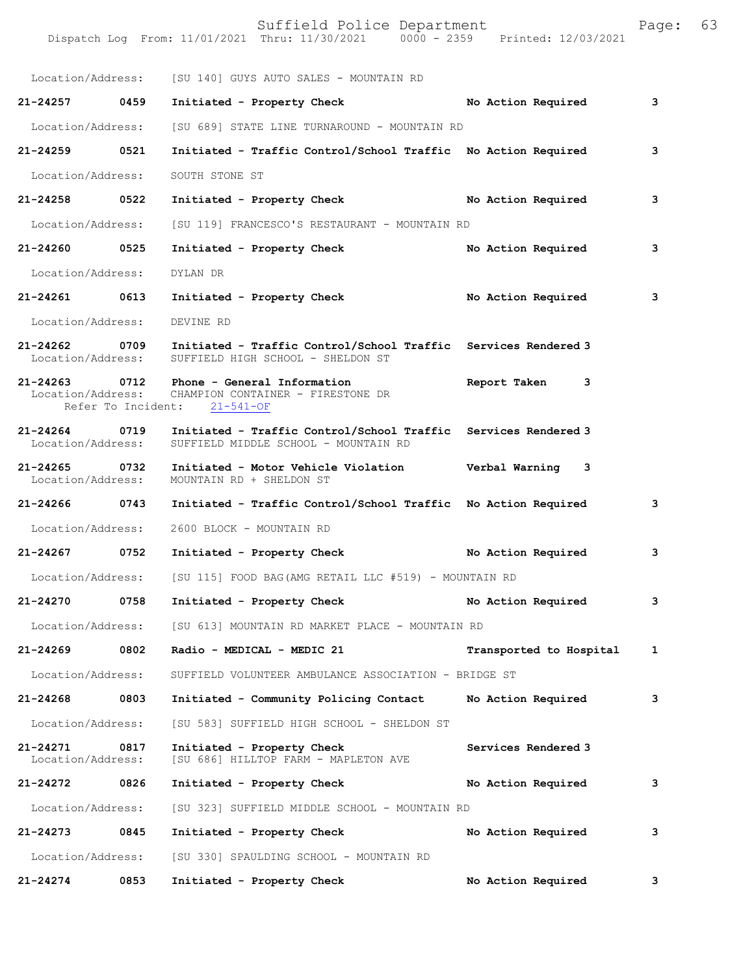|                                    |                    | Suffield Police Department<br>Dispatch Log From: 11/01/2021 Thru: 11/30/2021 0000 - 2359 Printed: 12/03/2021 |                         | Page: | 63 |
|------------------------------------|--------------------|--------------------------------------------------------------------------------------------------------------|-------------------------|-------|----|
| Location/Address:                  |                    | [SU 140] GUYS AUTO SALES - MOUNTAIN RD                                                                       |                         |       |    |
| 21-24257                           | 0459               | Initiated - Property Check                                                                                   | No Action Required      | 3     |    |
| Location/Address:                  |                    | [SU 689] STATE LINE TURNAROUND - MOUNTAIN RD                                                                 |                         |       |    |
| 21-24259                           | 0521               | Initiated - Traffic Control/School Traffic No Action Required                                                |                         | 3     |    |
| Location/Address:                  |                    | SOUTH STONE ST                                                                                               |                         |       |    |
| 21-24258                           | 0522               | Initiated - Property Check                                                                                   | No Action Required      | 3     |    |
| Location/Address:                  |                    | [SU 119] FRANCESCO'S RESTAURANT - MOUNTAIN RD                                                                |                         |       |    |
| 21-24260                           | 0525               | Initiated - Property Check                                                                                   | No Action Required      | 3     |    |
| Location/Address:                  |                    | DYLAN DR                                                                                                     |                         |       |    |
| 21-24261                           | 0613               | Initiated - Property Check                                                                                   | No Action Required      | 3     |    |
| Location/Address:                  |                    | DEVINE RD                                                                                                    |                         |       |    |
| 21-24262<br>Location/Address:      | 0709               | Initiated - Traffic Control/School Traffic Services Rendered 3<br>SUFFIELD HIGH SCHOOL - SHELDON ST          |                         |       |    |
| 21-24263 0712<br>Location/Address: | Refer To Incident: | Phone - General Information<br>CHAMPION CONTAINER - FIRESTONE DR<br>$21 - 541 - OF$                          | Report Taken<br>3       |       |    |
| 21-24264 0719<br>Location/Address: |                    | Initiated - Traffic Control/School Traffic Services Rendered 3<br>SUFFIELD MIDDLE SCHOOL - MOUNTAIN RD       |                         |       |    |
| 21-24265<br>Location/Address:      | 0732               | Initiated - Motor Vehicle Violation<br>MOUNTAIN RD + SHELDON ST                                              | Verbal Warning<br>3     |       |    |
| 21-24266                           | 0743               | Initiated - Traffic Control/School Traffic No Action Required                                                |                         | 3     |    |
| Location/Address:                  |                    | 2600 BLOCK - MOUNTAIN RD                                                                                     |                         |       |    |
| 21-24267                           | 0752               | Initiated - Property Check                                                                                   | No Action Required      | 3     |    |
| Location/Address:                  |                    | [SU 115] FOOD BAG (AMG RETAIL LLC #519) - MOUNTAIN RD                                                        |                         |       |    |
| 21-24270                           | 0758               | Initiated - Property Check                                                                                   | No Action Required      | 3     |    |
| Location/Address:                  |                    | [SU 613] MOUNTAIN RD MARKET PLACE - MOUNTAIN RD                                                              |                         |       |    |
| 21-24269                           | 0802               | Radio - MEDICAL - MEDIC 21                                                                                   | Transported to Hospital | 1     |    |
| Location/Address:                  |                    | SUFFIELD VOLUNTEER AMBULANCE ASSOCIATION - BRIDGE ST                                                         |                         |       |    |
| 21-24268                           | 0803               | Initiated - Community Policing Contact                                                                       | No Action Required      | 3     |    |
| Location/Address:                  |                    | [SU 583] SUFFIELD HIGH SCHOOL - SHELDON ST                                                                   |                         |       |    |
| 21-24271<br>Location/Address:      | 0817               | Initiated - Property Check<br>[SU 686] HILLTOP FARM - MAPLETON AVE                                           | Services Rendered 3     |       |    |
| 21-24272                           | 0826               | Initiated - Property Check                                                                                   | No Action Required      | 3     |    |
| Location/Address:                  |                    | [SU 323] SUFFIELD MIDDLE SCHOOL - MOUNTAIN RD                                                                |                         |       |    |
| 21-24273                           | 0845               | Initiated - Property Check                                                                                   | No Action Required      | 3     |    |
| Location/Address:                  |                    | [SU 330] SPAULDING SCHOOL - MOUNTAIN RD                                                                      |                         |       |    |
| 21-24274                           | 0853               | Initiated - Property Check                                                                                   | No Action Required      | 3     |    |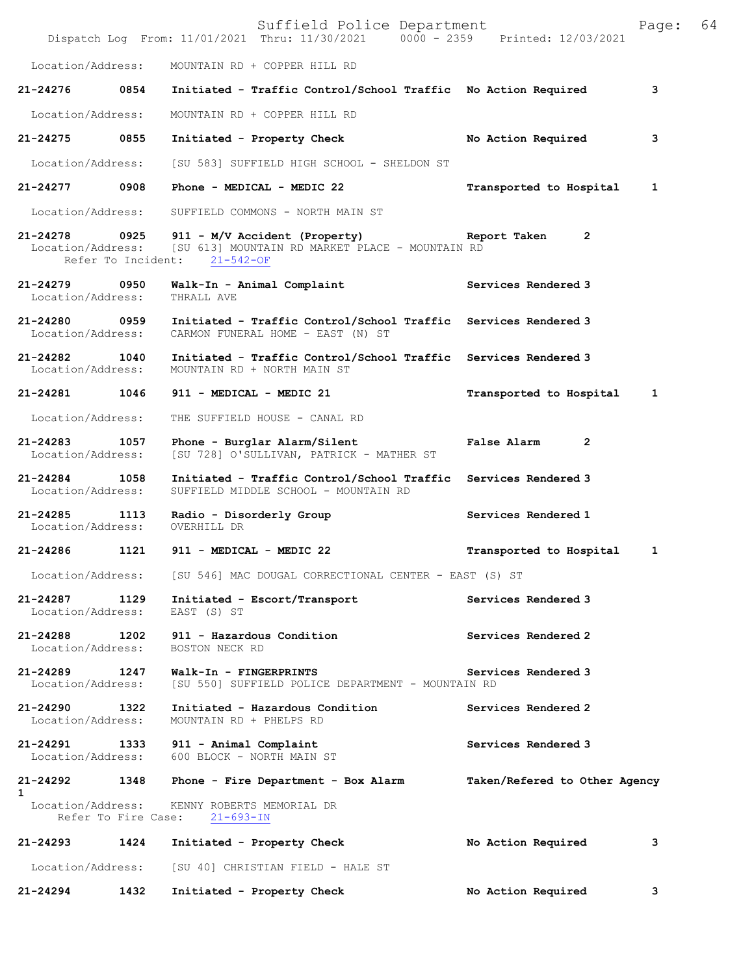|                                                         |      | Suffield Police Department<br>Dispatch Log From: 11/01/2021 Thru: 11/30/2021 0000 - 2359 Printed: 12/03/2021 |                               | Page: | 64 |
|---------------------------------------------------------|------|--------------------------------------------------------------------------------------------------------------|-------------------------------|-------|----|
| Location/Address:                                       |      | MOUNTAIN RD + COPPER HILL RD                                                                                 |                               |       |    |
| 21-24276                                                | 0854 | Initiated - Traffic Control/School Traffic No Action Required                                                |                               | 3     |    |
| Location/Address:                                       |      | MOUNTAIN RD + COPPER HILL RD                                                                                 |                               |       |    |
| 21-24275                                                | 0855 | Initiated - Property Check                                                                                   | No Action Required            | 3     |    |
| Location/Address:                                       |      | [SU 583] SUFFIELD HIGH SCHOOL - SHELDON ST                                                                   |                               |       |    |
| 21-24277                                                | 0908 | Phone - MEDICAL - MEDIC 22                                                                                   | Transported to Hospital       | 1     |    |
| Location/Address:                                       |      | SUFFIELD COMMONS - NORTH MAIN ST                                                                             |                               |       |    |
| $21 - 24278$<br>Location/Address:<br>Refer To Incident: | 0925 | 911 - M/V Accident (Property)<br>[SU 613] MOUNTAIN RD MARKET PLACE - MOUNTAIN RD<br>$21 - 542 - OF$          | Report Taken<br>$\mathbf{2}$  |       |    |
| 21-24279<br>Location/Address:                           | 0950 | Walk-In - Animal Complaint<br>THRALL AVE                                                                     | Services Rendered 3           |       |    |
| 0959<br>21-24280<br>Location/Address:                   |      | Initiated - Traffic Control/School Traffic<br>CARMON FUNERAL HOME - EAST (N) ST                              | Services Rendered 3           |       |    |
| 21-24282 1040<br>Location/Address:                      |      | Initiated - Traffic Control/School Traffic Services Rendered 3<br>MOUNTAIN RD + NORTH MAIN ST                |                               |       |    |
| 21-24281 1046                                           |      | 911 - MEDICAL - MEDIC 21                                                                                     | Transported to Hospital       | 1     |    |
| Location/Address:                                       |      | THE SUFFIELD HOUSE - CANAL RD                                                                                |                               |       |    |
| 21-24283<br>Location/Address:                           | 1057 | Phone - Burglar Alarm/Silent<br>[SU 728] O'SULLIVAN, PATRICK - MATHER ST                                     | False Alarm<br>2              |       |    |
| $21 - 24284$<br>Location/Address:                       | 1058 | Initiated - Traffic Control/School Traffic<br>SUFFIELD MIDDLE SCHOOL - MOUNTAIN RD                           | Services Rendered 3           |       |    |
| 21-24285<br>Location/Address:                           | 1113 | Radio - Disorderly Group<br>OVERHILL DR                                                                      | Services Rendered 1           |       |    |
| 21-24286                                                | 1121 | 911 - MEDICAL - MEDIC 22                                                                                     | Transported to Hospital       | 1     |    |
| Location/Address:                                       |      | [SU 546] MAC DOUGAL CORRECTIONAL CENTER - EAST (S) ST                                                        |                               |       |    |
| 21-24287 1129<br>Location/Address:                      |      | Initiated - Escort/Transport<br>EAST (S) ST                                                                  | Services Rendered 3           |       |    |
| 21-24288 1202<br>Location/Address:                      |      | 911 - Hazardous Condition<br>BOSTON NECK RD                                                                  | Services Rendered 2           |       |    |
| 21-24289 1247<br>Location/Address:                      |      | Walk-In - FINGERPRINTS<br>[SU 550] SUFFIELD POLICE DEPARTMENT - MOUNTAIN RD                                  | Services Rendered 3           |       |    |
| 21-24290 1322<br>Location/Address:                      |      | Initiated - Hazardous Condition<br>MOUNTAIN RD + PHELPS RD                                                   | Services Rendered 2           |       |    |
| 21-24291 1333<br>Location/Address:                      |      | 911 - Animal Complaint<br>600 BLOCK - NORTH MAIN ST                                                          | Services Rendered 3           |       |    |
| 21-24292<br>1                                           | 1348 | Phone - Fire Department - Box Alarm                                                                          | Taken/Refered to Other Agency |       |    |
| Location/Address:                                       |      | KENNY ROBERTS MEMORIAL DR<br>Refer To Fire Case: 21-693-IN                                                   |                               |       |    |
| 21-24293 1424                                           |      | Initiated - Property Check                                                                                   | No Action Required            | 3     |    |
| Location/Address:                                       |      | [SU 40] CHRISTIAN FIELD - HALE ST                                                                            |                               |       |    |
| 21-24294                                                | 1432 | Initiated - Property Check                                                                                   | No Action Required            | 3     |    |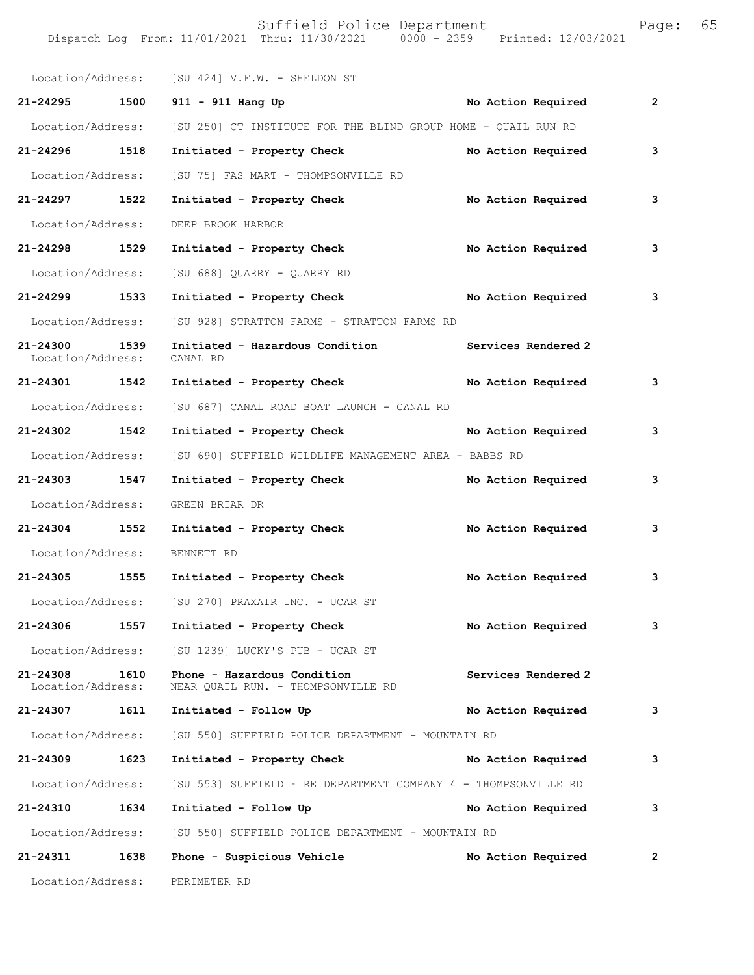|                               |      | Location/Address: [SU 424] V.F.W. - SHELDON ST                    |                     |              |
|-------------------------------|------|-------------------------------------------------------------------|---------------------|--------------|
| 21-24295 1500                 |      | 911 - 911 Hang Up                                                 | No Action Required  | $\mathbf{2}$ |
| Location/Address:             |      | [SU 250] CT INSTITUTE FOR THE BLIND GROUP HOME - QUAIL RUN RD     |                     |              |
| 21-24296 1518                 |      | Initiated - Property Check                                        | No Action Required  | 3            |
| Location/Address:             |      | [SU 75] FAS MART - THOMPSONVILLE RD                               |                     |              |
| 21-24297 1522                 |      | Initiated - Property Check                                        | No Action Required  | 3            |
| Location/Address:             |      | DEEP BROOK HARBOR                                                 |                     |              |
| 21-24298 1529                 |      | Initiated - Property Check                                        | No Action Required  | 3            |
| Location/Address:             |      | [SU 688] QUARRY - QUARRY RD                                       |                     |              |
| 21-24299 1533                 |      | Initiated - Property Check No Action Required                     |                     | 3            |
| Location/Address:             |      | [SU 928] STRATTON FARMS - STRATTON FARMS RD                       |                     |              |
| 21-24300<br>Location/Address: | 1539 | Initiated - Hazardous Condition<br>CANAL RD                       | Services Rendered 2 |              |
| 21-24301 1542                 |      | Initiated - Property Check No Action Required                     |                     | 3            |
| Location/Address:             |      | [SU 687] CANAL ROAD BOAT LAUNCH - CANAL RD                        |                     |              |
| 21-24302 1542                 |      | Initiated - Property Check No Action Required                     |                     | 3            |
| Location/Address:             |      | [SU 690] SUFFIELD WILDLIFE MANAGEMENT AREA - BABBS RD             |                     |              |
| 21-24303 1547                 |      | Initiated - Property Check No Action Required                     |                     | 3            |
| Location/Address:             |      | GREEN BRIAR DR                                                    |                     |              |
| 21-24304 1552                 |      | Initiated - Property Check                                        | No Action Required  | 3            |
| Location/Address:             |      | BENNETT RD                                                        |                     |              |
| 21-24305 1555                 |      | Initiated - Property Check                                        | No Action Required  | 3            |
| Location/Address:             |      | [SU 270] PRAXAIR INC. - UCAR ST                                   |                     |              |
| 21-24306                      | 1557 | Initiated - Property Check                                        | No Action Required  | 3            |
| Location/Address:             |      | [SU 1239] LUCKY'S PUB - UCAR ST                                   |                     |              |
| 21-24308<br>Location/Address: | 1610 | Phone - Hazardous Condition<br>NEAR QUAIL RUN. - THOMPSONVILLE RD | Services Rendered 2 |              |
| 21-24307                      | 1611 | Initiated - Follow Up                                             | No Action Required  | 3            |
| Location/Address:             |      | [SU 550] SUFFIELD POLICE DEPARTMENT - MOUNTAIN RD                 |                     |              |
| 21-24309                      | 1623 | Initiated - Property Check                                        | No Action Required  | 3            |
| Location/Address:             |      | [SU 553] SUFFIELD FIRE DEPARTMENT COMPANY 4 - THOMPSONVILLE RD    |                     |              |
| 21-24310                      | 1634 | Initiated - Follow Up                                             | No Action Required  | 3            |
| Location/Address:             |      | [SU 550] SUFFIELD POLICE DEPARTMENT - MOUNTAIN RD                 |                     |              |
| 21-24311                      | 1638 | Phone - Suspicious Vehicle                                        | No Action Required  | $\mathbf{2}$ |
| Location/Address:             |      | PERIMETER RD                                                      |                     |              |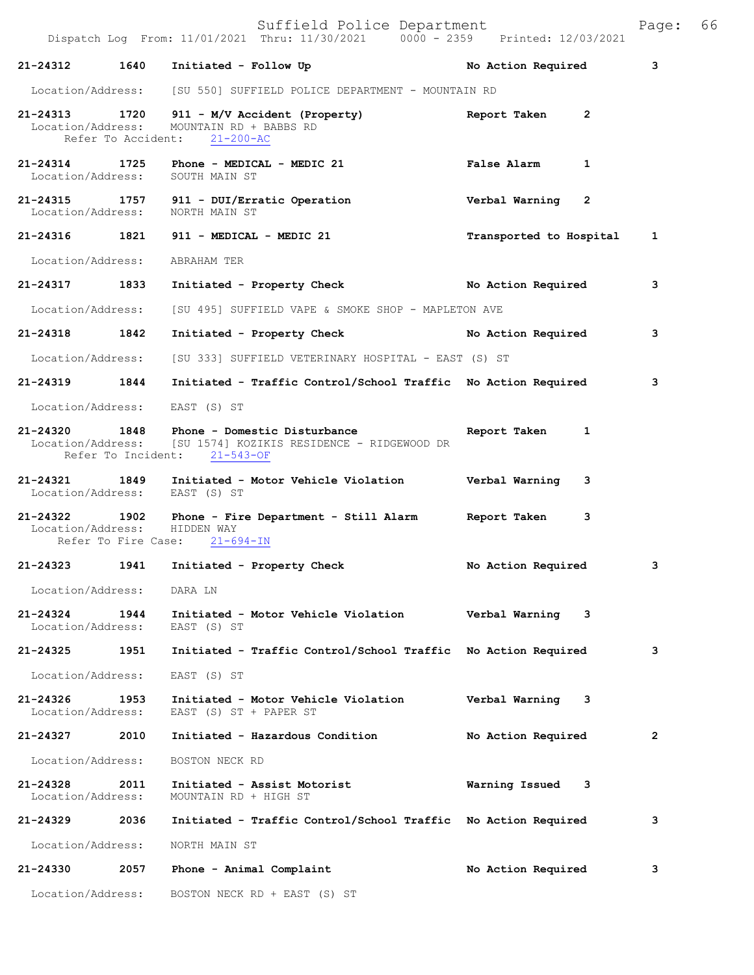Suffield Police Department<br>Thru: 11/30/2021 0000 - 2359 Printed: 12/03/2021 Dispatch Log From: 11/01/2021 Thru: 11/30/2021 0000 - 2359 **21-24312 1640 Initiated - Follow Up No Action Required 3** Location/Address: [SU 550] SUFFIELD POLICE DEPARTMENT - MOUNTAIN RD **21-24313 1720 911 - M/V Accident (Property) Report Taken 2**  Location/Address: MOUNTAIN RD + BABBS RD Refer To Accident: 21-200-AC **21-24314 1725 Phone - MEDICAL - MEDIC 21 False Alarm 1**  Location/Address: **21-24315 1757 911 - DUI/Erratic Operation Verbal Warning 2**  Location/Address: **21-24316 1821 911 - MEDICAL - MEDIC 21 Transported to Hospital 1** Location/Address: ABRAHAM TER **21-24317 1833 Initiated - Property Check No Action Required 3** Location/Address: [SU 495] SUFFIELD VAPE & SMOKE SHOP - MAPLETON AVE **21-24318 1842 Initiated - Property Check No Action Required 3** Location/Address: [SU 333] SUFFIELD VETERINARY HOSPITAL - EAST (S) ST **21-24319 1844 Initiated - Traffic Control/School Traffic No Action Required 3** Location/Address: EAST (S) ST **21-24320 1848 Phone - Domestic Disturbance Report Taken 1**  Location/Address: [SU 1574] KOZIKIS RESIDENCE - RIDGEWOOD DR Refer To Incident: 21-543-OF **21-24321 1849 Initiated - Motor Vehicle Violation Verbal Warning 3**  Location/Address: **21-24322 1902 Phone - Fire Department - Still Alarm Report Taken 3**  Location/Address: Refer To Fire Case: 21-694-IN **21-24323 1941 Initiated - Property Check No Action Required 3** Location/Address: DARA LN **21-24324 1944 Initiated - Motor Vehicle Violation Verbal Warning 3**  Location/Address: EAST (S) ST **21-24325 1951 Initiated - Traffic Control/School Traffic No Action Required 3** Location/Address: EAST (S) ST **21-24326 1953 Initiated - Motor Vehicle Violation Verbal Warning 3**  EAST (S) ST + PAPER ST **21-24327 2010 Initiated - Hazardous Condition No Action Required 2** Location/Address: BOSTON NECK RD **21-24328 2011 Initiated - Assist Motorist Warning Issued 3**  Location/Address: MOUNTAIN RD + HIGH ST **21-24329 2036 Initiated - Traffic Control/School Traffic No Action Required 3** Location/Address: NORTH MAIN ST **21-24330 2057 Phone - Animal Complaint No Action Required 3**

Location/Address: BOSTON NECK RD + EAST (S) ST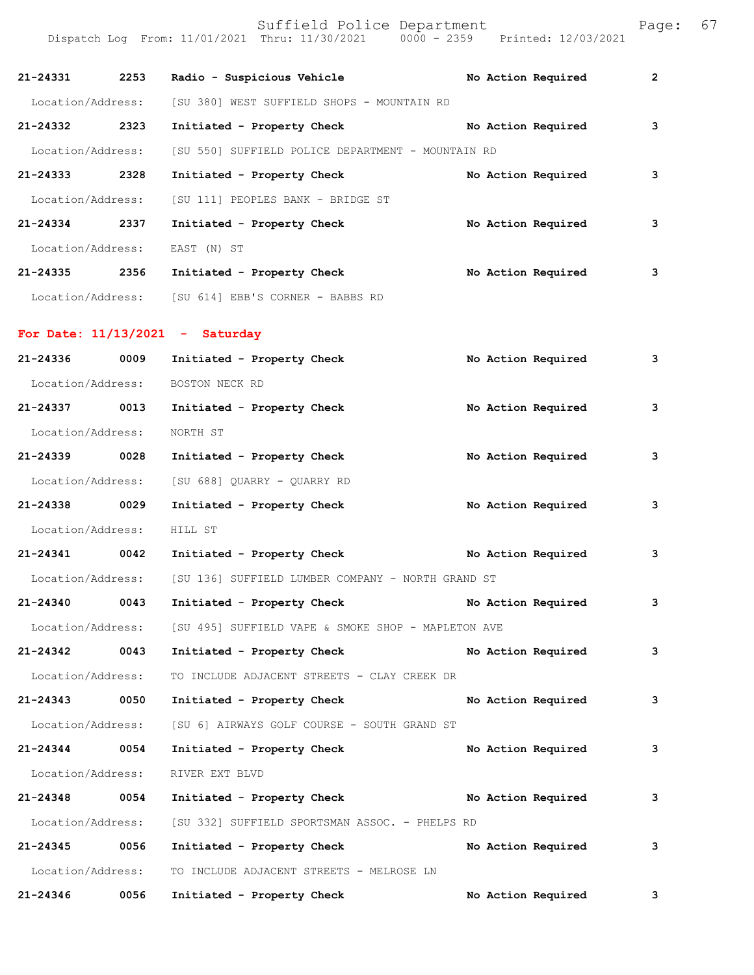| 21-24331          | 2253 | Radio - Suspicious Vehicle                                   |  | No Action Required | $\overline{2}$ |
|-------------------|------|--------------------------------------------------------------|--|--------------------|----------------|
|                   |      | Location/Address: [SU 380] WEST SUFFIELD SHOPS - MOUNTAIN RD |  |                    |                |
| 21-24332          | 2323 | Initiated - Property Check                                   |  | No Action Required | 3              |
| Location/Address: |      | [SU 550] SUFFIELD POLICE DEPARTMENT - MOUNTAIN RD            |  |                    |                |
| 21-24333          | 2328 | Initiated - Property Check                                   |  | No Action Required | 3              |
| Location/Address: |      | [SU 111] PEOPLES BANK - BRIDGE ST                            |  |                    |                |
| 21-24334          | 2337 | Initiated - Property Check                                   |  | No Action Required | 3              |
| Location/Address: |      | EAST (N) ST                                                  |  |                    |                |
| 21-24335          | 2356 | Initiated - Property Check                                   |  | No Action Required | 3              |
|                   |      | Location/Address: [SU 614] EBB'S CORNER - BABBS RD           |  |                    |                |
|                   |      | For Date: $11/13/2021$ - Saturday                            |  |                    |                |
|                   |      |                                                              |  |                    |                |

| 21-24336          | 0009 | Initiated - Property Check                         | No Action Required | 3 |
|-------------------|------|----------------------------------------------------|--------------------|---|
| Location/Address: |      | BOSTON NECK RD                                     |                    |   |
| 21-24337 0013     |      | Initiated - Property Check                         | No Action Required | 3 |
| Location/Address: |      | NORTH ST                                           |                    |   |
| 21-24339 0028     |      | Initiated - Property Check                         | No Action Required | 3 |
|                   |      | Location/Address: [SU 688] QUARRY - QUARRY RD      |                    |   |
| 21-24338 0029     |      | Initiated - Property Check No Action Required      |                    | 3 |
| Location/Address: |      | HILL ST                                            |                    |   |
| 21-24341 0042     |      | Initiated - Property Check No Action Required      |                    | 3 |
| Location/Address: |      | [SU 136] SUFFIELD LUMBER COMPANY - NORTH GRAND ST  |                    |   |
| 21-24340 0043     |      | Initiated - Property Check No Action Required      |                    | 3 |
| Location/Address: |      | [SU 495] SUFFIELD VAPE & SMOKE SHOP - MAPLETON AVE |                    |   |
| 21-24342 0043     |      | Initiated - Property Check No Action Required      |                    | 3 |
| Location/Address: |      | TO INCLUDE ADJACENT STREETS - CLAY CREEK DR        |                    |   |
| 21-24343 0050     |      | Initiated - Property Check No Action Required      |                    | 3 |
| Location/Address: |      | [SU 6] AIRWAYS GOLF COURSE - SOUTH GRAND ST        |                    |   |
| 21-24344 0054     |      | Initiated - Property Check No Action Required      |                    | 3 |
| Location/Address: |      | RIVER EXT BLVD                                     |                    |   |
| 21-24348 0054     |      | Initiated - Property Check No Action Required      |                    | 3 |
| Location/Address: |      | [SU 332] SUFFIELD SPORTSMAN ASSOC. - PHELPS RD     |                    |   |
| 21-24345 0056     |      | Initiated - Property Check                         | No Action Required | 3 |
| Location/Address: |      | TO INCLUDE ADJACENT STREETS - MELROSE LN           |                    |   |
| 21-24346 0056     |      | Initiated - Property Check                         | No Action Required | 3 |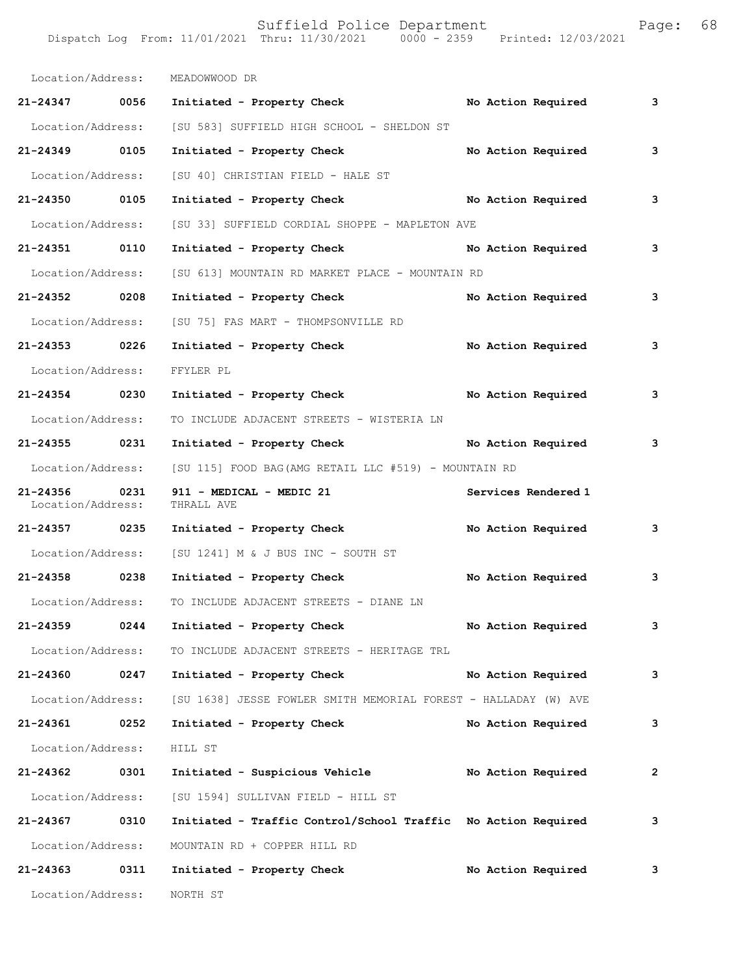|                   | Dispatch Log From: 11/01/2021 Thru: 11/30/2021<br>$0000 - 2359$ | Printed: 12/03/2021 |   |  |
|-------------------|-----------------------------------------------------------------|---------------------|---|--|
|                   |                                                                 |                     |   |  |
| Location/Address: | MEADOWWOOD DR                                                   |                     |   |  |
| 21-24347<br>0056  | Initiated - Property Check                                      | No Action Required  | 3 |  |
| Location/Address: | [SU 583] SUFFIELD HIGH SCHOOL - SHELDON ST                      |                     |   |  |
| 21-24349<br>0105  | Initiated - Property Check                                      | No Action Required  | 3 |  |
| Location/Address: | [SU 40] CHRISTIAN FIELD - HALE ST                               |                     |   |  |
| 21-24350<br>0105  | Initiated - Property Check                                      | No Action Required  | 3 |  |
|                   |                                                                 |                     |   |  |

|                               |      | Location/Address: [SU 40] CHRISTIAN FIELD - HALE ST                               |  |                     |              |
|-------------------------------|------|-----------------------------------------------------------------------------------|--|---------------------|--------------|
| 21-24350 0105                 |      | Initiated - Property Check No Action Required                                     |  |                     | 3            |
|                               |      | Location/Address: [SU 33] SUFFIELD CORDIAL SHOPPE - MAPLETON AVE                  |  |                     |              |
| 21-24351 0110                 |      | Initiated - Property Check No Action Required                                     |  |                     | 3            |
| Location/Address:             |      | [SU 613] MOUNTAIN RD MARKET PLACE - MOUNTAIN RD                                   |  |                     |              |
| 21-24352 0208                 |      | Initiated - Property Check                                                        |  | No Action Required  | 3            |
| Location/Address:             |      | [SU 75] FAS MART - THOMPSONVILLE RD                                               |  |                     |              |
| 21-24353 0226                 |      | Initiated - Property Check                                                        |  | No Action Required  | 3            |
| Location/Address:             |      | FFYLER PL                                                                         |  |                     |              |
| 21-24354 0230                 |      | Initiated - Property Check No Action Required                                     |  |                     | 3            |
| Location/Address:             |      | TO INCLUDE ADJACENT STREETS - WISTERIA LN                                         |  |                     |              |
| 21-24355 0231                 |      | Initiated - Property Check No Action Required                                     |  |                     | 3            |
|                               |      | Location/Address: [SU 115] FOOD BAG (AMG RETAIL LLC #519) - MOUNTAIN RD           |  |                     |              |
| 21-24356<br>Location/Address: | 0231 | 911 - MEDICAL - MEDIC 21<br>THRALL AVE                                            |  | Services Rendered 1 |              |
| 21-24357 0235                 |      | Initiated - Property Check No Action Required                                     |  |                     | 3            |
| Location/Address:             |      | [SU 1241] M & J BUS INC - SOUTH ST                                                |  |                     |              |
| 21-24358 0238                 |      | Initiated - Property Check                                                        |  | No Action Required  | 3            |
| Location/Address:             |      | TO INCLUDE ADJACENT STREETS - DIANE LN                                            |  |                     |              |
| 21-24359 0244                 |      | Initiated - Property Check                                                        |  | No Action Required  | 3            |
| Location/Address:             |      | TO INCLUDE ADJACENT STREETS - HERITAGE TRL                                        |  |                     |              |
| 21-24360 0247                 |      | Initiated - Property Check No Action Required                                     |  |                     | 3            |
|                               |      | Location/Address: [SU 1638] JESSE FOWLER SMITH MEMORIAL FOREST - HALLADAY (W) AVE |  |                     |              |
|                               |      | 21-24361 0252 Initiated - Property Check No Action Required                       |  |                     | 3            |
| Location/Address:             |      | HILL ST                                                                           |  |                     |              |
| 21-24362                      | 0301 | Initiated - Suspicious Vehicle                                                    |  | No Action Required  | $\mathbf{2}$ |
| Location/Address:             |      | [SU 1594] SULLIVAN FIELD - HILL ST                                                |  |                     |              |
| 21-24367                      | 0310 | Initiated - Traffic Control/School Traffic No Action Required                     |  |                     | 3            |
| Location/Address:             |      | MOUNTAIN RD + COPPER HILL RD                                                      |  |                     |              |
| 21-24363                      | 0311 | Initiated - Property Check                                                        |  | No Action Required  | 3            |

Location/Address: NORTH ST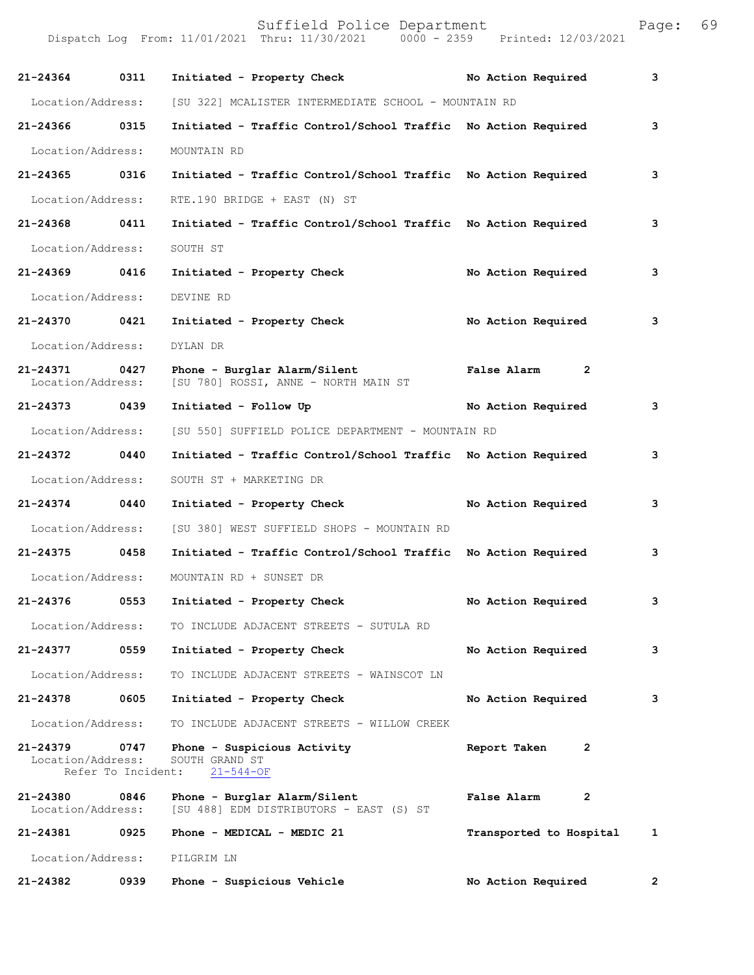| 21-24364                          | 0311 | Initiated - Property Check No Action Required                                             |                               | 3            |
|-----------------------------------|------|-------------------------------------------------------------------------------------------|-------------------------------|--------------|
| Location/Address:                 |      | [SU 322] MCALISTER INTERMEDIATE SCHOOL - MOUNTAIN RD                                      |                               |              |
| 21-24366                          | 0315 | Initiated - Traffic Control/School Traffic No Action Required                             |                               | 3            |
| Location/Address:                 |      | MOUNTAIN RD                                                                               |                               |              |
| 21-24365 0316                     |      | Initiated - Traffic Control/School Traffic No Action Required                             |                               | 3            |
| Location/Address:                 |      | RTE.190 BRIDGE + EAST (N) ST                                                              |                               |              |
| 21-24368 0411                     |      | Initiated - Traffic Control/School Traffic No Action Required                             |                               | 3            |
| Location/Address:                 |      | SOUTH ST                                                                                  |                               |              |
| 21-24369 0416                     |      | Initiated - Property Check                                                                | No Action Required            | 3            |
| Location/Address:                 |      | DEVINE RD                                                                                 |                               |              |
| 21-24370 0421                     |      | Initiated - Property Check                                                                | No Action Required            | 3            |
| Location/Address:                 |      | DYLAN DR                                                                                  |                               |              |
| 21-24371<br>Location/Address:     | 0427 | Phone - Burglar Alarm/Silent<br>[SU 780] ROSSI, ANNE - NORTH MAIN ST                      | $\overline{2}$<br>False Alarm |              |
| 21-24373                          | 0439 | Initiated - Follow Up                                                                     | No Action Required            | 3            |
| Location/Address:                 |      | [SU 550] SUFFIELD POLICE DEPARTMENT - MOUNTAIN RD                                         |                               |              |
| 21-24372 0440                     |      | Initiated - Traffic Control/School Traffic No Action Required                             |                               | 3            |
| Location/Address:                 |      | SOUTH ST + MARKETING DR                                                                   |                               |              |
| $21 - 24374$                      | 0440 | Initiated - Property Check                                                                | No Action Required            | 3            |
| Location/Address:                 |      | [SU 380] WEST SUFFIELD SHOPS - MOUNTAIN RD                                                |                               |              |
| 21-24375                          | 0458 | Initiated - Traffic Control/School Traffic No Action Required                             |                               | 3            |
| Location/Address:                 |      | MOUNTAIN RD + SUNSET DR                                                                   |                               |              |
|                                   |      | 21-24376 0553 Initiated - Property Check                                                  | No Action Required            | 3            |
| Location/Address:                 |      | TO INCLUDE ADJACENT STREETS - SUTULA RD                                                   |                               |              |
| 21-24377 0559                     |      | Initiated - Property Check                                                                | No Action Required            | 3            |
| Location/Address:                 |      | TO INCLUDE ADJACENT STREETS - WAINSCOT LN                                                 |                               |              |
| 21-24378 0605                     |      | Initiated - Property Check                                                                | No Action Required            | 3            |
| Location/Address:                 |      | TO INCLUDE ADJACENT STREETS - WILLOW CREEK                                                |                               |              |
| $21 - 24379$<br>Location/Address: | 0747 | Phone - Suspicious Activity<br>SOUTH GRAND ST<br>Refer To Incident: 21-544-OF             | Report Taken<br>2             |              |
| 21-24380 0846                     |      | Phone - Burglar Alarm/Silent<br>Location/Address: [SU 488] EDM DISTRIBUTORS - EAST (S) ST | False Alarm<br>2              |              |
|                                   |      | 21-24381 0925 Phone - MEDICAL - MEDIC 21                                                  | Transported to Hospital       | $\mathbf{1}$ |
|                                   |      | Location/Address: PILGRIM LN                                                              |                               |              |
| 21-24382                          | 0939 | Phone - Suspicious Vehicle                                                                | No Action Required            | $\mathbf{2}$ |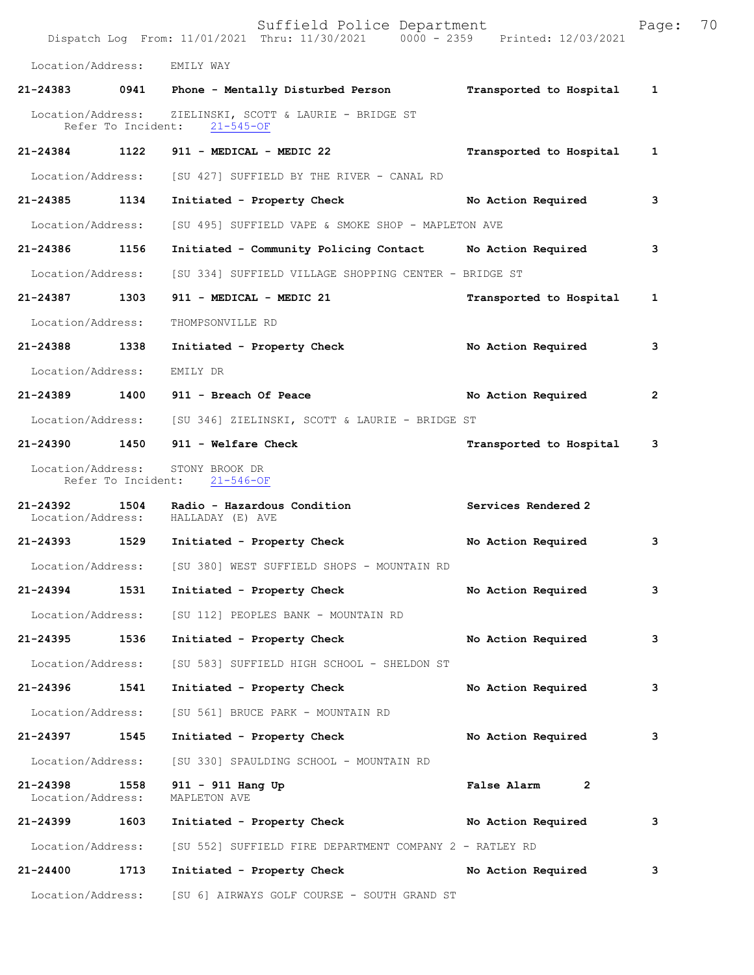|                                    |                    | Suffield Police Department<br>Dispatch Log From: 11/01/2021 Thru: 11/30/2021 0000 - 2359 Printed: 12/03/2021 |                         | Page:        | 70 |
|------------------------------------|--------------------|--------------------------------------------------------------------------------------------------------------|-------------------------|--------------|----|
| Location/Address:                  |                    | EMILY WAY                                                                                                    |                         |              |    |
| 21-24383                           |                    | 0941 Phone - Mentally Disturbed Person                                                                       | Transported to Hospital | $\mathbf{1}$ |    |
| Location/Address:                  | Refer To Incident: | ZIELINSKI, SCOTT & LAURIE - BRIDGE ST<br>$21 - 545 - OF$                                                     |                         |              |    |
| 21-24384                           | 1122               | 911 - MEDICAL - MEDIC 22                                                                                     | Transported to Hospital | 1            |    |
| Location/Address:                  |                    | [SU 427] SUFFIELD BY THE RIVER - CANAL RD                                                                    |                         |              |    |
| 21-24385 1134                      |                    | Initiated - Property Check                                                                                   | No Action Required      | 3            |    |
| Location/Address:                  |                    | [SU 495] SUFFIELD VAPE & SMOKE SHOP - MAPLETON AVE                                                           |                         |              |    |
| 21-24386 1156                      |                    | Initiated - Community Policing Contact Mo Action Required                                                    |                         | 3            |    |
| Location/Address:                  |                    | [SU 334] SUFFIELD VILLAGE SHOPPING CENTER - BRIDGE ST                                                        |                         |              |    |
| 21-24387                           | 1303               | 911 - MEDICAL - MEDIC 21                                                                                     | Transported to Hospital | $\mathbf{1}$ |    |
| Location/Address:                  |                    | THOMPSONVILLE RD                                                                                             |                         |              |    |
| 21-24388 1338                      |                    | Initiated - Property Check                                                                                   | No Action Required      | 3            |    |
| Location/Address:                  |                    | EMILY DR                                                                                                     |                         |              |    |
| 21-24389 1400                      |                    | 911 - Breach Of Peace                                                                                        | No Action Required      | 2            |    |
|                                    |                    | Location/Address: [SU 346] ZIELINSKI, SCOTT & LAURIE - BRIDGE ST                                             |                         |              |    |
|                                    |                    | 21-24390 1450 911 - Welfare Check                                                                            | Transported to Hospital | 3            |    |
| Location/Address:                  |                    | STONY BROOK DR<br>Refer To Incident: 21-546-OF                                                               |                         |              |    |
| 21-24392                           | 1504               | Radio - Hazardous Condition<br>Location/Address: HALLADAY (E) AVE                                            | Services Rendered 2     |              |    |
|                                    |                    | 21-24393 1529 Initiated - Property Check No Action Required                                                  |                         | 3            |    |
|                                    |                    | Location/Address: [SU 380] WEST SUFFIELD SHOPS - MOUNTAIN RD                                                 |                         |              |    |
| 21-24394                           | 1531               | Initiated - Property Check No Action Required                                                                |                         | 3            |    |
|                                    |                    | Location/Address: [SU 112] PEOPLES BANK - MOUNTAIN RD                                                        |                         |              |    |
| 21-24395 1536                      |                    | Initiated - Property Check                                                                                   | No Action Required      | 3            |    |
| Location/Address:                  |                    | [SU 583] SUFFIELD HIGH SCHOOL - SHELDON ST                                                                   |                         |              |    |
| 21-24396                           | 1541               | Initiated - Property Check                                                                                   | No Action Required      | 3            |    |
| Location/Address:                  |                    | [SU 561] BRUCE PARK - MOUNTAIN RD                                                                            |                         |              |    |
| 21-24397 1545                      |                    | Initiated - Property Check                                                                                   | No Action Required      | 3            |    |
| Location/Address:                  |                    | [SU 330] SPAULDING SCHOOL - MOUNTAIN RD                                                                      |                         |              |    |
| 21-24398 1558<br>Location/Address: |                    | 911 - 911 Hang Up<br>MAPLETON AVE                                                                            | False Alarm 2           |              |    |
| 21-24399                           | 1603               | Initiated - Property Check No Action Required                                                                |                         | 3            |    |
| Location/Address:                  |                    | [SU 552] SUFFIELD FIRE DEPARTMENT COMPANY 2 - RATLEY RD                                                      |                         |              |    |
| 21-24400 1713                      |                    | Initiated - Property Check                                                                                   | No Action Required      | 3            |    |
|                                    |                    | Location/Address: [SU 6] AIRWAYS GOLF COURSE - SOUTH GRAND ST                                                |                         |              |    |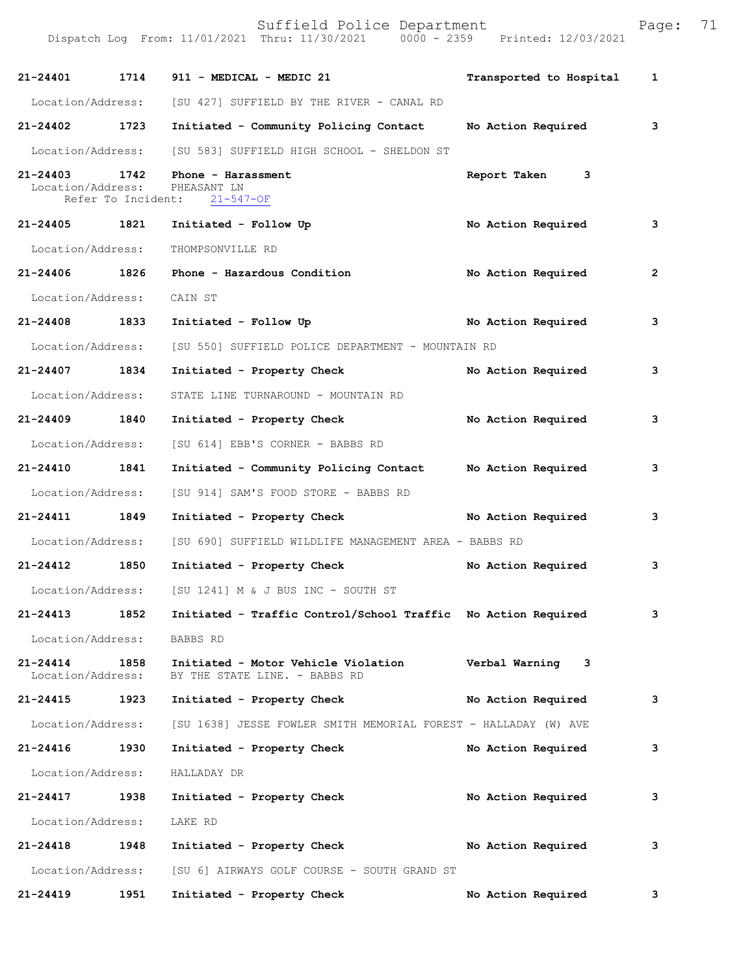| 21-24401                          |      | 1714 911 - MEDICAL - MEDIC 21                                                     | Transported to Hospital   | 1              |
|-----------------------------------|------|-----------------------------------------------------------------------------------|---------------------------|----------------|
|                                   |      | Location/Address: [SU 427] SUFFIELD BY THE RIVER - CANAL RD                       |                           |                |
| 21-24402 1723                     |      | Initiated - Community Policing Contact                                            | No Action Required        | 3              |
|                                   |      | Location/Address: [SU 583] SUFFIELD HIGH SCHOOL - SHELDON ST                      |                           |                |
| $21 - 24403$<br>Location/Address: | 1742 | Phone - Harassment<br>PHEASANT LN<br>Refer To Incident: 21-547-OF                 | Report Taken 3            |                |
| 21-24405 1821                     |      | Initiated - Follow Up                                                             | No Action Required        | 3              |
| Location/Address:                 |      | THOMPSONVILLE RD                                                                  |                           |                |
| 21-24406 1826                     |      | Phone - Hazardous Condition                                                       | <b>No Action Required</b> | $\overline{2}$ |
| Location/Address: CAIN ST         |      |                                                                                   |                           |                |
| 21-24408 1833                     |      | Initiated - Follow Up                                                             | No Action Required        | 3              |
|                                   |      | Location/Address: [SU 550] SUFFIELD POLICE DEPARTMENT - MOUNTAIN RD               |                           |                |
| 21-24407 1834                     |      | Initiated - Property Check                                                        | No Action Required        | 3              |
| Location/Address:                 |      | STATE LINE TURNAROUND - MOUNTAIN RD                                               |                           |                |
| 21-24409 1840                     |      | Initiated - Property Check                                                        | No Action Required        | 3              |
|                                   |      | Location/Address: [SU 614] EBB'S CORNER - BABBS RD                                |                           |                |
| 21-24410 1841                     |      | Initiated - Community Policing Contact Mo Action Required                         |                           | 3              |
| Location/Address:                 |      | [SU 914] SAM'S FOOD STORE - BABBS RD                                              |                           |                |
| 21-24411 1849                     |      | Initiated - Property Check                                                        | No Action Required        | 3              |
|                                   |      | Location/Address: [SU 690] SUFFIELD WILDLIFE MANAGEMENT AREA - BABBS RD           |                           |                |
| 21-24412 1850                     |      | Initiated - Property Check                                                        | No Action Required        | 3              |
| Location/Address:                 |      | [SU 1241] M & J BUS INC - SOUTH ST                                                |                           |                |
| 21-24413                          | 1852 | Initiated - Traffic Control/School Traffic No Action Required                     |                           | 3              |
| Location/Address:                 |      | BABBS RD                                                                          |                           |                |
| $21 - 24414$<br>Location/Address: | 1858 | Initiated - Motor Vehicle Violation<br>BY THE STATE LINE. - BABBS RD              | Verbal Warning 3          |                |
| 21-24415                          | 1923 | Initiated - Property Check                                                        | No Action Required        | 3              |
|                                   |      | Location/Address: [SU 1638] JESSE FOWLER SMITH MEMORIAL FOREST - HALLADAY (W) AVE |                           |                |
| 21-24416                          | 1930 | Initiated - Property Check                                                        | No Action Required        | 3              |
| Location/Address:                 |      | HALLADAY DR                                                                       |                           |                |
| 21-24417                          | 1938 | Initiated - Property Check                                                        | No Action Required        | 3              |
| Location/Address:                 |      | LAKE RD                                                                           |                           |                |
| $21 - 24418$                      | 1948 | Initiated - Property Check                                                        | No Action Required        | 3              |
|                                   |      | Location/Address: [SU 6] AIRWAYS GOLF COURSE - SOUTH GRAND ST                     |                           |                |
| 21-24419                          | 1951 | Initiated - Property Check                                                        | No Action Required        | 3              |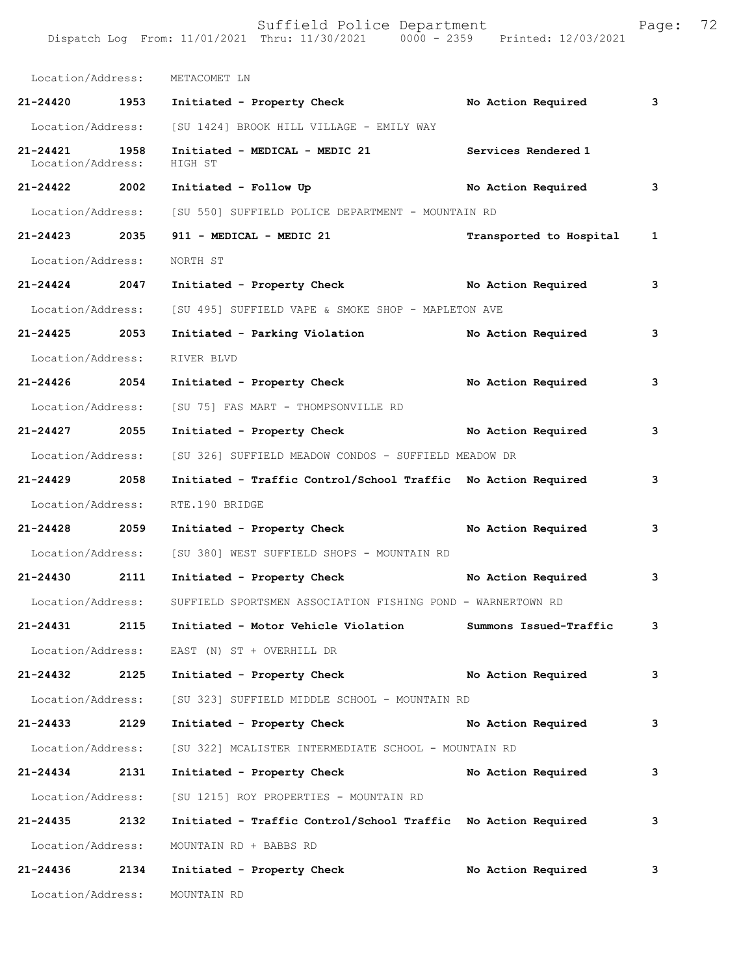Dispatch Log From: 11/01/2021 Thru: 11/30/2021 0000 - 2359 Printed: 12/03/2021 Location/Address: METACOMET LN **21-24420 1953 Initiated - Property Check No Action Required 3** Location/Address: [SU 1424] BROOK HILL VILLAGE - EMILY WAY **21-24421 1958 Initiated - MEDICAL - MEDIC 21 Services Rendered 1**  Location/Address: **21-24422 2002 Initiated - Follow Up No Action Required 3** Location/Address: [SU 550] SUFFIELD POLICE DEPARTMENT - MOUNTAIN RD **21-24423 2035 911 - MEDICAL - MEDIC 21 Transported to Hospital 1** Location/Address: NORTH ST **21-24424 2047 Initiated - Property Check No Action Required 3** Location/Address: [SU 495] SUFFIELD VAPE & SMOKE SHOP - MAPLETON AVE **21-24425 2053 Initiated - Parking Violation No Action Required 3** Location/Address: RIVER BLVD **21-24426 2054 Initiated - Property Check No Action Required 3** Location/Address: [SU 75] FAS MART - THOMPSONVILLE RD **21-24427 2055 Initiated - Property Check No Action Required 3** Location/Address: [SU 326] SUFFIELD MEADOW CONDOS - SUFFIELD MEADOW DR **21-24429 2058 Initiated - Traffic Control/School Traffic No Action Required 3** Location/Address: RTE.190 BRIDGE **21-24428 2059 Initiated - Property Check No Action Required 3** Location/Address: [SU 380] WEST SUFFIELD SHOPS - MOUNTAIN RD **21-24430 2111 Initiated - Property Check No Action Required 3** Location/Address: SUFFIELD SPORTSMEN ASSOCIATION FISHING POND - WARNERTOWN RD **21-24431 2115 Initiated - Motor Vehicle Violation Summons Issued-Traffic 3** Location/Address: EAST (N) ST + OVERHILL DR **21-24432 2125 Initiated - Property Check No Action Required 3** Location/Address: [SU 323] SUFFIELD MIDDLE SCHOOL - MOUNTAIN RD **21-24433 2129 Initiated - Property Check No Action Required 3** Location/Address: [SU 322] MCALISTER INTERMEDIATE SCHOOL - MOUNTAIN RD **21-24434 2131 Initiated - Property Check No Action Required 3** Location/Address: [SU 1215] ROY PROPERTIES - MOUNTAIN RD **21-24435 2132 Initiated - Traffic Control/School Traffic No Action Required 3** Location/Address: MOUNTAIN RD + BABBS RD **21-24436 2134 Initiated - Property Check No Action Required 3**

Suffield Police Department Fage: 72

Location/Address: MOUNTAIN RD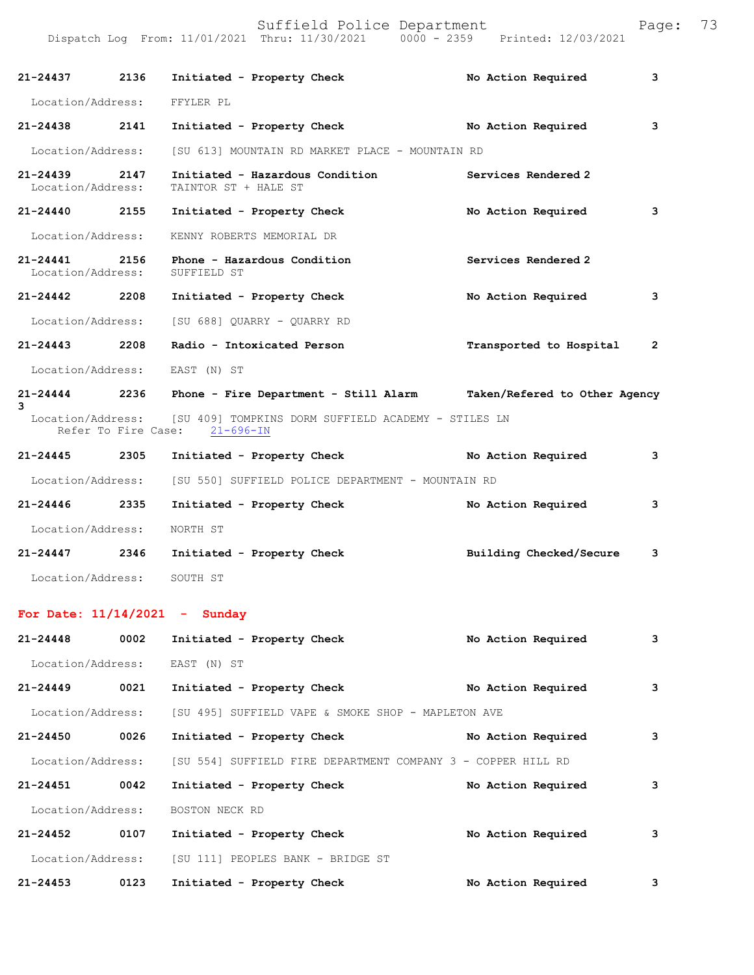Dispatch Log From: 11/01/2021 Thru: 11/30/2021 0000 - 2359 Printed: 12/03/2021

| 21-24437 2136                     |                     | Initiated - Property Check                                                               | No Action Required      | 3            |
|-----------------------------------|---------------------|------------------------------------------------------------------------------------------|-------------------------|--------------|
| Location/Address: FFYLER PL       |                     |                                                                                          |                         |              |
| $21 - 24438$                      | 2141                | Initiated - Property Check                                                               | No Action Required      | 3            |
| Location/Address:                 |                     | [SU 613] MOUNTAIN RD MARKET PLACE - MOUNTAIN RD                                          |                         |              |
| $21 - 24439$<br>Location/Address: | 2147                | Initiated - Hazardous Condition<br>TAINTOR ST + HALE ST                                  | Services Rendered 2     |              |
| $21 - 24440$                      | 2155                | Initiated - Property Check                                                               | No Action Required      | 3            |
| Location/Address:                 |                     | KENNY ROBERTS MEMORIAL DR                                                                |                         |              |
| 21-24441<br>Location/Address:     | 2156                | Phone - Hazardous Condition<br>SUFFIELD ST                                               | Services Rendered 2     |              |
| 21-24442 2208                     |                     | Initiated - Property Check                                                               | No Action Required      | 3            |
|                                   |                     | Location/Address: [SU 688] QUARRY - QUARRY RD                                            |                         |              |
| $21 - 24443$                      | 2208                | Radio - Intoxicated Person                                                               | Transported to Hospital | $\mathbf{2}$ |
|                                   |                     | Location/Address: EAST (N) ST                                                            |                         |              |
| $21 - 24444$<br>3                 |                     | 2236 Phone - Fire Department - Still Alarm Taken/Refered to Other Agency                 |                         |              |
|                                   | Refer To Fire Case: | Location/Address: [SU 409] TOMPKINS DORM SUFFIELD ACADEMY - STILES LN<br>$21 - 696 - IN$ |                         |              |
| $21 - 24445$                      | 2305                | Initiated - Property Check                                                               | No Action Required      | 3            |
| Location/Address:                 |                     | [SU 550] SUFFIELD POLICE DEPARTMENT - MOUNTAIN RD                                        |                         |              |
| 21-24446 2335                     |                     | Initiated - Property Check                                                               | No Action Required      | 3            |
| Location/Address:                 |                     | NORTH ST                                                                                 |                         |              |
| 21-24447 2346                     |                     | Initiated - Property Check                                                               | Building Checked/Secure | 3            |
| Location/Address:                 |                     | SOUTH ST                                                                                 |                         |              |
|                                   |                     | For Date: $11/14/2021$ - Sunday                                                          |                         |              |
| 21-24448                          | 0002                | Initiated - Property Check                                                               | No Action Required      | 3            |
|                                   |                     | Location/Address: EAST (N) ST                                                            |                         |              |
| 21-24449                          | 0021                | Initiated - Property Check                                                               | No Action Required      | 3            |
| Location/Address:                 |                     | [SU 495] SUFFIELD VAPE & SMOKE SHOP - MAPLETON AVE                                       |                         |              |
| 21-24450                          | 0026                | Initiated - Property Check                                                               | No Action Required      | 3            |
| Location/Address:                 |                     | [SU 554] SUFFIELD FIRE DEPARTMENT COMPANY 3 - COPPER HILL RD                             |                         |              |
| 21-24451                          | 0042                | Initiated - Property Check                                                               | No Action Required      | 3            |
| Location/Address:                 |                     | BOSTON NECK RD                                                                           |                         |              |
| 21-24452                          | 0107                | Initiated - Property Check                                                               | No Action Required      | 3            |

 Location/Address: [SU 111] PEOPLES BANK - BRIDGE ST 21-24453 0123 Initiated - Property Check **No Action Required** 3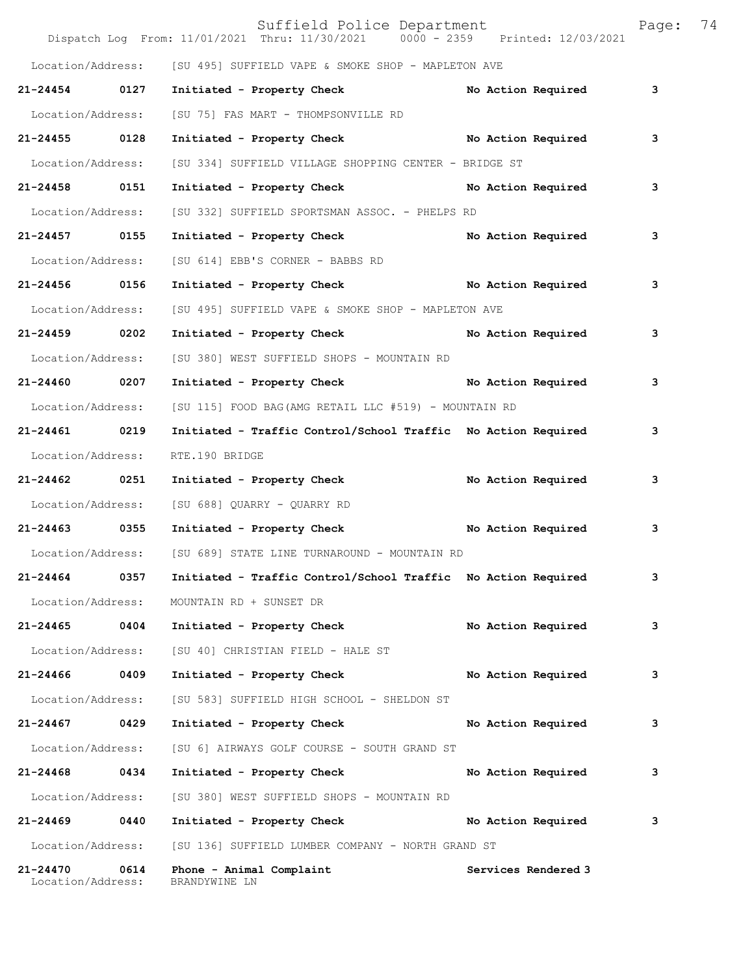|                               |      | Suffield Police Department<br>Dispatch Log From: 11/01/2021 Thru: 11/30/2021 0000 - 2359 Printed: 12/03/2021 |                     | Page: | 74 |
|-------------------------------|------|--------------------------------------------------------------------------------------------------------------|---------------------|-------|----|
|                               |      | Location/Address: [SU 495] SUFFIELD VAPE & SMOKE SHOP - MAPLETON AVE                                         |                     |       |    |
| 21-24454 0127                 |      | Initiated - Property Check                                                                                   | No Action Required  | 3     |    |
| Location/Address:             |      | [SU 75] FAS MART - THOMPSONVILLE RD                                                                          |                     |       |    |
| 21-24455 0128                 |      | Initiated - Property Check No Action Required                                                                |                     | 3     |    |
| Location/Address:             |      | [SU 334] SUFFIELD VILLAGE SHOPPING CENTER - BRIDGE ST                                                        |                     |       |    |
| 21-24458 0151                 |      | Initiated - Property Check No Action Required                                                                |                     | 3     |    |
| Location/Address:             |      | [SU 332] SUFFIELD SPORTSMAN ASSOC. - PHELPS RD                                                               |                     |       |    |
| 21-24457 0155                 |      | Initiated - Property Check                                                                                   | No Action Required  | 3     |    |
| Location/Address:             |      | [SU 614] EBB'S CORNER - BABBS RD                                                                             |                     |       |    |
| 21-24456 0156                 |      | Initiated - Property Check No Action Required                                                                |                     | 3     |    |
| Location/Address:             |      | [SU 495] SUFFIELD VAPE & SMOKE SHOP - MAPLETON AVE                                                           |                     |       |    |
| 21-24459 0202                 |      | Initiated - Property Check                                                                                   | No Action Required  | 3     |    |
| Location/Address:             |      | [SU 380] WEST SUFFIELD SHOPS - MOUNTAIN RD                                                                   |                     |       |    |
| 21-24460 0207                 |      | Initiated - Property Check No Action Required                                                                |                     | 3     |    |
| Location/Address:             |      | [SU 115] FOOD BAG(AMG RETAIL LLC #519) - MOUNTAIN RD                                                         |                     |       |    |
| 21-24461 0219                 |      | Initiated - Traffic Control/School Traffic No Action Required                                                |                     | 3     |    |
| Location/Address:             |      | RTE.190 BRIDGE                                                                                               |                     |       |    |
| 21-24462 0251                 |      | Initiated - Property Check No Action Required                                                                |                     | 3     |    |
| Location/Address:             |      | [SU 688] QUARRY - QUARRY RD                                                                                  |                     |       |    |
| 21-24463 0355                 |      | Initiated - Property Check No Action Required                                                                |                     | 3     |    |
|                               |      | Location/Address: [SU 689] STATE LINE TURNAROUND - MOUNTAIN RD                                               |                     |       |    |
| 21-24464                      | 0357 | Initiated - Traffic Control/School Traffic No Action Required                                                |                     | 3     |    |
| Location/Address:             |      | MOUNTAIN RD + SUNSET DR                                                                                      |                     |       |    |
| 21-24465 0404                 |      | Initiated - Property Check                                                                                   | No Action Required  | 3     |    |
| Location/Address:             |      | [SU 40] CHRISTIAN FIELD - HALE ST                                                                            |                     |       |    |
| 21-24466                      | 0409 | Initiated - Property Check                                                                                   | No Action Required  | 3     |    |
| Location/Address:             |      | [SU 583] SUFFIELD HIGH SCHOOL - SHELDON ST                                                                   |                     |       |    |
| 21-24467                      | 0429 | Initiated - Property Check                                                                                   | No Action Required  | 3     |    |
| Location/Address:             |      | [SU 6] AIRWAYS GOLF COURSE - SOUTH GRAND ST                                                                  |                     |       |    |
| 21-24468 0434                 |      | Initiated - Property Check                                                                                   | No Action Required  | з     |    |
| Location/Address:             |      | [SU 380] WEST SUFFIELD SHOPS - MOUNTAIN RD                                                                   |                     |       |    |
| 21-24469                      | 0440 | Initiated - Property Check                                                                                   | No Action Required  | з     |    |
| Location/Address:             |      | [SU 136] SUFFIELD LUMBER COMPANY - NORTH GRAND ST                                                            |                     |       |    |
| 21-24470<br>Location/Address: | 0614 | Phone - Animal Complaint<br>BRANDYWINE LN                                                                    | Services Rendered 3 |       |    |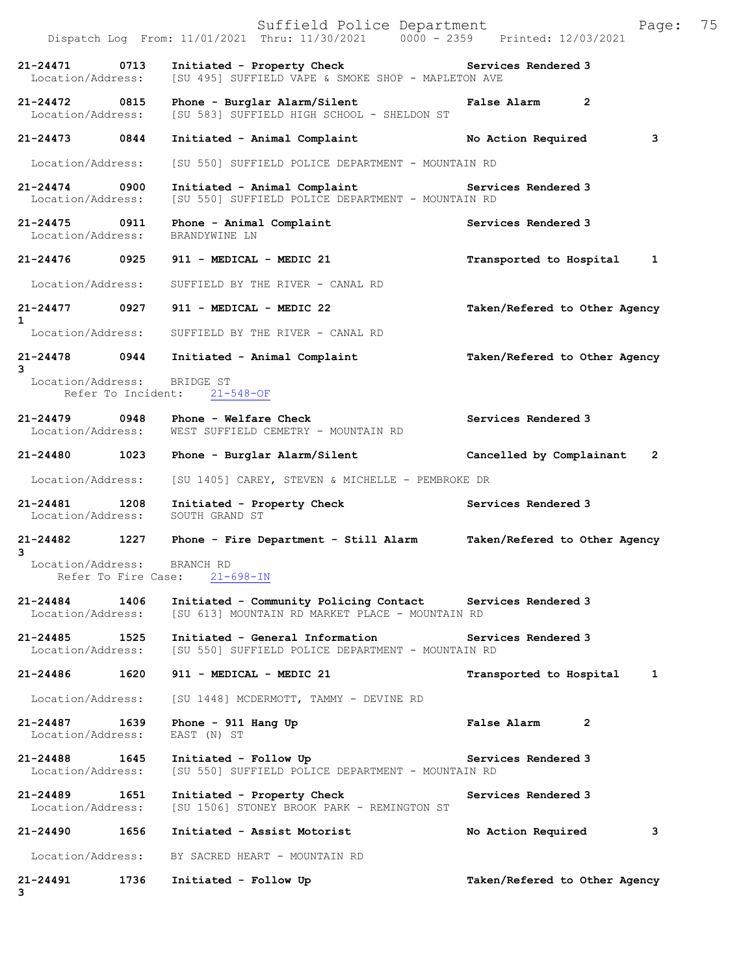|                                          |      | Suffield Police Department<br>Dispatch Log From: 11/01/2021 Thru: 11/30/2021 0000 - 2359 Printed: 12/03/2021           | 75<br>Page:                   |
|------------------------------------------|------|------------------------------------------------------------------------------------------------------------------------|-------------------------------|
| 21-24471<br>Location/Address:            | 0713 | Initiated - Property Check<br>[SU 495] SUFFIELD VAPE & SMOKE SHOP - MAPLETON AVE                                       | Services Rendered 3           |
| 21-24472 0815<br>Location/Address:       |      | Phone - Burglar Alarm/Silent<br>[SU 583] SUFFIELD HIGH SCHOOL - SHELDON ST                                             | False Alarm 2                 |
| $21 - 24473$                             | 0844 | Initiated - Animal Complaint                                                                                           | 3<br>No Action Required       |
| Location/Address:                        |      | [SU 550] SUFFIELD POLICE DEPARTMENT - MOUNTAIN RD                                                                      |                               |
| 21-24474 0900<br>Location/Address:       |      | Initiated - Animal Complaint <b>Example 2</b> Services Rendered 3<br>[SU 550] SUFFIELD POLICE DEPARTMENT - MOUNTAIN RD |                               |
| 21-24475 0911<br>Location/Address:       |      | Phone - Animal Complaint<br>BRANDYWINE LN                                                                              | Services Rendered 3           |
| 21-24476 0925                            |      | 911 - MEDICAL - MEDIC 21                                                                                               | Transported to Hospital<br>1  |
| Location/Address:                        |      | SUFFIELD BY THE RIVER - CANAL RD                                                                                       |                               |
| 21-24477 0927<br>$\mathbf{1}$            |      | 911 - MEDICAL - MEDIC 22                                                                                               | Taken/Refered to Other Agency |
| Location/Address:                        |      | SUFFIELD BY THE RIVER - CANAL RD                                                                                       |                               |
| 3                                        |      | 21-24478 0944 Initiated - Animal Complaint                                                                             | Taken/Refered to Other Agency |
| Location/Address:                        |      | BRIDGE ST<br>Refer To Incident: 21-548-OF                                                                              |                               |
| 21-24479 0948<br>Location/Address:       |      | Phone - Welfare Check<br>WEST SUFFIELD CEMETRY - MOUNTAIN RD                                                           | Services Rendered 3           |
| 21-24480 1023                            |      | Phone - Burglar Alarm/Silent                                                                                           | Cancelled by Complainant<br>2 |
| Location/Address:                        |      | [SU 1405] CAREY, STEVEN & MICHELLE - PEMBROKE DR                                                                       |                               |
| 21-24481<br>Location/Address:            | 1208 | Initiated - Property Check<br>SOUTH GRAND ST                                                                           | Services Rendered 3           |
| 21-24482 1227<br>3                       |      | Phone - Fire Department - Still Alarm                                                                                  | Taken/Refered to Other Agency |
| Location/Address:<br>Refer To Fire Case: |      | BRANCH RD<br>$21 - 698 - IN$                                                                                           |                               |
| 21-24484<br>Location/Address:            | 1406 | Initiated - Community Policing Contact Services Rendered 3<br>[SU 613] MOUNTAIN RD MARKET PLACE - MOUNTAIN RD          |                               |
| $21 - 24485$<br>Location/Address:        | 1525 | Initiated - General Information<br>[SU 550] SUFFIELD POLICE DEPARTMENT - MOUNTAIN RD                                   | Services Rendered 3           |
| 21-24486                                 | 1620 | 911 - MEDICAL - MEDIC 21                                                                                               | Transported to Hospital<br>1  |
| Location/Address:                        |      | [SU 1448] MCDERMOTT, TAMMY - DEVINE RD                                                                                 |                               |
| $21 - 24487$<br>Location/Address:        | 1639 | Phone - $911$ Hang Up<br>EAST (N) ST                                                                                   | <b>False Alarm</b><br>2       |
| 21-24488 1645<br>Location/Address:       |      | Initiated - Follow Up<br>[SU 550] SUFFIELD POLICE DEPARTMENT - MOUNTAIN RD                                             | Services Rendered 3           |
| 21-24489<br>Location/Address:            | 1651 | Initiated - Property Check<br>[SU 1506] STONEY BROOK PARK - REMINGTON ST                                               | Services Rendered 3           |
| 21-24490                                 | 1656 | Initiated - Assist Motorist                                                                                            | з<br>No Action Required       |
| Location/Address:                        |      | BY SACRED HEART - MOUNTAIN RD                                                                                          |                               |
| 21-24491<br>3                            | 1736 | Initiated - Follow Up                                                                                                  | Taken/Refered to Other Agency |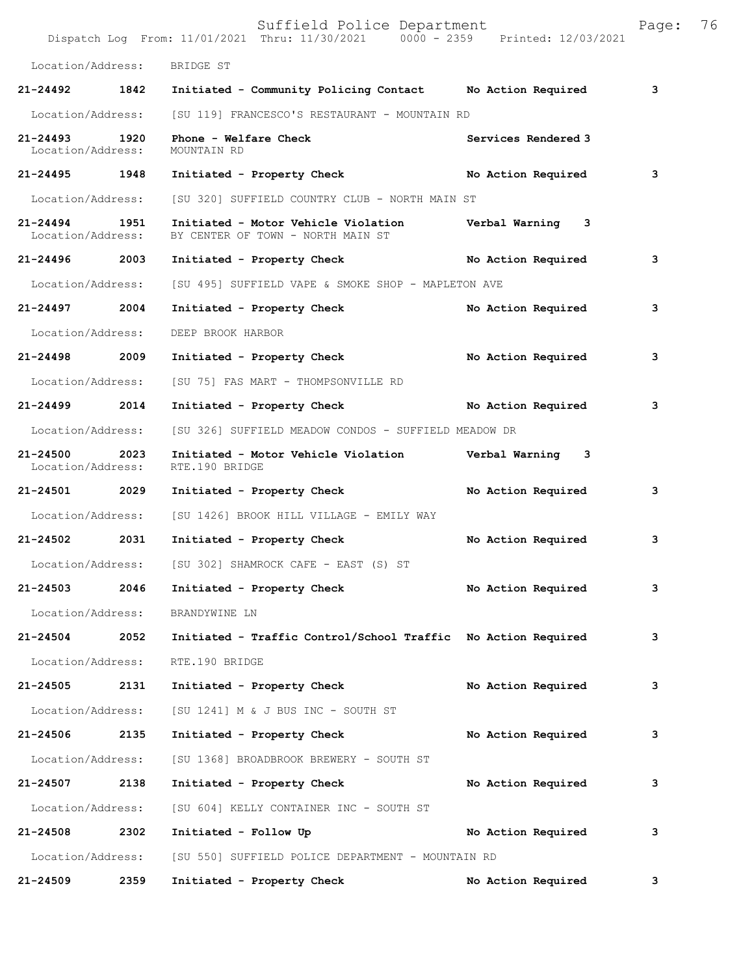|                                    |      | Suffield Police Department<br>Dispatch Log From: 11/01/2021 Thru: 11/30/2021 0000 - 2359 Printed: 12/03/2021 |                     | Page: | 76 |
|------------------------------------|------|--------------------------------------------------------------------------------------------------------------|---------------------|-------|----|
| Location/Address:                  |      | BRIDGE ST                                                                                                    |                     |       |    |
| 21-24492 1842                      |      | Initiated - Community Policing Contact Mo Action Required                                                    |                     | 3     |    |
| Location/Address:                  |      | [SU 119] FRANCESCO'S RESTAURANT - MOUNTAIN RD                                                                |                     |       |    |
| 21-24493<br>Location/Address:      | 1920 | Phone - Welfare Check<br>MOUNTAIN RD                                                                         | Services Rendered 3 |       |    |
| 21-24495 1948                      |      | Initiated - Property Check No Action Required                                                                |                     | 3     |    |
| Location/Address:                  |      | [SU 320] SUFFIELD COUNTRY CLUB - NORTH MAIN ST                                                               |                     |       |    |
| 21-24494 1951<br>Location/Address: |      | Initiated - Motor Vehicle Violation Verbal Warning 3<br>BY CENTER OF TOWN - NORTH MAIN ST                    |                     |       |    |
| 21-24496 2003                      |      | Initiated - Property Check No Action Required                                                                |                     | 3     |    |
| Location/Address:                  |      | [SU 495] SUFFIELD VAPE & SMOKE SHOP - MAPLETON AVE                                                           |                     |       |    |
| 21-24497 2004                      |      | Initiated - Property Check                                                                                   | No Action Required  | 3     |    |
| Location/Address:                  |      | DEEP BROOK HARBOR                                                                                            |                     |       |    |
| 21-24498 2009                      |      | Initiated - Property Check                                                                                   | No Action Required  | 3     |    |
| Location/Address:                  |      | [SU 75] FAS MART - THOMPSONVILLE RD                                                                          |                     |       |    |
| 21-24499 2014                      |      | Initiated - Property Check No Action Required                                                                |                     | 3     |    |
| Location/Address:                  |      | [SU 326] SUFFIELD MEADOW CONDOS - SUFFIELD MEADOW DR                                                         |                     |       |    |
| 21-24500<br>Location/Address:      | 2023 | Initiated - Motor Vehicle Violation Verbal Warning 3<br>RTE.190 BRIDGE                                       |                     |       |    |
| 21-24501 2029                      |      | Initiated - Property Check                                                                                   | No Action Required  | 3     |    |
|                                    |      | Location/Address: [SU 1426] BROOK HILL VILLAGE - EMILY WAY                                                   |                     |       |    |
| 21-24502 2031                      |      | Initiated - Property Check                                                                                   | No Action Required  | 3     |    |
|                                    |      | Location/Address: [SU 302] SHAMROCK CAFE - EAST (S) ST                                                       |                     |       |    |
| 21-24503                           | 2046 | Initiated - Property Check                                                                                   | No Action Required  | 3     |    |
| Location/Address:                  |      | BRANDYWINE LN                                                                                                |                     |       |    |
| 21-24504 2052                      |      | Initiated - Traffic Control/School Traffic No Action Required                                                |                     | 3     |    |
| Location/Address:                  |      | RTE.190 BRIDGE                                                                                               |                     |       |    |
| 21-24505                           | 2131 | Initiated - Property Check                                                                                   | No Action Required  | 3     |    |
| Location/Address:                  |      | [SU 1241] M & J BUS INC - SOUTH ST                                                                           |                     |       |    |
| 21-24506 2135                      |      | Initiated - Property Check                                                                                   | No Action Required  | 3     |    |
| Location/Address:                  |      | [SU 1368] BROADBROOK BREWERY - SOUTH ST                                                                      |                     |       |    |
| 21-24507 2138                      |      | Initiated - Property Check                                                                                   | No Action Required  | 3     |    |
| Location/Address:                  |      | [SU 604] KELLY CONTAINER INC - SOUTH ST                                                                      |                     |       |    |
| 21-24508                           | 2302 | Initiated - Follow Up                                                                                        | No Action Required  | 3     |    |
| Location/Address:                  |      | [SU 550] SUFFIELD POLICE DEPARTMENT - MOUNTAIN RD                                                            |                     |       |    |
| 21-24509                           | 2359 | Initiated - Property Check                                                                                   | No Action Required  | 3     |    |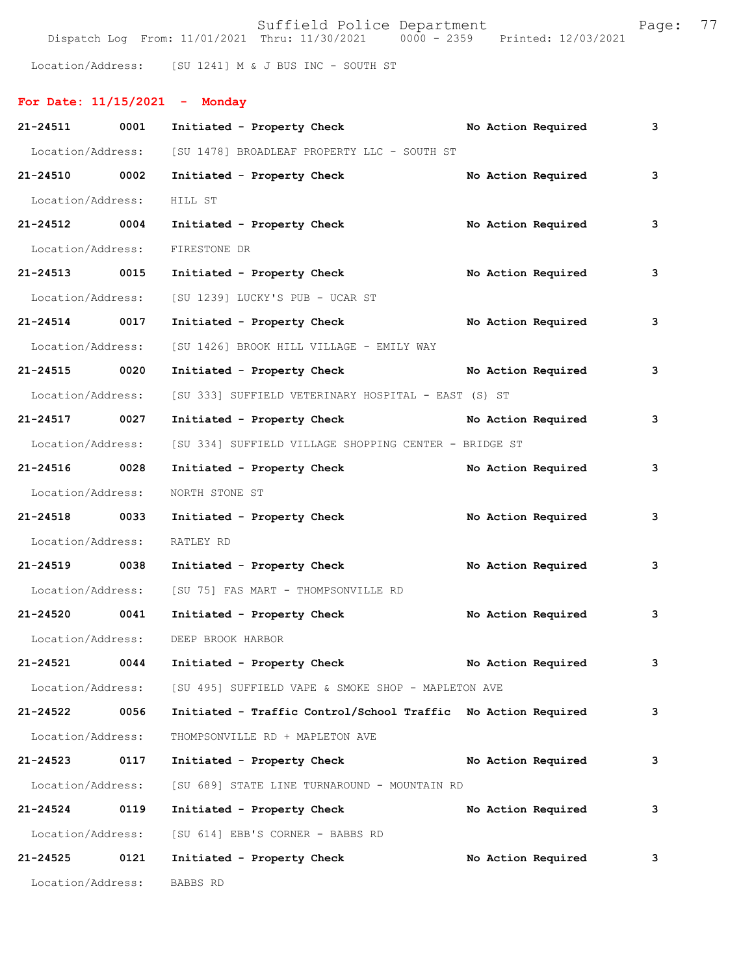Suffield Police Department Fage: 77 Dispatch Log From: 11/01/2021 Thru: 11/30/2021 0000 - 2359 Printed: 12/03/2021

Location/Address: [SU 1241] M & J BUS INC - SOUTH ST

| For Date: $11/15/2021$ - Monday |      |                                                               |  |                    |   |
|---------------------------------|------|---------------------------------------------------------------|--|--------------------|---|
| 21-24511 0001                   |      | Initiated - Property Check                                    |  | No Action Required | 3 |
| Location/Address:               |      | [SU 1478] BROADLEAF PROPERTY LLC - SOUTH ST                   |  |                    |   |
| 21-24510 0002                   |      | Initiated - Property Check                                    |  | No Action Required | 3 |
| Location/Address:               |      | HILL ST                                                       |  |                    |   |
| 21-24512 0004                   |      | Initiated - Property Check                                    |  | No Action Required | 3 |
| Location/Address:               |      | FIRESTONE DR                                                  |  |                    |   |
| 21-24513 0015                   |      | Initiated - Property Check                                    |  | No Action Required | 3 |
| Location/Address:               |      | [SU 1239] LUCKY'S PUB - UCAR ST                               |  |                    |   |
| 21-24514 0017                   |      | Initiated - Property Check                                    |  | No Action Required | 3 |
| Location/Address:               |      | [SU 1426] BROOK HILL VILLAGE - EMILY WAY                      |  |                    |   |
| 21-24515 0020                   |      | Initiated - Property Check No Action Required                 |  |                    | 3 |
| Location/Address:               |      | [SU 333] SUFFIELD VETERINARY HOSPITAL - EAST (S) ST           |  |                    |   |
| 21-24517 0027                   |      | Initiated - Property Check                                    |  | No Action Required | 3 |
| Location/Address:               |      | [SU 334] SUFFIELD VILLAGE SHOPPING CENTER - BRIDGE ST         |  |                    |   |
| 21-24516 0028                   |      | Initiated - Property Check                                    |  | No Action Required | 3 |
| Location/Address:               |      | NORTH STONE ST                                                |  |                    |   |
| 21-24518 0033                   |      | Initiated - Property Check                                    |  | No Action Required | 3 |
| Location/Address:               |      | RATLEY RD                                                     |  |                    |   |
| 21-24519 0038                   |      | Initiated - Property Check                                    |  | No Action Required | 3 |
| Location/Address:               |      | [SU 75] FAS MART - THOMPSONVILLE RD                           |  |                    |   |
| 21-24520 0041                   |      | Initiated - Property Check                                    |  | No Action Required | 3 |
| Location/Address:               |      | DEEP BROOK HARBOR                                             |  |                    |   |
| 21-24521                        | 0044 | Initiated - Property Check                                    |  | No Action Required | 3 |
| Location/Address:               |      | [SU 495] SUFFIELD VAPE & SMOKE SHOP - MAPLETON AVE            |  |                    |   |
| 21-24522                        | 0056 | Initiated - Traffic Control/School Traffic No Action Required |  |                    | 3 |
| Location/Address:               |      | THOMPSONVILLE RD + MAPLETON AVE                               |  |                    |   |
| 21-24523                        | 0117 | Initiated - Property Check                                    |  | No Action Required | 3 |
| Location/Address:               |      | [SU 689] STATE LINE TURNAROUND - MOUNTAIN RD                  |  |                    |   |
| 21-24524                        | 0119 | Initiated - Property Check                                    |  | No Action Required | 3 |
| Location/Address:               |      | [SU 614] EBB'S CORNER - BABBS RD                              |  |                    |   |
| 21-24525                        | 0121 | Initiated - Property Check                                    |  | No Action Required | 3 |
| Location/Address:               |      | BABBS RD                                                      |  |                    |   |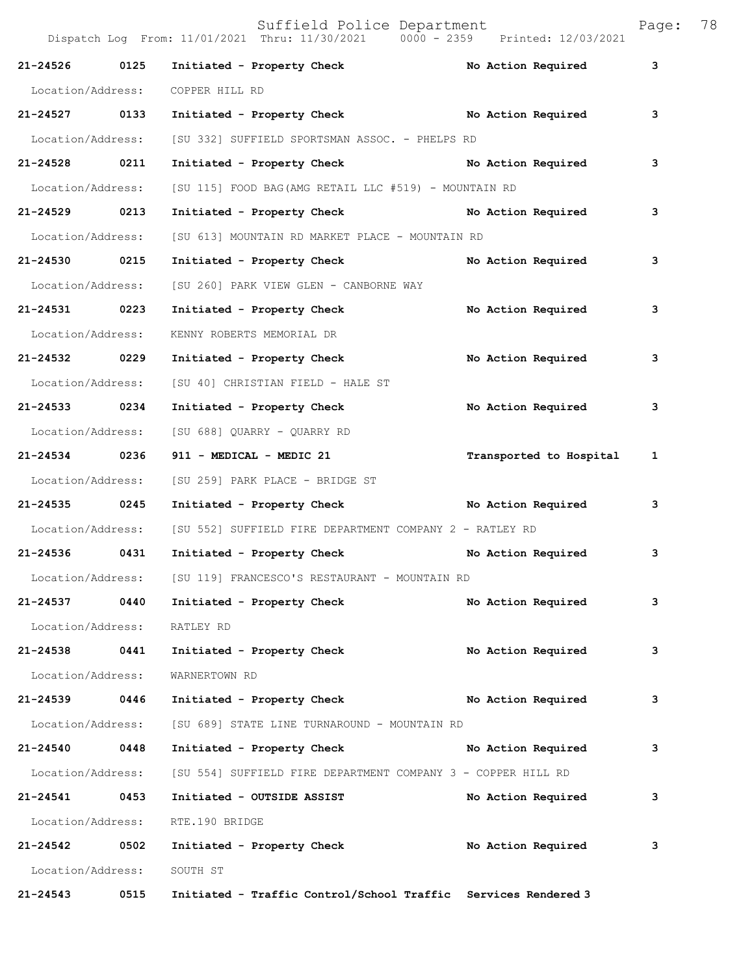|                   |      | Dispatch Log From: 11/01/2021 Thru: 11/30/2021 0000 - 2359     | Printed: 12/03/2021     |   |
|-------------------|------|----------------------------------------------------------------|-------------------------|---|
| 21-24526          | 0125 | Initiated - Property Check                                     | No Action Required      | 3 |
| Location/Address: |      | COPPER HILL RD                                                 |                         |   |
| 21-24527 0133     |      | Initiated - Property Check No Action Required                  |                         | 3 |
| Location/Address: |      | [SU 332] SUFFIELD SPORTSMAN ASSOC. - PHELPS RD                 |                         |   |
| 21-24528 0211     |      | Initiated - Property Check No Action Required                  |                         | 3 |
| Location/Address: |      | [SU 115] FOOD BAG(AMG RETAIL LLC #519) - MOUNTAIN RD           |                         |   |
| 21-24529 0213     |      | Initiated - Property Check No Action Required                  |                         | 3 |
| Location/Address: |      | [SU 613] MOUNTAIN RD MARKET PLACE - MOUNTAIN RD                |                         |   |
| 21-24530 0215     |      | Initiated - Property Check No Action Required                  |                         | 3 |
| Location/Address: |      | [SU 260] PARK VIEW GLEN - CANBORNE WAY                         |                         |   |
| 21-24531 0223     |      | Initiated - Property Check                                     | No Action Required      | 3 |
| Location/Address: |      | KENNY ROBERTS MEMORIAL DR                                      |                         |   |
| 21-24532 0229     |      | Initiated - Property Check                                     | No Action Required      | 3 |
| Location/Address: |      | [SU 40] CHRISTIAN FIELD - HALE ST                              |                         |   |
| 21-24533 0234     |      | Initiated - Property Check                                     | No Action Required      | 3 |
|                   |      | Location/Address: [SU 688] QUARRY - QUARRY RD                  |                         |   |
| 21-24534 0236     |      | 911 - MEDICAL - MEDIC 21                                       | Transported to Hospital | 1 |
| Location/Address: |      | [SU 259] PARK PLACE - BRIDGE ST                                |                         |   |
| 21-24535 0245     |      | Initiated - Property Check No Action Required                  |                         | 3 |
| Location/Address: |      | [SU 552] SUFFIELD FIRE DEPARTMENT COMPANY 2 - RATLEY RD        |                         |   |
| 21-24536 0431     |      | Initiated - Property Check No Action Required                  |                         | 3 |
| Location/Address: |      | [SU 119] FRANCESCO'S RESTAURANT - MOUNTAIN RD                  |                         |   |
| 21-24537          | 0440 | Initiated - Property Check                                     | No Action Required      | 3 |
| Location/Address: |      | RATLEY RD                                                      |                         |   |
| 21-24538          | 0441 | Initiated - Property Check                                     | No Action Required      | 3 |
| Location/Address: |      | WARNERTOWN RD                                                  |                         |   |
| 21-24539          | 0446 | Initiated - Property Check                                     | No Action Required      | 3 |
| Location/Address: |      | [SU 689] STATE LINE TURNAROUND - MOUNTAIN RD                   |                         |   |
| 21-24540          | 0448 | Initiated - Property Check                                     | No Action Required      | 3 |
| Location/Address: |      | [SU 554] SUFFIELD FIRE DEPARTMENT COMPANY 3 - COPPER HILL RD   |                         |   |
| 21-24541          | 0453 | Initiated - OUTSIDE ASSIST                                     | No Action Required      | 3 |
| Location/Address: |      | RTE.190 BRIDGE                                                 |                         |   |
| 21-24542          | 0502 | Initiated - Property Check                                     | No Action Required      | 3 |
| Location/Address: |      | SOUTH ST                                                       |                         |   |
| 21-24543          | 0515 | Initiated - Traffic Control/School Traffic Services Rendered 3 |                         |   |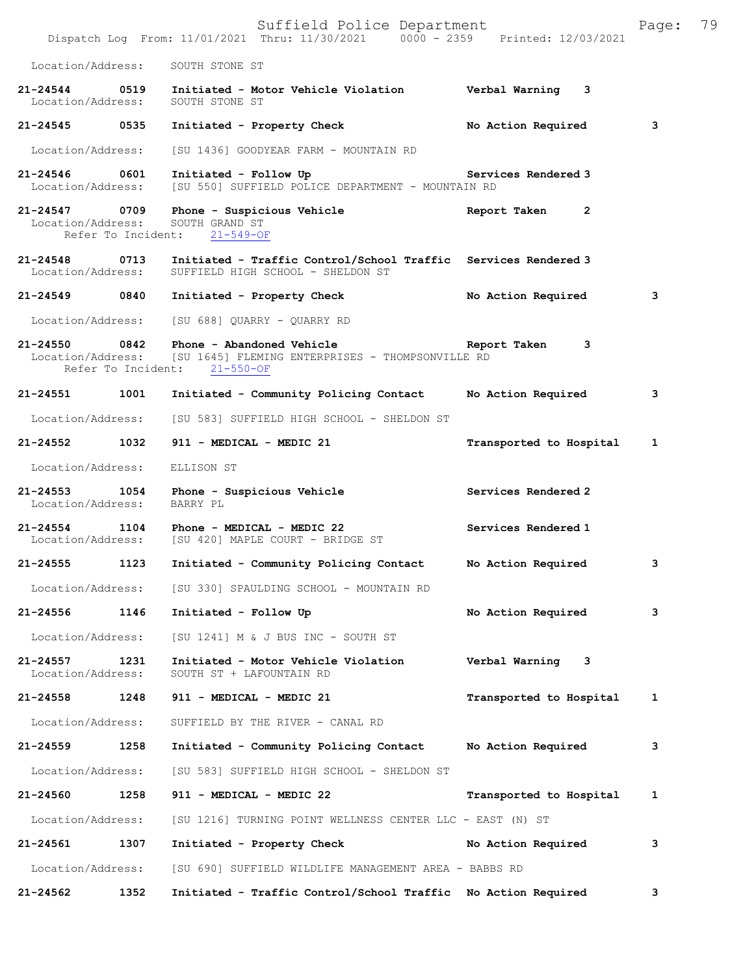Suffield Police Department Page: 79 Dispatch Log From: 11/01/2021 Thru: 11/30/2021 0000 - 2359 Printed: 12/03/2021 Location/Address: SOUTH STONE ST **21-24544 0519 Initiated - Motor Vehicle Violation Verbal Warning 3**  Location/Address: **21-24545 0535 Initiated - Property Check No Action Required 3** Location/Address: [SU 1436] GOODYEAR FARM - MOUNTAIN RD **21-24546 0601 Initiated - Follow Up Services Rendered 3**  Location/Address: [SU 550] SUFFIELD POLICE DEPARTMENT - MOUNTAIN RD **21-24547 0709 Phone - Suspicious Vehicle Report Taken 2**  Location/Address: SOUTH GRAND ST<br>Refer To Incident: 21-549-OF Refer To Incident: **21-24548 0713 Initiated - Traffic Control/School Traffic Services Rendered 3**  SUFFIELD HIGH SCHOOL - SHELDON ST **21-24549 0840 Initiated - Property Check No Action Required 3** Location/Address: [SU 688] QUARRY - QUARRY RD 21-24550 0842 **Phone - Abandoned Vehicle** Report Taken 3<br>Location/Address: [SU 1645] FLEMING ENTERPRISES - THOMPSONVILLE RD [SU 1645] FLEMING ENTERPRISES - THOMPSONVILLE RD<br>ht: 21-550-OF Refer To Incident: **21-24551 1001 Initiated - Community Policing Contact No Action Required 3** Location/Address: [SU 583] SUFFIELD HIGH SCHOOL - SHELDON ST **21-24552 1032 911 - MEDICAL - MEDIC 21 Transported to Hospital 1** Location/Address: ELLISON ST 21-24553 1054 Phone - Suspicious Vehicle **Services Rendered 2 Iocation/Address:** BARRY PL Location/Address: **21-24554 1104 Phone - MEDICAL - MEDIC 22 Services Rendered 1**  [SU 420] MAPLE COURT - BRIDGE ST **21-24555 1123 Initiated - Community Policing Contact No Action Required 3** Location/Address: [SU 330] SPAULDING SCHOOL - MOUNTAIN RD **21-24556 1146 Initiated - Follow Up No Action Required 3** Location/Address: [SU 1241] M & J BUS INC - SOUTH ST **21-24557 1231 Initiated - Motor Vehicle Violation Verbal Warning 3**  SOUTH ST + LAFOUNTAIN RD **21-24558 1248 911 - MEDICAL - MEDIC 21 Transported to Hospital 1** Location/Address: SUFFIELD BY THE RIVER - CANAL RD **21-24559 1258 Initiated - Community Policing Contact No Action Required 3** Location/Address: [SU 583] SUFFIELD HIGH SCHOOL - SHELDON ST **21-24560 1258 911 - MEDICAL - MEDIC 22 Transported to Hospital 1** Location/Address: [SU 1216] TURNING POINT WELLNESS CENTER LLC - EAST (N) ST **21-24561 1307 Initiated - Property Check No Action Required 3** Location/Address: [SU 690] SUFFIELD WILDLIFE MANAGEMENT AREA - BABBS RD **21-24562 1352 Initiated - Traffic Control/School Traffic No Action Required 3**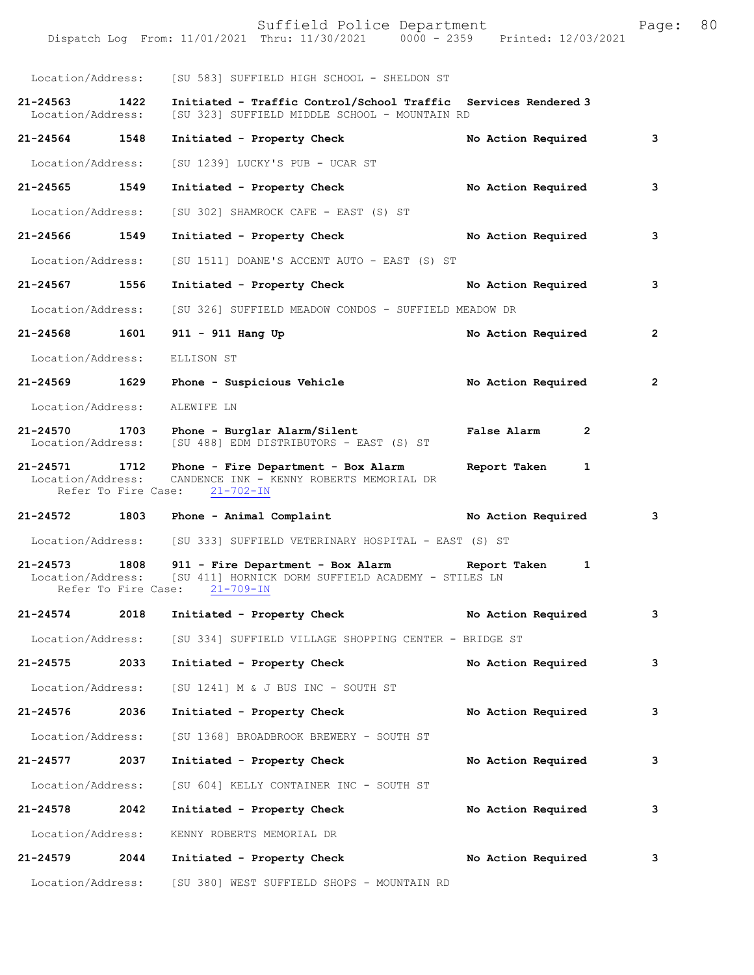|                              |      | Dispatch Log From: 11/01/2021 Thru: 11/30/2021 0000 - 2359 Printed: 12/03/2021                                                                                |                    |              |
|------------------------------|------|---------------------------------------------------------------------------------------------------------------------------------------------------------------|--------------------|--------------|
|                              |      | Location/Address: [SU 583] SUFFIELD HIGH SCHOOL - SHELDON ST                                                                                                  |                    |              |
| 21-24563 1422                |      | Initiated - Traffic Control/School Traffic Services Rendered 3<br>Location/Address: [SU 323] SUFFIELD MIDDLE SCHOOL - MOUNTAIN RD                             |                    |              |
| 21-24564 1548                |      | Initiated - Property Check                                                                                                                                    | No Action Required | 3            |
|                              |      | Location/Address: [SU 1239] LUCKY'S PUB - UCAR ST                                                                                                             |                    |              |
| 21-24565 1549                |      | Initiated - Property Check                                                                                                                                    | No Action Required | 3            |
| Location/Address:            |      | [SU 302] SHAMROCK CAFE - EAST (S) ST                                                                                                                          |                    |              |
| 21-24566 1549                |      | Initiated - Property Check No Action Required                                                                                                                 |                    | 3            |
| Location/Address:            |      | [SU 1511] DOANE'S ACCENT AUTO - EAST (S) ST                                                                                                                   |                    |              |
| 21-24567 1556                |      | Initiated - Property Check No Action Required                                                                                                                 |                    | 3            |
|                              |      | Location/Address: [SU 326] SUFFIELD MEADOW CONDOS - SUFFIELD MEADOW DR                                                                                        |                    |              |
| 21-24568 1601                |      | 911 - 911 Hang Up                                                                                                                                             | No Action Required | $\mathbf{2}$ |
| Location/Address: ELLISON ST |      |                                                                                                                                                               |                    |              |
|                              |      | 21-24569 1629 Phone - Suspicious Vehicle No Action Required                                                                                                   |                    | 2            |
| Location/Address:            |      | ALEWIFE LN                                                                                                                                                    |                    |              |
|                              |      | 21-24570 1703 Phone - Burglar Alarm/Silent New York Balse Alarm<br>Location/Address: [SU 488] EDM DISTRIBUTORS - EAST (S) ST                                  | $\overline{2}$     |              |
|                              |      | 21-24571 1712 Phone - Fire Department - Box Alarm Report Taken<br>Location/Address: CANDENCE INK - KENNY ROBERTS MEMORIAL DR<br>Refer To Fire Case: 21-702-IN | 1                  |              |
|                              |      | 21-24572 1803 Phone - Animal Complaint No Action Required                                                                                                     |                    | 3            |
|                              |      | Location/Address: [SU 333] SUFFIELD VETERINARY HOSPITAL - EAST (S) ST                                                                                         |                    |              |
|                              |      | Location/Address: [SU 411] HORNICK DORM SUFFIELD ACADEMY - STILES LN<br>Refer To Fire Case: 21-709-IN                                                         |                    |              |
| 21-24574 2018                |      | Initiated - Property Check No Action Required                                                                                                                 |                    | 3            |
|                              |      | Location/Address: [SU 334] SUFFIELD VILLAGE SHOPPING CENTER - BRIDGE ST                                                                                       |                    |              |
| 21-24575                     | 2033 | Initiated - Property Check                                                                                                                                    | No Action Required | 3            |
|                              |      | Location/Address: [SU 1241] M & J BUS INC - SOUTH ST                                                                                                          |                    |              |
| 21-24576 2036                |      | Initiated - Property Check                                                                                                                                    | No Action Required | з            |
| Location/Address:            |      | [SU 1368] BROADBROOK BREWERY - SOUTH ST                                                                                                                       |                    |              |
| 21-24577 2037                |      | Initiated - Property Check                                                                                                                                    | No Action Required | 3            |
|                              |      | Location/Address: [SU 604] KELLY CONTAINER INC - SOUTH ST                                                                                                     |                    |              |
| 21-24578                     | 2042 | Initiated - Property Check                                                                                                                                    | No Action Required | з            |
| Location/Address:            |      | KENNY ROBERTS MEMORIAL DR                                                                                                                                     |                    |              |
| 21-24579                     | 2044 | Initiated - Property Check                                                                                                                                    | No Action Required | 3            |
|                              |      |                                                                                                                                                               |                    |              |

Location/Address: [SU 380] WEST SUFFIELD SHOPS - MOUNTAIN RD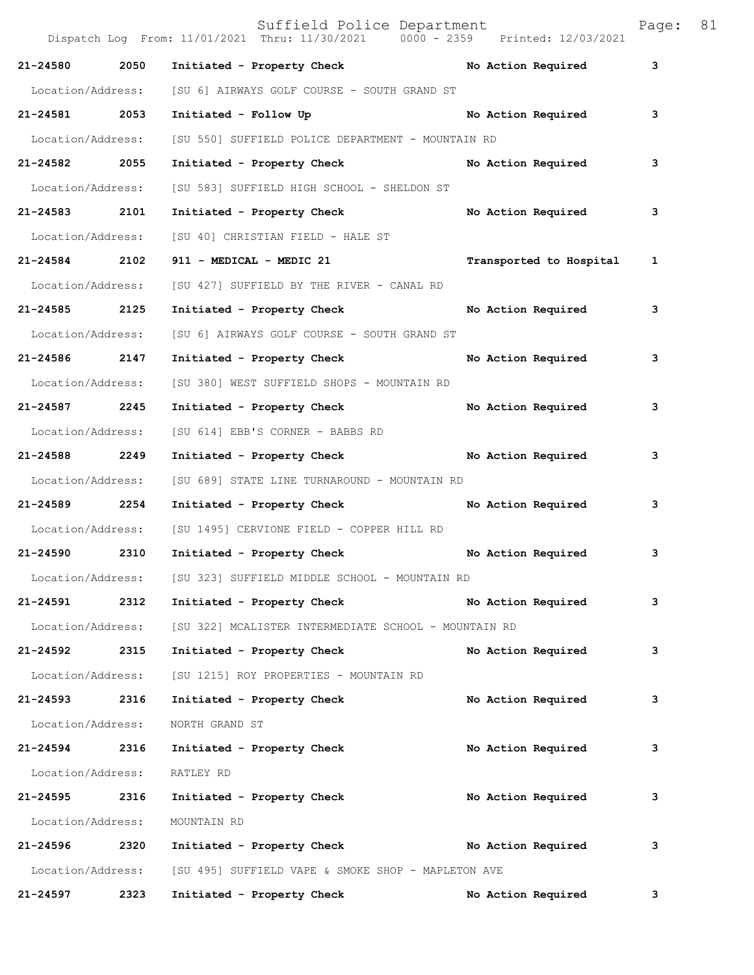|                   |      | Suffield Police Department<br>Dispatch Log From: 11/01/2021 Thru: 11/30/2021 0000 - 2359 Printed: 12/03/2021 |                         | Page:        | 81 |
|-------------------|------|--------------------------------------------------------------------------------------------------------------|-------------------------|--------------|----|
| 21-24580          | 2050 | Initiated - Property Check No Action Required                                                                |                         | 3            |    |
| Location/Address: |      | [SU 6] AIRWAYS GOLF COURSE - SOUTH GRAND ST                                                                  |                         |              |    |
| 21-24581 2053     |      | Initiated - Follow Up                                                                                        | No Action Required      | 3            |    |
| Location/Address: |      | [SU 550] SUFFIELD POLICE DEPARTMENT - MOUNTAIN RD                                                            |                         |              |    |
| 21-24582 2055     |      | Initiated - Property Check No Action Required                                                                |                         | 3            |    |
| Location/Address: |      | [SU 583] SUFFIELD HIGH SCHOOL - SHELDON ST                                                                   |                         |              |    |
| 21-24583 2101     |      | Initiated - Property Check                                                                                   | No Action Required      | 3            |    |
| Location/Address: |      | [SU 40] CHRISTIAN FIELD - HALE ST                                                                            |                         |              |    |
| 21-24584 2102     |      | 911 - MEDICAL - MEDIC 21                                                                                     | Transported to Hospital | $\mathbf{1}$ |    |
| Location/Address: |      | [SU 427] SUFFIELD BY THE RIVER - CANAL RD                                                                    |                         |              |    |
| 21-24585 2125     |      | Initiated - Property Check                                                                                   | No Action Required      | 3            |    |
| Location/Address: |      | [SU 6] AIRWAYS GOLF COURSE - SOUTH GRAND ST                                                                  |                         |              |    |
| 21-24586 2147     |      | Initiated - Property Check                                                                                   | No Action Required      | 3            |    |
| Location/Address: |      | [SU 380] WEST SUFFIELD SHOPS - MOUNTAIN RD                                                                   |                         |              |    |
| 21-24587 2245     |      | Initiated - Property Check                                                                                   | No Action Required      | 3            |    |
| Location/Address: |      | [SU 614] EBB'S CORNER - BABBS RD                                                                             |                         |              |    |
| 21-24588 2249     |      | Initiated - Property Check No Action Required                                                                |                         | 3            |    |
| Location/Address: |      | [SU 689] STATE LINE TURNAROUND - MOUNTAIN RD                                                                 |                         |              |    |
| 21-24589          | 2254 | Initiated - Property Check                                                                                   | No Action Required      | 3            |    |
| Location/Address: |      | [SU 1495] CERVIONE FIELD - COPPER HILL RD                                                                    |                         |              |    |
| 21-24590 2310     |      | Initiated - Property Check                                                                                   | No Action Required      | 3            |    |
| Location/Address: |      | [SU 323] SUFFIELD MIDDLE SCHOOL - MOUNTAIN RD                                                                |                         |              |    |
| 21-24591          | 2312 | Initiated - Property Check                                                                                   | No Action Required      | 3            |    |
| Location/Address: |      | [SU 322] MCALISTER INTERMEDIATE SCHOOL - MOUNTAIN RD                                                         |                         |              |    |
| 21-24592 2315     |      | Initiated - Property Check                                                                                   | No Action Required      | 3            |    |
| Location/Address: |      | [SU 1215] ROY PROPERTIES - MOUNTAIN RD                                                                       |                         |              |    |
| 21-24593 2316     |      | Initiated - Property Check                                                                                   | No Action Required      | 3            |    |
| Location/Address: |      | NORTH GRAND ST                                                                                               |                         |              |    |
| 21-24594          | 2316 | Initiated - Property Check                                                                                   | No Action Required      | 3            |    |
| Location/Address: |      | RATLEY RD                                                                                                    |                         |              |    |
| 21-24595 2316     |      | Initiated - Property Check                                                                                   | No Action Required      | 3            |    |
| Location/Address: |      | MOUNTAIN RD                                                                                                  |                         |              |    |
| 21-24596 2320     |      | Initiated - Property Check No Action Required                                                                |                         | 3            |    |
| Location/Address: |      | [SU 495] SUFFIELD VAPE & SMOKE SHOP - MAPLETON AVE                                                           |                         |              |    |
| 21-24597          | 2323 | Initiated - Property Check                                                                                   | No Action Required      | 3            |    |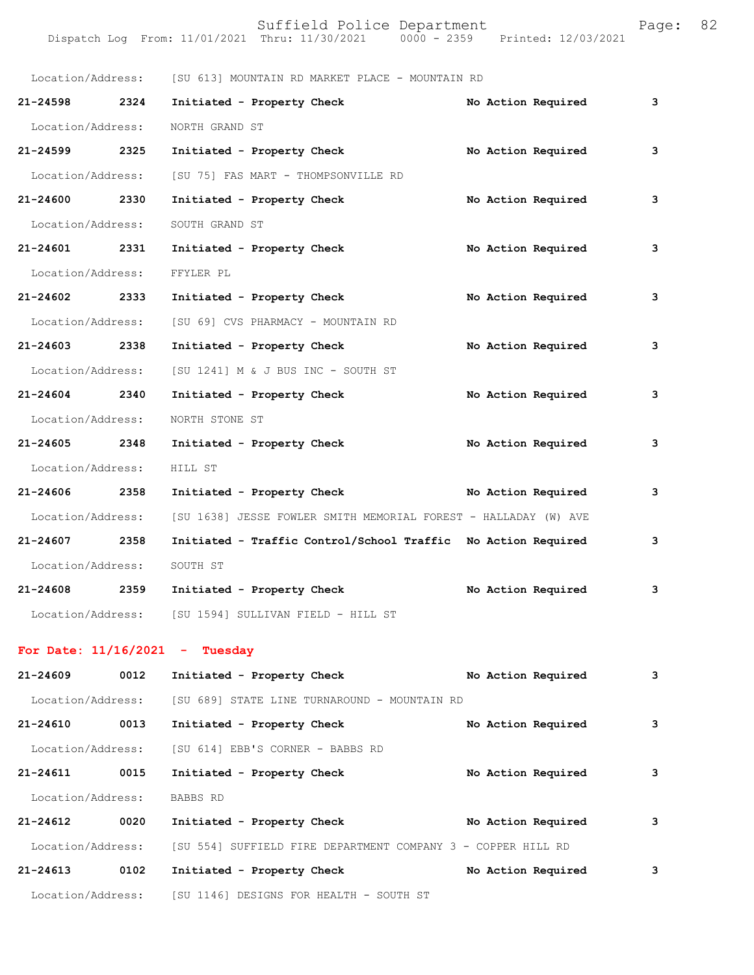|                                  |      | Location/Address: [SU 613] MOUNTAIN RD MARKET PLACE - MOUNTAIN RD |  |                    |   |
|----------------------------------|------|-------------------------------------------------------------------|--|--------------------|---|
| 21-24598 2324                    |      | Initiated - Property Check                                        |  | No Action Required | 3 |
| Location/Address:                |      | NORTH GRAND ST                                                    |  |                    |   |
| 21-24599 2325                    |      | Initiated - Property Check                                        |  | No Action Required | 3 |
| Location/Address:                |      | [SU 75] FAS MART - THOMPSONVILLE RD                               |  |                    |   |
| 21-24600 2330                    |      | Initiated - Property Check                                        |  | No Action Required | 3 |
| Location/Address:                |      | SOUTH GRAND ST                                                    |  |                    |   |
| 21-24601 2331                    |      | Initiated - Property Check                                        |  | No Action Required | 3 |
| Location/Address:                |      | FFYLER PL                                                         |  |                    |   |
| 21-24602 2333                    |      | Initiated - Property Check                                        |  | No Action Required | 3 |
| Location/Address:                |      | [SU 69] CVS PHARMACY - MOUNTAIN RD                                |  |                    |   |
| 21-24603 2338                    |      | Initiated - Property Check                                        |  | No Action Required | 3 |
| Location/Address:                |      | [SU 1241] M & J BUS INC - SOUTH ST                                |  |                    |   |
| 21-24604 2340                    |      | Initiated - Property Check                                        |  | No Action Required | 3 |
| Location/Address:                |      | NORTH STONE ST                                                    |  |                    |   |
| 21-24605 2348                    |      | Initiated - Property Check                                        |  | No Action Required | 3 |
| Location/Address:                |      | HILL ST                                                           |  |                    |   |
| 21-24606 2358                    |      | Initiated - Property Check No Action Required                     |  |                    | 3 |
| Location/Address:                |      | [SU 1638] JESSE FOWLER SMITH MEMORIAL FOREST - HALLADAY (W) AVE   |  |                    |   |
| 21-24607 2358                    |      | Initiated - Traffic Control/School Traffic No Action Required     |  |                    | 3 |
| Location/Address:                |      | SOUTH ST                                                          |  |                    |   |
| 21-24608 2359                    |      | Initiated - Property Check                                        |  | No Action Required | 3 |
|                                  |      | Location/Address: [SU 1594] SULLIVAN FIELD - HILL ST              |  |                    |   |
| For Date: $11/16/2021$ - Tuesday |      |                                                                   |  |                    |   |
| 21-24609                         | 0012 | Initiated - Property Check                                        |  | No Action Required | 3 |
|                                  |      | Location/Address: [SU 689] STATE LINE TURNAROUND - MOUNTAIN RD    |  |                    |   |
| 21-24610 0013                    |      | Initiated - Property Check                                        |  | No Action Required | 3 |
| Location/Address:                |      | [SU 614] EBB'S CORNER - BABBS RD                                  |  |                    |   |
| 21-24611 0015                    |      | Initiated - Property Check                                        |  | No Action Required | 3 |
| Location/Address:                |      |                                                                   |  |                    |   |
| 21-24612                         | 0020 | BABBS RD<br>Initiated - Property Check No Action Required         |  |                    | 3 |
| Location/Address:                |      | [SU 554] SUFFIELD FIRE DEPARTMENT COMPANY 3 - COPPER HILL RD      |  |                    |   |
| 21-24613                         | 0102 | Initiated - Property Check                                        |  | No Action Required | 3 |
| Location/Address:                |      | [SU 1146] DESIGNS FOR HEALTH - SOUTH ST                           |  |                    |   |
|                                  |      |                                                                   |  |                    |   |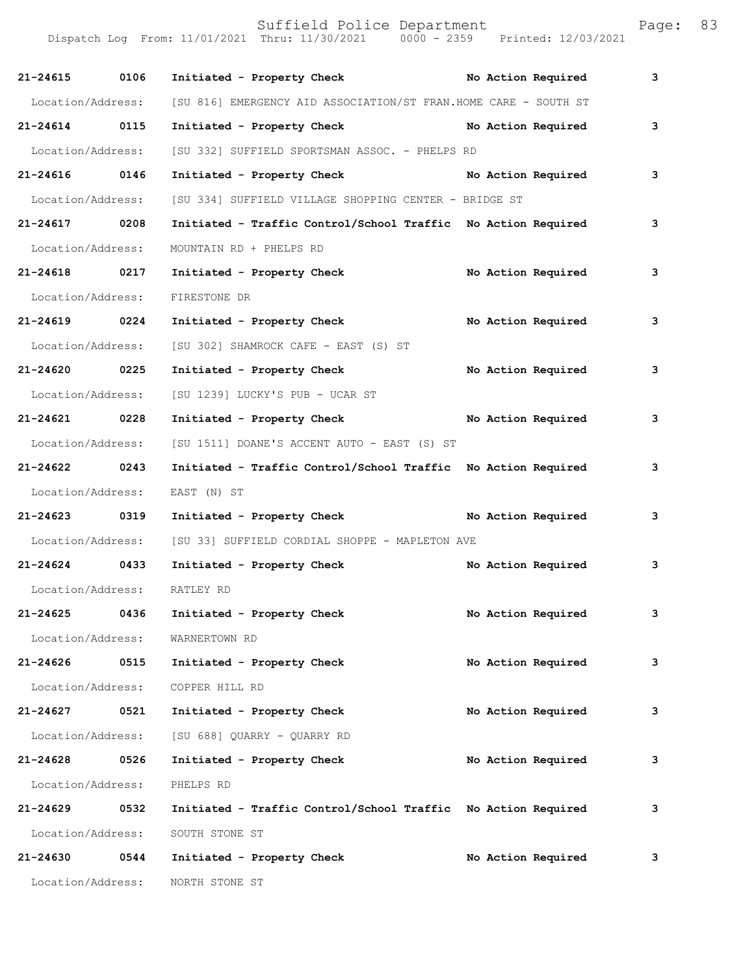Dispatch Log From: 11/01/2021 Thru: 11/30/2021 0000 - 2359 Printed: 12/03/2021 **21-24615 0106 Initiated - Property Check No Action Required 3** Location/Address: [SU 816] EMERGENCY AID ASSOCIATION/ST FRAN.HOME CARE - SOUTH ST **21-24614 0115 Initiated - Property Check No Action Required 3** Location/Address: [SU 332] SUFFIELD SPORTSMAN ASSOC. - PHELPS RD **21-24616 0146 Initiated - Property Check No Action Required 3** Location/Address: [SU 334] SUFFIELD VILLAGE SHOPPING CENTER - BRIDGE ST **21-24617 0208 Initiated - Traffic Control/School Traffic No Action Required 3** Location/Address: MOUNTAIN RD + PHELPS RD **21-24618 0217 Initiated - Property Check No Action Required 3** Location/Address: FIRESTONE DR **21-24619 0224 Initiated - Property Check No Action Required 3** Location/Address: [SU 302] SHAMROCK CAFE - EAST (S) ST **21-24620 0225 Initiated - Property Check No Action Required 3** Location/Address: [SU 1239] LUCKY'S PUB - UCAR ST **21-24621 0228 Initiated - Property Check No Action Required 3** Location/Address: [SU 1511] DOANE'S ACCENT AUTO - EAST (S) ST **21-24622 0243 Initiated - Traffic Control/School Traffic No Action Required 3** Location/Address: EAST (N) ST **21-24623 0319 Initiated - Property Check No Action Required 3** Location/Address: [SU 33] SUFFIELD CORDIAL SHOPPE - MAPLETON AVE **21-24624 0433 Initiated - Property Check No Action Required 3** Location/Address: RATLEY RD **21-24625 0436 Initiated - Property Check No Action Required 3** Location/Address: WARNERTOWN RD **21-24626 0515 Initiated - Property Check No Action Required 3** Location/Address: COPPER HILL RD **21-24627 0521 Initiated - Property Check No Action Required 3** Location/Address: [SU 688] QUARRY - QUARRY RD **21-24628 0526 Initiated - Property Check No Action Required 3** Location/Address: PHELPS RD **21-24629 0532 Initiated - Traffic Control/School Traffic No Action Required 3** Location/Address: SOUTH STONE ST **21-24630 0544 Initiated - Property Check No Action Required 3**

Location/Address: NORTH STONE ST

Suffield Police Department Page: 83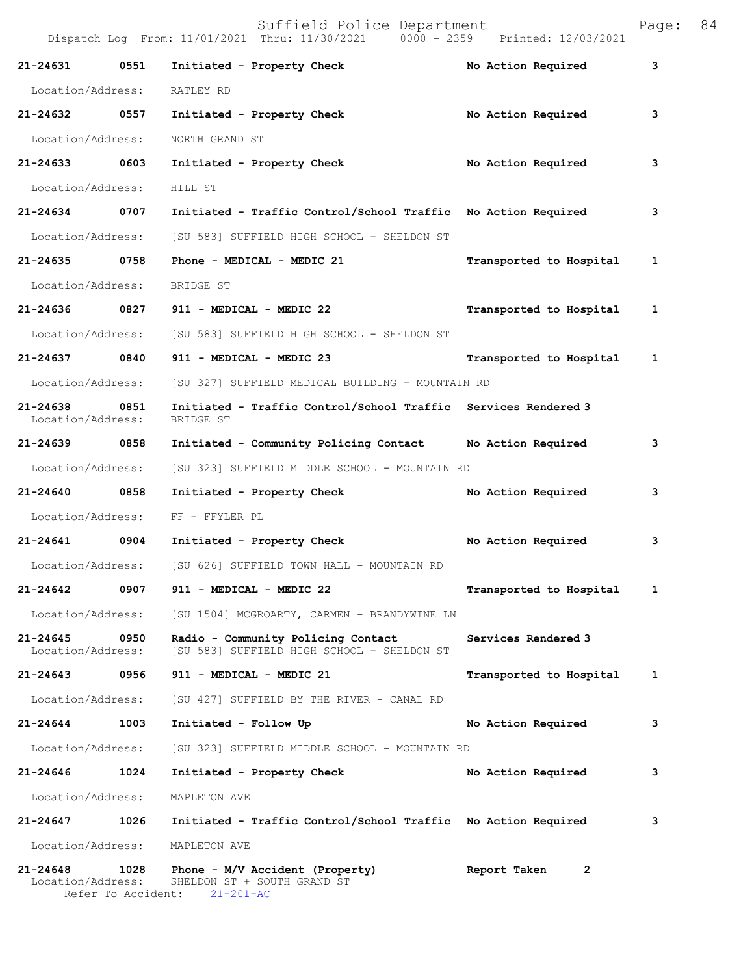|                               |                            | Suffield Police Department<br>Dispatch Log From: 11/01/2021 Thru: 11/30/2021 0000 - 2359 Printed: 12/03/2021 |                         | Page: | 84 |
|-------------------------------|----------------------------|--------------------------------------------------------------------------------------------------------------|-------------------------|-------|----|
| 21-24631                      | 0551                       | Initiated - Property Check                                                                                   | No Action Required      | 3     |    |
| Location/Address:             |                            | RATLEY RD                                                                                                    |                         |       |    |
| 21-24632 0557                 |                            | Initiated - Property Check                                                                                   | No Action Required      | 3     |    |
| Location/Address:             |                            | NORTH GRAND ST                                                                                               |                         |       |    |
| 21-24633 0603                 |                            | Initiated - Property Check                                                                                   | No Action Required      | 3     |    |
| Location/Address:             |                            | HILL ST                                                                                                      |                         |       |    |
| 21-24634                      | 0707                       | Initiated - Traffic Control/School Traffic No Action Required                                                |                         | 3     |    |
| Location/Address:             |                            | [SU 583] SUFFIELD HIGH SCHOOL - SHELDON ST                                                                   |                         |       |    |
| 21-24635 0758                 |                            | Phone - MEDICAL - MEDIC 21                                                                                   | Transported to Hospital | 1     |    |
| Location/Address:             |                            | BRIDGE ST                                                                                                    |                         |       |    |
|                               |                            | 21-24636 0827 911 - MEDICAL - MEDIC 22                                                                       | Transported to Hospital | 1     |    |
| Location/Address:             |                            | [SU 583] SUFFIELD HIGH SCHOOL - SHELDON ST                                                                   |                         |       |    |
| 21-24637                      | 0840                       | 911 - MEDICAL - MEDIC 23                                                                                     | Transported to Hospital | 1     |    |
| Location/Address:             |                            | [SU 327] SUFFIELD MEDICAL BUILDING - MOUNTAIN RD                                                             |                         |       |    |
| 21-24638<br>Location/Address: | 0851                       | Initiated - Traffic Control/School Traffic Services Rendered 3<br>BRIDGE ST                                  |                         |       |    |
| 21-24639                      | 0858                       | Initiated - Community Policing Contact No Action Required                                                    |                         | 3     |    |
| Location/Address:             |                            | [SU 323] SUFFIELD MIDDLE SCHOOL - MOUNTAIN RD                                                                |                         |       |    |
| 21-24640 0858                 |                            | Initiated - Property Check                                                                                   | No Action Required      | 3     |    |
| Location/Address:             |                            | FF - FFYLER PL                                                                                               |                         |       |    |
| 21-24641 0904                 |                            | Initiated - Property Check No Action Required                                                                |                         | 3     |    |
|                               |                            | Location/Address: [SU 626] SUFFIELD TOWN HALL - MOUNTAIN RD                                                  |                         |       |    |
| 21-24642                      | 0907                       | 911 - MEDICAL - MEDIC 22                                                                                     | Transported to Hospital | 1     |    |
| Location/Address:             |                            | [SU 1504] MCGROARTY, CARMEN - BRANDYWINE LN                                                                  |                         |       |    |
| 21-24645<br>Location/Address: | 0950                       | Radio - Community Policing Contact<br>[SU 583] SUFFIELD HIGH SCHOOL - SHELDON ST                             | Services Rendered 3     |       |    |
| 21-24643                      | 0956                       | 911 - MEDICAL - MEDIC 21                                                                                     | Transported to Hospital | 1     |    |
| Location/Address:             |                            | [SU 427] SUFFIELD BY THE RIVER - CANAL RD                                                                    |                         |       |    |
| 21-24644                      | 1003                       | Initiated - Follow Up                                                                                        | No Action Required      | 3     |    |
| Location/Address:             |                            | [SU 323] SUFFIELD MIDDLE SCHOOL - MOUNTAIN RD                                                                |                         |       |    |
| 21-24646                      | 1024                       | Initiated - Property Check                                                                                   | No Action Required      | 3     |    |
| Location/Address:             |                            | MAPLETON AVE                                                                                                 |                         |       |    |
| 21-24647                      | 1026                       | Initiated - Traffic Control/School Traffic No Action Required                                                |                         | 3     |    |
| Location/Address:             |                            | MAPLETON AVE                                                                                                 |                         |       |    |
| 21-24648<br>Location/Address: | 1028<br>Refer To Accident: | Phone - M/V Accident (Property)<br>SHELDON ST + SOUTH GRAND ST<br>$21 - 201 - AC$                            | Report Taken<br>2       |       |    |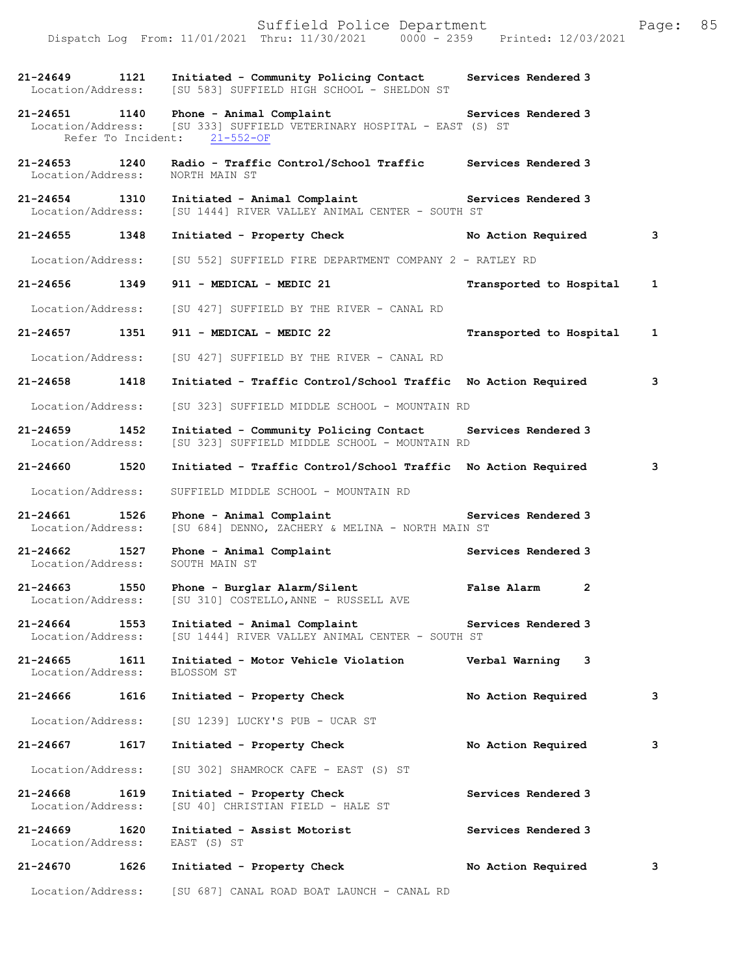| $21 - 24649$<br>Location/Address:  | 1121 | Initiated - Community Policing Contact<br>[SU 583] SUFFIELD HIGH SCHOOL - SHELDON ST                                              | Services Rendered 3                |              |
|------------------------------------|------|-----------------------------------------------------------------------------------------------------------------------------------|------------------------------------|--------------|
| 21-24651 1140                      |      | Phone - Animal Complaint<br>Location/Address: [SU 333] SUFFIELD VETERINARY HOSPITAL - EAST (S) ST<br>Refer To Incident: 21-552-OF | Services Rendered 3                |              |
| 21-24653 1240<br>Location/Address: |      | Radio - Traffic Control/School Traffic Services Rendered 3<br>NORTH MAIN ST                                                       |                                    |              |
| 21-24654<br>Location/Address:      | 1310 | Initiated - Animal Complaint The Services Rendered 3<br>[SU 1444] RIVER VALLEY ANIMAL CENTER - SOUTH ST                           |                                    |              |
| 21-24655 1348                      |      | Initiated - Property Check                                                                                                        | No Action Required                 | 3            |
| Location/Address:                  |      | [SU 552] SUFFIELD FIRE DEPARTMENT COMPANY 2 - RATLEY RD                                                                           |                                    |              |
| 21-24656                           | 1349 | 911 - MEDICAL - MEDIC 21                                                                                                          | Transported to Hospital            | $\mathbf{1}$ |
| Location/Address:                  |      | [SU 427] SUFFIELD BY THE RIVER - CANAL RD                                                                                         |                                    |              |
| 21-24657                           | 1351 | 911 - MEDICAL - MEDIC 22                                                                                                          | Transported to Hospital            | $\mathbf{1}$ |
| Location/Address:                  |      | [SU 427] SUFFIELD BY THE RIVER - CANAL RD                                                                                         |                                    |              |
| 21-24658 1418                      |      | Initiated - Traffic Control/School Traffic No Action Required                                                                     |                                    | 3            |
| Location/Address:                  |      | [SU 323] SUFFIELD MIDDLE SCHOOL - MOUNTAIN RD                                                                                     |                                    |              |
| $21 - 24659$<br>Location/Address:  | 1452 | Initiated - Community Policing Contact<br>[SU 323] SUFFIELD MIDDLE SCHOOL - MOUNTAIN RD                                           | Services Rendered 3                |              |
| 21-24660                           | 1520 | Initiated - Traffic Control/School Traffic No Action Required                                                                     |                                    | 3            |
| Location/Address:                  |      | SUFFIELD MIDDLE SCHOOL - MOUNTAIN RD                                                                                              |                                    |              |
| 21-24661 1526<br>Location/Address: |      | Phone - Animal Complaint<br>[SU 684] DENNO, ZACHERY & MELINA - NORTH MAIN ST                                                      | Services Rendered 3                |              |
| $21 - 24662$<br>Location/Address:  | 1527 | Phone - Animal Complaint<br>SOUTH MAIN ST                                                                                         | Services Rendered 3                |              |
| 21-24663<br>Location/Address:      | 1550 | Phone - Burglar Alarm/Silent<br>[SU 310] COSTELLO, ANNE - RUSSELL AVE                                                             | <b>False Alarm</b><br>$\mathbf{2}$ |              |
| 21-24664<br>Location/Address:      | 1553 | Initiated - Animal Complaint<br>[SU 1444] RIVER VALLEY ANIMAL CENTER - SOUTH ST                                                   | Services Rendered 3                |              |
| 21-24665<br>Location/Address:      | 1611 | Initiated - Motor Vehicle Violation<br>BLOSSOM ST                                                                                 | Verbal Warning<br>3                |              |
| 21-24666                           | 1616 | Initiated - Property Check                                                                                                        | No Action Required                 | 3            |
| Location/Address:                  |      | [SU 1239] LUCKY'S PUB - UCAR ST                                                                                                   |                                    |              |
| 21-24667                           | 1617 | Initiated - Property Check                                                                                                        | No Action Required                 | 3            |
| Location/Address:                  |      | [SU 302] SHAMROCK CAFE - EAST (S) ST                                                                                              |                                    |              |
| 21-24668<br>Location/Address:      | 1619 | Initiated - Property Check<br>[SU 40] CHRISTIAN FIELD - HALE ST                                                                   | Services Rendered 3                |              |
| 21-24669<br>Location/Address:      | 1620 | Initiated - Assist Motorist<br>EAST (S) ST                                                                                        | Services Rendered 3                |              |
| 21-24670                           | 1626 | Initiated - Property Check                                                                                                        | No Action Required                 | 3            |
| Location/Address:                  |      | [SU 687] CANAL ROAD BOAT LAUNCH - CANAL RD                                                                                        |                                    |              |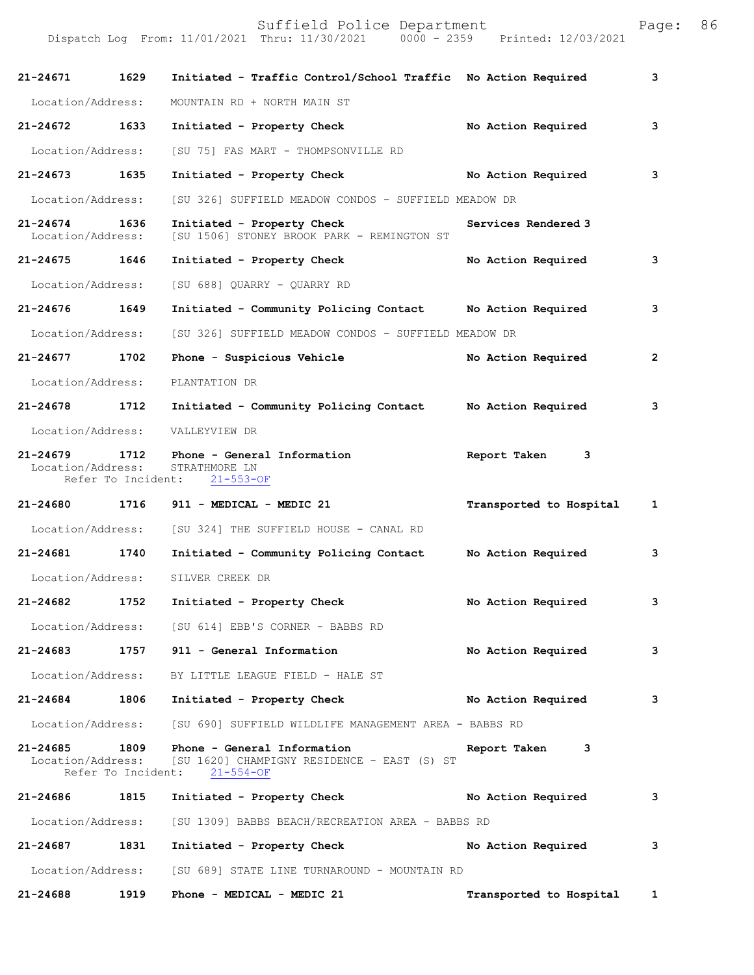|                                   |                            | Suffield Police Department<br>Dispatch Log From: 11/01/2021 Thru: 11/30/2021 0000 - 2359 Printed: 12/03/2021    |                         | Page:          | 86 |
|-----------------------------------|----------------------------|-----------------------------------------------------------------------------------------------------------------|-------------------------|----------------|----|
| 21-24671                          | 1629                       | Initiated - Traffic Control/School Traffic No Action Required                                                   |                         | 3              |    |
| Location/Address:                 |                            | MOUNTAIN RD + NORTH MAIN ST                                                                                     |                         |                |    |
| 21-24672                          | 1633                       | Initiated - Property Check                                                                                      | No Action Required      | 3              |    |
| Location/Address:                 |                            | [SU 75] FAS MART - THOMPSONVILLE RD                                                                             |                         |                |    |
| 21-24673                          | 1635                       | Initiated - Property Check                                                                                      | No Action Required      | 3              |    |
| Location/Address:                 |                            | [SU 326] SUFFIELD MEADOW CONDOS - SUFFIELD MEADOW DR                                                            |                         |                |    |
| $21 - 24674$<br>Location/Address: | 1636                       | Initiated - Property Check<br>[SU 1506] STONEY BROOK PARK - REMINGTON ST                                        | Services Rendered 3     |                |    |
| 21-24675 1646                     |                            | Initiated - Property Check                                                                                      | No Action Required      | 3              |    |
| Location/Address:                 |                            | [SU 688] QUARRY - QUARRY RD                                                                                     |                         |                |    |
| 21-24676 1649                     |                            | Initiated - Community Policing Contact Mo Action Required                                                       |                         | 3              |    |
| Location/Address:                 |                            | [SU 326] SUFFIELD MEADOW CONDOS - SUFFIELD MEADOW DR                                                            |                         |                |    |
| $21 - 24677$                      | 1702                       | Phone - Suspicious Vehicle                                                                                      | No Action Required      | $\overline{2}$ |    |
| Location/Address:                 |                            | PLANTATION DR                                                                                                   |                         |                |    |
| 21-24678                          | 1712                       | Initiated - Community Policing Contact                                                                          | No Action Required      | 3              |    |
| Location/Address:                 |                            | VALLEYVIEW DR                                                                                                   |                         |                |    |
| $21 - 24679$<br>Location/Address: | 1712<br>Refer To Incident: | Phone - General Information<br>STRATHMORE LN<br>$21 - 553 - OF$                                                 | Report Taken<br>3       |                |    |
| 21-24680                          | 1716                       | 911 - MEDICAL - MEDIC 21                                                                                        | Transported to Hospital | 1              |    |
| Location/Address:                 |                            | [SU 324] THE SUFFIELD HOUSE - CANAL RD                                                                          |                         |                |    |
| $21 - 24681$                      | 1740                       | Initiated - Community Policing Contact                                                                          | No Action Required      | 3              |    |
| Location/Address:                 |                            | SILVER CREEK DR                                                                                                 |                         |                |    |
| 21-24682                          | 1752                       | Initiated - Property Check                                                                                      | No Action Required      | 3              |    |
|                                   |                            | Location/Address: [SU 614] EBB'S CORNER - BABBS RD                                                              |                         |                |    |
| $21 - 24683$                      |                            | 1757 911 - General Information                                                                                  | No Action Required      | 3              |    |
| Location/Address:                 |                            | BY LITTLE LEAGUE FIELD - HALE ST                                                                                |                         |                |    |
| 21-24684 1806                     |                            | Initiated - Property Check                                                                                      | No Action Required      | 3              |    |
| Location/Address:                 |                            | [SU 690] SUFFIELD WILDLIFE MANAGEMENT AREA - BABBS RD                                                           |                         |                |    |
| 21-24685                          | 1809<br>Refer To Incident: | Phone - General Information<br>Location/Address: [SU 1620] CHAMPIGNY RESIDENCE - EAST (S) ST<br>$21 - 554 - OF$ | Report Taken<br>3       |                |    |
| 21-24686 1815                     |                            | Initiated - Property Check                                                                                      | No Action Required      | 3              |    |
| Location/Address:                 |                            | [SU 1309] BABBS BEACH/RECREATION AREA - BABBS RD                                                                |                         |                |    |
| 21-24687                          | 1831                       | Initiated - Property Check                                                                                      | No Action Required      | 3              |    |
|                                   |                            | Location/Address: [SU 689] STATE LINE TURNAROUND - MOUNTAIN RD                                                  |                         |                |    |
| 21-24688                          | 1919                       | Phone - MEDICAL - MEDIC 21                                                                                      | Transported to Hospital | $\mathbf{1}$   |    |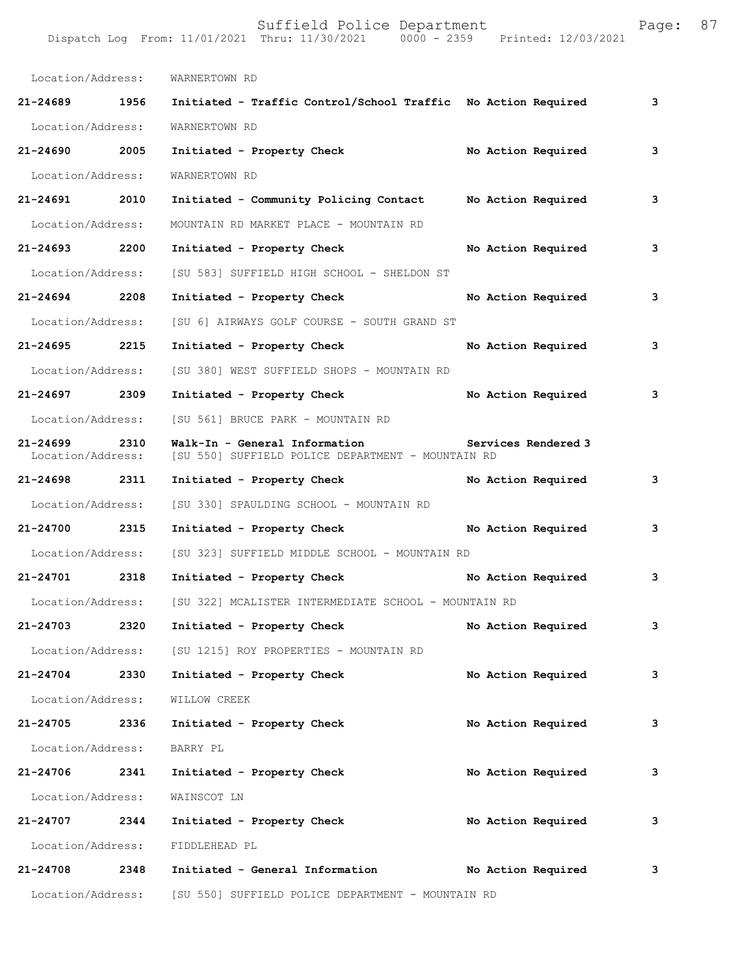| Location/Address:                 |      | WARNERTOWN RD                                                                      |                     |   |
|-----------------------------------|------|------------------------------------------------------------------------------------|---------------------|---|
| 21-24689 1956                     |      | Initiated - Traffic Control/School Traffic No Action Required                      |                     | 3 |
| Location/Address:                 |      | WARNERTOWN RD                                                                      |                     |   |
| 21-24690 2005                     |      | Initiated - Property Check                                                         | No Action Required  | 3 |
| Location/Address:                 |      | WARNERTOWN RD                                                                      |                     |   |
| 21-24691                          | 2010 | Initiated - Community Policing Contact Mo Action Required                          |                     | 3 |
| Location/Address:                 |      | MOUNTAIN RD MARKET PLACE - MOUNTAIN RD                                             |                     |   |
| 21-24693 2200                     |      | Initiated - Property Check                                                         | No Action Required  | 3 |
| Location/Address:                 |      | [SU 583] SUFFIELD HIGH SCHOOL - SHELDON ST                                         |                     |   |
| 21-24694 2208                     |      | Initiated - Property Check                                                         | No Action Required  | 3 |
| Location/Address:                 |      | [SU 6] AIRWAYS GOLF COURSE - SOUTH GRAND ST                                        |                     |   |
| 21-24695 2215                     |      | Initiated - Property Check                                                         | No Action Required  | 3 |
| Location/Address:                 |      | [SU 380] WEST SUFFIELD SHOPS - MOUNTAIN RD                                         |                     |   |
| 21-24697 2309                     |      | Initiated - Property Check                                                         | No Action Required  | 3 |
| Location/Address:                 |      | [SU 561] BRUCE PARK - MOUNTAIN RD                                                  |                     |   |
| $21 - 24699$<br>Location/Address: | 2310 | Walk-In - General Information<br>[SU 550] SUFFIELD POLICE DEPARTMENT - MOUNTAIN RD | Services Rendered 3 |   |
| 21-24698                          | 2311 | Initiated - Property Check                                                         | No Action Required  | 3 |
| Location/Address:                 |      | [SU 330] SPAULDING SCHOOL - MOUNTAIN RD                                            |                     |   |
| 21-24700 2315                     |      | Initiated - Property Check                                                         | No Action Required  | 3 |
| Location/Address:                 |      | [SU 323] SUFFIELD MIDDLE SCHOOL - MOUNTAIN RD                                      |                     |   |
| 21-24701 2318                     |      | Initiated - Property Check No Action Required                                      |                     | 3 |
|                                   |      | Location/Address: [SU 322] MCALISTER INTERMEDIATE SCHOOL - MOUNTAIN RD             |                     |   |
| 21-24703                          | 2320 | Initiated - Property Check                                                         | No Action Required  | 3 |
| Location/Address:                 |      | [SU 1215] ROY PROPERTIES - MOUNTAIN RD                                             |                     |   |
| 21-24704                          | 2330 | Initiated - Property Check                                                         | No Action Required  | 3 |
| Location/Address:                 |      | WILLOW CREEK                                                                       |                     |   |
| 21-24705                          | 2336 | Initiated - Property Check                                                         | No Action Required  | 3 |
| Location/Address:                 |      | BARRY PL                                                                           |                     |   |
| $21 - 24706$                      | 2341 | Initiated - Property Check                                                         | No Action Required  | 3 |
| Location/Address:                 |      | WAINSCOT LN                                                                        |                     |   |
| 21-24707                          | 2344 | Initiated - Property Check                                                         | No Action Required  | 3 |
| Location/Address:                 |      | FIDDLEHEAD PL                                                                      |                     |   |
| 21-24708                          | 2348 | Initiated - General Information                                                    | No Action Required  | 3 |
| Location/Address:                 |      | [SU 550] SUFFIELD POLICE DEPARTMENT - MOUNTAIN RD                                  |                     |   |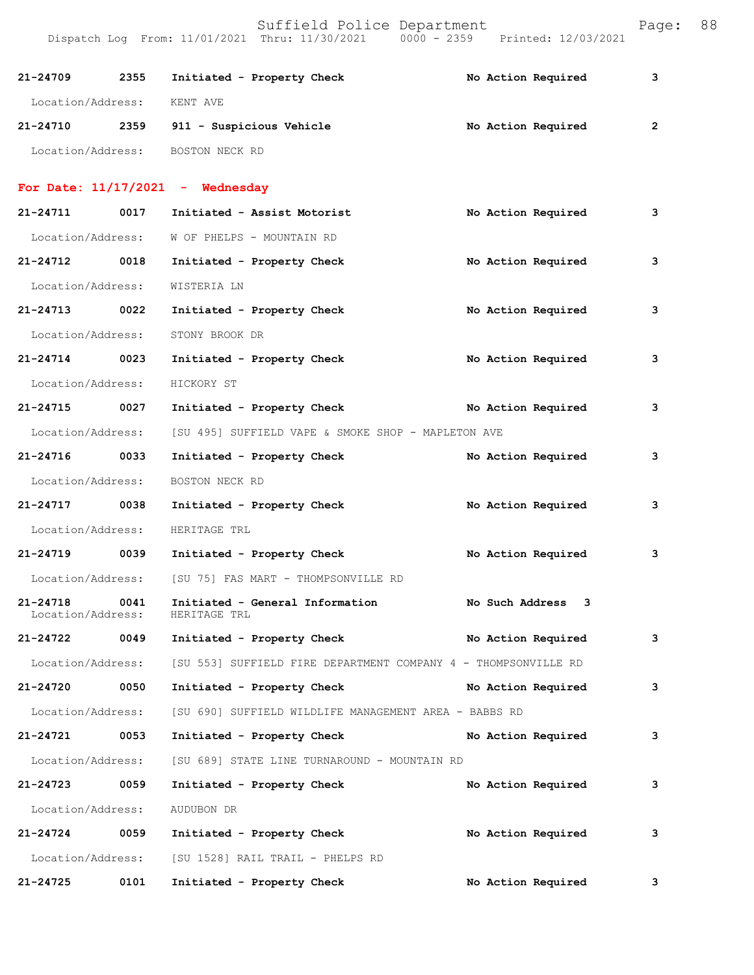| 21-24709 2355                 |      | Initiated - Property Check                                     |  | No Action Required   | 3              |
|-------------------------------|------|----------------------------------------------------------------|--|----------------------|----------------|
| Location/Address:             |      | KENT AVE                                                       |  |                      |                |
|                               |      | 21-24710 2359 911 - Suspicious Vehicle                         |  | No Action Required   | $\overline{2}$ |
|                               |      | Location/Address: BOSTON NECK RD                               |  |                      |                |
|                               |      | For Date: $11/17/2021$ - Wednesday                             |  |                      |                |
| 21-24711 0017                 |      | Initiated - Assist Motorist                                    |  | No Action Required   | 3              |
| Location/Address:             |      | W OF PHELPS - MOUNTAIN RD                                      |  |                      |                |
| 21-24712 0018                 |      | Initiated - Property Check                                     |  | No Action Required   | 3              |
| Location/Address:             |      | WISTERIA LN                                                    |  |                      |                |
| 21-24713 0022                 |      | Initiated - Property Check                                     |  | No Action Required   | 3              |
| Location/Address:             |      | STONY BROOK DR                                                 |  |                      |                |
| 21-24714 0023                 |      | Initiated - Property Check                                     |  | No Action Required   | 3              |
| Location/Address:             |      | HICKORY ST                                                     |  |                      |                |
| 21-24715 0027                 |      | Initiated - Property Check                                     |  | No Action Required   | 3              |
| Location/Address:             |      | [SU 495] SUFFIELD VAPE & SMOKE SHOP - MAPLETON AVE             |  |                      |                |
| 21-24716 0033                 |      | Initiated - Property Check                                     |  | No Action Required   | 3              |
| Location/Address:             |      | BOSTON NECK RD                                                 |  |                      |                |
| 21-24717 0038                 |      | Initiated - Property Check                                     |  | No Action Required   | 3              |
| Location/Address:             |      | HERITAGE TRL                                                   |  |                      |                |
| 21-24719 0039                 |      | Initiated - Property Check                                     |  | No Action Required   | 3              |
| Location/Address:             |      | [SU 75] FAS MART - THOMPSONVILLE RD                            |  |                      |                |
| 21-24718<br>Location/Address: | 0041 | Initiated - General Information<br>HERITAGE TRL                |  | No Such Address<br>3 |                |
| 21-24722                      | 0049 | Initiated - Property Check No Action Required                  |  |                      | 3              |
| Location/Address:             |      | [SU 553] SUFFIELD FIRE DEPARTMENT COMPANY 4 - THOMPSONVILLE RD |  |                      |                |
| 21-24720                      | 0050 | Initiated - Property Check                                     |  | No Action Required   | 3              |
| Location/Address:             |      | [SU 690] SUFFIELD WILDLIFE MANAGEMENT AREA - BABBS RD          |  |                      |                |
| 21-24721 0053                 |      | Initiated - Property Check                                     |  | No Action Required   | 3              |
| Location/Address:             |      | [SU 689] STATE LINE TURNAROUND - MOUNTAIN RD                   |  |                      |                |
| 21-24723 0059                 |      | Initiated - Property Check                                     |  | No Action Required   | 3              |
| Location/Address:             |      | AUDUBON DR                                                     |  |                      |                |
| 21-24724                      | 0059 | Initiated - Property Check                                     |  | No Action Required   | 3              |
| Location/Address:             |      | [SU 1528] RAIL TRAIL - PHELPS RD                               |  |                      |                |
| 21-24725                      | 0101 | Initiated - Property Check                                     |  | No Action Required   | 3              |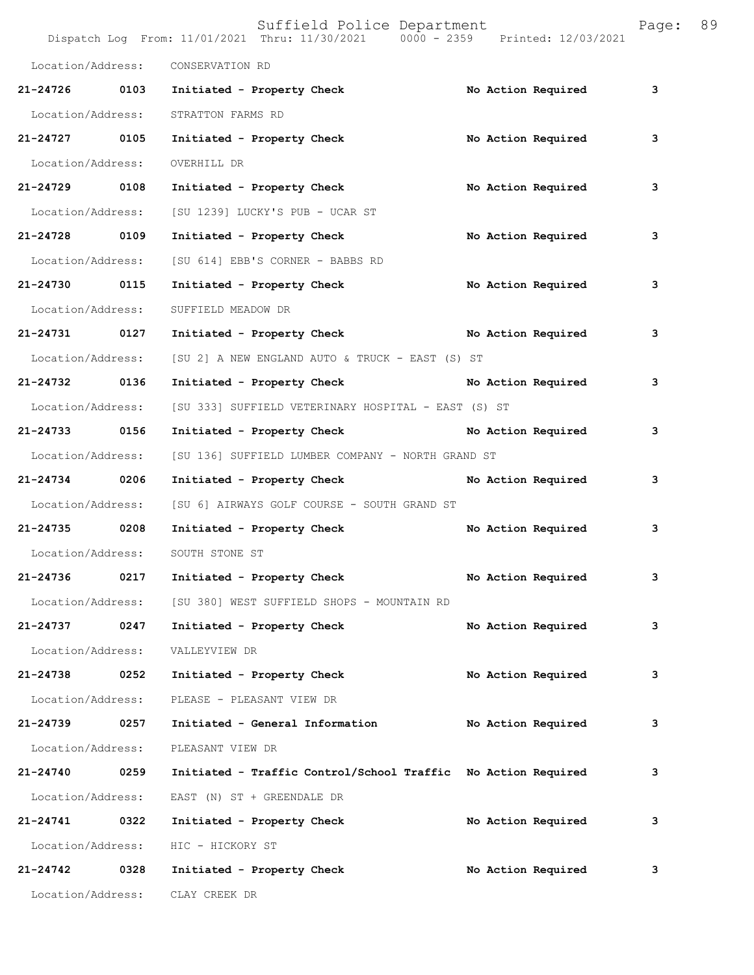|                   |      | Suffield Police Department<br>Dispatch Log From: 11/01/2021 Thru: 11/30/2021 0000 - 2359 Printed: 12/03/2021 |                    | Page: | 89 |
|-------------------|------|--------------------------------------------------------------------------------------------------------------|--------------------|-------|----|
| Location/Address: |      | CONSERVATION RD                                                                                              |                    |       |    |
| 21-24726 0103     |      | Initiated - Property Check                                                                                   | No Action Required | 3     |    |
| Location/Address: |      | STRATTON FARMS RD                                                                                            |                    |       |    |
| 21-24727 0105     |      | Initiated - Property Check                                                                                   | No Action Required | 3     |    |
| Location/Address: |      | OVERHILL DR                                                                                                  |                    |       |    |
| 21-24729 0108     |      | Initiated - Property Check                                                                                   | No Action Required | 3     |    |
| Location/Address: |      | [SU 1239] LUCKY'S PUB - UCAR ST                                                                              |                    |       |    |
| 21-24728 0109     |      | Initiated - Property Check                                                                                   | No Action Required | 3     |    |
| Location/Address: |      | [SU 614] EBB'S CORNER - BABBS RD                                                                             |                    |       |    |
| 21-24730 0115     |      | Initiated - Property Check                                                                                   | No Action Required | 3     |    |
| Location/Address: |      | SUFFIELD MEADOW DR                                                                                           |                    |       |    |
| 21-24731 0127     |      | Initiated - Property Check No Action Required                                                                |                    | 3     |    |
| Location/Address: |      | [SU 2] A NEW ENGLAND AUTO & TRUCK - EAST (S) ST                                                              |                    |       |    |
| 21-24732 0136     |      | Initiated - Property Check No Action Required                                                                |                    | 3     |    |
| Location/Address: |      | [SU 333] SUFFIELD VETERINARY HOSPITAL - EAST (S) ST                                                          |                    |       |    |
| 21-24733 0156     |      | Initiated - Property Check No Action Required                                                                |                    | 3     |    |
| Location/Address: |      | [SU 136] SUFFIELD LUMBER COMPANY - NORTH GRAND ST                                                            |                    |       |    |
| 21-24734 0206     |      | Initiated - Property Check                                                                                   | No Action Required | 3     |    |
| Location/Address: |      | [SU 6] AIRWAYS GOLF COURSE - SOUTH GRAND ST                                                                  |                    |       |    |
| 21-24735 0208     |      | Initiated - Property Check                                                                                   | No Action Required | 3     |    |
| Location/Address: |      | SOUTH STONE ST                                                                                               |                    |       |    |
| 21-24736          | 0217 | Initiated - Property Check                                                                                   | No Action Required | 3     |    |
| Location/Address: |      | [SU 380] WEST SUFFIELD SHOPS - MOUNTAIN RD                                                                   |                    |       |    |
| 21-24737          | 0247 | Initiated - Property Check                                                                                   | No Action Required | 3     |    |
| Location/Address: |      | VALLEYVIEW DR                                                                                                |                    |       |    |
| $21 - 24738$      | 0252 | Initiated - Property Check                                                                                   | No Action Required | 3     |    |
| Location/Address: |      | PLEASE - PLEASANT VIEW DR                                                                                    |                    |       |    |
| $21 - 24739$      | 0257 | Initiated - General Information                                                                              | No Action Required | 3     |    |
| Location/Address: |      | PLEASANT VIEW DR                                                                                             |                    |       |    |
| 21-24740 0259     |      | Initiated - Traffic Control/School Traffic No Action Required                                                |                    | 3     |    |
| Location/Address: |      | EAST (N) ST + GREENDALE DR                                                                                   |                    |       |    |
| 21-24741          | 0322 | Initiated - Property Check                                                                                   | No Action Required | 3     |    |
| Location/Address: |      | HIC - HICKORY ST                                                                                             |                    |       |    |
| 21-24742          | 0328 | Initiated - Property Check                                                                                   | No Action Required | 3     |    |
| Location/Address: |      | CLAY CREEK DR                                                                                                |                    |       |    |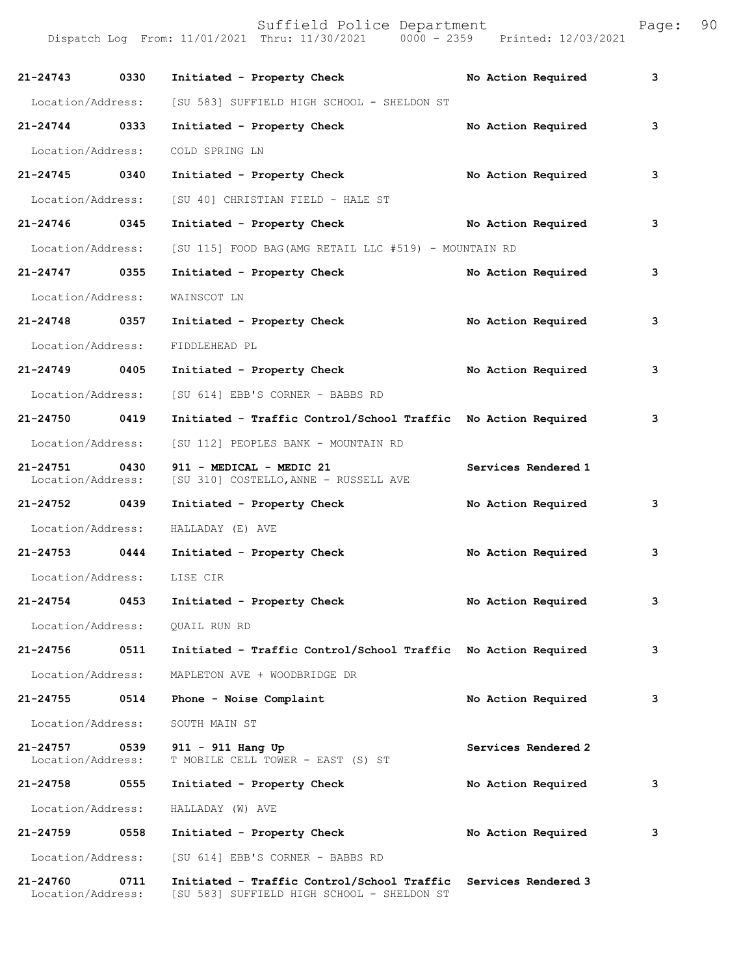| aqe: |  | 90 |  |
|------|--|----|--|
|      |  |    |  |

| 21-24743 0330                 |      | Initiated - Property Check                                                               | No Action Required  | 3 |
|-------------------------------|------|------------------------------------------------------------------------------------------|---------------------|---|
| Location/Address:             |      | [SU 583] SUFFIELD HIGH SCHOOL - SHELDON ST                                               |                     |   |
| $21 - 24744$                  | 0333 | Initiated - Property Check                                                               | No Action Required  | 3 |
| Location/Address:             |      | COLD SPRING LN                                                                           |                     |   |
| 21-24745 0340                 |      | Initiated - Property Check                                                               | No Action Required  | 3 |
| Location/Address:             |      | [SU 40] CHRISTIAN FIELD - HALE ST                                                        |                     |   |
| 21-24746 0345                 |      | Initiated - Property Check                                                               | No Action Required  | 3 |
| Location/Address:             |      | [SU 115] FOOD BAG (AMG RETAIL LLC #519) - MOUNTAIN RD                                    |                     |   |
| 21-24747 0355                 |      | Initiated - Property Check                                                               | No Action Required  | 3 |
| Location/Address:             |      | WAINSCOT LN                                                                              |                     |   |
| 21-24748 0357                 |      | Initiated - Property Check                                                               | No Action Required  | 3 |
| Location/Address:             |      | FIDDLEHEAD PL                                                                            |                     |   |
| 21-24749 0405                 |      | Initiated - Property Check                                                               | No Action Required  | 3 |
| Location/Address:             |      | [SU 614] EBB'S CORNER - BABBS RD                                                         |                     |   |
| 21-24750 0419                 |      | Initiated - Traffic Control/School Traffic No Action Required                            |                     | 3 |
| Location/Address:             |      | [SU 112] PEOPLES BANK - MOUNTAIN RD                                                      |                     |   |
| 21-24751<br>Location/Address: | 0430 | 911 - MEDICAL - MEDIC 21<br>[SU 310] COSTELLO, ANNE - RUSSELL AVE                        | Services Rendered 1 |   |
| 21-24752 0439                 |      | Initiated - Property Check                                                               | No Action Required  | 3 |
| Location/Address:             |      | HALLADAY (E) AVE                                                                         |                     |   |
| 21-24753 0444                 |      | Initiated - Property Check                                                               | No Action Required  | 3 |
| Location/Address:             |      | LISE CIR                                                                                 |                     |   |
| 21-24754                      | 0453 | Initiated - Property Check                                                               | No Action Required  | 3 |
| Location/Address:             |      | QUAIL RUN RD                                                                             |                     |   |
| 21-24756                      | 0511 | Initiated - Traffic Control/School Traffic No Action Required                            |                     | 3 |
| Location/Address:             |      | MAPLETON AVE + WOODBRIDGE DR                                                             |                     |   |
| 21-24755                      | 0514 | Phone - Noise Complaint                                                                  | No Action Required  | 3 |
| Location/Address:             |      | SOUTH MAIN ST                                                                            |                     |   |
| 21-24757<br>Location/Address: | 0539 | 911 - 911 Hang Up<br>T MOBILE CELL TOWER - EAST (S) ST                                   | Services Rendered 2 |   |
| 21-24758                      | 0555 | Initiated - Property Check                                                               | No Action Required  | 3 |
| Location/Address:             |      | HALLADAY (W) AVE                                                                         |                     |   |
| 21-24759                      | 0558 | Initiated - Property Check                                                               | No Action Required  | 3 |
| Location/Address:             |      | [SU 614] EBB'S CORNER - BABBS RD                                                         |                     |   |
| 21-24760<br>Location/Address: | 0711 | Initiated - Traffic Control/School Traffic<br>[SU 583] SUFFIELD HIGH SCHOOL - SHELDON ST | Services Rendered 3 |   |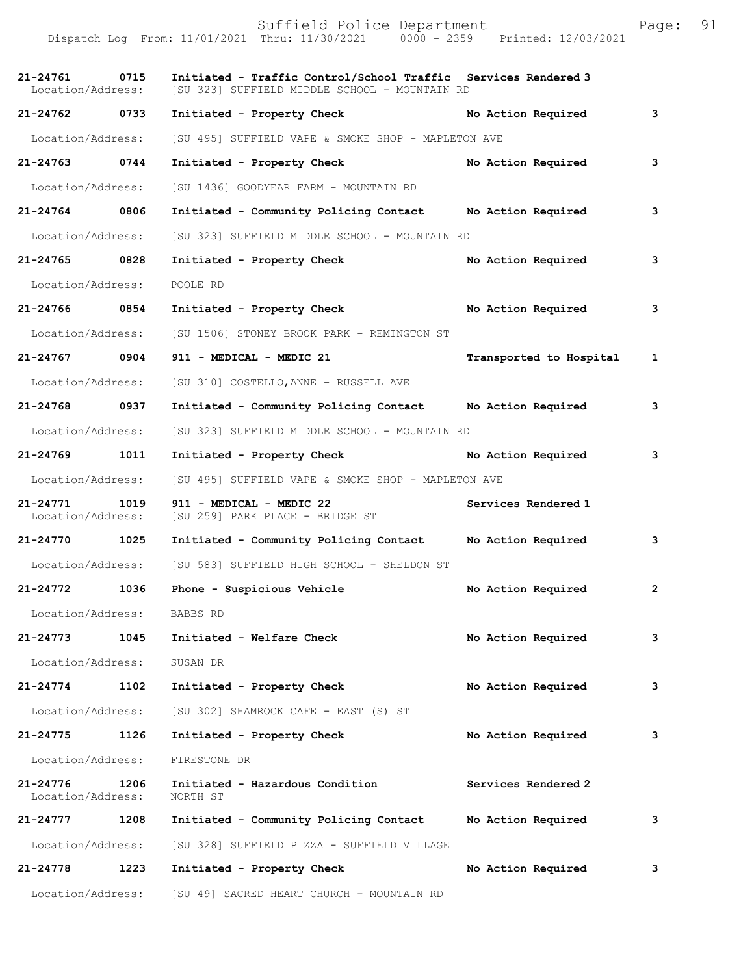Dispatch Log From: 11/01/2021 Thru: 11/30/2021 0000 - 2359 Printed: 12/03/2021 **21-24761 0715 Initiated - Traffic Control/School Traffic Services Rendered 3**  [SU 323] SUFFIELD MIDDLE SCHOOL - MOUNTAIN RD **21-24762 0733 Initiated - Property Check No Action Required 3** Location/Address: [SU 495] SUFFIELD VAPE & SMOKE SHOP - MAPLETON AVE **21-24763 0744 Initiated - Property Check No Action Required 3** Location/Address: [SU 1436] GOODYEAR FARM - MOUNTAIN RD **21-24764 0806 Initiated - Community Policing Contact No Action Required 3** Location/Address: [SU 323] SUFFIELD MIDDLE SCHOOL - MOUNTAIN RD **21-24765 0828 Initiated - Property Check No Action Required 3** Location/Address: POOLE RD **21-24766 0854 Initiated - Property Check No Action Required 3** Location/Address: [SU 1506] STONEY BROOK PARK - REMINGTON ST **21-24767 0904 911 - MEDICAL - MEDIC 21 Transported to Hospital 1** Location/Address: [SU 310] COSTELLO,ANNE - RUSSELL AVE **21-24768 0937 Initiated - Community Policing Contact No Action Required 3** Location/Address: [SU 323] SUFFIELD MIDDLE SCHOOL - MOUNTAIN RD **21-24769 1011 Initiated - Property Check No Action Required 3** Location/Address: [SU 495] SUFFIELD VAPE & SMOKE SHOP - MAPLETON AVE **21-24771 1019 911 - MEDICAL - MEDIC 22 Services Rendered 1**  Location/Address: [SU 259] PARK PLACE - BRIDGE ST **21-24770 1025 Initiated - Community Policing Contact No Action Required 3** Location/Address: [SU 583] SUFFIELD HIGH SCHOOL - SHELDON ST **21-24772 1036 Phone - Suspicious Vehicle No Action Required 2** Location/Address: BABBS RD **21-24773 1045 Initiated - Welfare Check No Action Required 3** Location/Address: SUSAN DR **21-24774 1102 Initiated - Property Check No Action Required 3** Location/Address: [SU 302] SHAMROCK CAFE - EAST (S) ST **21-24775 1126 Initiated - Property Check No Action Required 3** Location/Address: FIRESTONE DR **21-24776 1206 Initiated - Hazardous Condition Services Rendered 2**  Location/Address: NORTH ST **21-24777 1208 Initiated - Community Policing Contact No Action Required 3** Location/Address: [SU 328] SUFFIELD PIZZA - SUFFIELD VILLAGE **21-24778 1223 Initiated - Property Check No Action Required 3** Location/Address: [SU 49] SACRED HEART CHURCH - MOUNTAIN RD

Suffield Police Department Page: 91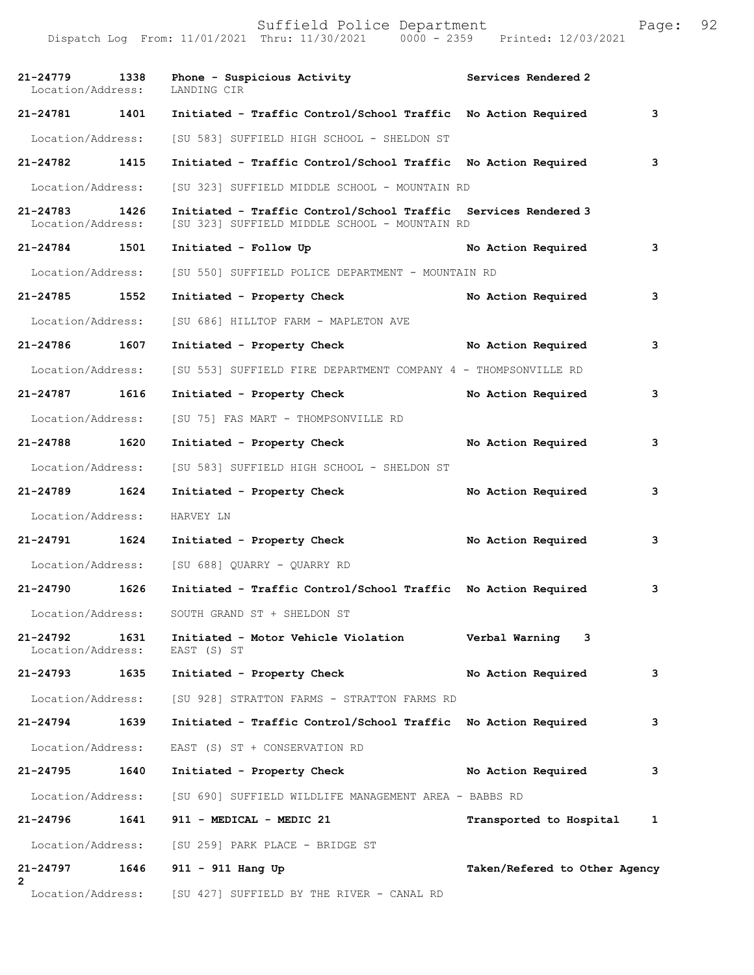| $21 - 24779$<br>Location/Address: | 1338 | Phone - Suspicious Activity<br>LANDING CIR                                                                      | Services Rendered 2           |   |
|-----------------------------------|------|-----------------------------------------------------------------------------------------------------------------|-------------------------------|---|
| 21-24781                          | 1401 | Initiated - Traffic Control/School Traffic No Action Required                                                   |                               | 3 |
| Location/Address:                 |      | [SU 583] SUFFIELD HIGH SCHOOL - SHELDON ST                                                                      |                               |   |
| 21-24782                          | 1415 | Initiated - Traffic Control/School Traffic No Action Required                                                   |                               | 3 |
| Location/Address:                 |      | [SU 323] SUFFIELD MIDDLE SCHOOL - MOUNTAIN RD                                                                   |                               |   |
| $21 - 24783$<br>Location/Address: | 1426 | Initiated - Traffic Control/School Traffic Services Rendered 3<br>[SU 323] SUFFIELD MIDDLE SCHOOL - MOUNTAIN RD |                               |   |
| $21 - 24784$                      | 1501 | Initiated - Follow Up                                                                                           | No Action Required            | 3 |
| Location/Address:                 |      | [SU 550] SUFFIELD POLICE DEPARTMENT - MOUNTAIN RD                                                               |                               |   |
| 21-24785 1552                     |      | Initiated - Property Check                                                                                      | No Action Required            | 3 |
| Location/Address:                 |      | [SU 686] HILLTOP FARM - MAPLETON AVE                                                                            |                               |   |
| 21-24786                          | 1607 | Initiated - Property Check                                                                                      | No Action Required            | 3 |
| Location/Address:                 |      | [SU 553] SUFFIELD FIRE DEPARTMENT COMPANY 4 - THOMPSONVILLE RD                                                  |                               |   |
| 21-24787                          | 1616 | Initiated - Property Check                                                                                      | No Action Required            | 3 |
| Location/Address:                 |      | [SU 75] FAS MART - THOMPSONVILLE RD                                                                             |                               |   |
| 21-24788                          | 1620 | Initiated - Property Check                                                                                      | No Action Required            | 3 |
| Location/Address:                 |      | [SU 583] SUFFIELD HIGH SCHOOL - SHELDON ST                                                                      |                               |   |
| 21-24789                          | 1624 | Initiated - Property Check                                                                                      | No Action Required            | 3 |
| Location/Address:                 |      | HARVEY LN                                                                                                       |                               |   |
| 21-24791                          | 1624 | Initiated - Property Check                                                                                      | No Action Required            | 3 |
| Location/Address:                 |      | [SU 688] OUARRY - OUARRY RD                                                                                     |                               |   |
| 21-24790                          | 1626 | Initiated - Traffic Control/School Traffic No Action Required                                                   |                               | 3 |
| Location/Address:                 |      | SOUTH GRAND ST + SHELDON ST                                                                                     |                               |   |
| 21-24792<br>Location/Address:     | 1631 | Initiated - Motor Vehicle Violation<br>EAST (S) ST                                                              | Verbal Warning 3              |   |
| 21-24793                          | 1635 | Initiated - Property Check                                                                                      | No Action Required            | 3 |
|                                   |      | Location/Address: [SU 928] STRATTON FARMS - STRATTON FARMS RD                                                   |                               |   |
| $21 - 24794$                      | 1639 | Initiated - Traffic Control/School Traffic No Action Required                                                   |                               | 3 |
| Location/Address:                 |      | EAST (S) ST + CONSERVATION RD                                                                                   |                               |   |
| 21-24795                          | 1640 | Initiated - Property Check                                                                                      | No Action Required            | 3 |
| Location/Address:                 |      | [SU 690] SUFFIELD WILDLIFE MANAGEMENT AREA - BABBS RD                                                           |                               |   |
| 21-24796                          | 1641 | 911 - MEDICAL - MEDIC 21                                                                                        | Transported to Hospital 1     |   |
|                                   |      | Location/Address: [SU 259] PARK PLACE - BRIDGE ST                                                               |                               |   |
| 21-24797<br>$\mathbf{2}$          |      | 1646 911 - 911 Hang Up                                                                                          | Taken/Refered to Other Agency |   |
| Location/Address:                 |      | [SU 427] SUFFIELD BY THE RIVER - CANAL RD                                                                       |                               |   |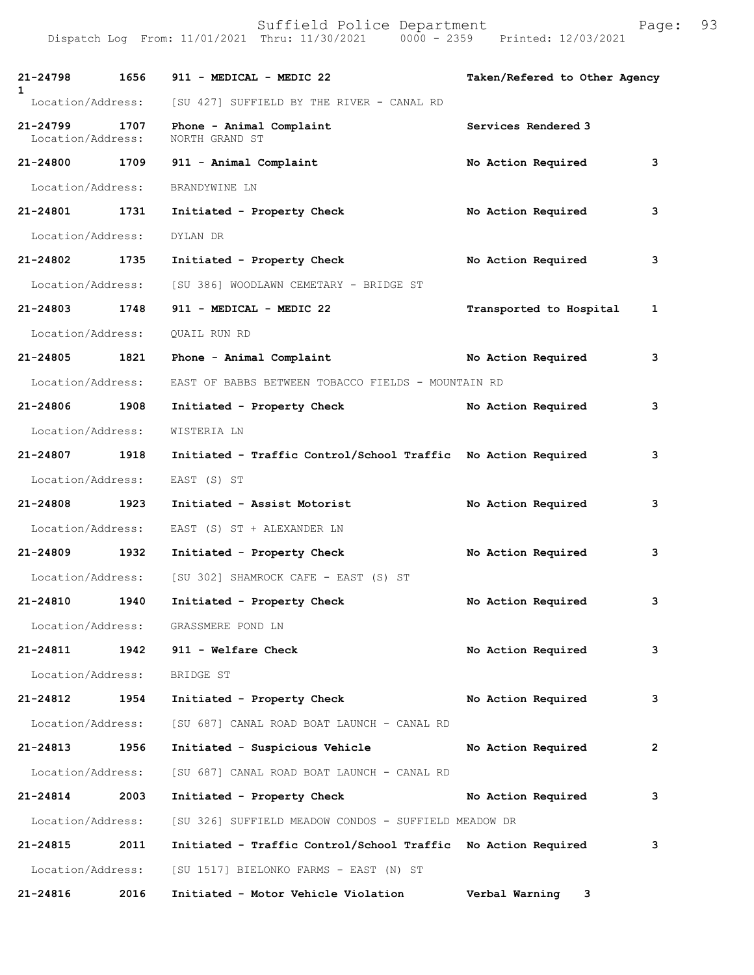| 21-24798<br>$\mathbf{1}$      | 1656 | 911 - MEDICAL - MEDIC 22                                      | Taken/Refered to Other Agency |                |
|-------------------------------|------|---------------------------------------------------------------|-------------------------------|----------------|
|                               |      | Location/Address: [SU 427] SUFFIELD BY THE RIVER - CANAL RD   |                               |                |
| 21-24799<br>Location/Address: | 1707 | Phone - Animal Complaint<br>NORTH GRAND ST                    | Services Rendered 3           |                |
| 21-24800 1709                 |      | 911 - Animal Complaint                                        | No Action Required            | 3              |
| Location/Address:             |      | BRANDYWINE LN                                                 |                               |                |
| 21-24801 1731                 |      | Initiated - Property Check                                    | No Action Required            | 3              |
| Location/Address:             |      | DYLAN DR                                                      |                               |                |
| 21-24802                      | 1735 | Initiated - Property Check                                    | No Action Required            | 3              |
| Location/Address:             |      | [SU 386] WOODLAWN CEMETARY - BRIDGE ST                        |                               |                |
| 21-24803 1748                 |      | 911 - MEDICAL - MEDIC 22                                      | Transported to Hospital       | 1              |
| Location/Address:             |      | <b>OUAIL RUN RD</b>                                           |                               |                |
| 21-24805 1821                 |      | Phone - Animal Complaint                                      | No Action Required            | 3              |
| Location/Address:             |      | EAST OF BABBS BETWEEN TOBACCO FIELDS - MOUNTAIN RD            |                               |                |
| 21-24806 1908                 |      | Initiated - Property Check                                    | No Action Required            | 3              |
| Location/Address:             |      | WISTERIA LN                                                   |                               |                |
| 21-24807 1918                 |      | Initiated - Traffic Control/School Traffic No Action Required |                               | 3              |
| Location/Address:             |      | EAST (S) ST                                                   |                               |                |
| 21-24808                      | 1923 | Initiated - Assist Motorist                                   | No Action Required            | 3              |
| Location/Address:             |      | EAST (S) ST + ALEXANDER LN                                    |                               |                |
| 21-24809 1932                 |      | Initiated - Property Check                                    | No Action Required            | 3              |
| Location/Address:             |      | [SU 302] SHAMROCK CAFE - EAST (S) ST                          |                               |                |
| 21-24810                      | 1940 | Initiated - Property Check                                    | No Action Required            | 3              |
|                               |      | Location/Address: GRASSMERE POND LN                           |                               |                |
| 21-24811                      |      | 1942 911 - Welfare Check                                      | No Action Required            | 3              |
| Location/Address:             |      | BRIDGE ST                                                     |                               |                |
| 21-24812                      | 1954 | Initiated - Property Check                                    | No Action Required            | 3              |
|                               |      | Location/Address: [SU 687] CANAL ROAD BOAT LAUNCH - CANAL RD  |                               |                |
| 21-24813                      | 1956 | Initiated - Suspicious Vehicle                                | No Action Required            | $\overline{2}$ |
| Location/Address:             |      | [SU 687] CANAL ROAD BOAT LAUNCH - CANAL RD                    |                               |                |
| $21 - 24814$                  | 2003 | Initiated - Property Check                                    | No Action Required            | 3              |
| Location/Address:             |      | [SU 326] SUFFIELD MEADOW CONDOS - SUFFIELD MEADOW DR          |                               |                |
| 21-24815                      | 2011 | Initiated - Traffic Control/School Traffic No Action Required |                               | 3              |
|                               |      | Location/Address: [SU 1517] BIELONKO FARMS - EAST (N) ST      |                               |                |
| 21-24816                      | 2016 | Initiated - Motor Vehicle Violation                           | Verbal Warning 3              |                |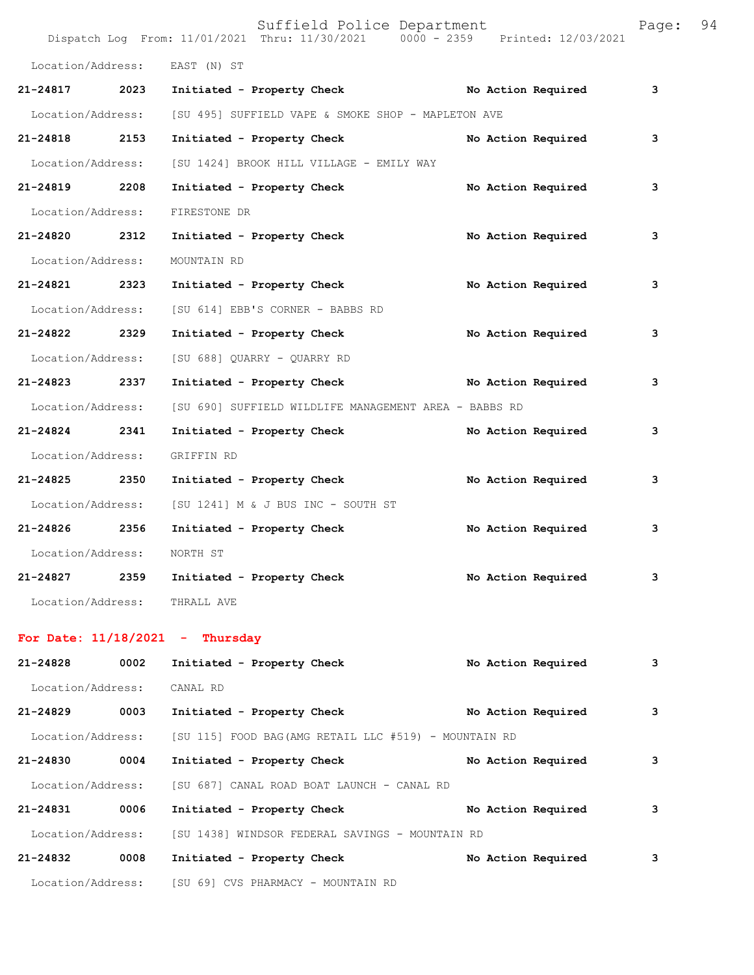|                            |                         | Suffield Police Department<br>Dispatch Log From: 11/01/2021 Thru: 11/30/2021 0000 - 2359 Printed: 12/03/2021 | Page: 94 |  |
|----------------------------|-------------------------|--------------------------------------------------------------------------------------------------------------|----------|--|
|                            |                         | Location/Address: EAST (N) ST                                                                                |          |  |
|                            |                         | 21-24817 2023 Initiated - Property Check No Action Required                                                  | 3        |  |
|                            |                         | Location/Address: [SU 495] SUFFIELD VAPE & SMOKE SHOP - MAPLETON AVE                                         |          |  |
| 21-24818 2153              |                         | Initiated - Property Check No Action Required                                                                | 3        |  |
| Location/Address:          |                         | [SU 1424] BROOK HILL VILLAGE - EMILY WAY                                                                     |          |  |
| 21-24819 2208              |                         | Initiated - Property Check No Action Required                                                                | 3        |  |
| Location/Address:          |                         | FIRESTONE DR                                                                                                 |          |  |
| 21-24820 2312              |                         | No Action Required<br>Initiated - Property Check                                                             | 3        |  |
| Location/Address:          |                         | MOUNTAIN RD                                                                                                  |          |  |
| 21-24821 2323              |                         | Initiated - Property Check<br>No Action Required                                                             | 3        |  |
|                            |                         | Location/Address: [SU 614] EBB'S CORNER - BABBS RD                                                           |          |  |
| 21-24822 2329              |                         | Initiated - Property Check<br>No Action Required                                                             | 3        |  |
|                            |                         | Location/Address: [SU 688] QUARRY - QUARRY RD                                                                |          |  |
| 21-24823 2337              |                         | Initiated - Property Check No Action Required                                                                | 3        |  |
|                            |                         | Location/Address: [SU 690] SUFFIELD WILDLIFE MANAGEMENT AREA - BABBS RD                                      |          |  |
| 21-24824 2341              |                         | Initiated - Property Check No Action Required                                                                | 3        |  |
| Location/Address:          |                         | GRIFFIN RD                                                                                                   |          |  |
|                            |                         | 21-24825 2350 Initiated - Property Check<br>No Action Required                                               | 3        |  |
|                            |                         | Location/Address: [SU 1241] M & J BUS INC - SOUTH ST                                                         |          |  |
| 21-24826 2356              |                         | Initiated - Property Check<br>No Action Required                                                             | 3        |  |
| Location/Address: NORTH ST |                         |                                                                                                              |          |  |
|                            |                         | 21-24827 2359 Initiated - Property Check<br>No Action Required                                               | 3        |  |
|                            |                         | Location/Address: THRALL AVE                                                                                 |          |  |
|                            | . <i>. .</i> . <i>.</i> |                                                                                                              |          |  |

## **For Date: 11/18/2021 - Thursday**

| 21-24828          | 0002 | Initiated - Property Check                                             | No Action Required | 3 |
|-------------------|------|------------------------------------------------------------------------|--------------------|---|
| Location/Address: |      | CANAL RD                                                               |                    |   |
| $21 - 24829$      | 0003 | Initiated - Property Check                                             | No Action Required | 3 |
|                   |      | Location/Address: [SU 115] FOOD BAG(AMG RETAIL LLC #519) - MOUNTAIN RD |                    |   |
| 21-24830          | 0004 | Initiated - Property Check                                             | No Action Required | 3 |
| Location/Address: |      | [SU 687] CANAL ROAD BOAT LAUNCH - CANAL RD                             |                    |   |
| 21-24831          | 0006 | Initiated - Property Check                                             | No Action Required | 3 |
| Location/Address: |      | [SU 1438] WINDSOR FEDERAL SAVINGS - MOUNTAIN RD                        |                    |   |
| 21-24832          | 0008 | Initiated - Property Check                                             | No Action Required | 3 |
| Location/Address: |      | [SU 69] CVS PHARMACY - MOUNTAIN RD                                     |                    |   |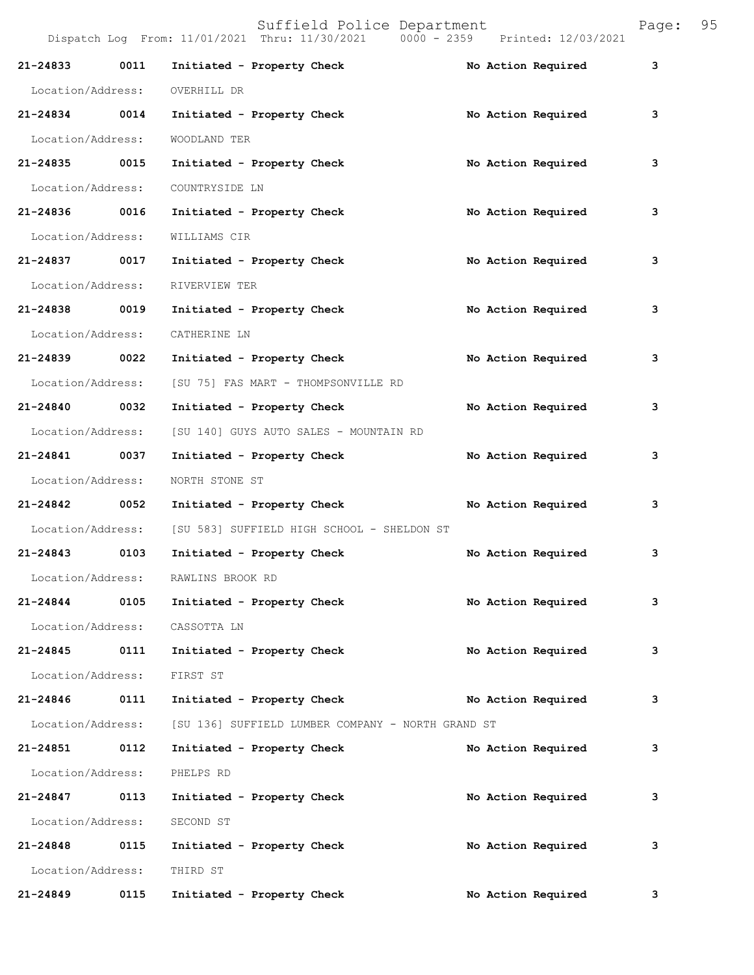| 21-24833          | 0011 | Initiated - Property Check                                          | No Action Required | 3            |
|-------------------|------|---------------------------------------------------------------------|--------------------|--------------|
| Location/Address: |      | OVERHILL DR                                                         |                    |              |
| 21-24834 0014     |      | Initiated - Property Check                                          | No Action Required | 3            |
| Location/Address: |      | WOODLAND TER                                                        |                    |              |
| 21-24835 0015     |      | Initiated - Property Check                                          | No Action Required | 3            |
| Location/Address: |      | COUNTRYSIDE LN                                                      |                    |              |
| 21-24836 0016     |      | Initiated - Property Check                                          | No Action Required | 3            |
| Location/Address: |      | WILLIAMS CIR                                                        |                    |              |
| 21-24837 0017     |      | Initiated - Property Check                                          | No Action Required | 3            |
| Location/Address: |      | RIVERVIEW TER                                                       |                    |              |
| 21-24838 0019     |      | Initiated - Property Check                                          | No Action Required | 3            |
| Location/Address: |      | CATHERINE LN                                                        |                    |              |
| 21-24839 0022     |      | Initiated - Property Check                                          | No Action Required | 3            |
| Location/Address: |      | [SU 75] FAS MART - THOMPSONVILLE RD                                 |                    |              |
| 21-24840 0032     |      | Initiated - Property Check                                          | No Action Required | 3            |
| Location/Address: |      | [SU 140] GUYS AUTO SALES - MOUNTAIN RD                              |                    |              |
| 21-24841 0037     |      | Initiated - Property Check                                          | No Action Required | 3            |
| Location/Address: |      | NORTH STONE ST                                                      |                    |              |
| 21-24842 0052     |      | Initiated - Property Check                                          | No Action Required | 3            |
| Location/Address: |      | [SU 583] SUFFIELD HIGH SCHOOL - SHELDON ST                          |                    |              |
| 21-24843 0103     |      | Initiated - Property Check                                          | No Action Required | 3            |
|                   |      | Location/Address: RAWLINS BROOK RD                                  |                    |              |
| 21-24844          | 0105 | Initiated - Property Check                                          | No Action Required | з            |
| Location/Address: |      | CASSOTTA LN                                                         |                    |              |
| 21-24845 0111     |      | Initiated - Property Check                                          | No Action Required | 3            |
| Location/Address: |      | FIRST ST                                                            |                    |              |
| 21-24846 0111     |      | Initiated - Property Check                                          | No Action Required | 3            |
|                   |      | Location/Address: [SU 136] SUFFIELD LUMBER COMPANY - NORTH GRAND ST |                    |              |
| 21-24851          | 0112 | Initiated - Property Check                                          | No Action Required | 3            |
| Location/Address: |      | PHELPS RD                                                           |                    |              |
| 21-24847          | 0113 | Initiated - Property Check                                          | No Action Required | 3            |
| Location/Address: |      | SECOND ST                                                           |                    |              |
| 21-24848 0115     |      | Initiated - Property Check                                          | No Action Required | 3            |
| Location/Address: |      | THIRD ST                                                            |                    |              |
| 21-24849          | 0115 | Initiated - Property Check                                          | No Action Required | $\mathbf{3}$ |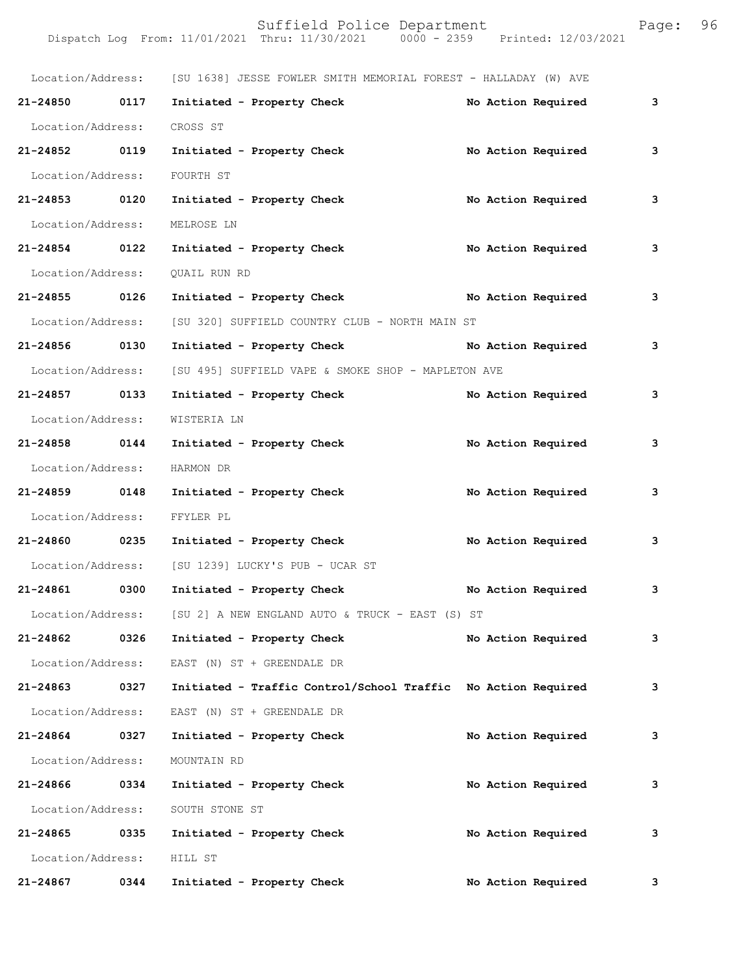|                   |      | Location/Address: [SU 1638] JESSE FOWLER SMITH MEMORIAL FOREST - HALLADAY (W) AVE |                    |   |
|-------------------|------|-----------------------------------------------------------------------------------|--------------------|---|
| 21-24850 0117     |      | Initiated - Property Check                                                        | No Action Required | 3 |
| Location/Address: |      | CROSS ST                                                                          |                    |   |
| 21-24852 0119     |      | Initiated - Property Check                                                        | No Action Required | 3 |
| Location/Address: |      | FOURTH ST                                                                         |                    |   |
| 21-24853 0120     |      | Initiated - Property Check                                                        | No Action Required | 3 |
|                   |      | Location/Address: MELROSE LN                                                      |                    |   |
| 21-24854 0122     |      | Initiated - Property Check                                                        | No Action Required | 3 |
| Location/Address: |      | QUAIL RUN RD                                                                      |                    |   |
| 21-24855 0126     |      | Initiated - Property Check No Action Required                                     |                    | 3 |
| Location/Address: |      | [SU 320] SUFFIELD COUNTRY CLUB - NORTH MAIN ST                                    |                    |   |
| 21-24856 0130     |      | Initiated - Property Check                                                        | No Action Required | 3 |
| Location/Address: |      | [SU 495] SUFFIELD VAPE & SMOKE SHOP - MAPLETON AVE                                |                    |   |
| 21-24857 0133     |      | Initiated - Property Check                                                        | No Action Required | 3 |
| Location/Address: |      | WISTERIA LN                                                                       |                    |   |
| 21-24858 0144     |      | Initiated - Property Check                                                        | No Action Required | 3 |
| Location/Address: |      | HARMON DR                                                                         |                    |   |
| 21-24859 0148     |      | Initiated - Property Check                                                        | No Action Required | 3 |
| Location/Address: |      | FFYLER PL                                                                         |                    |   |
| 21-24860 0235     |      | Initiated - Property Check                                                        | No Action Required | 3 |
|                   |      | Location/Address: [SU 1239] LUCKY'S PUB - UCAR ST                                 |                    |   |
| 21-24861 0300     |      | Initiated - Property Check                                                        | No Action Required | 3 |
| Location/Address: |      | [SU 2] A NEW ENGLAND AUTO & TRUCK - EAST (S) ST                                   |                    |   |
| 21-24862          | 0326 | Initiated - Property Check                                                        | No Action Required | 3 |
| Location/Address: |      | EAST (N) ST + GREENDALE DR                                                        |                    |   |
| 21-24863          | 0327 | Initiated - Traffic Control/School Traffic No Action Required                     |                    | 3 |
| Location/Address: |      | EAST (N) ST + GREENDALE DR                                                        |                    |   |
| 21-24864          | 0327 | Initiated - Property Check                                                        | No Action Required | 3 |
| Location/Address: |      | MOUNTAIN RD                                                                       |                    |   |
| 21-24866          | 0334 | Initiated - Property Check                                                        | No Action Required | 3 |
| Location/Address: |      | SOUTH STONE ST                                                                    |                    |   |
| 21-24865          | 0335 | Initiated - Property Check                                                        | No Action Required | 3 |
| Location/Address: |      | HILL ST                                                                           |                    |   |
| 21-24867          | 0344 | Initiated - Property Check                                                        | No Action Required | 3 |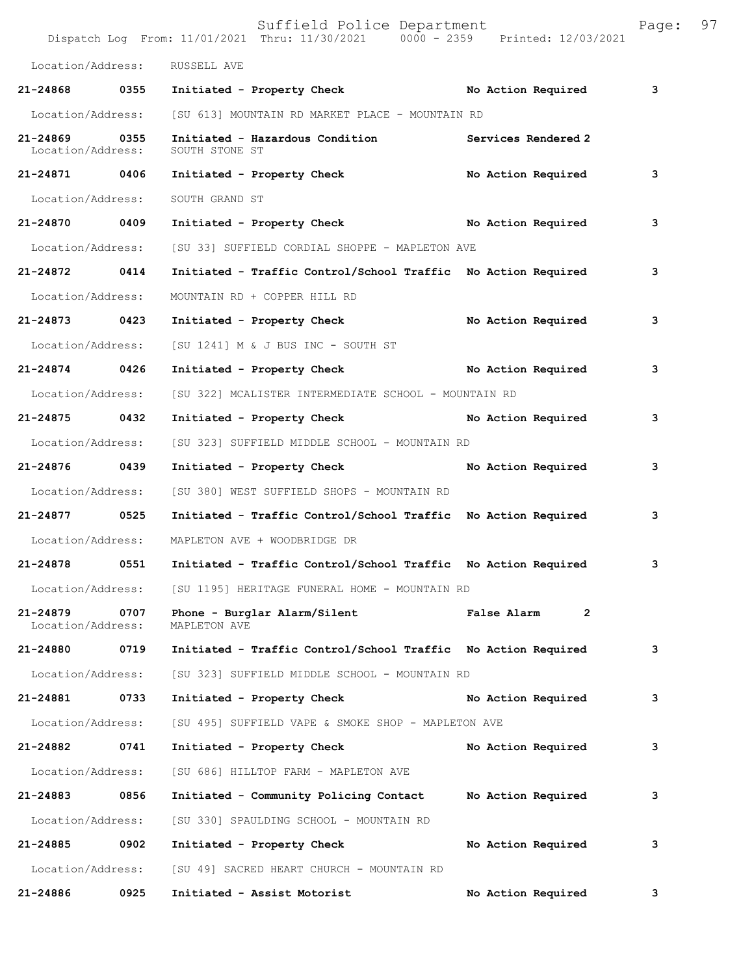|                                    |      | Suffield Police Department<br>Dispatch Log From: 11/01/2021 Thru: 11/30/2021 0000 - 2359 Printed: 12/03/2021 |                               | Page: | 97 |
|------------------------------------|------|--------------------------------------------------------------------------------------------------------------|-------------------------------|-------|----|
| Location/Address:                  |      | RUSSELL AVE                                                                                                  |                               |       |    |
| 21-24868 0355                      |      | Initiated - Property Check No Action Required                                                                |                               | 3     |    |
| Location/Address:                  |      | [SU 613] MOUNTAIN RD MARKET PLACE - MOUNTAIN RD                                                              |                               |       |    |
| 21-24869 0355<br>Location/Address: |      | Initiated - Hazardous Condition Services Rendered 2<br>SOUTH STONE ST                                        |                               |       |    |
| 21-24871 0406                      |      | Initiated - Property Check No Action Required                                                                |                               | 3     |    |
| Location/Address:                  |      | SOUTH GRAND ST                                                                                               |                               |       |    |
| 21-24870 0409                      |      | Initiated - Property Check No Action Required                                                                |                               | 3     |    |
| Location/Address:                  |      | [SU 33] SUFFIELD CORDIAL SHOPPE - MAPLETON AVE                                                               |                               |       |    |
| 21-24872 0414                      |      | Initiated - Traffic Control/School Traffic No Action Required                                                |                               | 3     |    |
| Location/Address:                  |      | MOUNTAIN RD + COPPER HILL RD                                                                                 |                               |       |    |
| 21-24873 0423                      |      | Initiated - Property Check No Action Required                                                                |                               | 3     |    |
| Location/Address:                  |      | [SU 1241] M & J BUS INC - SOUTH ST                                                                           |                               |       |    |
| 21-24874 0426                      |      | Initiated - Property Check No Action Required                                                                |                               | 3     |    |
| Location/Address:                  |      | [SU 322] MCALISTER INTERMEDIATE SCHOOL - MOUNTAIN RD                                                         |                               |       |    |
| 21-24875 0432                      |      | Initiated - Property Check No Action Required                                                                |                               | 3     |    |
| Location/Address:                  |      | [SU 323] SUFFIELD MIDDLE SCHOOL - MOUNTAIN RD                                                                |                               |       |    |
| 21-24876 0439                      |      | Initiated - Property Check No Action Required                                                                |                               | 3     |    |
| Location/Address:                  |      | [SU 380] WEST SUFFIELD SHOPS - MOUNTAIN RD                                                                   |                               |       |    |
| 21-24877 0525                      |      | Initiated - Traffic Control/School Traffic No Action Required                                                |                               | 3     |    |
| Location/Address:                  |      | MAPLETON AVE + WOODBRIDGE DR                                                                                 |                               |       |    |
| 21-24878 0551                      |      | Initiated - Traffic Control/School Traffic No Action Required                                                |                               | 3     |    |
|                                    |      | Location/Address: [SU 1195] HERITAGE FUNERAL HOME - MOUNTAIN RD                                              |                               |       |    |
| 21-24879<br>Location/Address:      | 0707 | Phone - Burglar Alarm/Silent<br>MAPLETON AVE                                                                 | False Alarm<br>$\overline{2}$ |       |    |
| 21-24880 0719                      |      | Initiated - Traffic Control/School Traffic No Action Required                                                |                               | 3     |    |
| Location/Address:                  |      | [SU 323] SUFFIELD MIDDLE SCHOOL - MOUNTAIN RD                                                                |                               |       |    |
| 21-24881 0733                      |      | Initiated - Property Check                                                                                   | No Action Required            | 3     |    |
| Location/Address:                  |      | [SU 495] SUFFIELD VAPE & SMOKE SHOP - MAPLETON AVE                                                           |                               |       |    |
| 21-24882                           | 0741 | Initiated - Property Check                                                                                   | No Action Required            | 3     |    |
| Location/Address:                  |      | [SU 686] HILLTOP FARM - MAPLETON AVE                                                                         |                               |       |    |
| 21-24883 0856                      |      | Initiated - Community Policing Contact No Action Required                                                    |                               | 3     |    |
| Location/Address:                  |      | [SU 330] SPAULDING SCHOOL - MOUNTAIN RD                                                                      |                               |       |    |
| 21-24885 0902                      |      | Initiated - Property Check                                                                                   | No Action Required            | 3     |    |
| Location/Address:                  |      | [SU 49] SACRED HEART CHURCH - MOUNTAIN RD                                                                    |                               |       |    |
| 21-24886                           | 0925 | Initiated - Assist Motorist                                                                                  | No Action Required            | 3     |    |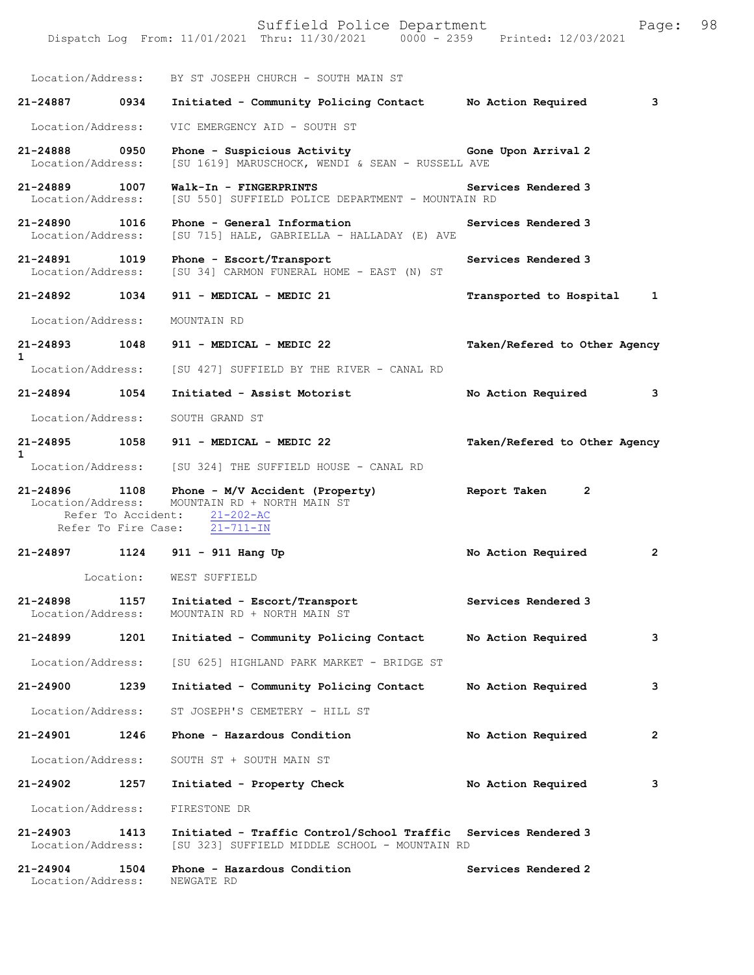Suffield Police Department Page: 98 Dispatch Log From: 11/01/2021 Thru: 11/30/2021 0000 - 2359 Printed: 12/03/2021 Location/Address: BY ST JOSEPH CHURCH - SOUTH MAIN ST **21-24887 0934 Initiated - Community Policing Contact No Action Required 3** Location/Address: VIC EMERGENCY AID - SOUTH ST **21-24888 0950 Phone - Suspicious Activity Gone Upon Arrival 2**  [SU 1619] MARUSCHOCK, WENDI & SEAN - RUSSELL AVE **21-24889 1007 Walk-In - FINGERPRINTS Services Rendered 3**  Location/Address: [SU 550] SUFFIELD POLICE DEPARTMENT - MOUNTAIN RD **21-24890 1016 Phone - General Information Services Rendered 3**  [SU 715] HALE, GABRIELLA - HALLADAY (E) AVE **21-24891 1019 Phone - Escort/Transport Services Rendered 3**  Location/Address: [SU 34] CARMON FUNERAL HOME - EAST (N) ST **21-24892 1034 911 - MEDICAL - MEDIC 21 Transported to Hospital 1** Location/Address: MOUNTAIN RD **21-24893 1048 911 - MEDICAL - MEDIC 22 Taken/Refered to Other Agency 1**  Location/Address: [SU 427] SUFFIELD BY THE RIVER - CANAL RD **21-24894 1054 Initiated - Assist Motorist No Action Required 3** Location/Address: SOUTH GRAND ST **21-24895 1058 911 - MEDICAL - MEDIC 22 Taken/Refered to Other Agency 1**  [SU 324] THE SUFFIELD HOUSE - CANAL RD **21-24896 1108 Phone - M/V Accident (Property) Report Taken 2**  Location/Address: MOUNTAIN RD + NORTH MAIN ST Refer To Accident:  $\frac{21-202-AC}{21-711-IN}$ Refer To Fire Case: **21-24897 1124 911 - 911 Hang Up No Action Required 2** Location: WEST SUFFIELD **21-24898 1157 Initiated - Escort/Transport Services Rendered 3**  MOUNTAIN RD + NORTH MAIN ST **21-24899 1201 Initiated - Community Policing Contact No Action Required 3** Location/Address: [SU 625] HIGHLAND PARK MARKET - BRIDGE ST **21-24900 1239 Initiated - Community Policing Contact No Action Required 3** Location/Address: ST JOSEPH'S CEMETERY - HILL ST **21-24901 1246 Phone - Hazardous Condition No Action Required 2** Location/Address: SOUTH ST + SOUTH MAIN ST **21-24902 1257 Initiated - Property Check No Action Required 3** Location/Address: FIRESTONE DR **21-24903 1413 Initiated - Traffic Control/School Traffic Services Rendered 3**  Location/Address: [SU 323] SUFFIELD MIDDLE SCHOOL - MOUNTAIN RD **21-24904 1504 Phone - Hazardous Condition Services Rendered 2**  Location/Address: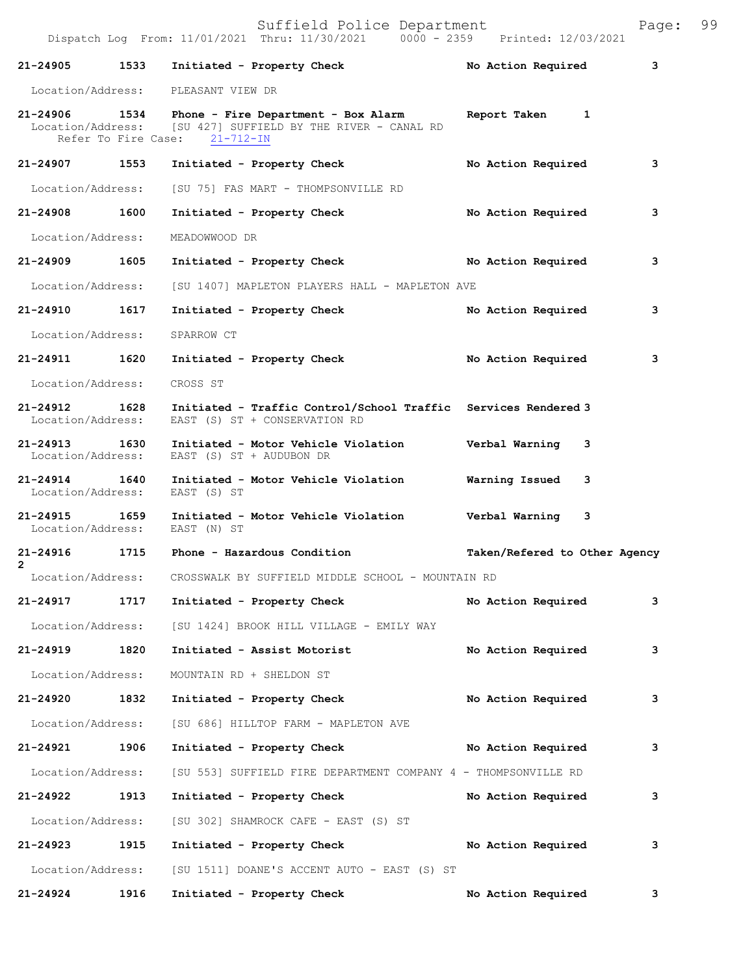|                                    |      | Dispatch Log From: 11/01/2021 Thru: 11/30/2021 0000 - 2359 Printed: 12/03/2021                                                                                   |                               |   |
|------------------------------------|------|------------------------------------------------------------------------------------------------------------------------------------------------------------------|-------------------------------|---|
| 21-24905 1533                      |      | Initiated - Property Check                                                                                                                                       | No Action Required            | 3 |
|                                    |      | Location/Address: PLEASANT VIEW DR                                                                                                                               |                               |   |
|                                    |      | 21-24906 1534 Phone - Fire Department - Box Alarm Report Taken 1<br>Location/Address: [SU 427] SUFFIELD BY THE RIVER - CANAL RD<br>Refer To Fire Case: 21-712-IN |                               |   |
| 21-24907 1553                      |      | Initiated - Property Check                                                                                                                                       | No Action Required            | 3 |
| Location/Address:                  |      | [SU 75] FAS MART - THOMPSONVILLE RD                                                                                                                              |                               |   |
| 21-24908 1600                      |      | Initiated - Property Check                                                                                                                                       | No Action Required            | 3 |
| Location/Address:                  |      | MEADOWWOOD DR                                                                                                                                                    |                               |   |
| 21-24909 1605                      |      | Initiated - Property Check No Action Required                                                                                                                    |                               | 3 |
|                                    |      | Location/Address: [SU 1407] MAPLETON PLAYERS HALL - MAPLETON AVE                                                                                                 |                               |   |
| 21-24910                           | 1617 | Initiated - Property Check                                                                                                                                       | No Action Required            | 3 |
| Location/Address:                  |      | SPARROW CT                                                                                                                                                       |                               |   |
| 21-24911 1620                      |      | Initiated - Property Check No Action Required                                                                                                                    |                               | 3 |
| Location/Address:                  |      | CROSS ST                                                                                                                                                         |                               |   |
| 21-24912 1628<br>Location/Address: |      | Initiated - Traffic Control/School Traffic Services Rendered 3<br>EAST (S) ST + CONSERVATION RD                                                                  |                               |   |
| 21-24913 1630<br>Location/Address: |      | Initiated - Motor Vehicle Violation Verbal Warning 3<br>EAST (S) ST + AUDUBON DR                                                                                 |                               |   |
| 21-24914 1640<br>Location/Address: |      | Initiated - Motor Vehicle Violation Warning Issued<br>EAST (S) ST                                                                                                | 3                             |   |
| 21-24915                           | 1659 | Initiated - Motor Vehicle Violation Verbal Warning 3<br>Location/Address: EAST (N) ST                                                                            |                               |   |
| $\mathbf{2}$                       |      | 21-24916 1715 Phone - Hazardous Condition                                                                                                                        | Taken/Refered to Other Agency |   |
|                                    |      | Location/Address: CROSSWALK BY SUFFIELD MIDDLE SCHOOL - MOUNTAIN RD                                                                                              |                               |   |
| 21-24917                           | 1717 | Initiated - Property Check                                                                                                                                       | No Action Required            | 3 |
|                                    |      | Location/Address: [SU 1424] BROOK HILL VILLAGE - EMILY WAY                                                                                                       |                               |   |
| 21-24919                           | 1820 | Initiated - Assist Motorist                                                                                                                                      | No Action Required            | 3 |
| Location/Address:                  |      | MOUNTAIN RD + SHELDON ST                                                                                                                                         |                               |   |
| 21-24920                           | 1832 | Initiated - Property Check                                                                                                                                       | No Action Required            | 3 |
| Location/Address:                  |      | [SU 686] HILLTOP FARM - MAPLETON AVE                                                                                                                             |                               |   |
| 21-24921                           | 1906 | Initiated - Property Check                                                                                                                                       | No Action Required            | 3 |
| Location/Address:                  |      | [SU 553] SUFFIELD FIRE DEPARTMENT COMPANY 4 - THOMPSONVILLE RD                                                                                                   |                               |   |
| 21-24922                           | 1913 | Initiated - Property Check                                                                                                                                       | No Action Required            | 3 |
| Location/Address:                  |      | [SU 302] SHAMROCK CAFE - EAST (S) ST                                                                                                                             |                               |   |
| 21-24923                           | 1915 | Initiated - Property Check                                                                                                                                       | No Action Required            | 3 |
| Location/Address:                  |      | [SU 1511] DOANE'S ACCENT AUTO - EAST (S) ST                                                                                                                      |                               |   |

**21-24924 1916 Initiated - Property Check No Action Required 3**

Suffield Police Department Page: 99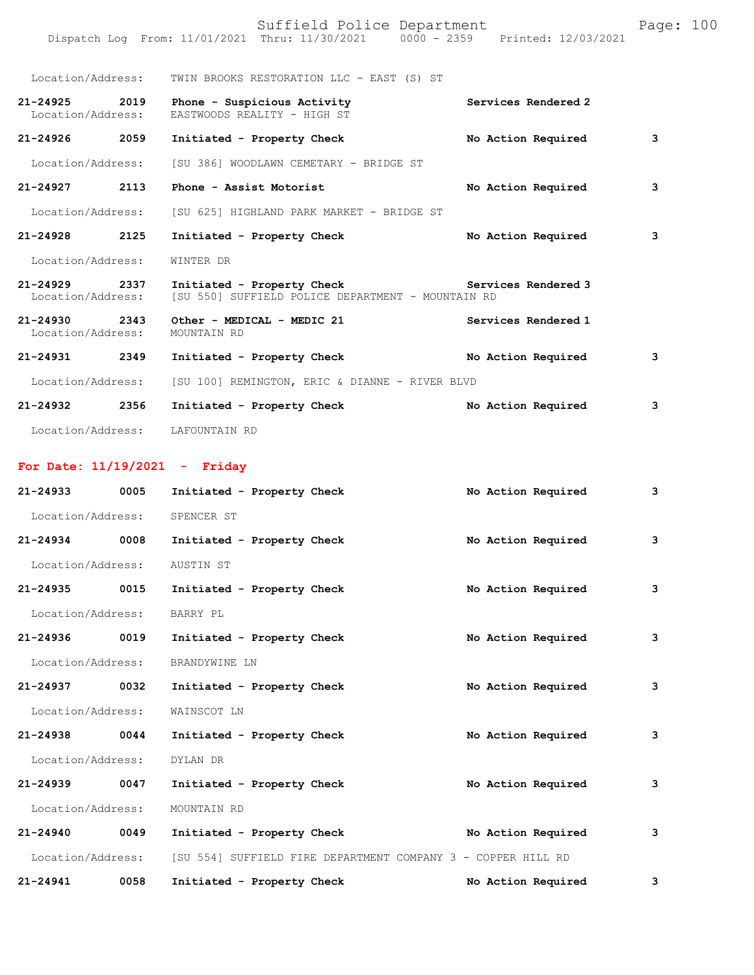|                                    |      | Suffield Police Department<br>Dispatch Log From: 11/01/2021 Thru: 11/30/2021 0000 - 2359 Printed: 12/03/2021 |                     | Page: 100 |
|------------------------------------|------|--------------------------------------------------------------------------------------------------------------|---------------------|-----------|
|                                    |      | Location/Address: TWIN BROOKS RESTORATION LLC - EAST (S) ST                                                  |                     |           |
| 21-24925 2019<br>Location/Address: |      | Phone - Suspicious Activity<br>EASTWOODS REALITY - HIGH ST                                                   | Services Rendered 2 |           |
| 21-24926 2059                      |      | Initiated - Property Check                                                                                   | No Action Required  | 3         |
| Location/Address:                  |      | [SU 386] WOODLAWN CEMETARY - BRIDGE ST                                                                       |                     |           |
| $21 - 24927$                       | 2113 | Phone - Assist Motorist                                                                                      | No Action Required  | 3         |
| Location/Address:                  |      | [SU 625] HIGHLAND PARK MARKET - BRIDGE ST                                                                    |                     |           |
| 21-24928 2125                      |      | Initiated - Property Check                                                                                   | No Action Required  | 3         |
| Location/Address:                  |      | WINTER DR                                                                                                    |                     |           |
| 21-24929 2337<br>Location/Address: |      | Initiated - Property Check Services Rendered 3<br>[SU 550] SUFFIELD POLICE DEPARTMENT - MOUNTAIN RD          |                     |           |
| 21-24930 2343<br>Location/Address: |      | Other - MEDICAL - MEDIC 21<br>MOUNTAIN RD                                                                    | Services Rendered 1 |           |
| 21-24931 2349                      |      | Initiated - Property Check                                                                                   | No Action Required  | 3         |
| Location/Address:                  |      | [SU 100] REMINGTON, ERIC & DIANNE - RIVER BLVD                                                               |                     |           |
| 21-24932 2356                      |      | Initiated - Property Check                                                                                   | No Action Required  | 3         |
| Location/Address:                  |      | LAFOUNTAIN RD                                                                                                |                     |           |

## **For Date: 11/19/2021 - Friday**

| $21 - 24933$      | 0005 | Initiated - Property Check                                   | No Action Required | з |
|-------------------|------|--------------------------------------------------------------|--------------------|---|
| Location/Address: |      | SPENCER ST                                                   |                    |   |
| 21-24934          | 0008 | Initiated - Property Check                                   | No Action Required | 3 |
| Location/Address: |      | AUSTIN ST                                                    |                    |   |
| 21-24935 0015     |      | Initiated - Property Check                                   | No Action Required | з |
| Location/Address: |      | BARRY PL                                                     |                    |   |
| 21-24936          | 0019 | Initiated - Property Check                                   | No Action Required | 3 |
| Location/Address: |      | BRANDYWINE LN                                                |                    |   |
| 21-24937 0032     |      | Initiated - Property Check                                   | No Action Required | 3 |
| Location/Address: |      | WAINSCOT LN                                                  |                    |   |
| 21-24938          | 0044 | Initiated - Property Check                                   | No Action Required | 3 |
| Location/Address: |      | DYLAN DR                                                     |                    |   |
| 21-24939 0047     |      | Initiated - Property Check                                   | No Action Required | з |
| Location/Address: |      | MOUNTAIN RD                                                  |                    |   |
| $21 - 24940$      | 0049 | Initiated - Property Check                                   | No Action Required | 3 |
| Location/Address: |      | [SU 554] SUFFIELD FIRE DEPARTMENT COMPANY 3 - COPPER HILL RD |                    |   |
| 21-24941          | 0058 | Initiated - Property Check                                   | No Action Required | 3 |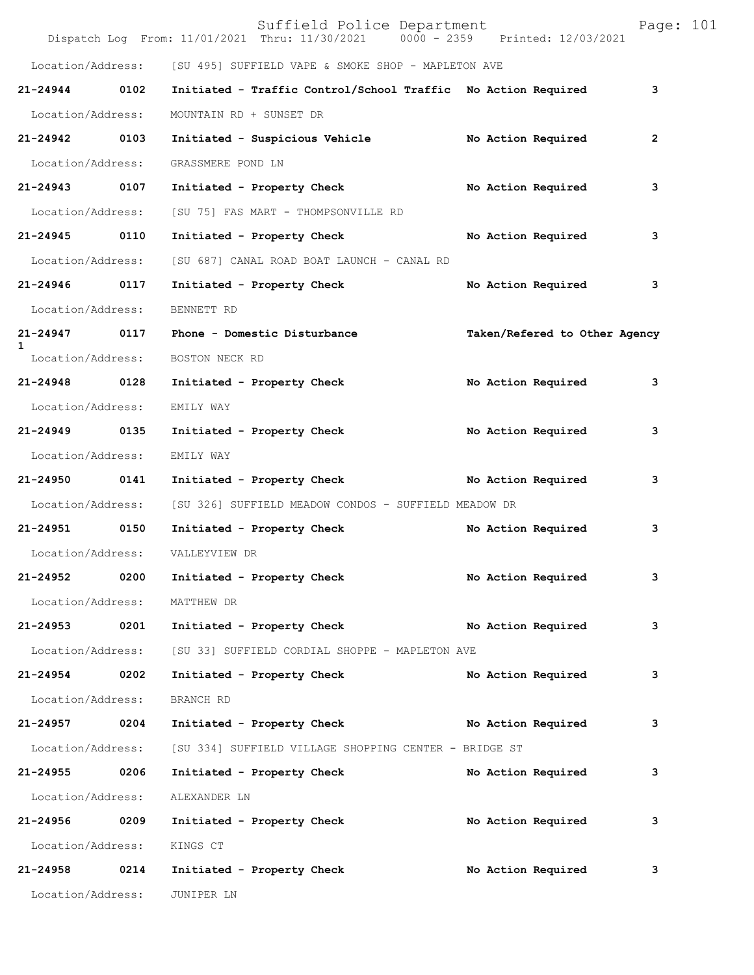|                               |      | Suffield Police Department<br>Dispatch Log From: 11/01/2021 Thru: 11/30/2021 0000 - 2359 Printed: 12/03/2021 |                               | Page: 101      |
|-------------------------------|------|--------------------------------------------------------------------------------------------------------------|-------------------------------|----------------|
|                               |      | Location/Address: [SU 495] SUFFIELD VAPE & SMOKE SHOP - MAPLETON AVE                                         |                               |                |
| $21 - 24944$                  | 0102 | Initiated - Traffic Control/School Traffic No Action Required                                                |                               | 3              |
| Location/Address:             |      | MOUNTAIN RD + SUNSET DR                                                                                      |                               |                |
| 21-24942                      | 0103 | Initiated - Suspicious Vehicle No Action Required                                                            |                               | $\overline{2}$ |
| Location/Address:             |      | GRASSMERE POND LN                                                                                            |                               |                |
| 21-24943 0107                 |      | Initiated - Property Check                                                                                   | No Action Required            | 3              |
| Location/Address:             |      | [SU 75] FAS MART - THOMPSONVILLE RD                                                                          |                               |                |
| 21-24945 0110                 |      | Initiated - Property Check                                                                                   | No Action Required            | 3              |
| Location/Address:             |      | [SU 687] CANAL ROAD BOAT LAUNCH - CANAL RD                                                                   |                               |                |
| 21-24946                      | 0117 | Initiated - Property Check                                                                                   | No Action Required            | 3              |
| Location/Address:             |      | BENNETT RD                                                                                                   |                               |                |
| 21-24947 0117<br>$\mathbf{1}$ |      | Phone - Domestic Disturbance                                                                                 | Taken/Refered to Other Agency |                |
| Location/Address:             |      | BOSTON NECK RD                                                                                               |                               |                |
| 21-24948 0128                 |      | Initiated - Property Check                                                                                   | No Action Required            | 3              |
| Location/Address:             |      | EMILY WAY                                                                                                    |                               |                |
| 21-24949                      | 0135 | Initiated - Property Check                                                                                   | No Action Required            | 3              |
| Location/Address:             |      | EMILY WAY                                                                                                    |                               |                |
| 21-24950 0141                 |      | Initiated - Property Check                                                                                   | No Action Required            | 3              |
| Location/Address:             |      | [SU 326] SUFFIELD MEADOW CONDOS - SUFFIELD MEADOW DR                                                         |                               |                |
| 21-24951 0150                 |      | Initiated - Property Check                                                                                   | No Action Required            | 3              |
| Location/Address:             |      | VALLEYVIEW DR                                                                                                |                               |                |
| 21-24952                      | 0200 | Initiated - Property Check                                                                                   | No Action Required            | 3              |
| Location/Address:             |      | MATTHEW DR                                                                                                   |                               |                |
| 21-24953 0201                 |      | Initiated - Property Check No Action Required                                                                |                               | 3              |
| Location/Address:             |      | [SU 33] SUFFIELD CORDIAL SHOPPE - MAPLETON AVE                                                               |                               |                |
| 21-24954                      | 0202 | Initiated - Property Check                                                                                   | No Action Required            | 3              |
| Location/Address:             |      | BRANCH RD                                                                                                    |                               |                |
| 21-24957 0204                 |      | Initiated - Property Check                                                                                   | No Action Required            | 3              |
| Location/Address:             |      | [SU 334] SUFFIELD VILLAGE SHOPPING CENTER - BRIDGE ST                                                        |                               |                |
| 21-24955 0206                 |      | Initiated - Property Check                                                                                   | No Action Required            | 3              |
| Location/Address:             |      | ALEXANDER LN                                                                                                 |                               |                |
| 21-24956                      | 0209 | Initiated - Property Check                                                                                   | No Action Required            | 3              |
| Location/Address:             |      | KINGS CT                                                                                                     |                               |                |
| 21-24958                      | 0214 | Initiated - Property Check                                                                                   | No Action Required            | 3              |
| Location/Address:             |      | JUNIPER LN                                                                                                   |                               |                |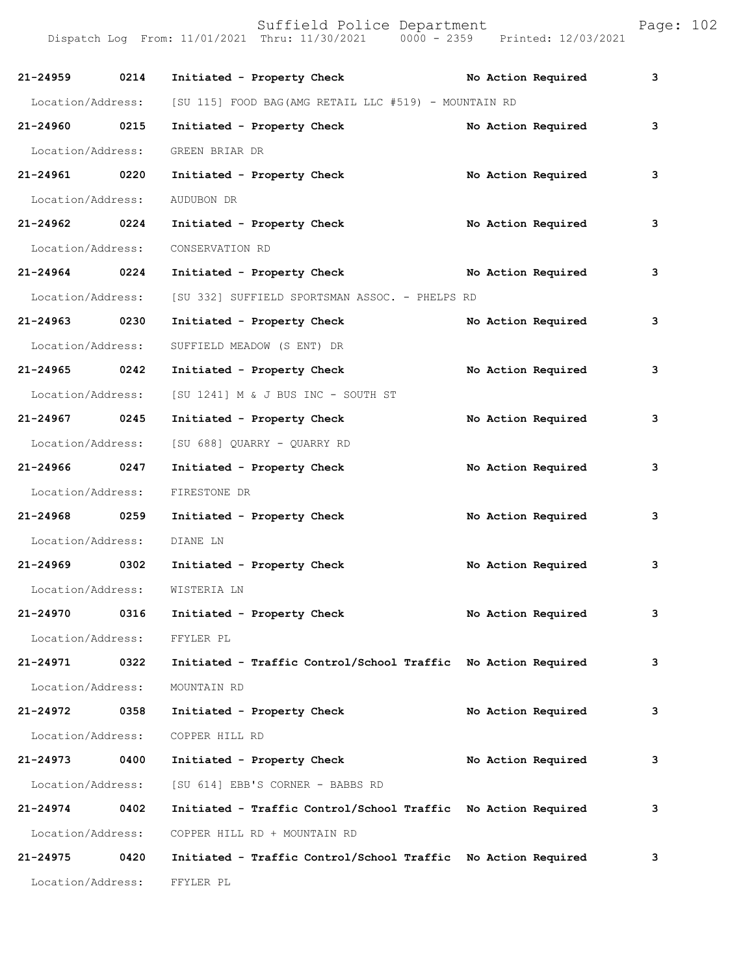| 21-24959          | 0214 | Initiated - Property Check                                    |  | No Action Required | 3 |
|-------------------|------|---------------------------------------------------------------|--|--------------------|---|
| Location/Address: |      | [SU 115] FOOD BAG(AMG RETAIL LLC #519) - MOUNTAIN RD          |  |                    |   |
| 21-24960 0215     |      | Initiated - Property Check                                    |  | No Action Required | 3 |
| Location/Address: |      | GREEN BRIAR DR                                                |  |                    |   |
| 21-24961 0220     |      | Initiated - Property Check                                    |  | No Action Required | 3 |
| Location/Address: |      | AUDUBON DR                                                    |  |                    |   |
| 21-24962 0224     |      | Initiated - Property Check                                    |  | No Action Required | 3 |
| Location/Address: |      | CONSERVATION RD                                               |  |                    |   |
| 21-24964 0224     |      | Initiated - Property Check                                    |  | No Action Required | 3 |
| Location/Address: |      | [SU 332] SUFFIELD SPORTSMAN ASSOC. - PHELPS RD                |  |                    |   |
| 21-24963 0230     |      | Initiated - Property Check                                    |  | No Action Required | 3 |
| Location/Address: |      | SUFFIELD MEADOW (S ENT) DR                                    |  |                    |   |
| 21-24965 0242     |      | Initiated - Property Check                                    |  | No Action Required | 3 |
| Location/Address: |      | [SU 1241] M & J BUS INC - SOUTH ST                            |  |                    |   |
| 21-24967 0245     |      | Initiated - Property Check                                    |  | No Action Required | 3 |
| Location/Address: |      | [SU 688] QUARRY - QUARRY RD                                   |  |                    |   |
| 21-24966 0247     |      | Initiated - Property Check                                    |  | No Action Required | 3 |
| Location/Address: |      | FIRESTONE DR                                                  |  |                    |   |
| 21-24968 0259     |      | Initiated - Property Check                                    |  | No Action Required | 3 |
| Location/Address: |      | DIANE LN                                                      |  |                    |   |
| 21-24969 0302     |      | Initiated - Property Check                                    |  | No Action Required | 3 |
| Location/Address: |      | WISTERIA LN                                                   |  |                    |   |
| $21 - 24970$      | 0316 | Initiated - Property Check                                    |  | No Action Required | 3 |
| Location/Address: |      | FFYLER PL                                                     |  |                    |   |
| 21-24971          | 0322 | Initiated - Traffic Control/School Traffic No Action Required |  |                    | 3 |
| Location/Address: |      | MOUNTAIN RD                                                   |  |                    |   |
| 21-24972          | 0358 | Initiated - Property Check                                    |  | No Action Required | 3 |
| Location/Address: |      | COPPER HILL RD                                                |  |                    |   |
| 21-24973          | 0400 | Initiated - Property Check                                    |  | No Action Required | 3 |
| Location/Address: |      | [SU 614] EBB'S CORNER - BABBS RD                              |  |                    |   |
| 21-24974          | 0402 | Initiated - Traffic Control/School Traffic                    |  | No Action Required | 3 |
| Location/Address: |      | COPPER HILL RD + MOUNTAIN RD                                  |  |                    |   |
| 21-24975          | 0420 | Initiated - Traffic Control/School Traffic No Action Required |  |                    | 3 |
| Location/Address: |      | FFYLER PL                                                     |  |                    |   |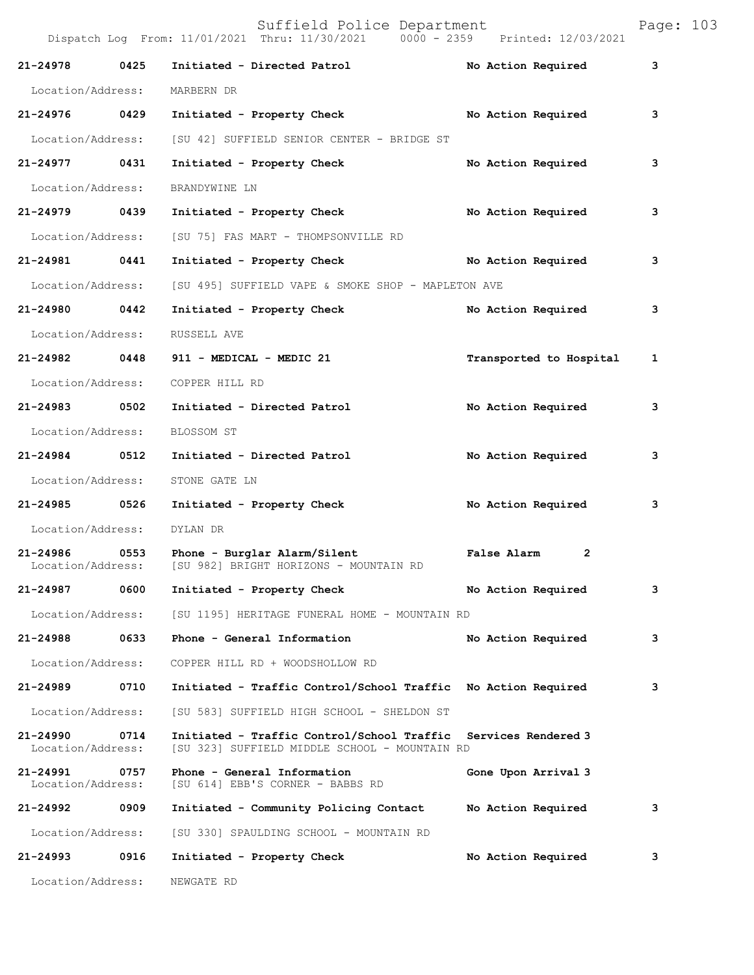|                               |      | Suffield Police Department<br>Dispatch Log From: 11/01/2021 Thru: 11/30/2021 0000 - 2359 Printed: 12/03/2021 |                               | Page: 103 |
|-------------------------------|------|--------------------------------------------------------------------------------------------------------------|-------------------------------|-----------|
| 21-24978 0425                 |      | Initiated - Directed Patrol No Action Required                                                               |                               | 3         |
| Location/Address:             |      | MARBERN DR                                                                                                   |                               |           |
| 21-24976 0429                 |      | Initiated - Property Check No Action Required                                                                |                               | 3         |
| Location/Address:             |      | [SU 42] SUFFIELD SENIOR CENTER - BRIDGE ST                                                                   |                               |           |
| 21-24977 0431                 |      | Initiated - Property Check                                                                                   | No Action Required            | 3         |
| Location/Address:             |      | BRANDYWINE LN                                                                                                |                               |           |
| 21-24979 0439                 |      | Initiated - Property Check                                                                                   | No Action Required            | з         |
| Location/Address:             |      | [SU 75] FAS MART - THOMPSONVILLE RD                                                                          |                               |           |
| 21-24981 0441                 |      | Initiated - Property Check No Action Required                                                                |                               | 3         |
| Location/Address:             |      | [SU 495] SUFFIELD VAPE & SMOKE SHOP - MAPLETON AVE                                                           |                               |           |
| 21-24980 0442                 |      | Initiated - Property Check                                                                                   | No Action Required            | 3         |
| Location/Address:             |      | RUSSELL AVE                                                                                                  |                               |           |
| 21-24982 0448                 |      | 911 - MEDICAL - MEDIC 21                                                                                     | Transported to Hospital       | 1         |
| Location/Address:             |      | COPPER HILL RD                                                                                               |                               |           |
| 21-24983 0502                 |      | Initiated - Directed Patrol                                                                                  | No Action Required            | 3         |
| Location/Address:             |      | BLOSSOM ST                                                                                                   |                               |           |
| 21-24984 0512                 |      | Initiated - Directed Patrol                                                                                  | No Action Required            | 3         |
| Location/Address:             |      | STONE GATE LN                                                                                                |                               |           |
| 21-24985 0526                 |      | Initiated - Property Check                                                                                   | No Action Required            | 3         |
| Location/Address:             |      | DYLAN DR                                                                                                     |                               |           |
| 21-24986                      | 0553 | Phone - Burglar Alarm/Silent<br>Location/Address: [SU 982] BRIGHT HORIZONS - MOUNTAIN RD                     | False Alarm<br>$\overline{2}$ |           |
| 21-24987                      | 0600 | Initiated - Property Check                                                                                   | No Action Required            | 3         |
| Location/Address:             |      | [SU 1195] HERITAGE FUNERAL HOME - MOUNTAIN RD                                                                |                               |           |
| 21-24988                      | 0633 | Phone - General Information                                                                                  | No Action Required            | 3         |
| Location/Address:             |      | COPPER HILL RD + WOODSHOLLOW RD                                                                              |                               |           |
| 21-24989                      | 0710 | Initiated - Traffic Control/School Traffic No Action Required                                                |                               | 3         |
| Location/Address:             |      | [SU 583] SUFFIELD HIGH SCHOOL - SHELDON ST                                                                   |                               |           |
| 21-24990<br>Location/Address: | 0714 | Initiated - Traffic Control/School Traffic<br>[SU 323] SUFFIELD MIDDLE SCHOOL - MOUNTAIN RD                  | Services Rendered 3           |           |
| 21-24991<br>Location/Address: | 0757 | Phone - General Information<br>[SU 614] EBB'S CORNER - BABBS RD                                              | Gone Upon Arrival 3           |           |
| 21-24992                      | 0909 | Initiated - Community Policing Contact                                                                       | No Action Required            | 3         |
| Location/Address:             |      | [SU 330] SPAULDING SCHOOL - MOUNTAIN RD                                                                      |                               |           |
| 21-24993                      | 0916 | Initiated - Property Check                                                                                   | No Action Required            | 3         |
| Location/Address:             |      | NEWGATE RD                                                                                                   |                               |           |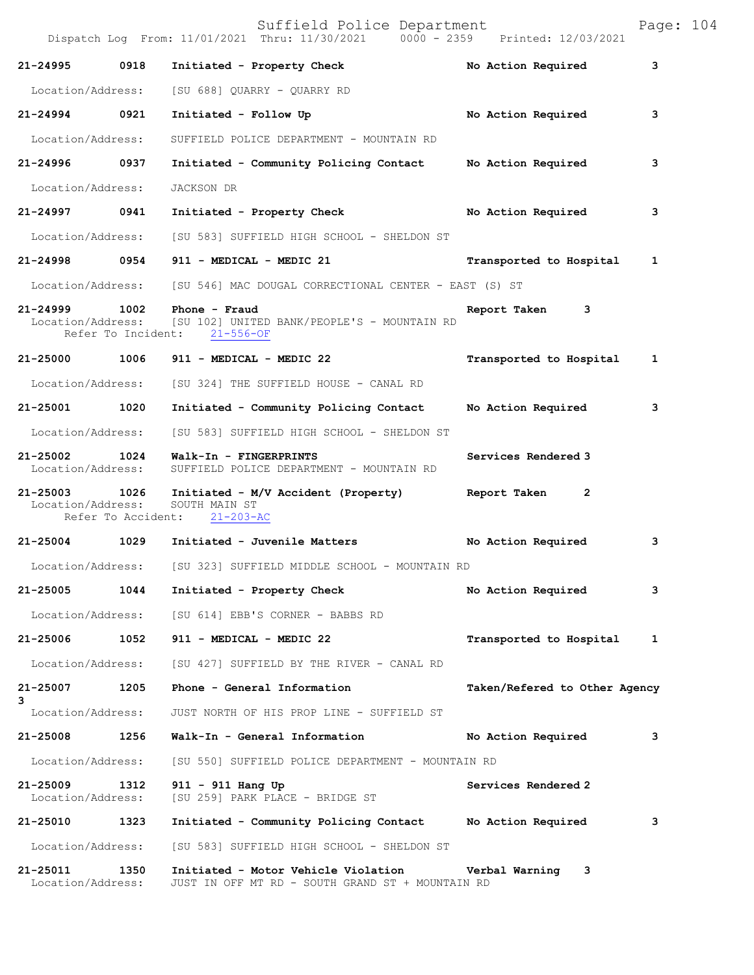Suffield Police Department<br>Thru: 11/30/2021 0000 - 2359 Printed: 12/03/2021 Dispatch Log From: 11/01/2021 Thru: 11/30/2021 0000 - 2359 **21-24995 0918 Initiated - Property Check No Action Required 3** Location/Address: [SU 688] QUARRY - QUARRY RD **21-24994 0921 Initiated - Follow Up No Action Required 3** Location/Address: SUFFIELD POLICE DEPARTMENT - MOUNTAIN RD **21-24996 0937 Initiated - Community Policing Contact No Action Required 3** Location/Address: JACKSON DR **21-24997 0941 Initiated - Property Check No Action Required 3** Location/Address: [SU 583] SUFFIELD HIGH SCHOOL - SHELDON ST **21-24998 0954 911 - MEDICAL - MEDIC 21 Transported to Hospital 1** Location/Address: [SU 546] MAC DOUGAL CORRECTIONAL CENTER - EAST (S) ST **21-24999 1002 Phone - Fraud Report Taken 3**<br>Location/Address: [SU 102] UNITED BANK/PEOPLE'S - MOUNTAIN RD [SU 102] UNITED BANK/PEOPLE'S - MOUNTAIN RD<br>ht: 21-556-OF Refer To Incident: **21-25000 1006 911 - MEDICAL - MEDIC 22 Transported to Hospital 1** Location/Address: [SU 324] THE SUFFIELD HOUSE - CANAL RD **21-25001 1020 Initiated - Community Policing Contact No Action Required 3** Location/Address: [SU 583] SUFFIELD HIGH SCHOOL - SHELDON ST **21-25002 1024 Walk-In - FINGERPRINTS Services Rendered 3**  SUFFIELD POLICE DEPARTMENT - MOUNTAIN RD **21-25003 1026 Initiated - M/V Accident (Property) Report Taken 2**  Location/Address: SOUTH MAIN ST<br>Refer To Accident: 21-203-AC Refer To Accident: **21-25004 1029 Initiated - Juvenile Matters No Action Required 3** Location/Address: [SU 323] SUFFIELD MIDDLE SCHOOL - MOUNTAIN RD **21-25005 1044 Initiated - Property Check No Action Required 3** Location/Address: [SU 614] EBB'S CORNER - BABBS RD **21-25006 1052 911 - MEDICAL - MEDIC 22 Transported to Hospital 1** Location/Address: [SU 427] SUFFIELD BY THE RIVER - CANAL RD **21-25007 1205 Phone - General Information Taken/Refered to Other Agency 3**  Location/Address: JUST NORTH OF HIS PROP LINE - SUFFIELD ST **21-25008 1256 Walk-In - General Information No Action Required 3** Location/Address: [SU 550] SUFFIELD POLICE DEPARTMENT - MOUNTAIN RD **21-25009 1312 911 - 911 Hang Up Services Rendered 2**  Location/Address: [SU 259] PARK PLACE - BRIDGE ST **21-25010 1323 Initiated - Community Policing Contact No Action Required 3** Location/Address: [SU 583] SUFFIELD HIGH SCHOOL - SHELDON ST **21-25011 1350 Initiated - Motor Vehicle Violation Verbal Warning 3**  Location/Address: JUST IN OFF MT RD - SOUTH GRAND ST + MOUNTAIN RD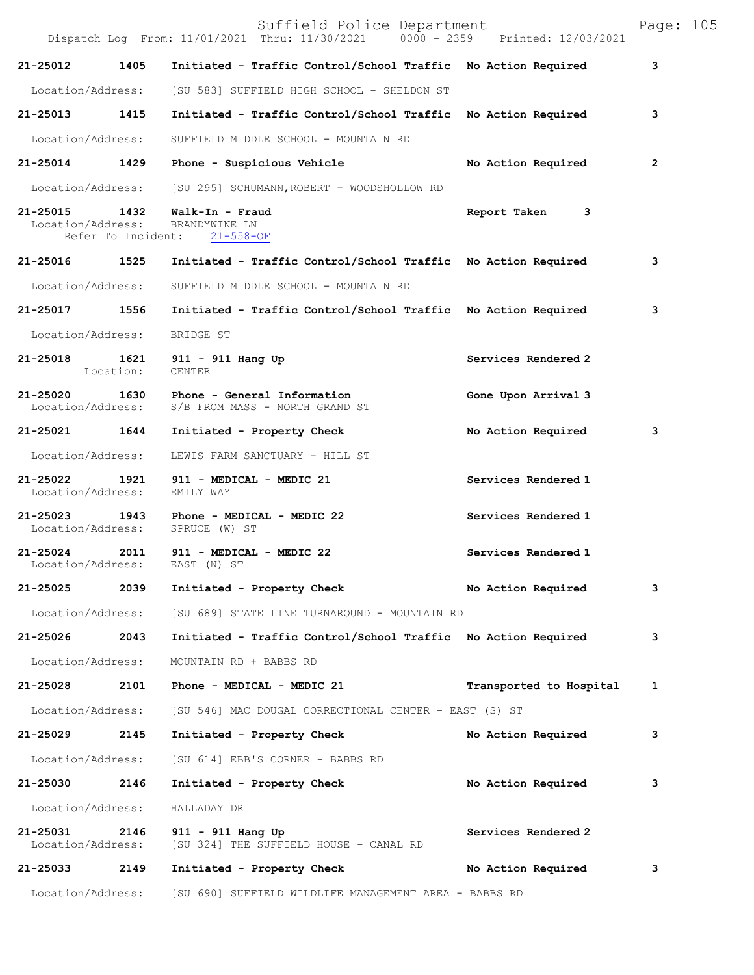|                               |      | Suffield Police Department<br>Dispatch Log From: 11/01/2021 Thru: 11/30/2021 0000 - 2359 Printed: 12/03/2021 |                         | Page: 105 |  |
|-------------------------------|------|--------------------------------------------------------------------------------------------------------------|-------------------------|-----------|--|
| 21-25012                      | 1405 | Initiated - Traffic Control/School Traffic No Action Required                                                |                         | 3         |  |
|                               |      | Location/Address: [SU 583] SUFFIELD HIGH SCHOOL - SHELDON ST                                                 |                         |           |  |
|                               |      | 21-25013 1415 Initiated - Traffic Control/School Traffic No Action Required                                  |                         | з         |  |
| Location/Address:             |      | SUFFIELD MIDDLE SCHOOL - MOUNTAIN RD                                                                         |                         |           |  |
|                               |      | 21-25014 1429 Phone - Suspicious Vehicle                                                                     | No Action Required      | 2         |  |
|                               |      | Location/Address: [SU 295] SCHUMANN, ROBERT - WOODSHOLLOW RD                                                 |                         |           |  |
|                               |      | 21-25015   1432   Walk-In - Fraud<br>Location/Address: BRANDYWINE LN<br>Refer To Incident: 21-558-OF         | Report Taken 3          |           |  |
|                               |      | 21-25016 1525 Initiated - Traffic Control/School Traffic No Action Required                                  |                         | 3         |  |
| Location/Address:             |      | SUFFIELD MIDDLE SCHOOL - MOUNTAIN RD                                                                         |                         |           |  |
| 21-25017 1556                 |      | Initiated - Traffic Control/School Traffic No Action Required                                                |                         | 3         |  |
| Location/Address:             |      | BRIDGE ST                                                                                                    |                         |           |  |
|                               |      | 21-25018   1621   911 - 911   Hang Up<br>Location:   CENTER                                                  | Services Rendered 2     |           |  |
|                               |      | 21-25020 1630 Phone - General Information<br>Location/Address: S/B FROM MASS - NORTH GRAND ST                | Gone Upon Arrival 3     |           |  |
|                               |      | 21-25021 1644 Initiated - Property Check                                                                     | No Action Required      | 3         |  |
| Location/Address:             |      | LEWIS FARM SANCTUARY - HILL ST                                                                               |                         |           |  |
| Location/Address: EMILY WAY   |      | 21-25022 1921 911 - MEDICAL - MEDIC 21                                                                       | Services Rendered 1     |           |  |
|                               |      | 21-25023 1943 Phone - MEDICAL - MEDIC 22<br>Location/Address: SPRUCE (W) ST                                  | Services Rendered 1     |           |  |
|                               |      | 21-25024 2011 911 - MEDICAL - MEDIC 22<br>Location/Address: EAST (N) ST                                      | Services Rendered 1     |           |  |
| 21-25025                      | 2039 | Initiated - Property Check                                                                                   | No Action Required      | 3         |  |
| Location/Address:             |      | [SU 689] STATE LINE TURNAROUND - MOUNTAIN RD                                                                 |                         |           |  |
| 21-25026 2043                 |      | Initiated - Traffic Control/School Traffic No Action Required                                                |                         | 3         |  |
| Location/Address:             |      | MOUNTAIN RD + BABBS RD                                                                                       |                         |           |  |
| 21-25028 2101                 |      | Phone - MEDICAL - MEDIC 21                                                                                   | Transported to Hospital | 1         |  |
| Location/Address:             |      | [SU 546] MAC DOUGAL CORRECTIONAL CENTER - EAST (S) ST                                                        |                         |           |  |
| 21-25029                      | 2145 | Initiated - Property Check                                                                                   | No Action Required      | 3         |  |
| Location/Address:             |      | [SU 614] EBB'S CORNER - BABBS RD                                                                             |                         |           |  |
| 21-25030                      | 2146 | Initiated - Property Check                                                                                   | No Action Required      | з         |  |
| Location/Address:             |      | HALLADAY DR                                                                                                  |                         |           |  |
| 21-25031<br>Location/Address: | 2146 | 911 - 911 Hang Up<br>[SU 324] THE SUFFIELD HOUSE - CANAL RD                                                  | Services Rendered 2     |           |  |
| 21-25033                      | 2149 | Initiated - Property Check                                                                                   | No Action Required      | 3         |  |
|                               |      | Location/Address: [SU 690] SUFFIELD WILDLIFE MANAGEMENT AREA - BABBS RD                                      |                         |           |  |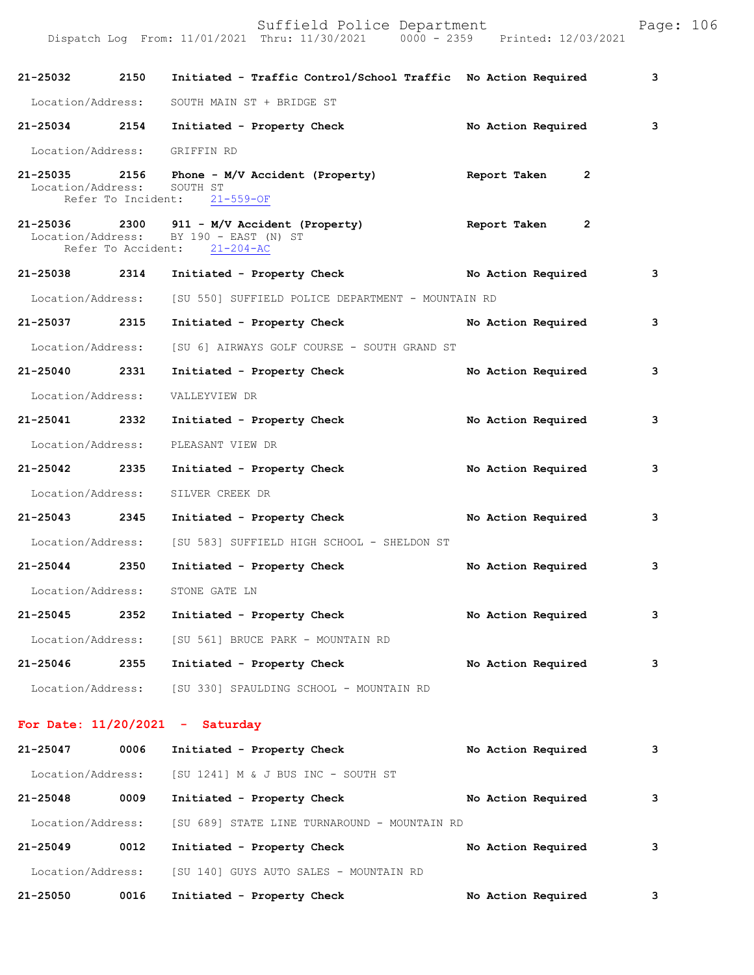Dispatch Log From: 11/01/2021 Thru: 11/30/2021 0000 - 2359 Printed: 12/03/2021 **21-25032 2150 Initiated - Traffic Control/School Traffic No Action Required 3** Location/Address: SOUTH MAIN ST + BRIDGE ST **21-25034 2154 Initiated - Property Check No Action Required 3** Location/Address: GRIFFIN RD **21-25035 2156 Phone - M/V Accident (Property) Report Taken 2**  Location/Address: SOUTH ST Refer To Incident: 21-559-OF **21-25036 2300 911 - M/V Accident (Property) Report Taken 2**  Location/Address: BY 190 - EAST (N) ST<br>Refer To Accident: 21-204-AC Refer To Accident: **21-25038 2314 Initiated - Property Check No Action Required 3** Location/Address: [SU 550] SUFFIELD POLICE DEPARTMENT - MOUNTAIN RD **21-25037 2315 Initiated - Property Check No Action Required 3** Location/Address: [SU 6] AIRWAYS GOLF COURSE - SOUTH GRAND ST **21-25040 2331 Initiated - Property Check No Action Required 3** Location/Address: VALLEYVIEW DR **21-25041 2332 Initiated - Property Check No Action Required 3** Location/Address: PLEASANT VIEW DR **21-25042 2335 Initiated - Property Check No Action Required 3** Location/Address: SILVER CREEK DR **21-25043 2345 Initiated - Property Check No Action Required 3** Location/Address: [SU 583] SUFFIELD HIGH SCHOOL - SHELDON ST **21-25044 2350 Initiated - Property Check No Action Required 3** Location/Address: STONE GATE LN **21-25045 2352 Initiated - Property Check No Action Required 3** Location/Address: [SU 561] BRUCE PARK - MOUNTAIN RD **21-25046 2355 Initiated - Property Check No Action Required 3** Location/Address: [SU 330] SPAULDING SCHOOL - MOUNTAIN RD **For Date: 11/20/2021 - Saturday 21-25047 0006 Initiated - Property Check No Action Required 3** Location/Address: [SU 1241] M & J BUS INC - SOUTH ST **21-25048 0009 Initiated - Property Check No Action Required 3** Location/Address: [SU 689] STATE LINE TURNAROUND - MOUNTAIN RD **21-25049 0012 Initiated - Property Check No Action Required 3**

**21-25050 0016 Initiated - Property Check No Action Required 3**

Location/Address: [SU 140] GUYS AUTO SALES - MOUNTAIN RD

Suffield Police Department Page: 106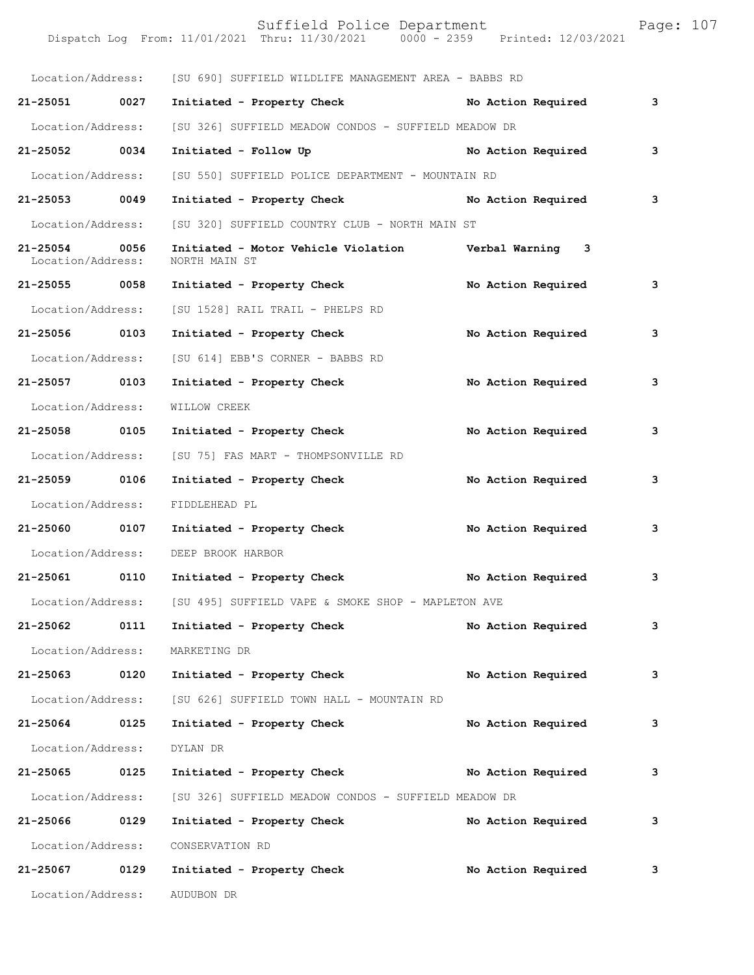|                                    |      | Suffield Police Department<br>Dispatch Log From: 11/01/2021 Thru: 11/30/2021 0000 - 2359 Printed: 12/03/2021 |  |                    | Page: 107 |  |
|------------------------------------|------|--------------------------------------------------------------------------------------------------------------|--|--------------------|-----------|--|
|                                    |      | Location/Address: [SU 690] SUFFIELD WILDLIFE MANAGEMENT AREA - BABBS RD                                      |  |                    |           |  |
| 21-25051 0027                      |      | Initiated - Property Check No Action Required                                                                |  |                    | 3         |  |
| Location/Address:                  |      | [SU 326] SUFFIELD MEADOW CONDOS - SUFFIELD MEADOW DR                                                         |  |                    |           |  |
| 21-25052 0034                      |      | Initiated - Follow Up <b>Example 2018</b> No Action Required                                                 |  |                    | 3         |  |
| Location/Address:                  |      | [SU 550] SUFFIELD POLICE DEPARTMENT - MOUNTAIN RD                                                            |  |                    |           |  |
| 21-25053 0049                      |      | Initiated - Property Check No Action Required                                                                |  |                    | 3         |  |
| Location/Address:                  |      | [SU 320] SUFFIELD COUNTRY CLUB - NORTH MAIN ST                                                               |  |                    |           |  |
| 21-25054 0056<br>Location/Address: |      | Initiated - Motor Vehicle Violation Verbal Warning 3<br>NORTH MAIN ST                                        |  |                    |           |  |
| 21-25055 0058                      |      | Initiated - Property Check No Action Required                                                                |  |                    | 3         |  |
| Location/Address:                  |      | [SU 1528] RAIL TRAIL - PHELPS RD                                                                             |  |                    |           |  |
| 21-25056 0103                      |      | Initiated - Property Check                                                                                   |  | No Action Required | 3         |  |
| Location/Address:                  |      | [SU 614] EBB'S CORNER - BABBS RD                                                                             |  |                    |           |  |
| 21-25057 0103                      |      | Initiated - Property Check                                                                                   |  | No Action Required | 3         |  |
| Location/Address:                  |      | WILLOW CREEK                                                                                                 |  |                    |           |  |
| 21-25058 0105                      |      | Initiated - Property Check                                                                                   |  | No Action Required | 3         |  |
| Location/Address:                  |      | [SU 75] FAS MART - THOMPSONVILLE RD                                                                          |  |                    |           |  |
| 21-25059 0106                      |      | Initiated - Property Check                                                                                   |  | No Action Required | 3         |  |
| Location/Address:                  |      | FIDDLEHEAD PL                                                                                                |  |                    |           |  |
|                                    |      | 21-25060 0107 Initiated - Property Check No Action Required                                                  |  |                    | 3         |  |
|                                    |      | Location/Address: DEEP BROOK HARBOR                                                                          |  |                    |           |  |
| 21-25061                           | 0110 | Initiated - Property Check                                                                                   |  | No Action Required | 3         |  |
|                                    |      | Location/Address: [SU 495] SUFFIELD VAPE & SMOKE SHOP - MAPLETON AVE                                         |  |                    |           |  |
| 21-25062                           | 0111 | Initiated - Property Check                                                                                   |  | No Action Required | 3         |  |
| Location/Address:                  |      | MARKETING DR                                                                                                 |  |                    |           |  |
| 21-25063 0120                      |      | Initiated - Property Check No Action Required                                                                |  |                    | 3         |  |
| Location/Address:                  |      | [SU 626] SUFFIELD TOWN HALL - MOUNTAIN RD                                                                    |  |                    |           |  |
| 21-25064 0125                      |      | Initiated - Property Check                                                                                   |  | No Action Required | 3         |  |
| Location/Address:                  |      | DYLAN DR                                                                                                     |  |                    |           |  |
| 21-25065 0125                      |      | Initiated - Property Check No Action Required                                                                |  |                    | 3         |  |
| Location/Address:                  |      | [SU 326] SUFFIELD MEADOW CONDOS - SUFFIELD MEADOW DR                                                         |  |                    |           |  |
| 21-25066 0129                      |      | Initiated - Property Check                                                                                   |  | No Action Required | 3         |  |
| Location/Address:                  |      | CONSERVATION RD                                                                                              |  |                    |           |  |
| 21-25067                           | 0129 | Initiated - Property Check                                                                                   |  | No Action Required | 3         |  |

Location/Address: AUDUBON DR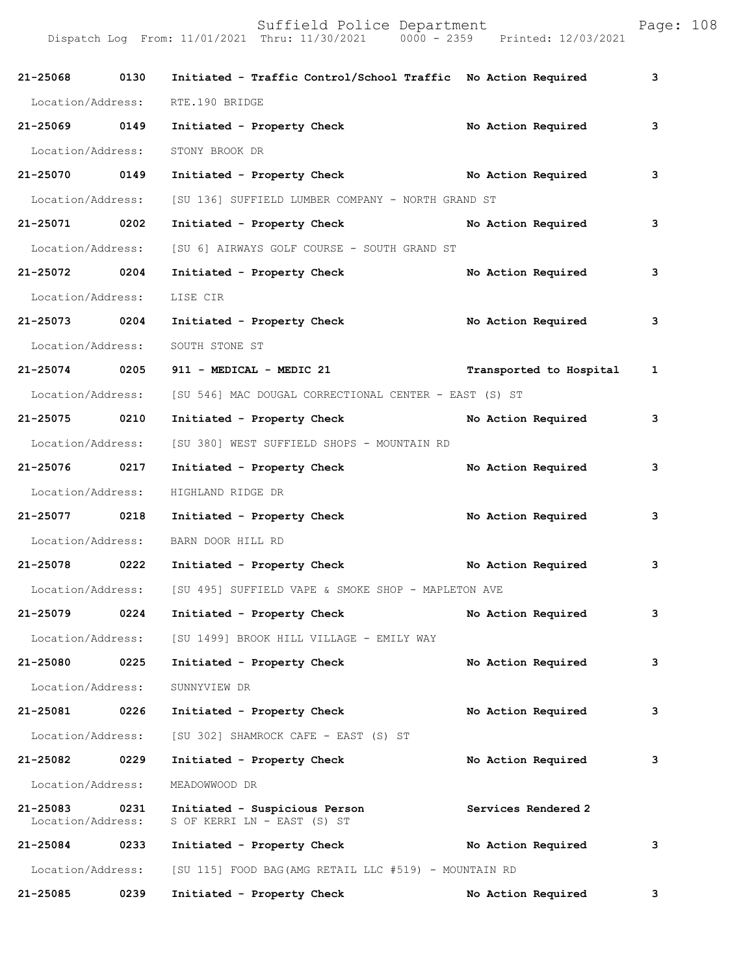| 21-25068 0130                 |      | Initiated - Traffic Control/School Traffic No Action Required                       | 3 |
|-------------------------------|------|-------------------------------------------------------------------------------------|---|
| Location/Address:             |      | RTE.190 BRIDGE                                                                      |   |
| 21-25069 0149                 |      | Initiated - Property Check<br>No Action Required                                    | 3 |
| Location/Address:             |      | STONY BROOK DR                                                                      |   |
| 21-25070 0149                 |      | Initiated - Property Check No Action Required                                       | 3 |
| Location/Address:             |      | [SU 136] SUFFIELD LUMBER COMPANY - NORTH GRAND ST                                   |   |
| 21-25071 0202                 |      | Initiated - Property Check<br>No Action Required                                    | 3 |
| Location/Address:             |      | [SU 6] AIRWAYS GOLF COURSE - SOUTH GRAND ST                                         |   |
| 21-25072 0204                 |      | Initiated - Property Check<br>No Action Required                                    | 3 |
| Location/Address:             |      | LISE CIR                                                                            |   |
| 21-25073 0204                 |      | Initiated - Property Check<br>No Action Required                                    | 3 |
| Location/Address:             |      | SOUTH STONE ST                                                                      |   |
| 21-25074 0205                 |      | 911 - MEDICAL - MEDIC 21<br>Transported to Hospital 1                               |   |
| Location/Address:             |      | [SU 546] MAC DOUGAL CORRECTIONAL CENTER - EAST (S) ST                               |   |
| 21-25075 0210                 |      | Initiated - Property Check No Action Required                                       | 3 |
| Location/Address:             |      | [SU 380] WEST SUFFIELD SHOPS - MOUNTAIN RD                                          |   |
| 21-25076 0217                 |      | Initiated - Property Check<br>No Action Required                                    | 3 |
|                               |      | Location/Address: HIGHLAND RIDGE DR                                                 |   |
| 21-25077 0218                 |      | Initiated - Property Check<br>No Action Required                                    | 3 |
| Location/Address:             |      | BARN DOOR HILL RD                                                                   |   |
| 21-25078 0222                 |      | Initiated - Property Check No Action Required                                       | 3 |
|                               |      | Location/Address: [SU 495] SUFFIELD VAPE & SMOKE SHOP - MAPLETON AVE                |   |
| 21-25079                      | 0224 | Initiated - Property Check<br>No Action Required                                    | 3 |
| Location/Address:             |      | [SU 1499] BROOK HILL VILLAGE - EMILY WAY                                            |   |
| 21-25080                      | 0225 | Initiated - Property Check<br>No Action Required                                    | 3 |
| Location/Address:             |      | SUNNYVIEW DR                                                                        |   |
| 21-25081                      | 0226 | Initiated - Property Check<br>No Action Required                                    | 3 |
| Location/Address:             |      | [SU 302] SHAMROCK CAFE - EAST (S) ST                                                |   |
| 21-25082                      | 0229 | Initiated - Property Check<br>No Action Required                                    | 3 |
| Location/Address:             |      | MEADOWWOOD DR                                                                       |   |
| 21-25083<br>Location/Address: | 0231 | Services Rendered 2<br>Initiated - Suspicious Person<br>S OF KERRI LN - EAST (S) ST |   |
| 21-25084                      | 0233 | Initiated - Property Check<br>No Action Required                                    | 3 |
| Location/Address:             |      | [SU 115] FOOD BAG (AMG RETAIL LLC #519) - MOUNTAIN RD                               |   |
| 21-25085                      | 0239 | Initiated - Property Check<br>No Action Required                                    | 3 |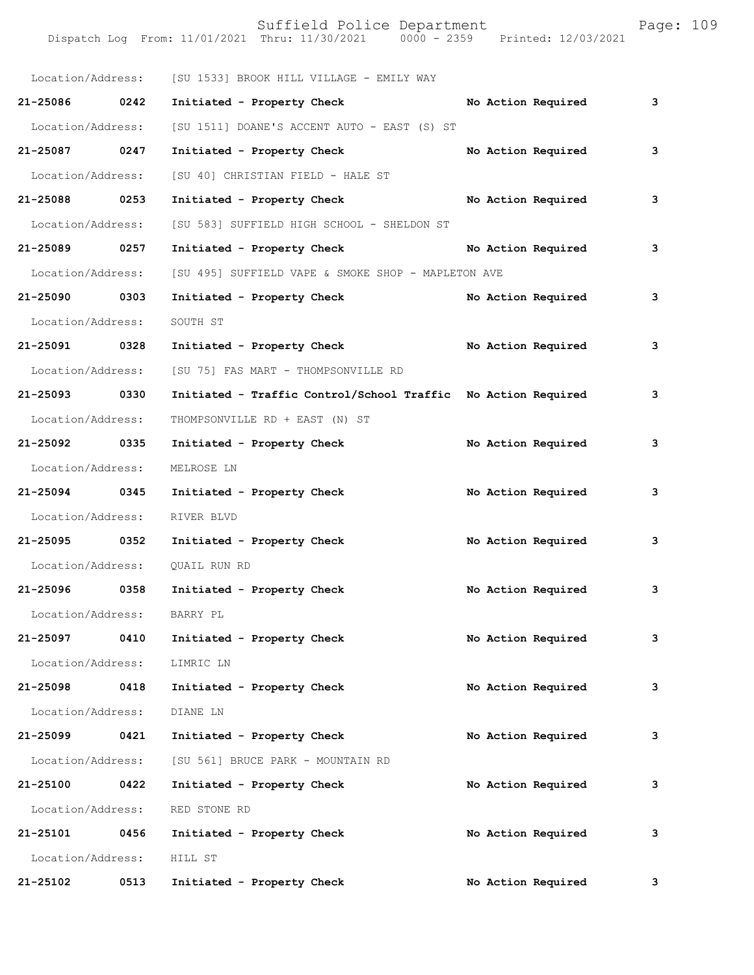Suffield Police Department Page: 109 Dispatch Log From: 11/01/2021 Thru: 11/30/2021 0000 - 2359 Printed: 12/03/2021 Location/Address: [SU 1533] BROOK HILL VILLAGE - EMILY WAY **21-25086 0242 Initiated - Property Check No Action Required 3** Location/Address: [SU 1511] DOANE'S ACCENT AUTO - EAST (S) ST **21-25087 0247 Initiated - Property Check No Action Required 3** Location/Address: [SU 40] CHRISTIAN FIELD - HALE ST **21-25088 0253 Initiated - Property Check No Action Required 3** Location/Address: [SU 583] SUFFIELD HIGH SCHOOL - SHELDON ST **21-25089 0257 Initiated - Property Check No Action Required 3** Location/Address: [SU 495] SUFFIELD VAPE & SMOKE SHOP - MAPLETON AVE **21-25090 0303 Initiated - Property Check No Action Required 3** Location/Address: SOUTH ST **21-25091 0328 Initiated - Property Check No Action Required 3** Location/Address: [SU 75] FAS MART - THOMPSONVILLE RD **21-25093 0330 Initiated - Traffic Control/School Traffic No Action Required 3** Location/Address: THOMPSONVILLE RD + EAST (N) ST 21-25092 0335 Initiated - Property Check No Action Required 3 Location/Address: MELROSE LN **21-25094 0345 Initiated - Property Check No Action Required 3** Location/Address: RIVER BLVD **21-25095 0352 Initiated - Property Check No Action Required 3** Location/Address: QUAIL RUN RD **21-25096 0358 Initiated - Property Check No Action Required 3** Location/Address: BARRY PL **21-25097 0410 Initiated - Property Check No Action Required 3** Location/Address: LIMRIC LN **21-25098 0418 Initiated - Property Check No Action Required 3** Location/Address: DIANE LN **21-25099 0421 Initiated - Property Check No Action Required 3** Location/Address: [SU 561] BRUCE PARK - MOUNTAIN RD **21-25100 0422 Initiated - Property Check No Action Required 3** Location/Address: RED STONE RD **21-25101 0456 Initiated - Property Check No Action Required 3** Location/Address: HILL ST **21-25102 0513 Initiated - Property Check No Action Required 3**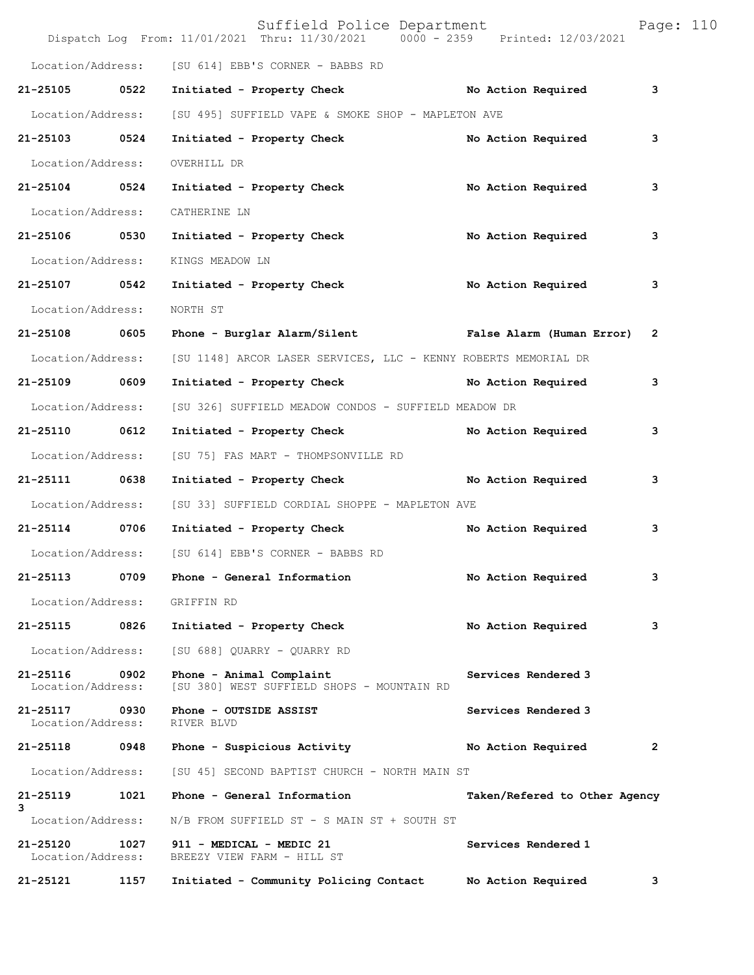|                               |      | Suffield Police Department<br>Dispatch Log From: 11/01/2021 Thru: 11/30/2021 | 0000 - 2359 Printed: 12/03/2021 | Page: 110      |
|-------------------------------|------|------------------------------------------------------------------------------|---------------------------------|----------------|
| Location/Address:             |      | [SU 614] EBB'S CORNER - BABBS RD                                             |                                 |                |
| 21-25105                      | 0522 | Initiated - Property Check No Action Required                                |                                 | 3              |
| Location/Address:             |      | [SU 495] SUFFIELD VAPE & SMOKE SHOP - MAPLETON AVE                           |                                 |                |
| 21-25103 0524                 |      | Initiated - Property Check                                                   | No Action Required              | 3              |
| Location/Address:             |      | OVERHILL DR                                                                  |                                 |                |
| 21-25104 0524                 |      | Initiated - Property Check                                                   | No Action Required              | 3              |
| Location/Address:             |      | CATHERINE LN                                                                 |                                 |                |
| 21-25106                      | 0530 | Initiated - Property Check                                                   | No Action Required              | 3              |
| Location/Address:             |      | KINGS MEADOW LN                                                              |                                 |                |
| 21-25107 0542                 |      | Initiated - Property Check                                                   | No Action Required              | 3              |
| Location/Address:             |      | NORTH ST                                                                     |                                 |                |
| 21-25108                      | 0605 | Phone - Burglar Alarm/Silent False Alarm (Human Error)                       |                                 | $\overline{2}$ |
| Location/Address:             |      | [SU 1148] ARCOR LASER SERVICES, LLC - KENNY ROBERTS MEMORIAL DR              |                                 |                |
| 21-25109                      | 0609 | Initiated - Property Check                                                   | No Action Required              | 3              |
| Location/Address:             |      | [SU 326] SUFFIELD MEADOW CONDOS - SUFFIELD MEADOW DR                         |                                 |                |
| 21-25110 0612                 |      | Initiated - Property Check                                                   | No Action Required              | 3              |
| Location/Address:             |      | [SU 75] FAS MART - THOMPSONVILLE RD                                          |                                 |                |
| 21-25111                      | 0638 | Initiated - Property Check No Action Required                                |                                 | 3              |
| Location/Address:             |      | [SU 33] SUFFIELD CORDIAL SHOPPE - MAPLETON AVE                               |                                 |                |
| 21-25114                      | 0706 | Initiated - Property Check                                                   | No Action Required              | 3              |
| Location/Address:             |      | [SU 614] EBB'S CORNER - BABBS RD                                             |                                 |                |
| 21-25113                      | 0709 | Phone - General Information                                                  | No Action Required              | з              |
| Location/Address:             |      | GRIFFIN RD                                                                   |                                 |                |
| 21-25115                      | 0826 | Initiated - Property Check                                                   | No Action Required              | 3              |
| Location/Address:             |      | [SU 688] QUARRY - QUARRY RD                                                  |                                 |                |
| 21-25116<br>Location/Address: | 0902 | Phone - Animal Complaint<br>[SU 380] WEST SUFFIELD SHOPS - MOUNTAIN RD       | Services Rendered 3             |                |
| 21-25117<br>Location/Address: | 0930 | Phone - OUTSIDE ASSIST<br>RIVER BLVD                                         | Services Rendered 3             |                |
| 21-25118                      | 0948 | Phone - Suspicious Activity                                                  | No Action Required              | 2              |
| Location/Address:             |      | [SU 45] SECOND BAPTIST CHURCH - NORTH MAIN ST                                |                                 |                |
| 21-25119<br>3                 | 1021 | Phone - General Information                                                  | Taken/Refered to Other Agency   |                |
| Location/Address:             |      | N/B FROM SUFFIELD ST - S MAIN ST + SOUTH ST                                  |                                 |                |
| 21-25120<br>Location/Address: | 1027 | 911 - MEDICAL - MEDIC 21<br>BREEZY VIEW FARM - HILL ST                       | Services Rendered 1             |                |
| 21-25121                      | 1157 | Initiated - Community Policing Contact                                       | No Action Required              | 3              |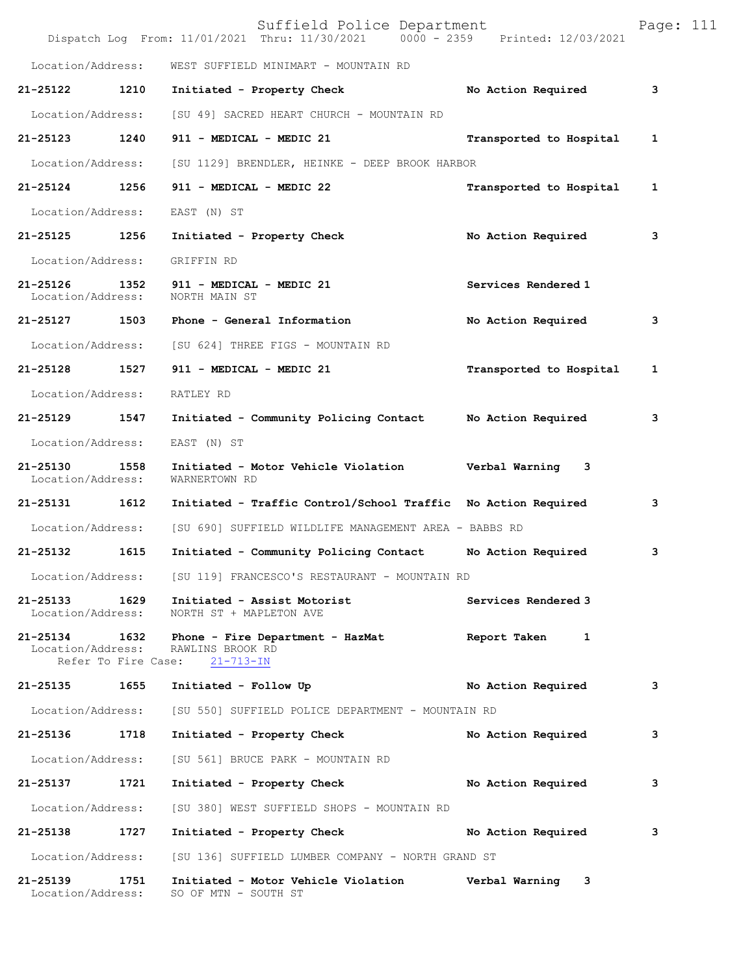|                               |      | Suffield Police Department<br>Dispatch Log From: 11/01/2021 Thru: 11/30/2021 0000 - 2359 Printed: 12/03/2021                         |                         | Page: 111 |  |
|-------------------------------|------|--------------------------------------------------------------------------------------------------------------------------------------|-------------------------|-----------|--|
| Location/Address:             |      | WEST SUFFIELD MINIMART - MOUNTAIN RD                                                                                                 |                         |           |  |
| 21-25122                      | 1210 | Initiated - Property Check                                                                                                           | No Action Required      | 3         |  |
| Location/Address:             |      | [SU 49] SACRED HEART CHURCH - MOUNTAIN RD                                                                                            |                         |           |  |
| 21-25123                      | 1240 | 911 - MEDICAL - MEDIC 21                                                                                                             | Transported to Hospital | 1         |  |
| Location/Address:             |      | [SU 1129] BRENDLER, HEINKE - DEEP BROOK HARBOR                                                                                       |                         |           |  |
| 21-25124 1256                 |      | 911 - MEDICAL - MEDIC 22                                                                                                             | Transported to Hospital | 1         |  |
| Location/Address:             |      | EAST (N) ST                                                                                                                          |                         |           |  |
| 21-25125 1256                 |      | Initiated - Property Check                                                                                                           | No Action Required      | 3         |  |
| Location/Address:             |      | GRIFFIN RD                                                                                                                           |                         |           |  |
| 21-25126<br>Location/Address: | 1352 | 911 - MEDICAL - MEDIC 21<br>NORTH MAIN ST                                                                                            | Services Rendered 1     |           |  |
| 21-25127 1503                 |      | Phone - General Information                                                                                                          | No Action Required      | 3         |  |
| Location/Address:             |      | [SU 624] THREE FIGS - MOUNTAIN RD                                                                                                    |                         |           |  |
| 21-25128 1527                 |      | 911 - MEDICAL - MEDIC 21                                                                                                             | Transported to Hospital | 1         |  |
| Location/Address:             |      | RATLEY RD                                                                                                                            |                         |           |  |
| 21-25129                      | 1547 | Initiated - Community Policing Contact Mo Action Required                                                                            |                         | 3         |  |
| Location/Address:             |      | EAST (N) ST                                                                                                                          |                         |           |  |
| 21-25130<br>Location/Address: | 1558 | Initiated - Motor Vehicle Violation<br>WARNERTOWN RD                                                                                 | Verbal Warning 3        |           |  |
| 21-25131 1612                 |      | Initiated - Traffic Control/School Traffic No Action Required                                                                        |                         | 3         |  |
| Location/Address:             |      | [SU 690] SUFFIELD WILDLIFE MANAGEMENT AREA - BABBS RD                                                                                |                         |           |  |
| 21-25132                      | 1615 | Initiated - Community Policing Contact No Action Required                                                                            |                         | 3         |  |
| Location/Address:             |      | [SU 119] FRANCESCO'S RESTAURANT - MOUNTAIN RD                                                                                        |                         |           |  |
| 21-25133 1629                 |      | Initiated - Assist Motorist<br>Location/Address: NORTH ST + MAPLETON AVE                                                             | Services Rendered 3     |           |  |
|                               |      | 21-25134 1632 Phone - Fire Department - HazMat Report Taken 1<br>Location/Address: RAWLINS BROOK RD<br>Refer To Fire Case: 21-713-IN |                         |           |  |
|                               |      | 21-25135 1655 Initiated - Follow Up                                                                                                  | No Action Required      | 3         |  |
|                               |      | Location/Address: [SU 550] SUFFIELD POLICE DEPARTMENT - MOUNTAIN RD                                                                  |                         |           |  |
| 21-25136                      | 1718 | Initiated - Property Check                                                                                                           | No Action Required      | 3         |  |
|                               |      | Location/Address: [SU 561] BRUCE PARK - MOUNTAIN RD                                                                                  |                         |           |  |
| 21-25137 1721                 |      | Initiated - Property Check                                                                                                           | No Action Required      | з         |  |
| Location/Address:             |      | [SU 380] WEST SUFFIELD SHOPS - MOUNTAIN RD                                                                                           |                         |           |  |
| 21-25138 1727                 |      | Initiated - Property Check No Action Required                                                                                        |                         | 3         |  |
|                               |      | Location/Address: [SU 136] SUFFIELD LUMBER COMPANY - NORTH GRAND ST                                                                  |                         |           |  |
| 21-25139<br>Location/Address: | 1751 | Initiated - Motor Vehicle Violation Verbal Warning 3<br>SO OF MTN - SOUTH ST                                                         |                         |           |  |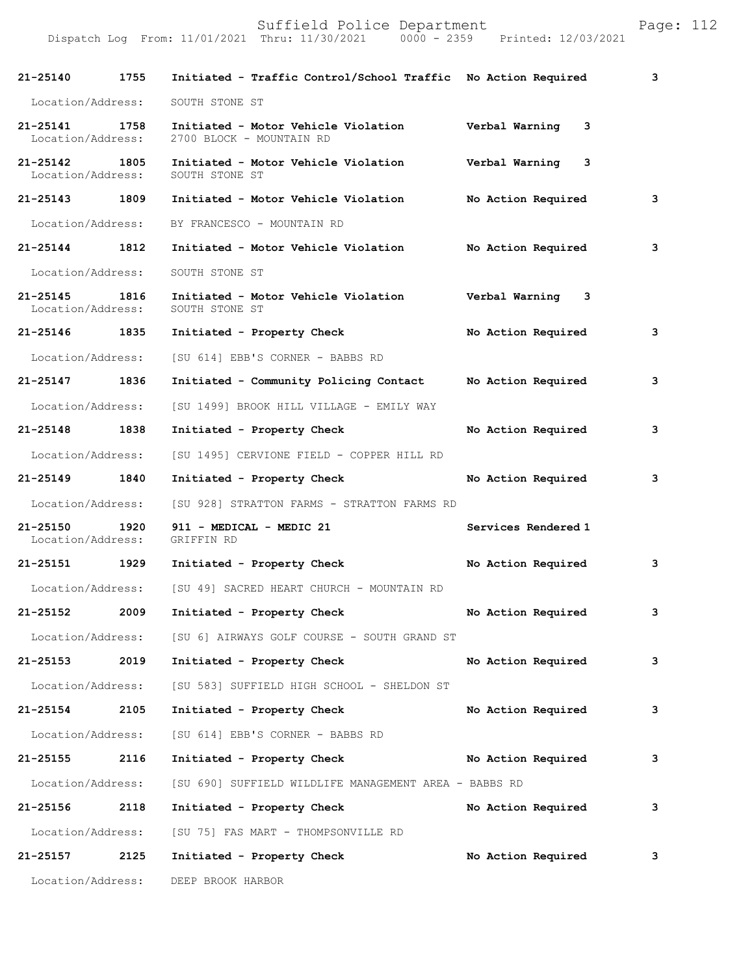| 21-25140                          | 1755 | Initiated - Traffic Control/School Traffic No Action Required   |                     | 3 |
|-----------------------------------|------|-----------------------------------------------------------------|---------------------|---|
| Location/Address:                 |      | SOUTH STONE ST                                                  |                     |   |
| 21-25141<br>Location/Address:     | 1758 | Initiated - Motor Vehicle Violation<br>2700 BLOCK - MOUNTAIN RD | Verbal Warning<br>3 |   |
| 21-25142<br>Location/Address:     | 1805 | Initiated - Motor Vehicle Violation<br>SOUTH STONE ST           | Verbal Warning<br>3 |   |
| 21-25143 1809                     |      | Initiated - Motor Vehicle Violation                             | No Action Required  | 3 |
|                                   |      | Location/Address: BY FRANCESCO - MOUNTAIN RD                    |                     |   |
| 21-25144 1812                     |      | Initiated - Motor Vehicle Violation                             | No Action Required  | 3 |
| Location/Address:                 |      | SOUTH STONE ST                                                  |                     |   |
| $21 - 25145$<br>Location/Address: | 1816 | Initiated - Motor Vehicle Violation<br>SOUTH STONE ST           | Verbal Warning 3    |   |
| 21-25146 1835                     |      | Initiated - Property Check                                      | No Action Required  | 3 |
| Location/Address:                 |      | [SU 614] EBB'S CORNER - BABBS RD                                |                     |   |
| 21-25147 1836                     |      | Initiated - Community Policing Contact                          | No Action Required  | 3 |
| Location/Address:                 |      | [SU 1499] BROOK HILL VILLAGE - EMILY WAY                        |                     |   |
| 21-25148 1838                     |      | Initiated - Property Check                                      | No Action Required  | 3 |
| Location/Address:                 |      | [SU 1495] CERVIONE FIELD - COPPER HILL RD                       |                     |   |
| 21-25149 1840                     |      | Initiated - Property Check                                      | No Action Required  | 3 |
| Location/Address:                 |      | [SU 928] STRATTON FARMS - STRATTON FARMS RD                     |                     |   |
| 21-25150<br>Location/Address:     | 1920 | 911 - MEDICAL - MEDIC 21<br>GRIFFIN RD                          | Services Rendered 1 |   |
| 21-25151 1929                     |      | Initiated - Property Check                                      | No Action Required  | 3 |
| Location/Address:                 |      | [SU 49] SACRED HEART CHURCH - MOUNTAIN RD                       |                     |   |
| 21-25152                          | 2009 | Initiated - Property Check                                      | No Action Required  | 3 |
| Location/Address:                 |      | [SU 6] AIRWAYS GOLF COURSE - SOUTH GRAND ST                     |                     |   |
| 21-25153                          | 2019 | Initiated - Property Check                                      | No Action Required  | 3 |
| Location/Address:                 |      | [SU 583] SUFFIELD HIGH SCHOOL - SHELDON ST                      |                     |   |
| 21-25154 2105                     |      | Initiated - Property Check                                      | No Action Required  | 3 |
| Location/Address:                 |      | [SU 614] EBB'S CORNER - BABBS RD                                |                     |   |
| 21-25155                          | 2116 | Initiated - Property Check                                      | No Action Required  | 3 |
| Location/Address:                 |      | [SU 690] SUFFIELD WILDLIFE MANAGEMENT AREA - BABBS RD           |                     |   |
| 21-25156                          | 2118 | Initiated - Property Check                                      | No Action Required  | 3 |
| Location/Address:                 |      | [SU 75] FAS MART - THOMPSONVILLE RD                             |                     |   |
| 21-25157                          | 2125 | Initiated - Property Check                                      | No Action Required  | 3 |
| Location/Address:                 |      | DEEP BROOK HARBOR                                               |                     |   |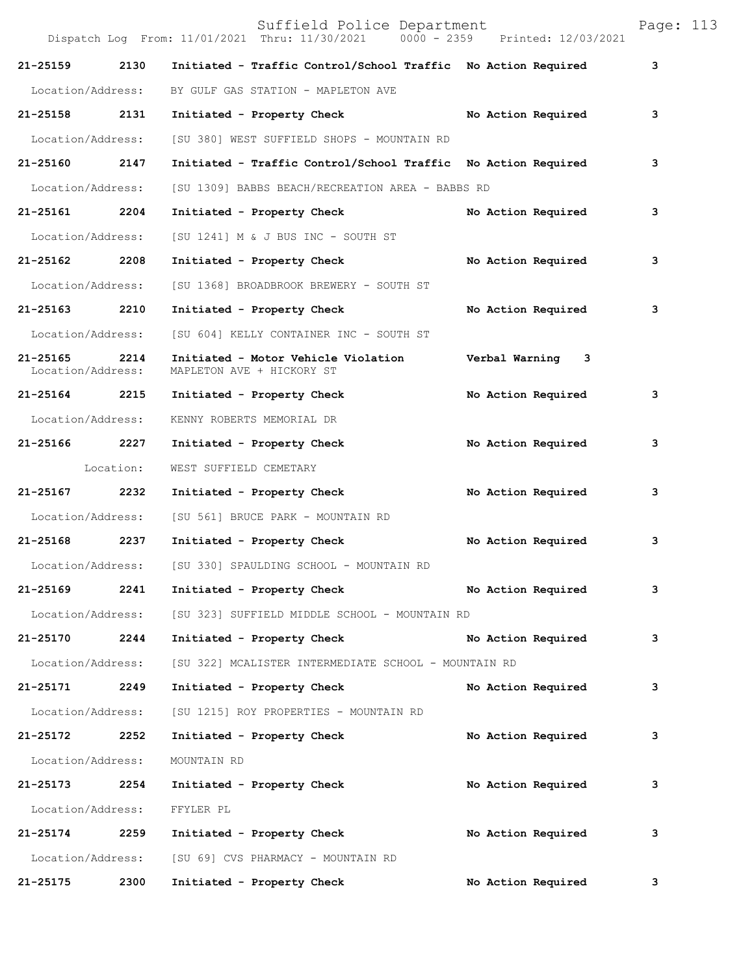|                               |           | Suffield Police Department<br>Dispatch Log From: 11/01/2021 Thru: 11/30/2021 0000 - 2359 Printed: 12/03/2021 |                    | Page: 113 |  |
|-------------------------------|-----------|--------------------------------------------------------------------------------------------------------------|--------------------|-----------|--|
| 21-25159                      | 2130      | Initiated - Traffic Control/School Traffic No Action Required                                                |                    | 3         |  |
| Location/Address:             |           | BY GULF GAS STATION - MAPLETON AVE                                                                           |                    |           |  |
| 21-25158 2131                 |           | Initiated - Property Check                                                                                   | No Action Required | 3         |  |
| Location/Address:             |           | [SU 380] WEST SUFFIELD SHOPS - MOUNTAIN RD                                                                   |                    |           |  |
| 21-25160                      | 2147      | Initiated - Traffic Control/School Traffic No Action Required                                                |                    | 3         |  |
| Location/Address:             |           | [SU 1309] BABBS BEACH/RECREATION AREA - BABBS RD                                                             |                    |           |  |
| 21-25161 2204                 |           | Initiated - Property Check                                                                                   | No Action Required | 3         |  |
| Location/Address:             |           | [SU 1241] M & J BUS INC - SOUTH ST                                                                           |                    |           |  |
| 21-25162 2208                 |           | Initiated - Property Check                                                                                   | No Action Required | 3         |  |
| Location/Address:             |           | [SU 1368] BROADBROOK BREWERY - SOUTH ST                                                                      |                    |           |  |
| 21-25163 2210                 |           | Initiated - Property Check                                                                                   | No Action Required | 3         |  |
| Location/Address:             |           | [SU 604] KELLY CONTAINER INC - SOUTH ST                                                                      |                    |           |  |
| 21-25165<br>Location/Address: | 2214      | Initiated - Motor Vehicle Violation<br>MAPLETON AVE + HICKORY ST                                             | Verbal Warning 3   |           |  |
| 21-25164 2215                 |           | Initiated - Property Check                                                                                   | No Action Required | 3         |  |
| Location/Address:             |           | KENNY ROBERTS MEMORIAL DR                                                                                    |                    |           |  |
| 21-25166                      | 2227      | Initiated - Property Check                                                                                   | No Action Required | 3         |  |
|                               | Location: | WEST SUFFIELD CEMETARY                                                                                       |                    |           |  |
| 21-25167 2232                 |           | Initiated - Property Check                                                                                   | No Action Required | 3         |  |
| Location/Address:             |           | [SU 561] BRUCE PARK - MOUNTAIN RD                                                                            |                    |           |  |
| 21-25168 2237                 |           | Initiated - Property Check                                                                                   | No Action Required | 3         |  |
|                               |           | Location/Address: [SU 330] SPAULDING SCHOOL - MOUNTAIN RD                                                    |                    |           |  |
| 21-25169 2241                 |           | Initiated - Property Check No Action Required                                                                |                    | 3         |  |
|                               |           | Location/Address: [SU 323] SUFFIELD MIDDLE SCHOOL - MOUNTAIN RD                                              |                    |           |  |
|                               |           | 21-25170 2244 Initiated - Property Check No Action Required                                                  |                    | 3         |  |
| Location/Address:             |           | [SU 322] MCALISTER INTERMEDIATE SCHOOL - MOUNTAIN RD                                                         |                    |           |  |
| 21-25171 2249                 |           | Initiated - Property Check                                                                                   | No Action Required | 3         |  |
| Location/Address:             |           | [SU 1215] ROY PROPERTIES - MOUNTAIN RD                                                                       |                    |           |  |
| 21-25172 2252                 |           | Initiated - Property Check No Action Required                                                                |                    | 3         |  |
| Location/Address:             |           | MOUNTAIN RD                                                                                                  |                    |           |  |
| 21-25173 2254                 |           | Initiated - Property Check                                                                                   | No Action Required | 3         |  |
| Location/Address:             |           | FFYLER PL                                                                                                    |                    |           |  |
|                               |           | 21-25174 2259 Initiated - Property Check No Action Required                                                  |                    | 3         |  |
|                               |           | Location/Address: [SU 69] CVS PHARMACY - MOUNTAIN RD                                                         |                    |           |  |
| 21-25175 2300                 |           | Initiated - Property Check                                                                                   | No Action Required | 3         |  |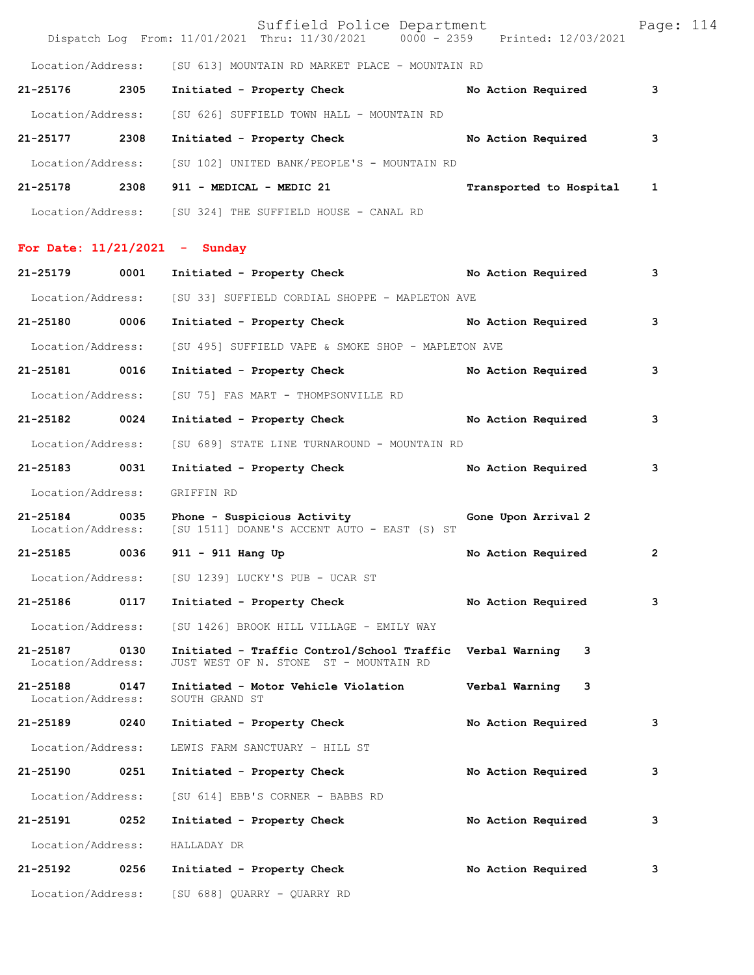|                               |      | Suffield Police Department<br>Dispatch Log From: 11/01/2021 Thru: 11/30/2021 0000 - 2359 Printed: 12/03/2021 |                         | Page: 114 |
|-------------------------------|------|--------------------------------------------------------------------------------------------------------------|-------------------------|-----------|
|                               |      | Location/Address: [SU 613] MOUNTAIN RD MARKET PLACE - MOUNTAIN RD                                            |                         |           |
| 21-25176                      | 2305 | Initiated - Property Check                                                                                   | No Action Required      | 3         |
| Location/Address:             |      | [SU 626] SUFFIELD TOWN HALL - MOUNTAIN RD                                                                    |                         |           |
| 21-25177 2308                 |      | Initiated - Property Check                                                                                   | No Action Required      | 3         |
| Location/Address:             |      | [SU 102] UNITED BANK/PEOPLE'S - MOUNTAIN RD                                                                  |                         |           |
|                               |      | 21-25178 2308 911 - MEDICAL - MEDIC 21                                                                       | Transported to Hospital | 1         |
|                               |      | Location/Address: [SU 324] THE SUFFIELD HOUSE - CANAL RD                                                     |                         |           |
|                               |      | For Date: $11/21/2021$ - Sunday                                                                              |                         |           |
| 21-25179                      | 0001 | Initiated - Property Check                                                                                   | No Action Required      | з         |
| Location/Address:             |      | [SU 33] SUFFIELD CORDIAL SHOPPE - MAPLETON AVE                                                               |                         |           |
| 21-25180 0006                 |      | Initiated - Property Check No Action Required                                                                |                         | 3         |
| Location/Address:             |      | [SU 495] SUFFIELD VAPE & SMOKE SHOP - MAPLETON AVE                                                           |                         |           |
| 21-25181 0016                 |      | Initiated - Property Check No Action Required                                                                |                         | з         |
| Location/Address:             |      | [SU 75] FAS MART - THOMPSONVILLE RD                                                                          |                         |           |
| 21-25182 0024                 |      | Initiated - Property Check No Action Required                                                                |                         | з         |
| Location/Address:             |      | [SU 689] STATE LINE TURNAROUND - MOUNTAIN RD                                                                 |                         |           |
| 21-25183 0031                 |      | Initiated - Property Check                                                                                   | No Action Required      | 3         |
| Location/Address:             |      | GRIFFIN RD                                                                                                   |                         |           |
| 21-25184<br>Location/Address: | 0035 | Phone - Suspicious Activity<br>[SU 1511] DOANE'S ACCENT AUTO - EAST (S) ST                                   | Gone Upon Arrival 2     |           |
|                               |      | 21-25185 0036 911 - 911 Hang Up                                                                              | No Action Required      | 2         |
| Location/Address:             |      | [SU 1239] LUCKY'S PUB - UCAR ST                                                                              |                         |           |
| 21-25186                      | 0117 | Initiated - Property Check                                                                                   | No Action Required      | з         |
| Location/Address:             |      | [SU 1426] BROOK HILL VILLAGE - EMILY WAY                                                                     |                         |           |
| 21-25187<br>Location/Address: | 0130 | Initiated - Traffic Control/School Traffic<br>JUST WEST OF N. STONE ST - MOUNTAIN RD                         | Verbal Warning<br>3     |           |
| 21-25188<br>Location/Address: | 0147 | Initiated - Motor Vehicle Violation<br>SOUTH GRAND ST                                                        | Verbal Warning 3        |           |
| 21-25189                      | 0240 | Initiated - Property Check                                                                                   | No Action Required      | 3         |
| Location/Address:             |      | LEWIS FARM SANCTUARY - HILL ST                                                                               |                         |           |
| 21-25190                      | 0251 | Initiated - Property Check                                                                                   | No Action Required      | з         |
| Location/Address:             |      | [SU 614] EBB'S CORNER - BABBS RD                                                                             |                         |           |
| 21-25191                      | 0252 | Initiated - Property Check                                                                                   | No Action Required      | з         |
| Location/Address:             |      | HALLADAY DR                                                                                                  |                         |           |
| 21-25192                      | 0256 | Initiated - Property Check                                                                                   | No Action Required      | з         |
|                               |      | Location/Address: [SU 688] QUARRY - QUARRY RD                                                                |                         |           |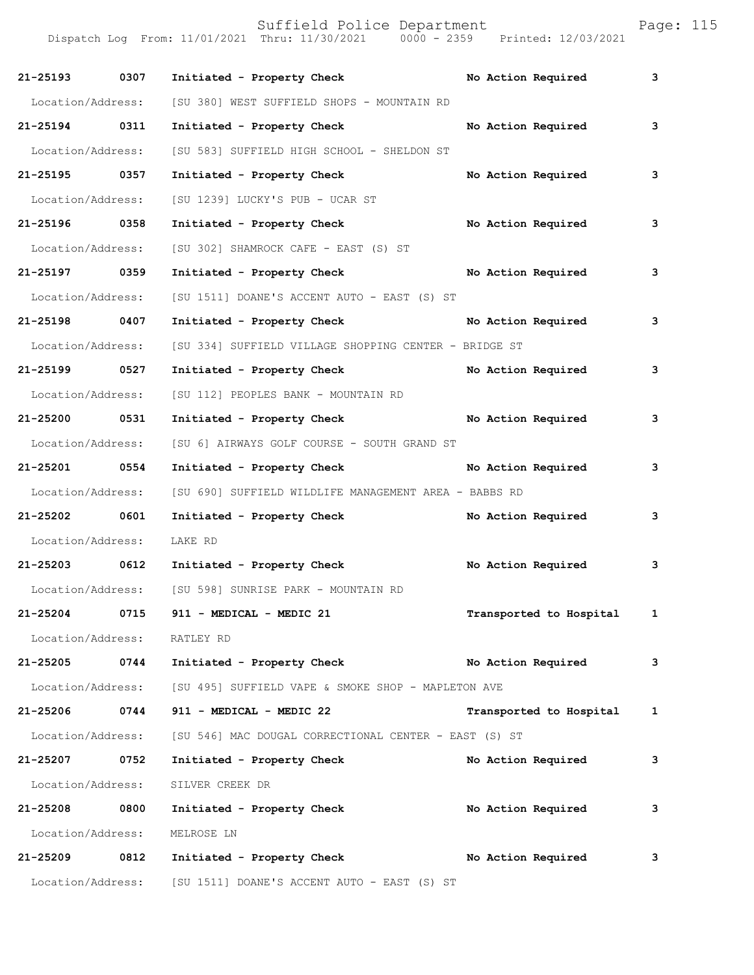| 21-25193 0307               | Initiated - Property Check                                              | No Action Required        | 3 |
|-----------------------------|-------------------------------------------------------------------------|---------------------------|---|
| Location/Address:           | [SU 380] WEST SUFFIELD SHOPS - MOUNTAIN RD                              |                           |   |
| 21-25194 0311               | Initiated - Property Check                                              | No Action Required        | 3 |
| Location/Address:           | [SU 583] SUFFIELD HIGH SCHOOL - SHELDON ST                              |                           |   |
| 21-25195 0357               | Initiated - Property Check                                              | No Action Required        | 3 |
| Location/Address:           | [SU 1239] LUCKY'S PUB - UCAR ST                                         |                           |   |
| 21-25196 0358               | Initiated - Property Check No Action Required                           |                           | 3 |
| Location/Address:           | [SU 302] SHAMROCK CAFE - EAST (S) ST                                    |                           |   |
| 21-25197 0359               | Initiated - Property Check No Action Required                           |                           | 3 |
| Location/Address:           | [SU 1511] DOANE'S ACCENT AUTO - EAST (S) ST                             |                           |   |
| 21-25198 0407               | Initiated - Property Check No Action Required                           |                           | 3 |
| Location/Address:           | [SU 334] SUFFIELD VILLAGE SHOPPING CENTER - BRIDGE ST                   |                           |   |
| 21-25199 0527               | Initiated - Property Check No Action Required                           |                           | 3 |
| Location/Address:           | [SU 112] PEOPLES BANK - MOUNTAIN RD                                     |                           |   |
| 21-25200 0531               | Initiated - Property Check No Action Required                           |                           | 3 |
| Location/Address:           | [SU 6] AIRWAYS GOLF COURSE - SOUTH GRAND ST                             |                           |   |
| 21-25201 0554               | Initiated - Property Check No Action Required                           |                           | 3 |
| Location/Address:           | [SU 690] SUFFIELD WILDLIFE MANAGEMENT AREA - BABBS RD                   |                           |   |
| 21-25202 0601               | Initiated - Property Check No Action Required                           |                           | 3 |
| Location/Address:           | LAKE RD                                                                 |                           |   |
|                             | 21-25203 0612 Initiated - Property Check No Action Required             |                           | 3 |
|                             | Location/Address: [SU 598] SUNRISE PARK - MOUNTAIN RD                   |                           |   |
| 21-25204 0715               | 911 - MEDICAL - MEDIC 21                                                | Transported to Hospital 1 |   |
| Location/Address: RATLEY RD |                                                                         |                           |   |
|                             | 21-25205 0744 Initiated - Property Check                                | No Action Required        | 3 |
|                             | Location/Address: [SU 495] SUFFIELD VAPE & SMOKE SHOP - MAPLETON AVE    |                           |   |
| 21-25206 0744               | 911 - MEDICAL - MEDIC 22                                                | Transported to Hospital 1 |   |
|                             | Location/Address: [SU 546] MAC DOUGAL CORRECTIONAL CENTER - EAST (S) ST |                           |   |
| 21-25207 0752               | Initiated - Property Check                                              | No Action Required        | 3 |
| Location/Address:           | SILVER CREEK DR                                                         |                           |   |
| 21-25208 0800               | Initiated - Property Check                                              | No Action Required        | 3 |
| Location/Address:           | MELROSE LN                                                              |                           |   |
| 21-25209 0812               | Initiated - Property Check                                              | No Action Required        | 3 |
| Location/Address:           | [SU 1511] DOANE'S ACCENT AUTO - EAST (S) ST                             |                           |   |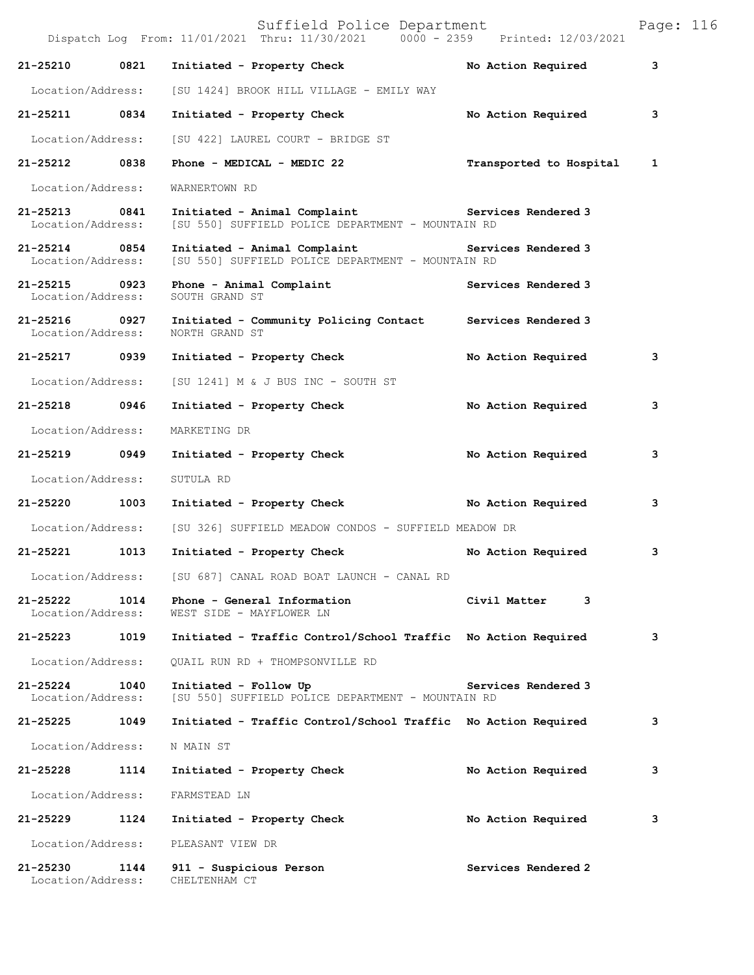|                                    |      | Suffield Police Department<br>Dispatch Log From: 11/01/2021 Thru: 11/30/2021 0000 - 2359 Printed: 12/03/2021           |                         | Page: 116    |  |
|------------------------------------|------|------------------------------------------------------------------------------------------------------------------------|-------------------------|--------------|--|
| 21-25210                           | 0821 | Initiated - Property Check                                                                                             | No Action Required      | 3            |  |
| Location/Address:                  |      | [SU 1424] BROOK HILL VILLAGE - EMILY WAY                                                                               |                         |              |  |
| 21-25211 0834                      |      | Initiated - Property Check                                                                                             | No Action Required      | 3            |  |
| Location/Address:                  |      | [SU 422] LAUREL COURT - BRIDGE ST                                                                                      |                         |              |  |
| 21-25212 0838                      |      | Phone - MEDICAL - MEDIC 22                                                                                             | Transported to Hospital | $\mathbf{1}$ |  |
| Location/Address:                  |      | WARNERTOWN RD                                                                                                          |                         |              |  |
| 21-25213 0841<br>Location/Address: |      | Initiated - Animal Complaint The Services Rendered 3<br>[SU 550] SUFFIELD POLICE DEPARTMENT - MOUNTAIN RD              |                         |              |  |
| 21-25214 0854<br>Location/Address: |      | Initiated - Animal Complaint <b>Example 2</b> Services Rendered 3<br>[SU 550] SUFFIELD POLICE DEPARTMENT - MOUNTAIN RD |                         |              |  |
| 21-25215 0923<br>Location/Address: |      | Phone - Animal Complaint<br>SOUTH GRAND ST                                                                             | Services Rendered 3     |              |  |
| 21-25216 0927<br>Location/Address: |      | Initiated - Community Policing Contact Services Rendered 3<br>NORTH GRAND ST                                           |                         |              |  |
| 21-25217 0939                      |      | Initiated - Property Check                                                                                             | No Action Required      | 3            |  |
| Location/Address:                  |      | [SU 1241] M & J BUS INC - SOUTH ST                                                                                     |                         |              |  |
| 21-25218 0946                      |      | Initiated - Property Check                                                                                             | No Action Required      | 3            |  |
| Location/Address:                  |      | MARKETING DR                                                                                                           |                         |              |  |
| 21-25219 0949                      |      | Initiated - Property Check                                                                                             | No Action Required      | з            |  |
| Location/Address:                  |      | SUTULA RD                                                                                                              |                         |              |  |
| 21-25220 1003                      |      | Initiated - Property Check No Action Required                                                                          |                         | 3            |  |
| Location/Address:                  |      | [SU 326] SUFFIELD MEADOW CONDOS - SUFFIELD MEADOW DR                                                                   |                         |              |  |
| 21-25221                           | 1013 | Initiated - Property Check                                                                                             | No Action Required      | 3            |  |
| Location/Address:                  |      | [SU 687] CANAL ROAD BOAT LAUNCH - CANAL RD                                                                             |                         |              |  |
| 21-25222<br>Location/Address:      | 1014 | Phone - General Information<br>WEST SIDE - MAYFLOWER LN                                                                | Civil Matter<br>3       |              |  |
| 21-25223                           | 1019 | Initiated - Traffic Control/School Traffic No Action Required                                                          |                         | 3            |  |
| Location/Address:                  |      | QUAIL RUN RD + THOMPSONVILLE RD                                                                                        |                         |              |  |
| 21-25224<br>Location/Address:      | 1040 | Initiated - Follow Up<br>[SU 550] SUFFIELD POLICE DEPARTMENT - MOUNTAIN RD                                             | Services Rendered 3     |              |  |
| 21-25225                           | 1049 | Initiated - Traffic Control/School Traffic No Action Required                                                          |                         | 3            |  |
| Location/Address:                  |      | N MAIN ST                                                                                                              |                         |              |  |
| 21-25228                           | 1114 | Initiated - Property Check                                                                                             | No Action Required      | 3            |  |
| Location/Address:                  |      | FARMSTEAD LN                                                                                                           |                         |              |  |
| 21-25229                           | 1124 | Initiated - Property Check                                                                                             | No Action Required      | 3            |  |
| Location/Address:                  |      | PLEASANT VIEW DR                                                                                                       |                         |              |  |
| 21-25230<br>Location/Address:      | 1144 | 911 - Suspicious Person<br>CHELTENHAM CT                                                                               | Services Rendered 2     |              |  |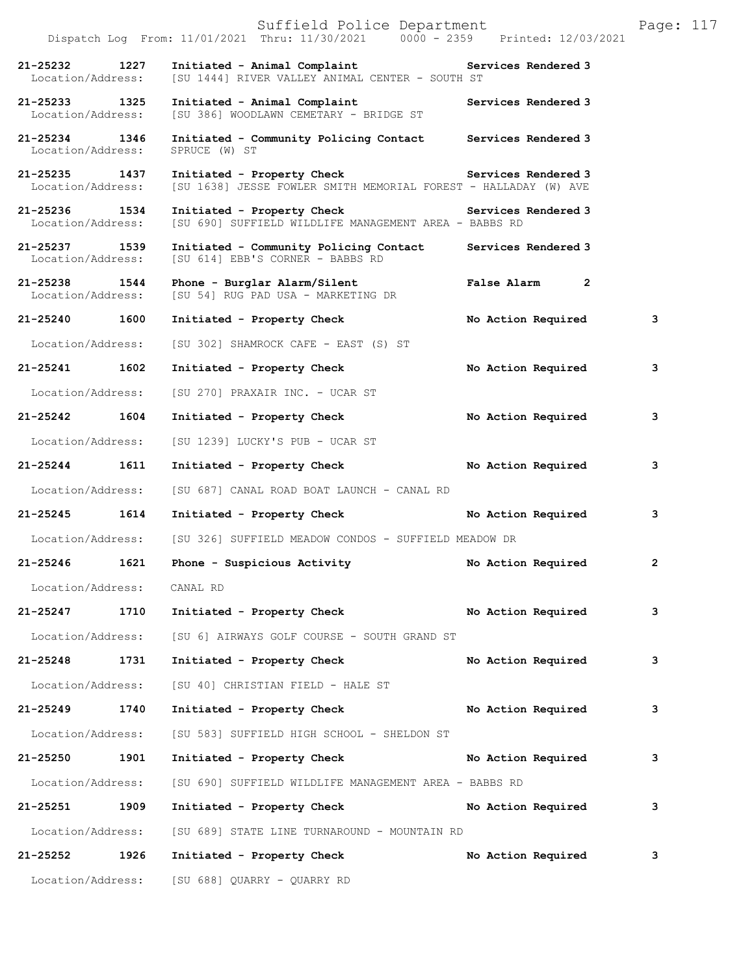|                                    |      | Suffield Police Department<br>Dispatch Log From: 11/01/2021 Thru: 11/30/2021 0000 - 2359 Printed: 12/03/2021         |                     | Page: 117      |  |
|------------------------------------|------|----------------------------------------------------------------------------------------------------------------------|---------------------|----------------|--|
| 21-25232<br>Location/Address:      | 1227 | Initiated - Animal Complaint <b>Example 2</b> Services Rendered 3<br>[SU 1444] RIVER VALLEY ANIMAL CENTER - SOUTH ST |                     |                |  |
| 21-25233 1325<br>Location/Address: |      | Initiated - Animal Complaint<br>[SU 386] WOODLAWN CEMETARY - BRIDGE ST                                               | Services Rendered 3 |                |  |
| 21-25234 1346<br>Location/Address: |      | Initiated - Community Policing Contact Services Rendered 3<br>SPRUCE (W) ST                                          |                     |                |  |
| 21-25235 1437<br>Location/Address: |      | Initiated - Property Check Services Rendered 3<br>[SU 1638] JESSE FOWLER SMITH MEMORIAL FOREST - HALLADAY (W) AVE    |                     |                |  |
| 21-25236 1534<br>Location/Address: |      | Initiated - Property Check Services Rendered 3<br>[SU 690] SUFFIELD WILDLIFE MANAGEMENT AREA - BABBS RD              |                     |                |  |
| 21-25237 1539<br>Location/Address: |      | Initiated - Community Policing Contact<br>[SU 614] EBB'S CORNER - BABBS RD                                           | Services Rendered 3 |                |  |
| 21-25238 1544<br>Location/Address: |      | Phone - Burglar Alarm/Silent<br>[SU 54] RUG PAD USA - MARKETING DR                                                   | False Alarm 2       |                |  |
| 21-25240 1600                      |      | Initiated - Property Check                                                                                           | No Action Required  | 3              |  |
| Location/Address:                  |      | [SU 302] SHAMROCK CAFE - EAST (S) ST                                                                                 |                     |                |  |
| 21-25241 1602                      |      | Initiated - Property Check                                                                                           | No Action Required  | 3              |  |
| Location/Address:                  |      | [SU 270] PRAXAIR INC. - UCAR ST                                                                                      |                     |                |  |
| 21-25242                           | 1604 | Initiated - Property Check                                                                                           | No Action Required  | 3              |  |
| Location/Address:                  |      | [SU 1239] LUCKY'S PUB - UCAR ST                                                                                      |                     |                |  |
| 21-25244 1611                      |      | Initiated - Property Check                                                                                           | No Action Required  | 3              |  |
| Location/Address:                  |      | [SU 687] CANAL ROAD BOAT LAUNCH - CANAL RD                                                                           |                     |                |  |
| 21-25245 1614                      |      | Initiated - Property Check                                                                                           | No Action Required  | 3              |  |
| Location/Address:                  |      | [SU 326] SUFFIELD MEADOW CONDOS - SUFFIELD MEADOW DR                                                                 |                     |                |  |
| 21-25246                           | 1621 | Phone - Suspicious Activity                                                                                          | No Action Required  | $\overline{2}$ |  |
| Location/Address: CANAL RD         |      |                                                                                                                      |                     |                |  |
| 21-25247 1710                      |      | Initiated - Property Check                                                                                           | No Action Required  | 3              |  |
| Location/Address:                  |      | [SU 6] AIRWAYS GOLF COURSE - SOUTH GRAND ST                                                                          |                     |                |  |
| 21-25248                           | 1731 | Initiated - Property Check                                                                                           | No Action Required  | 3              |  |
| Location/Address:                  |      | [SU 40] CHRISTIAN FIELD - HALE ST                                                                                    |                     |                |  |
| 21-25249 1740                      |      | Initiated - Property Check                                                                                           | No Action Required  | 3              |  |
| Location/Address:                  |      | [SU 583] SUFFIELD HIGH SCHOOL - SHELDON ST                                                                           |                     |                |  |
| 21-25250 1901                      |      | Initiated - Property Check                                                                                           | No Action Required  | 3              |  |
| Location/Address:                  |      | [SU 690] SUFFIELD WILDLIFE MANAGEMENT AREA - BABBS RD                                                                |                     |                |  |
| 21-25251                           | 1909 | Initiated - Property Check No Action Required                                                                        |                     | 3              |  |
| Location/Address:                  |      | [SU 689] STATE LINE TURNAROUND - MOUNTAIN RD                                                                         |                     |                |  |
| 21-25252 1926                      |      | Initiated - Property Check                                                                                           | No Action Required  | 3              |  |
|                                    |      | Location/Address: [SU 688] QUARRY - QUARRY RD                                                                        |                     |                |  |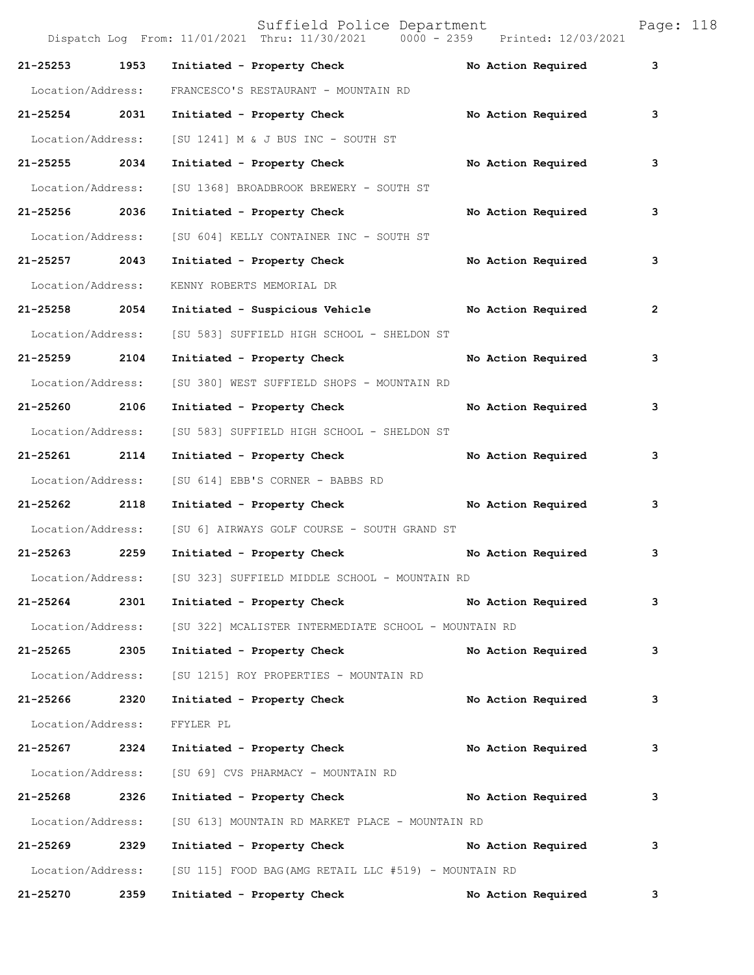Suffield Police Department Page: 118 Dispatch Log From: 11/01/2021 Thru: 11/30/2021 0000 - 2359 Printed: 12/03/2021 **21-25253 1953 Initiated - Property Check No Action Required 3** Location/Address: FRANCESCO'S RESTAURANT - MOUNTAIN RD **21-25254 2031 Initiated - Property Check No Action Required 3** Location/Address: [SU 1241] M & J BUS INC - SOUTH ST **21-25255 2034 Initiated - Property Check No Action Required 3** Location/Address: [SU 1368] BROADBROOK BREWERY - SOUTH ST **21-25256 2036 Initiated - Property Check No Action Required 3** Location/Address: [SU 604] KELLY CONTAINER INC - SOUTH ST **21-25257 2043 Initiated - Property Check No Action Required 3** Location/Address: KENNY ROBERTS MEMORIAL DR **21-25258 2054 Initiated - Suspicious Vehicle No Action Required 2** Location/Address: [SU 583] SUFFIELD HIGH SCHOOL - SHELDON ST **21-25259 2104 Initiated - Property Check No Action Required 3** Location/Address: [SU 380] WEST SUFFIELD SHOPS - MOUNTAIN RD **21-25260 2106 Initiated - Property Check No Action Required 3** Location/Address: [SU 583] SUFFIELD HIGH SCHOOL - SHELDON ST **21-25261 2114 Initiated - Property Check No Action Required 3** Location/Address: [SU 614] EBB'S CORNER - BABBS RD **21-25262 2118 Initiated - Property Check No Action Required 3** Location/Address: [SU 6] AIRWAYS GOLF COURSE - SOUTH GRAND ST **21-25263 2259 Initiated - Property Check No Action Required 3** Location/Address: [SU 323] SUFFIELD MIDDLE SCHOOL - MOUNTAIN RD **21-25264 2301 Initiated - Property Check No Action Required 3** Location/Address: [SU 322] MCALISTER INTERMEDIATE SCHOOL - MOUNTAIN RD **21-25265 2305 Initiated - Property Check No Action Required 3** Location/Address: [SU 1215] ROY PROPERTIES - MOUNTAIN RD **21-25266 2320 Initiated - Property Check No Action Required 3** Location/Address: FFYLER PL **21-25267 2324 Initiated - Property Check No Action Required 3** Location/Address: [SU 69] CVS PHARMACY - MOUNTAIN RD **21-25268 2326 Initiated - Property Check No Action Required 3** Location/Address: [SU 613] MOUNTAIN RD MARKET PLACE - MOUNTAIN RD **21-25269 2329 Initiated - Property Check No Action Required 3** Location/Address: [SU 115] FOOD BAG(AMG RETAIL LLC #519) - MOUNTAIN RD **21-25270 2359 Initiated - Property Check No Action Required 3**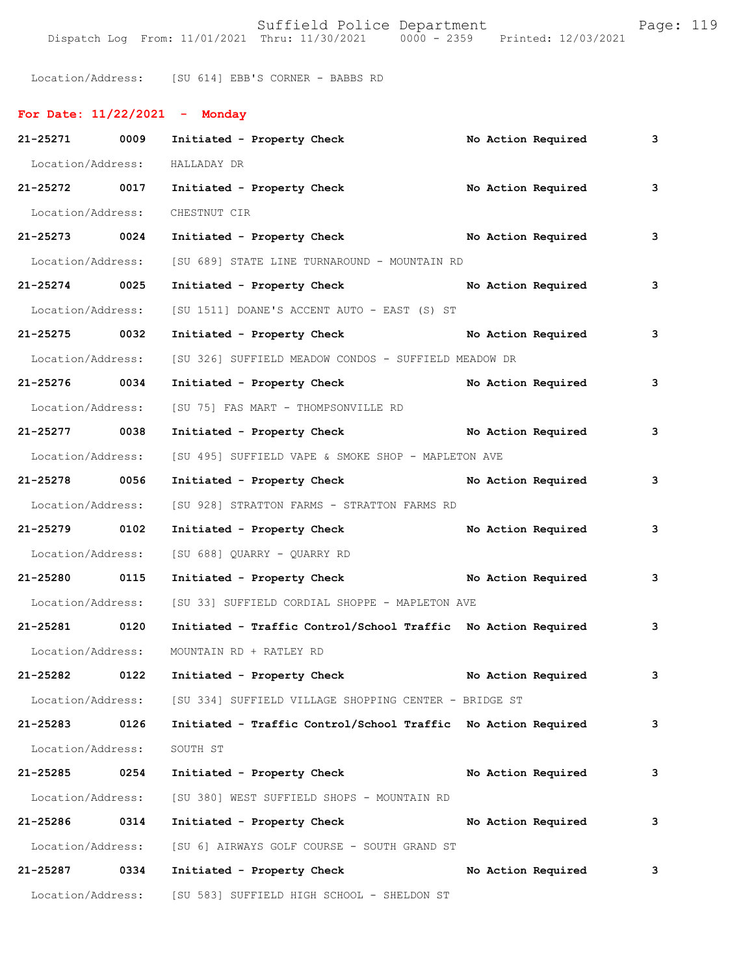Suffield Police Department Page: 119 Dispatch Log From: 11/01/2021 Thru: 11/30/2021 0000 - 2359 Printed: 12/03/2021

Location/Address: [SU 614] EBB'S CORNER - BABBS RD

| For Date: $11/22/2021$ - Monday |      |                                                               |  |                    |   |
|---------------------------------|------|---------------------------------------------------------------|--|--------------------|---|
| 21-25271 0009                   |      | Initiated - Property Check                                    |  | No Action Required | 3 |
| Location/Address:               |      | HALLADAY DR                                                   |  |                    |   |
| 21-25272 0017                   |      | No Action Required<br>Initiated - Property Check              |  |                    | 3 |
| Location/Address:               |      | CHESTNUT CIR                                                  |  |                    |   |
| 21-25273 0024                   |      | Initiated - Property Check No Action Required                 |  |                    | 3 |
| Location/Address:               |      | [SU 689] STATE LINE TURNAROUND - MOUNTAIN RD                  |  |                    |   |
| 21-25274 0025                   |      | Initiated - Property Check No Action Required                 |  |                    | 3 |
| Location/Address:               |      | [SU 1511] DOANE'S ACCENT AUTO - EAST (S) ST                   |  |                    |   |
| 21-25275 0032                   |      | Initiated - Property Check No Action Required                 |  |                    | 3 |
| Location/Address:               |      | [SU 326] SUFFIELD MEADOW CONDOS - SUFFIELD MEADOW DR          |  |                    |   |
| 21-25276 0034                   |      | Initiated - Property Check No Action Required                 |  |                    | 3 |
| Location/Address:               |      | [SU 75] FAS MART - THOMPSONVILLE RD                           |  |                    |   |
| 21-25277 0038                   |      | Initiated - Property Check No Action Required                 |  |                    | 3 |
| Location/Address:               |      | [SU 495] SUFFIELD VAPE & SMOKE SHOP - MAPLETON AVE            |  |                    |   |
| 21-25278 0056                   |      | Initiated - Property Check No Action Required                 |  |                    | 3 |
| Location/Address:               |      | [SU 928] STRATTON FARMS - STRATTON FARMS RD                   |  |                    |   |
| 21-25279 0102                   |      | Initiated - Property Check                                    |  | No Action Required | 3 |
| Location/Address:               |      | [SU 688] QUARRY - QUARRY RD                                   |  |                    |   |
| 21-25280 0115                   |      | Initiated - Property Check No Action Required                 |  |                    | 3 |
| Location/Address:               |      | [SU 33] SUFFIELD CORDIAL SHOPPE - MAPLETON AVE                |  |                    |   |
| 21-25281 0120                   |      | Initiated - Traffic Control/School Traffic No Action Required |  |                    | 3 |
| Location/Address:               |      | MOUNTAIN RD + RATLEY RD                                       |  |                    |   |
| 21-25282                        | 0122 | Initiated - Property Check No Action Required                 |  |                    | 3 |
| Location/Address:               |      | [SU 334] SUFFIELD VILLAGE SHOPPING CENTER - BRIDGE ST         |  |                    |   |
| 21-25283                        | 0126 | Initiated - Traffic Control/School Traffic No Action Required |  |                    | 3 |
| Location/Address:               |      | SOUTH ST                                                      |  |                    |   |
| 21-25285 0254                   |      | Initiated - Property Check                                    |  | No Action Required | 3 |
| Location/Address:               |      | [SU 380] WEST SUFFIELD SHOPS - MOUNTAIN RD                    |  |                    |   |
| 21-25286                        | 0314 | Initiated - Property Check                                    |  | No Action Required | 3 |
| Location/Address:               |      | [SU 6] AIRWAYS GOLF COURSE - SOUTH GRAND ST                   |  |                    |   |
| 21-25287                        | 0334 | Initiated - Property Check                                    |  | No Action Required | 3 |
| Location/Address:               |      | [SU 583] SUFFIELD HIGH SCHOOL - SHELDON ST                    |  |                    |   |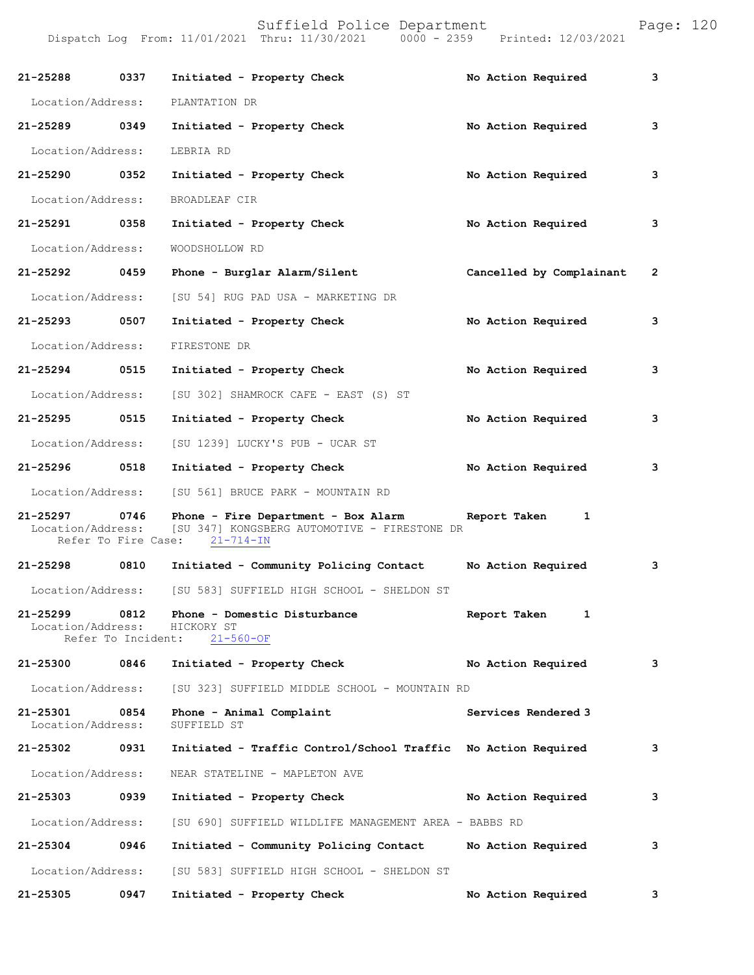| 21-25288                      | 0337 | Initiated - Property Check                                                                                                        | No Action Required       | 3            |
|-------------------------------|------|-----------------------------------------------------------------------------------------------------------------------------------|--------------------------|--------------|
| Location/Address:             |      | PLANTATION DR                                                                                                                     |                          |              |
| 21-25289 0349                 |      | Initiated - Property Check                                                                                                        | No Action Required       | 3            |
| Location/Address:             |      | LEBRIA RD                                                                                                                         |                          |              |
| 21-25290 0352                 |      | Initiated - Property Check                                                                                                        | No Action Required       | 3            |
| Location/Address:             |      | BROADLEAF CIR                                                                                                                     |                          |              |
| 21-25291 0358                 |      | Initiated - Property Check                                                                                                        | No Action Required       | 3            |
| Location/Address:             |      | WOODSHOLLOW RD                                                                                                                    |                          |              |
| 21-25292 0459                 |      | Phone - Burglar Alarm/Silent                                                                                                      | Cancelled by Complainant | $\mathbf{2}$ |
| Location/Address:             |      | [SU 54] RUG PAD USA - MARKETING DR                                                                                                |                          |              |
| 21-25293 0507                 |      | Initiated - Property Check                                                                                                        | No Action Required       | 3            |
| Location/Address:             |      | FIRESTONE DR                                                                                                                      |                          |              |
| 21-25294 0515                 |      | Initiated - Property Check                                                                                                        | No Action Required       | 3            |
| Location/Address:             |      | [SU 302] SHAMROCK CAFE - EAST (S) ST                                                                                              |                          |              |
| 21-25295 0515                 |      | Initiated - Property Check                                                                                                        | No Action Required       | 3            |
| Location/Address:             |      | [SU 1239] LUCKY'S PUB - UCAR ST                                                                                                   |                          |              |
| 21-25296 0518                 |      | Initiated - Property Check                                                                                                        | No Action Required       | 3            |
| Location/Address:             |      | [SU 561] BRUCE PARK - MOUNTAIN RD                                                                                                 |                          |              |
| 21-25297<br>Location/Address: | 0746 | Phone - Fire Department - Box Alarm Report Taken<br>[SU 347] KONGSBERG AUTOMOTIVE - FIRESTONE DR<br>Refer To Fire Case: 21-714-IN | 1                        |              |
| 21-25298                      | 0810 | Initiated - Community Policing Contact                                                                                            | No Action Required       | 3            |
|                               |      | Location/Address: [SU 583] SUFFIELD HIGH SCHOOL - SHELDON ST                                                                      |                          |              |
| Location/Address:             |      | 21-25299 0812 Phone - Domestic Disturbance<br>HICKORY ST<br>Refer To Incident: 21-560-OF                                          | Report Taken             |              |
| 21-25300 0846                 |      | Initiated - Property Check                                                                                                        | No Action Required       | 3            |
| Location/Address:             |      | [SU 323] SUFFIELD MIDDLE SCHOOL - MOUNTAIN RD                                                                                     |                          |              |
| 21-25301<br>Location/Address: | 0854 | Phone - Animal Complaint<br>SUFFIELD ST                                                                                           | Services Rendered 3      |              |
| 21-25302                      | 0931 | Initiated - Traffic Control/School Traffic No Action Required                                                                     |                          | 3            |
| Location/Address:             |      | NEAR STATELINE - MAPLETON AVE                                                                                                     |                          |              |
| 21-25303                      | 0939 | Initiated - Property Check                                                                                                        | No Action Required       | 3            |
| Location/Address:             |      | [SU 690] SUFFIELD WILDLIFE MANAGEMENT AREA - BABBS RD                                                                             |                          |              |
| 21-25304 0946                 |      | Initiated - Community Policing Contact                                                                                            | No Action Required       | 3            |
| Location/Address:             |      | [SU 583] SUFFIELD HIGH SCHOOL - SHELDON ST                                                                                        |                          |              |
| 21-25305                      | 0947 | Initiated - Property Check                                                                                                        | No Action Required       | 3            |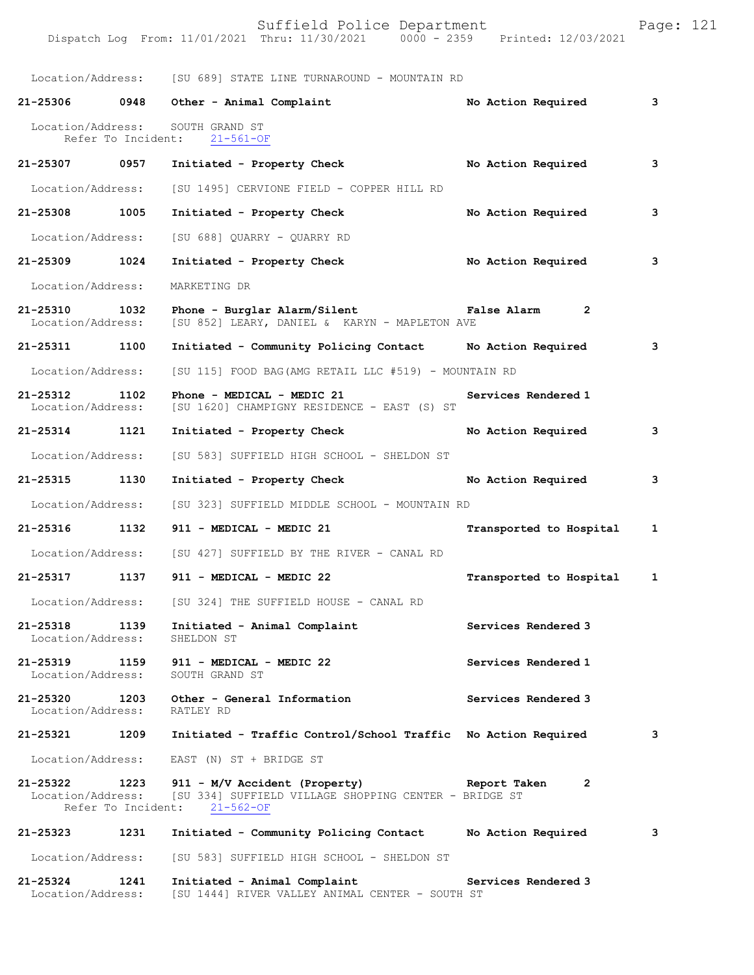Location/Address: [SU 689] STATE LINE TURNAROUND - MOUNTAIN RD **21-25306 0948 Other - Animal Complaint No Action Required 3** Location/Address: SOUTH GRAND ST Refer To Incident: 21-561-OF **21-25307 0957 Initiated - Property Check No Action Required 3** Location/Address: [SU 1495] CERVIONE FIELD - COPPER HILL RD **21-25308 1005 Initiated - Property Check No Action Required 3** Location/Address: [SU 688] QUARRY - QUARRY RD

**21-25309 1024 Initiated - Property Check No Action Required 3** Location/Address: MARKETING DR **21-25310 1032 Phone - Burglar Alarm/Silent False Alarm 2**  Location/Address: [SU 852] LEARY, DANIEL & KARYN - MAPLETON AVE **21-25311 1100 Initiated - Community Policing Contact No Action Required 3**

Location/Address: [SU 115] FOOD BAG(AMG RETAIL LLC #519) - MOUNTAIN RD

**21-25312 1102 Phone - MEDICAL - MEDIC 21 Services Rendered 1**  Location/Address: [SU 1620] CHAMPIGNY RESIDENCE - EAST (S) ST

**21-25314 1121 Initiated - Property Check No Action Required 3** Location/Address: [SU 583] SUFFIELD HIGH SCHOOL - SHELDON ST

**21-25315 1130 Initiated - Property Check No Action Required 3**

Location/Address: [SU 323] SUFFIELD MIDDLE SCHOOL - MOUNTAIN RD

**21-25316 1132 911 - MEDICAL - MEDIC 21 Transported to Hospital 1**

 Location/Address: [SU 427] SUFFIELD BY THE RIVER - CANAL RD **21-25317 1137 911 - MEDICAL - MEDIC 22 Transported to Hospital 1**

Location/Address: [SU 324] THE SUFFIELD HOUSE - CANAL RD

**21-25318 1139** Initiated - Animal Complaint **Services Rendered 3 Initiated 5 Incremental Services Rendered 3** Location/Address:

**21-25319 1159 911 - MEDICAL - MEDIC 22 Services Rendered 1**  Location/Address:

**21-25320 1203 Other - General Information Services Rendered 3**  Location/Address: RATLEY RD

**21-25321 1209 Initiated - Traffic Control/School Traffic No Action Required 3** Location/Address: EAST (N) ST + BRIDGE ST

**21-25322 1223 911 - M/V Accident (Property) Report Taken 2**  Location/Address: [SU 334] SUFFIELD VILLAGE SHOPPING CENTER - BRIDGE ST<br>Refer To Incident: 21-562-OF Refer To Incident:

**21-25323 1231 Initiated - Community Policing Contact No Action Required 3** Location/Address: [SU 583] SUFFIELD HIGH SCHOOL - SHELDON ST

**21-25324 1241 Initiated - Animal Complaint Services Rendered 3**  Location/Address: [SU 1444] RIVER VALLEY ANIMAL CENTER - SOUTH ST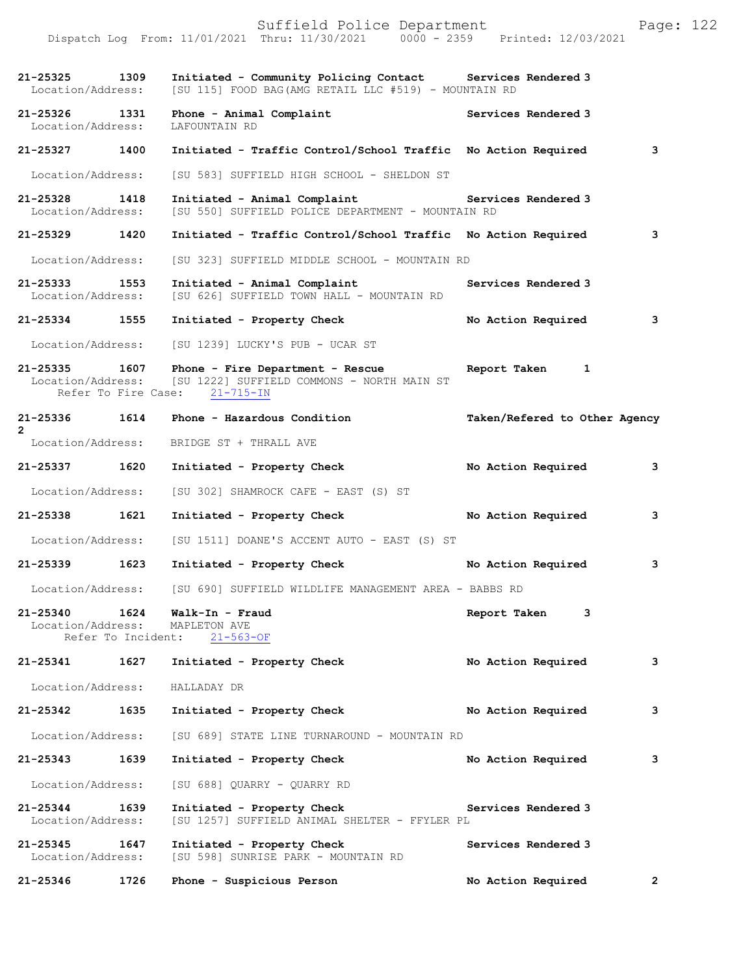|                                                           |                    | Suffield Police Department<br>Dispatch Log From: 11/01/2021 Thru: 11/30/2021 0000 - 2359 Printed: 12/03/2021        |                               | Page: 122      |  |
|-----------------------------------------------------------|--------------------|---------------------------------------------------------------------------------------------------------------------|-------------------------------|----------------|--|
| 21-25325 1309<br>Location/Address:                        |                    | Initiated - Community Policing Contact Services Rendered 3<br>[SU 115] FOOD BAG (AMG RETAIL LLC #519) - MOUNTAIN RD |                               |                |  |
| 21-25326 1331<br>Location/Address:                        |                    | Phone - Animal Complaint<br>LAFOUNTAIN RD                                                                           | Services Rendered 3           |                |  |
| 21-25327                                                  | 1400               | Initiated - Traffic Control/School Traffic No Action Required                                                       |                               | 3              |  |
| Location/Address:                                         |                    | [SU 583] SUFFIELD HIGH SCHOOL - SHELDON ST                                                                          |                               |                |  |
| 21-25328<br>Location/Address:                             | 1418               | Initiated - Animal Complaint<br>[SU 550] SUFFIELD POLICE DEPARTMENT - MOUNTAIN RD                                   | Services Rendered 3           |                |  |
| 21-25329 1420                                             |                    | Initiated - Traffic Control/School Traffic No Action Required                                                       |                               | 3              |  |
| Location/Address:                                         |                    | [SU 323] SUFFIELD MIDDLE SCHOOL - MOUNTAIN RD                                                                       |                               |                |  |
| 21-25333<br>Location/Address:                             | 1553               | Initiated - Animal Complaint<br>[SU 626] SUFFIELD TOWN HALL - MOUNTAIN RD                                           | Services Rendered 3           |                |  |
| 21-25334 1555                                             |                    | Initiated - Property Check                                                                                          | No Action Required            | 3              |  |
| Location/Address:                                         |                    | [SU 1239] LUCKY'S PUB - UCAR ST                                                                                     |                               |                |  |
| 21-25335 1607<br>Location/Address:<br>Refer To Fire Case: |                    | Phone - Fire Department - Rescue<br>[SU 1222] SUFFIELD COMMONS - NORTH MAIN ST<br>$21 - 715 - IN$                   | Report Taken<br>1             |                |  |
| 21-25336                                                  | 1614               | Phone - Hazardous Condition                                                                                         | Taken/Refered to Other Agency |                |  |
| $\overline{2}$<br>Location/Address:                       |                    | BRIDGE ST + THRALL AVE                                                                                              |                               |                |  |
| 21-25337                                                  | 1620               | Initiated - Property Check                                                                                          | No Action Required            | 3              |  |
| Location/Address:                                         |                    | [SU 302] SHAMROCK CAFE - EAST (S) ST                                                                                |                               |                |  |
| 21-25338 1621                                             |                    | Initiated - Property Check                                                                                          | No Action Required            | 3              |  |
| Location/Address:                                         |                    | [SU 1511] DOANE'S ACCENT AUTO - EAST (S) ST                                                                         |                               |                |  |
| $21 - 25339$                                              | 1623               | Initiated - Property Check                                                                                          | No Action Required            | 3              |  |
|                                                           |                    | Location/Address: [SU 690] SUFFIELD WILDLIFE MANAGEMENT AREA - BABBS RD                                             |                               |                |  |
| 21-25340 1624<br>Location/Address:                        | Refer To Incident: | Walk-In - Fraud<br>MAPLETON AVE<br>$21 - 563 - OF$                                                                  | Report Taken<br>3             |                |  |
| 21-25341                                                  | 1627               | Initiated - Property Check                                                                                          | No Action Required            | 3              |  |
| Location/Address:                                         |                    | HALLADAY DR                                                                                                         |                               |                |  |
| 21-25342                                                  | 1635               | Initiated - Property Check                                                                                          | No Action Required            | 3              |  |
| Location/Address:                                         |                    | [SU 689] STATE LINE TURNAROUND - MOUNTAIN RD                                                                        |                               |                |  |
| 21-25343                                                  | 1639               | Initiated - Property Check                                                                                          | No Action Required            | 3              |  |
| Location/Address:                                         |                    | [SU 688] QUARRY - QUARRY RD                                                                                         |                               |                |  |
| 21-25344<br>Location/Address:                             | 1639               | Initiated - Property Check<br>[SU 1257] SUFFIELD ANIMAL SHELTER - FFYLER PL                                         | Services Rendered 3           |                |  |
| $21 - 25345$<br>Location/Address:                         | 1647               | Initiated - Property Check<br>[SU 598] SUNRISE PARK - MOUNTAIN RD                                                   | Services Rendered 3           |                |  |
| 21-25346                                                  | 1726               | Phone - Suspicious Person                                                                                           | No Action Required            | $\overline{2}$ |  |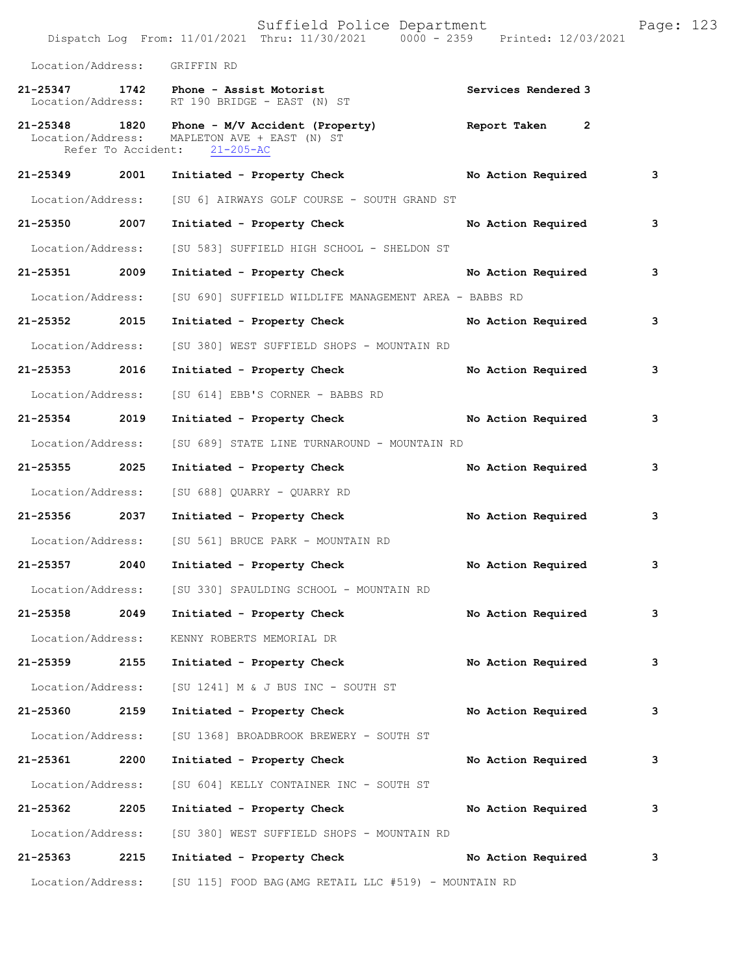|                   |      | Suffield Police Department<br>Dispatch Log From: 11/01/2021 Thru: 11/30/2021 0000 - 2359 Printed: 12/03/2021                               |                     | Page: 123 |
|-------------------|------|--------------------------------------------------------------------------------------------------------------------------------------------|---------------------|-----------|
| Location/Address: |      | GRIFFIN RD                                                                                                                                 |                     |           |
|                   |      | 21-25347 1742 Phone - Assist Motorist<br>Location/Address: RT 190 BRIDGE - EAST (N) ST                                                     | Services Rendered 3 |           |
|                   |      | 21-25348 1820 Phone - M/V Accident (Property) Report Taken<br>Location/Address: MAPLETON AVE + EAST (N) ST<br>Refer To Accident: 21-205-AC | $\overline{2}$      |           |
| 21-25349 2001     |      | Initiated - Property Check No Action Required                                                                                              |                     | 3         |
| Location/Address: |      | [SU 6] AIRWAYS GOLF COURSE - SOUTH GRAND ST                                                                                                |                     |           |
| 21-25350          | 2007 | Initiated - Property Check                                                                                                                 | No Action Required  | 3         |
| Location/Address: |      | [SU 583] SUFFIELD HIGH SCHOOL - SHELDON ST                                                                                                 |                     |           |
| 21-25351 2009     |      | Initiated - Property Check                                                                                                                 | No Action Required  | 3         |
| Location/Address: |      | [SU 690] SUFFIELD WILDLIFE MANAGEMENT AREA - BABBS RD                                                                                      |                     |           |
| 21-25352 2015     |      | Initiated - Property Check                                                                                                                 | No Action Required  | 3         |
| Location/Address: |      | [SU 380] WEST SUFFIELD SHOPS - MOUNTAIN RD                                                                                                 |                     |           |
| 21-25353 2016     |      | Initiated - Property Check                                                                                                                 | No Action Required  | 3         |
| Location/Address: |      | [SU 614] EBB'S CORNER - BABBS RD                                                                                                           |                     |           |
| 21-25354 2019     |      | Initiated - Property Check                                                                                                                 | No Action Required  | 3         |
| Location/Address: |      | [SU 689] STATE LINE TURNAROUND - MOUNTAIN RD                                                                                               |                     |           |
| 21-25355 2025     |      | Initiated - Property Check                                                                                                                 | No Action Required  | 3         |
| Location/Address: |      | [SU 688] OUARRY - OUARRY RD                                                                                                                |                     |           |
| 21-25356 2037     |      | Initiated - Property Check                                                                                                                 | No Action Required  | 3         |
| Location/Address: |      | [SU 561] BRUCE PARK - MOUNTAIN RD                                                                                                          |                     |           |
| 21-25357          | 2040 | Initiated - Property Check                                                                                                                 | No Action Required  | з         |
|                   |      | Location/Address: [SU 330] SPAULDING SCHOOL - MOUNTAIN RD                                                                                  |                     |           |
| 21-25358          | 2049 | Initiated - Property Check                                                                                                                 | No Action Required  | 3         |
| Location/Address: |      | KENNY ROBERTS MEMORIAL DR                                                                                                                  |                     |           |
| 21-25359          | 2155 | Initiated - Property Check                                                                                                                 | No Action Required  | 3         |
| Location/Address: |      | [SU 1241] M & J BUS INC - SOUTH ST                                                                                                         |                     |           |
| 21-25360 2159     |      | Initiated - Property Check                                                                                                                 | No Action Required  | 3         |
| Location/Address: |      | [SU 1368] BROADBROOK BREWERY - SOUTH ST                                                                                                    |                     |           |
| 21-25361          | 2200 | Initiated - Property Check                                                                                                                 | No Action Required  | 3         |
| Location/Address: |      | [SU 604] KELLY CONTAINER INC - SOUTH ST                                                                                                    |                     |           |
| 21-25362          | 2205 | Initiated - Property Check                                                                                                                 | No Action Required  | 3         |
| Location/Address: |      | [SU 380] WEST SUFFIELD SHOPS - MOUNTAIN RD                                                                                                 |                     |           |
| 21-25363 2215     |      | Initiated - Property Check                                                                                                                 | No Action Required  | 3         |
|                   |      | Location/Address: [SU 115] FOOD BAG(AMG RETAIL LLC #519) - MOUNTAIN RD                                                                     |                     |           |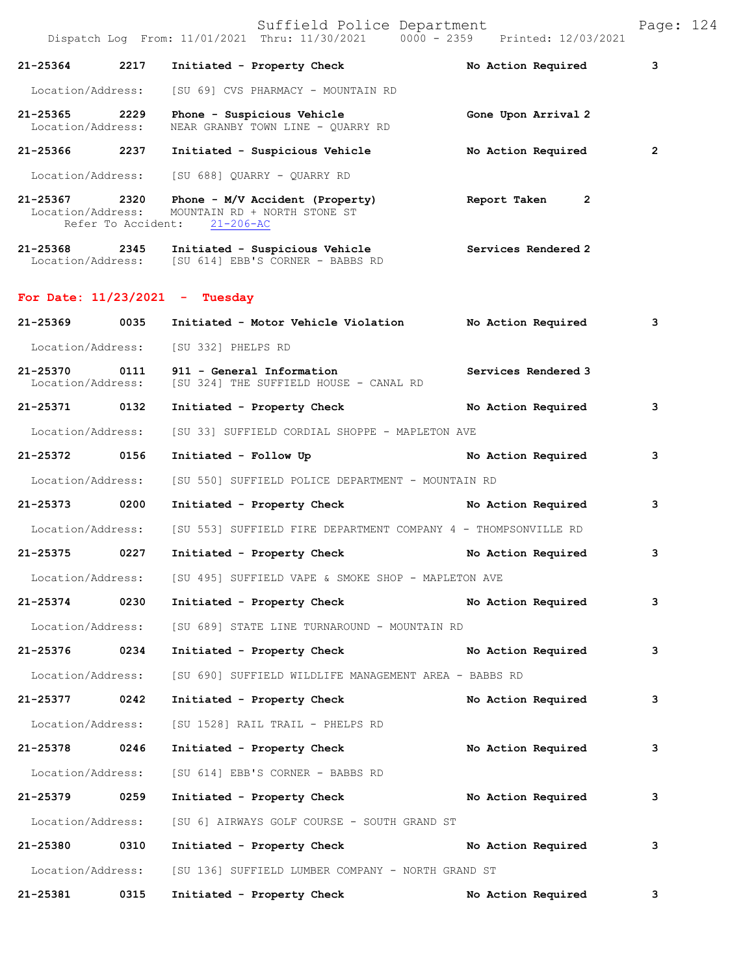Suffield Police Department Page: 124 Dispatch Log From: 11/01/2021 Thru: 11/30/2021 0000 - 2359 Printed: 12/03/2021 **21-25364 2217 Initiated - Property Check No Action Required 3** Location/Address: [SU 69] CVS PHARMACY - MOUNTAIN RD **21-25365** 2229 **Phone - Suspicious Vehicle** Gone Upon Arrival 2 **Location/Address:** NEAR GRANBY TOWN LINE - QUARRY RD NEAR GRANBY TOWN LINE - QUARRY RD **21-25366 2237 Initiated - Suspicious Vehicle No Action Required 2** Location/Address: [SU 688] QUARRY - QUARRY RD **21-25367 2320 Phone - M/V Accident (Property) Report Taken 2**  MOUNTAIN RD + NORTH STONE ST<br>ent:  $21-206-AC$ Refer To Accident: **21-25368 2345 Initiated - Suspicious Vehicle Services Rendered 2**  Location/Address: [SU 614] EBB'S CORNER - BABBS RD **For Date: 11/23/2021 - Tuesday 21-25369 0035 Initiated - Motor Vehicle Violation No Action Required 3** Location/Address: [SU 332] PHELPS RD **21-25370 0111 911 - General Information Services Rendered 3**  Location/Address: [SU 324] THE SUFFIELD HOUSE - CANAL RD **21-25371 0132 Initiated - Property Check No Action Required 3** Location/Address: [SU 33] SUFFIELD CORDIAL SHOPPE - MAPLETON AVE **21-25372 0156 Initiated - Follow Up No Action Required 3** Location/Address: [SU 550] SUFFIELD POLICE DEPARTMENT - MOUNTAIN RD **21-25373 0200 Initiated - Property Check No Action Required 3** Location/Address: [SU 553] SUFFIELD FIRE DEPARTMENT COMPANY 4 - THOMPSONVILLE RD **21-25375 0227 Initiated - Property Check No Action Required 3** Location/Address: [SU 495] SUFFIELD VAPE & SMOKE SHOP - MAPLETON AVE **21-25374 0230 Initiated - Property Check No Action Required 3** Location/Address: [SU 689] STATE LINE TURNAROUND - MOUNTAIN RD **21-25376 0234 Initiated - Property Check No Action Required 3** Location/Address: [SU 690] SUFFIELD WILDLIFE MANAGEMENT AREA - BABBS RD **21-25377 0242 Initiated - Property Check No Action Required 3** Location/Address: [SU 1528] RAIL TRAIL - PHELPS RD **21-25378 0246 Initiated - Property Check No Action Required 3** Location/Address: [SU 614] EBB'S CORNER - BABBS RD **21-25379 0259 Initiated - Property Check No Action Required 3** Location/Address: [SU 6] AIRWAYS GOLF COURSE - SOUTH GRAND ST **21-25380 0310 Initiated - Property Check No Action Required 3** Location/Address: [SU 136] SUFFIELD LUMBER COMPANY - NORTH GRAND ST **21-25381 0315 Initiated - Property Check No Action Required 3**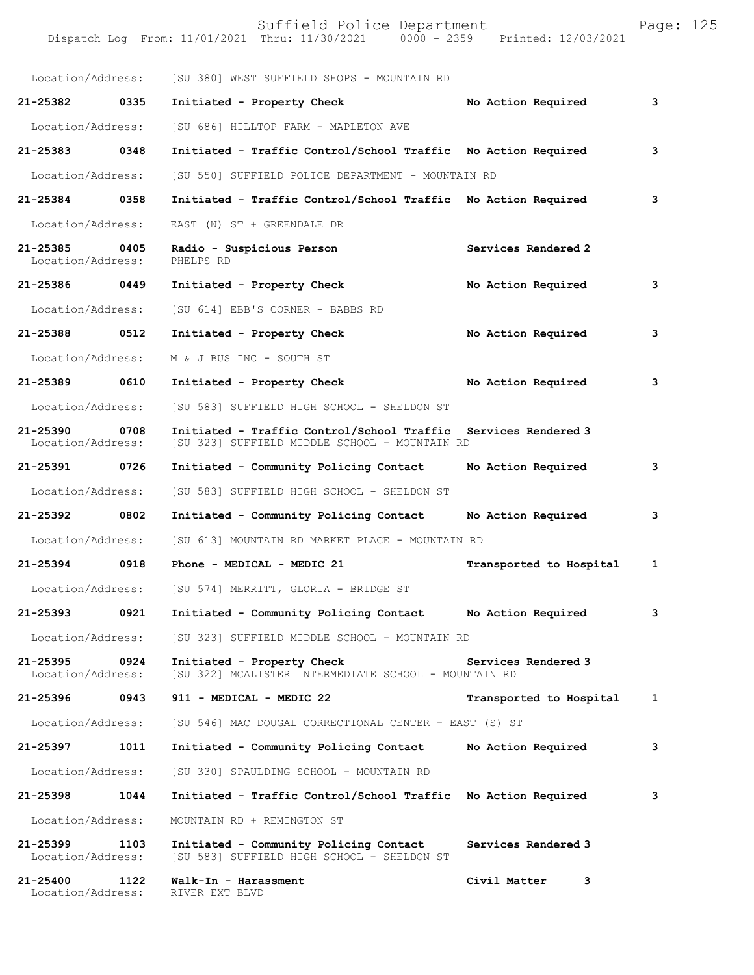| Location/Address:                  |      | [SU 380] WEST SUFFIELD SHOPS - MOUNTAIN RD                                                  |                         |              |
|------------------------------------|------|---------------------------------------------------------------------------------------------|-------------------------|--------------|
| 21-25382 0335                      |      | Initiated - Property Check                                                                  | No Action Required      | 3            |
| Location/Address:                  |      | [SU 686] HILLTOP FARM - MAPLETON AVE                                                        |                         |              |
| 21-25383 0348                      |      | Initiated - Traffic Control/School Traffic No Action Required                               |                         | 3            |
| Location/Address:                  |      | [SU 550] SUFFIELD POLICE DEPARTMENT - MOUNTAIN RD                                           |                         |              |
| 21-25384 0358                      |      | Initiated - Traffic Control/School Traffic No Action Required                               |                         | 3            |
| Location/Address:                  |      | EAST (N) ST + GREENDALE DR                                                                  |                         |              |
| 21-25385 0405<br>Location/Address: |      | Radio - Suspicious Person<br>PHELPS RD                                                      | Services Rendered 2     |              |
| 21-25386 0449                      |      | Initiated - Property Check                                                                  | No Action Required      | 3            |
| Location/Address:                  |      | [SU 614] EBB'S CORNER - BABBS RD                                                            |                         |              |
| 21-25388 0512                      |      | Initiated - Property Check                                                                  | No Action Required      | 3            |
| Location/Address:                  |      | M & J BUS INC - SOUTH ST                                                                    |                         |              |
| 21-25389 0610                      |      | Initiated - Property Check                                                                  | No Action Required      | 3            |
| Location/Address:                  |      | [SU 583] SUFFIELD HIGH SCHOOL - SHELDON ST                                                  |                         |              |
| $21 - 25390$<br>Location/Address:  | 0708 | Initiated - Traffic Control/School Traffic<br>[SU 323] SUFFIELD MIDDLE SCHOOL - MOUNTAIN RD | Services Rendered 3     |              |
| 21-25391 0726                      |      | Initiated - Community Policing Contact                                                      | No Action Required      | 3            |
| Location/Address:                  |      | [SU 583] SUFFIELD HIGH SCHOOL - SHELDON ST                                                  |                         |              |
| 21-25392 0802                      |      | Initiated - Community Policing Contact                                                      | No Action Required      | 3            |
| Location/Address:                  |      | [SU 613] MOUNTAIN RD MARKET PLACE - MOUNTAIN RD                                             |                         |              |
| 21-25394 0918                      |      | Phone - MEDICAL - MEDIC 21                                                                  | Transported to Hospital | $\mathbf{1}$ |
|                                    |      | Location/Address: [SU 574] MERRITT, GLORIA - BRIDGE ST                                      |                         |              |
| 21-25393                           | 0921 | Initiated - Community Policing Contact                                                      | No Action Required      | 3            |
| Location/Address:                  |      | [SU 323] SUFFIELD MIDDLE SCHOOL - MOUNTAIN RD                                               |                         |              |
| 21-25395<br>Location/Address:      | 0924 | Initiated - Property Check<br>[SU 322] MCALISTER INTERMEDIATE SCHOOL - MOUNTAIN RD          | Services Rendered 3     |              |
| 21-25396                           | 0943 | 911 - MEDICAL - MEDIC 22                                                                    | Transported to Hospital | 1            |
| Location/Address:                  |      | [SU 546] MAC DOUGAL CORRECTIONAL CENTER - EAST (S) ST                                       |                         |              |
| 21-25397                           | 1011 | Initiated - Community Policing Contact                                                      | No Action Required      | 3            |
| Location/Address:                  |      | [SU 330] SPAULDING SCHOOL - MOUNTAIN RD                                                     |                         |              |
| 21-25398                           | 1044 | Initiated - Traffic Control/School Traffic No Action Required                               |                         | 3            |
| Location/Address:                  |      | MOUNTAIN RD + REMINGTON ST                                                                  |                         |              |
| 21-25399<br>Location/Address:      | 1103 | Initiated - Community Policing Contact<br>[SU 583] SUFFIELD HIGH SCHOOL - SHELDON ST        | Services Rendered 3     |              |
| 21-25400<br>Location/Address:      | 1122 | Walk-In - Harassment<br>RIVER EXT BLVD                                                      | Civil Matter<br>3       |              |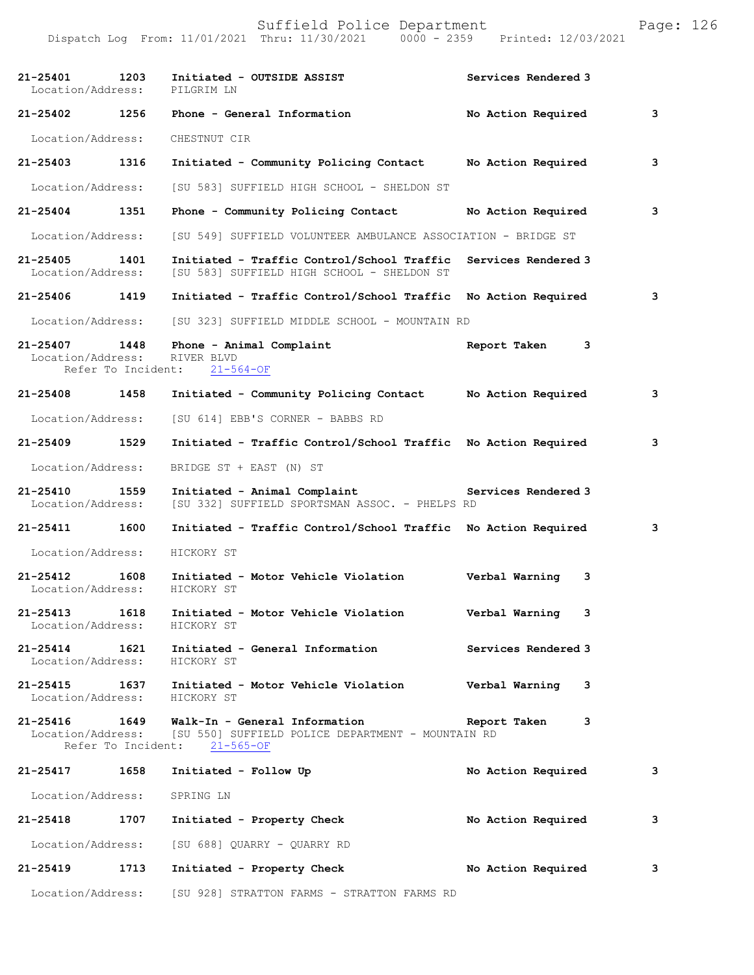| 21-25401<br>Location/Address:     | 1203                       | Initiated - OUTSIDE ASSIST<br>PILGRIM LN                                                              | Services Rendered 3 |   |
|-----------------------------------|----------------------------|-------------------------------------------------------------------------------------------------------|---------------------|---|
| $21 - 25402$                      | 1256                       | Phone - General Information                                                                           | No Action Required  | 3 |
| Location/Address:                 |                            | CHESTNUT CIR                                                                                          |                     |   |
| 21-25403                          | 1316                       | Initiated - Community Policing Contact                                                                | No Action Required  | 3 |
| Location/Address:                 |                            | [SU 583] SUFFIELD HIGH SCHOOL - SHELDON ST                                                            |                     |   |
| 21-25404                          | 1351                       | Phone - Community Policing Contact                                                                    | No Action Required  | 3 |
| Location/Address:                 |                            | [SU 549] SUFFIELD VOLUNTEER AMBULANCE ASSOCIATION - BRIDGE ST                                         |                     |   |
| 21-25405<br>Location/Address:     | 1401                       | Initiated - Traffic Control/School Traffic<br>[SU 583] SUFFIELD HIGH SCHOOL - SHELDON ST              | Services Rendered 3 |   |
| 21-25406 1419                     |                            | Initiated - Traffic Control/School Traffic                                                            | No Action Required  | 3 |
| Location/Address:                 |                            | [SU 323] SUFFIELD MIDDLE SCHOOL - MOUNTAIN RD                                                         |                     |   |
| 21-25407<br>Location/Address:     | 1448                       | Phone - Animal Complaint<br>RIVER BLVD<br>Refer To Incident: 21-564-OF                                | Report Taken<br>3   |   |
| 21-25408 1458                     |                            | Initiated - Community Policing Contact                                                                | No Action Required  | 3 |
| Location/Address:                 |                            | [SU 614] EBB'S CORNER - BABBS RD                                                                      |                     |   |
| 21-25409                          | 1529                       | Initiated - Traffic Control/School Traffic No Action Required                                         |                     | 3 |
| Location/Address:                 |                            | BRIDGE ST + EAST (N) ST                                                                               |                     |   |
| 21-25410<br>Location/Address:     | 1559                       | Initiated - Animal Complaint<br>[SU 332] SUFFIELD SPORTSMAN ASSOC. - PHELPS RD                        | Services Rendered 3 |   |
| $21 - 25411$                      | 1600                       | Initiated - Traffic Control/School Traffic                                                            | No Action Required  | 3 |
| Location/Address:                 |                            | HICKORY ST                                                                                            |                     |   |
| 21-25412<br>Location/Address:     | 1608                       | Initiated - Motor Vehicle Violation<br>HICKORY ST                                                     | Verbal Warning<br>3 |   |
| $21 - 25413$<br>Location/Address: | 1618                       | Initiated - Motor Vehicle Violation<br>HICKORY ST                                                     | Verbal Warning<br>3 |   |
| 21-25414<br>Location/Address:     | 1621                       | Initiated - General Information<br>HICKORY ST                                                         | Services Rendered 3 |   |
| 21-25415<br>Location/Address:     | 1637                       | Initiated - Motor Vehicle Violation<br>HICKORY ST                                                     | Verbal Warning<br>3 |   |
| 21-25416<br>Location/Address:     | 1649<br>Refer To Incident: | Walk-In - General Information<br>[SU 550] SUFFIELD POLICE DEPARTMENT - MOUNTAIN RD<br>$21 - 565 - OF$ | Report Taken<br>3   |   |
| 21-25417                          | 1658                       | Initiated - Follow Up                                                                                 | No Action Required  | 3 |
| Location/Address:                 |                            | SPRING LN                                                                                             |                     |   |
| 21-25418                          | 1707                       | Initiated - Property Check                                                                            | No Action Required  | 3 |
| Location/Address:                 |                            | [SU 688] QUARRY - QUARRY RD                                                                           |                     |   |
| 21-25419                          | 1713                       | Initiated - Property Check                                                                            | No Action Required  | 3 |
| Location/Address:                 |                            | [SU 928] STRATTON FARMS - STRATTON FARMS RD                                                           |                     |   |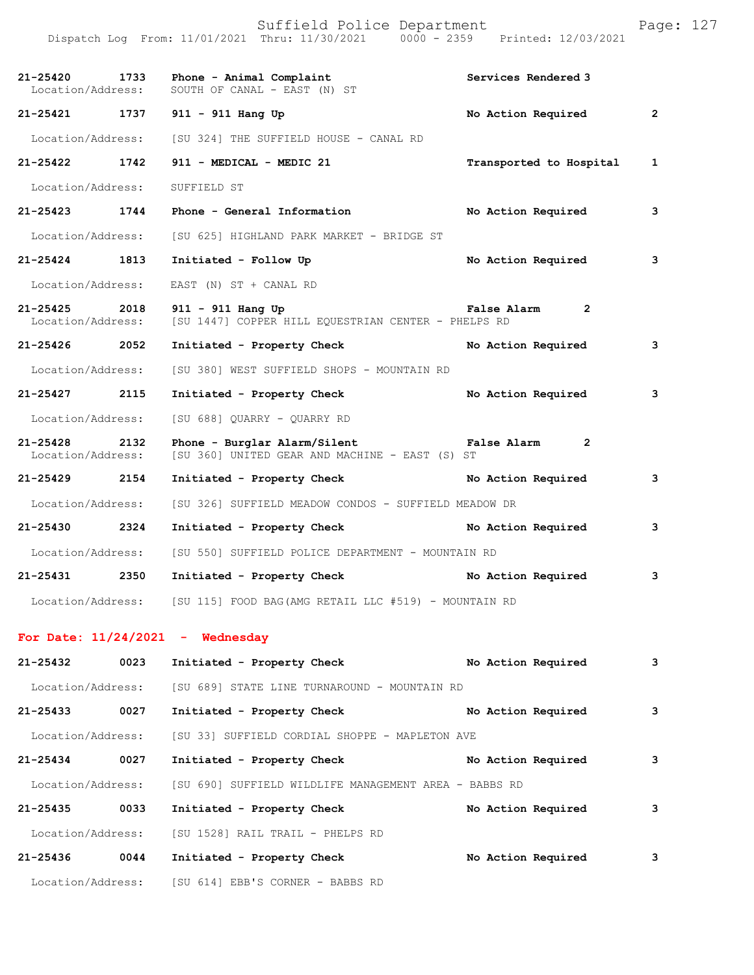|                                    |      | Suffield Police Department<br>Dispatch Log From: 11/01/2021 Thru: 11/30/2021 0000 - 2359 Printed: 12/03/2021 |                               | Page: 127    |  |
|------------------------------------|------|--------------------------------------------------------------------------------------------------------------|-------------------------------|--------------|--|
| 21-25420<br>Location/Address:      | 1733 | Phone - Animal Complaint<br>SOUTH OF CANAL - EAST (N) ST                                                     | Services Rendered 3           |              |  |
| 21-25421 1737                      |      | 911 - 911 Hang Up                                                                                            | No Action Required            | $\mathbf{2}$ |  |
| Location/Address:                  |      | [SU 324] THE SUFFIELD HOUSE - CANAL RD                                                                       |                               |              |  |
| 21-25422                           | 1742 | 911 - MEDICAL - MEDIC 21                                                                                     | Transported to Hospital       | 1            |  |
| Location/Address:                  |      | SUFFIELD ST                                                                                                  |                               |              |  |
| 21-25423                           | 1744 | Phone - General Information                                                                                  | No Action Required            | 3            |  |
| Location/Address:                  |      | [SU 625] HIGHLAND PARK MARKET - BRIDGE ST                                                                    |                               |              |  |
| 21-25424 1813                      |      | Initiated - Follow Up                                                                                        | No Action Required            | 3            |  |
| Location/Address:                  |      | EAST (N) ST + CANAL RD                                                                                       |                               |              |  |
| 21-25425<br>Location/Address:      | 2018 | 911 - 911 Hang Up<br>[SU 1447] COPPER HILL EQUESTRIAN CENTER - PHELPS RD                                     | False Alarm 2                 |              |  |
| 21-25426 2052                      |      | Initiated - Property Check                                                                                   | No Action Required            | 3            |  |
| Location/Address:                  |      | [SU 380] WEST SUFFIELD SHOPS - MOUNTAIN RD                                                                   |                               |              |  |
| 21-25427 2115                      |      | Initiated - Property Check                                                                                   | No Action Required            | 3            |  |
| Location/Address:                  |      | [SU 688] QUARRY - QUARRY RD                                                                                  |                               |              |  |
| 21-25428 2132<br>Location/Address: |      | Phone - Burglar Alarm/Silent<br>[SU 360] UNITED GEAR AND MACHINE - EAST (S) ST                               | False Alarm<br>$\overline{2}$ |              |  |
| 21-25429 2154                      |      | Initiated - Property Check                                                                                   | No Action Required            | 3            |  |
| Location/Address:                  |      | [SU 326] SUFFIELD MEADOW CONDOS - SUFFIELD MEADOW DR                                                         |                               |              |  |
| 21-25430 2324                      |      | Initiated - Property Check                                                                                   | No Action Required            | 3            |  |
|                                    |      | Location/Address: [SU 550] SUFFIELD POLICE DEPARTMENT - MOUNTAIN RD                                          |                               |              |  |
| 21-25431                           | 2350 | Initiated - Property Check                                                                                   | No Action Required            | 3            |  |
|                                    |      | Location/Address: [SU 115] FOOD BAG (AMG RETAIL LLC #519) - MOUNTAIN RD                                      |                               |              |  |
|                                    |      | For Date: $11/24/2021$ - Wednesday                                                                           |                               |              |  |
| 21-25432                           | 0023 | Initiated - Property Check                                                                                   | No Action Required            | з            |  |
| Location/Address:                  |      | [SU 689] STATE LINE TURNAROUND - MOUNTAIN RD                                                                 |                               |              |  |
| 21-25433                           | 0027 | Initiated - Property Check                                                                                   | No Action Required            | 3            |  |
| Location/Address:                  |      | [SU 33] SUFFIELD CORDIAL SHOPPE - MAPLETON AVE                                                               |                               |              |  |
| 21-25434                           | 0027 | Initiated - Property Check                                                                                   | No Action Required            | 3            |  |

 Location/Address: [SU 690] SUFFIELD WILDLIFE MANAGEMENT AREA - BABBS RD **21-25435 0033 Initiated - Property Check No Action Required 3** Location/Address: [SU 1528] RAIL TRAIL - PHELPS RD **21-25436 0044 Initiated - Property Check No Action Required 3** Location/Address: [SU 614] EBB'S CORNER - BABBS RD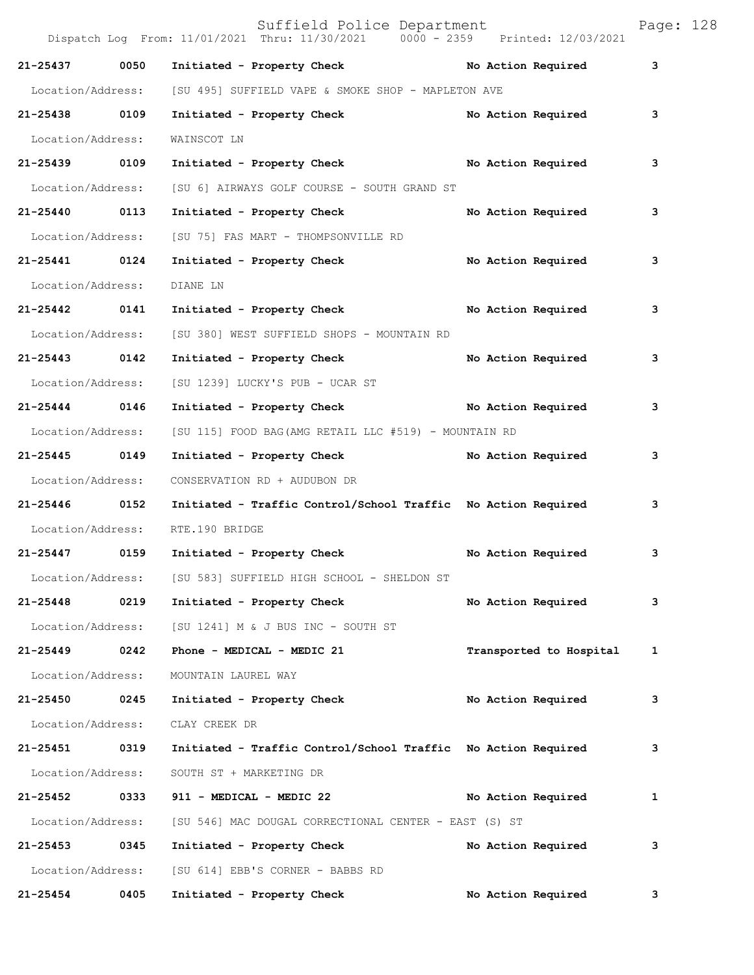|                   |      | Suffield Police Department<br>Dispatch Log From: 11/01/2021 Thru: 11/30/2021 0000 - 2359 Printed: 12/03/2021 |                         | Page: 128 |
|-------------------|------|--------------------------------------------------------------------------------------------------------------|-------------------------|-----------|
| 21-25437          | 0050 | Initiated - Property Check No Action Required                                                                |                         | 3         |
| Location/Address: |      | [SU 495] SUFFIELD VAPE & SMOKE SHOP - MAPLETON AVE                                                           |                         |           |
| 21-25438 0109     |      | Initiated - Property Check                                                                                   | No Action Required      | 3         |
| Location/Address: |      | WAINSCOT LN                                                                                                  |                         |           |
| 21-25439 0109     |      | Initiated - Property Check No Action Required                                                                |                         | 3         |
| Location/Address: |      | [SU 6] AIRWAYS GOLF COURSE - SOUTH GRAND ST                                                                  |                         |           |
| 21-25440 0113     |      | Initiated - Property Check                                                                                   | No Action Required      | 3         |
| Location/Address: |      | [SU 75] FAS MART - THOMPSONVILLE RD                                                                          |                         |           |
| 21-25441 0124     |      | Initiated - Property Check                                                                                   | No Action Required      | 3         |
| Location/Address: |      | DIANE LN                                                                                                     |                         |           |
| 21-25442 0141     |      | Initiated - Property Check                                                                                   | No Action Required      | 3         |
| Location/Address: |      | [SU 380] WEST SUFFIELD SHOPS - MOUNTAIN RD                                                                   |                         |           |
| 21-25443 0142     |      | Initiated - Property Check                                                                                   | No Action Required      | 3         |
| Location/Address: |      | [SU 1239] LUCKY'S PUB - UCAR ST                                                                              |                         |           |
| 21-25444 0146     |      | Initiated - Property Check No Action Required                                                                |                         | 3         |
| Location/Address: |      | [SU 115] FOOD BAG (AMG RETAIL LLC #519) - MOUNTAIN RD                                                        |                         |           |
| 21-25445 0149     |      | Initiated - Property Check                                                                                   | No Action Required      | 3         |
| Location/Address: |      | CONSERVATION RD + AUDUBON DR                                                                                 |                         |           |
| 21-25446 0152     |      | Initiated - Traffic Control/School Traffic No Action Required                                                |                         | 3         |
| Location/Address: |      | RTE.190 BRIDGE                                                                                               |                         |           |
| 21-25447 0159     |      | Initiated - Property Check                                                                                   | No Action Required      | 3         |
| Location/Address: |      | [SU 583] SUFFIELD HIGH SCHOOL - SHELDON ST                                                                   |                         |           |
| 21-25448          | 0219 | Initiated - Property Check                                                                                   | No Action Required      | 3         |
| Location/Address: |      | [SU 1241] M & J BUS INC - SOUTH ST                                                                           |                         |           |
| 21-25449          | 0242 | Phone - MEDICAL - MEDIC 21                                                                                   | Transported to Hospital | 1         |
| Location/Address: |      | MOUNTAIN LAUREL WAY                                                                                          |                         |           |
| 21-25450          | 0245 | Initiated - Property Check                                                                                   | No Action Required      | 3         |
| Location/Address: |      | CLAY CREEK DR                                                                                                |                         |           |
| 21-25451          | 0319 | Initiated - Traffic Control/School Traffic No Action Required                                                |                         | 3         |
| Location/Address: |      | SOUTH ST + MARKETING DR                                                                                      |                         |           |
| 21-25452          | 0333 | 911 - MEDICAL - MEDIC 22                                                                                     | No Action Required      | 1         |
| Location/Address: |      | [SU 546] MAC DOUGAL CORRECTIONAL CENTER - EAST (S) ST                                                        |                         |           |
| 21-25453          | 0345 | Initiated - Property Check                                                                                   | No Action Required      | 3         |
| Location/Address: |      | [SU 614] EBB'S CORNER - BABBS RD                                                                             |                         |           |
| 21-25454          | 0405 | Initiated - Property Check                                                                                   | No Action Required      | 3         |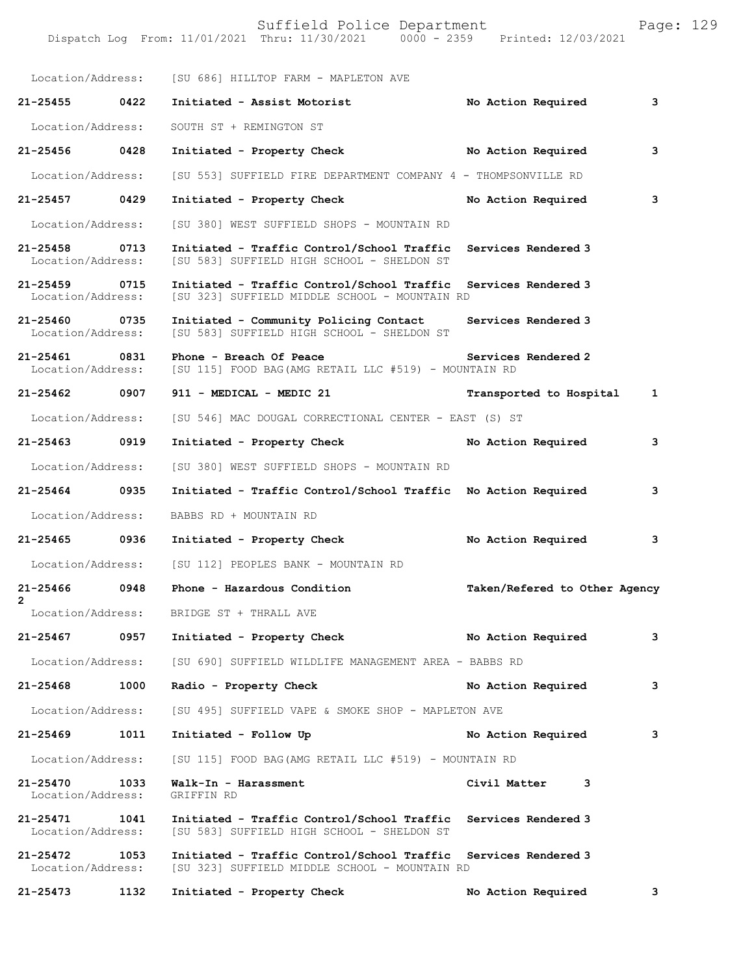|                                    |      | Location/Address: [SU 686] HILLTOP FARM - MAPLETON AVE                                                          |                                         |   |
|------------------------------------|------|-----------------------------------------------------------------------------------------------------------------|-----------------------------------------|---|
| 21-25455 0422                      |      | Initiated - Assist Motorist                                                                                     | No Action Required                      | 3 |
| Location/Address:                  |      | SOUTH ST + REMINGTON ST                                                                                         |                                         |   |
| 21-25456 0428                      |      | Initiated - Property Check No Action Required                                                                   |                                         | 3 |
| Location/Address:                  |      | [SU 553] SUFFIELD FIRE DEPARTMENT COMPANY 4 - THOMPSONVILLE RD                                                  |                                         |   |
| 21-25457 0429                      |      | Initiated - Property Check                                                                                      | No Action Required                      | 3 |
| Location/Address:                  |      | [SU 380] WEST SUFFIELD SHOPS - MOUNTAIN RD                                                                      |                                         |   |
| 21-25458 0713<br>Location/Address: |      | Initiated - Traffic Control/School Traffic Services Rendered 3<br>[SU 583] SUFFIELD HIGH SCHOOL - SHELDON ST    |                                         |   |
| $21 - 25459$<br>Location/Address:  | 0715 | Initiated - Traffic Control/School Traffic Services Rendered 3<br>[SU 323] SUFFIELD MIDDLE SCHOOL - MOUNTAIN RD |                                         |   |
| 21-25460 0735<br>Location/Address: |      | Initiated - Community Policing Contact Services Rendered 3<br>[SU 583] SUFFIELD HIGH SCHOOL - SHELDON ST        |                                         |   |
| 21-25461<br>Location/Address:      | 0831 | Phone - Breach Of Peace<br>[SU 115] FOOD BAG (AMG RETAIL LLC #519) - MOUNTAIN RD                                | Services Rendered 2                     |   |
| 21-25462 0907                      |      | 911 - MEDICAL - MEDIC 21                                                                                        | Transported to Hospital<br>$\mathbf{1}$ |   |
| Location/Address:                  |      | [SU 546] MAC DOUGAL CORRECTIONAL CENTER - EAST (S) ST                                                           |                                         |   |
| 21-25463 0919                      |      | Initiated - Property Check                                                                                      | No Action Required                      | 3 |
| Location/Address:                  |      | [SU 380] WEST SUFFIELD SHOPS - MOUNTAIN RD                                                                      |                                         |   |
| 21-25464 0935                      |      | Initiated - Traffic Control/School Traffic No Action Required                                                   |                                         | 3 |
| Location/Address:                  |      | BABBS RD + MOUNTAIN RD                                                                                          |                                         |   |
| 21-25465 0936                      |      | Initiated - Property Check                                                                                      | No Action Required                      | 3 |
| Location/Address:                  |      | [SU 112] PEOPLES BANK - MOUNTAIN RD                                                                             |                                         |   |
| 21-25466 0948<br>$\overline{2}$    |      | Phone - Hazardous Condition                                                                                     | Taken/Refered to Other Agency           |   |
| Location/Address:                  |      | BRIDGE ST + THRALL AVE                                                                                          |                                         |   |
| 21-25467                           | 0957 | Initiated - Property Check                                                                                      | No Action Required                      | 3 |
| Location/Address:                  |      | [SU 690] SUFFIELD WILDLIFE MANAGEMENT AREA - BABBS RD                                                           |                                         |   |
| 21-25468                           | 1000 | Radio - Property Check                                                                                          | No Action Required                      | 3 |
| Location/Address:                  |      | [SU 495] SUFFIELD VAPE & SMOKE SHOP - MAPLETON AVE                                                              |                                         |   |
| 21-25469                           | 1011 | Initiated - Follow Up                                                                                           | No Action Required                      | 3 |
| Location/Address:                  |      | [SU 115] FOOD BAG (AMG RETAIL LLC #519) - MOUNTAIN RD                                                           |                                         |   |
| 21-25470<br>Location/Address:      | 1033 | Walk-In - Harassment<br>GRIFFIN RD                                                                              | Civil Matter<br>3                       |   |
| 21-25471<br>Location/Address:      | 1041 | Initiated - Traffic Control/School Traffic<br>[SU 583] SUFFIELD HIGH SCHOOL - SHELDON ST                        | Services Rendered 3                     |   |
| 21-25472<br>Location/Address:      | 1053 | Initiated - Traffic Control/School Traffic<br>[SU 323] SUFFIELD MIDDLE SCHOOL - MOUNTAIN RD                     | Services Rendered 3                     |   |
| 21-25473                           | 1132 | Initiated - Property Check                                                                                      | No Action Required                      | 3 |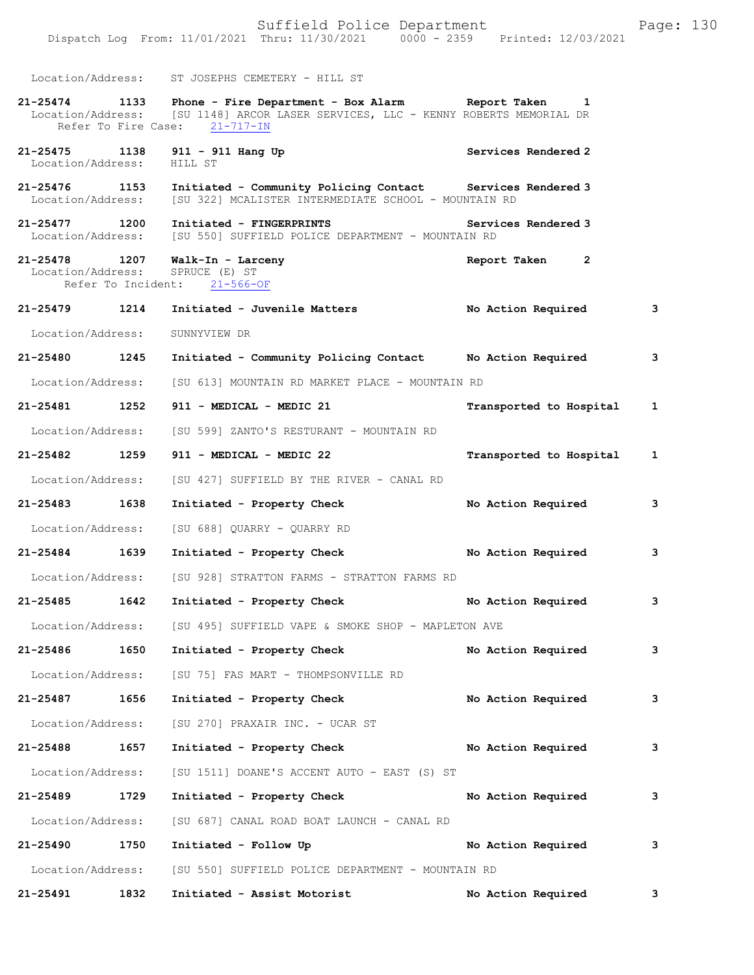|                   |      | Location/Address: ST JOSEPHS CEMETERY - HILL ST                                                                                                                                        |                              |              |
|-------------------|------|----------------------------------------------------------------------------------------------------------------------------------------------------------------------------------------|------------------------------|--------------|
|                   |      | 21-25474 1133 Phone - Fire Department - Box Alarm Report Taken 1<br>Location/Address: [SU 1148] ARCOR LASER SERVICES, LLC - KENNY ROBERTS MEMORIAL DR<br>Refer To Fire Case: 21-717-IN |                              |              |
| Location/Address: |      | 21-25475 1138 911 - 911 Hang Up<br>HILL ST                                                                                                                                             | Services Rendered 2          |              |
| 21-25476 1153     |      | Initiated - Community Policing Contact Services Rendered 3<br>Location/Address: [SU 322] MCALISTER INTERMEDIATE SCHOOL - MOUNTAIN RD                                                   |                              |              |
| 21-25477 1200     |      | Initiated - FINGERPRINTS <b>Services</b> Rendered 3<br>Location/Address: [SU 550] SUFFIELD POLICE DEPARTMENT - MOUNTAIN RD                                                             |                              |              |
|                   |      | 21-25478 1207 Walk-In - Larceny<br>Location/Address: SPRUCE (E) ST<br>Refer To Incident: 21-566-OF                                                                                     | Report Taken<br>$\mathbf{2}$ |              |
| 21-25479 1214     |      | Initiated - Juvenile Matters                                                                                                                                                           | No Action Required           | 3            |
| Location/Address: |      | SUNNYVIEW DR                                                                                                                                                                           |                              |              |
| 21-25480 1245     |      | Initiated - Community Policing Contact Mo Action Required                                                                                                                              |                              | 3            |
|                   |      | Location/Address: [SU 613] MOUNTAIN RD MARKET PLACE - MOUNTAIN RD                                                                                                                      |                              |              |
| 21-25481 1252     |      | 911 - MEDICAL - MEDIC 21                                                                                                                                                               | Transported to Hospital      | $\mathbf{1}$ |
|                   |      | Location/Address: [SU 599] ZANTO'S RESTURANT - MOUNTAIN RD                                                                                                                             |                              |              |
| 21-25482 1259     |      | 911 - MEDICAL - MEDIC 22                                                                                                                                                               | Transported to Hospital 1    |              |
|                   |      | Location/Address: [SU 427] SUFFIELD BY THE RIVER - CANAL RD                                                                                                                            |                              |              |
| 21-25483 1638     |      | Initiated - Property Check                                                                                                                                                             | No Action Required           | 3            |
|                   |      | Location/Address: [SU 688] QUARRY - QUARRY RD                                                                                                                                          |                              |              |
| 21-25484 1639     |      | Initiated - Property Check                                                                                                                                                             | No Action Required           | 3            |
|                   |      | Location/Address: [SU 928] STRATTON FARMS - STRATTON FARMS RD                                                                                                                          |                              |              |
| 21-25485          | 1642 | Initiated - Property Check                                                                                                                                                             | No Action Required           | 3            |
|                   |      | Location/Address: [SU 495] SUFFIELD VAPE & SMOKE SHOP - MAPLETON AVE                                                                                                                   |                              |              |
| 21-25486          | 1650 | Initiated - Property Check                                                                                                                                                             | No Action Required           | 3            |
|                   |      | Location/Address: [SU 75] FAS MART - THOMPSONVILLE RD                                                                                                                                  |                              |              |
| 21-25487          | 1656 | Initiated - Property Check                                                                                                                                                             | No Action Required           | 3            |
|                   |      | Location/Address: [SU 270] PRAXAIR INC. - UCAR ST                                                                                                                                      |                              |              |
| 21-25488 1657     |      | Initiated - Property Check                                                                                                                                                             | No Action Required           | 3            |
|                   |      | Location/Address: [SU 1511] DOANE'S ACCENT AUTO - EAST (S) ST                                                                                                                          |                              |              |
| 21-25489          | 1729 | Initiated - Property Check                                                                                                                                                             | No Action Required           | 3            |
|                   |      | Location/Address: [SU 687] CANAL ROAD BOAT LAUNCH - CANAL RD                                                                                                                           |                              |              |
| 21-25490          | 1750 | Initiated - Follow Up                                                                                                                                                                  | No Action Required           | 3            |
|                   |      | Location/Address: [SU 550] SUFFIELD POLICE DEPARTMENT - MOUNTAIN RD                                                                                                                    |                              |              |
| 21-25491          | 1832 | Initiated - Assist Motorist                                                                                                                                                            | No Action Required           | 3            |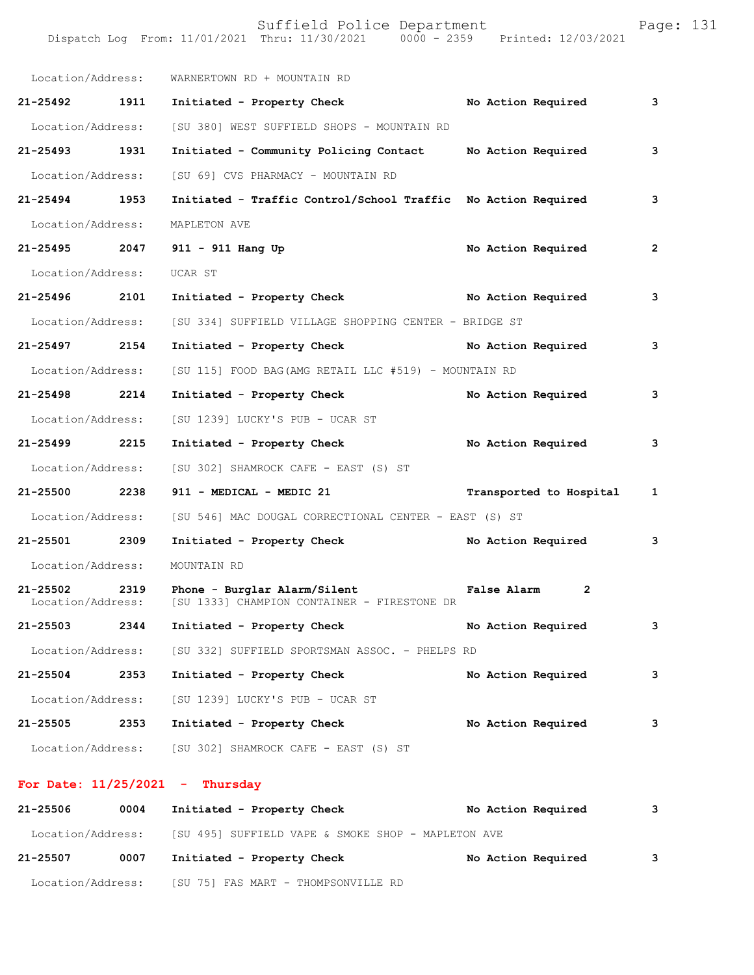Dispatch Log From: 11/01/2021 Thru: 11/30/2021 0000 - 2359 Printed: 12/03/2021

| Location/Address: |      | WARNERTOWN RD + MOUNTAIN RD                                                                   |                         |              |
|-------------------|------|-----------------------------------------------------------------------------------------------|-------------------------|--------------|
| 21-25492 1911     |      | Initiated - Property Check                                                                    | No Action Required      | 3            |
| Location/Address: |      | [SU 380] WEST SUFFIELD SHOPS - MOUNTAIN RD                                                    |                         |              |
| 21-25493 1931     |      | Initiated - Community Policing Contact                                                        | No Action Required      | 3            |
| Location/Address: |      | [SU 69] CVS PHARMACY - MOUNTAIN RD                                                            |                         |              |
| 21-25494 1953     |      | Initiated - Traffic Control/School Traffic No Action Required                                 |                         | 3            |
| Location/Address: |      | MAPLETON AVE                                                                                  |                         |              |
| 21-25495 2047     |      | 911 - 911 Hang Up                                                                             | No Action Required      | 2            |
| Location/Address: |      | UCAR ST                                                                                       |                         |              |
| 21-25496 2101     |      | Initiated - Property Check No Action Required                                                 |                         | 3            |
| Location/Address: |      | [SU 334] SUFFIELD VILLAGE SHOPPING CENTER - BRIDGE ST                                         |                         |              |
| 21-25497 2154     |      | Initiated - Property Check No Action Required                                                 |                         | 3            |
| Location/Address: |      | [SU 115] FOOD BAG (AMG RETAIL LLC #519) - MOUNTAIN RD                                         |                         |              |
| 21-25498 2214     |      | Initiated - Property Check                                                                    | No Action Required      | 3            |
| Location/Address: |      | [SU 1239] LUCKY'S PUB - UCAR ST                                                               |                         |              |
| 21-25499 2215     |      | Initiated - Property Check                                                                    | No Action Required      | 3            |
| Location/Address: |      | [SU 302] SHAMROCK CAFE - EAST (S) ST                                                          |                         |              |
| 21-25500 2238     |      | 911 - MEDICAL - MEDIC 21                                                                      | Transported to Hospital | $\mathbf{1}$ |
| Location/Address: |      | [SU 546] MAC DOUGAL CORRECTIONAL CENTER - EAST (S) ST                                         |                         |              |
| 21-25501          | 2309 | Initiated - Property Check No Action Required                                                 |                         | 3            |
| Location/Address: |      | MOUNTAIN RD                                                                                   |                         |              |
| 21-25502          | 2319 | Phone - Burglar Alarm/Silent<br>Location/Address: [SU 1333] CHAMPION CONTAINER - FIRESTONE DR | False Alarm<br>2        |              |
| 21-25503          | 2344 | Initiated - Property Check                                                                    | No Action Required      | 3            |
|                   |      | Location/Address: [SU 332] SUFFIELD SPORTSMAN ASSOC. - PHELPS RD                              |                         |              |
| 21-25504          | 2353 | Initiated - Property Check                                                                    | No Action Required      | 3            |
|                   |      | Location/Address: [SU 1239] LUCKY'S PUB - UCAR ST                                             |                         |              |
| 21-25505          | 2353 | Initiated - Property Check                                                                    | No Action Required      | 3            |
|                   |      | Location/Address: [SU 302] SHAMROCK CAFE - EAST (S) ST                                        |                         |              |

## **For Date: 11/25/2021 - Thursday**

| 21-25506          | 0004 | Initiated - Property Check                         | No Action Required | 3 |
|-------------------|------|----------------------------------------------------|--------------------|---|
| Location/Address: |      | [SU 495] SUFFIELD VAPE & SMOKE SHOP - MAPLETON AVE |                    |   |
| 21-25507          | 0007 | Initiated - Property Check                         | No Action Required | 3 |
| Location/Address: |      | [SU 75] FAS MART - THOMPSONVILLE RD                |                    |   |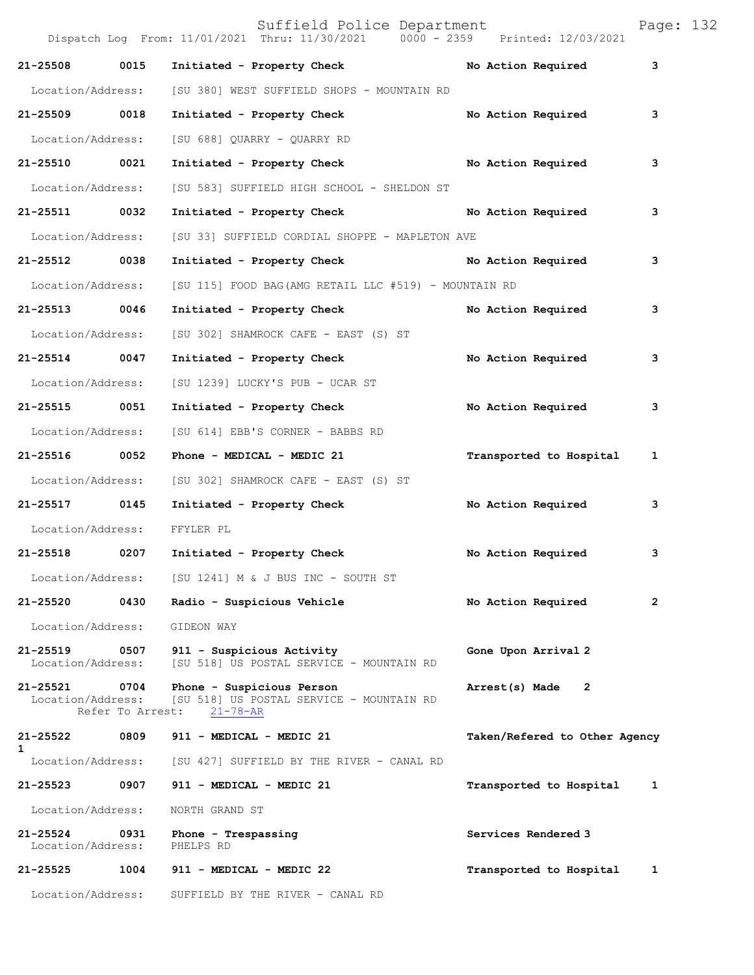|                                    |      | Suffield Police Department<br>Dispatch Log From: 11/01/2021 Thru: 11/30/2021 0000 - 2359 Printed: 12/03/2021 |                               | Page: 132 |
|------------------------------------|------|--------------------------------------------------------------------------------------------------------------|-------------------------------|-----------|
| 21-25508                           | 0015 | Initiated - Property Check                                                                                   | No Action Required            | 3         |
| Location/Address:                  |      | [SU 380] WEST SUFFIELD SHOPS - MOUNTAIN RD                                                                   |                               |           |
| 21-25509 0018                      |      | Initiated - Property Check                                                                                   | No Action Required            | 3         |
| Location/Address:                  |      | [SU 688] QUARRY - QUARRY RD                                                                                  |                               |           |
| 21-25510 0021                      |      | Initiated - Property Check No Action Required                                                                |                               | 3         |
| Location/Address:                  |      | [SU 583] SUFFIELD HIGH SCHOOL - SHELDON ST                                                                   |                               |           |
| 21-25511 0032                      |      | Initiated - Property Check                                                                                   | No Action Required            | 3         |
| Location/Address:                  |      | [SU 33] SUFFIELD CORDIAL SHOPPE - MAPLETON AVE                                                               |                               |           |
| 21-25512 0038                      |      | Initiated - Property Check No Action Required                                                                |                               | 3         |
| Location/Address:                  |      | [SU 115] FOOD BAG(AMG RETAIL LLC #519) - MOUNTAIN RD                                                         |                               |           |
| 21-25513 0046                      |      | Initiated - Property Check                                                                                   | No Action Required            | 3         |
| Location/Address:                  |      | [SU 302] SHAMROCK CAFE - EAST (S) ST                                                                         |                               |           |
| 21-25514 0047                      |      | Initiated - Property Check No Action Required                                                                |                               | 3         |
| Location/Address:                  |      | [SU 1239] LUCKY'S PUB - UCAR ST                                                                              |                               |           |
| 21-25515 0051                      |      | Initiated - Property Check                                                                                   | No Action Required            | 3         |
| Location/Address:                  |      | [SU 614] EBB'S CORNER - BABBS RD                                                                             |                               |           |
| 21-25516 0052                      |      | Phone - MEDICAL - MEDIC 21                                                                                   | Transported to Hospital       | 1         |
| Location/Address:                  |      | [SU 302] SHAMROCK CAFE - EAST (S) ST                                                                         |                               |           |
| 21-25517                           | 0145 | Initiated - Property Check No Action Required                                                                |                               | 3         |
| Location/Address:                  |      | FFYLER PL                                                                                                    |                               |           |
| 21-25518 0207                      |      | Initiated - Property Check                                                                                   | No Action Required            | 3         |
|                                    |      | Location/Address: [SU 1241] M & J BUS INC - SOUTH ST                                                         |                               |           |
| 21-25520                           | 0430 | Radio - Suspicious Vehicle                                                                                   | No Action Required            | 2         |
| Location/Address:                  |      | GIDEON WAY                                                                                                   |                               |           |
| 21-25519 0507<br>Location/Address: |      | 911 - Suspicious Activity<br>[SU 518] US POSTAL SERVICE - MOUNTAIN RD                                        | Gone Upon Arrival 2           |           |
| 21-25521 0704<br>Location/Address: |      | Phone - Suspicious Person<br>[SU 518] US POSTAL SERVICE - MOUNTAIN RD<br>Refer To Arrest: 21-78-AR           | Arrest(s) Made 2              |           |
| 21-25522                           | 0809 | 911 - MEDICAL - MEDIC 21                                                                                     | Taken/Refered to Other Agency |           |
| 1<br>Location/Address:             |      | [SU 427] SUFFIELD BY THE RIVER - CANAL RD                                                                    |                               |           |
| 21-25523 0907                      |      | 911 - MEDICAL - MEDIC 21                                                                                     | Transported to Hospital       | 1         |
| Location/Address:                  |      | NORTH GRAND ST                                                                                               |                               |           |
| 21-25524<br>Location/Address:      | 0931 | Phone - Trespassing<br>PHELPS RD                                                                             | Services Rendered 3           |           |
| 21-25525                           |      | 1004 911 - MEDICAL - MEDIC 22                                                                                | Transported to Hospital       | 1         |
|                                    |      | Location/Address: SUFFIELD BY THE RIVER - CANAL RD                                                           |                               |           |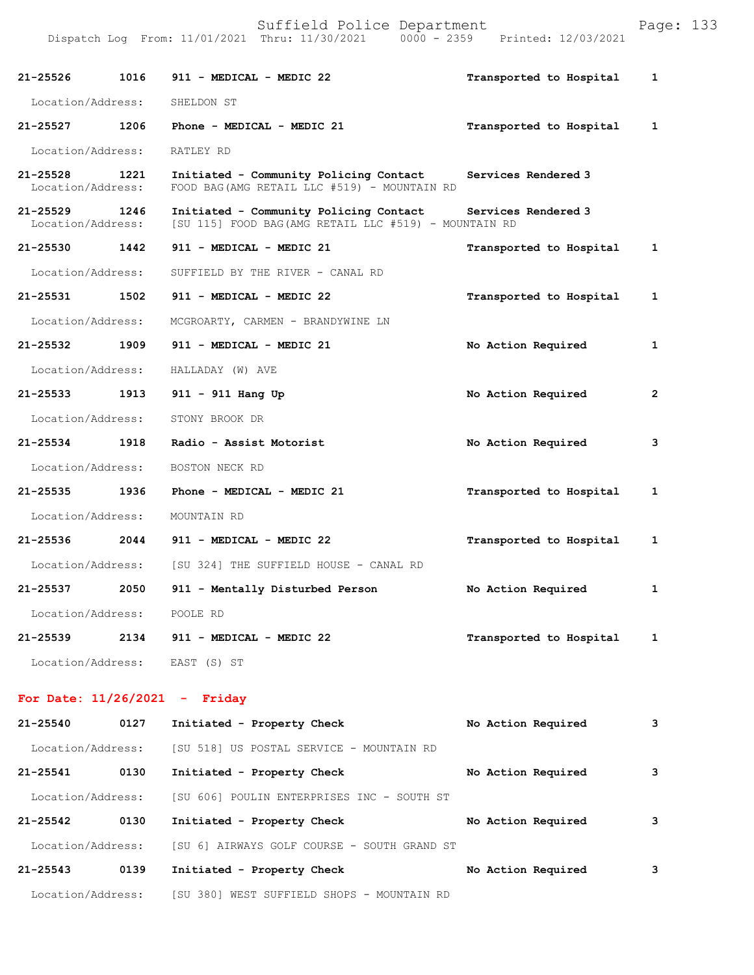|                                    |      | Dispatch Log From: 11/01/2021 Thru: 11/30/2021 0000 - 2359 Printed: 12/03/2021                                      |                           |                |
|------------------------------------|------|---------------------------------------------------------------------------------------------------------------------|---------------------------|----------------|
| 21-25526 1016                      |      | 911 - MEDICAL - MEDIC 22                                                                                            | Transported to Hospital 1 |                |
| Location/Address:                  |      | SHELDON ST                                                                                                          |                           |                |
|                                    |      | 21-25527 1206 Phone - MEDICAL - MEDIC 21                                                                            | Transported to Hospital 1 |                |
| Location/Address:                  |      | RATLEY RD                                                                                                           |                           |                |
| 21-25528 1221<br>Location/Address: |      | Initiated - Community Policing Contact<br>FOOD BAG (AMG RETAIL LLC #519) - MOUNTAIN RD                              | Services Rendered 3       |                |
| 21-25529<br>Location/Address:      | 1246 | Initiated - Community Policing Contact Services Rendered 3<br>[SU 115] FOOD BAG (AMG RETAIL LLC #519) - MOUNTAIN RD |                           |                |
| 21-25530 1442                      |      | 911 - MEDICAL - MEDIC 21                                                                                            | Transported to Hospital 1 |                |
| Location/Address:                  |      | SUFFIELD BY THE RIVER - CANAL RD                                                                                    |                           |                |
| 21-25531                           | 1502 | 911 - MEDICAL - MEDIC 22                                                                                            | Transported to Hospital   | $\mathbf{1}$   |
| Location/Address:                  |      | MCGROARTY, CARMEN - BRANDYWINE LN                                                                                   |                           |                |
| 21-25532 1909                      |      | 911 - MEDICAL - MEDIC 21                                                                                            | No Action Required        | $\mathbf{1}$   |
| Location/Address:                  |      | HALLADAY (W) AVE                                                                                                    |                           |                |
|                                    |      | 21-25533 1913 911 - 911 Hang Up                                                                                     | No Action Required        | $\overline{2}$ |
| Location/Address:                  |      | STONY BROOK DR                                                                                                      |                           |                |
| 21-25534 1918                      |      | Radio - Assist Motorist                                                                                             | No Action Required        | 3              |
| Location/Address:                  |      | BOSTON NECK RD                                                                                                      |                           |                |
| 21-25535 1936                      |      | Phone - MEDICAL - MEDIC 21                                                                                          | Transported to Hospital   | $\mathbf{1}$   |
| Location/Address:                  |      | MOUNTAIN RD                                                                                                         |                           |                |
| 21-25536                           |      | 2044 911 - MEDICAL - MEDIC 22                                                                                       | Transported to Hospital 1 |                |
|                                    |      | Location/Address: [SU 324] THE SUFFIELD HOUSE - CANAL RD                                                            |                           |                |
|                                    |      | 21-25537 2050 911 - Mentally Disturbed Person                                                                       | No Action Required        | $\mathbf{1}$   |
|                                    |      | Location/Address: POOLE RD                                                                                          |                           |                |
|                                    |      | 21-25539 2134 911 - MEDICAL - MEDIC 22                                                                              | Transported to Hospital   | 1              |
|                                    |      | Location/Address: EAST (S) ST                                                                                       |                           |                |
|                                    |      | For Date: $11/26/2021$ - Friday                                                                                     |                           |                |
| 21-25540                           | 0127 | Initiated - Property Check                                                                                          | No Action Required        | 3              |
|                                    |      | Location/Address: [SU 518] US POSTAL SERVICE - MOUNTAIN RD                                                          |                           |                |
|                                    |      | 21-25541 0130 Initiated - Property Check                                                                            | No Action Required        | 3              |

 Location/Address: [SU 606] POULIN ENTERPRISES INC - SOUTH ST **21-25542 0130 Initiated - Property Check No Action Required 3** Location/Address: [SU 6] AIRWAYS GOLF COURSE - SOUTH GRAND ST **21-25543 0139 Initiated - Property Check No Action Required 3** Location/Address: [SU 380] WEST SUFFIELD SHOPS - MOUNTAIN RD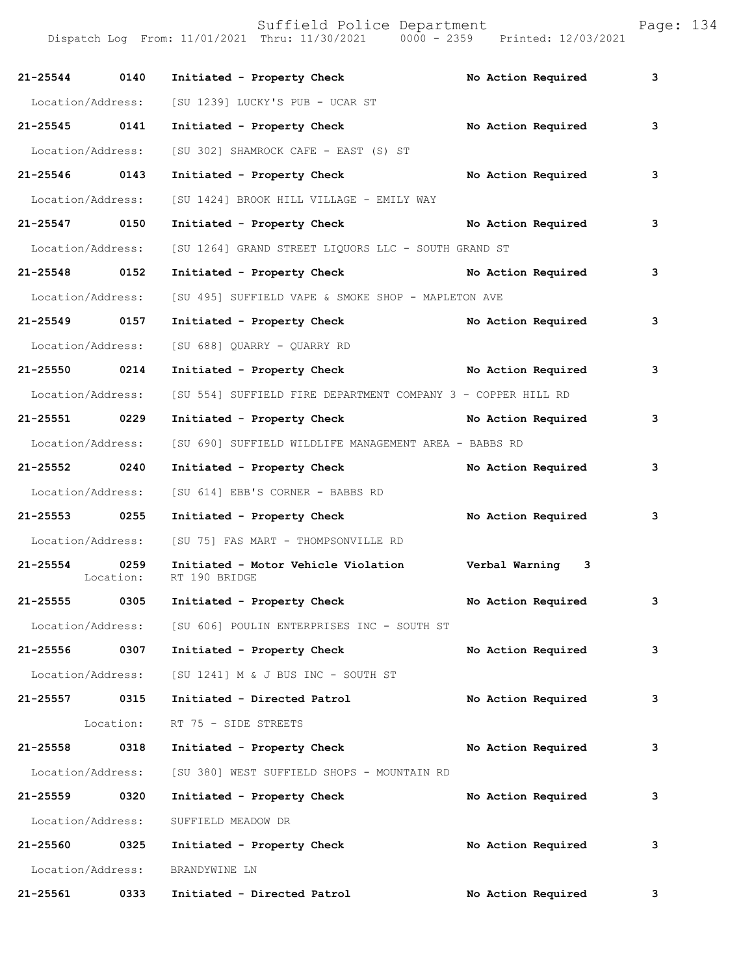| 21-25544 0140     |           | Initiated - Property Check                                                      | No Action Required | 3 |
|-------------------|-----------|---------------------------------------------------------------------------------|--------------------|---|
| Location/Address: |           | [SU 1239] LUCKY'S PUB - UCAR ST                                                 |                    |   |
| 21-25545 0141     |           | Initiated - Property Check                                                      | No Action Required | 3 |
| Location/Address: |           | [SU 302] SHAMROCK CAFE - EAST (S) ST                                            |                    |   |
| 21-25546 0143     |           | Initiated - Property Check No Action Required                                   |                    | 3 |
| Location/Address: |           | [SU 1424] BROOK HILL VILLAGE - EMILY WAY                                        |                    |   |
| 21-25547 0150     |           | Initiated - Property Check No Action Required                                   |                    | 3 |
| Location/Address: |           | [SU 1264] GRAND STREET LIQUORS LLC - SOUTH GRAND ST                             |                    |   |
| 21-25548 0152     |           | Initiated - Property Check No Action Required                                   |                    | 3 |
| Location/Address: |           | [SU 495] SUFFIELD VAPE & SMOKE SHOP - MAPLETON AVE                              |                    |   |
| 21-25549 0157     |           | Initiated - Property Check No Action Required                                   |                    | 3 |
| Location/Address: |           | [SU 688] QUARRY - QUARRY RD                                                     |                    |   |
| 21-25550 0214     |           | Initiated - Property Check No Action Required                                   |                    | 3 |
| Location/Address: |           | [SU 554] SUFFIELD FIRE DEPARTMENT COMPANY 3 - COPPER HILL RD                    |                    |   |
| 21-25551 0229     |           | Initiated - Property Check No Action Required                                   |                    | 3 |
| Location/Address: |           | [SU 690] SUFFIELD WILDLIFE MANAGEMENT AREA - BABBS RD                           |                    |   |
| 21-25552 0240     |           | Initiated - Property Check No Action Required                                   |                    | 3 |
| Location/Address: |           | [SU 614] EBB'S CORNER - BABBS RD                                                |                    |   |
| 21-25553 0255     |           | Initiated - Property Check No Action Required                                   |                    | 3 |
|                   |           | Location/Address: [SU 75] FAS MART - THOMPSONVILLE RD                           |                    |   |
| 21-25554 0259     |           | Initiated - Motor Vehicle Violation Verbal Warning 3<br>Location: RT 190 BRIDGE |                    |   |
|                   |           | 21-25555 0305 Initiated - Property Check                                        | No Action Required | 3 |
|                   |           | Location/Address: [SU 606] POULIN ENTERPRISES INC - SOUTH ST                    |                    |   |
| 21-25556 0307     |           | Initiated - Property Check                                                      | No Action Required | 3 |
|                   |           | Location/Address: [SU 1241] M & J BUS INC - SOUTH ST                            |                    |   |
| 21-25557 0315     |           | Initiated - Directed Patrol                                                     | No Action Required | 3 |
|                   | Location: | RT 75 - SIDE STREETS                                                            |                    |   |
| 21-25558 0318     |           | Initiated - Property Check                                                      | No Action Required | 3 |
| Location/Address: |           | [SU 380] WEST SUFFIELD SHOPS - MOUNTAIN RD                                      |                    |   |
| 21-25559 0320     |           | Initiated - Property Check                                                      | No Action Required | 3 |
| Location/Address: |           | SUFFIELD MEADOW DR                                                              |                    |   |
| 21-25560 0325     |           | Initiated - Property Check                                                      | No Action Required | 3 |
| Location/Address: |           | BRANDYWINE LN                                                                   |                    |   |
| 21-25561          | 0333      | Initiated - Directed Patrol                                                     | No Action Required | 3 |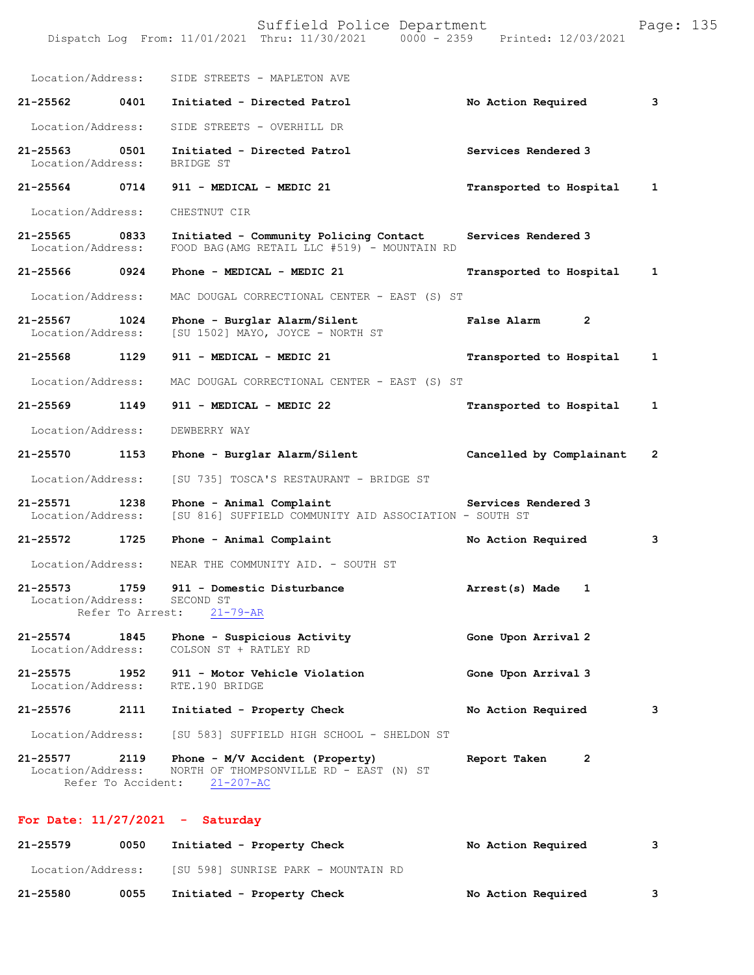|                                    |                    | Suffield Police Department<br>Dispatch Log From: 11/01/2021 Thru: 11/30/2021 0000 - 2359      | Printed: 12/03/2021      | Page: 135 |
|------------------------------------|--------------------|-----------------------------------------------------------------------------------------------|--------------------------|-----------|
| Location/Address:                  |                    | SIDE STREETS - MAPLETON AVE                                                                   |                          |           |
| 21-25562                           | 0401               | Initiated - Directed Patrol                                                                   | No Action Required       | 3         |
| Location/Address:                  |                    | SIDE STREETS - OVERHILL DR                                                                    |                          |           |
| $21 - 25563$<br>Location/Address:  | 0501               | Initiated - Directed Patrol<br>BRIDGE ST                                                      | Services Rendered 3      |           |
| 21-25564                           | 0714               | 911 - MEDICAL - MEDIC 21                                                                      | Transported to Hospital  | 1         |
| Location/Address:                  |                    | CHESTNUT CIR                                                                                  |                          |           |
| 21-25565<br>Location/Address:      | 0833               | Initiated - Community Policing Contact<br>FOOD BAG (AMG RETAIL LLC #519) - MOUNTAIN RD        | Services Rendered 3      |           |
| 21-25566                           | 0924               | Phone - MEDICAL - MEDIC 21                                                                    | Transported to Hospital  | 1         |
| Location/Address:                  |                    | MAC DOUGAL CORRECTIONAL CENTER - EAST (S) ST                                                  |                          |           |
| 21-25567<br>Location/Address:      | 1024               | Phone - Burglar Alarm/Silent<br>[SU 1502] MAYO, JOYCE - NORTH ST                              | False Alarm<br>2         |           |
| 21-25568                           | 1129               | 911 - MEDICAL - MEDIC 21                                                                      | Transported to Hospital  | 1         |
| Location/Address:                  |                    | MAC DOUGAL CORRECTIONAL CENTER - EAST (S) ST                                                  |                          |           |
| 21-25569                           | 1149               | 911 - MEDICAL - MEDIC 22                                                                      | Transported to Hospital  | 1         |
| Location/Address:                  |                    | DEWBERRY WAY                                                                                  |                          |           |
| 21-25570                           | 1153               | Phone - Burglar Alarm/Silent                                                                  | Cancelled by Complainant | 2         |
| Location/Address:                  |                    | [SU 735] TOSCA'S RESTAURANT - BRIDGE ST                                                       |                          |           |
| $21 - 25571$<br>Location/Address:  | 1238               | Phone - Animal Complaint<br>[SU 816] SUFFIELD COMMUNITY AID ASSOCIATION - SOUTH ST            | Services Rendered 3      |           |
| $21 - 25572$                       | 1725               | Phone - Animal Complaint                                                                      | No Action Required       | з         |
| Location/Address:                  |                    | NEAR THE COMMUNITY AID. - SOUTH ST                                                            |                          |           |
| Location/Address: SECOND ST        | Refer To Arrest:   | 21-25573 1759 911 - Domestic Disturbance<br>$21 - 79 - AR$                                    | Arrest(s) Made<br>1      |           |
| 21-25574 1845<br>Location/Address: |                    | Phone - Suspicious Activity<br>COLSON ST + RATLEY RD                                          | Gone Upon Arrival 2      |           |
| 21-25575 1952<br>Location/Address: |                    | 911 - Motor Vehicle Violation<br>RTE.190 BRIDGE                                               | Gone Upon Arrival 3      |           |
| 21-25576                           | 2111               | Initiated - Property Check                                                                    | No Action Required       | 3         |
| Location/Address:                  |                    | [SU 583] SUFFIELD HIGH SCHOOL - SHELDON ST                                                    |                          |           |
| 21-25577 2119<br>Location/Address: | Refer To Accident: | Phone - M/V Accident (Property)<br>NORTH OF THOMPSONVILLE RD - EAST (N) ST<br>$21 - 207 - AC$ | 2<br>Report Taken        |           |

## **For Date: 11/27/2021 - Saturday**

| 21-25579          | 0050 | Initiated - Property Check          | No Action Required |   |
|-------------------|------|-------------------------------------|--------------------|---|
| Location/Address: |      | [SU 598] SUNRISE PARK - MOUNTAIN RD |                    |   |
| 21-25580          | 0055 | Initiated - Property Check          | No Action Required | 3 |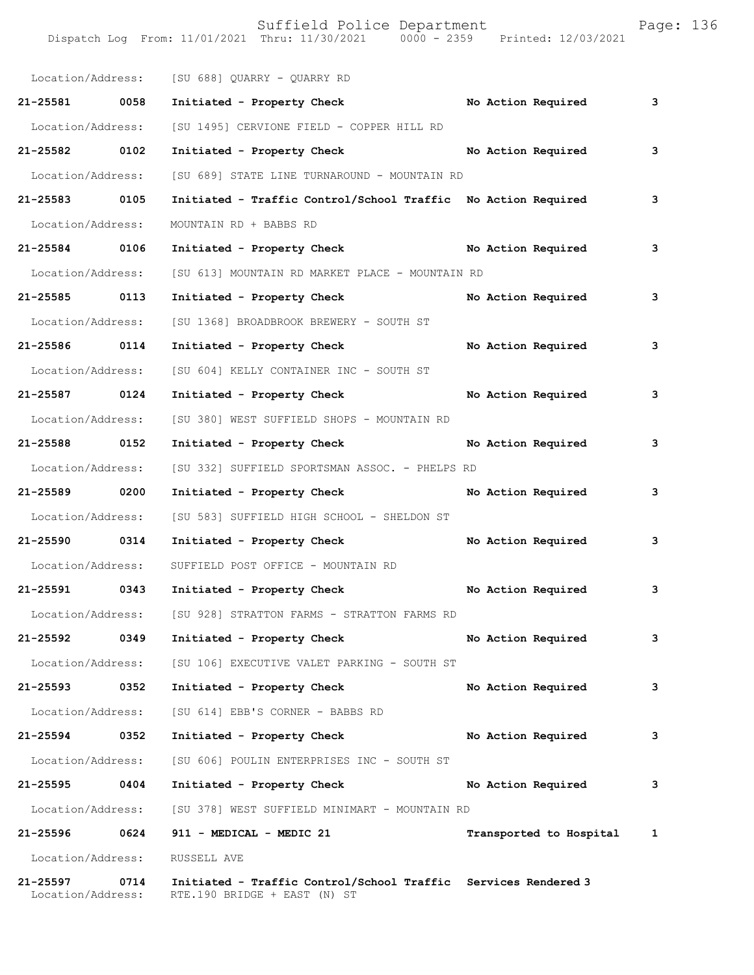| Page: |  | 136 |  |
|-------|--|-----|--|
|       |  |     |  |

|                               |      | Location/Address: [SU 688] QUARRY - QUARRY RD                                                  |                         |   |
|-------------------------------|------|------------------------------------------------------------------------------------------------|-------------------------|---|
| 21-25581 0058                 |      | Initiated - Property Check No Action Required                                                  |                         | 3 |
| Location/Address:             |      | [SU 1495] CERVIONE FIELD - COPPER HILL RD                                                      |                         |   |
| 21-25582 0102                 |      | Initiated - Property Check                                                                     | No Action Required      | 3 |
| Location/Address:             |      | [SU 689] STATE LINE TURNAROUND - MOUNTAIN RD                                                   |                         |   |
| 21-25583 0105                 |      | Initiated - Traffic Control/School Traffic No Action Required                                  |                         | 3 |
| Location/Address:             |      | MOUNTAIN RD + BABBS RD                                                                         |                         |   |
| 21-25584 0106                 |      | Initiated - Property Check No Action Required                                                  |                         | 3 |
| Location/Address:             |      | [SU 613] MOUNTAIN RD MARKET PLACE - MOUNTAIN RD                                                |                         |   |
| 21-25585 0113                 |      | Initiated - Property Check                                                                     | No Action Required      | 3 |
| Location/Address:             |      | [SU 1368] BROADBROOK BREWERY - SOUTH ST                                                        |                         |   |
| 21-25586 0114                 |      | Initiated - Property Check                                                                     | No Action Required      | 3 |
| Location/Address:             |      | [SU 604] KELLY CONTAINER INC - SOUTH ST                                                        |                         |   |
| 21-25587 0124                 |      | Initiated - Property Check                                                                     | No Action Required      | 3 |
| Location/Address:             |      | [SU 380] WEST SUFFIELD SHOPS - MOUNTAIN RD                                                     |                         |   |
| 21-25588 0152                 |      | Initiated - Property Check                                                                     | No Action Required      | 3 |
| Location/Address:             |      | [SU 332] SUFFIELD SPORTSMAN ASSOC. - PHELPS RD                                                 |                         |   |
| 21-25589 0200                 |      | Initiated - Property Check                                                                     | No Action Required      | 3 |
| Location/Address:             |      | [SU 583] SUFFIELD HIGH SCHOOL - SHELDON ST                                                     |                         |   |
| 21-25590 0314                 |      | Initiated - Property Check                                                                     | No Action Required      | 3 |
| Location/Address:             |      | SUFFIELD POST OFFICE - MOUNTAIN RD                                                             |                         |   |
| 21-25591 0343                 |      | Initiated - Property Check                                                                     | No Action Required      | 3 |
| Location/Address:             |      | [SU 928] STRATTON FARMS - STRATTON FARMS RD                                                    |                         |   |
| 21-25592                      | 0349 | Initiated - Property Check                                                                     | No Action Required      | 3 |
| Location/Address:             |      | [SU 106] EXECUTIVE VALET PARKING - SOUTH ST                                                    |                         |   |
| 21-25593 0352                 |      | Initiated - Property Check                                                                     | No Action Required      | 3 |
| Location/Address:             |      | [SU 614] EBB'S CORNER - BABBS RD                                                               |                         |   |
| 21-25594 0352                 |      | Initiated - Property Check                                                                     | No Action Required      | 3 |
| Location/Address:             |      | [SU 606] POULIN ENTERPRISES INC - SOUTH ST                                                     |                         |   |
| 21-25595                      | 0404 | Initiated - Property Check                                                                     | No Action Required      | 3 |
| Location/Address:             |      | [SU 378] WEST SUFFIELD MINIMART - MOUNTAIN RD                                                  |                         |   |
| 21-25596 0624                 |      | 911 - MEDICAL - MEDIC 21                                                                       | Transported to Hospital | 1 |
| Location/Address:             |      | RUSSELL AVE                                                                                    |                         |   |
| 21-25597<br>Location/Address: | 0714 | Initiated - Traffic Control/School Traffic Services Rendered 3<br>RTE.190 BRIDGE + EAST (N) ST |                         |   |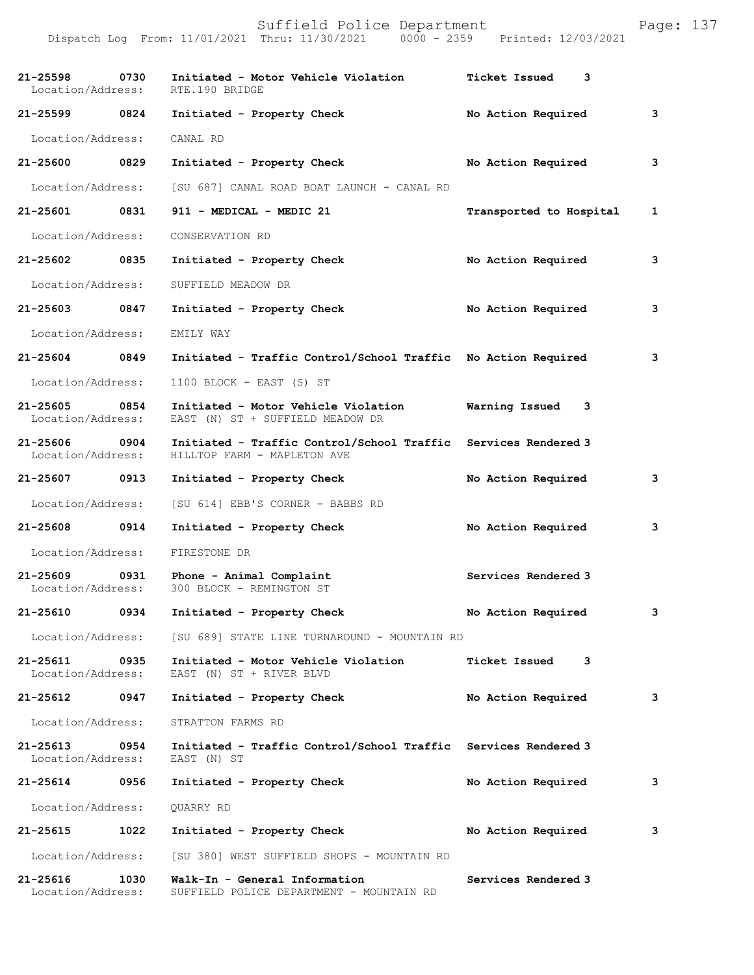| 21-25598<br>Location/Address:     | 0730 | Initiated - Motor Vehicle Violation<br>RTE.190 BRIDGE                         | <b>Ticket Issued</b><br>3 |   |
|-----------------------------------|------|-------------------------------------------------------------------------------|---------------------------|---|
| 21-25599 0824                     |      | Initiated - Property Check                                                    | No Action Required        | 3 |
| Location/Address:                 |      | CANAL RD                                                                      |                           |   |
| 21-25600                          | 0829 | Initiated - Property Check                                                    | No Action Required        | 3 |
| Location/Address:                 |      | [SU 687] CANAL ROAD BOAT LAUNCH - CANAL RD                                    |                           |   |
| 21-25601                          | 0831 | 911 - MEDICAL - MEDIC 21                                                      | Transported to Hospital   | 1 |
| Location/Address:                 |      | CONSERVATION RD                                                               |                           |   |
| 21-25602 0835                     |      | Initiated - Property Check                                                    | No Action Required        | 3 |
| Location/Address:                 |      | SUFFIELD MEADOW DR                                                            |                           |   |
| 21-25603                          | 0847 | Initiated - Property Check                                                    | No Action Required        | 3 |
| Location/Address:                 |      | EMILY WAY                                                                     |                           |   |
| 21-25604 0849                     |      | Initiated - Traffic Control/School Traffic No Action Required                 |                           | 3 |
| Location/Address:                 |      | 1100 BLOCK - EAST (S) ST                                                      |                           |   |
| 21-25605<br>Location/Address:     | 0854 | Initiated - Motor Vehicle Violation<br>EAST (N) ST + SUFFIELD MEADOW DR       | Warning Issued<br>3       |   |
| 21-25606<br>Location/Address:     | 0904 | Initiated - Traffic Control/School Traffic<br>HILLTOP FARM - MAPLETON AVE     | Services Rendered 3       |   |
| 21-25607                          | 0913 | Initiated - Property Check                                                    | No Action Required        | 3 |
| Location/Address:                 |      | [SU 614] EBB'S CORNER - BABBS RD                                              |                           |   |
| 21-25608 0914                     |      | Initiated - Property Check                                                    | No Action Required        | 3 |
| Location/Address:                 |      | FIRESTONE DR                                                                  |                           |   |
| $21 - 25609$<br>Location/Address: | 0931 | Phone - Animal Complaint<br>300 BLOCK - REMINGTON ST                          | Services Rendered 3       |   |
| 21-25610                          | 0934 | Initiated - Property Check                                                    | No Action Required        | 3 |
| Location/Address:                 |      | [SU 689] STATE LINE TURNAROUND - MOUNTAIN RD                                  |                           |   |
| 21-25611<br>Location/Address:     | 0935 | Initiated - Motor Vehicle Violation<br>EAST (N) ST + RIVER BLVD               | <b>Ticket Issued</b><br>3 |   |
| 21-25612                          | 0947 | Initiated - Property Check                                                    | No Action Required        | 3 |
| Location/Address:                 |      | STRATTON FARMS RD                                                             |                           |   |
| 21-25613<br>Location/Address:     | 0954 | Initiated - Traffic Control/School Traffic Services Rendered 3<br>EAST (N) ST |                           |   |
| 21-25614                          | 0956 | Initiated - Property Check                                                    | No Action Required        | 3 |
| Location/Address:                 |      | QUARRY RD                                                                     |                           |   |
| 21-25615                          | 1022 | Initiated - Property Check                                                    | No Action Required        | 3 |
| Location/Address:                 |      | [SU 380] WEST SUFFIELD SHOPS - MOUNTAIN RD                                    |                           |   |
| $21 - 25616$<br>Location/Address: | 1030 | Walk-In - General Information<br>SUFFIELD POLICE DEPARTMENT - MOUNTAIN RD     | Services Rendered 3       |   |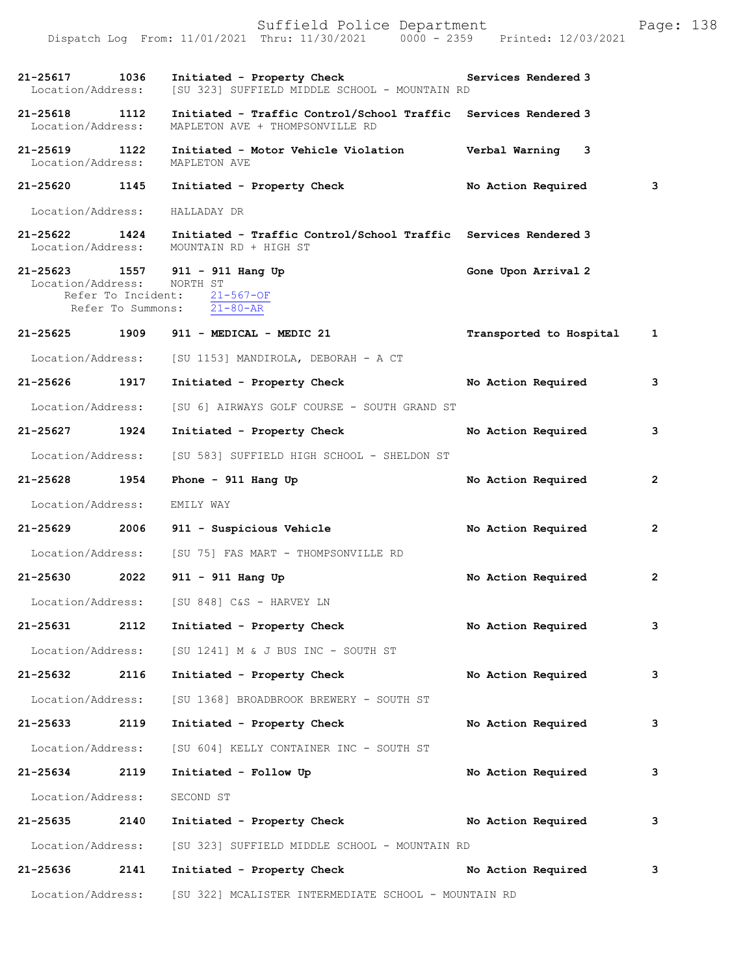|                                    |                    | Dispatch Log From: 11/01/2021 Thru: 11/30/2021 0000 - 2359                                        | Printed: 12/03/2021       |                |
|------------------------------------|--------------------|---------------------------------------------------------------------------------------------------|---------------------------|----------------|
| 21-25617 1036<br>Location/Address: |                    | Initiated - Property Check<br>[SU 323] SUFFIELD MIDDLE SCHOOL - MOUNTAIN RD                       | Services Rendered 3       |                |
| 21-25618 1112<br>Location/Address: |                    | Initiated - Traffic Control/School Traffic Services Rendered 3<br>MAPLETON AVE + THOMPSONVILLE RD |                           |                |
| 21-25619<br>Location/Address:      | 1122               | Initiated - Motor Vehicle Violation<br>MAPLETON AVE                                               | Verbal Warning 3          |                |
| 21-25620 1145                      |                    | Initiated - Property Check                                                                        | No Action Required        | 3              |
| Location/Address:                  |                    | HALLADAY DR                                                                                       |                           |                |
| 21-25622 1424<br>Location/Address: |                    | Initiated - Traffic Control/School Traffic Services Rendered 3<br>MOUNTAIN RD + HIGH ST           |                           |                |
| Location/Address: NORTH ST         | Refer To Incident: | 21-25623 1557 911 - 911 Hang Up<br>$21 - 567 - OF$<br>Refer To Summons: $21-80-AR$                | Gone Upon Arrival 2       |                |
| 21-25625 1909                      |                    | 911 - MEDICAL - MEDIC 21                                                                          | Transported to Hospital 1 |                |
| Location/Address:                  |                    | [SU 1153] MANDIROLA, DEBORAH - A CT                                                               |                           |                |
| 21-25626                           | 1917               | Initiated - Property Check                                                                        | No Action Required        | 3              |
| Location/Address:                  |                    | [SU 6] AIRWAYS GOLF COURSE - SOUTH GRAND ST                                                       |                           |                |
| 21-25627                           | 1924               | Initiated - Property Check                                                                        | No Action Required        | 3              |
| Location/Address:                  |                    | [SU 583] SUFFIELD HIGH SCHOOL - SHELDON ST                                                        |                           |                |
| 21-25628                           | 1954               | Phone - $911$ Hang Up                                                                             | No Action Required        | $\mathbf{2}$   |
| Location/Address:                  |                    | EMILY WAY                                                                                         |                           |                |
| 21-25629                           | 2006               | 911 - Suspicious Vehicle                                                                          | No Action Required        | $\mathbf{2}$   |
| Location/Address:                  |                    | [SU 75] FAS MART - THOMPSONVILLE RD                                                               |                           |                |
| 21-25630                           | 2022               | 911 - 911 Hang Up                                                                                 | No Action Required        | $\overline{2}$ |
|                                    |                    | Location/Address: [SU 848] C&S - HARVEY LN                                                        |                           |                |
| 21-25631                           | 2112               | Initiated - Property Check                                                                        | No Action Required        | 3              |
| Location/Address:                  |                    | [SU 1241] M & J BUS INC - SOUTH ST                                                                |                           |                |
| 21-25632                           | 2116               | Initiated - Property Check                                                                        | No Action Required        | 3              |
| Location/Address:                  |                    | [SU 1368] BROADBROOK BREWERY - SOUTH ST                                                           |                           |                |
| 21-25633                           | 2119               | Initiated - Property Check                                                                        | No Action Required        | 3              |
| Location/Address:                  |                    | [SU 604] KELLY CONTAINER INC - SOUTH ST                                                           |                           |                |
| 21-25634 2119                      |                    | Initiated - Follow Up                                                                             | No Action Required        | 3              |
| Location/Address:                  |                    | SECOND ST                                                                                         |                           |                |
| 21-25635                           | 2140               | Initiated - Property Check                                                                        | No Action Required        | 3              |
| Location/Address:                  |                    | [SU 323] SUFFIELD MIDDLE SCHOOL - MOUNTAIN RD                                                     |                           |                |
| 21-25636                           | 2141               | Initiated - Property Check                                                                        | No Action Required        | 3              |
| Location/Address:                  |                    | [SU 322] MCALISTER INTERMEDIATE SCHOOL - MOUNTAIN RD                                              |                           |                |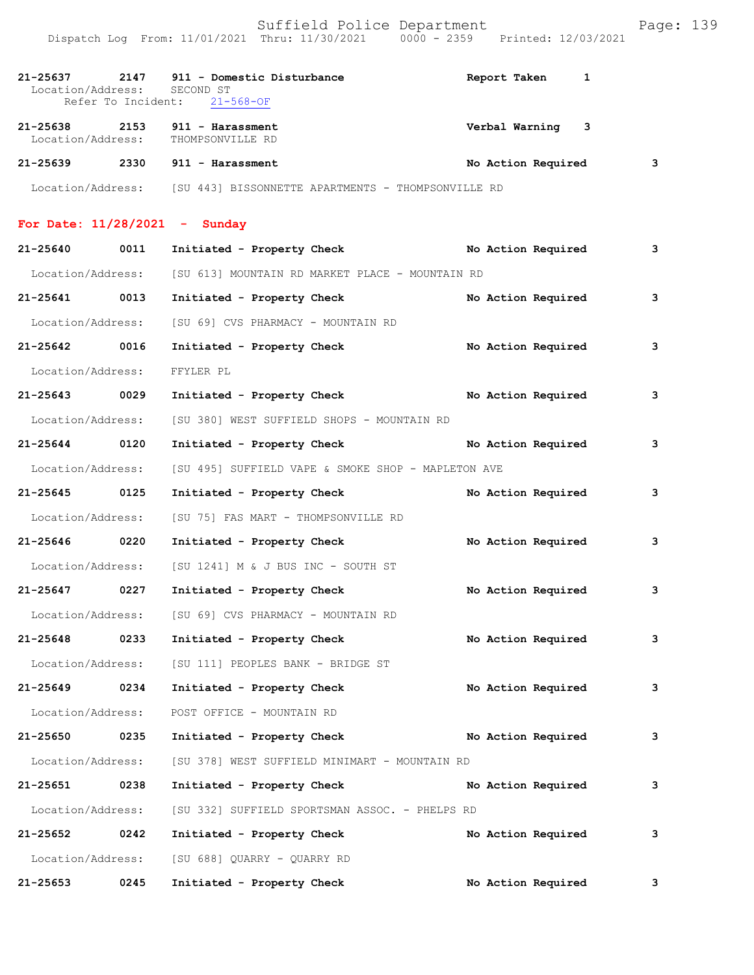| 21-25637<br>Location/Address:      | 2147<br>Refer To Incident: | 911 - Domestic Disturbance<br>SECOND ST<br>$21 - 568 - OF$           | Report Taken<br>1  |   |
|------------------------------------|----------------------------|----------------------------------------------------------------------|--------------------|---|
| 21-25638 2153<br>Location/Address: |                            | 911 - Harassment<br>THOMPSONVILLE RD                                 | Verbal Warning 3   |   |
| 21-25639                           |                            | $2330$ 911 - Harassment                                              | No Action Required | 3 |
|                                    |                            | Location/Address: [SU 443] BISSONNETTE APARTMENTS - THOMPSONVILLE RD |                    |   |
|                                    |                            | For Date: $11/28/2021$ - Sunday                                      |                    |   |
| 21-25640                           | 0011                       | Initiated - Property Check No Action Required                        |                    | 3 |
| Location/Address:                  |                            | [SU 613] MOUNTAIN RD MARKET PLACE - MOUNTAIN RD                      |                    |   |
| 21-25641 0013                      |                            | Initiated - Property Check                                           | No Action Required | 3 |
| Location/Address:                  |                            | [SU 69] CVS PHARMACY - MOUNTAIN RD                                   |                    |   |
| 21-25642 0016                      |                            | Initiated - Property Check                                           | No Action Required | 3 |
| Location/Address:                  |                            | FFYLER PL                                                            |                    |   |
| 21-25643 0029                      |                            | Initiated - Property Check                                           | No Action Required | 3 |
| Location/Address:                  |                            | [SU 380] WEST SUFFIELD SHOPS - MOUNTAIN RD                           |                    |   |
| 21-25644 0120                      |                            | Initiated - Property Check                                           | No Action Required | 3 |
| Location/Address:                  |                            | [SU 495] SUFFIELD VAPE & SMOKE SHOP - MAPLETON AVE                   |                    |   |
| 21-25645 0125                      |                            | Initiated - Property Check                                           | No Action Required | 3 |
| Location/Address:                  |                            | [SU 75] FAS MART - THOMPSONVILLE RD                                  |                    |   |
| 21-25646 0220                      |                            | Initiated - Property Check                                           | No Action Required | 3 |
| Location/Address:                  |                            | [SU 1241] M & J BUS INC - SOUTH ST                                   |                    |   |
| 21-25647 0227                      |                            | Initiated - Property Check                                           | No Action Required | 3 |
| Location/Address:                  |                            | [SU 69] CVS PHARMACY - MOUNTAIN RD                                   |                    |   |
| $21 - 25648$                       | 0233                       | Initiated - Property Check                                           | No Action Required | 3 |
|                                    |                            | Location/Address: [SU 111] PEOPLES BANK - BRIDGE ST                  |                    |   |
| 21-25649                           | 0234                       | Initiated - Property Check                                           | No Action Required | 3 |
| Location/Address:                  |                            | POST OFFICE - MOUNTAIN RD                                            |                    |   |
| 21-25650                           | 0235                       | Initiated - Property Check                                           | No Action Required | 3 |
| Location/Address:                  |                            | [SU 378] WEST SUFFIELD MINIMART - MOUNTAIN RD                        |                    |   |
| 21-25651                           | 0238                       | Initiated - Property Check                                           | No Action Required | 3 |
| Location/Address:                  |                            | [SU 332] SUFFIELD SPORTSMAN ASSOC. - PHELPS RD                       |                    |   |
| 21-25652                           | 0242                       | Initiated - Property Check                                           | No Action Required | 3 |
| Location/Address:                  |                            | [SU 688] QUARRY - QUARRY RD                                          |                    |   |
| 21-25653                           | 0245                       | Initiated - Property Check                                           | No Action Required | 3 |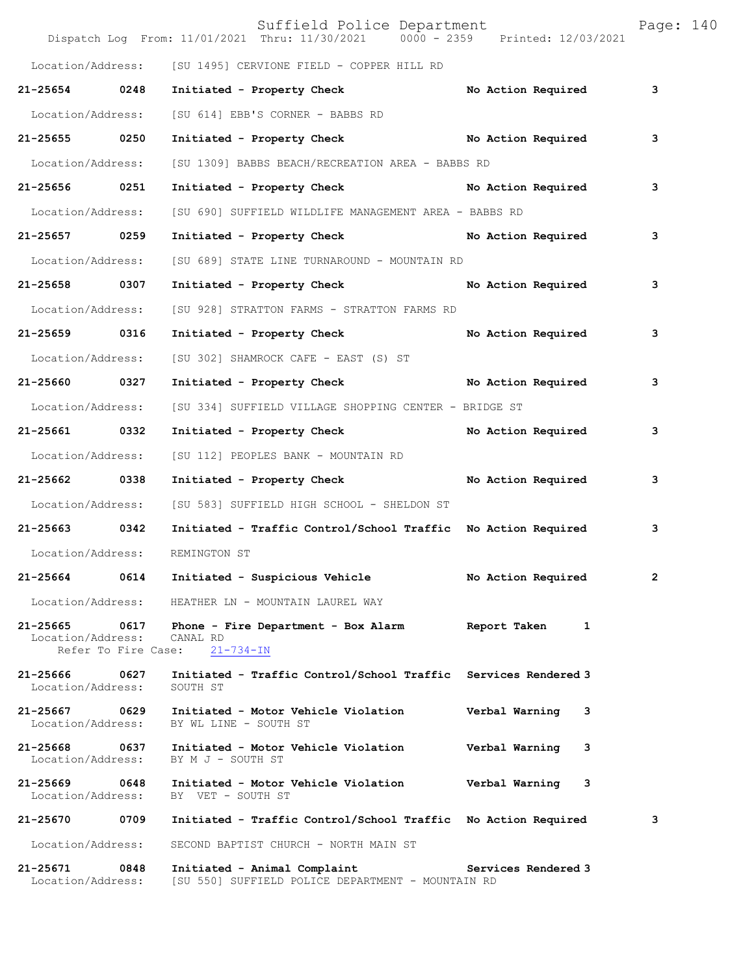|                                    |                             | Suffield Police Department<br>Dispatch Log From: 11/01/2021 Thru: 11/30/2021 0000 - 2359 Printed: 12/03/2021 |                     | Page: 140 |  |
|------------------------------------|-----------------------------|--------------------------------------------------------------------------------------------------------------|---------------------|-----------|--|
|                                    |                             | Location/Address: [SU 1495] CERVIONE FIELD - COPPER HILL RD                                                  |                     |           |  |
| 21-25654 0248                      |                             | Initiated - Property Check No Action Required                                                                |                     | 3         |  |
| Location/Address:                  |                             | [SU 614] EBB'S CORNER - BABBS RD                                                                             |                     |           |  |
| 21-25655 0250                      |                             | Initiated - Property Check No Action Required                                                                |                     | 3         |  |
| Location/Address:                  |                             | [SU 1309] BABBS BEACH/RECREATION AREA - BABBS RD                                                             |                     |           |  |
| 21-25656 0251                      |                             | Initiated - Property Check No Action Required                                                                |                     | 3         |  |
| Location/Address:                  |                             | [SU 690] SUFFIELD WILDLIFE MANAGEMENT AREA - BABBS RD                                                        |                     |           |  |
| 21-25657 0259                      |                             | Initiated - Property Check No Action Required                                                                |                     | 3         |  |
| Location/Address:                  |                             | [SU 689] STATE LINE TURNAROUND - MOUNTAIN RD                                                                 |                     |           |  |
| 21-25658 0307                      |                             | Initiated - Property Check                                                                                   | No Action Required  | 3         |  |
| Location/Address:                  |                             | [SU 928] STRATTON FARMS - STRATTON FARMS RD                                                                  |                     |           |  |
| 21-25659 0316                      |                             | Initiated - Property Check                                                                                   | No Action Required  | 3         |  |
| Location/Address:                  |                             | [SU 302] SHAMROCK CAFE - EAST (S) ST                                                                         |                     |           |  |
| 21-25660 0327                      |                             | Initiated - Property Check No Action Required                                                                |                     | 3         |  |
| Location/Address:                  |                             | [SU 334] SUFFIELD VILLAGE SHOPPING CENTER - BRIDGE ST                                                        |                     |           |  |
| 21-25661 0332                      |                             | Initiated - Property Check No Action Required                                                                |                     | 3         |  |
| Location/Address:                  |                             | [SU 112] PEOPLES BANK - MOUNTAIN RD                                                                          |                     |           |  |
| 21-25662 0338                      |                             | Initiated - Property Check                                                                                   | No Action Required  | 3         |  |
| Location/Address:                  |                             | [SU 583] SUFFIELD HIGH SCHOOL - SHELDON ST                                                                   |                     |           |  |
| 21-25663 0342                      |                             | Initiated - Traffic Control/School Traffic No Action Required                                                |                     | 3         |  |
| Location/Address:                  |                             | REMINGTON ST                                                                                                 |                     |           |  |
| 21-25664                           | 0614                        | Initiated - Suspicious Vehicle                                                                               | No Action Required  | 2         |  |
| Location/Address:                  |                             | HEATHER LN - MOUNTAIN LAUREL WAY                                                                             |                     |           |  |
| 21-25665<br>Location/Address:      | 0617<br>Refer To Fire Case: | Phone - Fire Department - Box Alarm<br>CANAL RD<br>$21 - 734 - IN$                                           | Report Taken<br>1   |           |  |
| 21-25666 0627<br>Location/Address: |                             | Initiated - Traffic Control/School Traffic Services Rendered 3<br>SOUTH ST                                   |                     |           |  |
| 21-25667<br>Location/Address:      | 0629                        | Initiated - Motor Vehicle Violation<br>BY WL LINE - SOUTH ST                                                 | Verbal Warning<br>3 |           |  |
| 21-25668<br>Location/Address:      | 0637                        | Initiated - Motor Vehicle Violation<br>BY M J - SOUTH ST                                                     | Verbal Warning<br>3 |           |  |
| 21-25669<br>Location/Address:      | 0648                        | Initiated - Motor Vehicle Violation<br>BY VET - SOUTH ST                                                     | Verbal Warning<br>3 |           |  |
| 21-25670                           | 0709                        | Initiated - Traffic Control/School Traffic No Action Required                                                |                     | 3         |  |
| Location/Address:                  |                             | SECOND BAPTIST CHURCH - NORTH MAIN ST                                                                        |                     |           |  |
| 21-25671<br>Location/Address:      | 0848                        | Initiated - Animal Complaint<br>[SU 550] SUFFIELD POLICE DEPARTMENT - MOUNTAIN RD                            | Services Rendered 3 |           |  |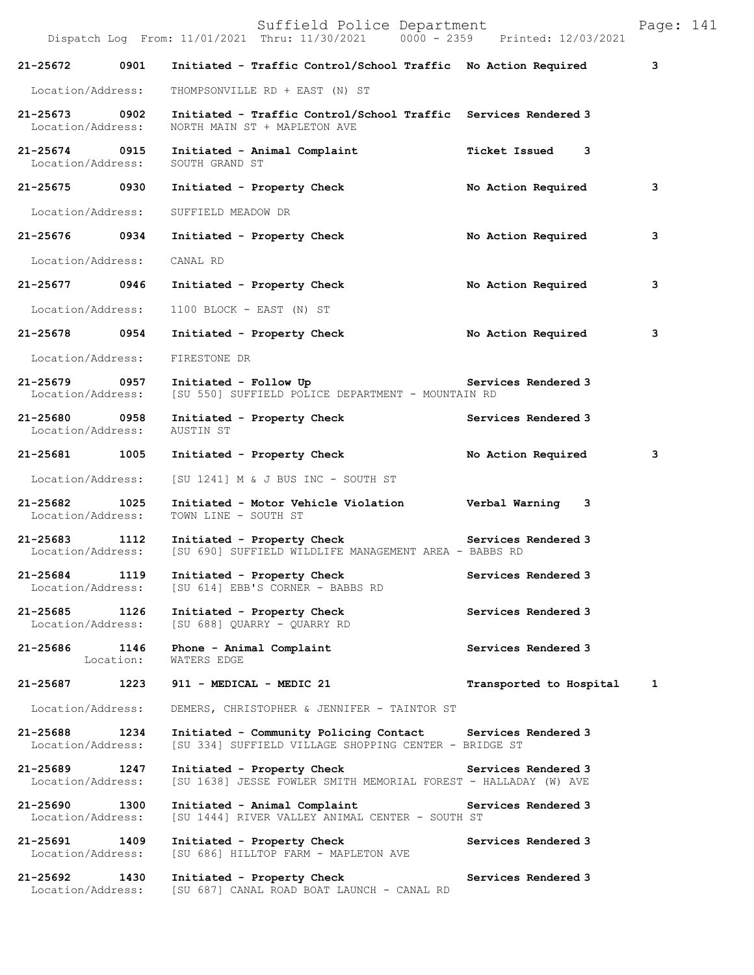|                                    |           | Suffield Police Department<br>Dispatch Log From: 11/01/2021 Thru: 11/30/2021 0000 - 2359 Printed: 12/03/2021        |                         | Page: 141 |
|------------------------------------|-----------|---------------------------------------------------------------------------------------------------------------------|-------------------------|-----------|
| 21-25672                           | 0901      | Initiated - Traffic Control/School Traffic No Action Required                                                       |                         | 3         |
| Location/Address:                  |           | THOMPSONVILLE RD + EAST (N) ST                                                                                      |                         |           |
| 21-25673 0902<br>Location/Address: |           | Initiated - Traffic Control/School Traffic Services Rendered 3<br>NORTH MAIN ST + MAPLETON AVE                      |                         |           |
| 21-25674 0915<br>Location/Address: |           | Initiated - Animal Complaint<br>SOUTH GRAND ST                                                                      | Ticket Issued 3         |           |
| 21-25675 0930                      |           | Initiated - Property Check                                                                                          | No Action Required      | 3         |
| Location/Address:                  |           | SUFFIELD MEADOW DR                                                                                                  |                         |           |
| 21-25676 0934                      |           | Initiated - Property Check                                                                                          | No Action Required      | 3         |
| Location/Address:                  |           | CANAL RD                                                                                                            |                         |           |
| 21-25677 0946                      |           | Initiated - Property Check                                                                                          | No Action Required      | 3         |
| Location/Address:                  |           | 1100 BLOCK - EAST (N) ST                                                                                            |                         |           |
| 21-25678 0954                      |           | Initiated - Property Check                                                                                          | No Action Required      | 3         |
| Location/Address:                  |           | FIRESTONE DR                                                                                                        |                         |           |
| 21-25679 0957<br>Location/Address: |           | Initiated - Follow Up<br>[SU 550] SUFFIELD POLICE DEPARTMENT - MOUNTAIN RD                                          | Services Rendered 3     |           |
| 21-25680 0958<br>Location/Address: |           | Initiated - Property Check<br>AUSTIN ST                                                                             | Services Rendered 3     |           |
| 21-25681 1005                      |           | Initiated - Property Check                                                                                          | No Action Required      | 3         |
| Location/Address:                  |           | [SU 1241] M & J BUS INC - SOUTH ST                                                                                  |                         |           |
| 21-25682 1025<br>Location/Address: |           | Initiated - Motor Vehicle Violation Verbal Warning 3<br>TOWN LINE - SOUTH ST                                        |                         |           |
| 21-25683 1112<br>Location/Address: |           | Initiated - Property Check Services Rendered 3<br>[SU 690] SUFFIELD WILDLIFE MANAGEMENT AREA - BABBS RD             |                         |           |
| 21-25684<br>Location/Address:      | 1119      | Initiated - Property Check<br>[SU 614] EBB'S CORNER - BABBS RD                                                      | Services Rendered 3     |           |
| 21-25685 1126<br>Location/Address: |           | Initiated - Property Check<br>[SU 688] OUARRY - OUARRY RD                                                           | Services Rendered 3     |           |
| 21-25686 1146                      | Location: | Phone - Animal Complaint<br>WATERS EDGE                                                                             | Services Rendered 3     |           |
| 21-25687 1223                      |           | 911 - MEDICAL - MEDIC 21                                                                                            | Transported to Hospital | 1         |
| Location/Address:                  |           | DEMERS, CHRISTOPHER & JENNIFER - TAINTOR ST                                                                         |                         |           |
| 21-25688<br>Location/Address:      | 1234      | Initiated - Community Policing Contact Services Rendered 3<br>[SU 334] SUFFIELD VILLAGE SHOPPING CENTER - BRIDGE ST |                         |           |
| 21-25689<br>Location/Address:      | 1247      | Initiated - Property Check<br>[SU 1638] JESSE FOWLER SMITH MEMORIAL FOREST - HALLADAY (W) AVE                       | Services Rendered 3     |           |
| 21-25690<br>Location/Address:      | 1300      | Initiated - Animal Complaint<br>[SU 1444] RIVER VALLEY ANIMAL CENTER - SOUTH ST                                     | Services Rendered 3     |           |
| 21-25691<br>Location/Address:      | 1409      | Initiated - Property Check<br>[SU 686] HILLTOP FARM - MAPLETON AVE                                                  | Services Rendered 3     |           |
| 21-25692<br>Location/Address:      | 1430      | Initiated - Property Check<br>[SU 687] CANAL ROAD BOAT LAUNCH - CANAL RD                                            | Services Rendered 3     |           |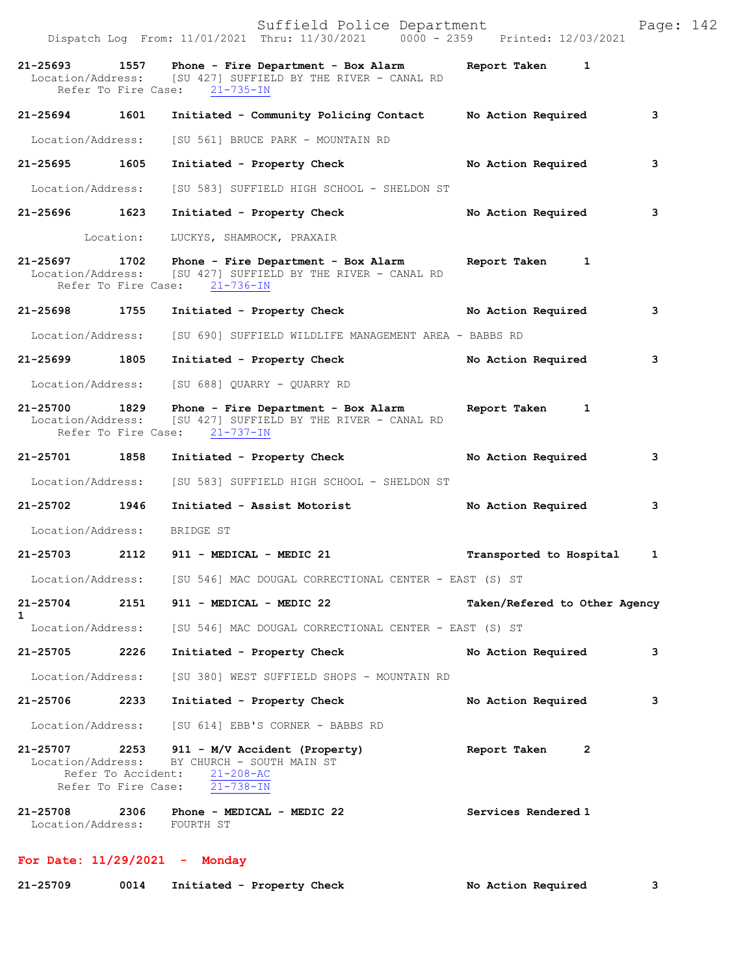|                             | Suffield Police Department<br>Dispatch Log From: 11/01/2021 Thru: 11/30/2021 0000 - 2359 Printed: 12/03/2021                                                     |                               | Page: 142    |
|-----------------------------|------------------------------------------------------------------------------------------------------------------------------------------------------------------|-------------------------------|--------------|
|                             | 21-25693 1557 Phone - Fire Department - Box Alarm Report Taken 1<br>Location/Address: [SU 427] SUFFIELD BY THE RIVER - CANAL RD<br>Refer To Fire Case: 21-735-IN |                               |              |
|                             | 21-25694 1601 Initiated - Community Policing Contact No Action Required                                                                                          |                               | 3            |
|                             | Location/Address: [SU 561] BRUCE PARK - MOUNTAIN RD                                                                                                              |                               |              |
| 21-25695 1605               | Initiated - Property Check                                                                                                                                       | No Action Required            | 3            |
|                             | Location/Address: [SU 583] SUFFIELD HIGH SCHOOL - SHELDON ST                                                                                                     |                               |              |
| 21-25696 1623               | Initiated - Property Check                                                                                                                                       | No Action Required            | 3            |
|                             | Location: LUCKYS, SHAMROCK, PRAXAIR                                                                                                                              |                               |              |
|                             | 21-25697 1702 Phone - Fire Department - Box Alarm Report Taken 1<br>Location/Address: [SU 427] SUFFIELD BY THE RIVER - CANAL RD<br>Refer To Fire Case: 21-736-IN |                               |              |
|                             | 21-25698 1755 Initiated - Property Check No Action Required                                                                                                      |                               | 3            |
|                             | Location/Address: [SU 690] SUFFIELD WILDLIFE MANAGEMENT AREA - BABBS RD                                                                                          |                               |              |
| 21-25699 1805               | Initiated - Property Check No Action Required                                                                                                                    |                               | 3            |
|                             | Location/Address: [SU 688] QUARRY - QUARRY RD                                                                                                                    |                               |              |
|                             | 21-25700 1829 Phone - Fire Department - Box Alarm Report Taken 1<br>Location/Address: [SU 427] SUFFIELD BY THE RIVER - CANAL RD<br>Refer To Fire Case: 21-737-IN |                               |              |
|                             | 21-25701 1858 Initiated - Property Check                                                                                                                         | No Action Required            | 3            |
| Location/Address:           | [SU 583] SUFFIELD HIGH SCHOOL - SHELDON ST                                                                                                                       |                               |              |
|                             | 21-25702 1946 Initiated - Assist Motorist                                                                                                                        | No Action Required            | 3            |
| Location/Address: BRIDGE ST |                                                                                                                                                                  |                               |              |
|                             | 21-25703 2112 911 - MEDICAL - MEDIC 21                                                                                                                           | Transported to Hospital       | $\mathbf{1}$ |
|                             | Location/Address: [SU 546] MAC DOUGAL CORRECTIONAL CENTER - EAST (S) ST                                                                                          |                               |              |
| 21-25704<br>$\mathbf{1}$    | 2151 911 - MEDICAL - MEDIC 22                                                                                                                                    | Taken/Refered to Other Agency |              |
|                             | Location/Address: [SU 546] MAC DOUGAL CORRECTIONAL CENTER - EAST (S) ST                                                                                          |                               |              |
| 21-25705 2226               | Initiated - Property Check                                                                                                                                       | No Action Required            | 3            |
| Location/Address:           | [SU 380] WEST SUFFIELD SHOPS - MOUNTAIN RD                                                                                                                       |                               |              |
| 21-25706 2233               | Initiated - Property Check                                                                                                                                       | No Action Required            | 3            |
|                             | Location/Address: [SU 614] EBB'S CORNER - BABBS RD                                                                                                               |                               |              |
|                             | 21-25707 2253 911 - M/V Accident (Property)<br>Location/Address: BY CHURCH - SOUTH MAIN ST<br>Refer To Accident: 21-208-AC<br>Refer To Fire Case: 21-738-IN      | Report Taken<br>2             |              |
| Location/Address: FOURTH ST | 21-25708  2306  Phone - MEDICAL - MEDIC 22                                                                                                                       | Services Rendered 1           |              |

## **For Date: 11/29/2021 - Monday**

| 21-25709<br>0014<br>Initiated - Property Check |  | No Action Required |
|------------------------------------------------|--|--------------------|
|------------------------------------------------|--|--------------------|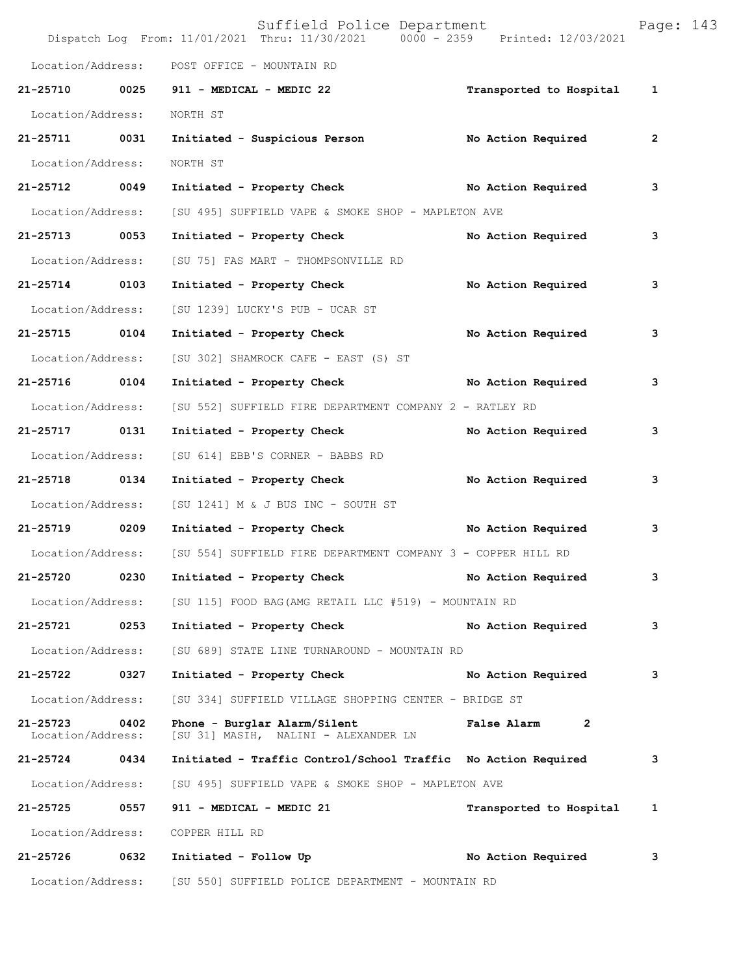|                               |      | Suffield Police Department<br>Dispatch Log From: 11/01/2021 Thru: 11/30/2021 0000 - 2359 Printed: 12/03/2021 |                         | Page: 143    |  |
|-------------------------------|------|--------------------------------------------------------------------------------------------------------------|-------------------------|--------------|--|
| Location/Address:             |      | POST OFFICE - MOUNTAIN RD                                                                                    |                         |              |  |
|                               |      | 21-25710 0025 911 - MEDICAL - MEDIC 22                                                                       | Transported to Hospital | $\mathbf{1}$ |  |
| Location/Address:             |      | NORTH ST                                                                                                     |                         |              |  |
| 21-25711 0031                 |      | Initiated - Suspicious Person No Action Required                                                             |                         | $\mathbf{2}$ |  |
| Location/Address:             |      | NORTH ST                                                                                                     |                         |              |  |
| 21-25712 0049                 |      | Initiated - Property Check No Action Required                                                                |                         | 3            |  |
| Location/Address:             |      | [SU 495] SUFFIELD VAPE & SMOKE SHOP - MAPLETON AVE                                                           |                         |              |  |
| 21-25713 0053                 |      | Initiated - Property Check                                                                                   | No Action Required      | 3            |  |
| Location/Address:             |      | [SU 75] FAS MART - THOMPSONVILLE RD                                                                          |                         |              |  |
| 21-25714 0103                 |      | Initiated - Property Check                                                                                   | No Action Required      | 3            |  |
| Location/Address:             |      | [SU 1239] LUCKY'S PUB - UCAR ST                                                                              |                         |              |  |
| 21-25715 0104                 |      | Initiated - Property Check                                                                                   | No Action Required      | 3            |  |
| Location/Address:             |      | [SU 302] SHAMROCK CAFE - EAST (S) ST                                                                         |                         |              |  |
| 21-25716 0104                 |      | Initiated - Property Check No Action Required                                                                |                         | 3            |  |
| Location/Address:             |      | [SU 552] SUFFIELD FIRE DEPARTMENT COMPANY 2 - RATLEY RD                                                      |                         |              |  |
| 21-25717 0131                 |      | Initiated - Property Check                                                                                   | No Action Required      | 3            |  |
| Location/Address:             |      | [SU 614] EBB'S CORNER - BABBS RD                                                                             |                         |              |  |
| 21-25718 0134                 |      | Initiated - Property Check                                                                                   | No Action Required      | 3            |  |
| Location/Address:             |      | [SU 1241] M & J BUS INC - SOUTH ST                                                                           |                         |              |  |
| 21-25719 0209                 |      | Initiated - Property Check No Action Required                                                                |                         | 3            |  |
| Location/Address:             |      | [SU 554] SUFFIELD FIRE DEPARTMENT COMPANY 3 - COPPER HILL RD                                                 |                         |              |  |
| 21-25720                      | 0230 | Initiated - Property Check                                                                                   | No Action Required      | 3            |  |
| Location/Address:             |      | [SU 115] FOOD BAG(AMG RETAIL LLC #519) - MOUNTAIN RD                                                         |                         |              |  |
| 21-25721                      | 0253 | Initiated - Property Check                                                                                   | No Action Required      | 3            |  |
| Location/Address:             |      | [SU 689] STATE LINE TURNAROUND - MOUNTAIN RD                                                                 |                         |              |  |
| 21-25722                      | 0327 | Initiated - Property Check                                                                                   | No Action Required      | 3            |  |
| Location/Address:             |      | [SU 334] SUFFIELD VILLAGE SHOPPING CENTER - BRIDGE ST                                                        |                         |              |  |
| 21-25723<br>Location/Address: | 0402 | Phone - Burglar Alarm/Silent<br>[SU 31] MASIH, NALINI - ALEXANDER LN                                         | False Alarm 2           |              |  |
| 21-25724                      | 0434 | Initiated - Traffic Control/School Traffic No Action Required                                                |                         | 3            |  |
| Location/Address:             |      | [SU 495] SUFFIELD VAPE & SMOKE SHOP - MAPLETON AVE                                                           |                         |              |  |
| 21-25725 0557                 |      | 911 - MEDICAL - MEDIC 21                                                                                     | Transported to Hospital | 1            |  |
| Location/Address:             |      | COPPER HILL RD                                                                                               |                         |              |  |
| 21-25726 0632                 |      | Initiated - Follow Up                                                                                        | No Action Required      | 3            |  |
| Location/Address:             |      | [SU 550] SUFFIELD POLICE DEPARTMENT - MOUNTAIN RD                                                            |                         |              |  |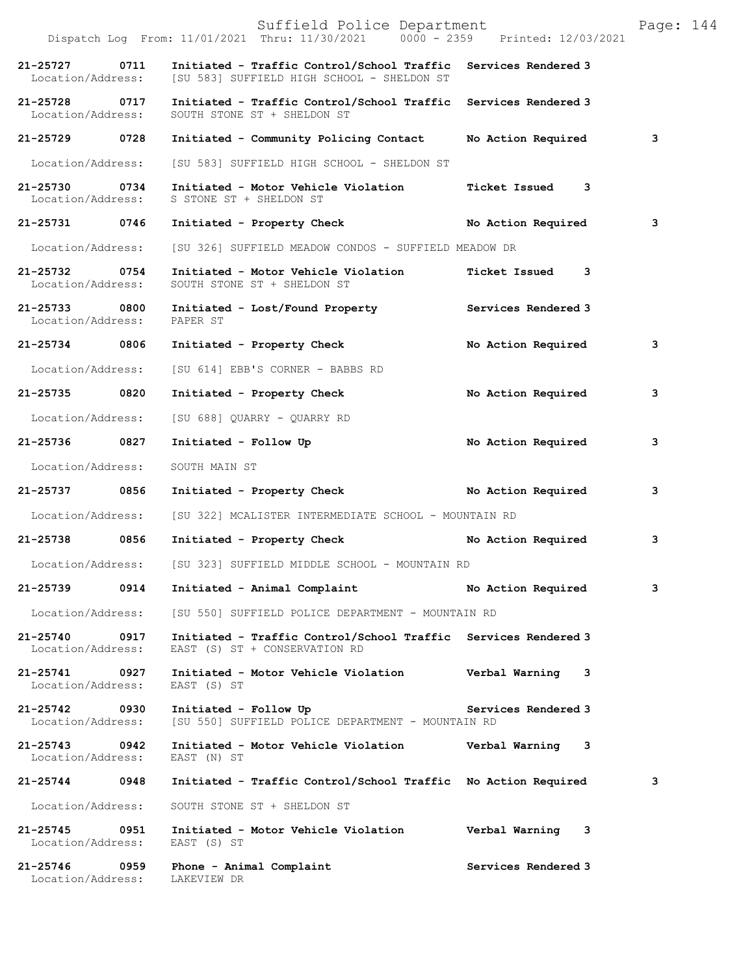|                                    | Suffield Police Department<br>Dispatch Log From: 11/01/2021 Thru: 11/30/2021 0000 - 2359 Printed: 12/03/2021                   |                     | Page: 144 |
|------------------------------------|--------------------------------------------------------------------------------------------------------------------------------|---------------------|-----------|
| 21-25727 0711                      | Initiated - Traffic Control/School Traffic Services Rendered 3<br>Location/Address: [SU 583] SUFFIELD HIGH SCHOOL - SHELDON ST |                     |           |
| 21-25728 0717<br>Location/Address: | Initiated - Traffic Control/School Traffic Services Rendered 3<br>SOUTH STONE ST + SHELDON ST                                  |                     |           |
| 21-25729 0728                      | Initiated - Community Policing Contact                                                                                         | No Action Required  | 3         |
| Location/Address:                  | [SU 583] SUFFIELD HIGH SCHOOL - SHELDON ST                                                                                     |                     |           |
| 21-25730 0734<br>Location/Address: | Initiated - Motor Vehicle Violation<br>S STONE ST + SHELDON ST                                                                 | Ticket Issued 3     |           |
| 21-25731 0746                      | Initiated - Property Check                                                                                                     | No Action Required  | 3         |
| Location/Address:                  | [SU 326] SUFFIELD MEADOW CONDOS - SUFFIELD MEADOW DR                                                                           |                     |           |
| 21-25732 0754<br>Location/Address: | Initiated - Motor Vehicle Violation<br>SOUTH STONE ST + SHELDON ST                                                             | Ticket Issued 3     |           |
| 21-25733 0800<br>Location/Address: | Initiated - Lost/Found Property Services Rendered 3<br>PAPER ST                                                                |                     |           |
| 21-25734 0806                      | Initiated - Property Check                                                                                                     | No Action Required  | 3         |
| Location/Address:                  | [SU 614] EBB'S CORNER - BABBS RD                                                                                               |                     |           |
| 21-25735 0820                      | Initiated - Property Check                                                                                                     | No Action Required  | 3         |
| Location/Address:                  | [SU 688] QUARRY - QUARRY RD                                                                                                    |                     |           |
| 21-25736 0827                      | Initiated - Follow Up                                                                                                          | No Action Required  | 3         |
| Location/Address:                  | SOUTH MAIN ST                                                                                                                  |                     |           |
| 21-25737 0856                      | Initiated - Property Check No Action Required                                                                                  |                     | 3         |
|                                    | Location/Address: [SU 322] MCALISTER INTERMEDIATE SCHOOL - MOUNTAIN RD                                                         |                     |           |
| 21-25738 0856                      | Initiated - Property Check No Action Required                                                                                  |                     | 3         |
|                                    | Location/Address: [SU 323] SUFFIELD MIDDLE SCHOOL - MOUNTAIN RD                                                                |                     |           |
| 21-25739 0914                      | Initiated - Animal Complaint                                                                                                   | No Action Required  | 3         |
| Location/Address:                  | [SU 550] SUFFIELD POLICE DEPARTMENT - MOUNTAIN RD                                                                              |                     |           |
| 21-25740 0917<br>Location/Address: | Initiated - Traffic Control/School Traffic Services Rendered 3<br>EAST (S) ST + CONSERVATION RD                                |                     |           |
| 21-25741 0927<br>Location/Address: | Initiated - Motor Vehicle Violation<br>EAST (S) ST                                                                             | Verbal Warning 3    |           |
| 21-25742 0930<br>Location/Address: | Initiated - Follow Up<br>[SU 550] SUFFIELD POLICE DEPARTMENT - MOUNTAIN RD                                                     | Services Rendered 3 |           |
| 21-25743 0942<br>Location/Address: | Initiated - Motor Vehicle Violation Verbal Warning 3<br>EAST (N) ST                                                            |                     |           |
| 21-25744 0948                      | Initiated - Traffic Control/School Traffic No Action Required                                                                  |                     | 3         |
| Location/Address:                  | SOUTH STONE ST + SHELDON ST                                                                                                    |                     |           |
| 21-25745 0951<br>Location/Address: | Initiated - Motor Vehicle Violation<br>EAST (S) ST                                                                             | Verbal Warning 3    |           |
| 21-25746 0959<br>Location/Address: | Phone - Animal Complaint<br>LAKEVIEW DR                                                                                        | Services Rendered 3 |           |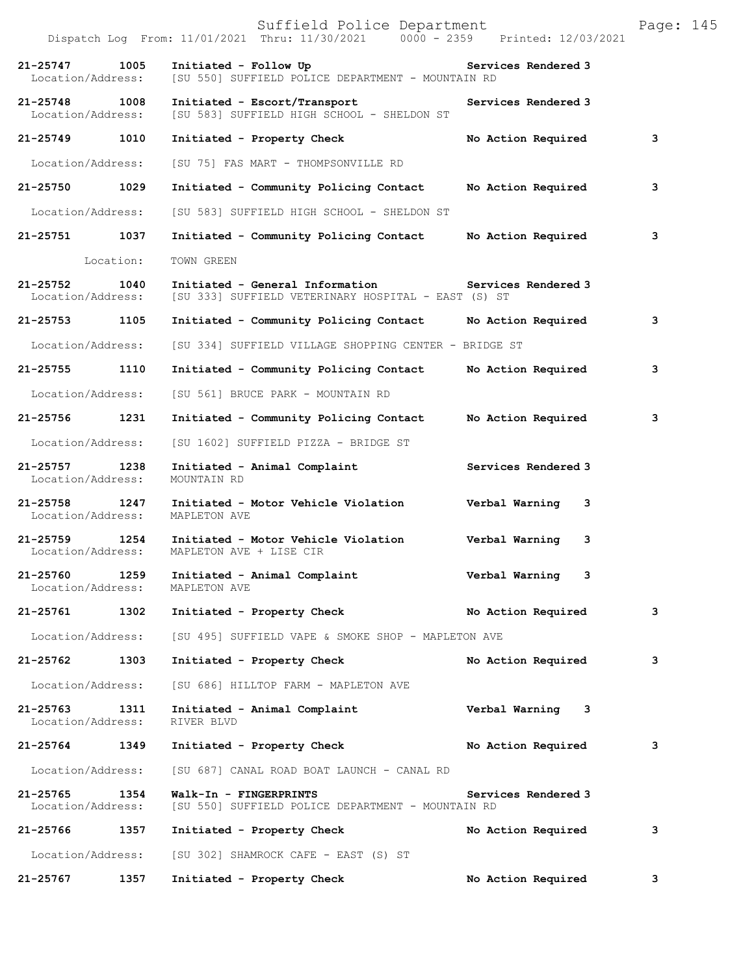|                                    |           | Suffield Police Department<br>Dispatch Log From: 11/01/2021 Thru: 11/30/2021 0000 - 2359 Printed: 12/03/2021 |                      | Page: 145 |
|------------------------------------|-----------|--------------------------------------------------------------------------------------------------------------|----------------------|-----------|
| 21-25747<br>Location/Address:      | 1005      | Initiated - Follow Up<br>[SU 550] SUFFIELD POLICE DEPARTMENT - MOUNTAIN RD                                   | Services Rendered 3  |           |
| 21-25748<br>Location/Address:      | 1008      | Initiated - Escort/Transport<br>[SU 583] SUFFIELD HIGH SCHOOL - SHELDON ST                                   | Services Rendered 3  |           |
| 21-25749                           | 1010      | Initiated - Property Check                                                                                   | No Action Required   | 3         |
| Location/Address:                  |           | [SU 75] FAS MART - THOMPSONVILLE RD                                                                          |                      |           |
| 21-25750 1029                      |           | Initiated - Community Policing Contact                                                                       | No Action Required   | 3         |
| Location/Address:                  |           | [SU 583] SUFFIELD HIGH SCHOOL - SHELDON ST                                                                   |                      |           |
| 21-25751                           | 1037      | Initiated - Community Policing Contact                                                                       | No Action Required   | 3         |
|                                    | Location: | TOWN GREEN                                                                                                   |                      |           |
| $21 - 25752$<br>Location/Address:  | 1040      | Initiated - General Information 5ervices Rendered 3<br>[SU 333] SUFFIELD VETERINARY HOSPITAL - EAST (S) ST   |                      |           |
| 21-25753 1105                      |           | Initiated - Community Policing Contact                                                                       | No Action Required   | 3         |
| Location/Address:                  |           | [SU 334] SUFFIELD VILLAGE SHOPPING CENTER - BRIDGE ST                                                        |                      |           |
| 21-25755                           | 1110      | Initiated - Community Policing Contact                                                                       | No Action Required   | 3         |
| Location/Address:                  |           | [SU 561] BRUCE PARK - MOUNTAIN RD                                                                            |                      |           |
| 21-25756                           | 1231      | Initiated - Community Policing Contact                                                                       | No Action Required   | 3         |
| Location/Address:                  |           | [SU 1602] SUFFIELD PIZZA - BRIDGE ST                                                                         |                      |           |
| 21-25757<br>Location/Address:      | 1238      | Initiated - Animal Complaint<br>MOUNTAIN RD                                                                  | Services Rendered 3  |           |
| 21-25758 1247<br>Location/Address: |           | Initiated - Motor Vehicle Violation<br>MAPLETON AVE                                                          | Verbal Warning<br>3  |           |
| 21-25759 1254<br>Location/Address: |           | Initiated - Motor Vehicle Violation<br>MAPLETON AVE + LISE CIR                                               | Verbal Warning<br>3  |           |
| 21-25760<br>Location/Address:      | 1259      | Initiated - Animal Complaint<br>MAPLETON AVE                                                                 | Verbal Warning<br>-3 |           |
| 21-25761 1302                      |           | Initiated - Property Check                                                                                   | No Action Required   | 3         |
| Location/Address:                  |           | [SU 495] SUFFIELD VAPE & SMOKE SHOP - MAPLETON AVE                                                           |                      |           |
| 21-25762                           | 1303      | Initiated - Property Check                                                                                   | No Action Required   | 3         |
| Location/Address:                  |           | [SU 686] HILLTOP FARM - MAPLETON AVE                                                                         |                      |           |
| 21-25763<br>Location/Address:      | 1311      | Initiated - Animal Complaint<br>RIVER BLVD                                                                   | Verbal Warning 3     |           |
| 21-25764 1349                      |           | Initiated - Property Check                                                                                   | No Action Required   | 3         |
| Location/Address:                  |           | [SU 687] CANAL ROAD BOAT LAUNCH - CANAL RD                                                                   |                      |           |
| 21-25765<br>Location/Address:      | 1354      | Walk-In - FINGERPRINTS<br>[SU 550] SUFFIELD POLICE DEPARTMENT - MOUNTAIN RD                                  | Services Rendered 3  |           |
| 21-25766 1357                      |           | Initiated - Property Check                                                                                   | No Action Required   | 3         |
| Location/Address:                  |           | [SU 302] SHAMROCK CAFE - EAST (S) ST                                                                         |                      |           |
| 21-25767                           | 1357      | Initiated - Property Check                                                                                   | No Action Required   | 3         |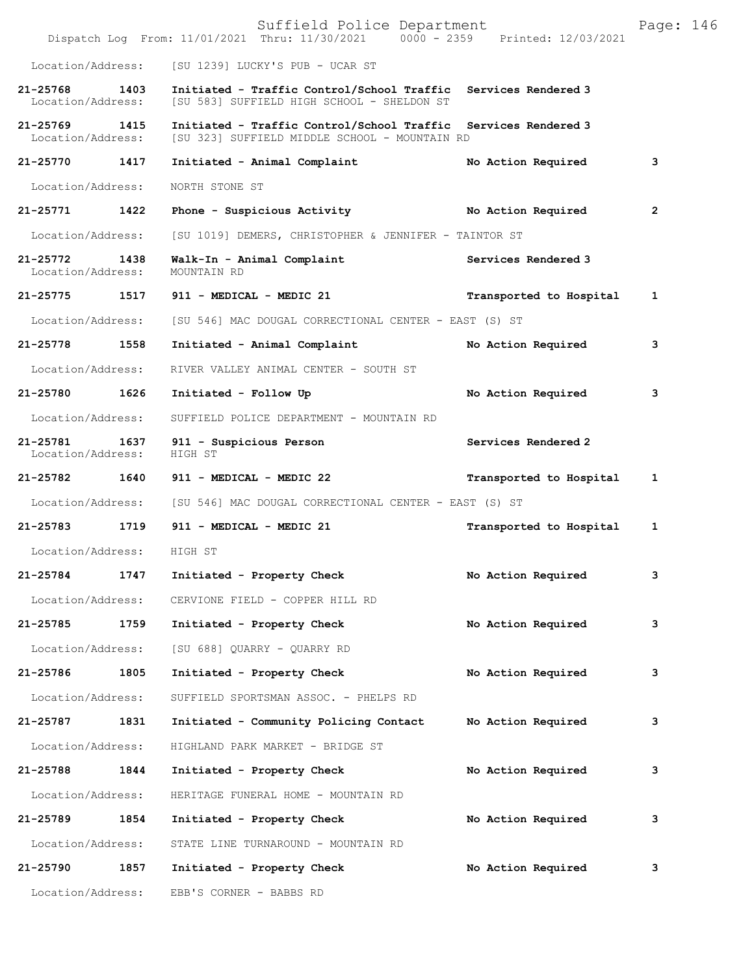|                                    |      | Suffield Police Department<br>Dispatch Log From: 11/01/2021 Thru: 11/30/2021 0000 - 2359 Printed: 12/03/2021    |                         | Page: 146    |  |
|------------------------------------|------|-----------------------------------------------------------------------------------------------------------------|-------------------------|--------------|--|
| Location/Address:                  |      | [SU 1239] LUCKY'S PUB - UCAR ST                                                                                 |                         |              |  |
| $21 - 25768$<br>Location/Address:  | 1403 | Initiated - Traffic Control/School Traffic Services Rendered 3<br>[SU 583] SUFFIELD HIGH SCHOOL - SHELDON ST    |                         |              |  |
| 21-25769 1415<br>Location/Address: |      | Initiated - Traffic Control/School Traffic Services Rendered 3<br>[SU 323] SUFFIELD MIDDLE SCHOOL - MOUNTAIN RD |                         |              |  |
| 21-25770                           | 1417 | Initiated - Animal Complaint                                                                                    | No Action Required      | 3            |  |
| Location/Address:                  |      | NORTH STONE ST                                                                                                  |                         |              |  |
| 21-25771 1422                      |      | Phone - Suspicious Activity                                                                                     | No Action Required      | $\mathbf{2}$ |  |
| Location/Address:                  |      | [SU 1019] DEMERS, CHRISTOPHER & JENNIFER - TAINTOR ST                                                           |                         |              |  |
| $21 - 25772$<br>Location/Address:  | 1438 | Walk-In - Animal Complaint<br>MOUNTAIN RD                                                                       | Services Rendered 3     |              |  |
| 21-25775                           |      | 1517 911 - MEDICAL - MEDIC 21                                                                                   | Transported to Hospital | 1            |  |
| Location/Address:                  |      | [SU 546] MAC DOUGAL CORRECTIONAL CENTER - EAST (S) ST                                                           |                         |              |  |
| 21-25778 1558                      |      | Initiated - Animal Complaint                                                                                    | No Action Required      | 3            |  |
| Location/Address:                  |      | RIVER VALLEY ANIMAL CENTER - SOUTH ST                                                                           |                         |              |  |
| 21-25780 1626                      |      | Initiated - Follow Up                                                                                           | No Action Required      | 3            |  |
| Location/Address:                  |      | SUFFIELD POLICE DEPARTMENT - MOUNTAIN RD                                                                        |                         |              |  |
| 21-25781 1637<br>Location/Address: |      | 911 - Suspicious Person<br>HIGH ST                                                                              | Services Rendered 2     |              |  |
| 21-25782 1640                      |      | 911 - MEDICAL - MEDIC 22                                                                                        | Transported to Hospital | 1            |  |
| Location/Address:                  |      | [SU 546] MAC DOUGAL CORRECTIONAL CENTER - EAST (S) ST                                                           |                         |              |  |
| 21-25783 1719                      |      | 911 - MEDICAL - MEDIC 21                                                                                        | Transported to Hospital | 1            |  |
| Location/Address: HIGH ST          |      |                                                                                                                 |                         |              |  |
| 21-25784                           | 1747 | Initiated - Property Check                                                                                      | No Action Required      | 3            |  |
| Location/Address:                  |      | CERVIONE FIELD - COPPER HILL RD                                                                                 |                         |              |  |
| 21-25785                           | 1759 | Initiated - Property Check                                                                                      | No Action Required      | 3            |  |
| Location/Address:                  |      | [SU 688] QUARRY - QUARRY RD                                                                                     |                         |              |  |
| 21-25786                           | 1805 | Initiated - Property Check                                                                                      | No Action Required      | 3            |  |
| Location/Address:                  |      | SUFFIELD SPORTSMAN ASSOC. - PHELPS RD                                                                           |                         |              |  |
| 21-25787                           | 1831 | Initiated - Community Policing Contact                                                                          | No Action Required      | 3            |  |
| Location/Address:                  |      | HIGHLAND PARK MARKET - BRIDGE ST                                                                                |                         |              |  |
| 21-25788                           | 1844 | Initiated - Property Check                                                                                      | No Action Required      | 3            |  |
| Location/Address:                  |      | HERITAGE FUNERAL HOME - MOUNTAIN RD                                                                             |                         |              |  |
| 21-25789                           | 1854 | Initiated - Property Check                                                                                      | No Action Required      | 3            |  |
| Location/Address:                  |      | STATE LINE TURNAROUND - MOUNTAIN RD                                                                             |                         |              |  |
| 21-25790                           | 1857 | Initiated - Property Check                                                                                      | No Action Required      | 3            |  |
| Location/Address:                  |      | EBB'S CORNER - BABBS RD                                                                                         |                         |              |  |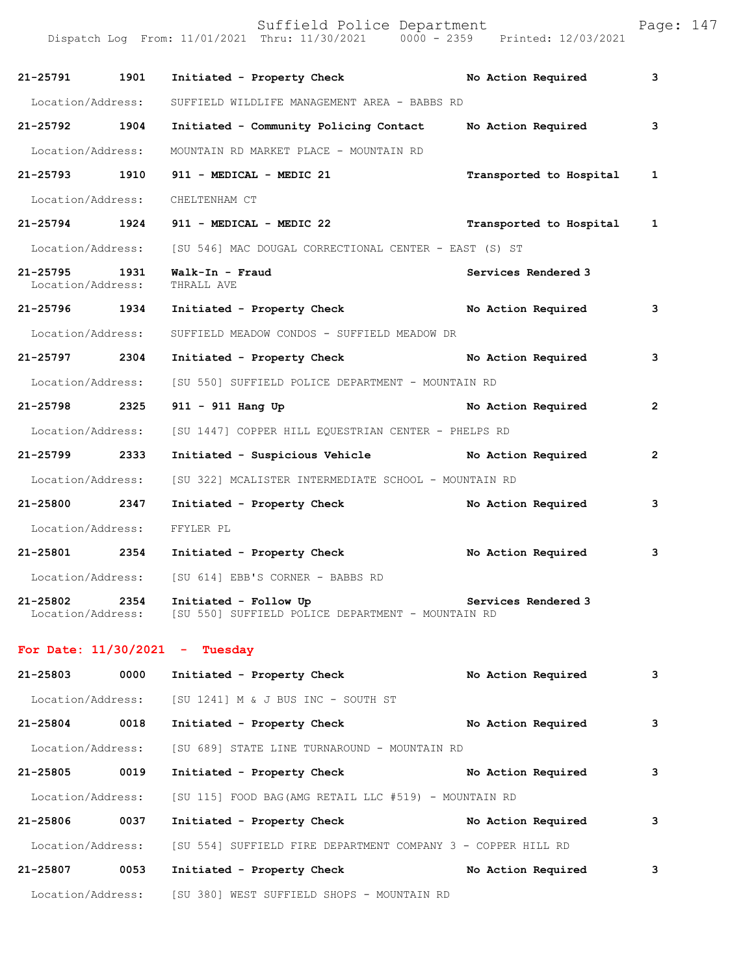Suffield Police Department Page: 147 Dispatch Log From: 11/01/2021 Thru: 11/30/2021 0000 - 2359 Printed: 12/03/2021 **21-25791 1901 Initiated - Property Check No Action Required 3** Location/Address: SUFFIELD WILDLIFE MANAGEMENT AREA - BABBS RD **21-25792 1904 Initiated - Community Policing Contact No Action Required 3** Location/Address: MOUNTAIN RD MARKET PLACE - MOUNTAIN RD **21-25793 1910 911 - MEDICAL - MEDIC 21 Transported to Hospital 1** Location/Address: CHELTENHAM CT **21-25794 1924 911 - MEDICAL - MEDIC 22 Transported to Hospital 1** Location/Address: [SU 546] MAC DOUGAL CORRECTIONAL CENTER - EAST (S) ST **21-25795 1931 Walk-In - Fraud Services Rendered 3**  Location/Address: **21-25796 1934 Initiated - Property Check No Action Required 3** Location/Address: SUFFIELD MEADOW CONDOS - SUFFIELD MEADOW DR **21-25797 2304 Initiated - Property Check No Action Required 3** Location/Address: [SU 550] SUFFIELD POLICE DEPARTMENT - MOUNTAIN RD **21-25798 2325 911 - 911 Hang Up No Action Required 2** Location/Address: [SU 1447] COPPER HILL EQUESTRIAN CENTER - PHELPS RD **21-25799 2333 Initiated - Suspicious Vehicle No Action Required 2** Location/Address: [SU 322] MCALISTER INTERMEDIATE SCHOOL - MOUNTAIN RD **21-25800 2347 Initiated - Property Check No Action Required 3** Location/Address: FFYLER PL **21-25801 2354 Initiated - Property Check No Action Required 3** Location/Address: [SU 614] EBB'S CORNER - BABBS RD **21-25802 2354 Initiated - Follow Up Services Rendered 3**  Location/Address: [SU 550] SUFFIELD POLICE DEPARTMENT - MOUNTAIN RD

## **For Date: 11/30/2021 - Tuesday**

| 21-25803          | 0000 | Initiated - Property Check                                   | No Action Required | 3 |
|-------------------|------|--------------------------------------------------------------|--------------------|---|
| Location/Address: |      | [SU 1241] M & J BUS INC - SOUTH ST                           |                    |   |
| $21 - 25804$      | 0018 | Initiated - Property Check                                   | No Action Required | 3 |
| Location/Address: |      | [SU 689] STATE LINE TURNAROUND - MOUNTAIN RD                 |                    |   |
| $21 - 25805$      | 0019 | Initiated - Property Check                                   | No Action Required | 3 |
| Location/Address: |      | [SU 115] FOOD BAG(AMG RETAIL LLC #519) - MOUNTAIN RD         |                    |   |
| 21-25806          | 0037 | Initiated - Property Check                                   | No Action Required | 3 |
| Location/Address: |      | [SU 554] SUFFIELD FIRE DEPARTMENT COMPANY 3 - COPPER HILL RD |                    |   |
| 21-25807          | 0053 | Initiated - Property Check                                   | No Action Required | 3 |
| Location/Address: |      | [SU 380] WEST SUFFIELD SHOPS - MOUNTAIN RD                   |                    |   |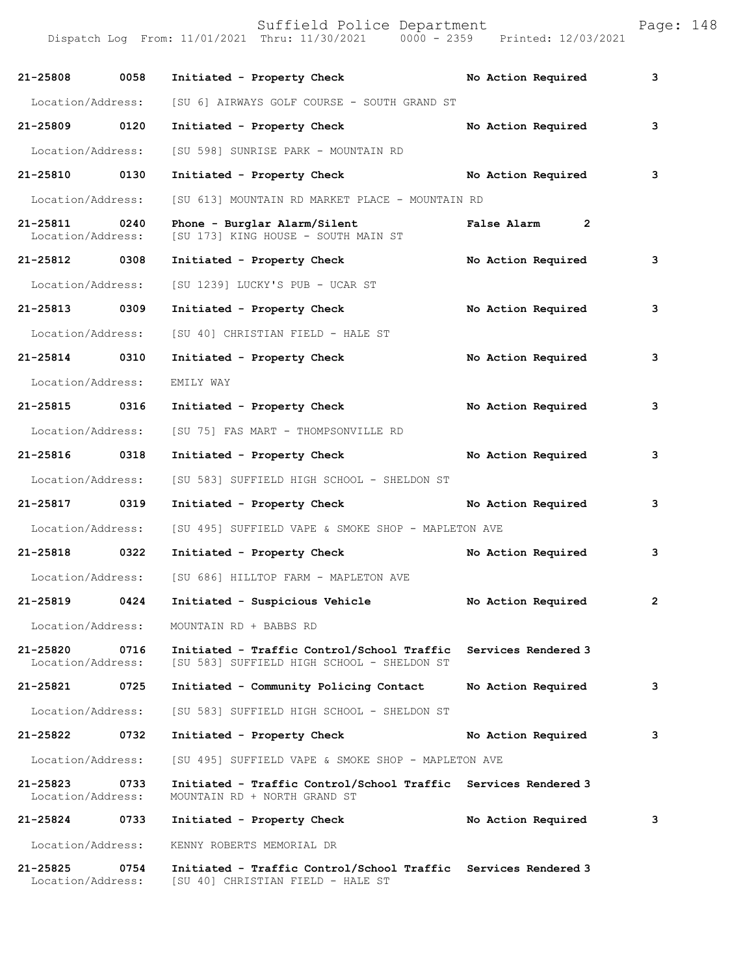Suffield Police Department Page: 148

Dispatch Log From: 11/01/2021 Thru: 11/30/2021 0000 - 2359 Printed: 12/03/2021

| 21-25808 0058                      |      | Initiated - Property Check                                                                          | No Action Required  | 3            |
|------------------------------------|------|-----------------------------------------------------------------------------------------------------|---------------------|--------------|
| Location/Address:                  |      | [SU 6] AIRWAYS GOLF COURSE - SOUTH GRAND ST                                                         |                     |              |
| 21-25809 0120                      |      | Initiated - Property Check                                                                          | No Action Required  | 3            |
| Location/Address:                  |      | [SU 598] SUNRISE PARK - MOUNTAIN RD                                                                 |                     |              |
| 21-25810 0130                      |      | Initiated - Property Check                                                                          | No Action Required  | 3            |
| Location/Address:                  |      | [SU 613] MOUNTAIN RD MARKET PLACE - MOUNTAIN RD                                                     |                     |              |
| 21-25811 0240<br>Location/Address: |      | Phone - Burglar Alarm/Silent<br>[SU 173] KING HOUSE - SOUTH MAIN ST                                 | False Alarm 2       |              |
| 21-25812 0308                      |      | Initiated - Property Check                                                                          | No Action Required  | 3            |
| Location/Address:                  |      | [SU 1239] LUCKY'S PUB - UCAR ST                                                                     |                     |              |
| 21-25813 0309                      |      | Initiated - Property Check                                                                          | No Action Required  | 3            |
| Location/Address:                  |      | [SU 40] CHRISTIAN FIELD - HALE ST                                                                   |                     |              |
| 21-25814 0310                      |      | Initiated - Property Check                                                                          | No Action Required  | 3            |
| Location/Address:                  |      | EMILY WAY                                                                                           |                     |              |
| 21-25815 0316                      |      | Initiated - Property Check                                                                          | No Action Required  | 3            |
| Location/Address:                  |      | [SU 75] FAS MART - THOMPSONVILLE RD                                                                 |                     |              |
| 21-25816 0318                      |      | Initiated - Property Check                                                                          | No Action Required  | $\mathbf{3}$ |
| Location/Address:                  |      | [SU 583] SUFFIELD HIGH SCHOOL - SHELDON ST                                                          |                     |              |
| 21-25817 0319                      |      | Initiated - Property Check                                                                          | No Action Required  | 3            |
| Location/Address:                  |      | [SU 495] SUFFIELD VAPE & SMOKE SHOP - MAPLETON AVE                                                  |                     |              |
| 21-25818 0322                      |      | Initiated - Property Check                                                                          | No Action Required  | 3            |
| Location/Address:                  |      | [SU 686] HILLTOP FARM - MAPLETON AVE                                                                |                     |              |
| 21-25819                           | 0424 | Initiated - Suspicious Vehicle                                                                      | No Action Required  | $\mathbf{2}$ |
| Location/Address:                  |      | MOUNTAIN RD + BABBS RD                                                                              |                     |              |
| 21-25820<br>Location/Address:      | 0716 | Initiated - Traffic Control/School Traffic<br>[SU 583] SUFFIELD HIGH SCHOOL - SHELDON ST            | Services Rendered 3 |              |
| 21-25821                           | 0725 | Initiated - Community Policing Contact                                                              | No Action Required  | 3            |
| Location/Address:                  |      | [SU 583] SUFFIELD HIGH SCHOOL - SHELDON ST                                                          |                     |              |
| 21-25822                           | 0732 | Initiated - Property Check                                                                          | No Action Required  | 3            |
| Location/Address:                  |      | [SU 495] SUFFIELD VAPE & SMOKE SHOP - MAPLETON AVE                                                  |                     |              |
| 21-25823<br>Location/Address:      | 0733 | Initiated - Traffic Control/School Traffic Services Rendered 3<br>MOUNTAIN RD + NORTH GRAND ST      |                     |              |
| 21-25824                           | 0733 | Initiated - Property Check                                                                          | No Action Required  | 3            |
| Location/Address:                  |      | KENNY ROBERTS MEMORIAL DR                                                                           |                     |              |
| 21-25825<br>Location/Address:      | 0754 | Initiated - Traffic Control/School Traffic Services Rendered 3<br>[SU 40] CHRISTIAN FIELD - HALE ST |                     |              |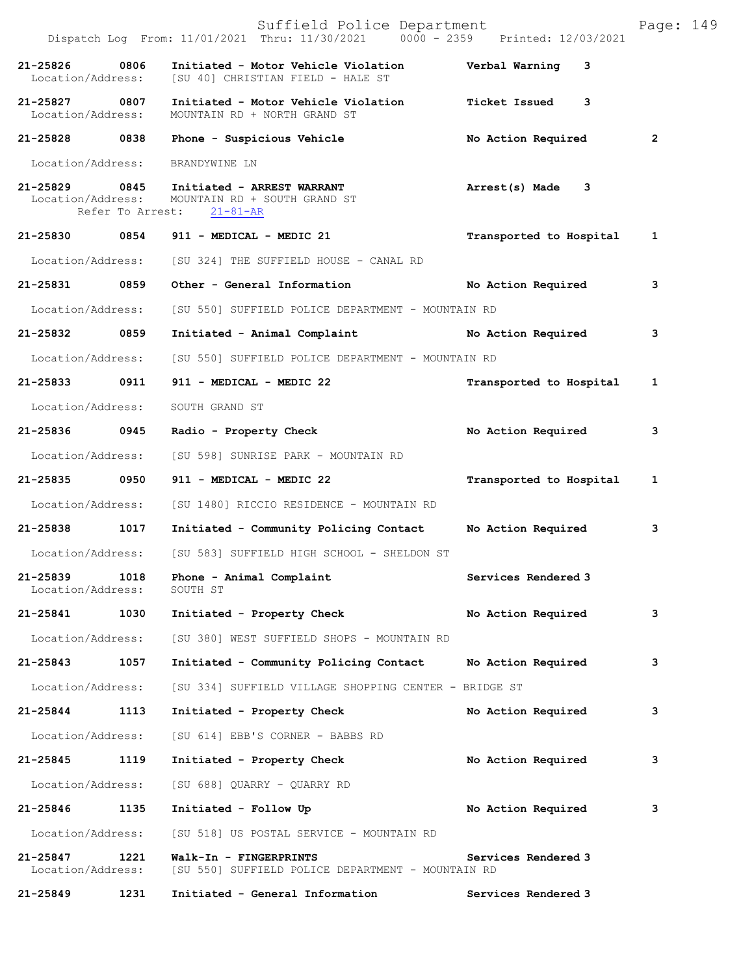|                                    |                  | Suffield Police Department<br>Dispatch Log From: 11/01/2021 Thru: 11/30/2021 0000 - 2359 Printed: 12/03/2021 |                           | Page: 149      |
|------------------------------------|------------------|--------------------------------------------------------------------------------------------------------------|---------------------------|----------------|
| 21-25826<br>Location/Address:      | 0806             | Initiated - Motor Vehicle Violation<br>[SU 40] CHRISTIAN FIELD - HALE ST                                     | Verbal Warning 3          |                |
| 21-25827 0807<br>Location/Address: |                  | Initiated - Motor Vehicle Violation<br>MOUNTAIN RD + NORTH GRAND ST                                          | <b>Ticket Issued</b><br>3 |                |
|                                    |                  | 21-25828 0838 Phone - Suspicious Vehicle                                                                     | No Action Required        | $\overline{2}$ |
| Location/Address:                  |                  | BRANDYWINE LN                                                                                                |                           |                |
|                                    | Refer To Arrest: | 21-25829 0845 Initiated - ARREST WARRANT<br>Location/Address: MOUNTAIN RD + SOUTH GRAND ST<br>$21 - 81 - AR$ | Arrest(s) Made 3          |                |
|                                    |                  | 21-25830 0854 911 - MEDICAL - MEDIC 21                                                                       | Transported to Hospital   | 1              |
|                                    |                  | Location/Address: [SU 324] THE SUFFIELD HOUSE - CANAL RD                                                     |                           |                |
| 21-25831 0859                      |                  | Other - General Information                                                                                  | No Action Required        | 3              |
| Location/Address:                  |                  | [SU 550] SUFFIELD POLICE DEPARTMENT - MOUNTAIN RD                                                            |                           |                |
| 21-25832 0859                      |                  | Initiated - Animal Complaint Mo Action Required                                                              |                           | 3              |
| Location/Address:                  |                  | [SU 550] SUFFIELD POLICE DEPARTMENT - MOUNTAIN RD                                                            |                           |                |
| 21-25833 0911                      |                  | 911 - MEDICAL - MEDIC 22                                                                                     | Transported to Hospital   | 1              |
| Location/Address:                  |                  | SOUTH GRAND ST                                                                                               |                           |                |
| 21-25836 0945                      |                  | Radio - Property Check                                                                                       | No Action Required        | 3              |
| Location/Address:                  |                  | [SU 598] SUNRISE PARK - MOUNTAIN RD                                                                          |                           |                |
| 21-25835 0950                      |                  | 911 - MEDICAL - MEDIC 22                                                                                     | Transported to Hospital   | 1              |
|                                    |                  | Location/Address: [SU 1480] RICCIO RESIDENCE - MOUNTAIN RD                                                   |                           |                |
| 21-25838                           | 1017             | Initiated - Community Policing Contact                                                                       | No Action Required        | 3              |
| Location/Address:                  |                  | [SU 583] SUFFIELD HIGH SCHOOL - SHELDON ST                                                                   |                           |                |
| 21-25839<br>Location/Address:      | 1018             | Phone - Animal Complaint<br>SOUTH ST                                                                         | Services Rendered 3       |                |
| 21-25841                           | 1030             | Initiated - Property Check                                                                                   | No Action Required        | 3              |
| Location/Address:                  |                  | [SU 380] WEST SUFFIELD SHOPS - MOUNTAIN RD                                                                   |                           |                |
| 21-25843                           | 1057             | Initiated - Community Policing Contact                                                                       | No Action Required        | 3              |
| Location/Address:                  |                  | [SU 334] SUFFIELD VILLAGE SHOPPING CENTER - BRIDGE ST                                                        |                           |                |
| 21-25844                           | 1113             | Initiated - Property Check                                                                                   | No Action Required        | 3              |
| Location/Address:                  |                  | [SU 614] EBB'S CORNER - BABBS RD                                                                             |                           |                |
| 21-25845                           | 1119             | Initiated - Property Check                                                                                   | No Action Required        | 3              |
| Location/Address:                  |                  | [SU 688] QUARRY - QUARRY RD                                                                                  |                           |                |
| 21-25846                           | 1135             | Initiated - Follow Up                                                                                        | No Action Required        | 3              |
| Location/Address:                  |                  | [SU 518] US POSTAL SERVICE - MOUNTAIN RD                                                                     |                           |                |
| 21-25847<br>Location/Address:      | 1221             | Walk-In - FINGERPRINTS<br>[SU 550] SUFFIELD POLICE DEPARTMENT - MOUNTAIN RD                                  | Services Rendered 3       |                |
| 21-25849                           | 1231             | Initiated - General Information                                                                              | Services Rendered 3       |                |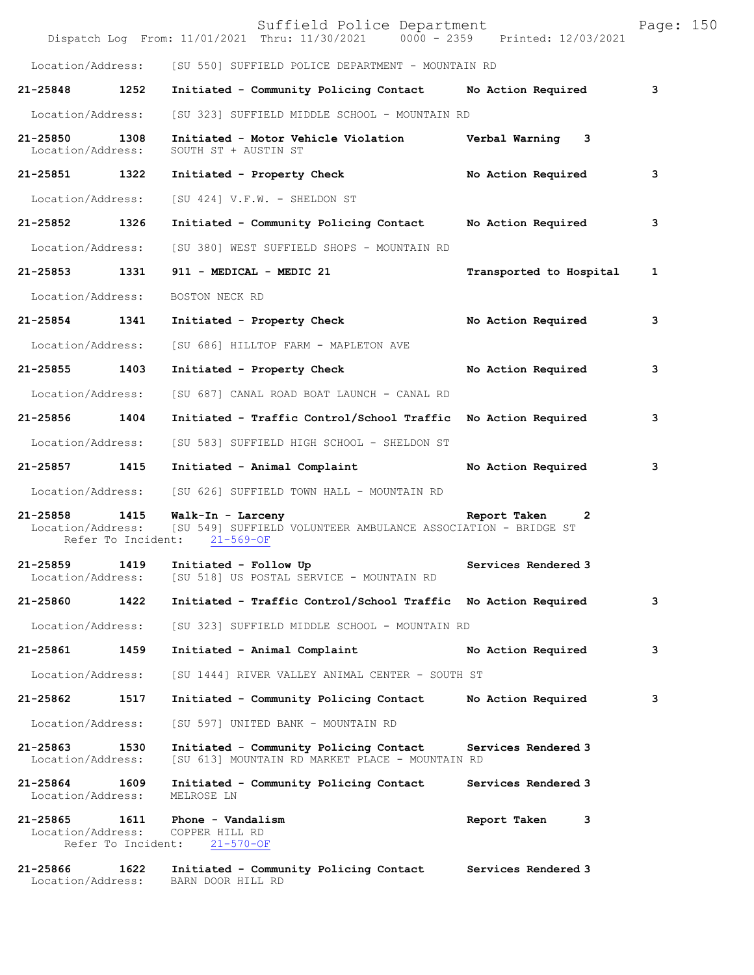|                                    |                            | Suffield Police Department<br>Dispatch Log From: 11/01/2021 Thru: 11/30/2021 0000 - 2359 Printed: 12/03/2021       |                              | Page: 150 |  |
|------------------------------------|----------------------------|--------------------------------------------------------------------------------------------------------------------|------------------------------|-----------|--|
| Location/Address:                  |                            | [SU 550] SUFFIELD POLICE DEPARTMENT - MOUNTAIN RD                                                                  |                              |           |  |
| 21-25848 1252                      |                            | Initiated - Community Policing Contact                                                                             | No Action Required           | 3         |  |
| Location/Address:                  |                            | [SU 323] SUFFIELD MIDDLE SCHOOL - MOUNTAIN RD                                                                      |                              |           |  |
| 21-25850 1308<br>Location/Address: |                            | Initiated - Motor Vehicle Violation burbal Warning 3<br>SOUTH ST + AUSTIN ST                                       |                              |           |  |
| 21-25851 1322                      |                            | Initiated - Property Check                                                                                         | No Action Required           | 3         |  |
| Location/Address:                  |                            | [SU 424] V.F.W. - SHELDON ST                                                                                       |                              |           |  |
| 21-25852 1326                      |                            | Initiated - Community Policing Contact No Action Required                                                          |                              | 3         |  |
| Location/Address:                  |                            | [SU 380] WEST SUFFIELD SHOPS - MOUNTAIN RD                                                                         |                              |           |  |
| 21-25853 1331                      |                            | 911 - MEDICAL - MEDIC 21                                                                                           | Transported to Hospital      | 1         |  |
| Location/Address:                  |                            | BOSTON NECK RD                                                                                                     |                              |           |  |
| 21-25854 1341                      |                            | Initiated - Property Check                                                                                         | No Action Required           | 3         |  |
| Location/Address:                  |                            | [SU 686] HILLTOP FARM - MAPLETON AVE                                                                               |                              |           |  |
| 21-25855 1403                      |                            | Initiated - Property Check                                                                                         | No Action Required           | з         |  |
| Location/Address:                  |                            | [SU 687] CANAL ROAD BOAT LAUNCH - CANAL RD                                                                         |                              |           |  |
| 21-25856 1404                      |                            | Initiated - Traffic Control/School Traffic No Action Required                                                      |                              | 3         |  |
| Location/Address:                  |                            | [SU 583] SUFFIELD HIGH SCHOOL - SHELDON ST                                                                         |                              |           |  |
| 21-25857 1415                      |                            | Initiated - Animal Complaint                                                                                       | No Action Required           | 3         |  |
| Location/Address:                  |                            | [SU 626] SUFFIELD TOWN HALL - MOUNTAIN RD                                                                          |                              |           |  |
| 21-25858 1415<br>Location/Address: |                            | Walk-In - Larceny<br>[SU 549] SUFFIELD VOLUNTEER AMBULANCE ASSOCIATION - BRIDGE ST<br>Refer To Incident: 21-569-OF | Report Taken<br>$\mathbf{2}$ |           |  |
| $21 - 25859$<br>Location/Address:  | 1419                       | Initiated - Follow Up<br>[SU 518] US POSTAL SERVICE - MOUNTAIN RD                                                  | Services Rendered 3          |           |  |
| 21-25860                           | 1422                       | Initiated - Traffic Control/School Traffic No Action Required                                                      |                              | 3         |  |
| Location/Address:                  |                            | [SU 323] SUFFIELD MIDDLE SCHOOL - MOUNTAIN RD                                                                      |                              |           |  |
| 21-25861                           | 1459                       | Initiated - Animal Complaint                                                                                       | No Action Required           | 3         |  |
| Location/Address:                  |                            | [SU 1444] RIVER VALLEY ANIMAL CENTER - SOUTH ST                                                                    |                              |           |  |
| 21-25862                           | 1517                       | Initiated - Community Policing Contact                                                                             | No Action Required           | з         |  |
| Location/Address:                  |                            | [SU 597] UNITED BANK - MOUNTAIN RD                                                                                 |                              |           |  |
| $21 - 25863$<br>Location/Address:  | 1530                       | Initiated - Community Policing Contact<br>[SU 613] MOUNTAIN RD MARKET PLACE - MOUNTAIN RD                          | Services Rendered 3          |           |  |
| 21-25864<br>Location/Address:      | 1609                       | Initiated - Community Policing Contact<br>MELROSE LN                                                               | Services Rendered 3          |           |  |
| $21 - 25865$<br>Location/Address:  | 1611<br>Refer To Incident: | Phone - Vandalism<br>COPPER HILL RD<br>$21 - 570 - OF$                                                             | Report Taken<br>3            |           |  |
| 21-25866<br>Location/Address:      | 1622                       | Initiated - Community Policing Contact<br>BARN DOOR HILL RD                                                        | Services Rendered 3          |           |  |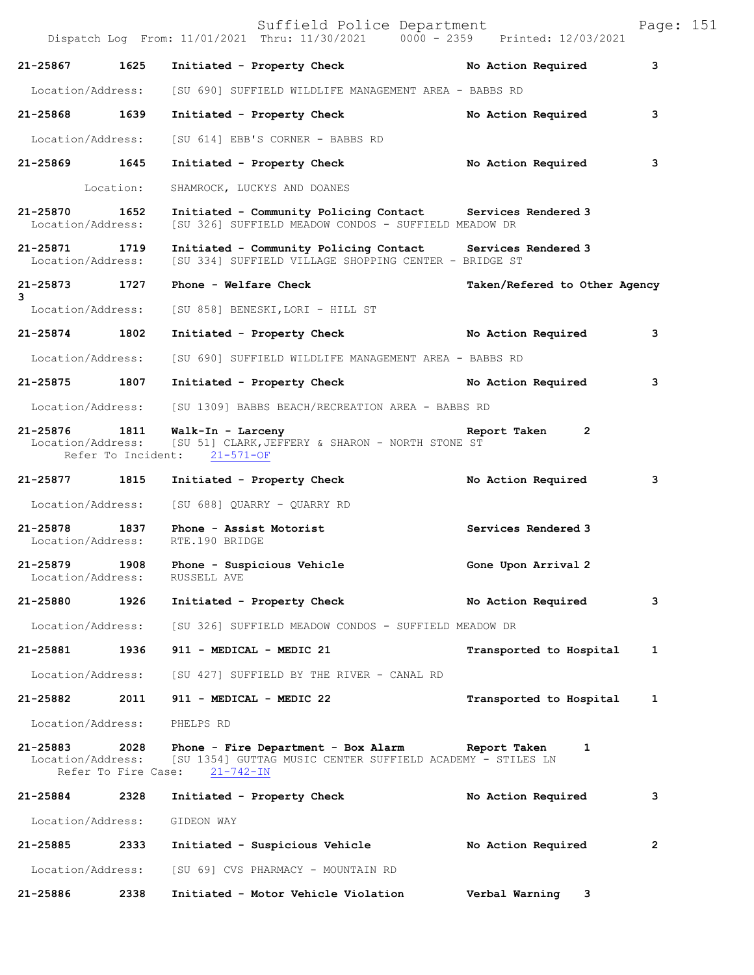|                                    |                             | Suffield Police Department<br>Dispatch Log From: 11/01/2021 Thru: 11/30/2021 0000 - 2359 Printed: 12/03/2021                      |                               | Page: 151 |
|------------------------------------|-----------------------------|-----------------------------------------------------------------------------------------------------------------------------------|-------------------------------|-----------|
| 21-25867                           | 1625                        | Initiated - Property Check                                                                                                        | No Action Required            | 3         |
| Location/Address:                  |                             | [SU 690] SUFFIELD WILDLIFE MANAGEMENT AREA - BABBS RD                                                                             |                               |           |
| 21-25868 1639                      |                             | Initiated - Property Check                                                                                                        | No Action Required            | 3         |
| Location/Address:                  |                             | [SU 614] EBB'S CORNER - BABBS RD                                                                                                  |                               |           |
| 21-25869 1645                      |                             | Initiated - Property Check                                                                                                        | No Action Required            | 3         |
|                                    | Location:                   | SHAMROCK, LUCKYS AND DOANES                                                                                                       |                               |           |
| 21-25870 1652<br>Location/Address: |                             | Initiated - Community Policing Contact Services Rendered 3<br>[SU 326] SUFFIELD MEADOW CONDOS - SUFFIELD MEADOW DR                |                               |           |
| 21-25871 1719<br>Location/Address: |                             | Initiated - Community Policing Contact Services Rendered 3<br>[SU 334] SUFFIELD VILLAGE SHOPPING CENTER - BRIDGE ST               |                               |           |
| 21-25873 1727<br>3                 |                             | Phone - Welfare Check                                                                                                             | Taken/Refered to Other Agency |           |
| Location/Address:                  |                             | [SU 858] BENESKI, LORI - HILL ST                                                                                                  |                               |           |
| 21-25874 1802                      |                             | Initiated - Property Check                                                                                                        | No Action Required            | 3         |
| Location/Address:                  |                             | [SU 690] SUFFIELD WILDLIFE MANAGEMENT AREA - BABBS RD                                                                             |                               |           |
| 21-25875 1807                      |                             | Initiated - Property Check No Action Required                                                                                     |                               | 3         |
| Location/Address:                  |                             | [SU 1309] BABBS BEACH/RECREATION AREA - BABBS RD                                                                                  |                               |           |
| 21-25876 1811<br>Location/Address: |                             | Walk-In - Larceny<br>[SU 51] CLARK, JEFFERY & SHARON - NORTH STONE ST<br>Refer To Incident: 21-571-OF                             | Report Taken 2                |           |
| 21-25877                           | 1815                        | Initiated - Property Check                                                                                                        | No Action Required            | 3         |
|                                    |                             | Location/Address: [SU 688] QUARRY - QUARRY RD                                                                                     |                               |           |
| 21-25878<br>Location/Address:      | 1837                        | Phone - Assist Motorist<br>RTE.190 BRIDGE                                                                                         | Services Rendered 3           |           |
| 21-25879 1908<br>Location/Address: |                             | Phone - Suspicious Vehicle<br>RUSSELL AVE                                                                                         | Gone Upon Arrival 2           |           |
| 21-25880                           | 1926                        | Initiated - Property Check                                                                                                        | No Action Required            | 3         |
| Location/Address:                  |                             | [SU 326] SUFFIELD MEADOW CONDOS - SUFFIELD MEADOW DR                                                                              |                               |           |
| 21-25881                           | 1936                        | 911 - MEDICAL - MEDIC 21                                                                                                          | Transported to Hospital       | 1         |
|                                    |                             | Location/Address: [SU 427] SUFFIELD BY THE RIVER - CANAL RD                                                                       |                               |           |
| 21-25882 2011                      |                             | 911 - MEDICAL - MEDIC 22                                                                                                          | Transported to Hospital       | 1         |
| Location/Address:                  |                             | PHELPS RD                                                                                                                         |                               |           |
| 21-25883<br>Location/Address:      | 2028<br>Refer To Fire Case: | Phone - Fire Department - Box Alarm Report Taken<br>[SU 1354] GUTTAG MUSIC CENTER SUFFIELD ACADEMY - STILES LN<br>$21 - 742 - IN$ | 1                             |           |
| 21-25884                           | 2328                        | Initiated - Property Check                                                                                                        | No Action Required            | 3         |
| Location/Address:                  |                             | GIDEON WAY                                                                                                                        |                               |           |
| 21-25885                           | 2333                        | Initiated - Suspicious Vehicle                                                                                                    | No Action Required            | 2         |
| Location/Address:                  |                             | [SU 69] CVS PHARMACY - MOUNTAIN RD                                                                                                |                               |           |
| 21-25886                           | 2338                        | Initiated - Motor Vehicle Violation                                                                                               | Verbal Warning 3              |           |